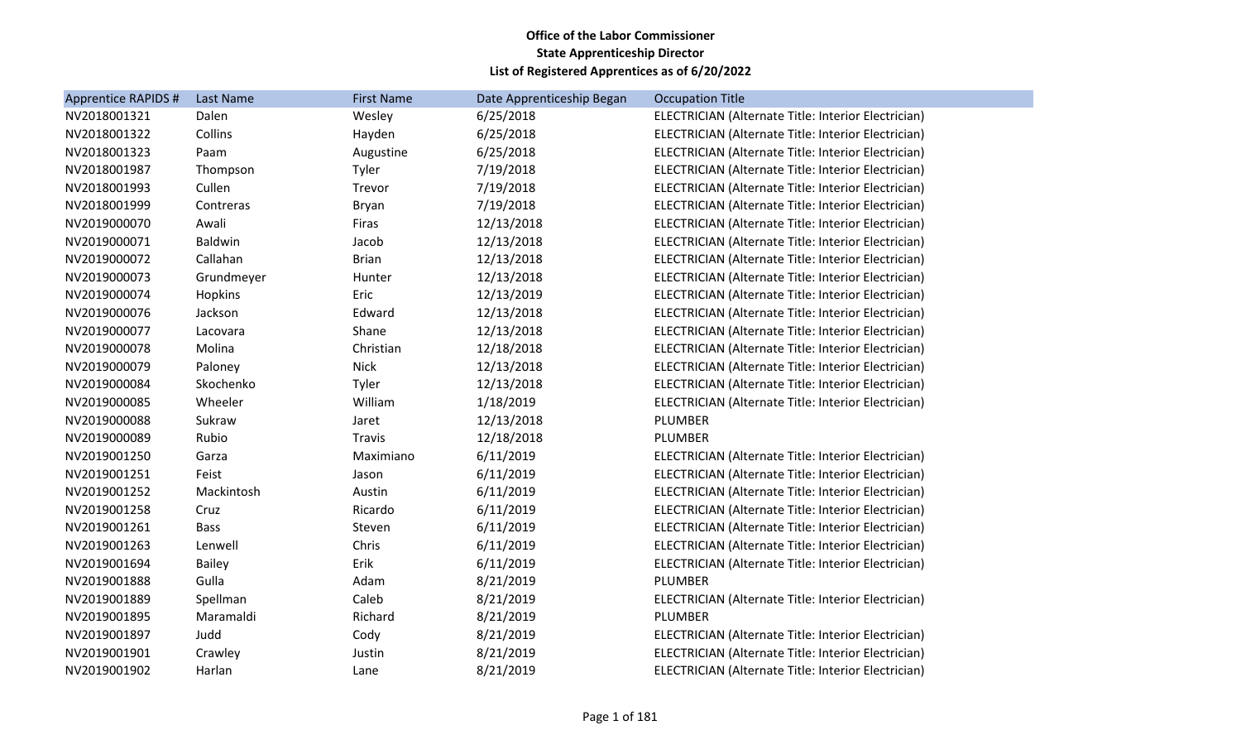| <b>Last Name</b> | <b>First Name</b> | Date Apprenticeship Began | <b>Occupation Title</b>                             |
|------------------|-------------------|---------------------------|-----------------------------------------------------|
| Dalen            | Wesley            | 6/25/2018                 | ELECTRICIAN (Alternate Title: Interior Electrician) |
| Collins          | Hayden            | 6/25/2018                 | ELECTRICIAN (Alternate Title: Interior Electrician) |
| Paam             | Augustine         | 6/25/2018                 | ELECTRICIAN (Alternate Title: Interior Electrician) |
| Thompson         | Tyler             | 7/19/2018                 | ELECTRICIAN (Alternate Title: Interior Electrician) |
| Cullen           | Trevor            | 7/19/2018                 | ELECTRICIAN (Alternate Title: Interior Electrician) |
| Contreras        | <b>Bryan</b>      | 7/19/2018                 | ELECTRICIAN (Alternate Title: Interior Electrician) |
| Awali            | Firas             | 12/13/2018                | ELECTRICIAN (Alternate Title: Interior Electrician) |
| Baldwin          | Jacob             | 12/13/2018                | ELECTRICIAN (Alternate Title: Interior Electrician) |
| Callahan         | <b>Brian</b>      | 12/13/2018                | ELECTRICIAN (Alternate Title: Interior Electrician) |
| Grundmeyer       | Hunter            | 12/13/2018                | ELECTRICIAN (Alternate Title: Interior Electrician) |
| Hopkins          | Eric              | 12/13/2019                | ELECTRICIAN (Alternate Title: Interior Electrician) |
| Jackson          | Edward            | 12/13/2018                | ELECTRICIAN (Alternate Title: Interior Electrician) |
| Lacovara         | Shane             | 12/13/2018                | ELECTRICIAN (Alternate Title: Interior Electrician) |
| Molina           | Christian         | 12/18/2018                | ELECTRICIAN (Alternate Title: Interior Electrician) |
| Paloney          | <b>Nick</b>       | 12/13/2018                | ELECTRICIAN (Alternate Title: Interior Electrician) |
| Skochenko        | Tyler             | 12/13/2018                | ELECTRICIAN (Alternate Title: Interior Electrician) |
| Wheeler          | William           | 1/18/2019                 | ELECTRICIAN (Alternate Title: Interior Electrician) |
| Sukraw           | Jaret             | 12/13/2018                | PLUMBER                                             |
| Rubio            | Travis            | 12/18/2018                | PLUMBER                                             |
| Garza            | Maximiano         | 6/11/2019                 | ELECTRICIAN (Alternate Title: Interior Electrician) |
| Feist            | Jason             | 6/11/2019                 | ELECTRICIAN (Alternate Title: Interior Electrician) |
| Mackintosh       | Austin            | 6/11/2019                 | ELECTRICIAN (Alternate Title: Interior Electrician) |
| Cruz             | Ricardo           | 6/11/2019                 | ELECTRICIAN (Alternate Title: Interior Electrician) |
| <b>Bass</b>      | Steven            | 6/11/2019                 | ELECTRICIAN (Alternate Title: Interior Electrician) |
| Lenwell          | Chris             | 6/11/2019                 | ELECTRICIAN (Alternate Title: Interior Electrician) |
| <b>Bailey</b>    | Erik              | 6/11/2019                 | ELECTRICIAN (Alternate Title: Interior Electrician) |
| Gulla            | Adam              | 8/21/2019                 | PLUMBER                                             |
| Spellman         | Caleb             | 8/21/2019                 | ELECTRICIAN (Alternate Title: Interior Electrician) |
| Maramaldi        | Richard           | 8/21/2019                 | PLUMBER                                             |
| Judd             | Cody              | 8/21/2019                 | ELECTRICIAN (Alternate Title: Interior Electrician) |
| Crawley          | Justin            | 8/21/2019                 | ELECTRICIAN (Alternate Title: Interior Electrician) |
| Harlan           | Lane              | 8/21/2019                 | ELECTRICIAN (Alternate Title: Interior Electrician) |
|                  |                   |                           |                                                     |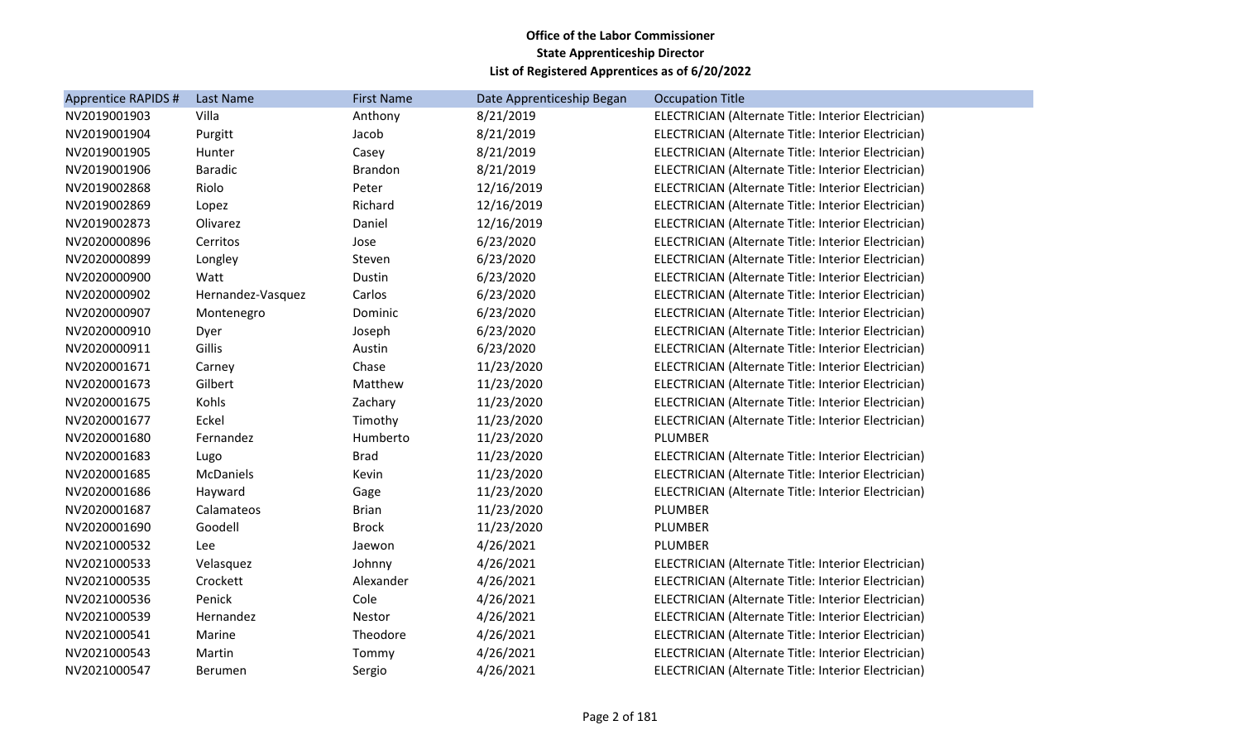| <b>Apprentice RAPIDS #</b> | Last Name         | <b>First Name</b> | Date Apprenticeship Began | <b>Occupation Title</b>                             |
|----------------------------|-------------------|-------------------|---------------------------|-----------------------------------------------------|
| NV2019001903               | Villa             | Anthony           | 8/21/2019                 | ELECTRICIAN (Alternate Title: Interior Electrician) |
| NV2019001904               | Purgitt           | Jacob             | 8/21/2019                 | ELECTRICIAN (Alternate Title: Interior Electrician) |
| NV2019001905               | Hunter            | Casey             | 8/21/2019                 | ELECTRICIAN (Alternate Title: Interior Electrician) |
| NV2019001906               | <b>Baradic</b>    | <b>Brandon</b>    | 8/21/2019                 | ELECTRICIAN (Alternate Title: Interior Electrician) |
| NV2019002868               | Riolo             | Peter             | 12/16/2019                | ELECTRICIAN (Alternate Title: Interior Electrician) |
| NV2019002869               | Lopez             | Richard           | 12/16/2019                | ELECTRICIAN (Alternate Title: Interior Electrician) |
| NV2019002873               | Olivarez          | Daniel            | 12/16/2019                | ELECTRICIAN (Alternate Title: Interior Electrician) |
| NV2020000896               | Cerritos          | Jose              | 6/23/2020                 | ELECTRICIAN (Alternate Title: Interior Electrician) |
| NV2020000899               | Longley           | Steven            | 6/23/2020                 | ELECTRICIAN (Alternate Title: Interior Electrician) |
| NV2020000900               | Watt              | Dustin            | 6/23/2020                 | ELECTRICIAN (Alternate Title: Interior Electrician) |
| NV2020000902               | Hernandez-Vasquez | Carlos            | 6/23/2020                 | ELECTRICIAN (Alternate Title: Interior Electrician) |
| NV2020000907               | Montenegro        | Dominic           | 6/23/2020                 | ELECTRICIAN (Alternate Title: Interior Electrician) |
| NV2020000910               | Dyer              | Joseph            | 6/23/2020                 | ELECTRICIAN (Alternate Title: Interior Electrician) |
| NV2020000911               | Gillis            | Austin            | 6/23/2020                 | ELECTRICIAN (Alternate Title: Interior Electrician) |
| NV2020001671               | Carney            | Chase             | 11/23/2020                | ELECTRICIAN (Alternate Title: Interior Electrician) |
| NV2020001673               | Gilbert           | Matthew           | 11/23/2020                | ELECTRICIAN (Alternate Title: Interior Electrician) |
| NV2020001675               | Kohls             | Zachary           | 11/23/2020                | ELECTRICIAN (Alternate Title: Interior Electrician) |
| NV2020001677               | Eckel             | Timothy           | 11/23/2020                | ELECTRICIAN (Alternate Title: Interior Electrician) |
| NV2020001680               | Fernandez         | Humberto          | 11/23/2020                | PLUMBER                                             |
| NV2020001683               | Lugo              | <b>Brad</b>       | 11/23/2020                | ELECTRICIAN (Alternate Title: Interior Electrician) |
| NV2020001685               | McDaniels         | Kevin             | 11/23/2020                | ELECTRICIAN (Alternate Title: Interior Electrician) |
| NV2020001686               | Hayward           | Gage              | 11/23/2020                | ELECTRICIAN (Alternate Title: Interior Electrician) |
| NV2020001687               | Calamateos        | <b>Brian</b>      | 11/23/2020                | PLUMBER                                             |
| NV2020001690               | Goodell           | <b>Brock</b>      | 11/23/2020                | PLUMBER                                             |
| NV2021000532               | Lee               | Jaewon            | 4/26/2021                 | PLUMBER                                             |
| NV2021000533               | Velasquez         | Johnny            | 4/26/2021                 | ELECTRICIAN (Alternate Title: Interior Electrician) |
| NV2021000535               | Crockett          | Alexander         | 4/26/2021                 | ELECTRICIAN (Alternate Title: Interior Electrician) |
| NV2021000536               | Penick            | Cole              | 4/26/2021                 | ELECTRICIAN (Alternate Title: Interior Electrician) |
| NV2021000539               | Hernandez         | Nestor            | 4/26/2021                 | ELECTRICIAN (Alternate Title: Interior Electrician) |
| NV2021000541               | Marine            | Theodore          | 4/26/2021                 | ELECTRICIAN (Alternate Title: Interior Electrician) |
| NV2021000543               | Martin            | Tommy             | 4/26/2021                 | ELECTRICIAN (Alternate Title: Interior Electrician) |
| NV2021000547               | <b>Berumen</b>    | Sergio            | 4/26/2021                 | ELECTRICIAN (Alternate Title: Interior Electrician) |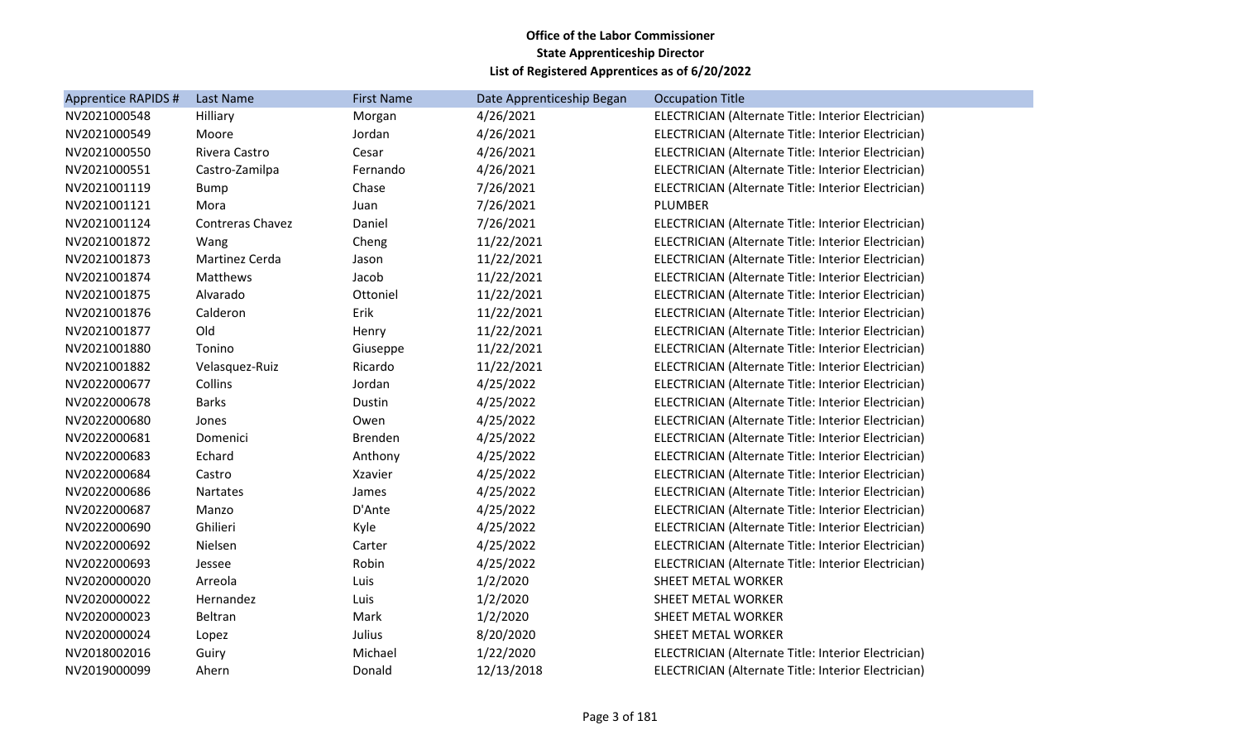| <b>Apprentice RAPIDS #</b> | Last Name               | <b>First Name</b> | Date Apprenticeship Began | <b>Occupation Title</b>                             |
|----------------------------|-------------------------|-------------------|---------------------------|-----------------------------------------------------|
| NV2021000548               | Hilliary                | Morgan            | 4/26/2021                 | ELECTRICIAN (Alternate Title: Interior Electrician) |
| NV2021000549               | Moore                   | Jordan            | 4/26/2021                 | ELECTRICIAN (Alternate Title: Interior Electrician) |
| NV2021000550               | Rivera Castro           | Cesar             | 4/26/2021                 | ELECTRICIAN (Alternate Title: Interior Electrician) |
| NV2021000551               | Castro-Zamilpa          | Fernando          | 4/26/2021                 | ELECTRICIAN (Alternate Title: Interior Electrician) |
| NV2021001119               | <b>Bump</b>             | Chase             | 7/26/2021                 | ELECTRICIAN (Alternate Title: Interior Electrician) |
| NV2021001121               | Mora                    | Juan              | 7/26/2021                 | PLUMBER                                             |
| NV2021001124               | <b>Contreras Chavez</b> | Daniel            | 7/26/2021                 | ELECTRICIAN (Alternate Title: Interior Electrician) |
| NV2021001872               | Wang                    | Cheng             | 11/22/2021                | ELECTRICIAN (Alternate Title: Interior Electrician) |
| NV2021001873               | Martinez Cerda          | Jason             | 11/22/2021                | ELECTRICIAN (Alternate Title: Interior Electrician) |
| NV2021001874               | Matthews                | Jacob             | 11/22/2021                | ELECTRICIAN (Alternate Title: Interior Electrician) |
| NV2021001875               | Alvarado                | Ottoniel          | 11/22/2021                | ELECTRICIAN (Alternate Title: Interior Electrician) |
| NV2021001876               | Calderon                | Erik              | 11/22/2021                | ELECTRICIAN (Alternate Title: Interior Electrician) |
| NV2021001877               | Old                     | Henry             | 11/22/2021                | ELECTRICIAN (Alternate Title: Interior Electrician) |
| NV2021001880               | Tonino                  | Giuseppe          | 11/22/2021                | ELECTRICIAN (Alternate Title: Interior Electrician) |
| NV2021001882               | Velasquez-Ruiz          | Ricardo           | 11/22/2021                | ELECTRICIAN (Alternate Title: Interior Electrician) |
| NV2022000677               | Collins                 | Jordan            | 4/25/2022                 | ELECTRICIAN (Alternate Title: Interior Electrician) |
| NV2022000678               | <b>Barks</b>            | Dustin            | 4/25/2022                 | ELECTRICIAN (Alternate Title: Interior Electrician) |
| NV2022000680               | Jones                   | Owen              | 4/25/2022                 | ELECTRICIAN (Alternate Title: Interior Electrician) |
| NV2022000681               | Domenici                | Brenden           | 4/25/2022                 | ELECTRICIAN (Alternate Title: Interior Electrician) |
| NV2022000683               | Echard                  | Anthony           | 4/25/2022                 | ELECTRICIAN (Alternate Title: Interior Electrician) |
| NV2022000684               | Castro                  | Xzavier           | 4/25/2022                 | ELECTRICIAN (Alternate Title: Interior Electrician) |
| NV2022000686               | <b>Nartates</b>         | James             | 4/25/2022                 | ELECTRICIAN (Alternate Title: Interior Electrician) |
| NV2022000687               | Manzo                   | D'Ante            | 4/25/2022                 | ELECTRICIAN (Alternate Title: Interior Electrician) |
| NV2022000690               | Ghilieri                | Kyle              | 4/25/2022                 | ELECTRICIAN (Alternate Title: Interior Electrician) |
| NV2022000692               | Nielsen                 | Carter            | 4/25/2022                 | ELECTRICIAN (Alternate Title: Interior Electrician) |
| NV2022000693               | Jessee                  | Robin             | 4/25/2022                 | ELECTRICIAN (Alternate Title: Interior Electrician) |
| NV2020000020               | Arreola                 | Luis              | 1/2/2020                  | SHEET METAL WORKER                                  |
| NV2020000022               | Hernandez               | Luis              | 1/2/2020                  | SHEET METAL WORKER                                  |
| NV2020000023               | Beltran                 | Mark              | 1/2/2020                  | SHEET METAL WORKER                                  |
| NV2020000024               | Lopez                   | Julius            | 8/20/2020                 | SHEET METAL WORKER                                  |
| NV2018002016               | Guiry                   | Michael           | 1/22/2020                 | ELECTRICIAN (Alternate Title: Interior Electrician) |
| NV2019000099               | Ahern                   | Donald            | 12/13/2018                | ELECTRICIAN (Alternate Title: Interior Electrician) |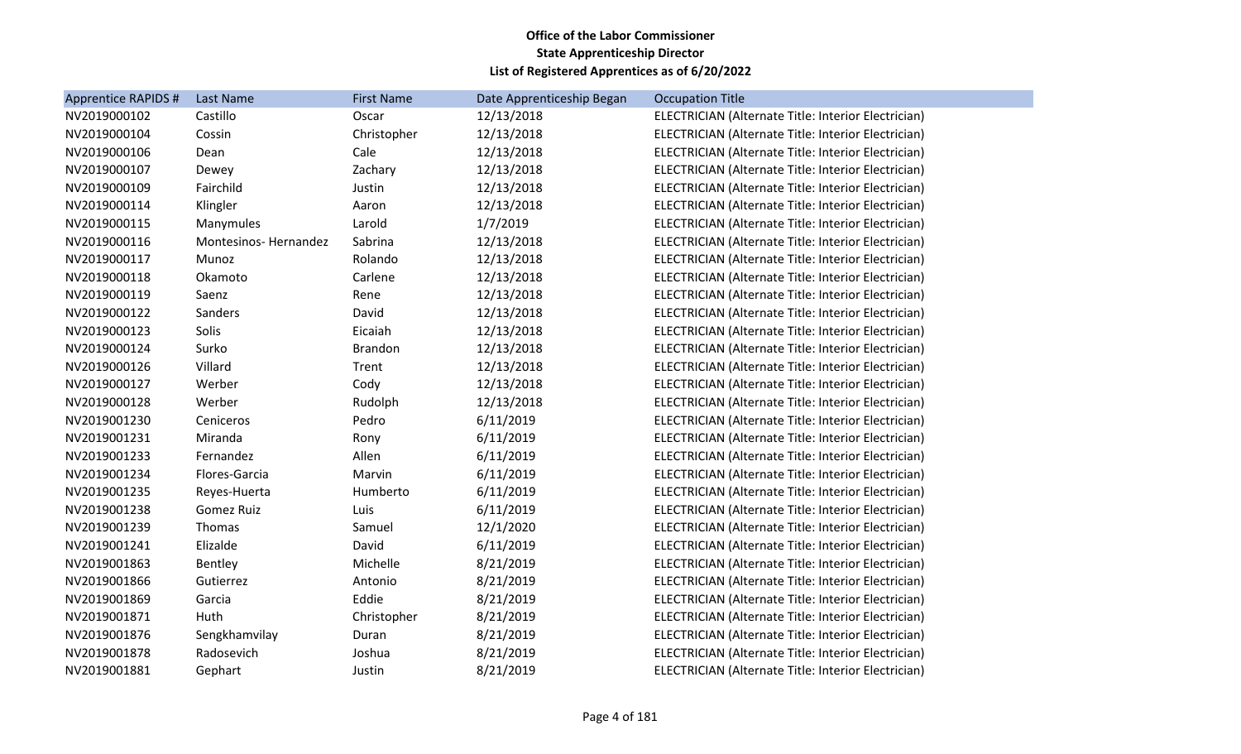| <b>Apprentice RAPIDS #</b> | Last Name                   | <b>First Name</b> | Date Apprenticeship Began | <b>Occupation Title</b>                             |
|----------------------------|-----------------------------|-------------------|---------------------------|-----------------------------------------------------|
| NV2019000102               | Castillo                    | Oscar             | 12/13/2018                | ELECTRICIAN (Alternate Title: Interior Electrician) |
| NV2019000104               | Cossin                      | Christopher       | 12/13/2018                | ELECTRICIAN (Alternate Title: Interior Electrician) |
| NV2019000106               | Dean                        | Cale              | 12/13/2018                | ELECTRICIAN (Alternate Title: Interior Electrician) |
| NV2019000107               | Dewey                       | Zachary           | 12/13/2018                | ELECTRICIAN (Alternate Title: Interior Electrician) |
| NV2019000109               | Fairchild                   | Justin            | 12/13/2018                | ELECTRICIAN (Alternate Title: Interior Electrician) |
| NV2019000114               | Klingler                    | Aaron             | 12/13/2018                | ELECTRICIAN (Alternate Title: Interior Electrician) |
| NV2019000115               | Manymules                   | Larold            | 1/7/2019                  | ELECTRICIAN (Alternate Title: Interior Electrician) |
| NV2019000116               | <b>Montesinos-Hernandez</b> | Sabrina           | 12/13/2018                | ELECTRICIAN (Alternate Title: Interior Electrician) |
| NV2019000117               | Munoz                       | Rolando           | 12/13/2018                | ELECTRICIAN (Alternate Title: Interior Electrician) |
| NV2019000118               | Okamoto                     | Carlene           | 12/13/2018                | ELECTRICIAN (Alternate Title: Interior Electrician) |
| NV2019000119               | Saenz                       | Rene              | 12/13/2018                | ELECTRICIAN (Alternate Title: Interior Electrician) |
| NV2019000122               | Sanders                     | David             | 12/13/2018                | ELECTRICIAN (Alternate Title: Interior Electrician) |
| NV2019000123               | Solis                       | Eicaiah           | 12/13/2018                | ELECTRICIAN (Alternate Title: Interior Electrician) |
| NV2019000124               | Surko                       | Brandon           | 12/13/2018                | ELECTRICIAN (Alternate Title: Interior Electrician) |
| NV2019000126               | Villard                     | Trent             | 12/13/2018                | ELECTRICIAN (Alternate Title: Interior Electrician) |
| NV2019000127               | Werber                      | Cody              | 12/13/2018                | ELECTRICIAN (Alternate Title: Interior Electrician) |
| NV2019000128               | Werber                      | Rudolph           | 12/13/2018                | ELECTRICIAN (Alternate Title: Interior Electrician) |
| NV2019001230               | Ceniceros                   | Pedro             | 6/11/2019                 | ELECTRICIAN (Alternate Title: Interior Electrician) |
| NV2019001231               | Miranda                     | Rony              | 6/11/2019                 | ELECTRICIAN (Alternate Title: Interior Electrician) |
| NV2019001233               | Fernandez                   | Allen             | 6/11/2019                 | ELECTRICIAN (Alternate Title: Interior Electrician) |
| NV2019001234               | Flores-Garcia               | Marvin            | 6/11/2019                 | ELECTRICIAN (Alternate Title: Interior Electrician) |
| NV2019001235               | Reyes-Huerta                | Humberto          | 6/11/2019                 | ELECTRICIAN (Alternate Title: Interior Electrician) |
| NV2019001238               | Gomez Ruiz                  | Luis              | 6/11/2019                 | ELECTRICIAN (Alternate Title: Interior Electrician) |
| NV2019001239               | Thomas                      | Samuel            | 12/1/2020                 | ELECTRICIAN (Alternate Title: Interior Electrician) |
| NV2019001241               | Elizalde                    | David             | 6/11/2019                 | ELECTRICIAN (Alternate Title: Interior Electrician) |
| NV2019001863               | Bentley                     | Michelle          | 8/21/2019                 | ELECTRICIAN (Alternate Title: Interior Electrician) |
| NV2019001866               | Gutierrez                   | Antonio           | 8/21/2019                 | ELECTRICIAN (Alternate Title: Interior Electrician) |
| NV2019001869               | Garcia                      | Eddie             | 8/21/2019                 | ELECTRICIAN (Alternate Title: Interior Electrician) |
| NV2019001871               | Huth                        | Christopher       | 8/21/2019                 | ELECTRICIAN (Alternate Title: Interior Electrician) |
| NV2019001876               | Sengkhamvilay               | Duran             | 8/21/2019                 | ELECTRICIAN (Alternate Title: Interior Electrician) |
| NV2019001878               | Radosevich                  | Joshua            | 8/21/2019                 | ELECTRICIAN (Alternate Title: Interior Electrician) |
| NV2019001881               | Gephart                     | Justin            | 8/21/2019                 | ELECTRICIAN (Alternate Title: Interior Electrician) |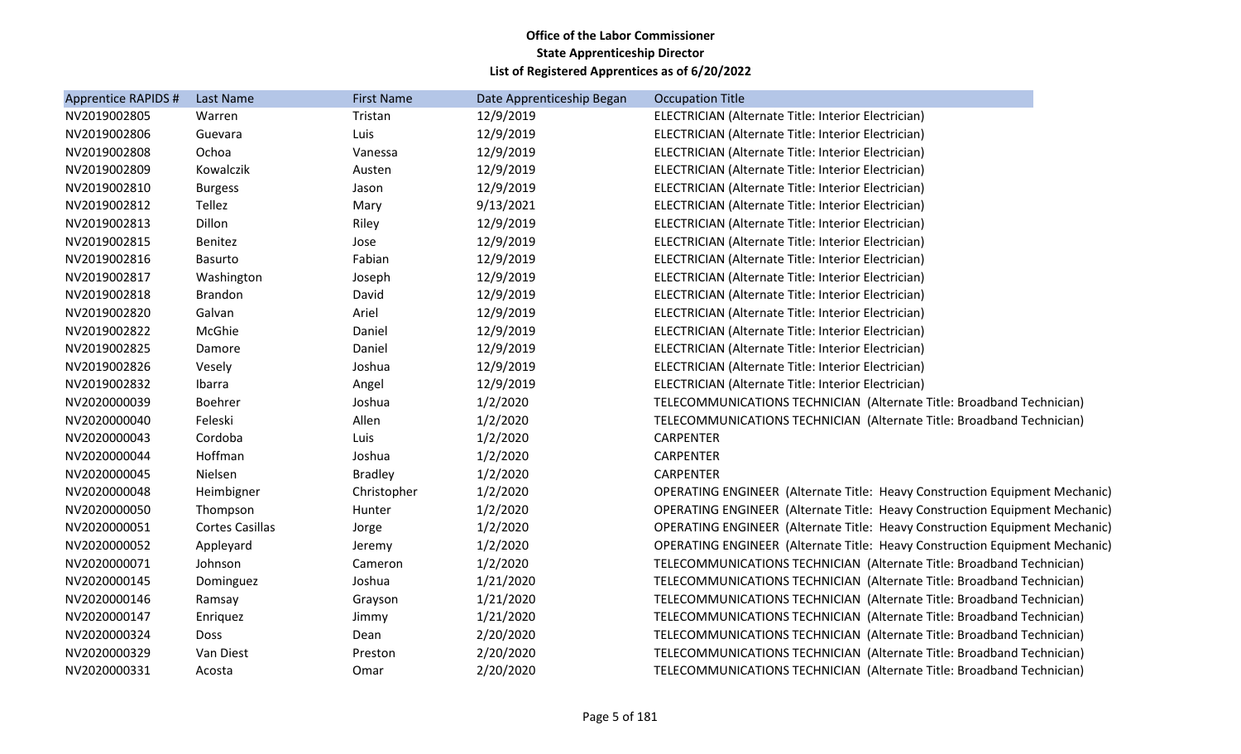| Apprentice RAPIDS # | Last Name              | <b>First Name</b> | Date Apprenticeship Began | <b>Occupation Title</b>                                                     |
|---------------------|------------------------|-------------------|---------------------------|-----------------------------------------------------------------------------|
| NV2019002805        | Warren                 | Tristan           | 12/9/2019                 | ELECTRICIAN (Alternate Title: Interior Electrician)                         |
| NV2019002806        | Guevara                | Luis              | 12/9/2019                 | ELECTRICIAN (Alternate Title: Interior Electrician)                         |
| NV2019002808        | Ochoa                  | Vanessa           | 12/9/2019                 | ELECTRICIAN (Alternate Title: Interior Electrician)                         |
| NV2019002809        | Kowalczik              | Austen            | 12/9/2019                 | ELECTRICIAN (Alternate Title: Interior Electrician)                         |
| NV2019002810        | <b>Burgess</b>         | Jason             | 12/9/2019                 | ELECTRICIAN (Alternate Title: Interior Electrician)                         |
| NV2019002812        | Tellez                 | Mary              | 9/13/2021                 | ELECTRICIAN (Alternate Title: Interior Electrician)                         |
| NV2019002813        | Dillon                 | Riley             | 12/9/2019                 | ELECTRICIAN (Alternate Title: Interior Electrician)                         |
| NV2019002815        | Benitez                | Jose              | 12/9/2019                 | ELECTRICIAN (Alternate Title: Interior Electrician)                         |
| NV2019002816        | <b>Basurto</b>         | Fabian            | 12/9/2019                 | ELECTRICIAN (Alternate Title: Interior Electrician)                         |
| NV2019002817        | Washington             | Joseph            | 12/9/2019                 | ELECTRICIAN (Alternate Title: Interior Electrician)                         |
| NV2019002818        | <b>Brandon</b>         | David             | 12/9/2019                 | ELECTRICIAN (Alternate Title: Interior Electrician)                         |
| NV2019002820        | Galvan                 | Ariel             | 12/9/2019                 | ELECTRICIAN (Alternate Title: Interior Electrician)                         |
| NV2019002822        | McGhie                 | Daniel            | 12/9/2019                 | ELECTRICIAN (Alternate Title: Interior Electrician)                         |
| NV2019002825        | Damore                 | Daniel            | 12/9/2019                 | ELECTRICIAN (Alternate Title: Interior Electrician)                         |
| NV2019002826        | Vesely                 | Joshua            | 12/9/2019                 | ELECTRICIAN (Alternate Title: Interior Electrician)                         |
| NV2019002832        | Ibarra                 | Angel             | 12/9/2019                 | ELECTRICIAN (Alternate Title: Interior Electrician)                         |
| NV2020000039        | Boehrer                | Joshua            | 1/2/2020                  | TELECOMMUNICATIONS TECHNICIAN (Alternate Title: Broadband Technician)       |
| NV2020000040        | Feleski                | Allen             | 1/2/2020                  | TELECOMMUNICATIONS TECHNICIAN (Alternate Title: Broadband Technician)       |
| NV2020000043        | Cordoba                | Luis              | 1/2/2020                  | <b>CARPENTER</b>                                                            |
| NV2020000044        | Hoffman                | Joshua            | 1/2/2020                  | <b>CARPENTER</b>                                                            |
| NV2020000045        | Nielsen                | <b>Bradley</b>    | 1/2/2020                  | <b>CARPENTER</b>                                                            |
| NV2020000048        | Heimbigner             | Christopher       | 1/2/2020                  | OPERATING ENGINEER (Alternate Title: Heavy Construction Equipment Mechanic) |
| NV2020000050        | Thompson               | Hunter            | 1/2/2020                  | OPERATING ENGINEER (Alternate Title: Heavy Construction Equipment Mechanic) |
| NV2020000051        | <b>Cortes Casillas</b> | Jorge             | 1/2/2020                  | OPERATING ENGINEER (Alternate Title: Heavy Construction Equipment Mechanic) |
| NV2020000052        | Appleyard              | Jeremy            | 1/2/2020                  | OPERATING ENGINEER (Alternate Title: Heavy Construction Equipment Mechanic) |
| NV2020000071        | Johnson                | Cameron           | 1/2/2020                  | TELECOMMUNICATIONS TECHNICIAN (Alternate Title: Broadband Technician)       |
| NV2020000145        | Dominguez              | Joshua            | 1/21/2020                 | TELECOMMUNICATIONS TECHNICIAN (Alternate Title: Broadband Technician)       |
| NV2020000146        | Ramsay                 | Grayson           | 1/21/2020                 | TELECOMMUNICATIONS TECHNICIAN (Alternate Title: Broadband Technician)       |
| NV2020000147        | Enriquez               | Jimmy             | 1/21/2020                 | TELECOMMUNICATIONS TECHNICIAN (Alternate Title: Broadband Technician)       |
| NV2020000324        | Doss                   | Dean              | 2/20/2020                 | TELECOMMUNICATIONS TECHNICIAN (Alternate Title: Broadband Technician)       |
| NV2020000329        | Van Diest              | Preston           | 2/20/2020                 | TELECOMMUNICATIONS TECHNICIAN (Alternate Title: Broadband Technician)       |
| NV2020000331        | Acosta                 | Omar              | 2/20/2020                 | TELECOMMUNICATIONS TECHNICIAN (Alternate Title: Broadband Technician)       |
|                     |                        |                   |                           |                                                                             |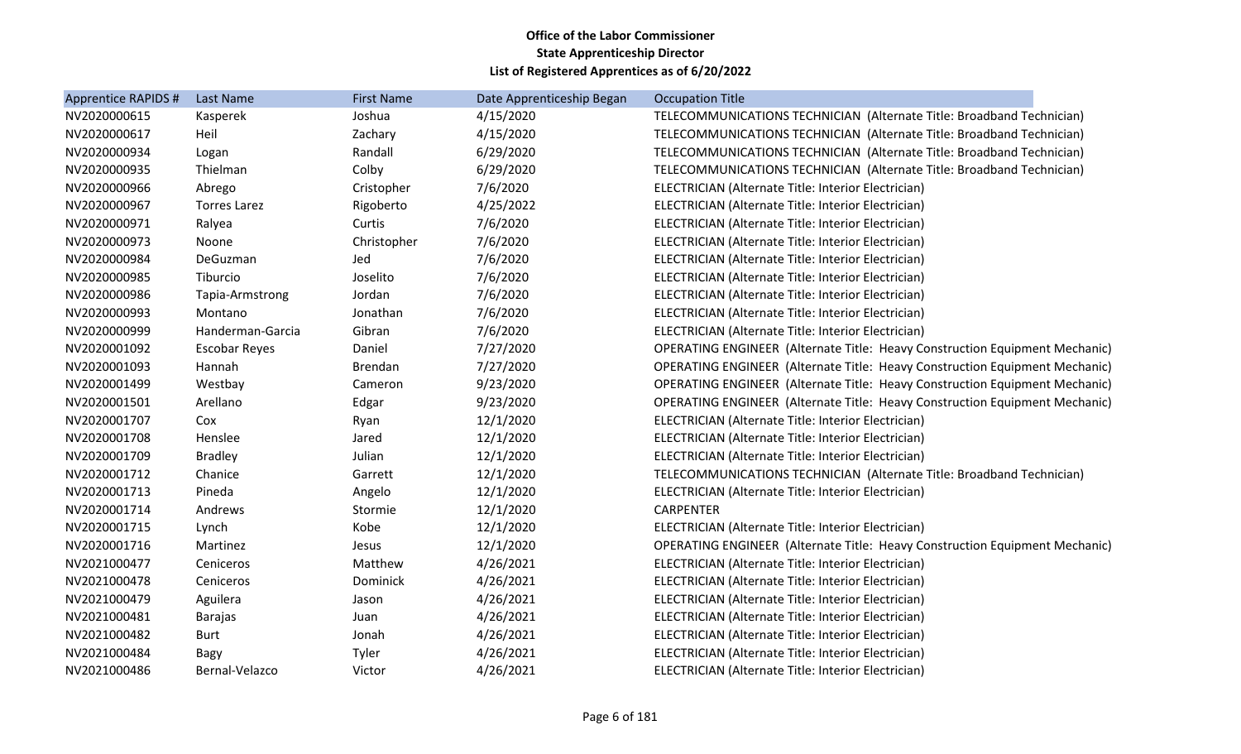| Apprentice RAPIDS # | <b>Last Name</b>     | <b>First Name</b> | Date Apprenticeship Began | <b>Occupation Title</b>                                                            |
|---------------------|----------------------|-------------------|---------------------------|------------------------------------------------------------------------------------|
| NV2020000615        | Kasperek             | Joshua            | 4/15/2020                 | TELECOMMUNICATIONS TECHNICIAN (Alternate Title: Broadband Technician)              |
| NV2020000617        | Heil                 | Zachary           | 4/15/2020                 | TELECOMMUNICATIONS TECHNICIAN (Alternate Title: Broadband Technician)              |
| NV2020000934        | Logan                | Randall           | 6/29/2020                 | TELECOMMUNICATIONS TECHNICIAN (Alternate Title: Broadband Technician)              |
| NV2020000935        | Thielman             | Colby             | 6/29/2020                 | TELECOMMUNICATIONS TECHNICIAN (Alternate Title: Broadband Technician)              |
| NV2020000966        | Abrego               | Cristopher        | 7/6/2020                  | ELECTRICIAN (Alternate Title: Interior Electrician)                                |
| NV2020000967        | <b>Torres Larez</b>  | Rigoberto         | 4/25/2022                 | ELECTRICIAN (Alternate Title: Interior Electrician)                                |
| NV2020000971        | Ralyea               | Curtis            | 7/6/2020                  | ELECTRICIAN (Alternate Title: Interior Electrician)                                |
| NV2020000973        | Noone                | Christopher       | 7/6/2020                  | ELECTRICIAN (Alternate Title: Interior Electrician)                                |
| NV2020000984        | DeGuzman             | Jed               | 7/6/2020                  | ELECTRICIAN (Alternate Title: Interior Electrician)                                |
| NV2020000985        | Tiburcio             | Joselito          | 7/6/2020                  | ELECTRICIAN (Alternate Title: Interior Electrician)                                |
| NV2020000986        | Tapia-Armstrong      | Jordan            | 7/6/2020                  | ELECTRICIAN (Alternate Title: Interior Electrician)                                |
| NV2020000993        | Montano              | Jonathan          | 7/6/2020                  | ELECTRICIAN (Alternate Title: Interior Electrician)                                |
| NV2020000999        | Handerman-Garcia     | Gibran            | 7/6/2020                  | ELECTRICIAN (Alternate Title: Interior Electrician)                                |
| NV2020001092        | <b>Escobar Reyes</b> | Daniel            | 7/27/2020                 | <b>OPERATING ENGINEER (Alternate Title: Heavy Construction Equipment Mechanic)</b> |
| NV2020001093        | Hannah               | Brendan           | 7/27/2020                 | <b>OPERATING ENGINEER (Alternate Title: Heavy Construction Equipment Mechanic)</b> |
| NV2020001499        | Westbay              | Cameron           | 9/23/2020                 | OPERATING ENGINEER (Alternate Title: Heavy Construction Equipment Mechanic)        |
| NV2020001501        | Arellano             | Edgar             | 9/23/2020                 | OPERATING ENGINEER (Alternate Title: Heavy Construction Equipment Mechanic)        |
| NV2020001707        | Cox                  | Ryan              | 12/1/2020                 | ELECTRICIAN (Alternate Title: Interior Electrician)                                |
| NV2020001708        | Henslee              | Jared             | 12/1/2020                 | ELECTRICIAN (Alternate Title: Interior Electrician)                                |
| NV2020001709        | <b>Bradley</b>       | Julian            | 12/1/2020                 | ELECTRICIAN (Alternate Title: Interior Electrician)                                |
| NV2020001712        | Chanice              | Garrett           | 12/1/2020                 | TELECOMMUNICATIONS TECHNICIAN (Alternate Title: Broadband Technician)              |
| NV2020001713        | Pineda               | Angelo            | 12/1/2020                 | ELECTRICIAN (Alternate Title: Interior Electrician)                                |
| NV2020001714        | Andrews              | Stormie           | 12/1/2020                 | <b>CARPENTER</b>                                                                   |
| NV2020001715        | Lynch                | Kobe              | 12/1/2020                 | ELECTRICIAN (Alternate Title: Interior Electrician)                                |
| NV2020001716        | Martinez             | Jesus             | 12/1/2020                 | <b>OPERATING ENGINEER (Alternate Title: Heavy Construction Equipment Mechanic)</b> |
| NV2021000477        | Ceniceros            | Matthew           | 4/26/2021                 | ELECTRICIAN (Alternate Title: Interior Electrician)                                |
| NV2021000478        | Ceniceros            | Dominick          | 4/26/2021                 | ELECTRICIAN (Alternate Title: Interior Electrician)                                |
| NV2021000479        | Aguilera             | Jason             | 4/26/2021                 | ELECTRICIAN (Alternate Title: Interior Electrician)                                |
| NV2021000481        | <b>Barajas</b>       | Juan              | 4/26/2021                 | ELECTRICIAN (Alternate Title: Interior Electrician)                                |
| NV2021000482        | <b>Burt</b>          | Jonah             | 4/26/2021                 | ELECTRICIAN (Alternate Title: Interior Electrician)                                |
| NV2021000484        | Bagy                 | Tyler             | 4/26/2021                 | ELECTRICIAN (Alternate Title: Interior Electrician)                                |
| NV2021000486        | Bernal-Velazco       | Victor            | 4/26/2021                 | ELECTRICIAN (Alternate Title: Interior Electrician)                                |
|                     |                      |                   |                           |                                                                                    |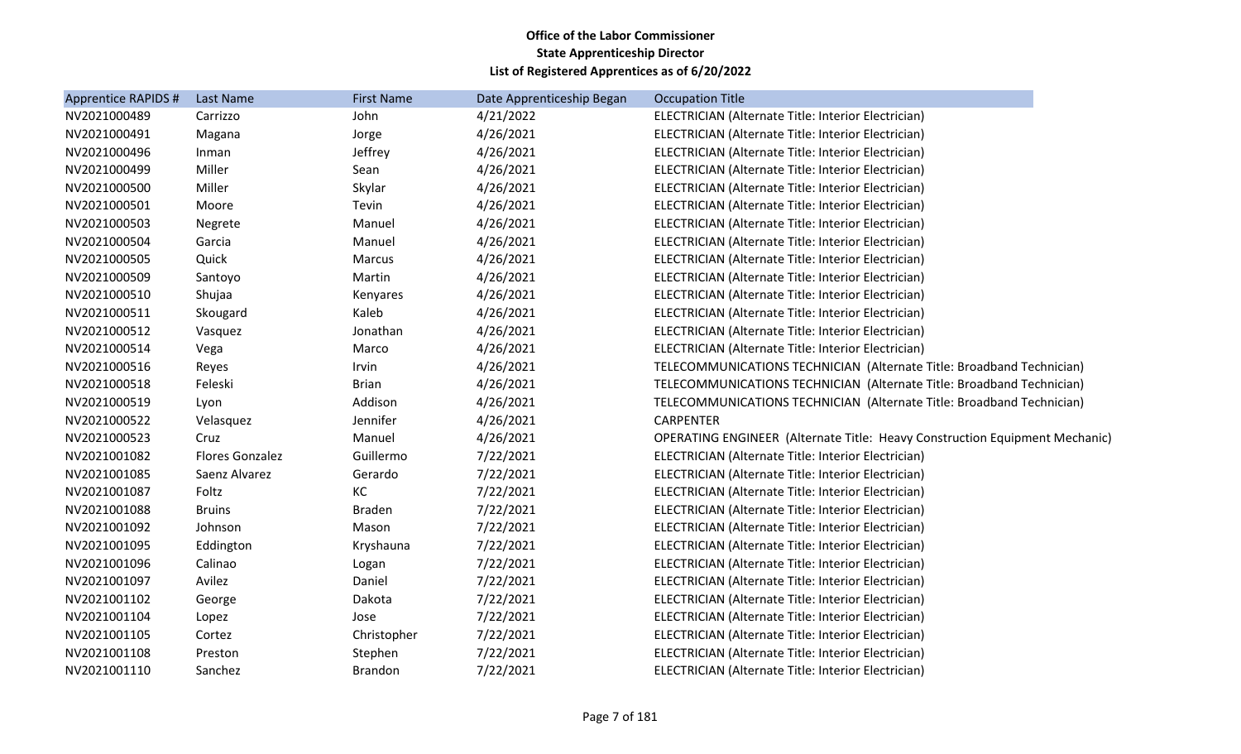| Apprentice RAPIDS # | Last Name       | <b>First Name</b> | Date Apprenticeship Began | <b>Occupation Title</b>                                                     |
|---------------------|-----------------|-------------------|---------------------------|-----------------------------------------------------------------------------|
| NV2021000489        | Carrizzo        | John              | 4/21/2022                 | ELECTRICIAN (Alternate Title: Interior Electrician)                         |
| NV2021000491        | Magana          | Jorge             | 4/26/2021                 | ELECTRICIAN (Alternate Title: Interior Electrician)                         |
| NV2021000496        | Inman           | Jeffrey           | 4/26/2021                 | ELECTRICIAN (Alternate Title: Interior Electrician)                         |
| NV2021000499        | Miller          | Sean              | 4/26/2021                 | ELECTRICIAN (Alternate Title: Interior Electrician)                         |
| NV2021000500        | Miller          | Skylar            | 4/26/2021                 | ELECTRICIAN (Alternate Title: Interior Electrician)                         |
| NV2021000501        | Moore           | Tevin             | 4/26/2021                 | ELECTRICIAN (Alternate Title: Interior Electrician)                         |
| NV2021000503        | Negrete         | Manuel            | 4/26/2021                 | ELECTRICIAN (Alternate Title: Interior Electrician)                         |
| NV2021000504        | Garcia          | Manuel            | 4/26/2021                 | ELECTRICIAN (Alternate Title: Interior Electrician)                         |
| NV2021000505        | Quick           | Marcus            | 4/26/2021                 | ELECTRICIAN (Alternate Title: Interior Electrician)                         |
| NV2021000509        | Santoyo         | Martin            | 4/26/2021                 | ELECTRICIAN (Alternate Title: Interior Electrician)                         |
| NV2021000510        | Shujaa          | Kenyares          | 4/26/2021                 | ELECTRICIAN (Alternate Title: Interior Electrician)                         |
| NV2021000511        | Skougard        | Kaleb             | 4/26/2021                 | ELECTRICIAN (Alternate Title: Interior Electrician)                         |
| NV2021000512        | Vasquez         | Jonathan          | 4/26/2021                 | ELECTRICIAN (Alternate Title: Interior Electrician)                         |
| NV2021000514        | Vega            | Marco             | 4/26/2021                 | ELECTRICIAN (Alternate Title: Interior Electrician)                         |
| NV2021000516        | Reyes           | Irvin             | 4/26/2021                 | TELECOMMUNICATIONS TECHNICIAN (Alternate Title: Broadband Technician)       |
| NV2021000518        | Feleski         | <b>Brian</b>      | 4/26/2021                 | TELECOMMUNICATIONS TECHNICIAN (Alternate Title: Broadband Technician)       |
| NV2021000519        | Lyon            | Addison           | 4/26/2021                 | TELECOMMUNICATIONS TECHNICIAN (Alternate Title: Broadband Technician)       |
| NV2021000522        | Velasquez       | Jennifer          | 4/26/2021                 | <b>CARPENTER</b>                                                            |
| NV2021000523        | Cruz            | Manuel            | 4/26/2021                 | OPERATING ENGINEER (Alternate Title: Heavy Construction Equipment Mechanic) |
| NV2021001082        | Flores Gonzalez | Guillermo         | 7/22/2021                 | ELECTRICIAN (Alternate Title: Interior Electrician)                         |
| NV2021001085        | Saenz Alvarez   | Gerardo           | 7/22/2021                 | ELECTRICIAN (Alternate Title: Interior Electrician)                         |
| NV2021001087        | Foltz           | KC                | 7/22/2021                 | ELECTRICIAN (Alternate Title: Interior Electrician)                         |
| NV2021001088        | <b>Bruins</b>   | <b>Braden</b>     | 7/22/2021                 | ELECTRICIAN (Alternate Title: Interior Electrician)                         |
| NV2021001092        | Johnson         | Mason             | 7/22/2021                 | ELECTRICIAN (Alternate Title: Interior Electrician)                         |
| NV2021001095        | Eddington       | Kryshauna         | 7/22/2021                 | ELECTRICIAN (Alternate Title: Interior Electrician)                         |
| NV2021001096        | Calinao         | Logan             | 7/22/2021                 | ELECTRICIAN (Alternate Title: Interior Electrician)                         |
| NV2021001097        | Avilez          | Daniel            | 7/22/2021                 | ELECTRICIAN (Alternate Title: Interior Electrician)                         |
| NV2021001102        | George          | Dakota            | 7/22/2021                 | ELECTRICIAN (Alternate Title: Interior Electrician)                         |
| NV2021001104        | Lopez           | Jose              | 7/22/2021                 | ELECTRICIAN (Alternate Title: Interior Electrician)                         |
| NV2021001105        | Cortez          | Christopher       | 7/22/2021                 | ELECTRICIAN (Alternate Title: Interior Electrician)                         |
| NV2021001108        | Preston         | Stephen           | 7/22/2021                 | ELECTRICIAN (Alternate Title: Interior Electrician)                         |
| NV2021001110        | Sanchez         | <b>Brandon</b>    | 7/22/2021                 | ELECTRICIAN (Alternate Title: Interior Electrician)                         |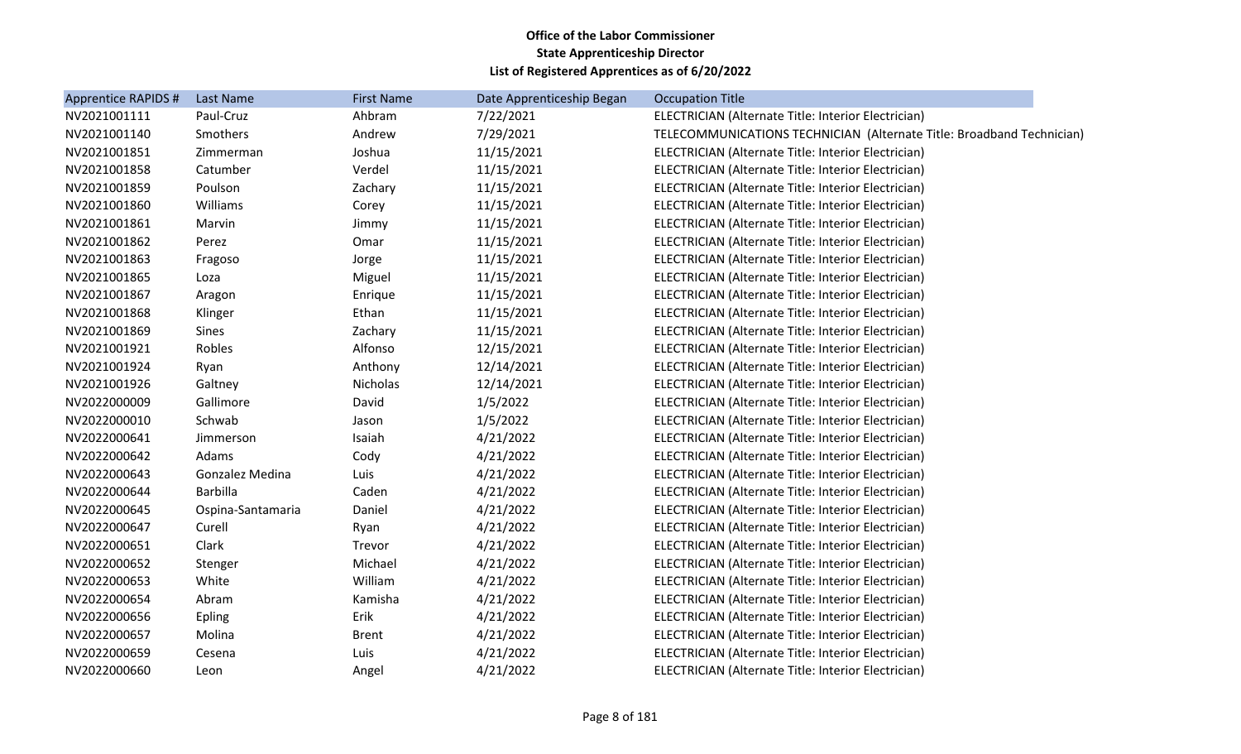| Apprentice RAPIDS # | Last Name         | <b>First Name</b> | Date Apprenticeship Began | <b>Occupation Title</b>                                               |
|---------------------|-------------------|-------------------|---------------------------|-----------------------------------------------------------------------|
| NV2021001111        | Paul-Cruz         | Ahbram            | 7/22/2021                 | ELECTRICIAN (Alternate Title: Interior Electrician)                   |
| NV2021001140        | Smothers          | Andrew            | 7/29/2021                 | TELECOMMUNICATIONS TECHNICIAN (Alternate Title: Broadband Technician) |
| NV2021001851        | Zimmerman         | Joshua            | 11/15/2021                | ELECTRICIAN (Alternate Title: Interior Electrician)                   |
| NV2021001858        | Catumber          | Verdel            | 11/15/2021                | ELECTRICIAN (Alternate Title: Interior Electrician)                   |
| NV2021001859        | Poulson           | Zachary           | 11/15/2021                | ELECTRICIAN (Alternate Title: Interior Electrician)                   |
| NV2021001860        | Williams          | Corey             | 11/15/2021                | ELECTRICIAN (Alternate Title: Interior Electrician)                   |
| NV2021001861        | Marvin            | Jimmy             | 11/15/2021                | ELECTRICIAN (Alternate Title: Interior Electrician)                   |
| NV2021001862        | Perez             | Omar              | 11/15/2021                | ELECTRICIAN (Alternate Title: Interior Electrician)                   |
| NV2021001863        | Fragoso           | Jorge             | 11/15/2021                | ELECTRICIAN (Alternate Title: Interior Electrician)                   |
| NV2021001865        | Loza              | Miguel            | 11/15/2021                | ELECTRICIAN (Alternate Title: Interior Electrician)                   |
| NV2021001867        | Aragon            | Enrique           | 11/15/2021                | ELECTRICIAN (Alternate Title: Interior Electrician)                   |
| NV2021001868        | Klinger           | Ethan             | 11/15/2021                | ELECTRICIAN (Alternate Title: Interior Electrician)                   |
| NV2021001869        | Sines             | Zachary           | 11/15/2021                | ELECTRICIAN (Alternate Title: Interior Electrician)                   |
| NV2021001921        | Robles            | Alfonso           | 12/15/2021                | ELECTRICIAN (Alternate Title: Interior Electrician)                   |
| NV2021001924        | Ryan              | Anthony           | 12/14/2021                | ELECTRICIAN (Alternate Title: Interior Electrician)                   |
| NV2021001926        | Galtney           | Nicholas          | 12/14/2021                | ELECTRICIAN (Alternate Title: Interior Electrician)                   |
| NV2022000009        | Gallimore         | David             | 1/5/2022                  | ELECTRICIAN (Alternate Title: Interior Electrician)                   |
| NV2022000010        | Schwab            | Jason             | 1/5/2022                  | ELECTRICIAN (Alternate Title: Interior Electrician)                   |
| NV2022000641        | Jimmerson         | Isaiah            | 4/21/2022                 | ELECTRICIAN (Alternate Title: Interior Electrician)                   |
| NV2022000642        | Adams             | Cody              | 4/21/2022                 | ELECTRICIAN (Alternate Title: Interior Electrician)                   |
| NV2022000643        | Gonzalez Medina   | Luis              | 4/21/2022                 | ELECTRICIAN (Alternate Title: Interior Electrician)                   |
| NV2022000644        | <b>Barbilla</b>   | Caden             | 4/21/2022                 | ELECTRICIAN (Alternate Title: Interior Electrician)                   |
| NV2022000645        | Ospina-Santamaria | Daniel            | 4/21/2022                 | ELECTRICIAN (Alternate Title: Interior Electrician)                   |
| NV2022000647        | Curell            | Ryan              | 4/21/2022                 | ELECTRICIAN (Alternate Title: Interior Electrician)                   |
| NV2022000651        | Clark             | Trevor            | 4/21/2022                 | ELECTRICIAN (Alternate Title: Interior Electrician)                   |
| NV2022000652        | Stenger           | Michael           | 4/21/2022                 | ELECTRICIAN (Alternate Title: Interior Electrician)                   |
| NV2022000653        | White             | William           | 4/21/2022                 | ELECTRICIAN (Alternate Title: Interior Electrician)                   |
| NV2022000654        | Abram             | Kamisha           | 4/21/2022                 | ELECTRICIAN (Alternate Title: Interior Electrician)                   |
| NV2022000656        | <b>Epling</b>     | Erik              | 4/21/2022                 | ELECTRICIAN (Alternate Title: Interior Electrician)                   |
| NV2022000657        | Molina            | <b>Brent</b>      | 4/21/2022                 | ELECTRICIAN (Alternate Title: Interior Electrician)                   |
| NV2022000659        | Cesena            | Luis              | 4/21/2022                 | ELECTRICIAN (Alternate Title: Interior Electrician)                   |
| NV2022000660        | Leon              | Angel             | 4/21/2022                 | ELECTRICIAN (Alternate Title: Interior Electrician)                   |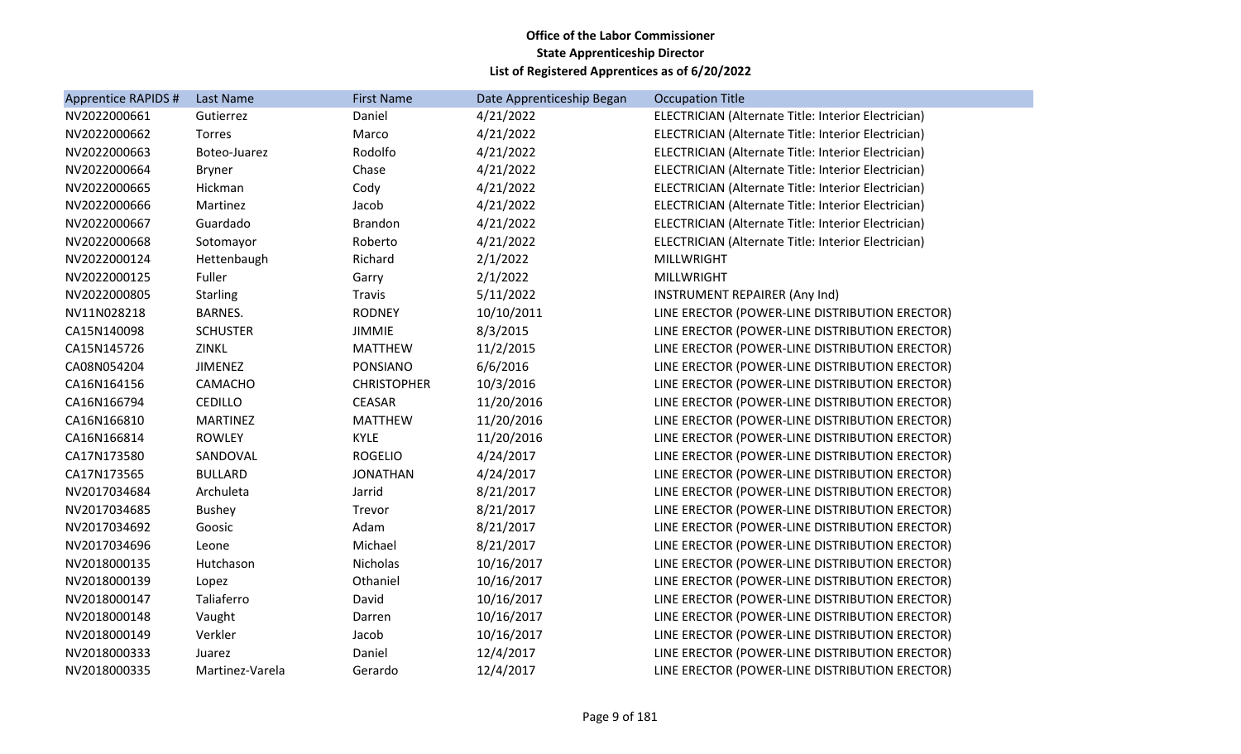| <b>Apprentice RAPIDS #</b> | Last Name       | <b>First Name</b>  | Date Apprenticeship Began | <b>Occupation Title</b>                             |
|----------------------------|-----------------|--------------------|---------------------------|-----------------------------------------------------|
| NV2022000661               | Gutierrez       | Daniel             | 4/21/2022                 | ELECTRICIAN (Alternate Title: Interior Electrician) |
| NV2022000662               | Torres          | Marco              | 4/21/2022                 | ELECTRICIAN (Alternate Title: Interior Electrician) |
| NV2022000663               | Boteo-Juarez    | Rodolfo            | 4/21/2022                 | ELECTRICIAN (Alternate Title: Interior Electrician) |
| NV2022000664               | <b>Bryner</b>   | Chase              | 4/21/2022                 | ELECTRICIAN (Alternate Title: Interior Electrician) |
| NV2022000665               | Hickman         | Cody               | 4/21/2022                 | ELECTRICIAN (Alternate Title: Interior Electrician) |
| NV2022000666               | Martinez        | Jacob              | 4/21/2022                 | ELECTRICIAN (Alternate Title: Interior Electrician) |
| NV2022000667               | Guardado        | <b>Brandon</b>     | 4/21/2022                 | ELECTRICIAN (Alternate Title: Interior Electrician) |
| NV2022000668               | Sotomayor       | Roberto            | 4/21/2022                 | ELECTRICIAN (Alternate Title: Interior Electrician) |
| NV2022000124               | Hettenbaugh     | Richard            | 2/1/2022                  | <b>MILLWRIGHT</b>                                   |
| NV2022000125               | Fuller          | Garry              | 2/1/2022                  | <b>MILLWRIGHT</b>                                   |
| NV2022000805               | <b>Starling</b> | <b>Travis</b>      | 5/11/2022                 | <b>INSTRUMENT REPAIRER (Any Ind)</b>                |
| NV11N028218                | <b>BARNES.</b>  | <b>RODNEY</b>      | 10/10/2011                | LINE ERECTOR (POWER-LINE DISTRIBUTION ERECTOR)      |
| CA15N140098                | <b>SCHUSTER</b> | <b>JIMMIE</b>      | 8/3/2015                  | LINE ERECTOR (POWER-LINE DISTRIBUTION ERECTOR)      |
| CA15N145726                | <b>ZINKL</b>    | <b>MATTHEW</b>     | 11/2/2015                 | LINE ERECTOR (POWER-LINE DISTRIBUTION ERECTOR)      |
| CA08N054204                | <b>JIMENEZ</b>  | PONSIANO           | 6/6/2016                  | LINE ERECTOR (POWER-LINE DISTRIBUTION ERECTOR)      |
| CA16N164156                | CAMACHO         | <b>CHRISTOPHER</b> | 10/3/2016                 | LINE ERECTOR (POWER-LINE DISTRIBUTION ERECTOR)      |
| CA16N166794                | <b>CEDILLO</b>  | <b>CEASAR</b>      | 11/20/2016                | LINE ERECTOR (POWER-LINE DISTRIBUTION ERECTOR)      |
| CA16N166810                | <b>MARTINEZ</b> | <b>MATTHEW</b>     | 11/20/2016                | LINE ERECTOR (POWER-LINE DISTRIBUTION ERECTOR)      |
| CA16N166814                | <b>ROWLEY</b>   | <b>KYLE</b>        | 11/20/2016                | LINE ERECTOR (POWER-LINE DISTRIBUTION ERECTOR)      |
| CA17N173580                | SANDOVAL        | <b>ROGELIO</b>     | 4/24/2017                 | LINE ERECTOR (POWER-LINE DISTRIBUTION ERECTOR)      |
| CA17N173565                | <b>BULLARD</b>  | <b>JONATHAN</b>    | 4/24/2017                 | LINE ERECTOR (POWER-LINE DISTRIBUTION ERECTOR)      |
| NV2017034684               | Archuleta       | Jarrid             | 8/21/2017                 | LINE ERECTOR (POWER-LINE DISTRIBUTION ERECTOR)      |
| NV2017034685               | <b>Bushey</b>   | Trevor             | 8/21/2017                 | LINE ERECTOR (POWER-LINE DISTRIBUTION ERECTOR)      |
| NV2017034692               | Goosic          | Adam               | 8/21/2017                 | LINE ERECTOR (POWER-LINE DISTRIBUTION ERECTOR)      |
| NV2017034696               | Leone           | Michael            | 8/21/2017                 | LINE ERECTOR (POWER-LINE DISTRIBUTION ERECTOR)      |
| NV2018000135               | Hutchason       | Nicholas           | 10/16/2017                | LINE ERECTOR (POWER-LINE DISTRIBUTION ERECTOR)      |
| NV2018000139               | Lopez           | Othaniel           | 10/16/2017                | LINE ERECTOR (POWER-LINE DISTRIBUTION ERECTOR)      |
| NV2018000147               | Taliaferro      | David              | 10/16/2017                | LINE ERECTOR (POWER-LINE DISTRIBUTION ERECTOR)      |
| NV2018000148               | Vaught          | Darren             | 10/16/2017                | LINE ERECTOR (POWER-LINE DISTRIBUTION ERECTOR)      |
| NV2018000149               | Verkler         | Jacob              | 10/16/2017                | LINE ERECTOR (POWER-LINE DISTRIBUTION ERECTOR)      |
| NV2018000333               | Juarez          | Daniel             | 12/4/2017                 | LINE ERECTOR (POWER-LINE DISTRIBUTION ERECTOR)      |
| NV2018000335               | Martinez-Varela | Gerardo            | 12/4/2017                 | LINE ERECTOR (POWER-LINE DISTRIBUTION ERECTOR)      |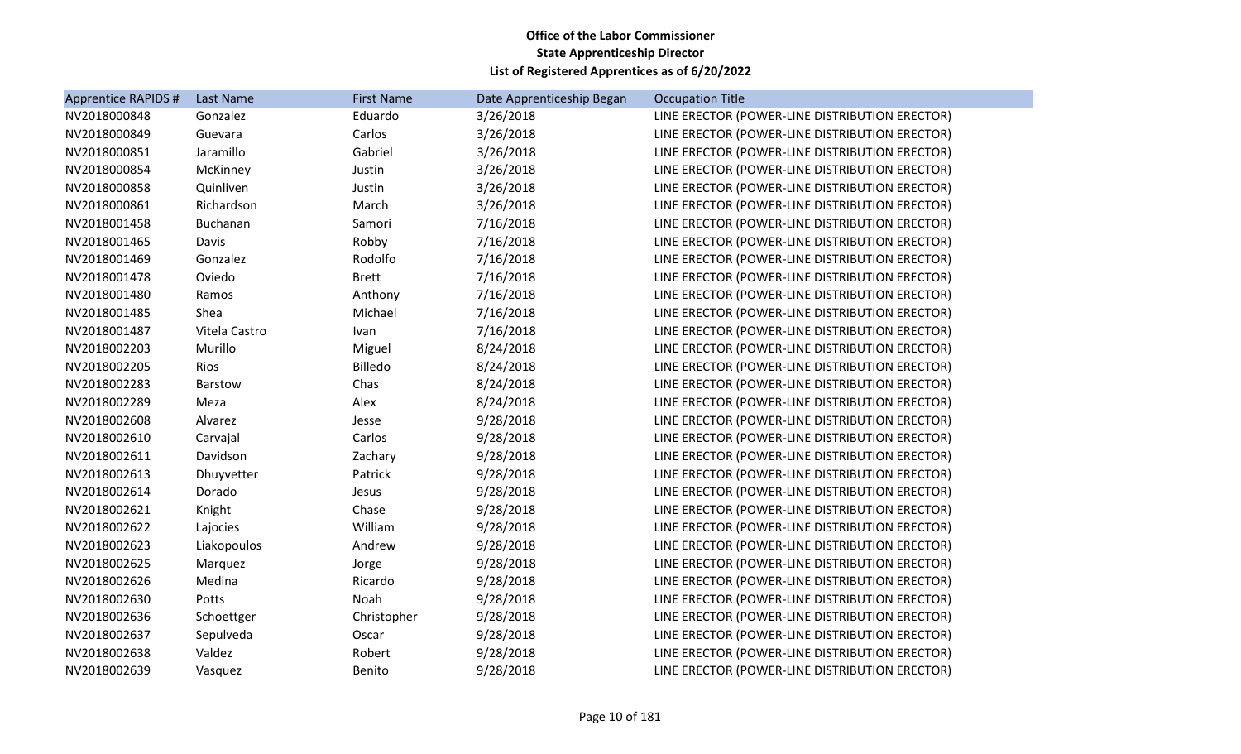| <b>Apprentice RAPIDS #</b> | Last Name     | <b>First Name</b> | Date Apprenticeship Began | <b>Occupation Title</b>                        |
|----------------------------|---------------|-------------------|---------------------------|------------------------------------------------|
| NV2018000848               | Gonzalez      | Eduardo           | 3/26/2018                 | LINE ERECTOR (POWER-LINE DISTRIBUTION ERECTOR) |
| NV2018000849               | Guevara       | Carlos            | 3/26/2018                 | LINE ERECTOR (POWER-LINE DISTRIBUTION ERECTOR) |
| NV2018000851               | Jaramillo     | Gabriel           | 3/26/2018                 | LINE ERECTOR (POWER-LINE DISTRIBUTION ERECTOR) |
| NV2018000854               | McKinney      | Justin            | 3/26/2018                 | LINE ERECTOR (POWER-LINE DISTRIBUTION ERECTOR) |
| NV2018000858               | Quinliven     | Justin            | 3/26/2018                 | LINE ERECTOR (POWER-LINE DISTRIBUTION ERECTOR) |
| NV2018000861               | Richardson    | March             | 3/26/2018                 | LINE ERECTOR (POWER-LINE DISTRIBUTION ERECTOR) |
| NV2018001458               | Buchanan      | Samori            | 7/16/2018                 | LINE ERECTOR (POWER-LINE DISTRIBUTION ERECTOR) |
| NV2018001465               | Davis         | Robby             | 7/16/2018                 | LINE ERECTOR (POWER-LINE DISTRIBUTION ERECTOR) |
| NV2018001469               | Gonzalez      | Rodolfo           | 7/16/2018                 | LINE ERECTOR (POWER-LINE DISTRIBUTION ERECTOR) |
| NV2018001478               | Oviedo        | <b>Brett</b>      | 7/16/2018                 | LINE ERECTOR (POWER-LINE DISTRIBUTION ERECTOR) |
| NV2018001480               | Ramos         | Anthony           | 7/16/2018                 | LINE ERECTOR (POWER-LINE DISTRIBUTION ERECTOR) |
| NV2018001485               | Shea          | Michael           | 7/16/2018                 | LINE ERECTOR (POWER-LINE DISTRIBUTION ERECTOR) |
| NV2018001487               | Vitela Castro | Ivan              | 7/16/2018                 | LINE ERECTOR (POWER-LINE DISTRIBUTION ERECTOR) |
| NV2018002203               | Murillo       | Miguel            | 8/24/2018                 | LINE ERECTOR (POWER-LINE DISTRIBUTION ERECTOR) |
| NV2018002205               | Rios          | Billedo           | 8/24/2018                 | LINE ERECTOR (POWER-LINE DISTRIBUTION ERECTOR) |
| NV2018002283               | Barstow       | Chas              | 8/24/2018                 | LINE ERECTOR (POWER-LINE DISTRIBUTION ERECTOR) |
| NV2018002289               | Meza          | Alex              | 8/24/2018                 | LINE ERECTOR (POWER-LINE DISTRIBUTION ERECTOR) |
| NV2018002608               | Alvarez       | Jesse             | 9/28/2018                 | LINE ERECTOR (POWER-LINE DISTRIBUTION ERECTOR) |
| NV2018002610               | Carvajal      | Carlos            | 9/28/2018                 | LINE ERECTOR (POWER-LINE DISTRIBUTION ERECTOR) |
| NV2018002611               | Davidson      | Zachary           | 9/28/2018                 | LINE ERECTOR (POWER-LINE DISTRIBUTION ERECTOR) |
| NV2018002613               | Dhuyvetter    | Patrick           | 9/28/2018                 | LINE ERECTOR (POWER-LINE DISTRIBUTION ERECTOR) |
| NV2018002614               | Dorado        | Jesus             | 9/28/2018                 | LINE ERECTOR (POWER-LINE DISTRIBUTION ERECTOR) |
| NV2018002621               | Knight        | Chase             | 9/28/2018                 | LINE ERECTOR (POWER-LINE DISTRIBUTION ERECTOR) |
| NV2018002622               | Lajocies      | William           | 9/28/2018                 | LINE ERECTOR (POWER-LINE DISTRIBUTION ERECTOR) |
| NV2018002623               | Liakopoulos   | Andrew            | 9/28/2018                 | LINE ERECTOR (POWER-LINE DISTRIBUTION ERECTOR) |
| NV2018002625               | Marquez       | Jorge             | 9/28/2018                 | LINE ERECTOR (POWER-LINE DISTRIBUTION ERECTOR) |
| NV2018002626               | Medina        | Ricardo           | 9/28/2018                 | LINE ERECTOR (POWER-LINE DISTRIBUTION ERECTOR) |
| NV2018002630               | Potts         | Noah              | 9/28/2018                 | LINE ERECTOR (POWER-LINE DISTRIBUTION ERECTOR) |
| NV2018002636               | Schoettger    | Christopher       | 9/28/2018                 | LINE ERECTOR (POWER-LINE DISTRIBUTION ERECTOR) |
| NV2018002637               | Sepulveda     | Oscar             | 9/28/2018                 | LINE ERECTOR (POWER-LINE DISTRIBUTION ERECTOR) |
| NV2018002638               | Valdez        | Robert            | 9/28/2018                 | LINE ERECTOR (POWER-LINE DISTRIBUTION ERECTOR) |
| NV2018002639               | Vasquez       | Benito            | 9/28/2018                 | LINE ERECTOR (POWER-LINE DISTRIBUTION ERECTOR) |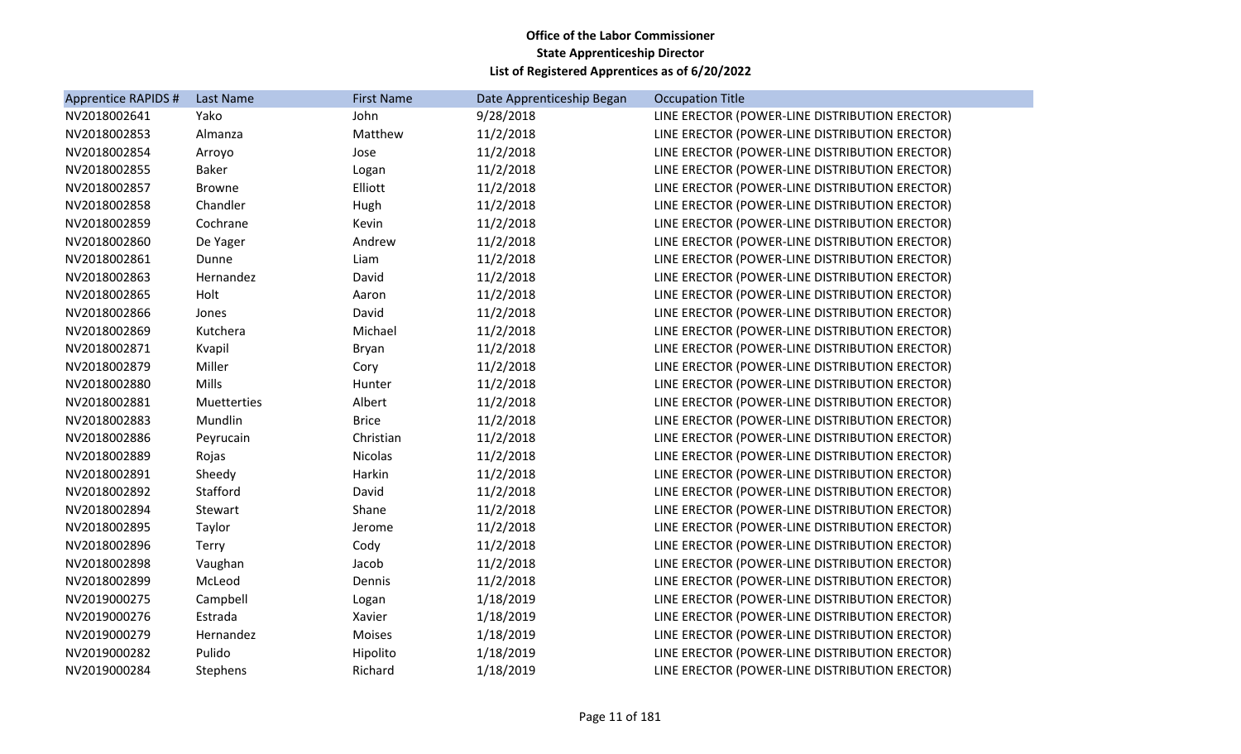| Apprentice RAPIDS # | Last Name     | <b>First Name</b> | Date Apprenticeship Began | <b>Occupation Title</b>                        |
|---------------------|---------------|-------------------|---------------------------|------------------------------------------------|
| NV2018002641        | Yako          | John              | 9/28/2018                 | LINE ERECTOR (POWER-LINE DISTRIBUTION ERECTOR) |
| NV2018002853        | Almanza       | Matthew           | 11/2/2018                 | LINE ERECTOR (POWER-LINE DISTRIBUTION ERECTOR) |
| NV2018002854        | Arroyo        | Jose              | 11/2/2018                 | LINE ERECTOR (POWER-LINE DISTRIBUTION ERECTOR) |
| NV2018002855        | <b>Baker</b>  | Logan             | 11/2/2018                 | LINE ERECTOR (POWER-LINE DISTRIBUTION ERECTOR) |
| NV2018002857        | <b>Browne</b> | Elliott           | 11/2/2018                 | LINE ERECTOR (POWER-LINE DISTRIBUTION ERECTOR) |
| NV2018002858        | Chandler      | Hugh              | 11/2/2018                 | LINE ERECTOR (POWER-LINE DISTRIBUTION ERECTOR) |
| NV2018002859        | Cochrane      | Kevin             | 11/2/2018                 | LINE ERECTOR (POWER-LINE DISTRIBUTION ERECTOR) |
| NV2018002860        | De Yager      | Andrew            | 11/2/2018                 | LINE ERECTOR (POWER-LINE DISTRIBUTION ERECTOR) |
| NV2018002861        | Dunne         | Liam              | 11/2/2018                 | LINE ERECTOR (POWER-LINE DISTRIBUTION ERECTOR) |
| NV2018002863        | Hernandez     | David             | 11/2/2018                 | LINE ERECTOR (POWER-LINE DISTRIBUTION ERECTOR) |
| NV2018002865        | Holt          | Aaron             | 11/2/2018                 | LINE ERECTOR (POWER-LINE DISTRIBUTION ERECTOR) |
| NV2018002866        | Jones         | David             | 11/2/2018                 | LINE ERECTOR (POWER-LINE DISTRIBUTION ERECTOR) |
| NV2018002869        | Kutchera      | Michael           | 11/2/2018                 | LINE ERECTOR (POWER-LINE DISTRIBUTION ERECTOR) |
| NV2018002871        | Kvapil        | Bryan             | 11/2/2018                 | LINE ERECTOR (POWER-LINE DISTRIBUTION ERECTOR) |
| NV2018002879        | Miller        | Cory              | 11/2/2018                 | LINE ERECTOR (POWER-LINE DISTRIBUTION ERECTOR) |
| NV2018002880        | <b>Mills</b>  | Hunter            | 11/2/2018                 | LINE ERECTOR (POWER-LINE DISTRIBUTION ERECTOR) |
| NV2018002881        | Muetterties   | Albert            | 11/2/2018                 | LINE ERECTOR (POWER-LINE DISTRIBUTION ERECTOR) |
| NV2018002883        | Mundlin       | <b>Brice</b>      | 11/2/2018                 | LINE ERECTOR (POWER-LINE DISTRIBUTION ERECTOR) |
| NV2018002886        | Peyrucain     | Christian         | 11/2/2018                 | LINE ERECTOR (POWER-LINE DISTRIBUTION ERECTOR) |
| NV2018002889        | Rojas         | <b>Nicolas</b>    | 11/2/2018                 | LINE ERECTOR (POWER-LINE DISTRIBUTION ERECTOR) |
| NV2018002891        | Sheedy        | Harkin            | 11/2/2018                 | LINE ERECTOR (POWER-LINE DISTRIBUTION ERECTOR) |
| NV2018002892        | Stafford      | David             | 11/2/2018                 | LINE ERECTOR (POWER-LINE DISTRIBUTION ERECTOR) |
| NV2018002894        | Stewart       | Shane             | 11/2/2018                 | LINE ERECTOR (POWER-LINE DISTRIBUTION ERECTOR) |
| NV2018002895        | Taylor        | Jerome            | 11/2/2018                 | LINE ERECTOR (POWER-LINE DISTRIBUTION ERECTOR) |
| NV2018002896        | <b>Terry</b>  | Cody              | 11/2/2018                 | LINE ERECTOR (POWER-LINE DISTRIBUTION ERECTOR) |
| NV2018002898        | Vaughan       | Jacob             | 11/2/2018                 | LINE ERECTOR (POWER-LINE DISTRIBUTION ERECTOR) |
| NV2018002899        | McLeod        | Dennis            | 11/2/2018                 | LINE ERECTOR (POWER-LINE DISTRIBUTION ERECTOR) |
| NV2019000275        | Campbell      | Logan             | 1/18/2019                 | LINE ERECTOR (POWER-LINE DISTRIBUTION ERECTOR) |
| NV2019000276        | Estrada       | Xavier            | 1/18/2019                 | LINE ERECTOR (POWER-LINE DISTRIBUTION ERECTOR) |
| NV2019000279        | Hernandez     | Moises            | 1/18/2019                 | LINE ERECTOR (POWER-LINE DISTRIBUTION ERECTOR) |
| NV2019000282        | Pulido        | Hipolito          | 1/18/2019                 | LINE ERECTOR (POWER-LINE DISTRIBUTION ERECTOR) |
| NV2019000284        | Stephens      | Richard           | 1/18/2019                 | LINE ERECTOR (POWER-LINE DISTRIBUTION ERECTOR) |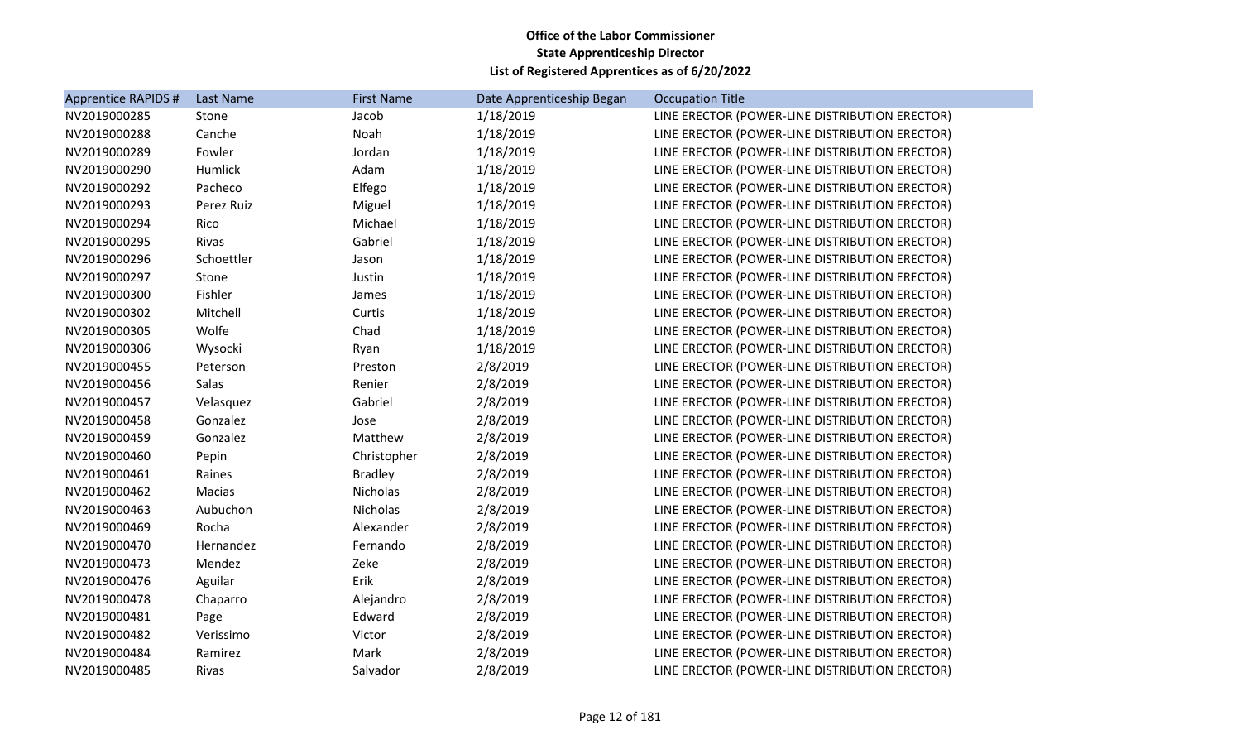| Apprentice RAPIDS # | Last Name  | <b>First Name</b> | Date Apprenticeship Began | <b>Occupation Title</b>                        |
|---------------------|------------|-------------------|---------------------------|------------------------------------------------|
| NV2019000285        | Stone      | Jacob             | 1/18/2019                 | LINE ERECTOR (POWER-LINE DISTRIBUTION ERECTOR) |
| NV2019000288        | Canche     | Noah              | 1/18/2019                 | LINE ERECTOR (POWER-LINE DISTRIBUTION ERECTOR) |
| NV2019000289        | Fowler     | Jordan            | 1/18/2019                 | LINE ERECTOR (POWER-LINE DISTRIBUTION ERECTOR) |
| NV2019000290        | Humlick    | Adam              | 1/18/2019                 | LINE ERECTOR (POWER-LINE DISTRIBUTION ERECTOR) |
| NV2019000292        | Pacheco    | Elfego            | 1/18/2019                 | LINE ERECTOR (POWER-LINE DISTRIBUTION ERECTOR) |
| NV2019000293        | Perez Ruiz | Miguel            | 1/18/2019                 | LINE ERECTOR (POWER-LINE DISTRIBUTION ERECTOR) |
| NV2019000294        | Rico       | Michael           | 1/18/2019                 | LINE ERECTOR (POWER-LINE DISTRIBUTION ERECTOR) |
| NV2019000295        | Rivas      | Gabriel           | 1/18/2019                 | LINE ERECTOR (POWER-LINE DISTRIBUTION ERECTOR) |
| NV2019000296        | Schoettler | Jason             | 1/18/2019                 | LINE ERECTOR (POWER-LINE DISTRIBUTION ERECTOR) |
| NV2019000297        | Stone      | Justin            | 1/18/2019                 | LINE ERECTOR (POWER-LINE DISTRIBUTION ERECTOR) |
| NV2019000300        | Fishler    | James             | 1/18/2019                 | LINE ERECTOR (POWER-LINE DISTRIBUTION ERECTOR) |
| NV2019000302        | Mitchell   | Curtis            | 1/18/2019                 | LINE ERECTOR (POWER-LINE DISTRIBUTION ERECTOR) |
| NV2019000305        | Wolfe      | Chad              | 1/18/2019                 | LINE ERECTOR (POWER-LINE DISTRIBUTION ERECTOR) |
| NV2019000306        | Wysocki    | Ryan              | 1/18/2019                 | LINE ERECTOR (POWER-LINE DISTRIBUTION ERECTOR) |
| NV2019000455        | Peterson   | Preston           | 2/8/2019                  | LINE ERECTOR (POWER-LINE DISTRIBUTION ERECTOR) |
| NV2019000456        | Salas      | Renier            | 2/8/2019                  | LINE ERECTOR (POWER-LINE DISTRIBUTION ERECTOR) |
| NV2019000457        | Velasquez  | Gabriel           | 2/8/2019                  | LINE ERECTOR (POWER-LINE DISTRIBUTION ERECTOR) |
| NV2019000458        | Gonzalez   | Jose              | 2/8/2019                  | LINE ERECTOR (POWER-LINE DISTRIBUTION ERECTOR) |
| NV2019000459        | Gonzalez   | Matthew           | 2/8/2019                  | LINE ERECTOR (POWER-LINE DISTRIBUTION ERECTOR) |
| NV2019000460        | Pepin      | Christopher       | 2/8/2019                  | LINE ERECTOR (POWER-LINE DISTRIBUTION ERECTOR) |
| NV2019000461        | Raines     | <b>Bradley</b>    | 2/8/2019                  | LINE ERECTOR (POWER-LINE DISTRIBUTION ERECTOR) |
| NV2019000462        | Macias     | Nicholas          | 2/8/2019                  | LINE ERECTOR (POWER-LINE DISTRIBUTION ERECTOR) |
| NV2019000463        | Aubuchon   | Nicholas          | 2/8/2019                  | LINE ERECTOR (POWER-LINE DISTRIBUTION ERECTOR) |
| NV2019000469        | Rocha      | Alexander         | 2/8/2019                  | LINE ERECTOR (POWER-LINE DISTRIBUTION ERECTOR) |
| NV2019000470        | Hernandez  | Fernando          | 2/8/2019                  | LINE ERECTOR (POWER-LINE DISTRIBUTION ERECTOR) |
| NV2019000473        | Mendez     | Zeke              | 2/8/2019                  | LINE ERECTOR (POWER-LINE DISTRIBUTION ERECTOR) |
| NV2019000476        | Aguilar    | Erik              | 2/8/2019                  | LINE ERECTOR (POWER-LINE DISTRIBUTION ERECTOR) |
| NV2019000478        | Chaparro   | Alejandro         | 2/8/2019                  | LINE ERECTOR (POWER-LINE DISTRIBUTION ERECTOR) |
| NV2019000481        | Page       | Edward            | 2/8/2019                  | LINE ERECTOR (POWER-LINE DISTRIBUTION ERECTOR) |
| NV2019000482        | Verissimo  | Victor            | 2/8/2019                  | LINE ERECTOR (POWER-LINE DISTRIBUTION ERECTOR) |
| NV2019000484        | Ramirez    | Mark              | 2/8/2019                  | LINE ERECTOR (POWER-LINE DISTRIBUTION ERECTOR) |
| NV2019000485        | Rivas      | Salvador          | 2/8/2019                  | LINE ERECTOR (POWER-LINE DISTRIBUTION ERECTOR) |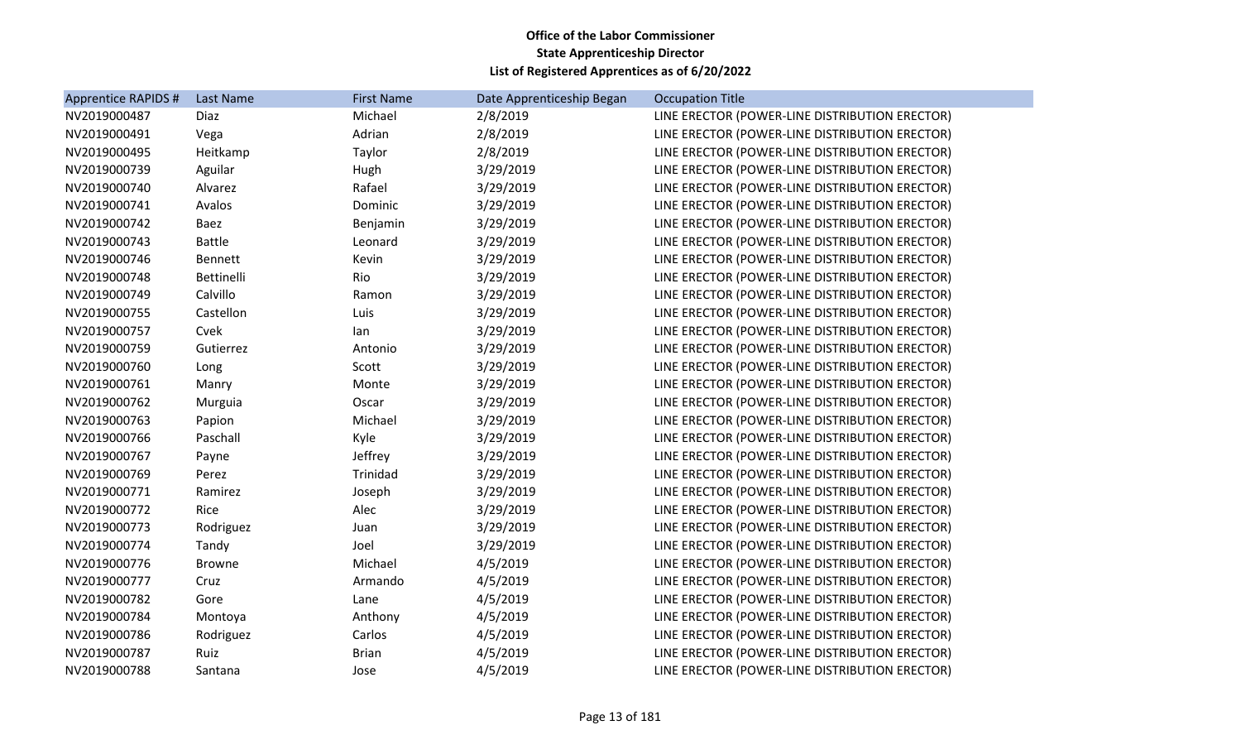| Apprentice RAPIDS # | Last Name     | <b>First Name</b> | Date Apprenticeship Began | <b>Occupation Title</b>                        |
|---------------------|---------------|-------------------|---------------------------|------------------------------------------------|
| NV2019000487        | Diaz          | Michael           | 2/8/2019                  | LINE ERECTOR (POWER-LINE DISTRIBUTION ERECTOR) |
| NV2019000491        | Vega          | Adrian            | 2/8/2019                  | LINE ERECTOR (POWER-LINE DISTRIBUTION ERECTOR) |
| NV2019000495        | Heitkamp      | Taylor            | 2/8/2019                  | LINE ERECTOR (POWER-LINE DISTRIBUTION ERECTOR) |
| NV2019000739        | Aguilar       | Hugh              | 3/29/2019                 | LINE ERECTOR (POWER-LINE DISTRIBUTION ERECTOR) |
| NV2019000740        | Alvarez       | Rafael            | 3/29/2019                 | LINE ERECTOR (POWER-LINE DISTRIBUTION ERECTOR) |
| NV2019000741        | Avalos        | Dominic           | 3/29/2019                 | LINE ERECTOR (POWER-LINE DISTRIBUTION ERECTOR) |
| NV2019000742        | Baez          | Benjamin          | 3/29/2019                 | LINE ERECTOR (POWER-LINE DISTRIBUTION ERECTOR) |
| NV2019000743        | <b>Battle</b> | Leonard           | 3/29/2019                 | LINE ERECTOR (POWER-LINE DISTRIBUTION ERECTOR) |
| NV2019000746        | Bennett       | Kevin             | 3/29/2019                 | LINE ERECTOR (POWER-LINE DISTRIBUTION ERECTOR) |
| NV2019000748        | Bettinelli    | Rio               | 3/29/2019                 | LINE ERECTOR (POWER-LINE DISTRIBUTION ERECTOR) |
| NV2019000749        | Calvillo      | Ramon             | 3/29/2019                 | LINE ERECTOR (POWER-LINE DISTRIBUTION ERECTOR) |
| NV2019000755        | Castellon     | Luis              | 3/29/2019                 | LINE ERECTOR (POWER-LINE DISTRIBUTION ERECTOR) |
| NV2019000757        | Cvek          | lan               | 3/29/2019                 | LINE ERECTOR (POWER-LINE DISTRIBUTION ERECTOR) |
| NV2019000759        | Gutierrez     | Antonio           | 3/29/2019                 | LINE ERECTOR (POWER-LINE DISTRIBUTION ERECTOR) |
| NV2019000760        | Long          | Scott             | 3/29/2019                 | LINE ERECTOR (POWER-LINE DISTRIBUTION ERECTOR) |
| NV2019000761        | Manry         | Monte             | 3/29/2019                 | LINE ERECTOR (POWER-LINE DISTRIBUTION ERECTOR) |
| NV2019000762        | Murguia       | Oscar             | 3/29/2019                 | LINE ERECTOR (POWER-LINE DISTRIBUTION ERECTOR) |
| NV2019000763        | Papion        | Michael           | 3/29/2019                 | LINE ERECTOR (POWER-LINE DISTRIBUTION ERECTOR) |
| NV2019000766        | Paschall      | Kyle              | 3/29/2019                 | LINE ERECTOR (POWER-LINE DISTRIBUTION ERECTOR) |
| NV2019000767        | Payne         | Jeffrey           | 3/29/2019                 | LINE ERECTOR (POWER-LINE DISTRIBUTION ERECTOR) |
| NV2019000769        | Perez         | Trinidad          | 3/29/2019                 | LINE ERECTOR (POWER-LINE DISTRIBUTION ERECTOR) |
| NV2019000771        | Ramirez       | Joseph            | 3/29/2019                 | LINE ERECTOR (POWER-LINE DISTRIBUTION ERECTOR) |
| NV2019000772        | Rice          | Alec              | 3/29/2019                 | LINE ERECTOR (POWER-LINE DISTRIBUTION ERECTOR) |
| NV2019000773        | Rodriguez     | Juan              | 3/29/2019                 | LINE ERECTOR (POWER-LINE DISTRIBUTION ERECTOR) |
| NV2019000774        | Tandy         | Joel              | 3/29/2019                 | LINE ERECTOR (POWER-LINE DISTRIBUTION ERECTOR) |
| NV2019000776        | <b>Browne</b> | Michael           | 4/5/2019                  | LINE ERECTOR (POWER-LINE DISTRIBUTION ERECTOR) |
| NV2019000777        | Cruz          | Armando           | 4/5/2019                  | LINE ERECTOR (POWER-LINE DISTRIBUTION ERECTOR) |
| NV2019000782        | Gore          | Lane              | 4/5/2019                  | LINE ERECTOR (POWER-LINE DISTRIBUTION ERECTOR) |
| NV2019000784        | Montoya       | Anthony           | 4/5/2019                  | LINE ERECTOR (POWER-LINE DISTRIBUTION ERECTOR) |
| NV2019000786        | Rodriguez     | Carlos            | 4/5/2019                  | LINE ERECTOR (POWER-LINE DISTRIBUTION ERECTOR) |
| NV2019000787        | Ruiz          | <b>Brian</b>      | 4/5/2019                  | LINE ERECTOR (POWER-LINE DISTRIBUTION ERECTOR) |
| NV2019000788        | Santana       | Jose              | 4/5/2019                  | LINE ERECTOR (POWER-LINE DISTRIBUTION ERECTOR) |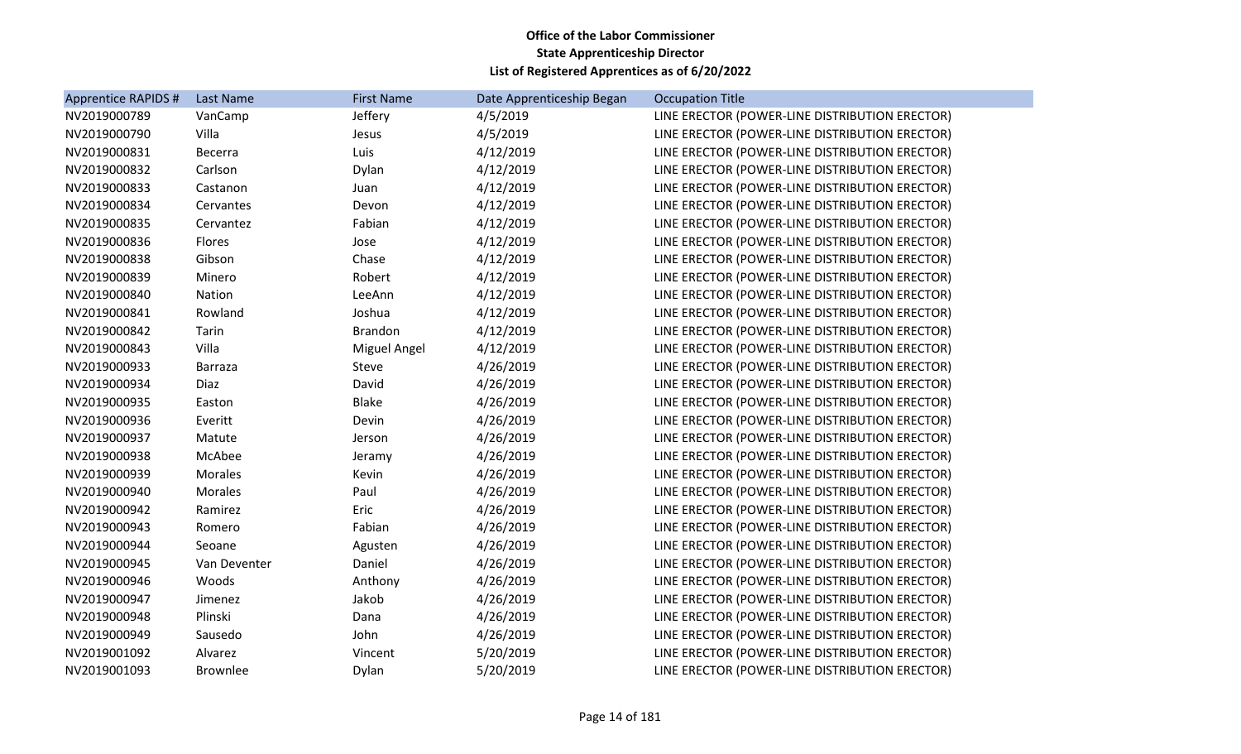| <b>Apprentice RAPIDS #</b> | Last Name       | <b>First Name</b> | Date Apprenticeship Began | <b>Occupation Title</b>                        |
|----------------------------|-----------------|-------------------|---------------------------|------------------------------------------------|
| NV2019000789               | VanCamp         | Jeffery           | 4/5/2019                  | LINE ERECTOR (POWER-LINE DISTRIBUTION ERECTOR) |
| NV2019000790               | Villa           | Jesus             | 4/5/2019                  | LINE ERECTOR (POWER-LINE DISTRIBUTION ERECTOR) |
| NV2019000831               | Becerra         | Luis              | 4/12/2019                 | LINE ERECTOR (POWER-LINE DISTRIBUTION ERECTOR) |
| NV2019000832               | Carlson         | Dylan             | 4/12/2019                 | LINE ERECTOR (POWER-LINE DISTRIBUTION ERECTOR) |
| NV2019000833               | Castanon        | Juan              | 4/12/2019                 | LINE ERECTOR (POWER-LINE DISTRIBUTION ERECTOR) |
| NV2019000834               | Cervantes       | Devon             | 4/12/2019                 | LINE ERECTOR (POWER-LINE DISTRIBUTION ERECTOR) |
| NV2019000835               | Cervantez       | Fabian            | 4/12/2019                 | LINE ERECTOR (POWER-LINE DISTRIBUTION ERECTOR) |
| NV2019000836               | Flores          | Jose              | 4/12/2019                 | LINE ERECTOR (POWER-LINE DISTRIBUTION ERECTOR) |
| NV2019000838               | Gibson          | Chase             | 4/12/2019                 | LINE ERECTOR (POWER-LINE DISTRIBUTION ERECTOR) |
| NV2019000839               | Minero          | Robert            | 4/12/2019                 | LINE ERECTOR (POWER-LINE DISTRIBUTION ERECTOR) |
| NV2019000840               | Nation          | LeeAnn            | 4/12/2019                 | LINE ERECTOR (POWER-LINE DISTRIBUTION ERECTOR) |
| NV2019000841               | Rowland         | Joshua            | 4/12/2019                 | LINE ERECTOR (POWER-LINE DISTRIBUTION ERECTOR) |
| NV2019000842               | Tarin           | <b>Brandon</b>    | 4/12/2019                 | LINE ERECTOR (POWER-LINE DISTRIBUTION ERECTOR) |
| NV2019000843               | Villa           | Miguel Angel      | 4/12/2019                 | LINE ERECTOR (POWER-LINE DISTRIBUTION ERECTOR) |
| NV2019000933               | Barraza         | Steve             | 4/26/2019                 | LINE ERECTOR (POWER-LINE DISTRIBUTION ERECTOR) |
| NV2019000934               | Diaz            | David             | 4/26/2019                 | LINE ERECTOR (POWER-LINE DISTRIBUTION ERECTOR) |
| NV2019000935               | Easton          | <b>Blake</b>      | 4/26/2019                 | LINE ERECTOR (POWER-LINE DISTRIBUTION ERECTOR) |
| NV2019000936               | Everitt         | Devin             | 4/26/2019                 | LINE ERECTOR (POWER-LINE DISTRIBUTION ERECTOR) |
| NV2019000937               | Matute          | Jerson            | 4/26/2019                 | LINE ERECTOR (POWER-LINE DISTRIBUTION ERECTOR) |
| NV2019000938               | McAbee          | Jeramy            | 4/26/2019                 | LINE ERECTOR (POWER-LINE DISTRIBUTION ERECTOR) |
| NV2019000939               | <b>Morales</b>  | Kevin             | 4/26/2019                 | LINE ERECTOR (POWER-LINE DISTRIBUTION ERECTOR) |
| NV2019000940               | <b>Morales</b>  | Paul              | 4/26/2019                 | LINE ERECTOR (POWER-LINE DISTRIBUTION ERECTOR) |
| NV2019000942               | Ramirez         | Eric              | 4/26/2019                 | LINE ERECTOR (POWER-LINE DISTRIBUTION ERECTOR) |
| NV2019000943               | Romero          | Fabian            | 4/26/2019                 | LINE ERECTOR (POWER-LINE DISTRIBUTION ERECTOR) |
| NV2019000944               | Seoane          | Agusten           | 4/26/2019                 | LINE ERECTOR (POWER-LINE DISTRIBUTION ERECTOR) |
| NV2019000945               | Van Deventer    | Daniel            | 4/26/2019                 | LINE ERECTOR (POWER-LINE DISTRIBUTION ERECTOR) |
| NV2019000946               | Woods           | Anthony           | 4/26/2019                 | LINE ERECTOR (POWER-LINE DISTRIBUTION ERECTOR) |
| NV2019000947               | Jimenez         | Jakob             | 4/26/2019                 | LINE ERECTOR (POWER-LINE DISTRIBUTION ERECTOR) |
| NV2019000948               | Plinski         | Dana              | 4/26/2019                 | LINE ERECTOR (POWER-LINE DISTRIBUTION ERECTOR) |
| NV2019000949               | Sausedo         | John              | 4/26/2019                 | LINE ERECTOR (POWER-LINE DISTRIBUTION ERECTOR) |
| NV2019001092               | Alvarez         | Vincent           | 5/20/2019                 | LINE ERECTOR (POWER-LINE DISTRIBUTION ERECTOR) |
| NV2019001093               | <b>Brownlee</b> | Dylan             | 5/20/2019                 | LINE ERECTOR (POWER-LINE DISTRIBUTION ERECTOR) |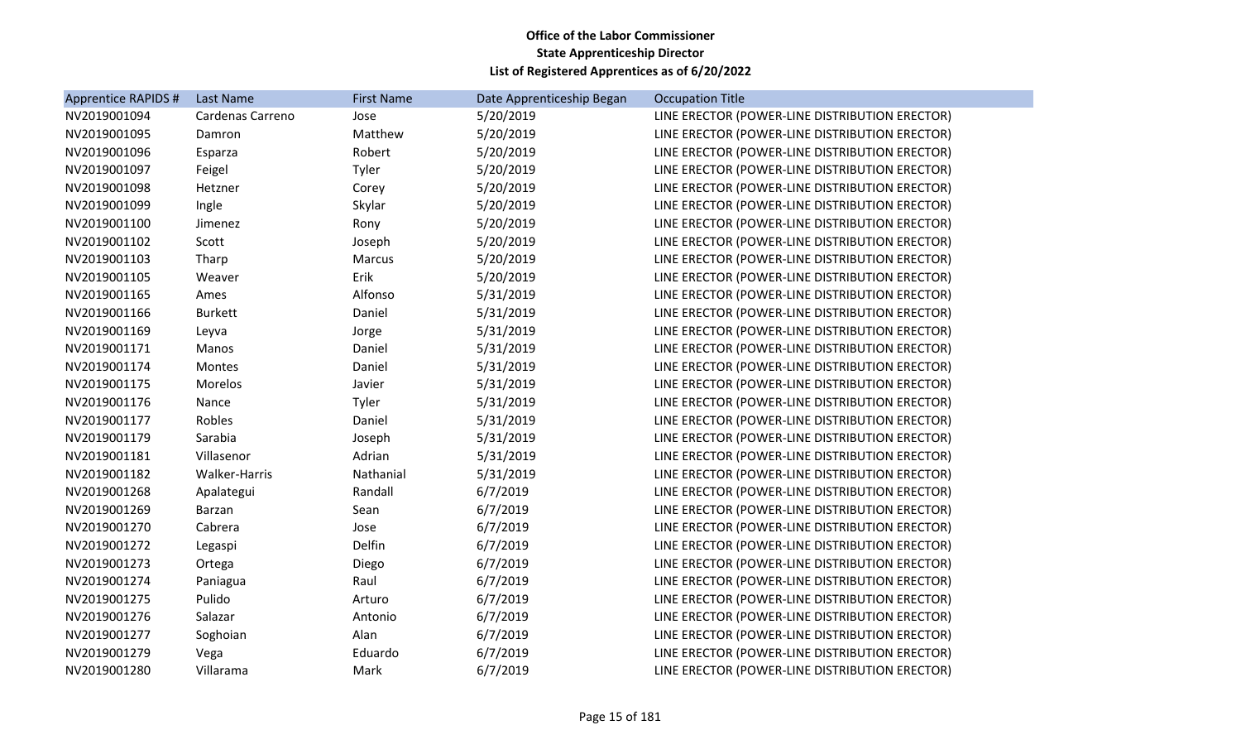| Apprentice RAPIDS # | Last Name        | <b>First Name</b> | Date Apprenticeship Began | <b>Occupation Title</b>                        |
|---------------------|------------------|-------------------|---------------------------|------------------------------------------------|
| NV2019001094        | Cardenas Carreno | Jose              | 5/20/2019                 | LINE ERECTOR (POWER-LINE DISTRIBUTION ERECTOR) |
| NV2019001095        | Damron           | Matthew           | 5/20/2019                 | LINE ERECTOR (POWER-LINE DISTRIBUTION ERECTOR) |
| NV2019001096        | Esparza          | Robert            | 5/20/2019                 | LINE ERECTOR (POWER-LINE DISTRIBUTION ERECTOR) |
| NV2019001097        | Feigel           | Tyler             | 5/20/2019                 | LINE ERECTOR (POWER-LINE DISTRIBUTION ERECTOR) |
| NV2019001098        | Hetzner          | Corey             | 5/20/2019                 | LINE ERECTOR (POWER-LINE DISTRIBUTION ERECTOR) |
| NV2019001099        | Ingle            | Skylar            | 5/20/2019                 | LINE ERECTOR (POWER-LINE DISTRIBUTION ERECTOR) |
| NV2019001100        | Jimenez          | Rony              | 5/20/2019                 | LINE ERECTOR (POWER-LINE DISTRIBUTION ERECTOR) |
| NV2019001102        | Scott            | Joseph            | 5/20/2019                 | LINE ERECTOR (POWER-LINE DISTRIBUTION ERECTOR) |
| NV2019001103        | Tharp            | Marcus            | 5/20/2019                 | LINE ERECTOR (POWER-LINE DISTRIBUTION ERECTOR) |
| NV2019001105        | Weaver           | Erik              | 5/20/2019                 | LINE ERECTOR (POWER-LINE DISTRIBUTION ERECTOR) |
| NV2019001165        | Ames             | Alfonso           | 5/31/2019                 | LINE ERECTOR (POWER-LINE DISTRIBUTION ERECTOR) |
| NV2019001166        | <b>Burkett</b>   | Daniel            | 5/31/2019                 | LINE ERECTOR (POWER-LINE DISTRIBUTION ERECTOR) |
| NV2019001169        | Leyva            | Jorge             | 5/31/2019                 | LINE ERECTOR (POWER-LINE DISTRIBUTION ERECTOR) |
| NV2019001171        | Manos            | Daniel            | 5/31/2019                 | LINE ERECTOR (POWER-LINE DISTRIBUTION ERECTOR) |
| NV2019001174        | Montes           | Daniel            | 5/31/2019                 | LINE ERECTOR (POWER-LINE DISTRIBUTION ERECTOR) |
| NV2019001175        | Morelos          | Javier            | 5/31/2019                 | LINE ERECTOR (POWER-LINE DISTRIBUTION ERECTOR) |
| NV2019001176        | Nance            | Tyler             | 5/31/2019                 | LINE ERECTOR (POWER-LINE DISTRIBUTION ERECTOR) |
| NV2019001177        | Robles           | Daniel            | 5/31/2019                 | LINE ERECTOR (POWER-LINE DISTRIBUTION ERECTOR) |
| NV2019001179        | Sarabia          | Joseph            | 5/31/2019                 | LINE ERECTOR (POWER-LINE DISTRIBUTION ERECTOR) |
| NV2019001181        | Villasenor       | Adrian            | 5/31/2019                 | LINE ERECTOR (POWER-LINE DISTRIBUTION ERECTOR) |
| NV2019001182        | Walker-Harris    | Nathanial         | 5/31/2019                 | LINE ERECTOR (POWER-LINE DISTRIBUTION ERECTOR) |
| NV2019001268        | Apalategui       | Randall           | 6/7/2019                  | LINE ERECTOR (POWER-LINE DISTRIBUTION ERECTOR) |
| NV2019001269        | Barzan           | Sean              | 6/7/2019                  | LINE ERECTOR (POWER-LINE DISTRIBUTION ERECTOR) |
| NV2019001270        | Cabrera          | Jose              | 6/7/2019                  | LINE ERECTOR (POWER-LINE DISTRIBUTION ERECTOR) |
| NV2019001272        | Legaspi          | Delfin            | 6/7/2019                  | LINE ERECTOR (POWER-LINE DISTRIBUTION ERECTOR) |
| NV2019001273        | Ortega           | Diego             | 6/7/2019                  | LINE ERECTOR (POWER-LINE DISTRIBUTION ERECTOR) |
| NV2019001274        | Paniagua         | Raul              | 6/7/2019                  | LINE ERECTOR (POWER-LINE DISTRIBUTION ERECTOR) |
| NV2019001275        | Pulido           | Arturo            | 6/7/2019                  | LINE ERECTOR (POWER-LINE DISTRIBUTION ERECTOR) |
| NV2019001276        | Salazar          | Antonio           | 6/7/2019                  | LINE ERECTOR (POWER-LINE DISTRIBUTION ERECTOR) |
| NV2019001277        | Soghoian         | Alan              | 6/7/2019                  | LINE ERECTOR (POWER-LINE DISTRIBUTION ERECTOR) |
| NV2019001279        | Vega             | Eduardo           | 6/7/2019                  | LINE ERECTOR (POWER-LINE DISTRIBUTION ERECTOR) |
| NV2019001280        | Villarama        | Mark              | 6/7/2019                  | LINE ERECTOR (POWER-LINE DISTRIBUTION ERECTOR) |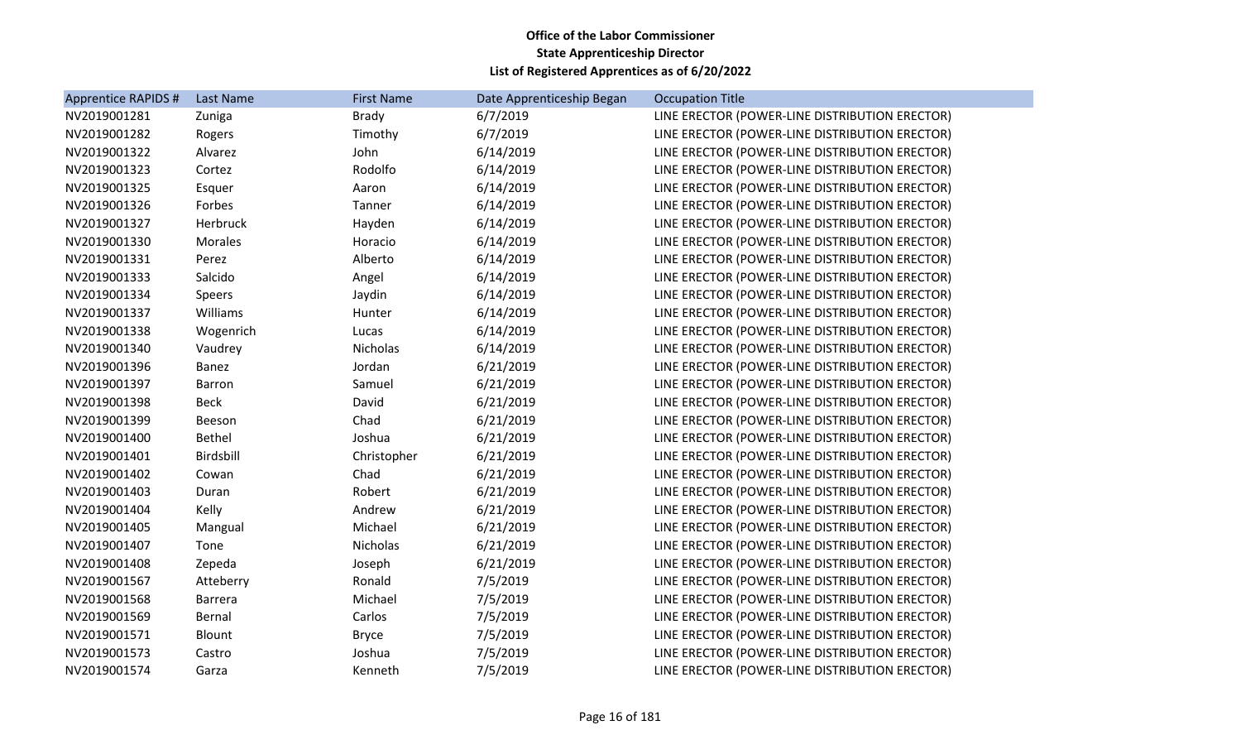| Apprentice RAPIDS # | Last Name     | <b>First Name</b> | Date Apprenticeship Began | <b>Occupation Title</b>                        |
|---------------------|---------------|-------------------|---------------------------|------------------------------------------------|
| NV2019001281        | Zuniga        | <b>Brady</b>      | 6/7/2019                  | LINE ERECTOR (POWER-LINE DISTRIBUTION ERECTOR) |
| NV2019001282        | Rogers        | Timothy           | 6/7/2019                  | LINE ERECTOR (POWER-LINE DISTRIBUTION ERECTOR) |
| NV2019001322        | Alvarez       | John              | 6/14/2019                 | LINE ERECTOR (POWER-LINE DISTRIBUTION ERECTOR) |
| NV2019001323        | Cortez        | Rodolfo           | 6/14/2019                 | LINE ERECTOR (POWER-LINE DISTRIBUTION ERECTOR) |
| NV2019001325        | Esquer        | Aaron             | 6/14/2019                 | LINE ERECTOR (POWER-LINE DISTRIBUTION ERECTOR) |
| NV2019001326        | Forbes        | Tanner            | 6/14/2019                 | LINE ERECTOR (POWER-LINE DISTRIBUTION ERECTOR) |
| NV2019001327        | Herbruck      | Hayden            | 6/14/2019                 | LINE ERECTOR (POWER-LINE DISTRIBUTION ERECTOR) |
| NV2019001330        | Morales       | Horacio           | 6/14/2019                 | LINE ERECTOR (POWER-LINE DISTRIBUTION ERECTOR) |
| NV2019001331        | Perez         | Alberto           | 6/14/2019                 | LINE ERECTOR (POWER-LINE DISTRIBUTION ERECTOR) |
| NV2019001333        | Salcido       | Angel             | 6/14/2019                 | LINE ERECTOR (POWER-LINE DISTRIBUTION ERECTOR) |
| NV2019001334        | Speers        | Jaydin            | 6/14/2019                 | LINE ERECTOR (POWER-LINE DISTRIBUTION ERECTOR) |
| NV2019001337        | Williams      | Hunter            | 6/14/2019                 | LINE ERECTOR (POWER-LINE DISTRIBUTION ERECTOR) |
| NV2019001338        | Wogenrich     | Lucas             | 6/14/2019                 | LINE ERECTOR (POWER-LINE DISTRIBUTION ERECTOR) |
| NV2019001340        | Vaudrey       | <b>Nicholas</b>   | 6/14/2019                 | LINE ERECTOR (POWER-LINE DISTRIBUTION ERECTOR) |
| NV2019001396        | Banez         | Jordan            | 6/21/2019                 | LINE ERECTOR (POWER-LINE DISTRIBUTION ERECTOR) |
| NV2019001397        | <b>Barron</b> | Samuel            | 6/21/2019                 | LINE ERECTOR (POWER-LINE DISTRIBUTION ERECTOR) |
| NV2019001398        | <b>Beck</b>   | David             | 6/21/2019                 | LINE ERECTOR (POWER-LINE DISTRIBUTION ERECTOR) |
| NV2019001399        | Beeson        | Chad              | 6/21/2019                 | LINE ERECTOR (POWER-LINE DISTRIBUTION ERECTOR) |
| NV2019001400        | <b>Bethel</b> | Joshua            | 6/21/2019                 | LINE ERECTOR (POWER-LINE DISTRIBUTION ERECTOR) |
| NV2019001401        | Birdsbill     | Christopher       | 6/21/2019                 | LINE ERECTOR (POWER-LINE DISTRIBUTION ERECTOR) |
| NV2019001402        | Cowan         | Chad              | 6/21/2019                 | LINE ERECTOR (POWER-LINE DISTRIBUTION ERECTOR) |
| NV2019001403        | Duran         | Robert            | 6/21/2019                 | LINE ERECTOR (POWER-LINE DISTRIBUTION ERECTOR) |
| NV2019001404        | Kelly         | Andrew            | 6/21/2019                 | LINE ERECTOR (POWER-LINE DISTRIBUTION ERECTOR) |
| NV2019001405        | Mangual       | Michael           | 6/21/2019                 | LINE ERECTOR (POWER-LINE DISTRIBUTION ERECTOR) |
| NV2019001407        | Tone          | Nicholas          | 6/21/2019                 | LINE ERECTOR (POWER-LINE DISTRIBUTION ERECTOR) |
| NV2019001408        | Zepeda        | Joseph            | 6/21/2019                 | LINE ERECTOR (POWER-LINE DISTRIBUTION ERECTOR) |
| NV2019001567        | Atteberry     | Ronald            | 7/5/2019                  | LINE ERECTOR (POWER-LINE DISTRIBUTION ERECTOR) |
| NV2019001568        | Barrera       | Michael           | 7/5/2019                  | LINE ERECTOR (POWER-LINE DISTRIBUTION ERECTOR) |
| NV2019001569        | Bernal        | Carlos            | 7/5/2019                  | LINE ERECTOR (POWER-LINE DISTRIBUTION ERECTOR) |
| NV2019001571        | Blount        | <b>Bryce</b>      | 7/5/2019                  | LINE ERECTOR (POWER-LINE DISTRIBUTION ERECTOR) |
| NV2019001573        | Castro        | Joshua            | 7/5/2019                  | LINE ERECTOR (POWER-LINE DISTRIBUTION ERECTOR) |
| NV2019001574        | Garza         | Kenneth           | 7/5/2019                  | LINE ERECTOR (POWER-LINE DISTRIBUTION ERECTOR) |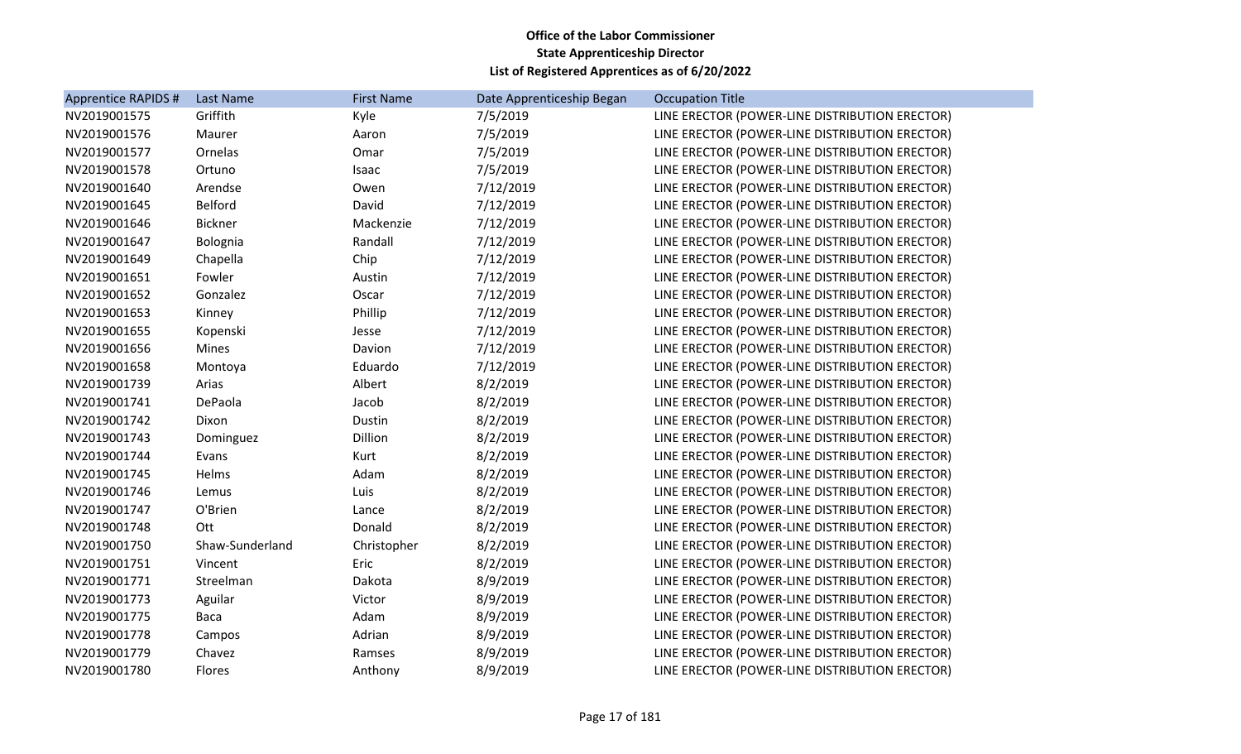| Apprentice RAPIDS # | Last Name       | <b>First Name</b> | Date Apprenticeship Began | <b>Occupation Title</b>                        |
|---------------------|-----------------|-------------------|---------------------------|------------------------------------------------|
| NV2019001575        | Griffith        | Kyle              | 7/5/2019                  | LINE ERECTOR (POWER-LINE DISTRIBUTION ERECTOR) |
| NV2019001576        | Maurer          | Aaron             | 7/5/2019                  | LINE ERECTOR (POWER-LINE DISTRIBUTION ERECTOR) |
| NV2019001577        | Ornelas         | Omar              | 7/5/2019                  | LINE ERECTOR (POWER-LINE DISTRIBUTION ERECTOR) |
| NV2019001578        | Ortuno          | Isaac             | 7/5/2019                  | LINE ERECTOR (POWER-LINE DISTRIBUTION ERECTOR) |
| NV2019001640        | Arendse         | Owen              | 7/12/2019                 | LINE ERECTOR (POWER-LINE DISTRIBUTION ERECTOR) |
| NV2019001645        | <b>Belford</b>  | David             | 7/12/2019                 | LINE ERECTOR (POWER-LINE DISTRIBUTION ERECTOR) |
| NV2019001646        | <b>Bickner</b>  | Mackenzie         | 7/12/2019                 | LINE ERECTOR (POWER-LINE DISTRIBUTION ERECTOR) |
| NV2019001647        | Bolognia        | Randall           | 7/12/2019                 | LINE ERECTOR (POWER-LINE DISTRIBUTION ERECTOR) |
| NV2019001649        | Chapella        | Chip              | 7/12/2019                 | LINE ERECTOR (POWER-LINE DISTRIBUTION ERECTOR) |
| NV2019001651        | Fowler          | Austin            | 7/12/2019                 | LINE ERECTOR (POWER-LINE DISTRIBUTION ERECTOR) |
| NV2019001652        | Gonzalez        | Oscar             | 7/12/2019                 | LINE ERECTOR (POWER-LINE DISTRIBUTION ERECTOR) |
| NV2019001653        | Kinney          | Phillip           | 7/12/2019                 | LINE ERECTOR (POWER-LINE DISTRIBUTION ERECTOR) |
| NV2019001655        | Kopenski        | Jesse             | 7/12/2019                 | LINE ERECTOR (POWER-LINE DISTRIBUTION ERECTOR) |
| NV2019001656        | <b>Mines</b>    | Davion            | 7/12/2019                 | LINE ERECTOR (POWER-LINE DISTRIBUTION ERECTOR) |
| NV2019001658        | Montoya         | Eduardo           | 7/12/2019                 | LINE ERECTOR (POWER-LINE DISTRIBUTION ERECTOR) |
| NV2019001739        | Arias           | Albert            | 8/2/2019                  | LINE ERECTOR (POWER-LINE DISTRIBUTION ERECTOR) |
| NV2019001741        | DePaola         | Jacob             | 8/2/2019                  | LINE ERECTOR (POWER-LINE DISTRIBUTION ERECTOR) |
| NV2019001742        | Dixon           | Dustin            | 8/2/2019                  | LINE ERECTOR (POWER-LINE DISTRIBUTION ERECTOR) |
| NV2019001743        | Dominguez       | Dillion           | 8/2/2019                  | LINE ERECTOR (POWER-LINE DISTRIBUTION ERECTOR) |
| NV2019001744        | Evans           | Kurt              | 8/2/2019                  | LINE ERECTOR (POWER-LINE DISTRIBUTION ERECTOR) |
| NV2019001745        | Helms           | Adam              | 8/2/2019                  | LINE ERECTOR (POWER-LINE DISTRIBUTION ERECTOR) |
| NV2019001746        | Lemus           | Luis              | 8/2/2019                  | LINE ERECTOR (POWER-LINE DISTRIBUTION ERECTOR) |
| NV2019001747        | O'Brien         | Lance             | 8/2/2019                  | LINE ERECTOR (POWER-LINE DISTRIBUTION ERECTOR) |
| NV2019001748        | Ott             | Donald            | 8/2/2019                  | LINE ERECTOR (POWER-LINE DISTRIBUTION ERECTOR) |
| NV2019001750        | Shaw-Sunderland | Christopher       | 8/2/2019                  | LINE ERECTOR (POWER-LINE DISTRIBUTION ERECTOR) |
| NV2019001751        | Vincent         | Eric              | 8/2/2019                  | LINE ERECTOR (POWER-LINE DISTRIBUTION ERECTOR) |
| NV2019001771        | Streelman       | Dakota            | 8/9/2019                  | LINE ERECTOR (POWER-LINE DISTRIBUTION ERECTOR) |
| NV2019001773        | Aguilar         | Victor            | 8/9/2019                  | LINE ERECTOR (POWER-LINE DISTRIBUTION ERECTOR) |
| NV2019001775        | Baca            | Adam              | 8/9/2019                  | LINE ERECTOR (POWER-LINE DISTRIBUTION ERECTOR) |
| NV2019001778        | Campos          | Adrian            | 8/9/2019                  | LINE ERECTOR (POWER-LINE DISTRIBUTION ERECTOR) |
| NV2019001779        | Chavez          | Ramses            | 8/9/2019                  | LINE ERECTOR (POWER-LINE DISTRIBUTION ERECTOR) |
| NV2019001780        | Flores          | Anthony           | 8/9/2019                  | LINE ERECTOR (POWER-LINE DISTRIBUTION ERECTOR) |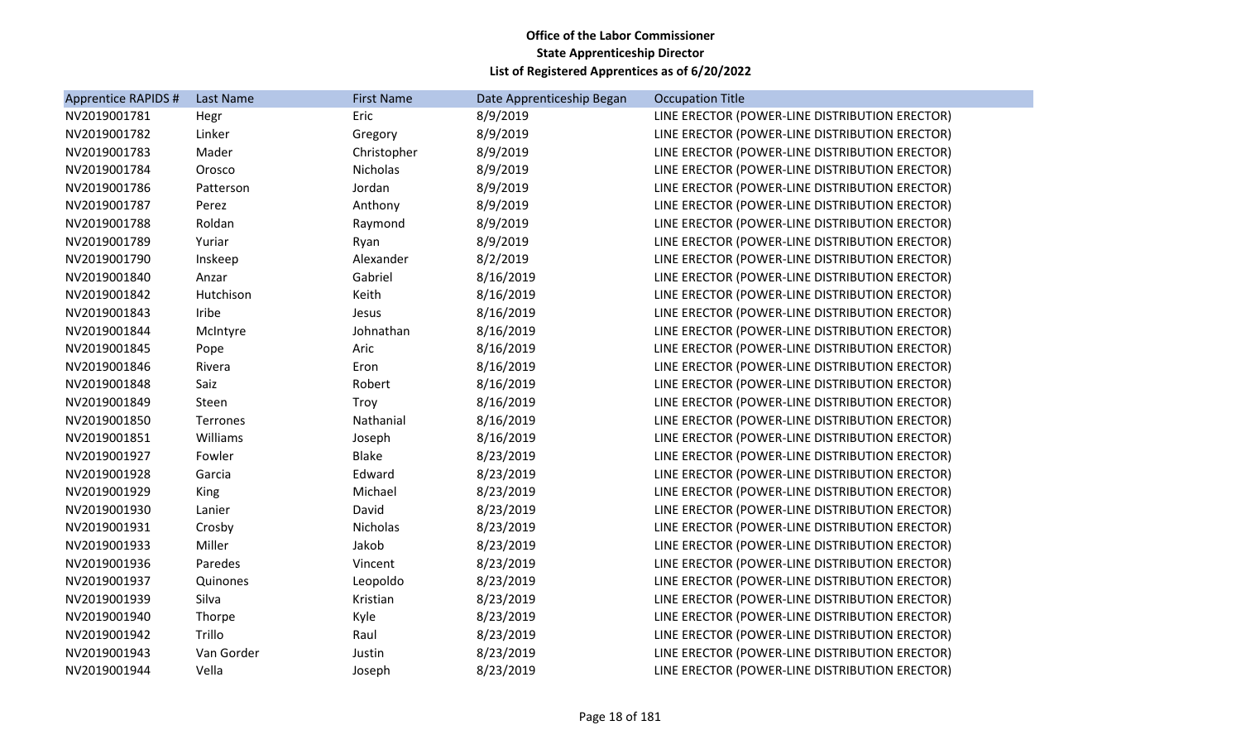| Apprentice RAPIDS # | Last Name  | <b>First Name</b> | Date Apprenticeship Began | <b>Occupation Title</b>                        |
|---------------------|------------|-------------------|---------------------------|------------------------------------------------|
| NV2019001781        | Hegr       | Eric              | 8/9/2019                  | LINE ERECTOR (POWER-LINE DISTRIBUTION ERECTOR) |
| NV2019001782        | Linker     | Gregory           | 8/9/2019                  | LINE ERECTOR (POWER-LINE DISTRIBUTION ERECTOR) |
| NV2019001783        | Mader      | Christopher       | 8/9/2019                  | LINE ERECTOR (POWER-LINE DISTRIBUTION ERECTOR) |
| NV2019001784        | Orosco     | Nicholas          | 8/9/2019                  | LINE ERECTOR (POWER-LINE DISTRIBUTION ERECTOR) |
| NV2019001786        | Patterson  | Jordan            | 8/9/2019                  | LINE ERECTOR (POWER-LINE DISTRIBUTION ERECTOR) |
| NV2019001787        | Perez      | Anthony           | 8/9/2019                  | LINE ERECTOR (POWER-LINE DISTRIBUTION ERECTOR) |
| NV2019001788        | Roldan     | Raymond           | 8/9/2019                  | LINE ERECTOR (POWER-LINE DISTRIBUTION ERECTOR) |
| NV2019001789        | Yuriar     | Ryan              | 8/9/2019                  | LINE ERECTOR (POWER-LINE DISTRIBUTION ERECTOR) |
| NV2019001790        | Inskeep    | Alexander         | 8/2/2019                  | LINE ERECTOR (POWER-LINE DISTRIBUTION ERECTOR) |
| NV2019001840        | Anzar      | Gabriel           | 8/16/2019                 | LINE ERECTOR (POWER-LINE DISTRIBUTION ERECTOR) |
| NV2019001842        | Hutchison  | Keith             | 8/16/2019                 | LINE ERECTOR (POWER-LINE DISTRIBUTION ERECTOR) |
| NV2019001843        | Iribe      | Jesus             | 8/16/2019                 | LINE ERECTOR (POWER-LINE DISTRIBUTION ERECTOR) |
| NV2019001844        | McIntyre   | Johnathan         | 8/16/2019                 | LINE ERECTOR (POWER-LINE DISTRIBUTION ERECTOR) |
| NV2019001845        | Pope       | Aric              | 8/16/2019                 | LINE ERECTOR (POWER-LINE DISTRIBUTION ERECTOR) |
| NV2019001846        | Rivera     | Eron              | 8/16/2019                 | LINE ERECTOR (POWER-LINE DISTRIBUTION ERECTOR) |
| NV2019001848        | Saiz       | Robert            | 8/16/2019                 | LINE ERECTOR (POWER-LINE DISTRIBUTION ERECTOR) |
| NV2019001849        | Steen      | Troy              | 8/16/2019                 | LINE ERECTOR (POWER-LINE DISTRIBUTION ERECTOR) |
| NV2019001850        | Terrones   | Nathanial         | 8/16/2019                 | LINE ERECTOR (POWER-LINE DISTRIBUTION ERECTOR) |
| NV2019001851        | Williams   | Joseph            | 8/16/2019                 | LINE ERECTOR (POWER-LINE DISTRIBUTION ERECTOR) |
| NV2019001927        | Fowler     | <b>Blake</b>      | 8/23/2019                 | LINE ERECTOR (POWER-LINE DISTRIBUTION ERECTOR) |
| NV2019001928        | Garcia     | Edward            | 8/23/2019                 | LINE ERECTOR (POWER-LINE DISTRIBUTION ERECTOR) |
| NV2019001929        | King       | Michael           | 8/23/2019                 | LINE ERECTOR (POWER-LINE DISTRIBUTION ERECTOR) |
| NV2019001930        | Lanier     | David             | 8/23/2019                 | LINE ERECTOR (POWER-LINE DISTRIBUTION ERECTOR) |
| NV2019001931        | Crosby     | Nicholas          | 8/23/2019                 | LINE ERECTOR (POWER-LINE DISTRIBUTION ERECTOR) |
| NV2019001933        | Miller     | Jakob             | 8/23/2019                 | LINE ERECTOR (POWER-LINE DISTRIBUTION ERECTOR) |
| NV2019001936        | Paredes    | Vincent           | 8/23/2019                 | LINE ERECTOR (POWER-LINE DISTRIBUTION ERECTOR) |
| NV2019001937        | Quinones   | Leopoldo          | 8/23/2019                 | LINE ERECTOR (POWER-LINE DISTRIBUTION ERECTOR) |
| NV2019001939        | Silva      | Kristian          | 8/23/2019                 | LINE ERECTOR (POWER-LINE DISTRIBUTION ERECTOR) |
| NV2019001940        | Thorpe     | Kyle              | 8/23/2019                 | LINE ERECTOR (POWER-LINE DISTRIBUTION ERECTOR) |
| NV2019001942        | Trillo     | Raul              | 8/23/2019                 | LINE ERECTOR (POWER-LINE DISTRIBUTION ERECTOR) |
| NV2019001943        | Van Gorder | Justin            | 8/23/2019                 | LINE ERECTOR (POWER-LINE DISTRIBUTION ERECTOR) |
| NV2019001944        | Vella      | Joseph            | 8/23/2019                 | LINE ERECTOR (POWER-LINE DISTRIBUTION ERECTOR) |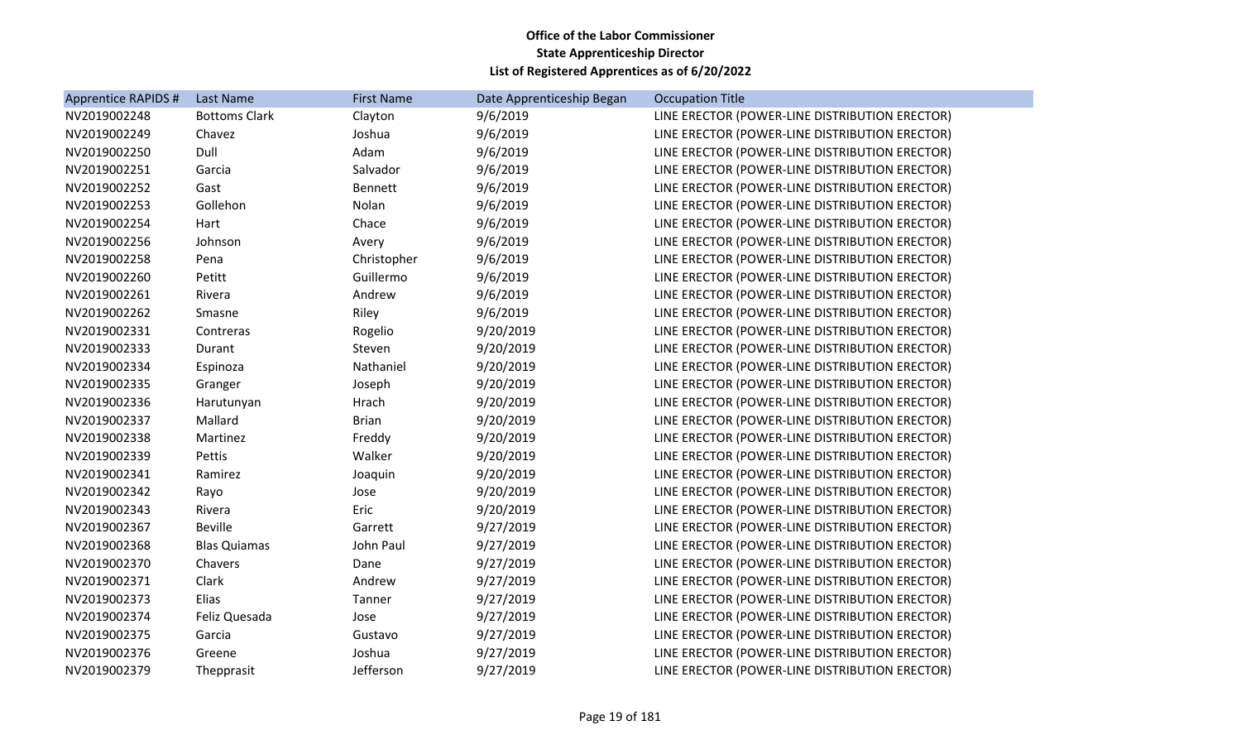| Apprentice RAPIDS # | <b>Last Name</b>     | <b>First Name</b> | Date Apprenticeship Began | <b>Occupation Title</b>                        |
|---------------------|----------------------|-------------------|---------------------------|------------------------------------------------|
| NV2019002248        | <b>Bottoms Clark</b> | Clayton           | 9/6/2019                  | LINE ERECTOR (POWER-LINE DISTRIBUTION ERECTOR) |
| NV2019002249        | Chavez               | Joshua            | 9/6/2019                  | LINE ERECTOR (POWER-LINE DISTRIBUTION ERECTOR) |
| NV2019002250        | Dull                 | Adam              | 9/6/2019                  | LINE ERECTOR (POWER-LINE DISTRIBUTION ERECTOR) |
| NV2019002251        | Garcia               | Salvador          | 9/6/2019                  | LINE ERECTOR (POWER-LINE DISTRIBUTION ERECTOR) |
| NV2019002252        | Gast                 | Bennett           | 9/6/2019                  | LINE ERECTOR (POWER-LINE DISTRIBUTION ERECTOR) |
| NV2019002253        | Gollehon             | Nolan             | 9/6/2019                  | LINE ERECTOR (POWER-LINE DISTRIBUTION ERECTOR) |
| NV2019002254        | Hart                 | Chace             | 9/6/2019                  | LINE ERECTOR (POWER-LINE DISTRIBUTION ERECTOR) |
| NV2019002256        | Johnson              | Avery             | 9/6/2019                  | LINE ERECTOR (POWER-LINE DISTRIBUTION ERECTOR) |
| NV2019002258        | Pena                 | Christopher       | 9/6/2019                  | LINE ERECTOR (POWER-LINE DISTRIBUTION ERECTOR) |
| NV2019002260        | Petitt               | Guillermo         | 9/6/2019                  | LINE ERECTOR (POWER-LINE DISTRIBUTION ERECTOR) |
| NV2019002261        | Rivera               | Andrew            | 9/6/2019                  | LINE ERECTOR (POWER-LINE DISTRIBUTION ERECTOR) |
| NV2019002262        | Smasne               | Riley             | 9/6/2019                  | LINE ERECTOR (POWER-LINE DISTRIBUTION ERECTOR) |
| NV2019002331        | Contreras            | Rogelio           | 9/20/2019                 | LINE ERECTOR (POWER-LINE DISTRIBUTION ERECTOR) |
| NV2019002333        | Durant               | Steven            | 9/20/2019                 | LINE ERECTOR (POWER-LINE DISTRIBUTION ERECTOR) |
| NV2019002334        | Espinoza             | Nathaniel         | 9/20/2019                 | LINE ERECTOR (POWER-LINE DISTRIBUTION ERECTOR) |
| NV2019002335        | Granger              | Joseph            | 9/20/2019                 | LINE ERECTOR (POWER-LINE DISTRIBUTION ERECTOR) |
| NV2019002336        | Harutunyan           | Hrach             | 9/20/2019                 | LINE ERECTOR (POWER-LINE DISTRIBUTION ERECTOR) |
| NV2019002337        | Mallard              | <b>Brian</b>      | 9/20/2019                 | LINE ERECTOR (POWER-LINE DISTRIBUTION ERECTOR) |
| NV2019002338        | Martinez             | Freddy            | 9/20/2019                 | LINE ERECTOR (POWER-LINE DISTRIBUTION ERECTOR) |
| NV2019002339        | Pettis               | Walker            | 9/20/2019                 | LINE ERECTOR (POWER-LINE DISTRIBUTION ERECTOR) |
| NV2019002341        | Ramirez              | Joaquin           | 9/20/2019                 | LINE ERECTOR (POWER-LINE DISTRIBUTION ERECTOR) |
| NV2019002342        | Rayo                 | Jose              | 9/20/2019                 | LINE ERECTOR (POWER-LINE DISTRIBUTION ERECTOR) |
| NV2019002343        | Rivera               | Eric              | 9/20/2019                 | LINE ERECTOR (POWER-LINE DISTRIBUTION ERECTOR) |
| NV2019002367        | <b>Beville</b>       | Garrett           | 9/27/2019                 | LINE ERECTOR (POWER-LINE DISTRIBUTION ERECTOR) |
| NV2019002368        | <b>Blas Quiamas</b>  | John Paul         | 9/27/2019                 | LINE ERECTOR (POWER-LINE DISTRIBUTION ERECTOR) |
| NV2019002370        | Chavers              | Dane              | 9/27/2019                 | LINE ERECTOR (POWER-LINE DISTRIBUTION ERECTOR) |
| NV2019002371        | Clark                | Andrew            | 9/27/2019                 | LINE ERECTOR (POWER-LINE DISTRIBUTION ERECTOR) |
| NV2019002373        | Elias                | Tanner            | 9/27/2019                 | LINE ERECTOR (POWER-LINE DISTRIBUTION ERECTOR) |
| NV2019002374        | Feliz Quesada        | Jose              | 9/27/2019                 | LINE ERECTOR (POWER-LINE DISTRIBUTION ERECTOR) |
| NV2019002375        | Garcia               | Gustavo           | 9/27/2019                 | LINE ERECTOR (POWER-LINE DISTRIBUTION ERECTOR) |
| NV2019002376        | Greene               | Joshua            | 9/27/2019                 | LINE ERECTOR (POWER-LINE DISTRIBUTION ERECTOR) |
| NV2019002379        | Thepprasit           | Jefferson         | 9/27/2019                 | LINE ERECTOR (POWER-LINE DISTRIBUTION ERECTOR) |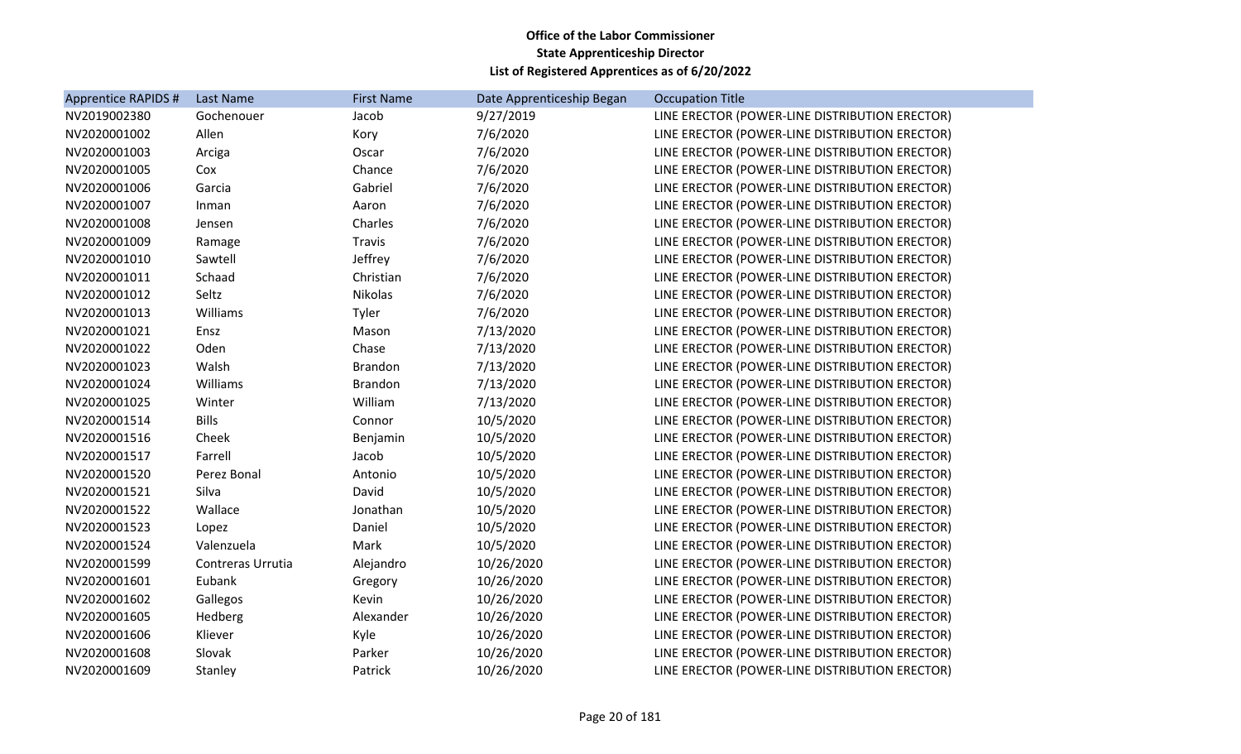| Apprentice RAPIDS # | <b>Last Name</b>  | <b>First Name</b> | Date Apprenticeship Began | <b>Occupation Title</b>                        |
|---------------------|-------------------|-------------------|---------------------------|------------------------------------------------|
| NV2019002380        | Gochenouer        | Jacob             | 9/27/2019                 | LINE ERECTOR (POWER-LINE DISTRIBUTION ERECTOR) |
| NV2020001002        | Allen             | Kory              | 7/6/2020                  | LINE ERECTOR (POWER-LINE DISTRIBUTION ERECTOR) |
| NV2020001003        | Arciga            | Oscar             | 7/6/2020                  | LINE ERECTOR (POWER-LINE DISTRIBUTION ERECTOR) |
| NV2020001005        | Cox               | Chance            | 7/6/2020                  | LINE ERECTOR (POWER-LINE DISTRIBUTION ERECTOR) |
| NV2020001006        | Garcia            | Gabriel           | 7/6/2020                  | LINE ERECTOR (POWER-LINE DISTRIBUTION ERECTOR) |
| NV2020001007        | Inman             | Aaron             | 7/6/2020                  | LINE ERECTOR (POWER-LINE DISTRIBUTION ERECTOR) |
| NV2020001008        | Jensen            | Charles           | 7/6/2020                  | LINE ERECTOR (POWER-LINE DISTRIBUTION ERECTOR) |
| NV2020001009        | Ramage            | Travis            | 7/6/2020                  | LINE ERECTOR (POWER-LINE DISTRIBUTION ERECTOR) |
| NV2020001010        | Sawtell           | Jeffrey           | 7/6/2020                  | LINE ERECTOR (POWER-LINE DISTRIBUTION ERECTOR) |
| NV2020001011        | Schaad            | Christian         | 7/6/2020                  | LINE ERECTOR (POWER-LINE DISTRIBUTION ERECTOR) |
| NV2020001012        | Seltz             | Nikolas           | 7/6/2020                  | LINE ERECTOR (POWER-LINE DISTRIBUTION ERECTOR) |
| NV2020001013        | Williams          | Tyler             | 7/6/2020                  | LINE ERECTOR (POWER-LINE DISTRIBUTION ERECTOR) |
| NV2020001021        | Ensz              | Mason             | 7/13/2020                 | LINE ERECTOR (POWER-LINE DISTRIBUTION ERECTOR) |
| NV2020001022        | Oden              | Chase             | 7/13/2020                 | LINE ERECTOR (POWER-LINE DISTRIBUTION ERECTOR) |
| NV2020001023        | Walsh             | <b>Brandon</b>    | 7/13/2020                 | LINE ERECTOR (POWER-LINE DISTRIBUTION ERECTOR) |
| NV2020001024        | Williams          | Brandon           | 7/13/2020                 | LINE ERECTOR (POWER-LINE DISTRIBUTION ERECTOR) |
| NV2020001025        | Winter            | William           | 7/13/2020                 | LINE ERECTOR (POWER-LINE DISTRIBUTION ERECTOR) |
| NV2020001514        | <b>Bills</b>      | Connor            | 10/5/2020                 | LINE ERECTOR (POWER-LINE DISTRIBUTION ERECTOR) |
| NV2020001516        | Cheek             | Benjamin          | 10/5/2020                 | LINE ERECTOR (POWER-LINE DISTRIBUTION ERECTOR) |
| NV2020001517        | Farrell           | Jacob             | 10/5/2020                 | LINE ERECTOR (POWER-LINE DISTRIBUTION ERECTOR) |
| NV2020001520        | Perez Bonal       | Antonio           | 10/5/2020                 | LINE ERECTOR (POWER-LINE DISTRIBUTION ERECTOR) |
| NV2020001521        | Silva             | David             | 10/5/2020                 | LINE ERECTOR (POWER-LINE DISTRIBUTION ERECTOR) |
| NV2020001522        | Wallace           | Jonathan          | 10/5/2020                 | LINE ERECTOR (POWER-LINE DISTRIBUTION ERECTOR) |
| NV2020001523        | Lopez             | Daniel            | 10/5/2020                 | LINE ERECTOR (POWER-LINE DISTRIBUTION ERECTOR) |
| NV2020001524        | Valenzuela        | Mark              | 10/5/2020                 | LINE ERECTOR (POWER-LINE DISTRIBUTION ERECTOR) |
| NV2020001599        | Contreras Urrutia | Alejandro         | 10/26/2020                | LINE ERECTOR (POWER-LINE DISTRIBUTION ERECTOR) |
| NV2020001601        | Eubank            | Gregory           | 10/26/2020                | LINE ERECTOR (POWER-LINE DISTRIBUTION ERECTOR) |
| NV2020001602        | Gallegos          | Kevin             | 10/26/2020                | LINE ERECTOR (POWER-LINE DISTRIBUTION ERECTOR) |
| NV2020001605        | Hedberg           | Alexander         | 10/26/2020                | LINE ERECTOR (POWER-LINE DISTRIBUTION ERECTOR) |
| NV2020001606        | Kliever           | Kyle              | 10/26/2020                | LINE ERECTOR (POWER-LINE DISTRIBUTION ERECTOR) |
| NV2020001608        | Slovak            | Parker            | 10/26/2020                | LINE ERECTOR (POWER-LINE DISTRIBUTION ERECTOR) |
| NV2020001609        | Stanley           | Patrick           | 10/26/2020                | LINE ERECTOR (POWER-LINE DISTRIBUTION ERECTOR) |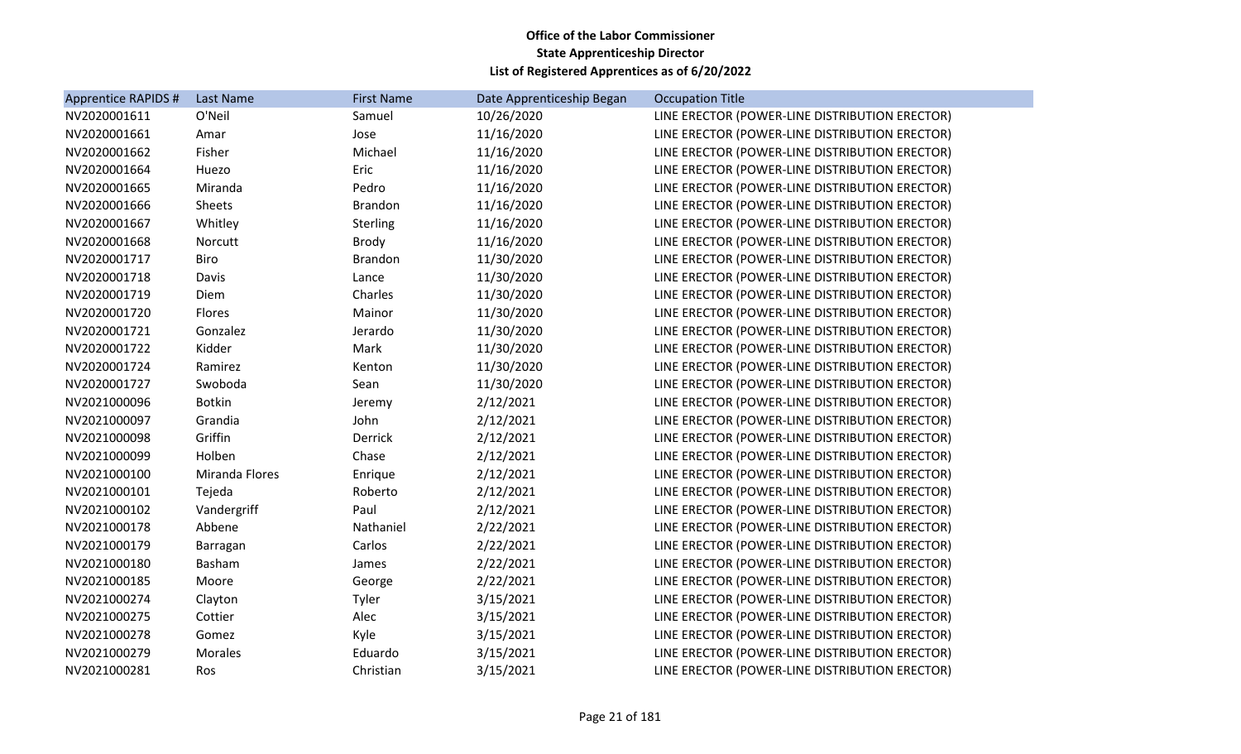| Apprentice RAPIDS # | Last Name             | <b>First Name</b> | Date Apprenticeship Began | <b>Occupation Title</b>                        |
|---------------------|-----------------------|-------------------|---------------------------|------------------------------------------------|
| NV2020001611        | O'Neil                | Samuel            | 10/26/2020                | LINE ERECTOR (POWER-LINE DISTRIBUTION ERECTOR) |
| NV2020001661        | Amar                  | Jose              | 11/16/2020                | LINE ERECTOR (POWER-LINE DISTRIBUTION ERECTOR) |
| NV2020001662        | Fisher                | Michael           | 11/16/2020                | LINE ERECTOR (POWER-LINE DISTRIBUTION ERECTOR) |
| NV2020001664        | Huezo                 | Eric              | 11/16/2020                | LINE ERECTOR (POWER-LINE DISTRIBUTION ERECTOR) |
| NV2020001665        | Miranda               | Pedro             | 11/16/2020                | LINE ERECTOR (POWER-LINE DISTRIBUTION ERECTOR) |
| NV2020001666        | Sheets                | <b>Brandon</b>    | 11/16/2020                | LINE ERECTOR (POWER-LINE DISTRIBUTION ERECTOR) |
| NV2020001667        | Whitley               | Sterling          | 11/16/2020                | LINE ERECTOR (POWER-LINE DISTRIBUTION ERECTOR) |
| NV2020001668        | Norcutt               | <b>Brody</b>      | 11/16/2020                | LINE ERECTOR (POWER-LINE DISTRIBUTION ERECTOR) |
| NV2020001717        | <b>Biro</b>           | <b>Brandon</b>    | 11/30/2020                | LINE ERECTOR (POWER-LINE DISTRIBUTION ERECTOR) |
| NV2020001718        | Davis                 | Lance             | 11/30/2020                | LINE ERECTOR (POWER-LINE DISTRIBUTION ERECTOR) |
| NV2020001719        | Diem                  | Charles           | 11/30/2020                | LINE ERECTOR (POWER-LINE DISTRIBUTION ERECTOR) |
| NV2020001720        | Flores                | Mainor            | 11/30/2020                | LINE ERECTOR (POWER-LINE DISTRIBUTION ERECTOR) |
| NV2020001721        | Gonzalez              | Jerardo           | 11/30/2020                | LINE ERECTOR (POWER-LINE DISTRIBUTION ERECTOR) |
| NV2020001722        | Kidder                | Mark              | 11/30/2020                | LINE ERECTOR (POWER-LINE DISTRIBUTION ERECTOR) |
| NV2020001724        | Ramirez               | Kenton            | 11/30/2020                | LINE ERECTOR (POWER-LINE DISTRIBUTION ERECTOR) |
| NV2020001727        | Swoboda               | Sean              | 11/30/2020                | LINE ERECTOR (POWER-LINE DISTRIBUTION ERECTOR) |
| NV2021000096        | <b>Botkin</b>         | Jeremy            | 2/12/2021                 | LINE ERECTOR (POWER-LINE DISTRIBUTION ERECTOR) |
| NV2021000097        | Grandia               | John              | 2/12/2021                 | LINE ERECTOR (POWER-LINE DISTRIBUTION ERECTOR) |
| NV2021000098        | Griffin               | Derrick           | 2/12/2021                 | LINE ERECTOR (POWER-LINE DISTRIBUTION ERECTOR) |
| NV2021000099        | Holben                | Chase             | 2/12/2021                 | LINE ERECTOR (POWER-LINE DISTRIBUTION ERECTOR) |
| NV2021000100        | <b>Miranda Flores</b> | Enrique           | 2/12/2021                 | LINE ERECTOR (POWER-LINE DISTRIBUTION ERECTOR) |
| NV2021000101        | Tejeda                | Roberto           | 2/12/2021                 | LINE ERECTOR (POWER-LINE DISTRIBUTION ERECTOR) |
| NV2021000102        | Vandergriff           | Paul              | 2/12/2021                 | LINE ERECTOR (POWER-LINE DISTRIBUTION ERECTOR) |
| NV2021000178        | Abbene                | Nathaniel         | 2/22/2021                 | LINE ERECTOR (POWER-LINE DISTRIBUTION ERECTOR) |
| NV2021000179        | Barragan              | Carlos            | 2/22/2021                 | LINE ERECTOR (POWER-LINE DISTRIBUTION ERECTOR) |
| NV2021000180        | Basham                | James             | 2/22/2021                 | LINE ERECTOR (POWER-LINE DISTRIBUTION ERECTOR) |
| NV2021000185        | Moore                 | George            | 2/22/2021                 | LINE ERECTOR (POWER-LINE DISTRIBUTION ERECTOR) |
| NV2021000274        | Clayton               | Tyler             | 3/15/2021                 | LINE ERECTOR (POWER-LINE DISTRIBUTION ERECTOR) |
| NV2021000275        | Cottier               | Alec              | 3/15/2021                 | LINE ERECTOR (POWER-LINE DISTRIBUTION ERECTOR) |
| NV2021000278        | Gomez                 | Kyle              | 3/15/2021                 | LINE ERECTOR (POWER-LINE DISTRIBUTION ERECTOR) |
| NV2021000279        | Morales               | Eduardo           | 3/15/2021                 | LINE ERECTOR (POWER-LINE DISTRIBUTION ERECTOR) |
| NV2021000281        | Ros                   | Christian         | 3/15/2021                 | LINE ERECTOR (POWER-LINE DISTRIBUTION ERECTOR) |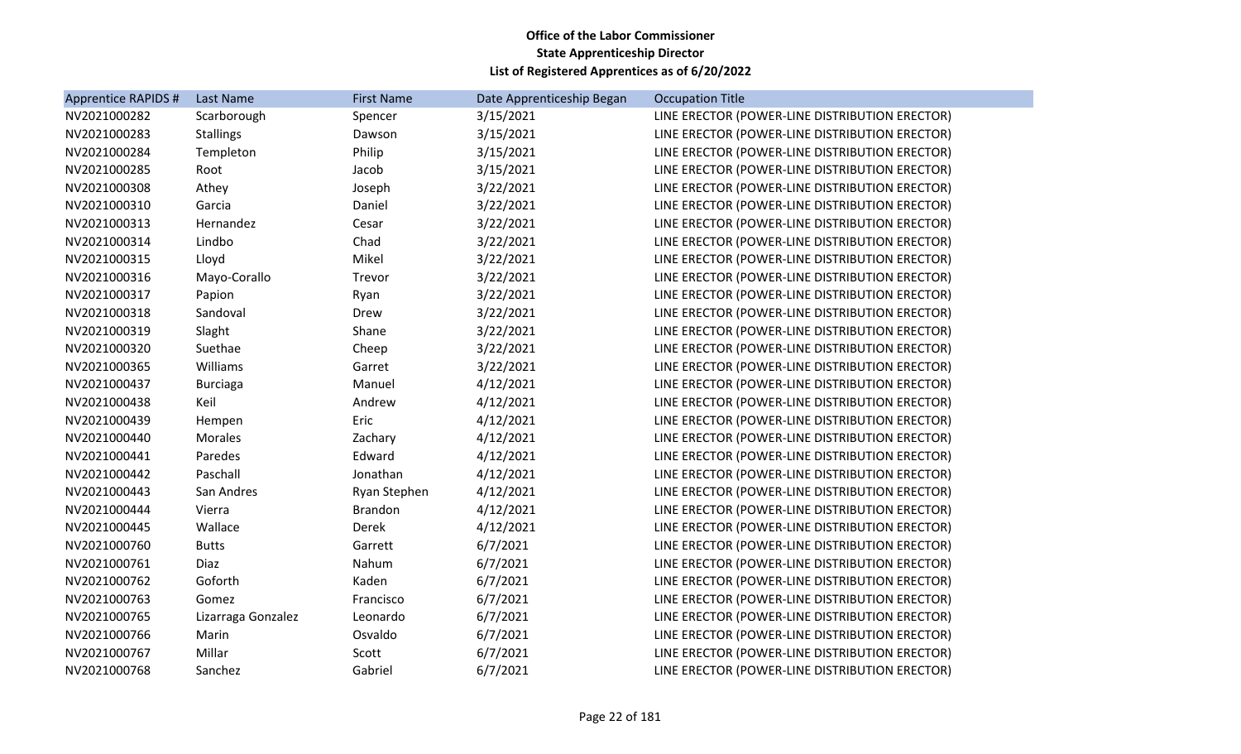| <b>Apprentice RAPIDS #</b> | Last Name          | <b>First Name</b> | Date Apprenticeship Began | <b>Occupation Title</b>                        |
|----------------------------|--------------------|-------------------|---------------------------|------------------------------------------------|
| NV2021000282               | Scarborough        | Spencer           | 3/15/2021                 | LINE ERECTOR (POWER-LINE DISTRIBUTION ERECTOR) |
| NV2021000283               | <b>Stallings</b>   | Dawson            | 3/15/2021                 | LINE ERECTOR (POWER-LINE DISTRIBUTION ERECTOR) |
| NV2021000284               | Templeton          | Philip            | 3/15/2021                 | LINE ERECTOR (POWER-LINE DISTRIBUTION ERECTOR) |
| NV2021000285               | Root               | Jacob             | 3/15/2021                 | LINE ERECTOR (POWER-LINE DISTRIBUTION ERECTOR) |
| NV2021000308               | Athey              | Joseph            | 3/22/2021                 | LINE ERECTOR (POWER-LINE DISTRIBUTION ERECTOR) |
| NV2021000310               | Garcia             | Daniel            | 3/22/2021                 | LINE ERECTOR (POWER-LINE DISTRIBUTION ERECTOR) |
| NV2021000313               | Hernandez          | Cesar             | 3/22/2021                 | LINE ERECTOR (POWER-LINE DISTRIBUTION ERECTOR) |
| NV2021000314               | Lindbo             | Chad              | 3/22/2021                 | LINE ERECTOR (POWER-LINE DISTRIBUTION ERECTOR) |
| NV2021000315               | Lloyd              | Mikel             | 3/22/2021                 | LINE ERECTOR (POWER-LINE DISTRIBUTION ERECTOR) |
| NV2021000316               | Mayo-Corallo       | Trevor            | 3/22/2021                 | LINE ERECTOR (POWER-LINE DISTRIBUTION ERECTOR) |
| NV2021000317               | Papion             | Ryan              | 3/22/2021                 | LINE ERECTOR (POWER-LINE DISTRIBUTION ERECTOR) |
| NV2021000318               | Sandoval           | Drew              | 3/22/2021                 | LINE ERECTOR (POWER-LINE DISTRIBUTION ERECTOR) |
| NV2021000319               | Slaght             | Shane             | 3/22/2021                 | LINE ERECTOR (POWER-LINE DISTRIBUTION ERECTOR) |
| NV2021000320               | Suethae            | Cheep             | 3/22/2021                 | LINE ERECTOR (POWER-LINE DISTRIBUTION ERECTOR) |
| NV2021000365               | Williams           | Garret            | 3/22/2021                 | LINE ERECTOR (POWER-LINE DISTRIBUTION ERECTOR) |
| NV2021000437               | <b>Burciaga</b>    | Manuel            | 4/12/2021                 | LINE ERECTOR (POWER-LINE DISTRIBUTION ERECTOR) |
| NV2021000438               | Keil               | Andrew            | 4/12/2021                 | LINE ERECTOR (POWER-LINE DISTRIBUTION ERECTOR) |
| NV2021000439               | Hempen             | Eric              | 4/12/2021                 | LINE ERECTOR (POWER-LINE DISTRIBUTION ERECTOR) |
| NV2021000440               | Morales            | Zachary           | 4/12/2021                 | LINE ERECTOR (POWER-LINE DISTRIBUTION ERECTOR) |
| NV2021000441               | Paredes            | Edward            | 4/12/2021                 | LINE ERECTOR (POWER-LINE DISTRIBUTION ERECTOR) |
| NV2021000442               | Paschall           | Jonathan          | 4/12/2021                 | LINE ERECTOR (POWER-LINE DISTRIBUTION ERECTOR) |
| NV2021000443               | San Andres         | Ryan Stephen      | 4/12/2021                 | LINE ERECTOR (POWER-LINE DISTRIBUTION ERECTOR) |
| NV2021000444               | Vierra             | <b>Brandon</b>    | 4/12/2021                 | LINE ERECTOR (POWER-LINE DISTRIBUTION ERECTOR) |
| NV2021000445               | Wallace            | Derek             | 4/12/2021                 | LINE ERECTOR (POWER-LINE DISTRIBUTION ERECTOR) |
| NV2021000760               | <b>Butts</b>       | Garrett           | 6/7/2021                  | LINE ERECTOR (POWER-LINE DISTRIBUTION ERECTOR) |
| NV2021000761               | Diaz               | Nahum             | 6/7/2021                  | LINE ERECTOR (POWER-LINE DISTRIBUTION ERECTOR) |
| NV2021000762               | Goforth            | Kaden             | 6/7/2021                  | LINE ERECTOR (POWER-LINE DISTRIBUTION ERECTOR) |
| NV2021000763               | Gomez              | Francisco         | 6/7/2021                  | LINE ERECTOR (POWER-LINE DISTRIBUTION ERECTOR) |
| NV2021000765               | Lizarraga Gonzalez | Leonardo          | 6/7/2021                  | LINE ERECTOR (POWER-LINE DISTRIBUTION ERECTOR) |
| NV2021000766               | Marin              | Osvaldo           | 6/7/2021                  | LINE ERECTOR (POWER-LINE DISTRIBUTION ERECTOR) |
| NV2021000767               | Millar             | Scott             | 6/7/2021                  | LINE ERECTOR (POWER-LINE DISTRIBUTION ERECTOR) |
| NV2021000768               | Sanchez            | Gabriel           | 6/7/2021                  | LINE ERECTOR (POWER-LINE DISTRIBUTION ERECTOR) |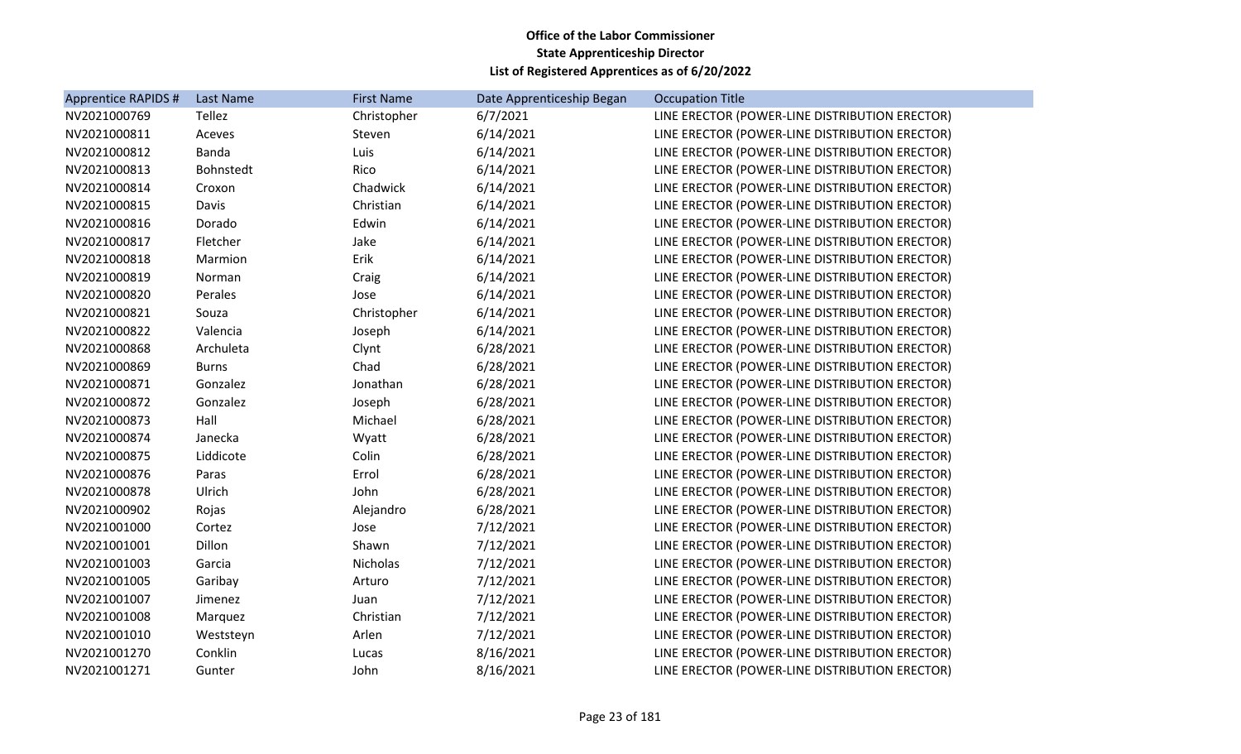| Apprentice RAPIDS # | <b>Last Name</b> | <b>First Name</b> | Date Apprenticeship Began | <b>Occupation Title</b>                        |
|---------------------|------------------|-------------------|---------------------------|------------------------------------------------|
| NV2021000769        | Tellez           | Christopher       | 6/7/2021                  | LINE ERECTOR (POWER-LINE DISTRIBUTION ERECTOR) |
| NV2021000811        | Aceves           | Steven            | 6/14/2021                 | LINE ERECTOR (POWER-LINE DISTRIBUTION ERECTOR) |
| NV2021000812        | Banda            | Luis              | 6/14/2021                 | LINE ERECTOR (POWER-LINE DISTRIBUTION ERECTOR) |
| NV2021000813        | Bohnstedt        | Rico              | 6/14/2021                 | LINE ERECTOR (POWER-LINE DISTRIBUTION ERECTOR) |
| NV2021000814        | Croxon           | Chadwick          | 6/14/2021                 | LINE ERECTOR (POWER-LINE DISTRIBUTION ERECTOR) |
| NV2021000815        | Davis            | Christian         | 6/14/2021                 | LINE ERECTOR (POWER-LINE DISTRIBUTION ERECTOR) |
| NV2021000816        | Dorado           | Edwin             | 6/14/2021                 | LINE ERECTOR (POWER-LINE DISTRIBUTION ERECTOR) |
| NV2021000817        | Fletcher         | Jake              | 6/14/2021                 | LINE ERECTOR (POWER-LINE DISTRIBUTION ERECTOR) |
| NV2021000818        | Marmion          | Erik              | 6/14/2021                 | LINE ERECTOR (POWER-LINE DISTRIBUTION ERECTOR) |
| NV2021000819        | Norman           | Craig             | 6/14/2021                 | LINE ERECTOR (POWER-LINE DISTRIBUTION ERECTOR) |
| NV2021000820        | Perales          | Jose              | 6/14/2021                 | LINE ERECTOR (POWER-LINE DISTRIBUTION ERECTOR) |
| NV2021000821        | Souza            | Christopher       | 6/14/2021                 | LINE ERECTOR (POWER-LINE DISTRIBUTION ERECTOR) |
| NV2021000822        | Valencia         | Joseph            | 6/14/2021                 | LINE ERECTOR (POWER-LINE DISTRIBUTION ERECTOR) |
| NV2021000868        | Archuleta        | Clynt             | 6/28/2021                 | LINE ERECTOR (POWER-LINE DISTRIBUTION ERECTOR) |
| NV2021000869        | <b>Burns</b>     | Chad              | 6/28/2021                 | LINE ERECTOR (POWER-LINE DISTRIBUTION ERECTOR) |
| NV2021000871        | Gonzalez         | Jonathan          | 6/28/2021                 | LINE ERECTOR (POWER-LINE DISTRIBUTION ERECTOR) |
| NV2021000872        | Gonzalez         | Joseph            | 6/28/2021                 | LINE ERECTOR (POWER-LINE DISTRIBUTION ERECTOR) |
| NV2021000873        | Hall             | Michael           | 6/28/2021                 | LINE ERECTOR (POWER-LINE DISTRIBUTION ERECTOR) |
| NV2021000874        | Janecka          | Wyatt             | 6/28/2021                 | LINE ERECTOR (POWER-LINE DISTRIBUTION ERECTOR) |
| NV2021000875        | Liddicote        | Colin             | 6/28/2021                 | LINE ERECTOR (POWER-LINE DISTRIBUTION ERECTOR) |
| NV2021000876        | Paras            | Errol             | 6/28/2021                 | LINE ERECTOR (POWER-LINE DISTRIBUTION ERECTOR) |
| NV2021000878        | Ulrich           | John              | 6/28/2021                 | LINE ERECTOR (POWER-LINE DISTRIBUTION ERECTOR) |
| NV2021000902        | Rojas            | Alejandro         | 6/28/2021                 | LINE ERECTOR (POWER-LINE DISTRIBUTION ERECTOR) |
| NV2021001000        | Cortez           | Jose              | 7/12/2021                 | LINE ERECTOR (POWER-LINE DISTRIBUTION ERECTOR) |
| NV2021001001        | Dillon           | Shawn             | 7/12/2021                 | LINE ERECTOR (POWER-LINE DISTRIBUTION ERECTOR) |
| NV2021001003        | Garcia           | Nicholas          | 7/12/2021                 | LINE ERECTOR (POWER-LINE DISTRIBUTION ERECTOR) |
| NV2021001005        | Garibay          | Arturo            | 7/12/2021                 | LINE ERECTOR (POWER-LINE DISTRIBUTION ERECTOR) |
| NV2021001007        | Jimenez          | Juan              | 7/12/2021                 | LINE ERECTOR (POWER-LINE DISTRIBUTION ERECTOR) |
| NV2021001008        | Marquez          | Christian         | 7/12/2021                 | LINE ERECTOR (POWER-LINE DISTRIBUTION ERECTOR) |
| NV2021001010        | Weststeyn        | Arlen             | 7/12/2021                 | LINE ERECTOR (POWER-LINE DISTRIBUTION ERECTOR) |
| NV2021001270        | Conklin          | Lucas             | 8/16/2021                 | LINE ERECTOR (POWER-LINE DISTRIBUTION ERECTOR) |
| NV2021001271        | Gunter           | John              | 8/16/2021                 | LINE ERECTOR (POWER-LINE DISTRIBUTION ERECTOR) |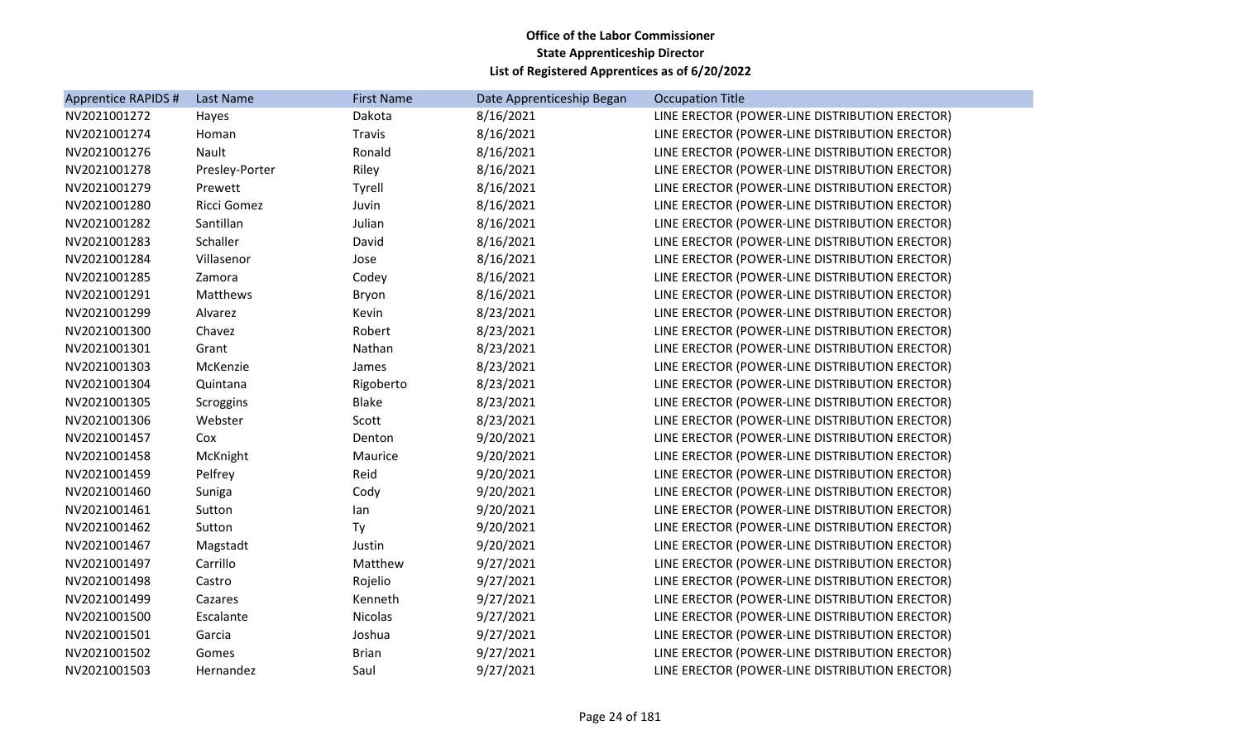| Apprentice RAPIDS # | <b>Last Name</b> | <b>First Name</b> | Date Apprenticeship Began | <b>Occupation Title</b>                        |
|---------------------|------------------|-------------------|---------------------------|------------------------------------------------|
| NV2021001272        | Hayes            | Dakota            | 8/16/2021                 | LINE ERECTOR (POWER-LINE DISTRIBUTION ERECTOR) |
| NV2021001274        | Homan            | Travis            | 8/16/2021                 | LINE ERECTOR (POWER-LINE DISTRIBUTION ERECTOR) |
| NV2021001276        | Nault            | Ronald            | 8/16/2021                 | LINE ERECTOR (POWER-LINE DISTRIBUTION ERECTOR) |
| NV2021001278        | Presley-Porter   | Riley             | 8/16/2021                 | LINE ERECTOR (POWER-LINE DISTRIBUTION ERECTOR) |
| NV2021001279        | Prewett          | Tyrell            | 8/16/2021                 | LINE ERECTOR (POWER-LINE DISTRIBUTION ERECTOR) |
| NV2021001280        | Ricci Gomez      | Juvin             | 8/16/2021                 | LINE ERECTOR (POWER-LINE DISTRIBUTION ERECTOR) |
| NV2021001282        | Santillan        | Julian            | 8/16/2021                 | LINE ERECTOR (POWER-LINE DISTRIBUTION ERECTOR) |
| NV2021001283        | Schaller         | David             | 8/16/2021                 | LINE ERECTOR (POWER-LINE DISTRIBUTION ERECTOR) |
| NV2021001284        | Villasenor       | Jose              | 8/16/2021                 | LINE ERECTOR (POWER-LINE DISTRIBUTION ERECTOR) |
| NV2021001285        | Zamora           | Codey             | 8/16/2021                 | LINE ERECTOR (POWER-LINE DISTRIBUTION ERECTOR) |
| NV2021001291        | Matthews         | Bryon             | 8/16/2021                 | LINE ERECTOR (POWER-LINE DISTRIBUTION ERECTOR) |
| NV2021001299        | Alvarez          | Kevin             | 8/23/2021                 | LINE ERECTOR (POWER-LINE DISTRIBUTION ERECTOR) |
| NV2021001300        | Chavez           | Robert            | 8/23/2021                 | LINE ERECTOR (POWER-LINE DISTRIBUTION ERECTOR) |
| NV2021001301        | Grant            | Nathan            | 8/23/2021                 | LINE ERECTOR (POWER-LINE DISTRIBUTION ERECTOR) |
| NV2021001303        | McKenzie         | James             | 8/23/2021                 | LINE ERECTOR (POWER-LINE DISTRIBUTION ERECTOR) |
| NV2021001304        | Quintana         | Rigoberto         | 8/23/2021                 | LINE ERECTOR (POWER-LINE DISTRIBUTION ERECTOR) |
| NV2021001305        | Scroggins        | <b>Blake</b>      | 8/23/2021                 | LINE ERECTOR (POWER-LINE DISTRIBUTION ERECTOR) |
| NV2021001306        | Webster          | Scott             | 8/23/2021                 | LINE ERECTOR (POWER-LINE DISTRIBUTION ERECTOR) |
| NV2021001457        | Cox              | Denton            | 9/20/2021                 | LINE ERECTOR (POWER-LINE DISTRIBUTION ERECTOR) |
| NV2021001458        | McKnight         | Maurice           | 9/20/2021                 | LINE ERECTOR (POWER-LINE DISTRIBUTION ERECTOR) |
| NV2021001459        | Pelfrey          | Reid              | 9/20/2021                 | LINE ERECTOR (POWER-LINE DISTRIBUTION ERECTOR) |
| NV2021001460        | Suniga           | Cody              | 9/20/2021                 | LINE ERECTOR (POWER-LINE DISTRIBUTION ERECTOR) |
| NV2021001461        | Sutton           | lan               | 9/20/2021                 | LINE ERECTOR (POWER-LINE DISTRIBUTION ERECTOR) |
| NV2021001462        | Sutton           | Ty                | 9/20/2021                 | LINE ERECTOR (POWER-LINE DISTRIBUTION ERECTOR) |
| NV2021001467        | Magstadt         | Justin            | 9/20/2021                 | LINE ERECTOR (POWER-LINE DISTRIBUTION ERECTOR) |
| NV2021001497        | Carrillo         | Matthew           | 9/27/2021                 | LINE ERECTOR (POWER-LINE DISTRIBUTION ERECTOR) |
| NV2021001498        | Castro           | Rojelio           | 9/27/2021                 | LINE ERECTOR (POWER-LINE DISTRIBUTION ERECTOR) |
| NV2021001499        | Cazares          | Kenneth           | 9/27/2021                 | LINE ERECTOR (POWER-LINE DISTRIBUTION ERECTOR) |
| NV2021001500        | Escalante        | Nicolas           | 9/27/2021                 | LINE ERECTOR (POWER-LINE DISTRIBUTION ERECTOR) |
| NV2021001501        | Garcia           | Joshua            | 9/27/2021                 | LINE ERECTOR (POWER-LINE DISTRIBUTION ERECTOR) |
| NV2021001502        | Gomes            | <b>Brian</b>      | 9/27/2021                 | LINE ERECTOR (POWER-LINE DISTRIBUTION ERECTOR) |
| NV2021001503        | Hernandez        | Saul              | 9/27/2021                 | LINE ERECTOR (POWER-LINE DISTRIBUTION ERECTOR) |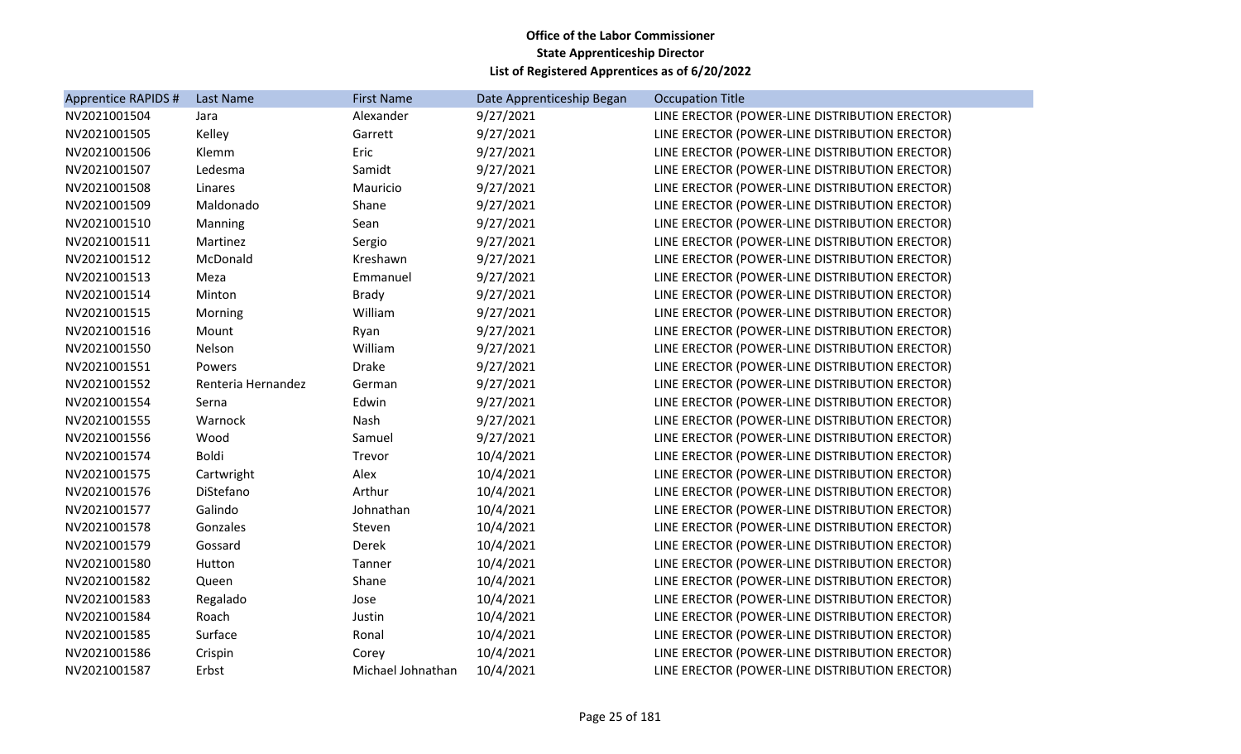| Apprentice RAPIDS # | Last Name          | <b>First Name</b> | Date Apprenticeship Began | <b>Occupation Title</b>                        |
|---------------------|--------------------|-------------------|---------------------------|------------------------------------------------|
| NV2021001504        | Jara               | Alexander         | 9/27/2021                 | LINE ERECTOR (POWER-LINE DISTRIBUTION ERECTOR) |
| NV2021001505        | Kelley             | Garrett           | 9/27/2021                 | LINE ERECTOR (POWER-LINE DISTRIBUTION ERECTOR) |
| NV2021001506        | Klemm              | Eric              | 9/27/2021                 | LINE ERECTOR (POWER-LINE DISTRIBUTION ERECTOR) |
| NV2021001507        | Ledesma            | Samidt            | 9/27/2021                 | LINE ERECTOR (POWER-LINE DISTRIBUTION ERECTOR) |
| NV2021001508        | Linares            | Mauricio          | 9/27/2021                 | LINE ERECTOR (POWER-LINE DISTRIBUTION ERECTOR) |
| NV2021001509        | Maldonado          | Shane             | 9/27/2021                 | LINE ERECTOR (POWER-LINE DISTRIBUTION ERECTOR) |
| NV2021001510        | Manning            | Sean              | 9/27/2021                 | LINE ERECTOR (POWER-LINE DISTRIBUTION ERECTOR) |
| NV2021001511        | Martinez           | Sergio            | 9/27/2021                 | LINE ERECTOR (POWER-LINE DISTRIBUTION ERECTOR) |
| NV2021001512        | McDonald           | Kreshawn          | 9/27/2021                 | LINE ERECTOR (POWER-LINE DISTRIBUTION ERECTOR) |
| NV2021001513        | Meza               | Emmanuel          | 9/27/2021                 | LINE ERECTOR (POWER-LINE DISTRIBUTION ERECTOR) |
| NV2021001514        | Minton             | <b>Brady</b>      | 9/27/2021                 | LINE ERECTOR (POWER-LINE DISTRIBUTION ERECTOR) |
| NV2021001515        | Morning            | William           | 9/27/2021                 | LINE ERECTOR (POWER-LINE DISTRIBUTION ERECTOR) |
| NV2021001516        | Mount              | Ryan              | 9/27/2021                 | LINE ERECTOR (POWER-LINE DISTRIBUTION ERECTOR) |
| NV2021001550        | Nelson             | William           | 9/27/2021                 | LINE ERECTOR (POWER-LINE DISTRIBUTION ERECTOR) |
| NV2021001551        | Powers             | <b>Drake</b>      | 9/27/2021                 | LINE ERECTOR (POWER-LINE DISTRIBUTION ERECTOR) |
| NV2021001552        | Renteria Hernandez | German            | 9/27/2021                 | LINE ERECTOR (POWER-LINE DISTRIBUTION ERECTOR) |
| NV2021001554        | Serna              | Edwin             | 9/27/2021                 | LINE ERECTOR (POWER-LINE DISTRIBUTION ERECTOR) |
| NV2021001555        | Warnock            | Nash              | 9/27/2021                 | LINE ERECTOR (POWER-LINE DISTRIBUTION ERECTOR) |
| NV2021001556        | Wood               | Samuel            | 9/27/2021                 | LINE ERECTOR (POWER-LINE DISTRIBUTION ERECTOR) |
| NV2021001574        | <b>Boldi</b>       | Trevor            | 10/4/2021                 | LINE ERECTOR (POWER-LINE DISTRIBUTION ERECTOR) |
| NV2021001575        | Cartwright         | Alex              | 10/4/2021                 | LINE ERECTOR (POWER-LINE DISTRIBUTION ERECTOR) |
| NV2021001576        | DiStefano          | Arthur            | 10/4/2021                 | LINE ERECTOR (POWER-LINE DISTRIBUTION ERECTOR) |
| NV2021001577        | Galindo            | Johnathan         | 10/4/2021                 | LINE ERECTOR (POWER-LINE DISTRIBUTION ERECTOR) |
| NV2021001578        | Gonzales           | Steven            | 10/4/2021                 | LINE ERECTOR (POWER-LINE DISTRIBUTION ERECTOR) |
| NV2021001579        | Gossard            | Derek             | 10/4/2021                 | LINE ERECTOR (POWER-LINE DISTRIBUTION ERECTOR) |
| NV2021001580        | Hutton             | Tanner            | 10/4/2021                 | LINE ERECTOR (POWER-LINE DISTRIBUTION ERECTOR) |
| NV2021001582        | Queen              | Shane             | 10/4/2021                 | LINE ERECTOR (POWER-LINE DISTRIBUTION ERECTOR) |
| NV2021001583        | Regalado           | Jose              | 10/4/2021                 | LINE ERECTOR (POWER-LINE DISTRIBUTION ERECTOR) |
| NV2021001584        | Roach              | Justin            | 10/4/2021                 | LINE ERECTOR (POWER-LINE DISTRIBUTION ERECTOR) |
| NV2021001585        | Surface            | Ronal             | 10/4/2021                 | LINE ERECTOR (POWER-LINE DISTRIBUTION ERECTOR) |
| NV2021001586        | Crispin            | Corey             | 10/4/2021                 | LINE ERECTOR (POWER-LINE DISTRIBUTION ERECTOR) |
| NV2021001587        | Erbst              | Michael Johnathan | 10/4/2021                 | LINE ERECTOR (POWER-LINE DISTRIBUTION ERECTOR) |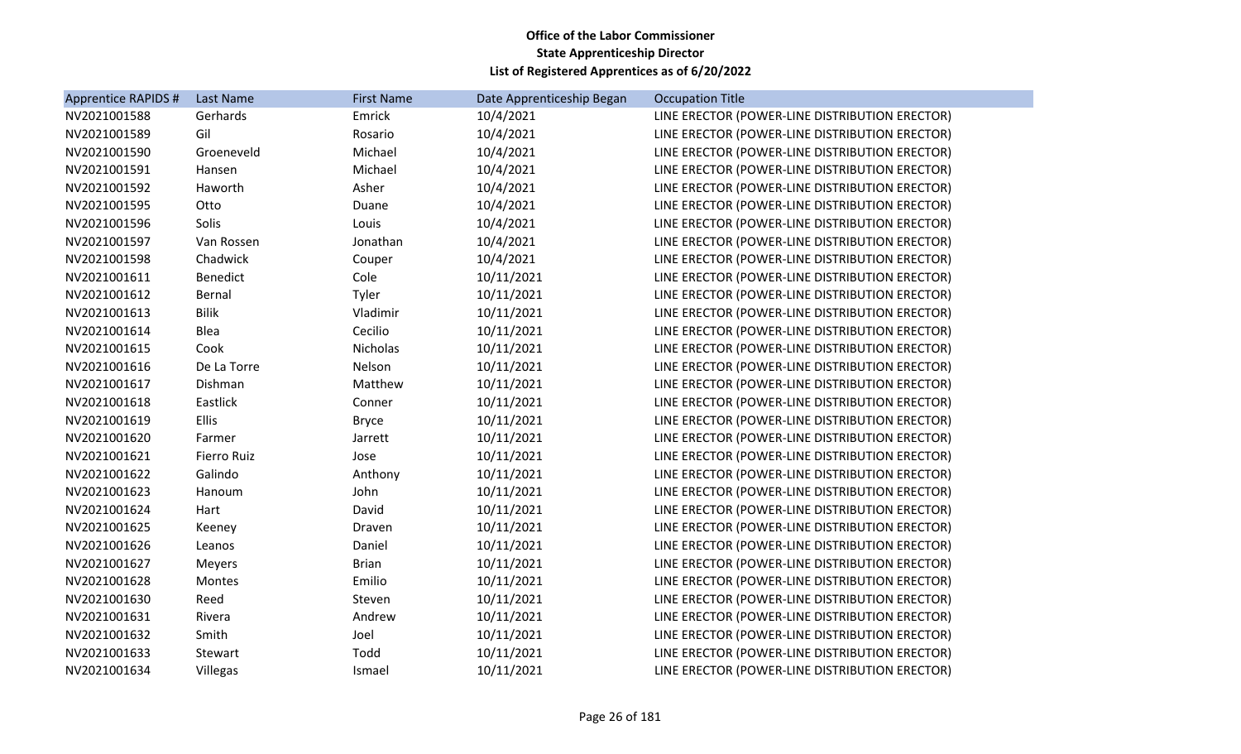| Apprentice RAPIDS # | Last Name          | <b>First Name</b> | Date Apprenticeship Began | <b>Occupation Title</b>                        |
|---------------------|--------------------|-------------------|---------------------------|------------------------------------------------|
| NV2021001588        | Gerhards           | Emrick            | 10/4/2021                 | LINE ERECTOR (POWER-LINE DISTRIBUTION ERECTOR) |
| NV2021001589        | Gil                | Rosario           | 10/4/2021                 | LINE ERECTOR (POWER-LINE DISTRIBUTION ERECTOR) |
| NV2021001590        | Groeneveld         | Michael           | 10/4/2021                 | LINE ERECTOR (POWER-LINE DISTRIBUTION ERECTOR) |
| NV2021001591        | Hansen             | Michael           | 10/4/2021                 | LINE ERECTOR (POWER-LINE DISTRIBUTION ERECTOR) |
| NV2021001592        | Haworth            | Asher             | 10/4/2021                 | LINE ERECTOR (POWER-LINE DISTRIBUTION ERECTOR) |
| NV2021001595        | Otto               | Duane             | 10/4/2021                 | LINE ERECTOR (POWER-LINE DISTRIBUTION ERECTOR) |
| NV2021001596        | Solis              | Louis             | 10/4/2021                 | LINE ERECTOR (POWER-LINE DISTRIBUTION ERECTOR) |
| NV2021001597        | Van Rossen         | Jonathan          | 10/4/2021                 | LINE ERECTOR (POWER-LINE DISTRIBUTION ERECTOR) |
| NV2021001598        | Chadwick           | Couper            | 10/4/2021                 | LINE ERECTOR (POWER-LINE DISTRIBUTION ERECTOR) |
| NV2021001611        | Benedict           | Cole              | 10/11/2021                | LINE ERECTOR (POWER-LINE DISTRIBUTION ERECTOR) |
| NV2021001612        | Bernal             | Tyler             | 10/11/2021                | LINE ERECTOR (POWER-LINE DISTRIBUTION ERECTOR) |
| NV2021001613        | <b>Bilik</b>       | Vladimir          | 10/11/2021                | LINE ERECTOR (POWER-LINE DISTRIBUTION ERECTOR) |
| NV2021001614        | Blea               | Cecilio           | 10/11/2021                | LINE ERECTOR (POWER-LINE DISTRIBUTION ERECTOR) |
| NV2021001615        | Cook               | Nicholas          | 10/11/2021                | LINE ERECTOR (POWER-LINE DISTRIBUTION ERECTOR) |
| NV2021001616        | De La Torre        | Nelson            | 10/11/2021                | LINE ERECTOR (POWER-LINE DISTRIBUTION ERECTOR) |
| NV2021001617        | Dishman            | Matthew           | 10/11/2021                | LINE ERECTOR (POWER-LINE DISTRIBUTION ERECTOR) |
| NV2021001618        | Eastlick           | Conner            | 10/11/2021                | LINE ERECTOR (POWER-LINE DISTRIBUTION ERECTOR) |
| NV2021001619        | Ellis              | <b>Bryce</b>      | 10/11/2021                | LINE ERECTOR (POWER-LINE DISTRIBUTION ERECTOR) |
| NV2021001620        | Farmer             | Jarrett           | 10/11/2021                | LINE ERECTOR (POWER-LINE DISTRIBUTION ERECTOR) |
| NV2021001621        | <b>Fierro Ruiz</b> | Jose              | 10/11/2021                | LINE ERECTOR (POWER-LINE DISTRIBUTION ERECTOR) |
| NV2021001622        | Galindo            | Anthony           | 10/11/2021                | LINE ERECTOR (POWER-LINE DISTRIBUTION ERECTOR) |
| NV2021001623        | Hanoum             | John              | 10/11/2021                | LINE ERECTOR (POWER-LINE DISTRIBUTION ERECTOR) |
| NV2021001624        | Hart               | David             | 10/11/2021                | LINE ERECTOR (POWER-LINE DISTRIBUTION ERECTOR) |
| NV2021001625        | Keeney             | Draven            | 10/11/2021                | LINE ERECTOR (POWER-LINE DISTRIBUTION ERECTOR) |
| NV2021001626        | Leanos             | Daniel            | 10/11/2021                | LINE ERECTOR (POWER-LINE DISTRIBUTION ERECTOR) |
| NV2021001627        | Meyers             | <b>Brian</b>      | 10/11/2021                | LINE ERECTOR (POWER-LINE DISTRIBUTION ERECTOR) |
| NV2021001628        | Montes             | Emilio            | 10/11/2021                | LINE ERECTOR (POWER-LINE DISTRIBUTION ERECTOR) |
| NV2021001630        | Reed               | Steven            | 10/11/2021                | LINE ERECTOR (POWER-LINE DISTRIBUTION ERECTOR) |
| NV2021001631        | Rivera             | Andrew            | 10/11/2021                | LINE ERECTOR (POWER-LINE DISTRIBUTION ERECTOR) |
| NV2021001632        | Smith              | Joel              | 10/11/2021                | LINE ERECTOR (POWER-LINE DISTRIBUTION ERECTOR) |
| NV2021001633        | Stewart            | Todd              | 10/11/2021                | LINE ERECTOR (POWER-LINE DISTRIBUTION ERECTOR) |
| NV2021001634        | Villegas           | Ismael            | 10/11/2021                | LINE ERECTOR (POWER-LINE DISTRIBUTION ERECTOR) |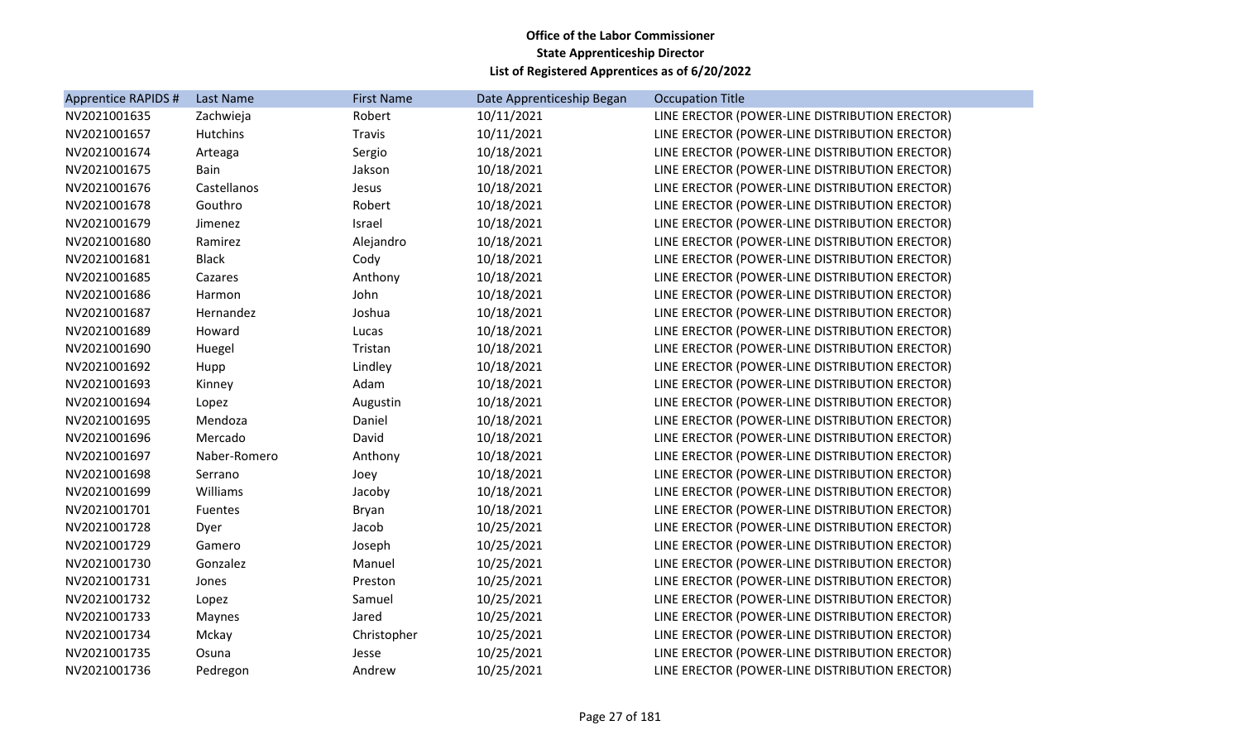| Apprentice RAPIDS # | Last Name       | <b>First Name</b> | Date Apprenticeship Began | <b>Occupation Title</b>                        |
|---------------------|-----------------|-------------------|---------------------------|------------------------------------------------|
| NV2021001635        | Zachwieja       | Robert            | 10/11/2021                | LINE ERECTOR (POWER-LINE DISTRIBUTION ERECTOR) |
| NV2021001657        | <b>Hutchins</b> | <b>Travis</b>     | 10/11/2021                | LINE ERECTOR (POWER-LINE DISTRIBUTION ERECTOR) |
| NV2021001674        | Arteaga         | Sergio            | 10/18/2021                | LINE ERECTOR (POWER-LINE DISTRIBUTION ERECTOR) |
| NV2021001675        | Bain            | Jakson            | 10/18/2021                | LINE ERECTOR (POWER-LINE DISTRIBUTION ERECTOR) |
| NV2021001676        | Castellanos     | Jesus             | 10/18/2021                | LINE ERECTOR (POWER-LINE DISTRIBUTION ERECTOR) |
| NV2021001678        | Gouthro         | Robert            | 10/18/2021                | LINE ERECTOR (POWER-LINE DISTRIBUTION ERECTOR) |
| NV2021001679        | Jimenez         | Israel            | 10/18/2021                | LINE ERECTOR (POWER-LINE DISTRIBUTION ERECTOR) |
| NV2021001680        | Ramirez         | Alejandro         | 10/18/2021                | LINE ERECTOR (POWER-LINE DISTRIBUTION ERECTOR) |
| NV2021001681        | <b>Black</b>    | Cody              | 10/18/2021                | LINE ERECTOR (POWER-LINE DISTRIBUTION ERECTOR) |
| NV2021001685        | Cazares         | Anthony           | 10/18/2021                | LINE ERECTOR (POWER-LINE DISTRIBUTION ERECTOR) |
| NV2021001686        | Harmon          | John              | 10/18/2021                | LINE ERECTOR (POWER-LINE DISTRIBUTION ERECTOR) |
| NV2021001687        | Hernandez       | Joshua            | 10/18/2021                | LINE ERECTOR (POWER-LINE DISTRIBUTION ERECTOR) |
| NV2021001689        | Howard          | Lucas             | 10/18/2021                | LINE ERECTOR (POWER-LINE DISTRIBUTION ERECTOR) |
| NV2021001690        | Huegel          | Tristan           | 10/18/2021                | LINE ERECTOR (POWER-LINE DISTRIBUTION ERECTOR) |
| NV2021001692        | Hupp            | Lindley           | 10/18/2021                | LINE ERECTOR (POWER-LINE DISTRIBUTION ERECTOR) |
| NV2021001693        | Kinney          | Adam              | 10/18/2021                | LINE ERECTOR (POWER-LINE DISTRIBUTION ERECTOR) |
| NV2021001694        | Lopez           | Augustin          | 10/18/2021                | LINE ERECTOR (POWER-LINE DISTRIBUTION ERECTOR) |
| NV2021001695        | Mendoza         | Daniel            | 10/18/2021                | LINE ERECTOR (POWER-LINE DISTRIBUTION ERECTOR) |
| NV2021001696        | Mercado         | David             | 10/18/2021                | LINE ERECTOR (POWER-LINE DISTRIBUTION ERECTOR) |
| NV2021001697        | Naber-Romero    | Anthony           | 10/18/2021                | LINE ERECTOR (POWER-LINE DISTRIBUTION ERECTOR) |
| NV2021001698        | Serrano         | Joey              | 10/18/2021                | LINE ERECTOR (POWER-LINE DISTRIBUTION ERECTOR) |
| NV2021001699        | Williams        | Jacoby            | 10/18/2021                | LINE ERECTOR (POWER-LINE DISTRIBUTION ERECTOR) |
| NV2021001701        | Fuentes         | Bryan             | 10/18/2021                | LINE ERECTOR (POWER-LINE DISTRIBUTION ERECTOR) |
| NV2021001728        | Dyer            | Jacob             | 10/25/2021                | LINE ERECTOR (POWER-LINE DISTRIBUTION ERECTOR) |
| NV2021001729        | Gamero          | Joseph            | 10/25/2021                | LINE ERECTOR (POWER-LINE DISTRIBUTION ERECTOR) |
| NV2021001730        | Gonzalez        | Manuel            | 10/25/2021                | LINE ERECTOR (POWER-LINE DISTRIBUTION ERECTOR) |
| NV2021001731        | Jones           | Preston           | 10/25/2021                | LINE ERECTOR (POWER-LINE DISTRIBUTION ERECTOR) |
| NV2021001732        | Lopez           | Samuel            | 10/25/2021                | LINE ERECTOR (POWER-LINE DISTRIBUTION ERECTOR) |
| NV2021001733        | Maynes          | Jared             | 10/25/2021                | LINE ERECTOR (POWER-LINE DISTRIBUTION ERECTOR) |
| NV2021001734        | Mckay           | Christopher       | 10/25/2021                | LINE ERECTOR (POWER-LINE DISTRIBUTION ERECTOR) |
| NV2021001735        | Osuna           | Jesse             | 10/25/2021                | LINE ERECTOR (POWER-LINE DISTRIBUTION ERECTOR) |
| NV2021001736        | Pedregon        | Andrew            | 10/25/2021                | LINE ERECTOR (POWER-LINE DISTRIBUTION ERECTOR) |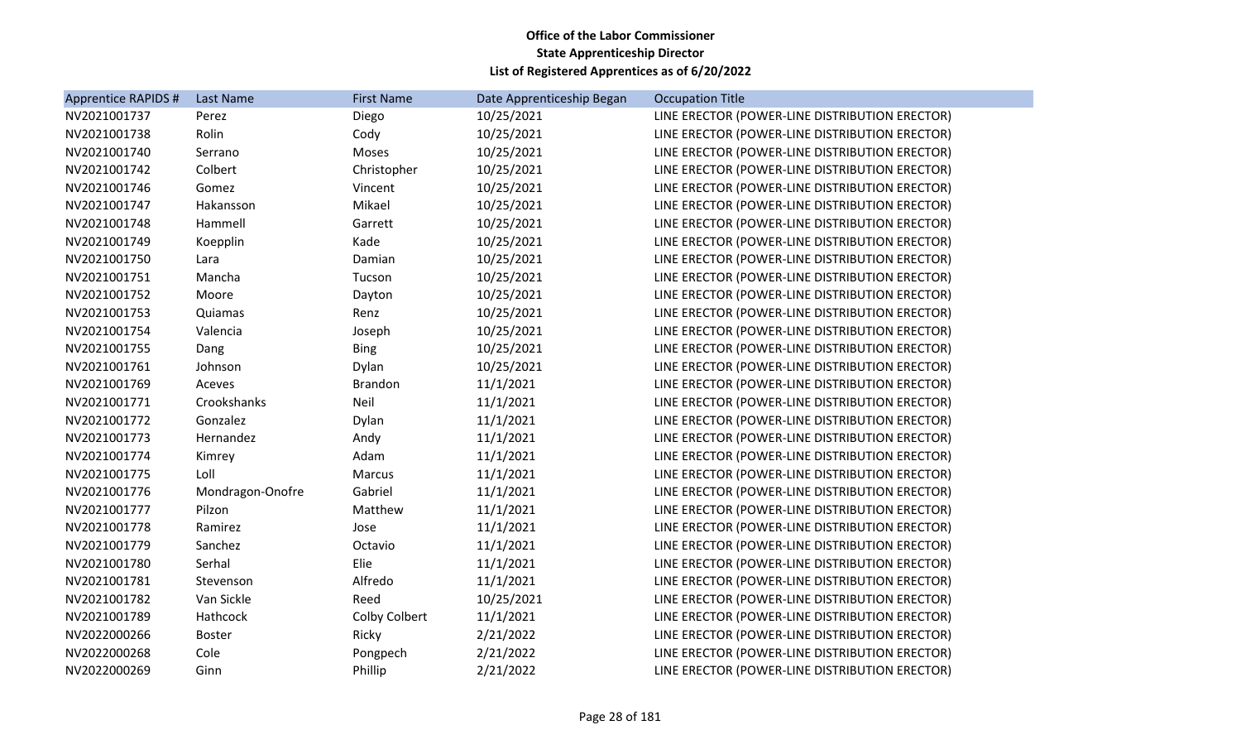| Apprentice RAPIDS # | Last Name        | <b>First Name</b> | Date Apprenticeship Began | <b>Occupation Title</b>                        |
|---------------------|------------------|-------------------|---------------------------|------------------------------------------------|
| NV2021001737        | Perez            | Diego             | 10/25/2021                | LINE ERECTOR (POWER-LINE DISTRIBUTION ERECTOR) |
| NV2021001738        | Rolin            | Cody              | 10/25/2021                | LINE ERECTOR (POWER-LINE DISTRIBUTION ERECTOR) |
| NV2021001740        | Serrano          | Moses             | 10/25/2021                | LINE ERECTOR (POWER-LINE DISTRIBUTION ERECTOR) |
| NV2021001742        | Colbert          | Christopher       | 10/25/2021                | LINE ERECTOR (POWER-LINE DISTRIBUTION ERECTOR) |
| NV2021001746        | Gomez            | Vincent           | 10/25/2021                | LINE ERECTOR (POWER-LINE DISTRIBUTION ERECTOR) |
| NV2021001747        | Hakansson        | Mikael            | 10/25/2021                | LINE ERECTOR (POWER-LINE DISTRIBUTION ERECTOR) |
| NV2021001748        | Hammell          | Garrett           | 10/25/2021                | LINE ERECTOR (POWER-LINE DISTRIBUTION ERECTOR) |
| NV2021001749        | Koepplin         | Kade              | 10/25/2021                | LINE ERECTOR (POWER-LINE DISTRIBUTION ERECTOR) |
| NV2021001750        | Lara             | Damian            | 10/25/2021                | LINE ERECTOR (POWER-LINE DISTRIBUTION ERECTOR) |
| NV2021001751        | Mancha           | Tucson            | 10/25/2021                | LINE ERECTOR (POWER-LINE DISTRIBUTION ERECTOR) |
| NV2021001752        | Moore            | Dayton            | 10/25/2021                | LINE ERECTOR (POWER-LINE DISTRIBUTION ERECTOR) |
| NV2021001753        | Quiamas          | Renz              | 10/25/2021                | LINE ERECTOR (POWER-LINE DISTRIBUTION ERECTOR) |
| NV2021001754        | Valencia         | Joseph            | 10/25/2021                | LINE ERECTOR (POWER-LINE DISTRIBUTION ERECTOR) |
| NV2021001755        | Dang             | <b>Bing</b>       | 10/25/2021                | LINE ERECTOR (POWER-LINE DISTRIBUTION ERECTOR) |
| NV2021001761        | Johnson          | Dylan             | 10/25/2021                | LINE ERECTOR (POWER-LINE DISTRIBUTION ERECTOR) |
| NV2021001769        | Aceves           | <b>Brandon</b>    | 11/1/2021                 | LINE ERECTOR (POWER-LINE DISTRIBUTION ERECTOR) |
| NV2021001771        | Crookshanks      | Neil              | 11/1/2021                 | LINE ERECTOR (POWER-LINE DISTRIBUTION ERECTOR) |
| NV2021001772        | Gonzalez         | Dylan             | 11/1/2021                 | LINE ERECTOR (POWER-LINE DISTRIBUTION ERECTOR) |
| NV2021001773        | Hernandez        | Andy              | 11/1/2021                 | LINE ERECTOR (POWER-LINE DISTRIBUTION ERECTOR) |
| NV2021001774        | Kimrey           | Adam              | 11/1/2021                 | LINE ERECTOR (POWER-LINE DISTRIBUTION ERECTOR) |
| NV2021001775        | Loll             | <b>Marcus</b>     | 11/1/2021                 | LINE ERECTOR (POWER-LINE DISTRIBUTION ERECTOR) |
| NV2021001776        | Mondragon-Onofre | Gabriel           | 11/1/2021                 | LINE ERECTOR (POWER-LINE DISTRIBUTION ERECTOR) |
| NV2021001777        | Pilzon           | Matthew           | 11/1/2021                 | LINE ERECTOR (POWER-LINE DISTRIBUTION ERECTOR) |
| NV2021001778        | Ramirez          | Jose              | 11/1/2021                 | LINE ERECTOR (POWER-LINE DISTRIBUTION ERECTOR) |
| NV2021001779        | Sanchez          | Octavio           | 11/1/2021                 | LINE ERECTOR (POWER-LINE DISTRIBUTION ERECTOR) |
| NV2021001780        | Serhal           | Elie              | 11/1/2021                 | LINE ERECTOR (POWER-LINE DISTRIBUTION ERECTOR) |
| NV2021001781        | Stevenson        | Alfredo           | 11/1/2021                 | LINE ERECTOR (POWER-LINE DISTRIBUTION ERECTOR) |
| NV2021001782        | Van Sickle       | Reed              | 10/25/2021                | LINE ERECTOR (POWER-LINE DISTRIBUTION ERECTOR) |
| NV2021001789        | Hathcock         | Colby Colbert     | 11/1/2021                 | LINE ERECTOR (POWER-LINE DISTRIBUTION ERECTOR) |
| NV2022000266        | <b>Boster</b>    | Ricky             | 2/21/2022                 | LINE ERECTOR (POWER-LINE DISTRIBUTION ERECTOR) |
| NV2022000268        | Cole             | Pongpech          | 2/21/2022                 | LINE ERECTOR (POWER-LINE DISTRIBUTION ERECTOR) |
| NV2022000269        | Ginn             | Phillip           | 2/21/2022                 | LINE ERECTOR (POWER-LINE DISTRIBUTION ERECTOR) |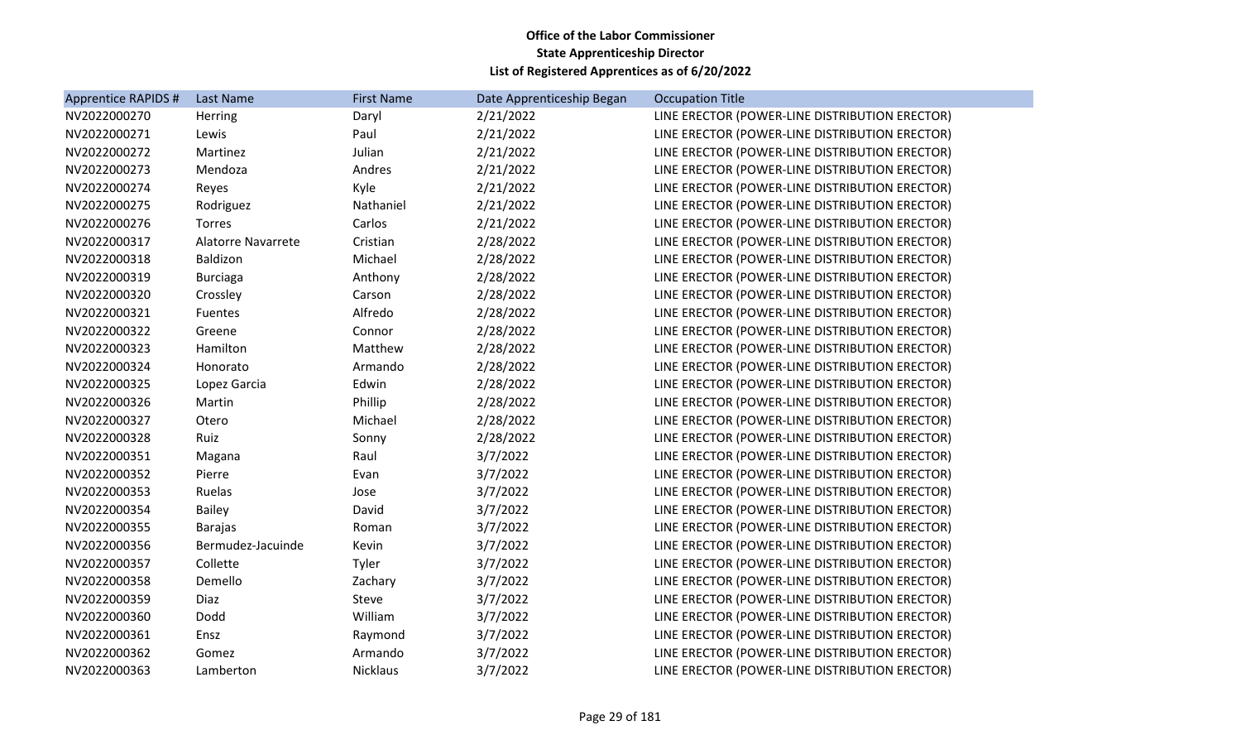| Apprentice RAPIDS # | Last Name                 | <b>First Name</b> | Date Apprenticeship Began | <b>Occupation Title</b>                        |
|---------------------|---------------------------|-------------------|---------------------------|------------------------------------------------|
| NV2022000270        | Herring                   | Daryl             | 2/21/2022                 | LINE ERECTOR (POWER-LINE DISTRIBUTION ERECTOR) |
| NV2022000271        | Lewis                     | Paul              | 2/21/2022                 | LINE ERECTOR (POWER-LINE DISTRIBUTION ERECTOR) |
| NV2022000272        | Martinez                  | Julian            | 2/21/2022                 | LINE ERECTOR (POWER-LINE DISTRIBUTION ERECTOR) |
| NV2022000273        | Mendoza                   | Andres            | 2/21/2022                 | LINE ERECTOR (POWER-LINE DISTRIBUTION ERECTOR) |
| NV2022000274        | Reyes                     | Kyle              | 2/21/2022                 | LINE ERECTOR (POWER-LINE DISTRIBUTION ERECTOR) |
| NV2022000275        | Rodriguez                 | Nathaniel         | 2/21/2022                 | LINE ERECTOR (POWER-LINE DISTRIBUTION ERECTOR) |
| NV2022000276        | Torres                    | Carlos            | 2/21/2022                 | LINE ERECTOR (POWER-LINE DISTRIBUTION ERECTOR) |
| NV2022000317        | <b>Alatorre Navarrete</b> | Cristian          | 2/28/2022                 | LINE ERECTOR (POWER-LINE DISTRIBUTION ERECTOR) |
| NV2022000318        | Baldizon                  | Michael           | 2/28/2022                 | LINE ERECTOR (POWER-LINE DISTRIBUTION ERECTOR) |
| NV2022000319        | <b>Burciaga</b>           | Anthony           | 2/28/2022                 | LINE ERECTOR (POWER-LINE DISTRIBUTION ERECTOR) |
| NV2022000320        | Crossley                  | Carson            | 2/28/2022                 | LINE ERECTOR (POWER-LINE DISTRIBUTION ERECTOR) |
| NV2022000321        | Fuentes                   | Alfredo           | 2/28/2022                 | LINE ERECTOR (POWER-LINE DISTRIBUTION ERECTOR) |
| NV2022000322        | Greene                    | Connor            | 2/28/2022                 | LINE ERECTOR (POWER-LINE DISTRIBUTION ERECTOR) |
| NV2022000323        | Hamilton                  | Matthew           | 2/28/2022                 | LINE ERECTOR (POWER-LINE DISTRIBUTION ERECTOR) |
| NV2022000324        | Honorato                  | Armando           | 2/28/2022                 | LINE ERECTOR (POWER-LINE DISTRIBUTION ERECTOR) |
| NV2022000325        | Lopez Garcia              | Edwin             | 2/28/2022                 | LINE ERECTOR (POWER-LINE DISTRIBUTION ERECTOR) |
| NV2022000326        | Martin                    | Phillip           | 2/28/2022                 | LINE ERECTOR (POWER-LINE DISTRIBUTION ERECTOR) |
| NV2022000327        | Otero                     | Michael           | 2/28/2022                 | LINE ERECTOR (POWER-LINE DISTRIBUTION ERECTOR) |
| NV2022000328        | Ruiz                      | Sonny             | 2/28/2022                 | LINE ERECTOR (POWER-LINE DISTRIBUTION ERECTOR) |
| NV2022000351        | Magana                    | Raul              | 3/7/2022                  | LINE ERECTOR (POWER-LINE DISTRIBUTION ERECTOR) |
| NV2022000352        | Pierre                    | Evan              | 3/7/2022                  | LINE ERECTOR (POWER-LINE DISTRIBUTION ERECTOR) |
| NV2022000353        | Ruelas                    | Jose              | 3/7/2022                  | LINE ERECTOR (POWER-LINE DISTRIBUTION ERECTOR) |
| NV2022000354        | <b>Bailey</b>             | David             | 3/7/2022                  | LINE ERECTOR (POWER-LINE DISTRIBUTION ERECTOR) |
| NV2022000355        | <b>Barajas</b>            | Roman             | 3/7/2022                  | LINE ERECTOR (POWER-LINE DISTRIBUTION ERECTOR) |
| NV2022000356        | Bermudez-Jacuinde         | Kevin             | 3/7/2022                  | LINE ERECTOR (POWER-LINE DISTRIBUTION ERECTOR) |
| NV2022000357        | Collette                  | Tyler             | 3/7/2022                  | LINE ERECTOR (POWER-LINE DISTRIBUTION ERECTOR) |
| NV2022000358        | Demello                   | Zachary           | 3/7/2022                  | LINE ERECTOR (POWER-LINE DISTRIBUTION ERECTOR) |
| NV2022000359        | Diaz                      | Steve             | 3/7/2022                  | LINE ERECTOR (POWER-LINE DISTRIBUTION ERECTOR) |
| NV2022000360        | Dodd                      | William           | 3/7/2022                  | LINE ERECTOR (POWER-LINE DISTRIBUTION ERECTOR) |
| NV2022000361        | Ensz                      | Raymond           | 3/7/2022                  | LINE ERECTOR (POWER-LINE DISTRIBUTION ERECTOR) |
| NV2022000362        | Gomez                     | Armando           | 3/7/2022                  | LINE ERECTOR (POWER-LINE DISTRIBUTION ERECTOR) |
| NV2022000363        | Lamberton                 | <b>Nicklaus</b>   | 3/7/2022                  | LINE ERECTOR (POWER-LINE DISTRIBUTION ERECTOR) |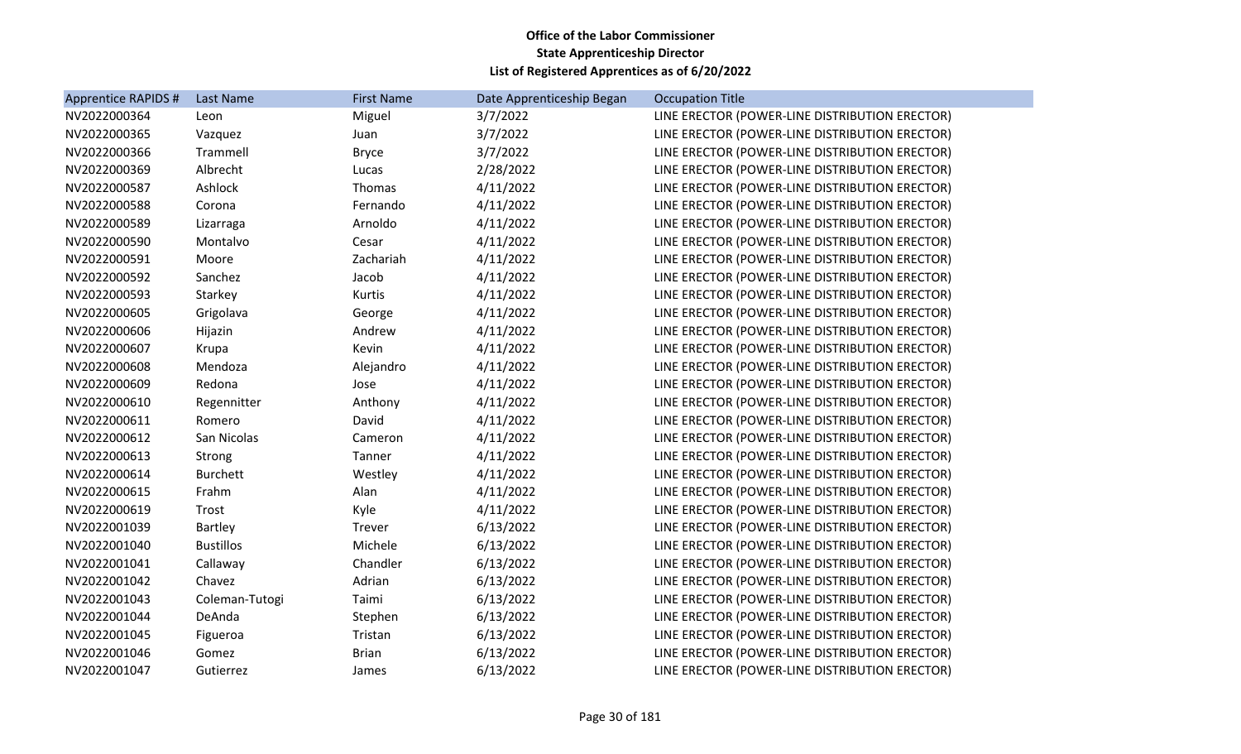| Apprentice RAPIDS # | Last Name        | <b>First Name</b> | Date Apprenticeship Began | <b>Occupation Title</b>                        |
|---------------------|------------------|-------------------|---------------------------|------------------------------------------------|
| NV2022000364        | Leon             | Miguel            | 3/7/2022                  | LINE ERECTOR (POWER-LINE DISTRIBUTION ERECTOR) |
| NV2022000365        | Vazquez          | Juan              | 3/7/2022                  | LINE ERECTOR (POWER-LINE DISTRIBUTION ERECTOR) |
| NV2022000366        | Trammell         | <b>Bryce</b>      | 3/7/2022                  | LINE ERECTOR (POWER-LINE DISTRIBUTION ERECTOR) |
| NV2022000369        | Albrecht         | Lucas             | 2/28/2022                 | LINE ERECTOR (POWER-LINE DISTRIBUTION ERECTOR) |
| NV2022000587        | Ashlock          | Thomas            | 4/11/2022                 | LINE ERECTOR (POWER-LINE DISTRIBUTION ERECTOR) |
| NV2022000588        | Corona           | Fernando          | 4/11/2022                 | LINE ERECTOR (POWER-LINE DISTRIBUTION ERECTOR) |
| NV2022000589        | Lizarraga        | Arnoldo           | 4/11/2022                 | LINE ERECTOR (POWER-LINE DISTRIBUTION ERECTOR) |
| NV2022000590        | Montalvo         | Cesar             | 4/11/2022                 | LINE ERECTOR (POWER-LINE DISTRIBUTION ERECTOR) |
| NV2022000591        | Moore            | Zachariah         | 4/11/2022                 | LINE ERECTOR (POWER-LINE DISTRIBUTION ERECTOR) |
| NV2022000592        | Sanchez          | Jacob             | 4/11/2022                 | LINE ERECTOR (POWER-LINE DISTRIBUTION ERECTOR) |
| NV2022000593        | Starkey          | Kurtis            | 4/11/2022                 | LINE ERECTOR (POWER-LINE DISTRIBUTION ERECTOR) |
| NV2022000605        | Grigolava        | George            | 4/11/2022                 | LINE ERECTOR (POWER-LINE DISTRIBUTION ERECTOR) |
| NV2022000606        | Hijazin          | Andrew            | 4/11/2022                 | LINE ERECTOR (POWER-LINE DISTRIBUTION ERECTOR) |
| NV2022000607        | Krupa            | Kevin             | 4/11/2022                 | LINE ERECTOR (POWER-LINE DISTRIBUTION ERECTOR) |
| NV2022000608        | Mendoza          | Alejandro         | 4/11/2022                 | LINE ERECTOR (POWER-LINE DISTRIBUTION ERECTOR) |
| NV2022000609        | Redona           | Jose              | 4/11/2022                 | LINE ERECTOR (POWER-LINE DISTRIBUTION ERECTOR) |
| NV2022000610        | Regennitter      | Anthony           | 4/11/2022                 | LINE ERECTOR (POWER-LINE DISTRIBUTION ERECTOR) |
| NV2022000611        | Romero           | David             | 4/11/2022                 | LINE ERECTOR (POWER-LINE DISTRIBUTION ERECTOR) |
| NV2022000612        | San Nicolas      | Cameron           | 4/11/2022                 | LINE ERECTOR (POWER-LINE DISTRIBUTION ERECTOR) |
| NV2022000613        | Strong           | Tanner            | 4/11/2022                 | LINE ERECTOR (POWER-LINE DISTRIBUTION ERECTOR) |
| NV2022000614        | <b>Burchett</b>  | Westley           | 4/11/2022                 | LINE ERECTOR (POWER-LINE DISTRIBUTION ERECTOR) |
| NV2022000615        | Frahm            | Alan              | 4/11/2022                 | LINE ERECTOR (POWER-LINE DISTRIBUTION ERECTOR) |
| NV2022000619        | Trost            | Kyle              | 4/11/2022                 | LINE ERECTOR (POWER-LINE DISTRIBUTION ERECTOR) |
| NV2022001039        | <b>Bartley</b>   | Trever            | 6/13/2022                 | LINE ERECTOR (POWER-LINE DISTRIBUTION ERECTOR) |
| NV2022001040        | <b>Bustillos</b> | Michele           | 6/13/2022                 | LINE ERECTOR (POWER-LINE DISTRIBUTION ERECTOR) |
| NV2022001041        | Callaway         | Chandler          | 6/13/2022                 | LINE ERECTOR (POWER-LINE DISTRIBUTION ERECTOR) |
| NV2022001042        | Chavez           | Adrian            | 6/13/2022                 | LINE ERECTOR (POWER-LINE DISTRIBUTION ERECTOR) |
| NV2022001043        | Coleman-Tutogi   | Taimi             | 6/13/2022                 | LINE ERECTOR (POWER-LINE DISTRIBUTION ERECTOR) |
| NV2022001044        | DeAnda           | Stephen           | 6/13/2022                 | LINE ERECTOR (POWER-LINE DISTRIBUTION ERECTOR) |
| NV2022001045        | Figueroa         | Tristan           | 6/13/2022                 | LINE ERECTOR (POWER-LINE DISTRIBUTION ERECTOR) |
| NV2022001046        | Gomez            | <b>Brian</b>      | 6/13/2022                 | LINE ERECTOR (POWER-LINE DISTRIBUTION ERECTOR) |
| NV2022001047        | Gutierrez        | James             | 6/13/2022                 | LINE ERECTOR (POWER-LINE DISTRIBUTION ERECTOR) |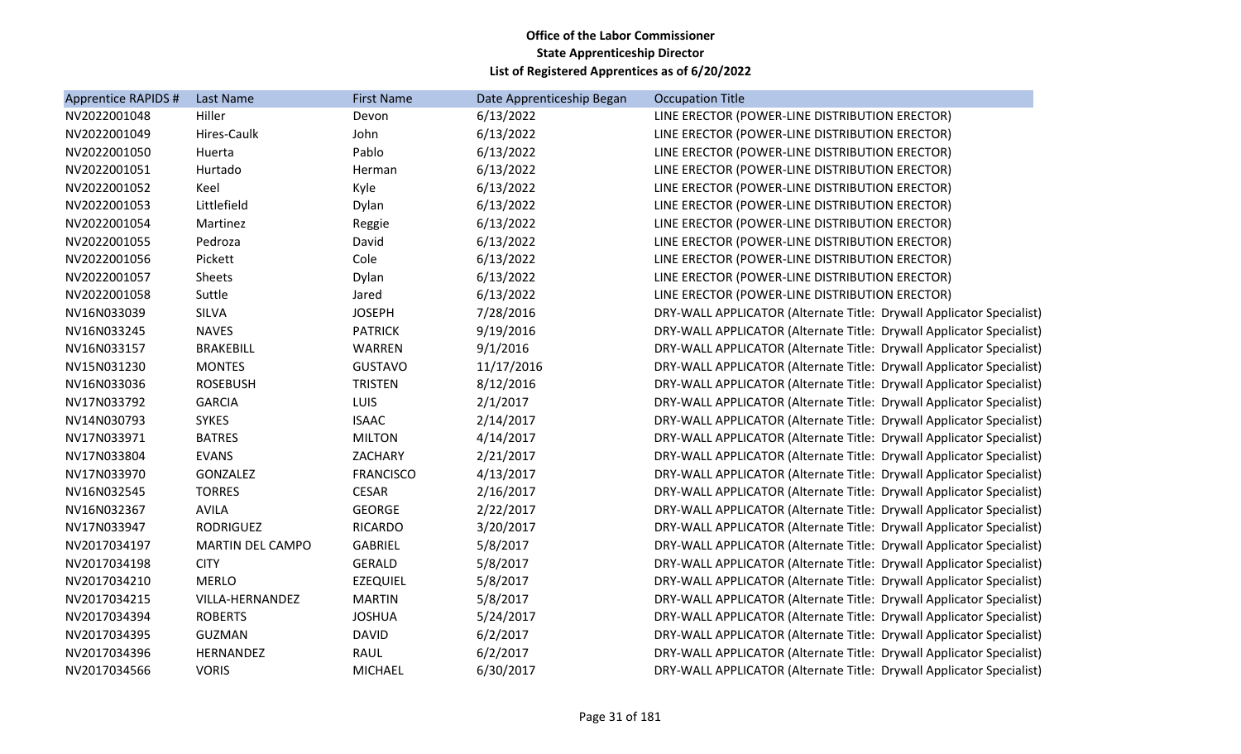| Apprentice RAPIDS # | Last Name               | <b>First Name</b> | Date Apprenticeship Began | <b>Occupation Title</b>                                              |
|---------------------|-------------------------|-------------------|---------------------------|----------------------------------------------------------------------|
| NV2022001048        | Hiller                  | Devon             | 6/13/2022                 | LINE ERECTOR (POWER-LINE DISTRIBUTION ERECTOR)                       |
| NV2022001049        | Hires-Caulk             | John              | 6/13/2022                 | LINE ERECTOR (POWER-LINE DISTRIBUTION ERECTOR)                       |
| NV2022001050        | Huerta                  | Pablo             | 6/13/2022                 | LINE ERECTOR (POWER-LINE DISTRIBUTION ERECTOR)                       |
| NV2022001051        | Hurtado                 | Herman            | 6/13/2022                 | LINE ERECTOR (POWER-LINE DISTRIBUTION ERECTOR)                       |
| NV2022001052        | Keel                    | Kyle              | 6/13/2022                 | LINE ERECTOR (POWER-LINE DISTRIBUTION ERECTOR)                       |
| NV2022001053        | Littlefield             | Dylan             | 6/13/2022                 | LINE ERECTOR (POWER-LINE DISTRIBUTION ERECTOR)                       |
| NV2022001054        | Martinez                | Reggie            | 6/13/2022                 | LINE ERECTOR (POWER-LINE DISTRIBUTION ERECTOR)                       |
| NV2022001055        | Pedroza                 | David             | 6/13/2022                 | LINE ERECTOR (POWER-LINE DISTRIBUTION ERECTOR)                       |
| NV2022001056        | Pickett                 | Cole              | 6/13/2022                 | LINE ERECTOR (POWER-LINE DISTRIBUTION ERECTOR)                       |
| NV2022001057        | Sheets                  | Dylan             | 6/13/2022                 | LINE ERECTOR (POWER-LINE DISTRIBUTION ERECTOR)                       |
| NV2022001058        | Suttle                  | Jared             | 6/13/2022                 | LINE ERECTOR (POWER-LINE DISTRIBUTION ERECTOR)                       |
| NV16N033039         | <b>SILVA</b>            | <b>JOSEPH</b>     | 7/28/2016                 | DRY-WALL APPLICATOR (Alternate Title: Drywall Applicator Specialist) |
| NV16N033245         | <b>NAVES</b>            | <b>PATRICK</b>    | 9/19/2016                 | DRY-WALL APPLICATOR (Alternate Title: Drywall Applicator Specialist) |
| NV16N033157         | <b>BRAKEBILL</b>        | WARREN            | 9/1/2016                  | DRY-WALL APPLICATOR (Alternate Title: Drywall Applicator Specialist) |
| NV15N031230         | <b>MONTES</b>           | <b>GUSTAVO</b>    | 11/17/2016                | DRY-WALL APPLICATOR (Alternate Title: Drywall Applicator Specialist) |
| NV16N033036         | <b>ROSEBUSH</b>         | <b>TRISTEN</b>    | 8/12/2016                 | DRY-WALL APPLICATOR (Alternate Title: Drywall Applicator Specialist) |
| NV17N033792         | <b>GARCIA</b>           | <b>LUIS</b>       | 2/1/2017                  | DRY-WALL APPLICATOR (Alternate Title: Drywall Applicator Specialist) |
| NV14N030793         | <b>SYKES</b>            | <b>ISAAC</b>      | 2/14/2017                 | DRY-WALL APPLICATOR (Alternate Title: Drywall Applicator Specialist) |
| NV17N033971         | <b>BATRES</b>           | <b>MILTON</b>     | 4/14/2017                 | DRY-WALL APPLICATOR (Alternate Title: Drywall Applicator Specialist) |
| NV17N033804         | <b>EVANS</b>            | ZACHARY           | 2/21/2017                 | DRY-WALL APPLICATOR (Alternate Title: Drywall Applicator Specialist) |
| NV17N033970         | GONZALEZ                | <b>FRANCISCO</b>  | 4/13/2017                 | DRY-WALL APPLICATOR (Alternate Title: Drywall Applicator Specialist) |
| NV16N032545         | <b>TORRES</b>           | <b>CESAR</b>      | 2/16/2017                 | DRY-WALL APPLICATOR (Alternate Title: Drywall Applicator Specialist) |
| NV16N032367         | <b>AVILA</b>            | <b>GEORGE</b>     | 2/22/2017                 | DRY-WALL APPLICATOR (Alternate Title: Drywall Applicator Specialist) |
| NV17N033947         | <b>RODRIGUEZ</b>        | <b>RICARDO</b>    | 3/20/2017                 | DRY-WALL APPLICATOR (Alternate Title: Drywall Applicator Specialist) |
| NV2017034197        | <b>MARTIN DEL CAMPO</b> | <b>GABRIEL</b>    | 5/8/2017                  | DRY-WALL APPLICATOR (Alternate Title: Drywall Applicator Specialist) |
| NV2017034198        | <b>CITY</b>             | <b>GERALD</b>     | 5/8/2017                  | DRY-WALL APPLICATOR (Alternate Title: Drywall Applicator Specialist) |
| NV2017034210        | <b>MERLO</b>            | <b>EZEQUIEL</b>   | 5/8/2017                  | DRY-WALL APPLICATOR (Alternate Title: Drywall Applicator Specialist) |
| NV2017034215        | VILLA-HERNANDEZ         | <b>MARTIN</b>     | 5/8/2017                  | DRY-WALL APPLICATOR (Alternate Title: Drywall Applicator Specialist) |
| NV2017034394        | <b>ROBERTS</b>          | <b>JOSHUA</b>     | 5/24/2017                 | DRY-WALL APPLICATOR (Alternate Title: Drywall Applicator Specialist) |
| NV2017034395        | <b>GUZMAN</b>           | <b>DAVID</b>      | 6/2/2017                  | DRY-WALL APPLICATOR (Alternate Title: Drywall Applicator Specialist) |
| NV2017034396        | HERNANDEZ               | RAUL              | 6/2/2017                  | DRY-WALL APPLICATOR (Alternate Title: Drywall Applicator Specialist) |
| NV2017034566        | <b>VORIS</b>            | <b>MICHAEL</b>    | 6/30/2017                 | DRY-WALL APPLICATOR (Alternate Title: Drywall Applicator Specialist) |
|                     |                         |                   |                           |                                                                      |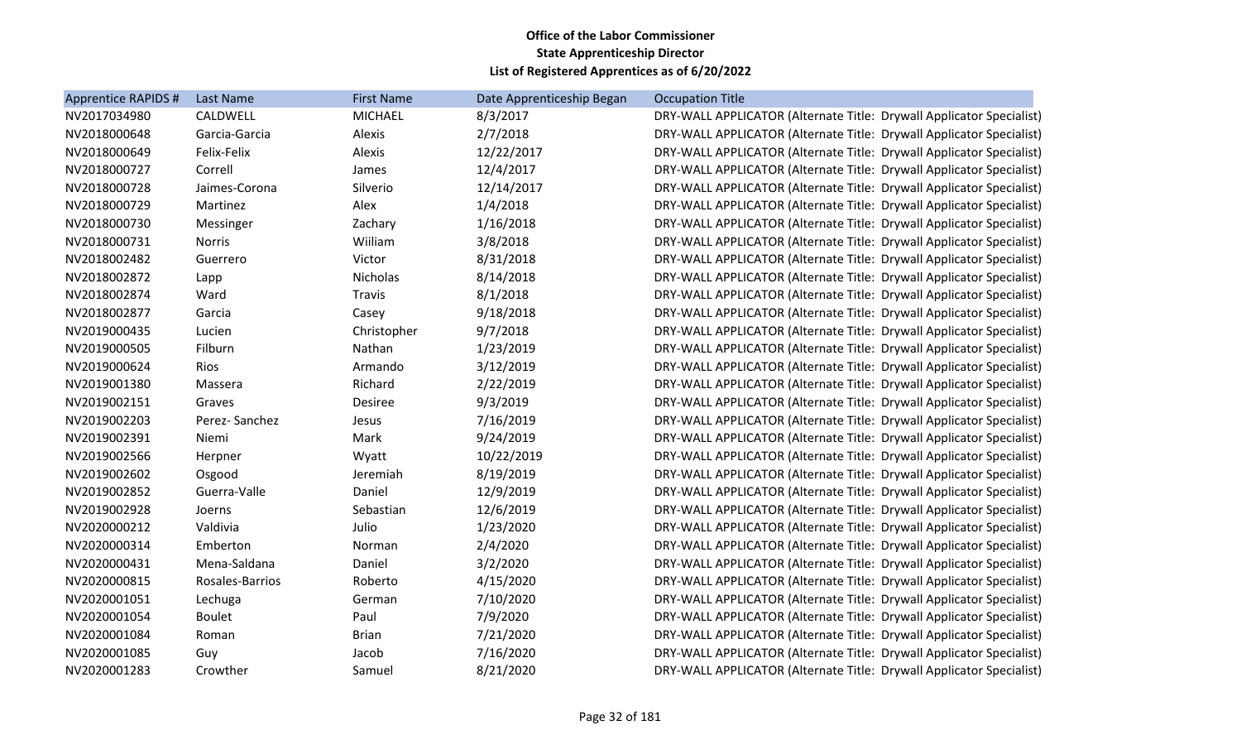| Apprentice RAPIDS # | Last Name       | <b>First Name</b> | Date Apprenticeship Began | <b>Occupation Title</b>                                              |
|---------------------|-----------------|-------------------|---------------------------|----------------------------------------------------------------------|
| NV2017034980        | CALDWELL        | <b>MICHAEL</b>    | 8/3/2017                  | DRY-WALL APPLICATOR (Alternate Title: Drywall Applicator Specialist) |
| NV2018000648        | Garcia-Garcia   | Alexis            | 2/7/2018                  | DRY-WALL APPLICATOR (Alternate Title: Drywall Applicator Specialist) |
| NV2018000649        | Felix-Felix     | Alexis            | 12/22/2017                | DRY-WALL APPLICATOR (Alternate Title: Drywall Applicator Specialist) |
| NV2018000727        | Correll         | James             | 12/4/2017                 | DRY-WALL APPLICATOR (Alternate Title: Drywall Applicator Specialist) |
| NV2018000728        | Jaimes-Corona   | Silverio          | 12/14/2017                | DRY-WALL APPLICATOR (Alternate Title: Drywall Applicator Specialist) |
| NV2018000729        | Martinez        | Alex              | 1/4/2018                  | DRY-WALL APPLICATOR (Alternate Title: Drywall Applicator Specialist) |
| NV2018000730        | Messinger       | Zachary           | 1/16/2018                 | DRY-WALL APPLICATOR (Alternate Title: Drywall Applicator Specialist) |
| NV2018000731        | <b>Norris</b>   | Wiiliam           | 3/8/2018                  | DRY-WALL APPLICATOR (Alternate Title: Drywall Applicator Specialist) |
| NV2018002482        | Guerrero        | Victor            | 8/31/2018                 | DRY-WALL APPLICATOR (Alternate Title: Drywall Applicator Specialist) |
| NV2018002872        | Lapp            | Nicholas          | 8/14/2018                 | DRY-WALL APPLICATOR (Alternate Title: Drywall Applicator Specialist) |
| NV2018002874        | Ward            | <b>Travis</b>     | 8/1/2018                  | DRY-WALL APPLICATOR (Alternate Title: Drywall Applicator Specialist) |
| NV2018002877        | Garcia          | Casey             | 9/18/2018                 | DRY-WALL APPLICATOR (Alternate Title: Drywall Applicator Specialist) |
| NV2019000435        | Lucien          | Christopher       | 9/7/2018                  | DRY-WALL APPLICATOR (Alternate Title: Drywall Applicator Specialist) |
| NV2019000505        | Filburn         | Nathan            | 1/23/2019                 | DRY-WALL APPLICATOR (Alternate Title: Drywall Applicator Specialist) |
| NV2019000624        | Rios            | Armando           | 3/12/2019                 | DRY-WALL APPLICATOR (Alternate Title: Drywall Applicator Specialist) |
| NV2019001380        | Massera         | Richard           | 2/22/2019                 | DRY-WALL APPLICATOR (Alternate Title: Drywall Applicator Specialist) |
| NV2019002151        | Graves          | Desiree           | 9/3/2019                  | DRY-WALL APPLICATOR (Alternate Title: Drywall Applicator Specialist) |
| NV2019002203        | Perez-Sanchez   | Jesus             | 7/16/2019                 | DRY-WALL APPLICATOR (Alternate Title: Drywall Applicator Specialist) |
| NV2019002391        | Niemi           | Mark              | 9/24/2019                 | DRY-WALL APPLICATOR (Alternate Title: Drywall Applicator Specialist) |
| NV2019002566        | Herpner         | Wyatt             | 10/22/2019                | DRY-WALL APPLICATOR (Alternate Title: Drywall Applicator Specialist) |
| NV2019002602        | Osgood          | Jeremiah          | 8/19/2019                 | DRY-WALL APPLICATOR (Alternate Title: Drywall Applicator Specialist) |
| NV2019002852        | Guerra-Valle    | Daniel            | 12/9/2019                 | DRY-WALL APPLICATOR (Alternate Title: Drywall Applicator Specialist) |
| NV2019002928        | Joerns          | Sebastian         | 12/6/2019                 | DRY-WALL APPLICATOR (Alternate Title: Drywall Applicator Specialist) |
| NV2020000212        | Valdivia        | Julio             | 1/23/2020                 | DRY-WALL APPLICATOR (Alternate Title: Drywall Applicator Specialist) |
| NV2020000314        | Emberton        | Norman            | 2/4/2020                  | DRY-WALL APPLICATOR (Alternate Title: Drywall Applicator Specialist) |
| NV2020000431        | Mena-Saldana    | Daniel            | 3/2/2020                  | DRY-WALL APPLICATOR (Alternate Title: Drywall Applicator Specialist) |
| NV2020000815        | Rosales-Barrios | Roberto           | 4/15/2020                 | DRY-WALL APPLICATOR (Alternate Title: Drywall Applicator Specialist) |
| NV2020001051        | Lechuga         | German            | 7/10/2020                 | DRY-WALL APPLICATOR (Alternate Title: Drywall Applicator Specialist) |
| NV2020001054        | <b>Boulet</b>   | Paul              | 7/9/2020                  | DRY-WALL APPLICATOR (Alternate Title: Drywall Applicator Specialist) |
| NV2020001084        | Roman           | <b>Brian</b>      | 7/21/2020                 | DRY-WALL APPLICATOR (Alternate Title: Drywall Applicator Specialist) |
| NV2020001085        | Guy             | Jacob             | 7/16/2020                 | DRY-WALL APPLICATOR (Alternate Title: Drywall Applicator Specialist) |
| NV2020001283        | Crowther        | Samuel            | 8/21/2020                 | DRY-WALL APPLICATOR (Alternate Title: Drywall Applicator Specialist) |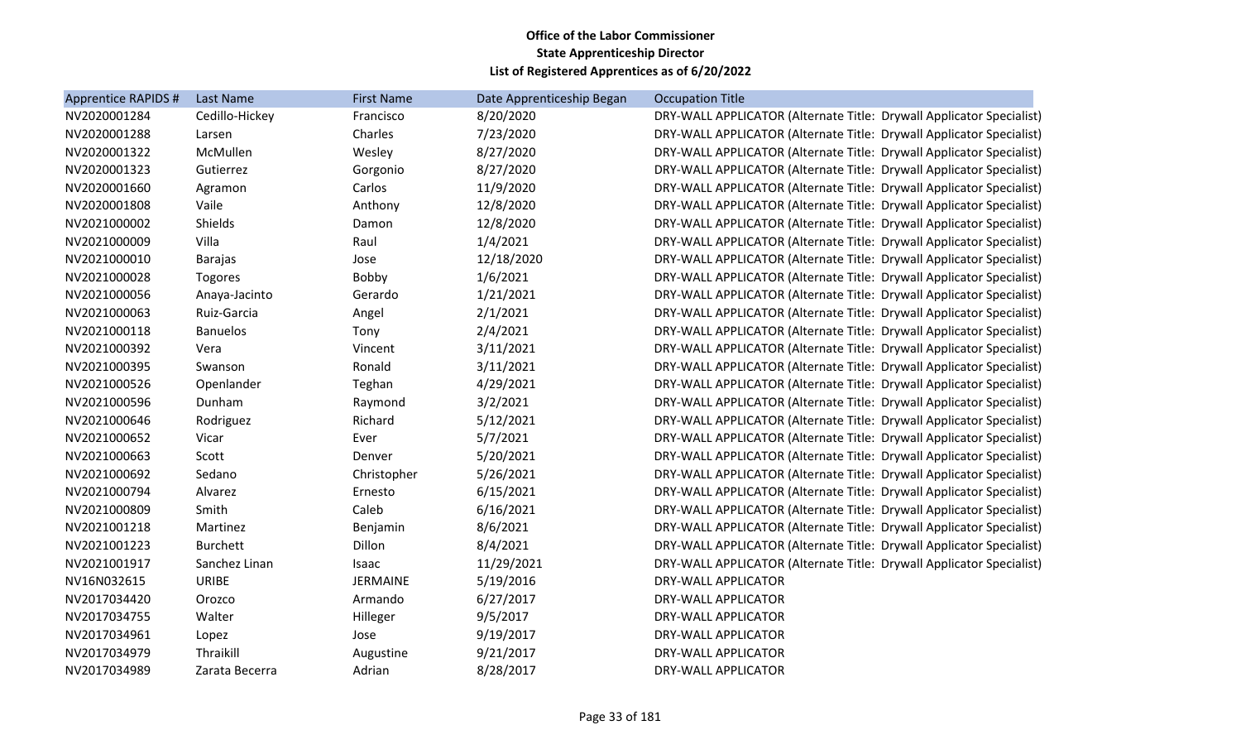| Apprentice RAPIDS # | Last Name       | <b>First Name</b> | Date Apprenticeship Began | <b>Occupation Title</b>                                              |
|---------------------|-----------------|-------------------|---------------------------|----------------------------------------------------------------------|
| NV2020001284        | Cedillo-Hickey  | Francisco         | 8/20/2020                 | DRY-WALL APPLICATOR (Alternate Title: Drywall Applicator Specialist) |
| NV2020001288        | Larsen          | Charles           | 7/23/2020                 | DRY-WALL APPLICATOR (Alternate Title: Drywall Applicator Specialist) |
| NV2020001322        | McMullen        | Wesley            | 8/27/2020                 | DRY-WALL APPLICATOR (Alternate Title: Drywall Applicator Specialist) |
| NV2020001323        | Gutierrez       | Gorgonio          | 8/27/2020                 | DRY-WALL APPLICATOR (Alternate Title: Drywall Applicator Specialist) |
| NV2020001660        | Agramon         | Carlos            | 11/9/2020                 | DRY-WALL APPLICATOR (Alternate Title: Drywall Applicator Specialist) |
| NV2020001808        | Vaile           | Anthony           | 12/8/2020                 | DRY-WALL APPLICATOR (Alternate Title: Drywall Applicator Specialist) |
| NV2021000002        | Shields         | Damon             | 12/8/2020                 | DRY-WALL APPLICATOR (Alternate Title: Drywall Applicator Specialist) |
| NV2021000009        | Villa           | Raul              | 1/4/2021                  | DRY-WALL APPLICATOR (Alternate Title: Drywall Applicator Specialist) |
| NV2021000010        | <b>Barajas</b>  | Jose              | 12/18/2020                | DRY-WALL APPLICATOR (Alternate Title: Drywall Applicator Specialist) |
| NV2021000028        | Togores         | Bobby             | 1/6/2021                  | DRY-WALL APPLICATOR (Alternate Title: Drywall Applicator Specialist) |
| NV2021000056        | Anaya-Jacinto   | Gerardo           | 1/21/2021                 | DRY-WALL APPLICATOR (Alternate Title: Drywall Applicator Specialist) |
| NV2021000063        | Ruiz-Garcia     | Angel             | 2/1/2021                  | DRY-WALL APPLICATOR (Alternate Title: Drywall Applicator Specialist) |
| NV2021000118        | <b>Banuelos</b> | Tony              | 2/4/2021                  | DRY-WALL APPLICATOR (Alternate Title: Drywall Applicator Specialist) |
| NV2021000392        | Vera            | Vincent           | 3/11/2021                 | DRY-WALL APPLICATOR (Alternate Title: Drywall Applicator Specialist) |
| NV2021000395        | Swanson         | Ronald            | 3/11/2021                 | DRY-WALL APPLICATOR (Alternate Title: Drywall Applicator Specialist) |
| NV2021000526        | Openlander      | Teghan            | 4/29/2021                 | DRY-WALL APPLICATOR (Alternate Title: Drywall Applicator Specialist) |
| NV2021000596        | Dunham          | Raymond           | 3/2/2021                  | DRY-WALL APPLICATOR (Alternate Title: Drywall Applicator Specialist) |
| NV2021000646        | Rodriguez       | Richard           | 5/12/2021                 | DRY-WALL APPLICATOR (Alternate Title: Drywall Applicator Specialist) |
| NV2021000652        | Vicar           | Ever              | 5/7/2021                  | DRY-WALL APPLICATOR (Alternate Title: Drywall Applicator Specialist) |
| NV2021000663        | Scott           | Denver            | 5/20/2021                 | DRY-WALL APPLICATOR (Alternate Title: Drywall Applicator Specialist) |
| NV2021000692        | Sedano          | Christopher       | 5/26/2021                 | DRY-WALL APPLICATOR (Alternate Title: Drywall Applicator Specialist) |
| NV2021000794        | Alvarez         | Ernesto           | 6/15/2021                 | DRY-WALL APPLICATOR (Alternate Title: Drywall Applicator Specialist) |
| NV2021000809        | Smith           | Caleb             | 6/16/2021                 | DRY-WALL APPLICATOR (Alternate Title: Drywall Applicator Specialist) |
| NV2021001218        | Martinez        | Benjamin          | 8/6/2021                  | DRY-WALL APPLICATOR (Alternate Title: Drywall Applicator Specialist) |
| NV2021001223        | <b>Burchett</b> | Dillon            | 8/4/2021                  | DRY-WALL APPLICATOR (Alternate Title: Drywall Applicator Specialist) |
| NV2021001917        | Sanchez Linan   | Isaac             | 11/29/2021                | DRY-WALL APPLICATOR (Alternate Title: Drywall Applicator Specialist) |
| NV16N032615         | <b>URIBE</b>    | <b>JERMAINE</b>   | 5/19/2016                 | <b>DRY-WALL APPLICATOR</b>                                           |
| NV2017034420        | Orozco          | Armando           | 6/27/2017                 | DRY-WALL APPLICATOR                                                  |
| NV2017034755        | Walter          | Hilleger          | 9/5/2017                  | DRY-WALL APPLICATOR                                                  |
| NV2017034961        | Lopez           | Jose              | 9/19/2017                 | DRY-WALL APPLICATOR                                                  |
| NV2017034979        | Thraikill       | Augustine         | 9/21/2017                 | DRY-WALL APPLICATOR                                                  |
| NV2017034989        | Zarata Becerra  | Adrian            | 8/28/2017                 | <b>DRY-WALL APPLICATOR</b>                                           |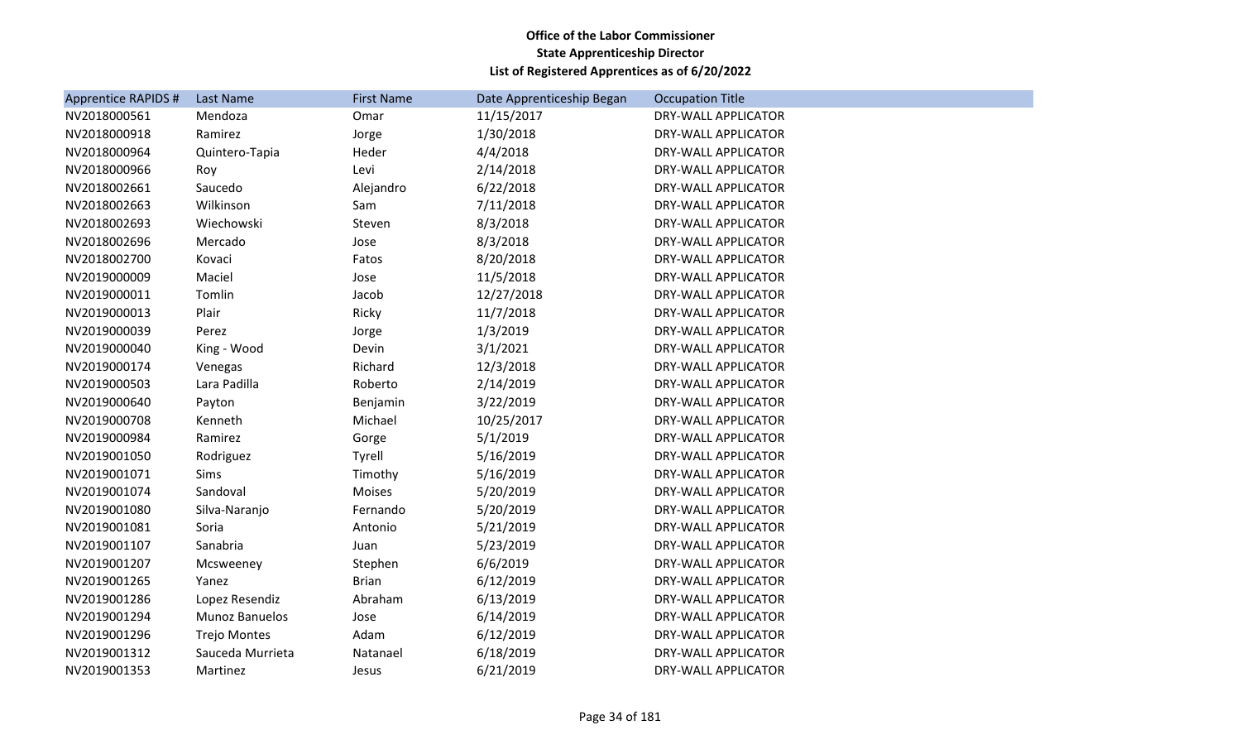| <b>Apprentice RAPIDS #</b> | Last Name           | <b>First Name</b> | Date Apprenticeship Began | <b>Occupation Title</b>    |
|----------------------------|---------------------|-------------------|---------------------------|----------------------------|
| NV2018000561               | Mendoza             | Omar              | 11/15/2017                | <b>DRY-WALL APPLICATOR</b> |
| NV2018000918               | Ramirez             | Jorge             | 1/30/2018                 | DRY-WALL APPLICATOR        |
| NV2018000964               | Quintero-Tapia      | Heder             | 4/4/2018                  | DRY-WALL APPLICATOR        |
| NV2018000966               | Roy                 | Levi              | 2/14/2018                 | DRY-WALL APPLICATOR        |
| NV2018002661               | Saucedo             | Alejandro         | 6/22/2018                 | DRY-WALL APPLICATOR        |
| NV2018002663               | Wilkinson           | Sam               | 7/11/2018                 | DRY-WALL APPLICATOR        |
| NV2018002693               | Wiechowski          | Steven            | 8/3/2018                  | DRY-WALL APPLICATOR        |
| NV2018002696               | Mercado             | Jose              | 8/3/2018                  | DRY-WALL APPLICATOR        |
| NV2018002700               | Kovaci              | Fatos             | 8/20/2018                 | DRY-WALL APPLICATOR        |
| NV2019000009               | Maciel              | Jose              | 11/5/2018                 | DRY-WALL APPLICATOR        |
| NV2019000011               | Tomlin              | Jacob             | 12/27/2018                | DRY-WALL APPLICATOR        |
| NV2019000013               | Plair               | Ricky             | 11/7/2018                 | DRY-WALL APPLICATOR        |
| NV2019000039               | Perez               | Jorge             | 1/3/2019                  | <b>DRY-WALL APPLICATOR</b> |
| NV2019000040               | King - Wood         | Devin             | 3/1/2021                  | DRY-WALL APPLICATOR        |
| NV2019000174               | Venegas             | Richard           | 12/3/2018                 | DRY-WALL APPLICATOR        |
| NV2019000503               | Lara Padilla        | Roberto           | 2/14/2019                 | DRY-WALL APPLICATOR        |
| NV2019000640               | Payton              | Benjamin          | 3/22/2019                 | DRY-WALL APPLICATOR        |
| NV2019000708               | Kenneth             | Michael           | 10/25/2017                | DRY-WALL APPLICATOR        |
| NV2019000984               | Ramirez             | Gorge             | 5/1/2019                  | DRY-WALL APPLICATOR        |
| NV2019001050               | Rodriguez           | Tyrell            | 5/16/2019                 | DRY-WALL APPLICATOR        |
| NV2019001071               | Sims                | Timothy           | 5/16/2019                 | DRY-WALL APPLICATOR        |
| NV2019001074               | Sandoval            | Moises            | 5/20/2019                 | DRY-WALL APPLICATOR        |
| NV2019001080               | Silva-Naranjo       | Fernando          | 5/20/2019                 | DRY-WALL APPLICATOR        |
| NV2019001081               | Soria               | Antonio           | 5/21/2019                 | DRY-WALL APPLICATOR        |
| NV2019001107               | Sanabria            | Juan              | 5/23/2019                 | DRY-WALL APPLICATOR        |
| NV2019001207               | Mcsweeney           | Stephen           | 6/6/2019                  | DRY-WALL APPLICATOR        |
| NV2019001265               | Yanez               | <b>Brian</b>      | 6/12/2019                 | DRY-WALL APPLICATOR        |
| NV2019001286               | Lopez Resendiz      | Abraham           | 6/13/2019                 | DRY-WALL APPLICATOR        |
| NV2019001294               | Munoz Banuelos      | Jose              | 6/14/2019                 | DRY-WALL APPLICATOR        |
| NV2019001296               | <b>Trejo Montes</b> | Adam              | 6/12/2019                 | DRY-WALL APPLICATOR        |
| NV2019001312               | Sauceda Murrieta    | Natanael          | 6/18/2019                 | DRY-WALL APPLICATOR        |
| NV2019001353               | Martinez            | Jesus             | 6/21/2019                 | DRY-WALL APPLICATOR        |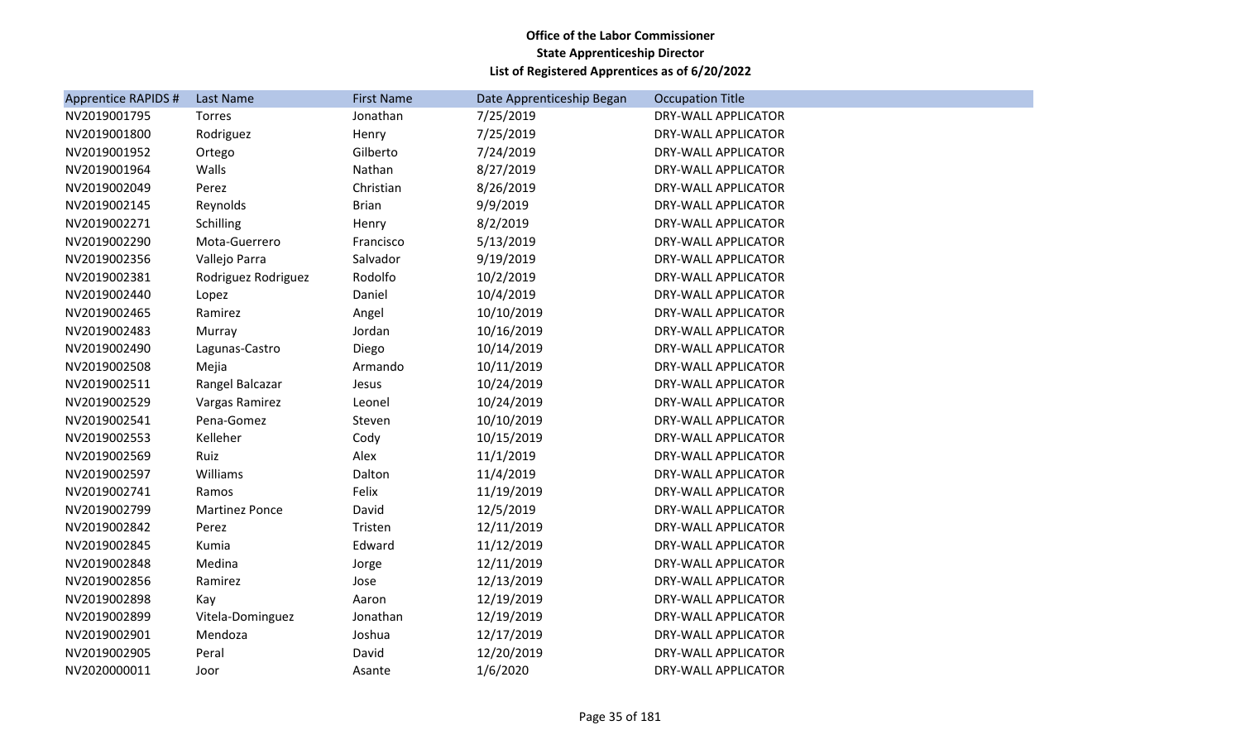| <b>Apprentice RAPIDS #</b> | Last Name             | <b>First Name</b> | Date Apprenticeship Began | <b>Occupation Title</b>    |
|----------------------------|-----------------------|-------------------|---------------------------|----------------------------|
| NV2019001795               | Torres                | Jonathan          | 7/25/2019                 | <b>DRY-WALL APPLICATOR</b> |
| NV2019001800               | Rodriguez             | Henry             | 7/25/2019                 | DRY-WALL APPLICATOR        |
| NV2019001952               | Ortego                | Gilberto          | 7/24/2019                 | DRY-WALL APPLICATOR        |
| NV2019001964               | Walls                 | Nathan            | 8/27/2019                 | DRY-WALL APPLICATOR        |
| NV2019002049               | Perez                 | Christian         | 8/26/2019                 | DRY-WALL APPLICATOR        |
| NV2019002145               | Reynolds              | <b>Brian</b>      | 9/9/2019                  | DRY-WALL APPLICATOR        |
| NV2019002271               | Schilling             | Henry             | 8/2/2019                  | DRY-WALL APPLICATOR        |
| NV2019002290               | Mota-Guerrero         | Francisco         | 5/13/2019                 | DRY-WALL APPLICATOR        |
| NV2019002356               | Vallejo Parra         | Salvador          | 9/19/2019                 | DRY-WALL APPLICATOR        |
| NV2019002381               | Rodriguez Rodriguez   | Rodolfo           | 10/2/2019                 | DRY-WALL APPLICATOR        |
| NV2019002440               | Lopez                 | Daniel            | 10/4/2019                 | DRY-WALL APPLICATOR        |
| NV2019002465               | Ramirez               | Angel             | 10/10/2019                | DRY-WALL APPLICATOR        |
| NV2019002483               | Murray                | Jordan            | 10/16/2019                | DRY-WALL APPLICATOR        |
| NV2019002490               | Lagunas-Castro        | Diego             | 10/14/2019                | DRY-WALL APPLICATOR        |
| NV2019002508               | Mejia                 | Armando           | 10/11/2019                | DRY-WALL APPLICATOR        |
| NV2019002511               | Rangel Balcazar       | Jesus             | 10/24/2019                | DRY-WALL APPLICATOR        |
| NV2019002529               | Vargas Ramirez        | Leonel            | 10/24/2019                | <b>DRY-WALL APPLICATOR</b> |
| NV2019002541               | Pena-Gomez            | Steven            | 10/10/2019                | DRY-WALL APPLICATOR        |
| NV2019002553               | Kelleher              | Cody              | 10/15/2019                | DRY-WALL APPLICATOR        |
| NV2019002569               | Ruiz                  | Alex              | 11/1/2019                 | DRY-WALL APPLICATOR        |
| NV2019002597               | Williams              | Dalton            | 11/4/2019                 | DRY-WALL APPLICATOR        |
| NV2019002741               | Ramos                 | Felix             | 11/19/2019                | DRY-WALL APPLICATOR        |
| NV2019002799               | <b>Martinez Ponce</b> | David             | 12/5/2019                 | DRY-WALL APPLICATOR        |
| NV2019002842               | Perez                 | Tristen           | 12/11/2019                | DRY-WALL APPLICATOR        |
| NV2019002845               | Kumia                 | Edward            | 11/12/2019                | DRY-WALL APPLICATOR        |
| NV2019002848               | Medina                | Jorge             | 12/11/2019                | DRY-WALL APPLICATOR        |
| NV2019002856               | Ramirez               | Jose              | 12/13/2019                | DRY-WALL APPLICATOR        |
| NV2019002898               | Kay                   | Aaron             | 12/19/2019                | DRY-WALL APPLICATOR        |
| NV2019002899               | Vitela-Dominguez      | Jonathan          | 12/19/2019                | DRY-WALL APPLICATOR        |
| NV2019002901               | Mendoza               | Joshua            | 12/17/2019                | DRY-WALL APPLICATOR        |
| NV2019002905               | Peral                 | David             | 12/20/2019                | DRY-WALL APPLICATOR        |
| NV2020000011               | Joor                  | Asante            | 1/6/2020                  | DRY-WALL APPLICATOR        |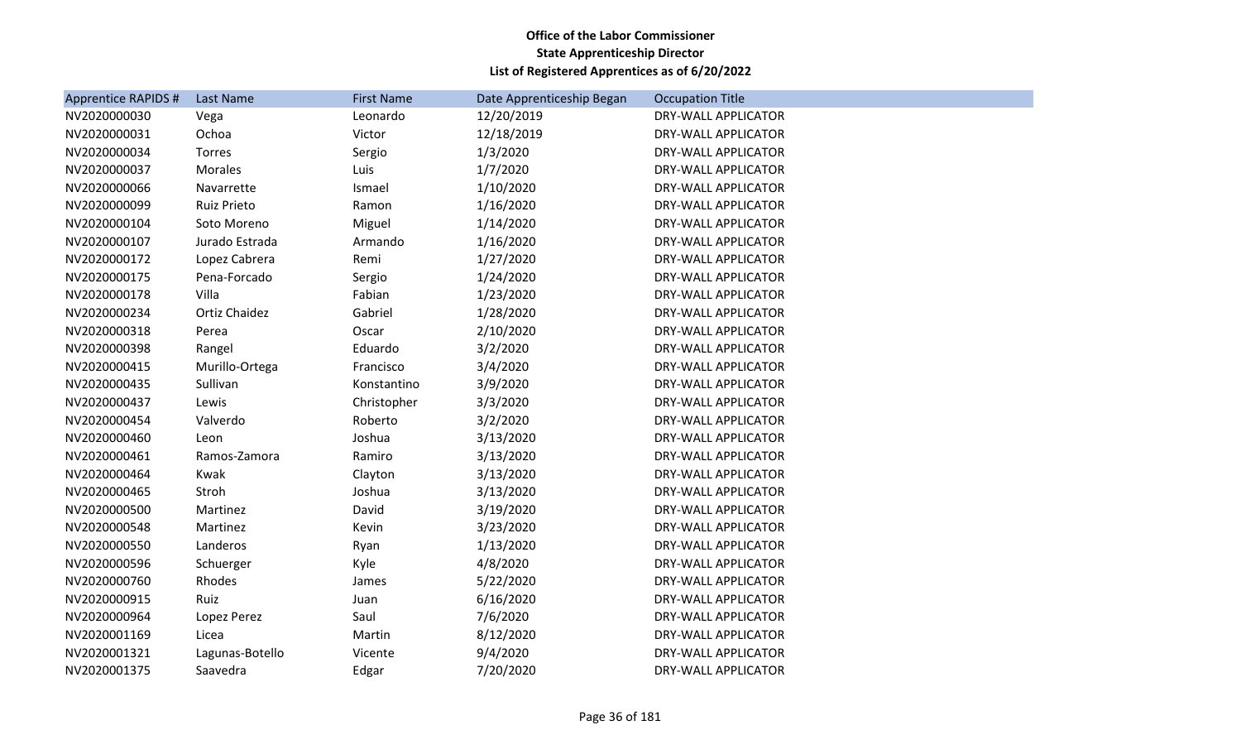| <b>Apprentice RAPIDS #</b> | Last Name          | <b>First Name</b> | Date Apprenticeship Began | <b>Occupation Title</b>    |
|----------------------------|--------------------|-------------------|---------------------------|----------------------------|
| NV2020000030               | Vega               | Leonardo          | 12/20/2019                | <b>DRY-WALL APPLICATOR</b> |
| NV2020000031               | Ochoa              | Victor            | 12/18/2019                | <b>DRY-WALL APPLICATOR</b> |
| NV2020000034               | Torres             | Sergio            | 1/3/2020                  | DRY-WALL APPLICATOR        |
| NV2020000037               | <b>Morales</b>     | Luis              | 1/7/2020                  | DRY-WALL APPLICATOR        |
| NV2020000066               | Navarrette         | Ismael            | 1/10/2020                 | DRY-WALL APPLICATOR        |
| NV2020000099               | <b>Ruiz Prieto</b> | Ramon             | 1/16/2020                 | DRY-WALL APPLICATOR        |
| NV2020000104               | Soto Moreno        | Miguel            | 1/14/2020                 | DRY-WALL APPLICATOR        |
| NV2020000107               | Jurado Estrada     | Armando           | 1/16/2020                 | DRY-WALL APPLICATOR        |
| NV2020000172               | Lopez Cabrera      | Remi              | 1/27/2020                 | <b>DRY-WALL APPLICATOR</b> |
| NV2020000175               | Pena-Forcado       | Sergio            | 1/24/2020                 | DRY-WALL APPLICATOR        |
| NV2020000178               | Villa              | Fabian            | 1/23/2020                 | <b>DRY-WALL APPLICATOR</b> |
| NV2020000234               | Ortiz Chaidez      | Gabriel           | 1/28/2020                 | DRY-WALL APPLICATOR        |
| NV2020000318               | Perea              | Oscar             | 2/10/2020                 | <b>DRY-WALL APPLICATOR</b> |
| NV2020000398               | Rangel             | Eduardo           | 3/2/2020                  | DRY-WALL APPLICATOR        |
| NV2020000415               | Murillo-Ortega     | Francisco         | 3/4/2020                  | DRY-WALL APPLICATOR        |
| NV2020000435               | Sullivan           | Konstantino       | 3/9/2020                  | DRY-WALL APPLICATOR        |
| NV2020000437               | Lewis              | Christopher       | 3/3/2020                  | DRY-WALL APPLICATOR        |
| NV2020000454               | Valverdo           | Roberto           | 3/2/2020                  | <b>DRY-WALL APPLICATOR</b> |
| NV2020000460               | Leon               | Joshua            | 3/13/2020                 | DRY-WALL APPLICATOR        |
| NV2020000461               | Ramos-Zamora       | Ramiro            | 3/13/2020                 | DRY-WALL APPLICATOR        |
| NV2020000464               | Kwak               | Clayton           | 3/13/2020                 | <b>DRY-WALL APPLICATOR</b> |
| NV2020000465               | Stroh              | Joshua            | 3/13/2020                 | DRY-WALL APPLICATOR        |
| NV2020000500               | Martinez           | David             | 3/19/2020                 | DRY-WALL APPLICATOR        |
| NV2020000548               | Martinez           | Kevin             | 3/23/2020                 | DRY-WALL APPLICATOR        |
| NV2020000550               | Landeros           | Ryan              | 1/13/2020                 | DRY-WALL APPLICATOR        |
| NV2020000596               | Schuerger          | Kyle              | 4/8/2020                  | DRY-WALL APPLICATOR        |
| NV2020000760               | Rhodes             | James             | 5/22/2020                 | DRY-WALL APPLICATOR        |
| NV2020000915               | Ruiz               | Juan              | 6/16/2020                 | <b>DRY-WALL APPLICATOR</b> |
| NV2020000964               | Lopez Perez        | Saul              | 7/6/2020                  | DRY-WALL APPLICATOR        |
| NV2020001169               | Licea              | Martin            | 8/12/2020                 | DRY-WALL APPLICATOR        |
| NV2020001321               | Lagunas-Botello    | Vicente           | 9/4/2020                  | DRY-WALL APPLICATOR        |
| NV2020001375               | Saavedra           | Edgar             | 7/20/2020                 | DRY-WALL APPLICATOR        |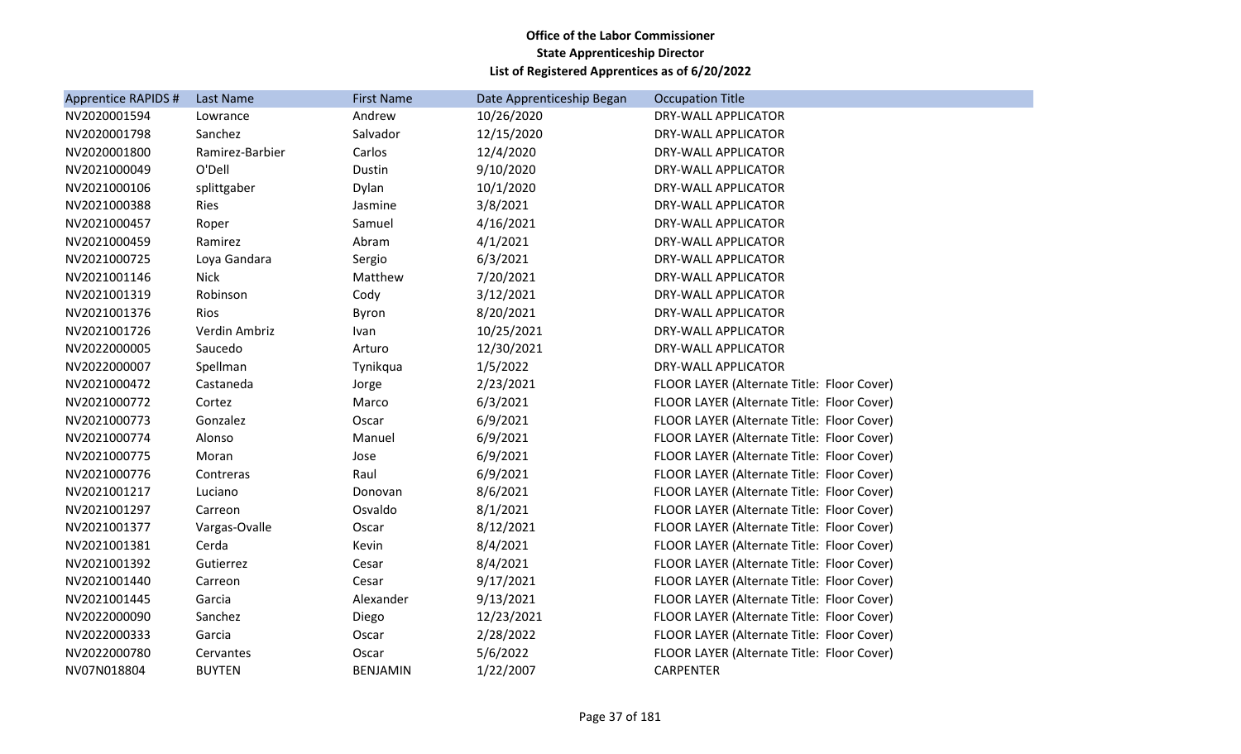| <b>Apprentice RAPIDS #</b> | Last Name       | <b>First Name</b> | Date Apprenticeship Began | <b>Occupation Title</b>                    |
|----------------------------|-----------------|-------------------|---------------------------|--------------------------------------------|
| NV2020001594               | Lowrance        | Andrew            | 10/26/2020                | DRY-WALL APPLICATOR                        |
| NV2020001798               | Sanchez         | Salvador          | 12/15/2020                | DRY-WALL APPLICATOR                        |
| NV2020001800               | Ramirez-Barbier | Carlos            | 12/4/2020                 | DRY-WALL APPLICATOR                        |
| NV2021000049               | O'Dell          | Dustin            | 9/10/2020                 | DRY-WALL APPLICATOR                        |
| NV2021000106               | splittgaber     | Dylan             | 10/1/2020                 | DRY-WALL APPLICATOR                        |
| NV2021000388               | Ries            | Jasmine           | 3/8/2021                  | DRY-WALL APPLICATOR                        |
| NV2021000457               | Roper           | Samuel            | 4/16/2021                 | DRY-WALL APPLICATOR                        |
| NV2021000459               | Ramirez         | Abram             | 4/1/2021                  | DRY-WALL APPLICATOR                        |
| NV2021000725               | Loya Gandara    | Sergio            | 6/3/2021                  | DRY-WALL APPLICATOR                        |
| NV2021001146               | <b>Nick</b>     | Matthew           | 7/20/2021                 | DRY-WALL APPLICATOR                        |
| NV2021001319               | Robinson        | Cody              | 3/12/2021                 | DRY-WALL APPLICATOR                        |
| NV2021001376               | Rios            | Byron             | 8/20/2021                 | DRY-WALL APPLICATOR                        |
| NV2021001726               | Verdin Ambriz   | Ivan              | 10/25/2021                | DRY-WALL APPLICATOR                        |
| NV2022000005               | Saucedo         | Arturo            | 12/30/2021                | DRY-WALL APPLICATOR                        |
| NV2022000007               | Spellman        | Tynikqua          | 1/5/2022                  | <b>DRY-WALL APPLICATOR</b>                 |
| NV2021000472               | Castaneda       | Jorge             | 2/23/2021                 | FLOOR LAYER (Alternate Title: Floor Cover) |
| NV2021000772               | Cortez          | Marco             | 6/3/2021                  | FLOOR LAYER (Alternate Title: Floor Cover) |
| NV2021000773               | Gonzalez        | Oscar             | 6/9/2021                  | FLOOR LAYER (Alternate Title: Floor Cover) |
| NV2021000774               | Alonso          | Manuel            | 6/9/2021                  | FLOOR LAYER (Alternate Title: Floor Cover) |
| NV2021000775               | Moran           | Jose              | 6/9/2021                  | FLOOR LAYER (Alternate Title: Floor Cover) |
| NV2021000776               | Contreras       | Raul              | 6/9/2021                  | FLOOR LAYER (Alternate Title: Floor Cover) |
| NV2021001217               | Luciano         | Donovan           | 8/6/2021                  | FLOOR LAYER (Alternate Title: Floor Cover) |
| NV2021001297               | Carreon         | Osvaldo           | 8/1/2021                  | FLOOR LAYER (Alternate Title: Floor Cover) |
| NV2021001377               | Vargas-Ovalle   | Oscar             | 8/12/2021                 | FLOOR LAYER (Alternate Title: Floor Cover) |
| NV2021001381               | Cerda           | Kevin             | 8/4/2021                  | FLOOR LAYER (Alternate Title: Floor Cover) |
| NV2021001392               | Gutierrez       | Cesar             | 8/4/2021                  | FLOOR LAYER (Alternate Title: Floor Cover) |
| NV2021001440               | Carreon         | Cesar             | 9/17/2021                 | FLOOR LAYER (Alternate Title: Floor Cover) |
| NV2021001445               | Garcia          | Alexander         | 9/13/2021                 | FLOOR LAYER (Alternate Title: Floor Cover) |
| NV2022000090               | Sanchez         | Diego             | 12/23/2021                | FLOOR LAYER (Alternate Title: Floor Cover) |
| NV2022000333               | Garcia          | Oscar             | 2/28/2022                 | FLOOR LAYER (Alternate Title: Floor Cover) |
| NV2022000780               | Cervantes       | Oscar             | 5/6/2022                  | FLOOR LAYER (Alternate Title: Floor Cover) |
| NV07N018804                | <b>BUYTEN</b>   | <b>BENJAMIN</b>   | 1/22/2007                 | <b>CARPENTER</b>                           |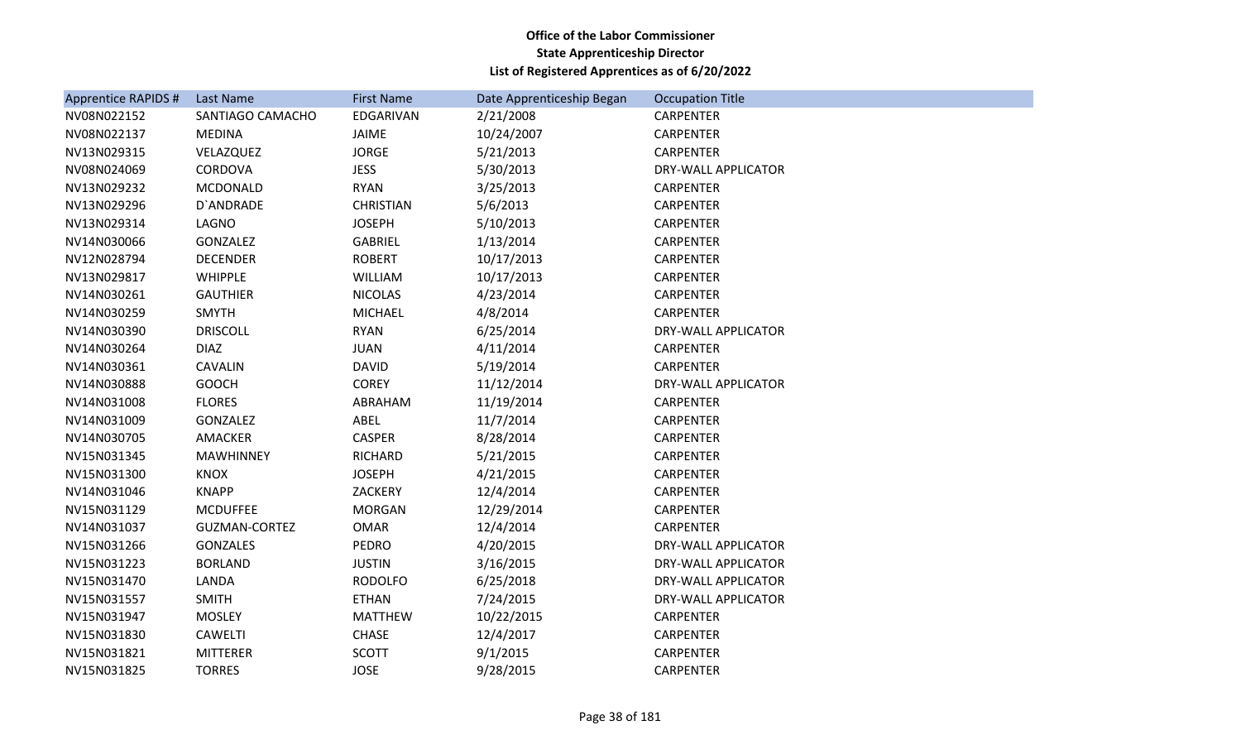| Apprentice RAPIDS # | <b>Last Name</b>     | <b>First Name</b> | Date Apprenticeship Began | <b>Occupation Title</b>    |
|---------------------|----------------------|-------------------|---------------------------|----------------------------|
| NV08N022152         | SANTIAGO CAMACHO     | EDGARIVAN         | 2/21/2008                 | <b>CARPENTER</b>           |
| NV08N022137         | <b>MEDINA</b>        | JAIME             | 10/24/2007                | CARPENTER                  |
| NV13N029315         | VELAZQUEZ            | <b>JORGE</b>      | 5/21/2013                 | <b>CARPENTER</b>           |
| NV08N024069         | CORDOVA              | <b>JESS</b>       | 5/30/2013                 | DRY-WALL APPLICATOR        |
| NV13N029232         | MCDONALD             | <b>RYAN</b>       | 3/25/2013                 | <b>CARPENTER</b>           |
| NV13N029296         | D'ANDRADE            | <b>CHRISTIAN</b>  | 5/6/2013                  | <b>CARPENTER</b>           |
| NV13N029314         | LAGNO                | <b>JOSEPH</b>     | 5/10/2013                 | <b>CARPENTER</b>           |
| NV14N030066         | <b>GONZALEZ</b>      | <b>GABRIEL</b>    | 1/13/2014                 | <b>CARPENTER</b>           |
| NV12N028794         | <b>DECENDER</b>      | <b>ROBERT</b>     | 10/17/2013                | <b>CARPENTER</b>           |
| NV13N029817         | <b>WHIPPLE</b>       | WILLIAM           | 10/17/2013                | <b>CARPENTER</b>           |
| NV14N030261         | <b>GAUTHIER</b>      | <b>NICOLAS</b>    | 4/23/2014                 | <b>CARPENTER</b>           |
| NV14N030259         | <b>SMYTH</b>         | <b>MICHAEL</b>    | 4/8/2014                  | <b>CARPENTER</b>           |
| NV14N030390         | <b>DRISCOLL</b>      | <b>RYAN</b>       | 6/25/2014                 | DRY-WALL APPLICATOR        |
| NV14N030264         | <b>DIAZ</b>          | <b>JUAN</b>       | 4/11/2014                 | <b>CARPENTER</b>           |
| NV14N030361         | <b>CAVALIN</b>       | <b>DAVID</b>      | 5/19/2014                 | <b>CARPENTER</b>           |
| NV14N030888         | <b>GOOCH</b>         | <b>COREY</b>      | 11/12/2014                | DRY-WALL APPLICATOR        |
| NV14N031008         | <b>FLORES</b>        | ABRAHAM           | 11/19/2014                | <b>CARPENTER</b>           |
| NV14N031009         | GONZALEZ             | ABEL              | 11/7/2014                 | <b>CARPENTER</b>           |
| NV14N030705         | AMACKER              | <b>CASPER</b>     | 8/28/2014                 | <b>CARPENTER</b>           |
| NV15N031345         | <b>MAWHINNEY</b>     | RICHARD           | 5/21/2015                 | <b>CARPENTER</b>           |
| NV15N031300         | <b>KNOX</b>          | <b>JOSEPH</b>     | 4/21/2015                 | <b>CARPENTER</b>           |
| NV14N031046         | <b>KNAPP</b>         | ZACKERY           | 12/4/2014                 | <b>CARPENTER</b>           |
| NV15N031129         | <b>MCDUFFEE</b>      | <b>MORGAN</b>     | 12/29/2014                | <b>CARPENTER</b>           |
| NV14N031037         | <b>GUZMAN-CORTEZ</b> | <b>OMAR</b>       | 12/4/2014                 | <b>CARPENTER</b>           |
| NV15N031266         | <b>GONZALES</b>      | <b>PEDRO</b>      | 4/20/2015                 | DRY-WALL APPLICATOR        |
| NV15N031223         | <b>BORLAND</b>       | <b>JUSTIN</b>     | 3/16/2015                 | <b>DRY-WALL APPLICATOR</b> |
| NV15N031470         | LANDA                | <b>RODOLFO</b>    | 6/25/2018                 | DRY-WALL APPLICATOR        |
| NV15N031557         | <b>SMITH</b>         | <b>ETHAN</b>      | 7/24/2015                 | DRY-WALL APPLICATOR        |
| NV15N031947         | <b>MOSLEY</b>        | <b>MATTHEW</b>    | 10/22/2015                | <b>CARPENTER</b>           |
| NV15N031830         | CAWELTI              | <b>CHASE</b>      | 12/4/2017                 | <b>CARPENTER</b>           |
| NV15N031821         | <b>MITTERER</b>      | <b>SCOTT</b>      | 9/1/2015                  | <b>CARPENTER</b>           |
| NV15N031825         | <b>TORRES</b>        | <b>JOSE</b>       | 9/28/2015                 | <b>CARPENTER</b>           |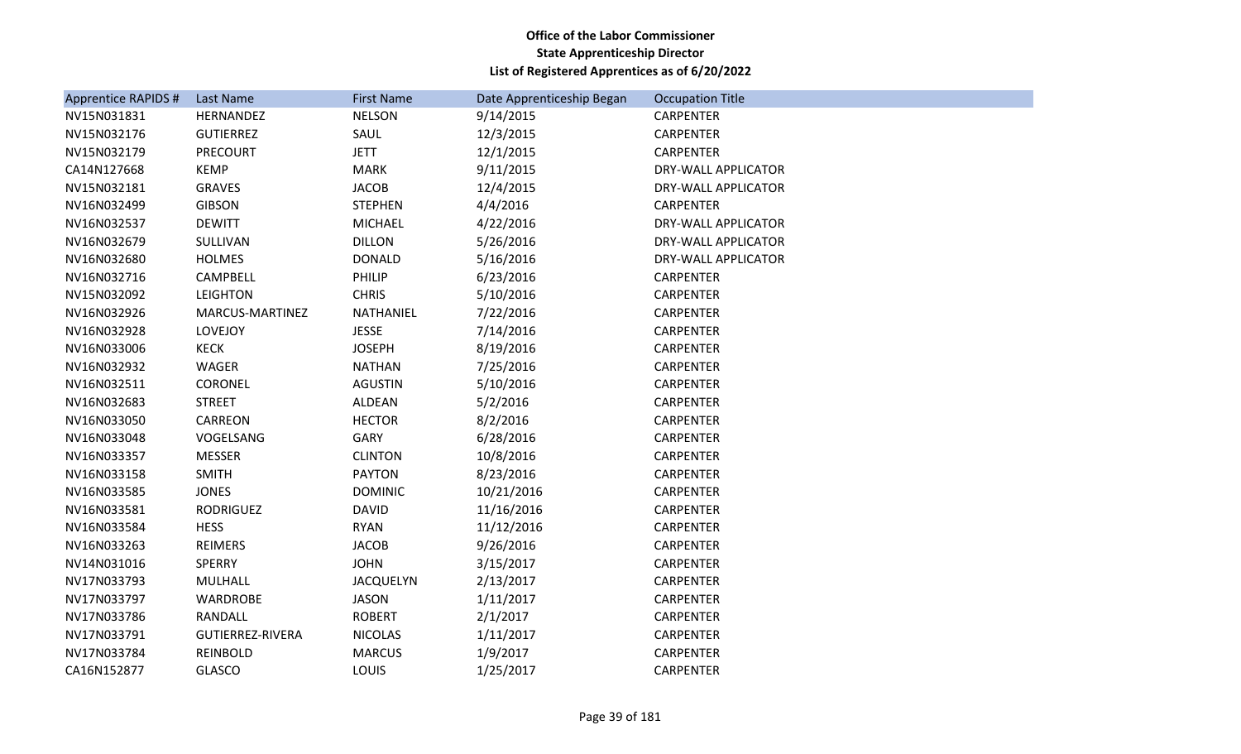| Apprentice RAPIDS # | Last Name               | <b>First Name</b> | Date Apprenticeship Began | <b>Occupation Title</b> |
|---------------------|-------------------------|-------------------|---------------------------|-------------------------|
| NV15N031831         | HERNANDEZ               | <b>NELSON</b>     | 9/14/2015                 | <b>CARPENTER</b>        |
| NV15N032176         | <b>GUTIERREZ</b>        | SAUL              | 12/3/2015                 | CARPENTER               |
| NV15N032179         | <b>PRECOURT</b>         | <b>JETT</b>       | 12/1/2015                 | <b>CARPENTER</b>        |
| CA14N127668         | <b>KEMP</b>             | <b>MARK</b>       | 9/11/2015                 | DRY-WALL APPLICATOR     |
| NV15N032181         | <b>GRAVES</b>           | <b>JACOB</b>      | 12/4/2015                 | DRY-WALL APPLICATOR     |
| NV16N032499         | <b>GIBSON</b>           | <b>STEPHEN</b>    | 4/4/2016                  | <b>CARPENTER</b>        |
| NV16N032537         | <b>DEWITT</b>           | <b>MICHAEL</b>    | 4/22/2016                 | DRY-WALL APPLICATOR     |
| NV16N032679         | SULLIVAN                | <b>DILLON</b>     | 5/26/2016                 | DRY-WALL APPLICATOR     |
| NV16N032680         | <b>HOLMES</b>           | <b>DONALD</b>     | 5/16/2016                 | DRY-WALL APPLICATOR     |
| NV16N032716         | CAMPBELL                | PHILIP            | 6/23/2016                 | <b>CARPENTER</b>        |
| NV15N032092         | <b>LEIGHTON</b>         | <b>CHRIS</b>      | 5/10/2016                 | <b>CARPENTER</b>        |
| NV16N032926         | MARCUS-MARTINEZ         | NATHANIEL         | 7/22/2016                 | CARPENTER               |
| NV16N032928         | LOVEJOY                 | <b>JESSE</b>      | 7/14/2016                 | <b>CARPENTER</b>        |
| NV16N033006         | KECK                    | <b>JOSEPH</b>     | 8/19/2016                 | <b>CARPENTER</b>        |
| NV16N032932         | <b>WAGER</b>            | <b>NATHAN</b>     | 7/25/2016                 | <b>CARPENTER</b>        |
| NV16N032511         | <b>CORONEL</b>          | <b>AGUSTIN</b>    | 5/10/2016                 | <b>CARPENTER</b>        |
| NV16N032683         | <b>STREET</b>           | ALDEAN            | 5/2/2016                  | CARPENTER               |
| NV16N033050         | CARREON                 | <b>HECTOR</b>     | 8/2/2016                  | CARPENTER               |
| NV16N033048         | VOGELSANG               | <b>GARY</b>       | 6/28/2016                 | CARPENTER               |
| NV16N033357         | <b>MESSER</b>           | <b>CLINTON</b>    | 10/8/2016                 | <b>CARPENTER</b>        |
| NV16N033158         | <b>SMITH</b>            | <b>PAYTON</b>     | 8/23/2016                 | <b>CARPENTER</b>        |
| NV16N033585         | <b>JONES</b>            | <b>DOMINIC</b>    | 10/21/2016                | <b>CARPENTER</b>        |
| NV16N033581         | <b>RODRIGUEZ</b>        | <b>DAVID</b>      | 11/16/2016                | CARPENTER               |
| NV16N033584         | <b>HESS</b>             | <b>RYAN</b>       | 11/12/2016                | <b>CARPENTER</b>        |
| NV16N033263         | <b>REIMERS</b>          | <b>JACOB</b>      | 9/26/2016                 | <b>CARPENTER</b>        |
| NV14N031016         | <b>SPERRY</b>           | <b>JOHN</b>       | 3/15/2017                 | <b>CARPENTER</b>        |
| NV17N033793         | <b>MULHALL</b>          | <b>JACQUELYN</b>  | 2/13/2017                 | <b>CARPENTER</b>        |
| NV17N033797         | WARDROBE                | <b>JASON</b>      | 1/11/2017                 | CARPENTER               |
| NV17N033786         | RANDALL                 | <b>ROBERT</b>     | 2/1/2017                  | <b>CARPENTER</b>        |
| NV17N033791         | <b>GUTIERREZ-RIVERA</b> | <b>NICOLAS</b>    | 1/11/2017                 | CARPENTER               |
| NV17N033784         | <b>REINBOLD</b>         | <b>MARCUS</b>     | 1/9/2017                  | <b>CARPENTER</b>        |
| CA16N152877         | <b>GLASCO</b>           | LOUIS             | 1/25/2017                 | <b>CARPENTER</b>        |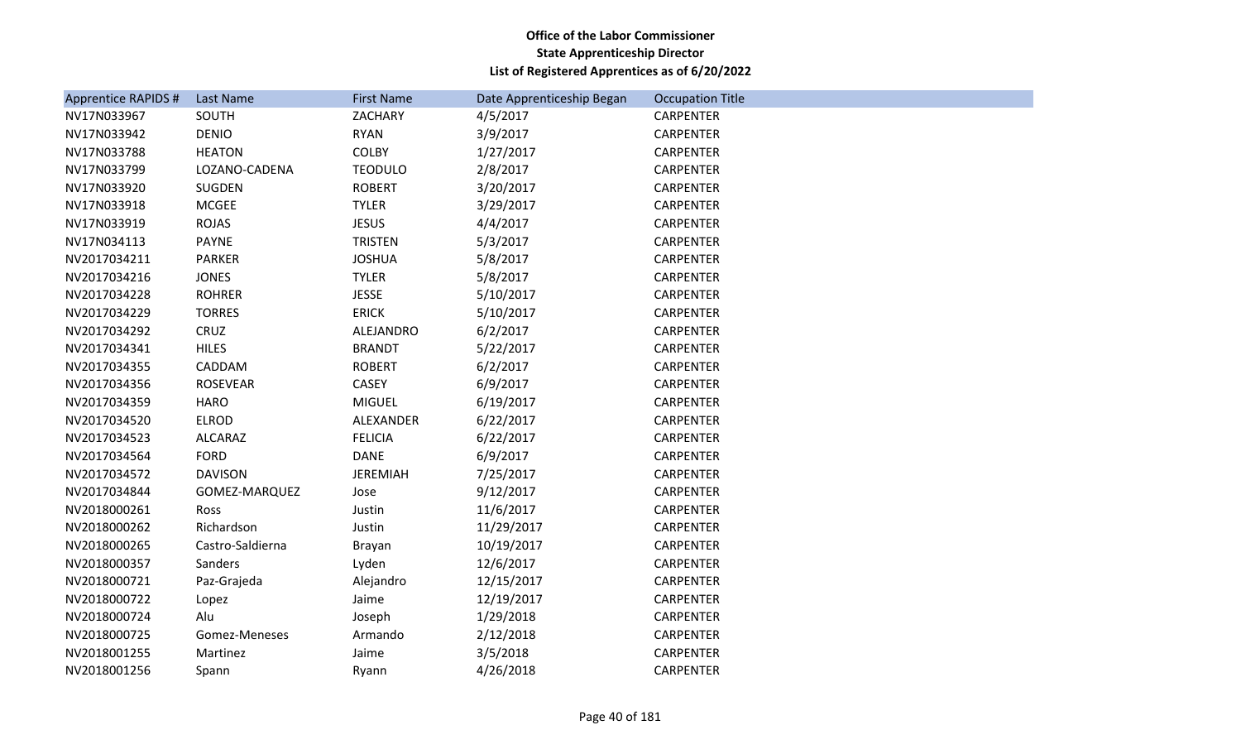| <b>Apprentice RAPIDS #</b> | Last Name        | <b>First Name</b> | Date Apprenticeship Began | <b>Occupation Title</b> |
|----------------------------|------------------|-------------------|---------------------------|-------------------------|
| NV17N033967                | SOUTH            | ZACHARY           | 4/5/2017                  | <b>CARPENTER</b>        |
| NV17N033942                | <b>DENIO</b>     | <b>RYAN</b>       | 3/9/2017                  | <b>CARPENTER</b>        |
| NV17N033788                | <b>HEATON</b>    | COLBY             | 1/27/2017                 | CARPENTER               |
| NV17N033799                | LOZANO-CADENA    | <b>TEODULO</b>    | 2/8/2017                  | <b>CARPENTER</b>        |
| NV17N033920                | SUGDEN           | <b>ROBERT</b>     | 3/20/2017                 | <b>CARPENTER</b>        |
| NV17N033918                | <b>MCGEE</b>     | <b>TYLER</b>      | 3/29/2017                 | <b>CARPENTER</b>        |
| NV17N033919                | <b>ROJAS</b>     | <b>JESUS</b>      | 4/4/2017                  | <b>CARPENTER</b>        |
| NV17N034113                | <b>PAYNE</b>     | <b>TRISTEN</b>    | 5/3/2017                  | <b>CARPENTER</b>        |
| NV2017034211               | <b>PARKER</b>    | <b>JOSHUA</b>     | 5/8/2017                  | <b>CARPENTER</b>        |
| NV2017034216               | <b>JONES</b>     | <b>TYLER</b>      | 5/8/2017                  | <b>CARPENTER</b>        |
| NV2017034228               | <b>ROHRER</b>    | <b>JESSE</b>      | 5/10/2017                 | <b>CARPENTER</b>        |
| NV2017034229               | <b>TORRES</b>    | <b>ERICK</b>      | 5/10/2017                 | <b>CARPENTER</b>        |
| NV2017034292               | CRUZ             | ALEJANDRO         | 6/2/2017                  | <b>CARPENTER</b>        |
| NV2017034341               | <b>HILES</b>     | <b>BRANDT</b>     | 5/22/2017                 | <b>CARPENTER</b>        |
| NV2017034355               | CADDAM           | <b>ROBERT</b>     | 6/2/2017                  | <b>CARPENTER</b>        |
| NV2017034356               | <b>ROSEVEAR</b>  | CASEY             | 6/9/2017                  | <b>CARPENTER</b>        |
| NV2017034359               | <b>HARO</b>      | <b>MIGUEL</b>     | 6/19/2017                 | <b>CARPENTER</b>        |
| NV2017034520               | <b>ELROD</b>     | ALEXANDER         | 6/22/2017                 | <b>CARPENTER</b>        |
| NV2017034523               | <b>ALCARAZ</b>   | <b>FELICIA</b>    | 6/22/2017                 | <b>CARPENTER</b>        |
| NV2017034564               | <b>FORD</b>      | <b>DANE</b>       | 6/9/2017                  | <b>CARPENTER</b>        |
| NV2017034572               | <b>DAVISON</b>   | <b>JEREMIAH</b>   | 7/25/2017                 | <b>CARPENTER</b>        |
| NV2017034844               | GOMEZ-MARQUEZ    | Jose              | 9/12/2017                 | <b>CARPENTER</b>        |
| NV2018000261               | Ross             | Justin            | 11/6/2017                 | <b>CARPENTER</b>        |
| NV2018000262               | Richardson       | Justin            | 11/29/2017                | <b>CARPENTER</b>        |
| NV2018000265               | Castro-Saldierna | Brayan            | 10/19/2017                | CARPENTER               |
| NV2018000357               | Sanders          | Lyden             | 12/6/2017                 | CARPENTER               |
| NV2018000721               | Paz-Grajeda      | Alejandro         | 12/15/2017                | <b>CARPENTER</b>        |
| NV2018000722               | Lopez            | Jaime             | 12/19/2017                | CARPENTER               |
| NV2018000724               | Alu              | Joseph            | 1/29/2018                 | <b>CARPENTER</b>        |
| NV2018000725               | Gomez-Meneses    | Armando           | 2/12/2018                 | CARPENTER               |
| NV2018001255               | Martinez         | Jaime             | 3/5/2018                  | CARPENTER               |
| NV2018001256               | Spann            | Ryann             | 4/26/2018                 | <b>CARPENTER</b>        |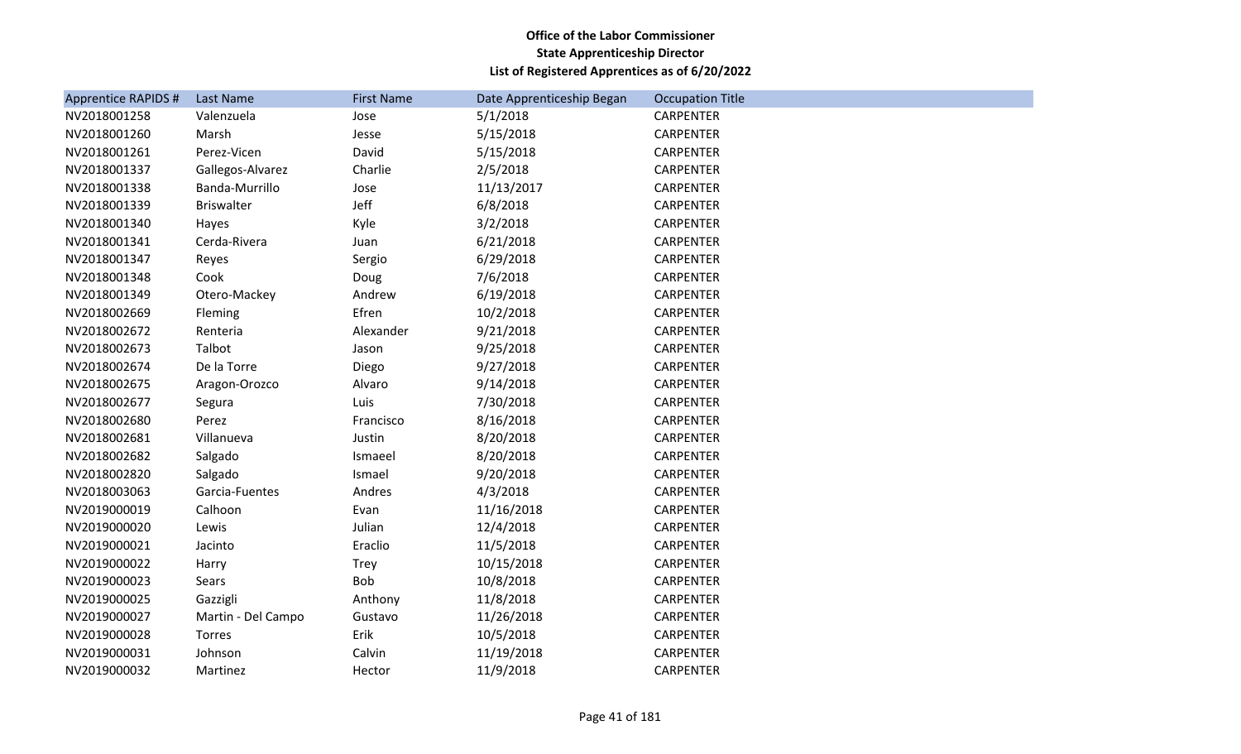| <b>Apprentice RAPIDS #</b> | Last Name          | <b>First Name</b> | Date Apprenticeship Began | <b>Occupation Title</b> |
|----------------------------|--------------------|-------------------|---------------------------|-------------------------|
| NV2018001258               | Valenzuela         | Jose              | 5/1/2018                  | <b>CARPENTER</b>        |
| NV2018001260               | Marsh              | Jesse             | 5/15/2018                 | <b>CARPENTER</b>        |
| NV2018001261               | Perez-Vicen        | David             | 5/15/2018                 | <b>CARPENTER</b>        |
| NV2018001337               | Gallegos-Alvarez   | Charlie           | 2/5/2018                  | <b>CARPENTER</b>        |
| NV2018001338               | Banda-Murrillo     | Jose              | 11/13/2017                | CARPENTER               |
| NV2018001339               | <b>Briswalter</b>  | Jeff              | 6/8/2018                  | <b>CARPENTER</b>        |
| NV2018001340               | Hayes              | Kyle              | 3/2/2018                  | <b>CARPENTER</b>        |
| NV2018001341               | Cerda-Rivera       | Juan              | 6/21/2018                 | CARPENTER               |
| NV2018001347               | Reyes              | Sergio            | 6/29/2018                 | <b>CARPENTER</b>        |
| NV2018001348               | Cook               | Doug              | 7/6/2018                  | CARPENTER               |
| NV2018001349               | Otero-Mackey       | Andrew            | 6/19/2018                 | <b>CARPENTER</b>        |
| NV2018002669               | Fleming            | Efren             | 10/2/2018                 | <b>CARPENTER</b>        |
| NV2018002672               | Renteria           | Alexander         | 9/21/2018                 | CARPENTER               |
| NV2018002673               | Talbot             | Jason             | 9/25/2018                 | <b>CARPENTER</b>        |
| NV2018002674               | De la Torre        | Diego             | 9/27/2018                 | CARPENTER               |
| NV2018002675               | Aragon-Orozco      | Alvaro            | 9/14/2018                 | <b>CARPENTER</b>        |
| NV2018002677               | Segura             | Luis              | 7/30/2018                 | <b>CARPENTER</b>        |
| NV2018002680               | Perez              | Francisco         | 8/16/2018                 | CARPENTER               |
| NV2018002681               | Villanueva         | Justin            | 8/20/2018                 | <b>CARPENTER</b>        |
| NV2018002682               | Salgado            | Ismaeel           | 8/20/2018                 | <b>CARPENTER</b>        |
| NV2018002820               | Salgado            | Ismael            | 9/20/2018                 | <b>CARPENTER</b>        |
| NV2018003063               | Garcia-Fuentes     | Andres            | 4/3/2018                  | <b>CARPENTER</b>        |
| NV2019000019               | Calhoon            | Evan              | 11/16/2018                | CARPENTER               |
| NV2019000020               | Lewis              | Julian            | 12/4/2018                 | <b>CARPENTER</b>        |
| NV2019000021               | Jacinto            | Eraclio           | 11/5/2018                 | <b>CARPENTER</b>        |
| NV2019000022               | Harry              | Trey              | 10/15/2018                | CARPENTER               |
| NV2019000023               | Sears              | Bob               | 10/8/2018                 | <b>CARPENTER</b>        |
| NV2019000025               | Gazzigli           | Anthony           | 11/8/2018                 | <b>CARPENTER</b>        |
| NV2019000027               | Martin - Del Campo | Gustavo           | 11/26/2018                | CARPENTER               |
| NV2019000028               | Torres             | Erik              | 10/5/2018                 | <b>CARPENTER</b>        |
| NV2019000031               | Johnson            | Calvin            | 11/19/2018                | <b>CARPENTER</b>        |
| NV2019000032               | Martinez           | Hector            | 11/9/2018                 | <b>CARPENTER</b>        |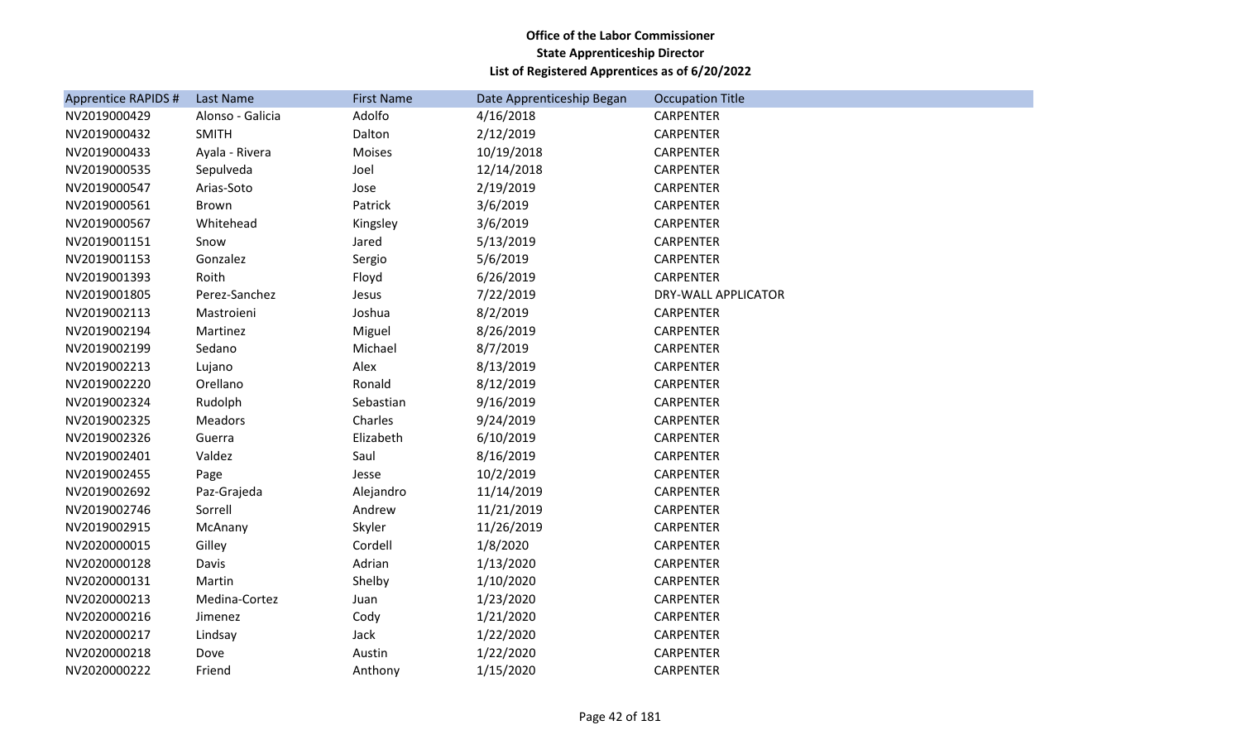| <b>Apprentice RAPIDS #</b> | Last Name        | <b>First Name</b> | Date Apprenticeship Began | <b>Occupation Title</b> |
|----------------------------|------------------|-------------------|---------------------------|-------------------------|
| NV2019000429               | Alonso - Galicia | Adolfo            | 4/16/2018                 | CARPENTER               |
| NV2019000432               | <b>SMITH</b>     | Dalton            | 2/12/2019                 | CARPENTER               |
| NV2019000433               | Ayala - Rivera   | Moises            | 10/19/2018                | <b>CARPENTER</b>        |
| NV2019000535               | Sepulveda        | Joel              | 12/14/2018                | CARPENTER               |
| NV2019000547               | Arias-Soto       | Jose              | 2/19/2019                 | CARPENTER               |
| NV2019000561               | Brown            | Patrick           | 3/6/2019                  | <b>CARPENTER</b>        |
| NV2019000567               | Whitehead        | Kingsley          | 3/6/2019                  | <b>CARPENTER</b>        |
| NV2019001151               | Snow             | Jared             | 5/13/2019                 | CARPENTER               |
| NV2019001153               | Gonzalez         | Sergio            | 5/6/2019                  | <b>CARPENTER</b>        |
| NV2019001393               | Roith            | Floyd             | 6/26/2019                 | <b>CARPENTER</b>        |
| NV2019001805               | Perez-Sanchez    | Jesus             | 7/22/2019                 | DRY-WALL APPLICATOR     |
| NV2019002113               | Mastroieni       | Joshua            | 8/2/2019                  | CARPENTER               |
| NV2019002194               | Martinez         | Miguel            | 8/26/2019                 | <b>CARPENTER</b>        |
| NV2019002199               | Sedano           | Michael           | 8/7/2019                  | <b>CARPENTER</b>        |
| NV2019002213               | Lujano           | Alex              | 8/13/2019                 | <b>CARPENTER</b>        |
| NV2019002220               | Orellano         | Ronald            | 8/12/2019                 | <b>CARPENTER</b>        |
| NV2019002324               | Rudolph          | Sebastian         | 9/16/2019                 | <b>CARPENTER</b>        |
| NV2019002325               | <b>Meadors</b>   | Charles           | 9/24/2019                 | <b>CARPENTER</b>        |
| NV2019002326               | Guerra           | Elizabeth         | 6/10/2019                 | CARPENTER               |
| NV2019002401               | Valdez           | Saul              | 8/16/2019                 | <b>CARPENTER</b>        |
| NV2019002455               | Page             | Jesse             | 10/2/2019                 | <b>CARPENTER</b>        |
| NV2019002692               | Paz-Grajeda      | Alejandro         | 11/14/2019                | <b>CARPENTER</b>        |
| NV2019002746               | Sorrell          | Andrew            | 11/21/2019                | CARPENTER               |
| NV2019002915               | McAnany          | Skyler            | 11/26/2019                | <b>CARPENTER</b>        |
| NV2020000015               | Gilley           | Cordell           | 1/8/2020                  | CARPENTER               |
| NV2020000128               | Davis            | Adrian            | 1/13/2020                 | CARPENTER               |
| NV2020000131               | Martin           | Shelby            | 1/10/2020                 | <b>CARPENTER</b>        |
| NV2020000213               | Medina-Cortez    | Juan              | 1/23/2020                 | <b>CARPENTER</b>        |
| NV2020000216               | Jimenez          | Cody              | 1/21/2020                 | <b>CARPENTER</b>        |
| NV2020000217               | Lindsay          | Jack              | 1/22/2020                 | CARPENTER               |
| NV2020000218               | Dove             | Austin            | 1/22/2020                 | <b>CARPENTER</b>        |
| NV2020000222               | Friend           | Anthony           | 1/15/2020                 | <b>CARPENTER</b>        |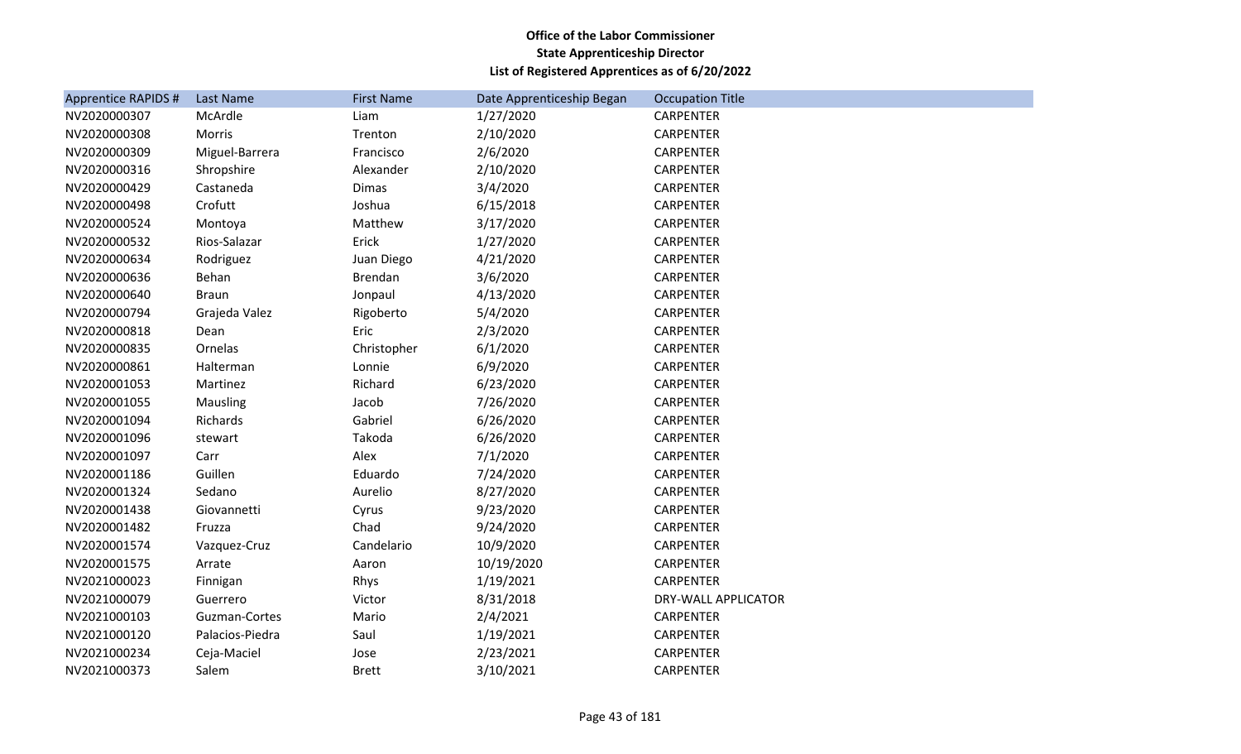| Apprentice RAPIDS # | Last Name       | <b>First Name</b> | Date Apprenticeship Began | <b>Occupation Title</b>    |
|---------------------|-----------------|-------------------|---------------------------|----------------------------|
| NV2020000307        | McArdle         | Liam              | 1/27/2020                 | <b>CARPENTER</b>           |
| NV2020000308        | Morris          | Trenton           | 2/10/2020                 | <b>CARPENTER</b>           |
| NV2020000309        | Miguel-Barrera  | Francisco         | 2/6/2020                  | <b>CARPENTER</b>           |
| NV2020000316        | Shropshire      | Alexander         | 2/10/2020                 | <b>CARPENTER</b>           |
| NV2020000429        | Castaneda       | Dimas             | 3/4/2020                  | CARPENTER                  |
| NV2020000498        | Crofutt         | Joshua            | 6/15/2018                 | <b>CARPENTER</b>           |
| NV2020000524        | Montoya         | Matthew           | 3/17/2020                 | <b>CARPENTER</b>           |
| NV2020000532        | Rios-Salazar    | Erick             | 1/27/2020                 | <b>CARPENTER</b>           |
| NV2020000634        | Rodriguez       | Juan Diego        | 4/21/2020                 | <b>CARPENTER</b>           |
| NV2020000636        | Behan           | <b>Brendan</b>    | 3/6/2020                  | <b>CARPENTER</b>           |
| NV2020000640        | <b>Braun</b>    | Jonpaul           | 4/13/2020                 | <b>CARPENTER</b>           |
| NV2020000794        | Grajeda Valez   | Rigoberto         | 5/4/2020                  | <b>CARPENTER</b>           |
| NV2020000818        | Dean            | Eric              | 2/3/2020                  | <b>CARPENTER</b>           |
| NV2020000835        | Ornelas         | Christopher       | 6/1/2020                  | <b>CARPENTER</b>           |
| NV2020000861        | Halterman       | Lonnie            | 6/9/2020                  | <b>CARPENTER</b>           |
| NV2020001053        | Martinez        | Richard           | 6/23/2020                 | <b>CARPENTER</b>           |
| NV2020001055        | Mausling        | Jacob             | 7/26/2020                 | <b>CARPENTER</b>           |
| NV2020001094        | Richards        | Gabriel           | 6/26/2020                 | <b>CARPENTER</b>           |
| NV2020001096        | stewart         | Takoda            | 6/26/2020                 | <b>CARPENTER</b>           |
| NV2020001097        | Carr            | Alex              | 7/1/2020                  | <b>CARPENTER</b>           |
| NV2020001186        | Guillen         | Eduardo           | 7/24/2020                 | <b>CARPENTER</b>           |
| NV2020001324        | Sedano          | Aurelio           | 8/27/2020                 | <b>CARPENTER</b>           |
| NV2020001438        | Giovannetti     | Cyrus             | 9/23/2020                 | <b>CARPENTER</b>           |
| NV2020001482        | Fruzza          | Chad              | 9/24/2020                 | <b>CARPENTER</b>           |
| NV2020001574        | Vazquez-Cruz    | Candelario        | 10/9/2020                 | <b>CARPENTER</b>           |
| NV2020001575        | Arrate          | Aaron             | 10/19/2020                | <b>CARPENTER</b>           |
| NV2021000023        | Finnigan        | Rhys              | 1/19/2021                 | <b>CARPENTER</b>           |
| NV2021000079        | Guerrero        | Victor            | 8/31/2018                 | <b>DRY-WALL APPLICATOR</b> |
| NV2021000103        | Guzman-Cortes   | Mario             | 2/4/2021                  | CARPENTER                  |
| NV2021000120        | Palacios-Piedra | Saul              | 1/19/2021                 | <b>CARPENTER</b>           |
| NV2021000234        | Ceja-Maciel     | Jose              | 2/23/2021                 | <b>CARPENTER</b>           |
| NV2021000373        | Salem           | <b>Brett</b>      | 3/10/2021                 | <b>CARPENTER</b>           |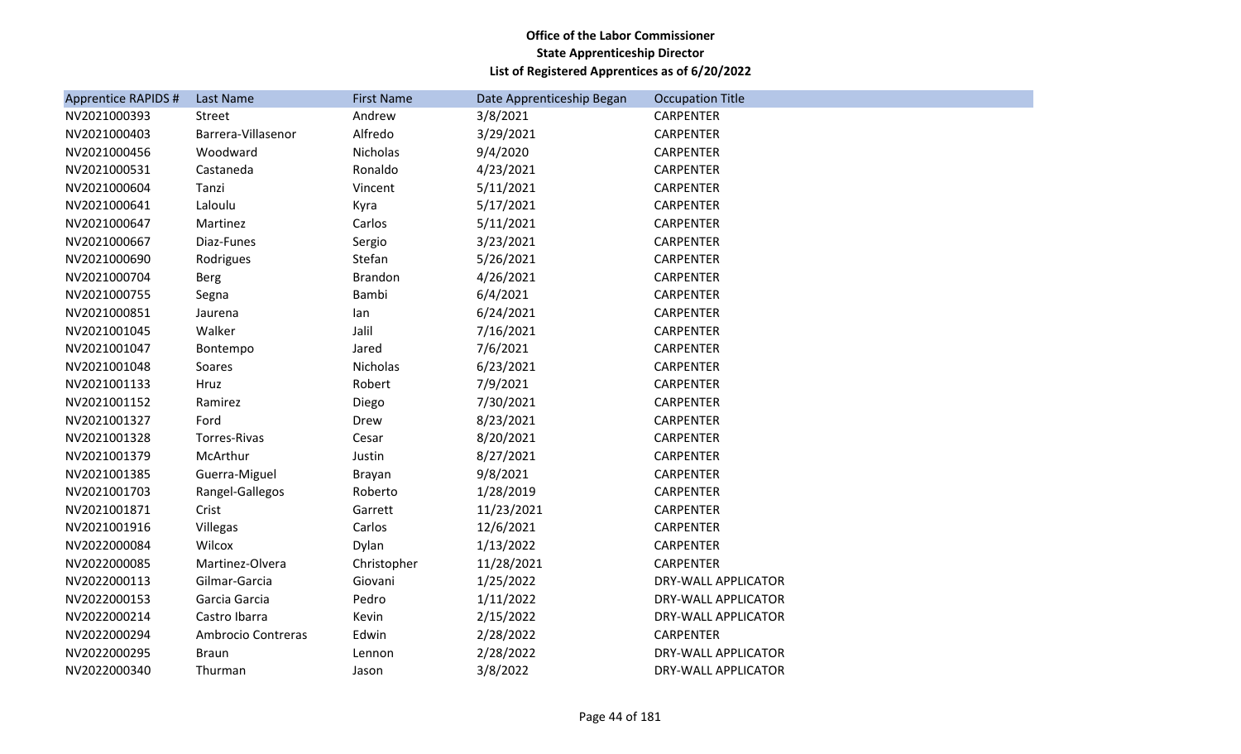| <b>Apprentice RAPIDS #</b> | Last Name          | <b>First Name</b> | Date Apprenticeship Began | <b>Occupation Title</b>    |
|----------------------------|--------------------|-------------------|---------------------------|----------------------------|
| NV2021000393               | Street             | Andrew            | 3/8/2021                  | <b>CARPENTER</b>           |
| NV2021000403               | Barrera-Villasenor | Alfredo           | 3/29/2021                 | <b>CARPENTER</b>           |
| NV2021000456               | Woodward           | Nicholas          | 9/4/2020                  | <b>CARPENTER</b>           |
| NV2021000531               | Castaneda          | Ronaldo           | 4/23/2021                 | <b>CARPENTER</b>           |
| NV2021000604               | Tanzi              | Vincent           | 5/11/2021                 | <b>CARPENTER</b>           |
| NV2021000641               | Laloulu            | Kyra              | 5/17/2021                 | CARPENTER                  |
| NV2021000647               | Martinez           | Carlos            | 5/11/2021                 | <b>CARPENTER</b>           |
| NV2021000667               | Diaz-Funes         | Sergio            | 3/23/2021                 | <b>CARPENTER</b>           |
| NV2021000690               | Rodrigues          | Stefan            | 5/26/2021                 | <b>CARPENTER</b>           |
| NV2021000704               | <b>Berg</b>        | Brandon           | 4/26/2021                 | <b>CARPENTER</b>           |
| NV2021000755               | Segna              | Bambi             | 6/4/2021                  | CARPENTER                  |
| NV2021000851               | Jaurena            | lan               | 6/24/2021                 | <b>CARPENTER</b>           |
| NV2021001045               | Walker             | Jalil             | 7/16/2021                 | <b>CARPENTER</b>           |
| NV2021001047               | Bontempo           | Jared             | 7/6/2021                  | <b>CARPENTER</b>           |
| NV2021001048               | Soares             | Nicholas          | 6/23/2021                 | <b>CARPENTER</b>           |
| NV2021001133               | Hruz               | Robert            | 7/9/2021                  | CARPENTER                  |
| NV2021001152               | Ramirez            | Diego             | 7/30/2021                 | <b>CARPENTER</b>           |
| NV2021001327               | Ford               | Drew              | 8/23/2021                 | CARPENTER                  |
| NV2021001328               | Torres-Rivas       | Cesar             | 8/20/2021                 | <b>CARPENTER</b>           |
| NV2021001379               | McArthur           | Justin            | 8/27/2021                 | <b>CARPENTER</b>           |
| NV2021001385               | Guerra-Miguel      | Brayan            | 9/8/2021                  | <b>CARPENTER</b>           |
| NV2021001703               | Rangel-Gallegos    | Roberto           | 1/28/2019                 | <b>CARPENTER</b>           |
| NV2021001871               | Crist              | Garrett           | 11/23/2021                | <b>CARPENTER</b>           |
| NV2021001916               | Villegas           | Carlos            | 12/6/2021                 | <b>CARPENTER</b>           |
| NV2022000084               | Wilcox             | Dylan             | 1/13/2022                 | <b>CARPENTER</b>           |
| NV2022000085               | Martinez-Olvera    | Christopher       | 11/28/2021                | <b>CARPENTER</b>           |
| NV2022000113               | Gilmar-Garcia      | Giovani           | 1/25/2022                 | DRY-WALL APPLICATOR        |
| NV2022000153               | Garcia Garcia      | Pedro             | 1/11/2022                 | DRY-WALL APPLICATOR        |
| NV2022000214               | Castro Ibarra      | Kevin             | 2/15/2022                 | DRY-WALL APPLICATOR        |
| NV2022000294               | Ambrocio Contreras | Edwin             | 2/28/2022                 | <b>CARPENTER</b>           |
| NV2022000295               | <b>Braun</b>       | Lennon            | 2/28/2022                 | <b>DRY-WALL APPLICATOR</b> |
| NV2022000340               | Thurman            | Jason             | 3/8/2022                  | DRY-WALL APPLICATOR        |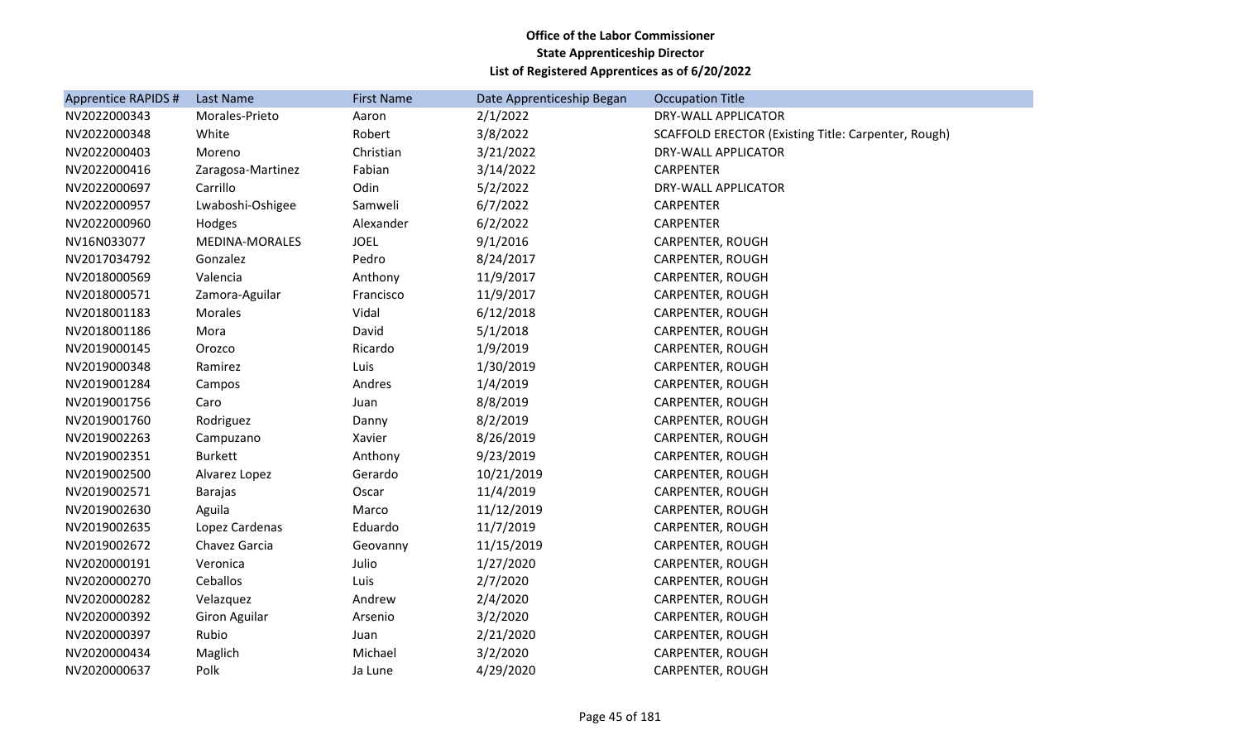| <b>Apprentice RAPIDS #</b> | Last Name             | <b>First Name</b> | Date Apprenticeship Began | <b>Occupation Title</b>                             |
|----------------------------|-----------------------|-------------------|---------------------------|-----------------------------------------------------|
| NV2022000343               | Morales-Prieto        | Aaron             | 2/1/2022                  | <b>DRY-WALL APPLICATOR</b>                          |
| NV2022000348               | White                 | Robert            | 3/8/2022                  | SCAFFOLD ERECTOR (Existing Title: Carpenter, Rough) |
| NV2022000403               | Moreno                | Christian         | 3/21/2022                 | DRY-WALL APPLICATOR                                 |
| NV2022000416               | Zaragosa-Martinez     | Fabian            | 3/14/2022                 | <b>CARPENTER</b>                                    |
| NV2022000697               | Carrillo              | Odin              | 5/2/2022                  | DRY-WALL APPLICATOR                                 |
| NV2022000957               | Lwaboshi-Oshigee      | Samweli           | 6/7/2022                  | <b>CARPENTER</b>                                    |
| NV2022000960               | Hodges                | Alexander         | 6/2/2022                  | <b>CARPENTER</b>                                    |
| NV16N033077                | <b>MEDINA-MORALES</b> | <b>JOEL</b>       | 9/1/2016                  | CARPENTER, ROUGH                                    |
| NV2017034792               | Gonzalez              | Pedro             | 8/24/2017                 | CARPENTER, ROUGH                                    |
| NV2018000569               | Valencia              | Anthony           | 11/9/2017                 | CARPENTER, ROUGH                                    |
| NV2018000571               | Zamora-Aguilar        | Francisco         | 11/9/2017                 | CARPENTER, ROUGH                                    |
| NV2018001183               | <b>Morales</b>        | Vidal             | 6/12/2018                 | CARPENTER, ROUGH                                    |
| NV2018001186               | Mora                  | David             | 5/1/2018                  | CARPENTER, ROUGH                                    |
| NV2019000145               | Orozco                | Ricardo           | 1/9/2019                  | CARPENTER, ROUGH                                    |
| NV2019000348               | Ramirez               | Luis              | 1/30/2019                 | CARPENTER, ROUGH                                    |
| NV2019001284               | Campos                | Andres            | 1/4/2019                  | CARPENTER, ROUGH                                    |
| NV2019001756               | Caro                  | Juan              | 8/8/2019                  | CARPENTER, ROUGH                                    |
| NV2019001760               | Rodriguez             | Danny             | 8/2/2019                  | CARPENTER, ROUGH                                    |
| NV2019002263               | Campuzano             | Xavier            | 8/26/2019                 | CARPENTER, ROUGH                                    |
| NV2019002351               | <b>Burkett</b>        | Anthony           | 9/23/2019                 | CARPENTER, ROUGH                                    |
| NV2019002500               | Alvarez Lopez         | Gerardo           | 10/21/2019                | CARPENTER, ROUGH                                    |
| NV2019002571               | <b>Barajas</b>        | Oscar             | 11/4/2019                 | CARPENTER, ROUGH                                    |
| NV2019002630               | Aguila                | Marco             | 11/12/2019                | CARPENTER, ROUGH                                    |
| NV2019002635               | Lopez Cardenas        | Eduardo           | 11/7/2019                 | CARPENTER, ROUGH                                    |
| NV2019002672               | Chavez Garcia         | Geovanny          | 11/15/2019                | CARPENTER, ROUGH                                    |
| NV2020000191               | Veronica              | Julio             | 1/27/2020                 | CARPENTER, ROUGH                                    |
| NV2020000270               | Ceballos              | Luis              | 2/7/2020                  | CARPENTER, ROUGH                                    |
| NV2020000282               | Velazquez             | Andrew            | 2/4/2020                  | CARPENTER, ROUGH                                    |
| NV2020000392               | <b>Giron Aguilar</b>  | Arsenio           | 3/2/2020                  | CARPENTER, ROUGH                                    |
| NV2020000397               | Rubio                 | Juan              | 2/21/2020                 | CARPENTER, ROUGH                                    |
| NV2020000434               | Maglich               | Michael           | 3/2/2020                  | CARPENTER, ROUGH                                    |
| NV2020000637               | Polk                  | Ja Lune           | 4/29/2020                 | CARPENTER, ROUGH                                    |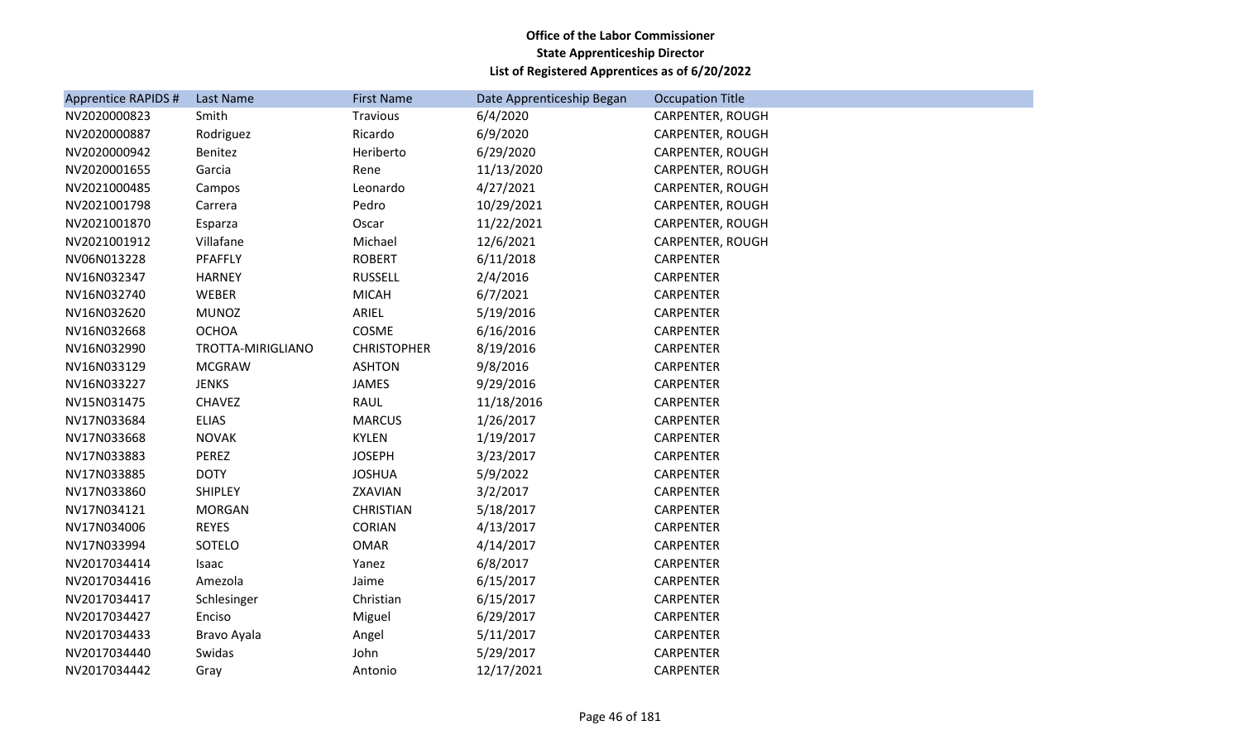| Apprentice RAPIDS # | Last Name         | <b>First Name</b>  | Date Apprenticeship Began | <b>Occupation Title</b> |
|---------------------|-------------------|--------------------|---------------------------|-------------------------|
| NV2020000823        | Smith             | Travious           | 6/4/2020                  | CARPENTER, ROUGH        |
| NV2020000887        | Rodriguez         | Ricardo            | 6/9/2020                  | CARPENTER, ROUGH        |
| NV2020000942        | Benitez           | Heriberto          | 6/29/2020                 | CARPENTER, ROUGH        |
| NV2020001655        | Garcia            | Rene               | 11/13/2020                | CARPENTER, ROUGH        |
| NV2021000485        | Campos            | Leonardo           | 4/27/2021                 | CARPENTER, ROUGH        |
| NV2021001798        | Carrera           | Pedro              | 10/29/2021                | <b>CARPENTER, ROUGH</b> |
| NV2021001870        | Esparza           | Oscar              | 11/22/2021                | CARPENTER, ROUGH        |
| NV2021001912        | Villafane         | Michael            | 12/6/2021                 | CARPENTER, ROUGH        |
| NV06N013228         | PFAFFLY           | <b>ROBERT</b>      | 6/11/2018                 | CARPENTER               |
| NV16N032347         | <b>HARNEY</b>     | <b>RUSSELL</b>     | 2/4/2016                  | <b>CARPENTER</b>        |
| NV16N032740         | WEBER             | <b>MICAH</b>       | 6/7/2021                  | <b>CARPENTER</b>        |
| NV16N032620         | <b>MUNOZ</b>      | ARIEL              | 5/19/2016                 | CARPENTER               |
| NV16N032668         | <b>OCHOA</b>      | COSME              | 6/16/2016                 | <b>CARPENTER</b>        |
| NV16N032990         | TROTTA-MIRIGLIANO | <b>CHRISTOPHER</b> | 8/19/2016                 | CARPENTER               |
| NV16N033129         | <b>MCGRAW</b>     | <b>ASHTON</b>      | 9/8/2016                  | CARPENTER               |
| NV16N033227         | <b>JENKS</b>      | <b>JAMES</b>       | 9/29/2016                 | CARPENTER               |
| NV15N031475         | <b>CHAVEZ</b>     | RAUL               | 11/18/2016                | <b>CARPENTER</b>        |
| NV17N033684         | <b>ELIAS</b>      | <b>MARCUS</b>      | 1/26/2017                 | <b>CARPENTER</b>        |
| NV17N033668         | <b>NOVAK</b>      | <b>KYLEN</b>       | 1/19/2017                 | <b>CARPENTER</b>        |
| NV17N033883         | PEREZ             | <b>JOSEPH</b>      | 3/23/2017                 | CARPENTER               |
| NV17N033885         | <b>DOTY</b>       | <b>JOSHUA</b>      | 5/9/2022                  | <b>CARPENTER</b>        |
| NV17N033860         | <b>SHIPLEY</b>    | ZXAVIAN            | 3/2/2017                  | CARPENTER               |
| NV17N034121         | <b>MORGAN</b>     | <b>CHRISTIAN</b>   | 5/18/2017                 | <b>CARPENTER</b>        |
| NV17N034006         | <b>REYES</b>      | <b>CORIAN</b>      | 4/13/2017                 | CARPENTER               |
| NV17N033994         | SOTELO            | <b>OMAR</b>        | 4/14/2017                 | <b>CARPENTER</b>        |
| NV2017034414        | Isaac             | Yanez              | 6/8/2017                  | <b>CARPENTER</b>        |
| NV2017034416        | Amezola           | Jaime              | 6/15/2017                 | CARPENTER               |
| NV2017034417        | Schlesinger       | Christian          | 6/15/2017                 | <b>CARPENTER</b>        |
| NV2017034427        | Enciso            | Miguel             | 6/29/2017                 | CARPENTER               |
| NV2017034433        | Bravo Ayala       | Angel              | 5/11/2017                 | CARPENTER               |
| NV2017034440        | Swidas            | John               | 5/29/2017                 | CARPENTER               |
| NV2017034442        | Gray              | Antonio            | 12/17/2021                | <b>CARPENTER</b>        |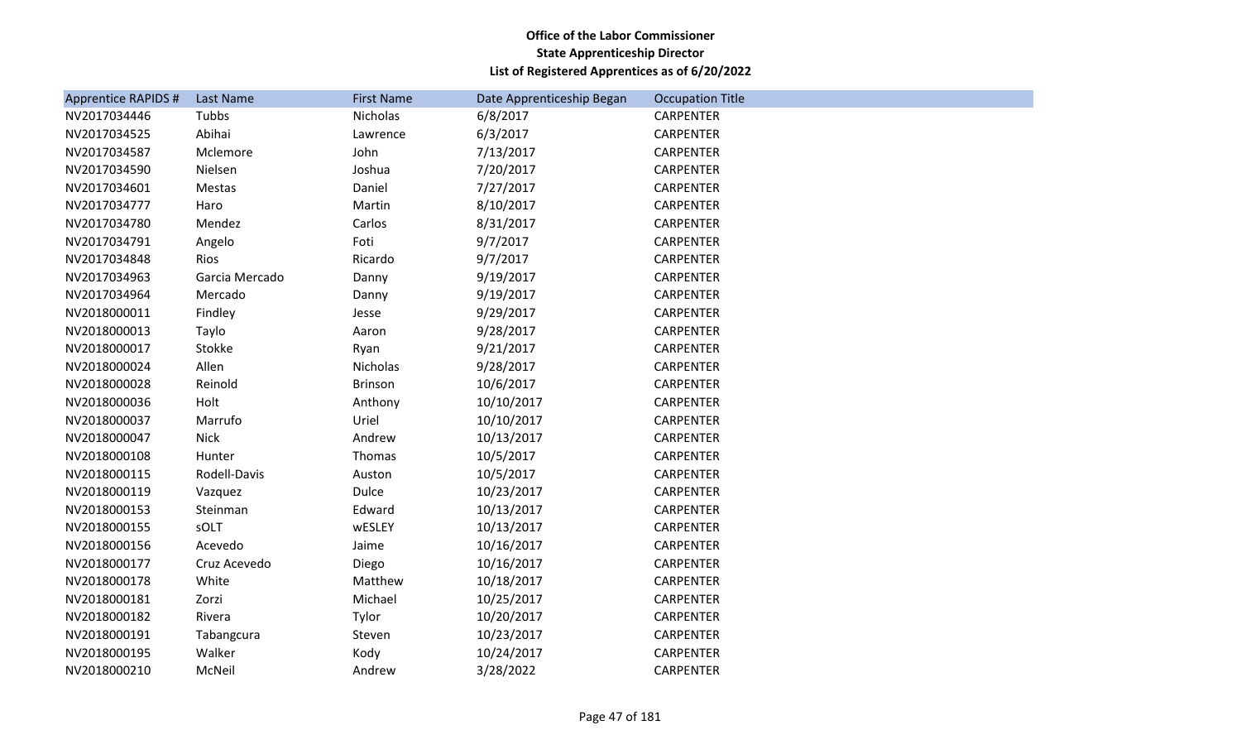| <b>Apprentice RAPIDS #</b> | Last Name      | <b>First Name</b> | Date Apprenticeship Began | <b>Occupation Title</b> |
|----------------------------|----------------|-------------------|---------------------------|-------------------------|
| NV2017034446               | Tubbs          | Nicholas          | 6/8/2017                  | <b>CARPENTER</b>        |
| NV2017034525               | Abihai         | Lawrence          | 6/3/2017                  | <b>CARPENTER</b>        |
| NV2017034587               | Mclemore       | John              | 7/13/2017                 | <b>CARPENTER</b>        |
| NV2017034590               | Nielsen        | Joshua            | 7/20/2017                 | <b>CARPENTER</b>        |
| NV2017034601               | Mestas         | Daniel            | 7/27/2017                 | <b>CARPENTER</b>        |
| NV2017034777               | Haro           | Martin            | 8/10/2017                 | CARPENTER               |
| NV2017034780               | Mendez         | Carlos            | 8/31/2017                 | <b>CARPENTER</b>        |
| NV2017034791               | Angelo         | Foti              | 9/7/2017                  | CARPENTER               |
| NV2017034848               | Rios           | Ricardo           | 9/7/2017                  | <b>CARPENTER</b>        |
| NV2017034963               | Garcia Mercado | Danny             | 9/19/2017                 | <b>CARPENTER</b>        |
| NV2017034964               | Mercado        | Danny             | 9/19/2017                 | <b>CARPENTER</b>        |
| NV2018000011               | Findley        | Jesse             | 9/29/2017                 | <b>CARPENTER</b>        |
| NV2018000013               | Taylo          | Aaron             | 9/28/2017                 | <b>CARPENTER</b>        |
| NV2018000017               | Stokke         | Ryan              | 9/21/2017                 | <b>CARPENTER</b>        |
| NV2018000024               | Allen          | Nicholas          | 9/28/2017                 | <b>CARPENTER</b>        |
| NV2018000028               | Reinold        | Brinson           | 10/6/2017                 | <b>CARPENTER</b>        |
| NV2018000036               | Holt           | Anthony           | 10/10/2017                | <b>CARPENTER</b>        |
| NV2018000037               | Marrufo        | Uriel             | 10/10/2017                | CARPENTER               |
| NV2018000047               | <b>Nick</b>    | Andrew            | 10/13/2017                | <b>CARPENTER</b>        |
| NV2018000108               | Hunter         | Thomas            | 10/5/2017                 | CARPENTER               |
| NV2018000115               | Rodell-Davis   | Auston            | 10/5/2017                 | <b>CARPENTER</b>        |
| NV2018000119               | Vazquez        | <b>Dulce</b>      | 10/23/2017                | <b>CARPENTER</b>        |
| NV2018000153               | Steinman       | Edward            | 10/13/2017                | <b>CARPENTER</b>        |
| NV2018000155               | sOLT           | wESLEY            | 10/13/2017                | <b>CARPENTER</b>        |
| NV2018000156               | Acevedo        | Jaime             | 10/16/2017                | <b>CARPENTER</b>        |
| NV2018000177               | Cruz Acevedo   | Diego             | 10/16/2017                | <b>CARPENTER</b>        |
| NV2018000178               | White          | Matthew           | 10/18/2017                | <b>CARPENTER</b>        |
| NV2018000181               | Zorzi          | Michael           | 10/25/2017                | <b>CARPENTER</b>        |
| NV2018000182               | Rivera         | Tylor             | 10/20/2017                | <b>CARPENTER</b>        |
| NV2018000191               | Tabangcura     | Steven            | 10/23/2017                | <b>CARPENTER</b>        |
| NV2018000195               | Walker         | Kody              | 10/24/2017                | <b>CARPENTER</b>        |
| NV2018000210               | McNeil         | Andrew            | 3/28/2022                 | <b>CARPENTER</b>        |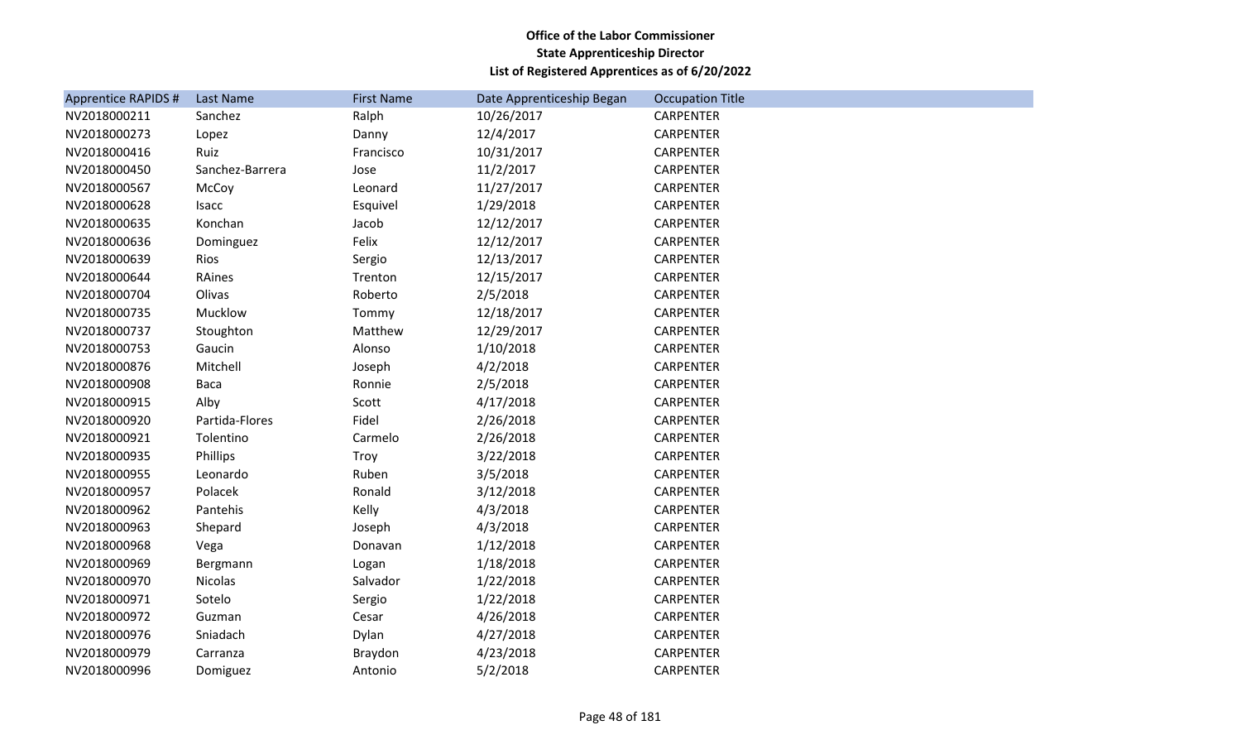| <b>Apprentice RAPIDS #</b> | Last Name       | <b>First Name</b> | Date Apprenticeship Began | <b>Occupation Title</b> |
|----------------------------|-----------------|-------------------|---------------------------|-------------------------|
| NV2018000211               | Sanchez         | Ralph             | 10/26/2017                | <b>CARPENTER</b>        |
| NV2018000273               | Lopez           | Danny             | 12/4/2017                 | <b>CARPENTER</b>        |
| NV2018000416               | Ruiz            | Francisco         | 10/31/2017                | CARPENTER               |
| NV2018000450               | Sanchez-Barrera | Jose              | 11/2/2017                 | <b>CARPENTER</b>        |
| NV2018000567               | McCoy           | Leonard           | 11/27/2017                | <b>CARPENTER</b>        |
| NV2018000628               | Isacc           | Esquivel          | 1/29/2018                 | <b>CARPENTER</b>        |
| NV2018000635               | Konchan         | Jacob             | 12/12/2017                | <b>CARPENTER</b>        |
| NV2018000636               | Dominguez       | Felix             | 12/12/2017                | CARPENTER               |
| NV2018000639               | Rios            | Sergio            | 12/13/2017                | <b>CARPENTER</b>        |
| NV2018000644               | RAines          | Trenton           | 12/15/2017                | <b>CARPENTER</b>        |
| NV2018000704               | Olivas          | Roberto           | 2/5/2018                  | <b>CARPENTER</b>        |
| NV2018000735               | Mucklow         | Tommy             | 12/18/2017                | <b>CARPENTER</b>        |
| NV2018000737               | Stoughton       | Matthew           | 12/29/2017                | <b>CARPENTER</b>        |
| NV2018000753               | Gaucin          | Alonso            | 1/10/2018                 | <b>CARPENTER</b>        |
| NV2018000876               | Mitchell        | Joseph            | 4/2/2018                  | <b>CARPENTER</b>        |
| NV2018000908               | Baca            | Ronnie            | 2/5/2018                  | <b>CARPENTER</b>        |
| NV2018000915               | Alby            | Scott             | 4/17/2018                 | <b>CARPENTER</b>        |
| NV2018000920               | Partida-Flores  | Fidel             | 2/26/2018                 | CARPENTER               |
| NV2018000921               | Tolentino       | Carmelo           | 2/26/2018                 | <b>CARPENTER</b>        |
| NV2018000935               | Phillips        | Troy              | 3/22/2018                 | <b>CARPENTER</b>        |
| NV2018000955               | Leonardo        | Ruben             | 3/5/2018                  | <b>CARPENTER</b>        |
| NV2018000957               | Polacek         | Ronald            | 3/12/2018                 | <b>CARPENTER</b>        |
| NV2018000962               | Pantehis        | Kelly             | 4/3/2018                  | CARPENTER               |
| NV2018000963               | Shepard         | Joseph            | 4/3/2018                  | <b>CARPENTER</b>        |
| NV2018000968               | Vega            | Donavan           | 1/12/2018                 | <b>CARPENTER</b>        |
| NV2018000969               | Bergmann        | Logan             | 1/18/2018                 | CARPENTER               |
| NV2018000970               | Nicolas         | Salvador          | 1/22/2018                 | <b>CARPENTER</b>        |
| NV2018000971               | Sotelo          | Sergio            | 1/22/2018                 | CARPENTER               |
| NV2018000972               | Guzman          | Cesar             | 4/26/2018                 | <b>CARPENTER</b>        |
| NV2018000976               | Sniadach        | Dylan             | 4/27/2018                 | <b>CARPENTER</b>        |
| NV2018000979               | Carranza        | Braydon           | 4/23/2018                 | CARPENTER               |
| NV2018000996               | Domiguez        | Antonio           | 5/2/2018                  | <b>CARPENTER</b>        |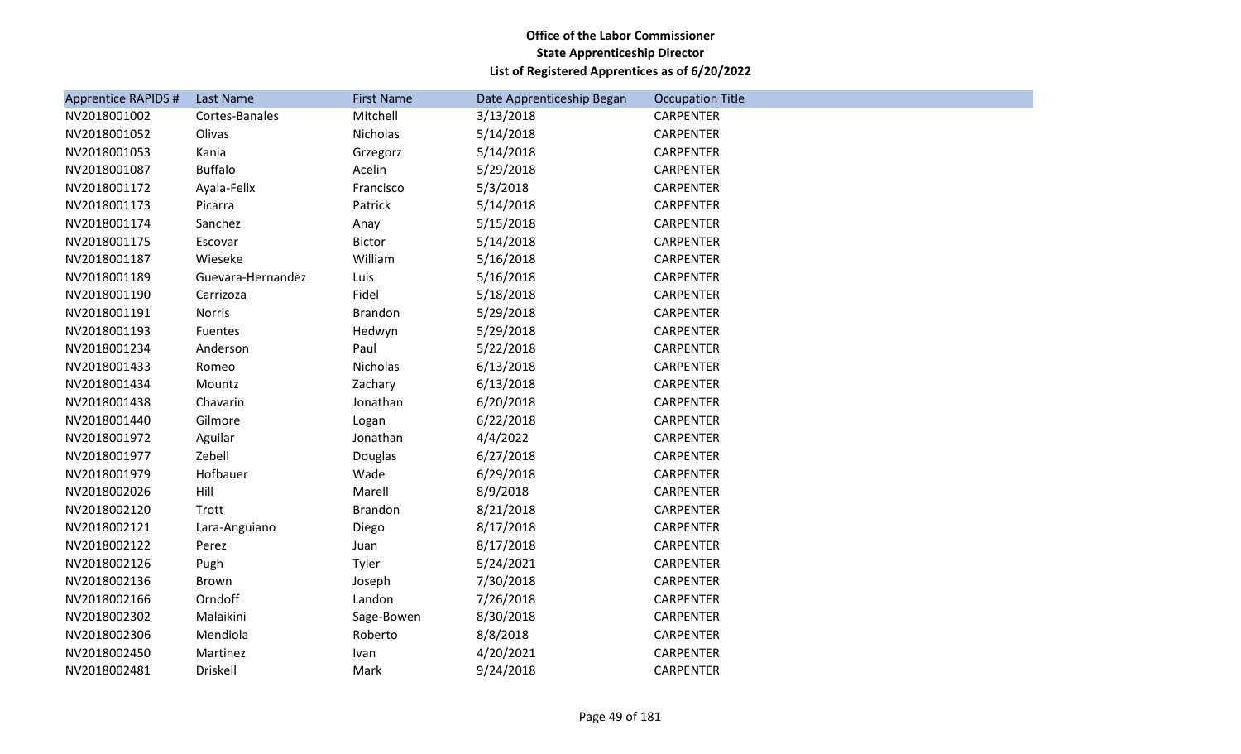| <b>Apprentice RAPIDS #</b> | Last Name         | <b>First Name</b> | Date Apprenticeship Began | <b>Occupation Title</b> |
|----------------------------|-------------------|-------------------|---------------------------|-------------------------|
| NV2018001002               | Cortes-Banales    | Mitchell          | 3/13/2018                 | <b>CARPENTER</b>        |
| NV2018001052               | Olivas            | Nicholas          | 5/14/2018                 | <b>CARPENTER</b>        |
| NV2018001053               | Kania             | Grzegorz          | 5/14/2018                 | <b>CARPENTER</b>        |
| NV2018001087               | <b>Buffalo</b>    | Acelin            | 5/29/2018                 | <b>CARPENTER</b>        |
| NV2018001172               | Ayala-Felix       | Francisco         | 5/3/2018                  | <b>CARPENTER</b>        |
| NV2018001173               | Picarra           | Patrick           | 5/14/2018                 | <b>CARPENTER</b>        |
| NV2018001174               | Sanchez           | Anay              | 5/15/2018                 | <b>CARPENTER</b>        |
| NV2018001175               | Escovar           | <b>Bictor</b>     | 5/14/2018                 | CARPENTER               |
| NV2018001187               | Wieseke           | William           | 5/16/2018                 | <b>CARPENTER</b>        |
| NV2018001189               | Guevara-Hernandez | Luis              | 5/16/2018                 | CARPENTER               |
| NV2018001190               | Carrizoza         | Fidel             | 5/18/2018                 | <b>CARPENTER</b>        |
| NV2018001191               | <b>Norris</b>     | <b>Brandon</b>    | 5/29/2018                 | <b>CARPENTER</b>        |
| NV2018001193               | Fuentes           | Hedwyn            | 5/29/2018                 | CARPENTER               |
| NV2018001234               | Anderson          | Paul              | 5/22/2018                 | <b>CARPENTER</b>        |
| NV2018001433               | Romeo             | Nicholas          | 6/13/2018                 | CARPENTER               |
| NV2018001434               | Mountz            | Zachary           | 6/13/2018                 | <b>CARPENTER</b>        |
| NV2018001438               | Chavarin          | Jonathan          | 6/20/2018                 | <b>CARPENTER</b>        |
| NV2018001440               | Gilmore           | Logan             | 6/22/2018                 | CARPENTER               |
| NV2018001972               | Aguilar           | Jonathan          | 4/4/2022                  | <b>CARPENTER</b>        |
| NV2018001977               | Zebell            | Douglas           | 6/27/2018                 | CARPENTER               |
| NV2018001979               | Hofbauer          | Wade              | 6/29/2018                 | CARPENTER               |
| NV2018002026               | Hill              | Marell            | 8/9/2018                  | <b>CARPENTER</b>        |
| NV2018002120               | Trott             | Brandon           | 8/21/2018                 | CARPENTER               |
| NV2018002121               | Lara-Anguiano     | Diego             | 8/17/2018                 | <b>CARPENTER</b>        |
| NV2018002122               | Perez             | Juan              | 8/17/2018                 | <b>CARPENTER</b>        |
| NV2018002126               | Pugh              | Tyler             | 5/24/2021                 | CARPENTER               |
| NV2018002136               | Brown             | Joseph            | 7/30/2018                 | <b>CARPENTER</b>        |
| NV2018002166               | Orndoff           | Landon            | 7/26/2018                 | CARPENTER               |
| NV2018002302               | Malaikini         | Sage-Bowen        | 8/30/2018                 | CARPENTER               |
| NV2018002306               | Mendiola          | Roberto           | 8/8/2018                  | <b>CARPENTER</b>        |
| NV2018002450               | Martinez          | Ivan              | 4/20/2021                 | <b>CARPENTER</b>        |
| NV2018002481               | <b>Driskell</b>   | Mark              | 9/24/2018                 | <b>CARPENTER</b>        |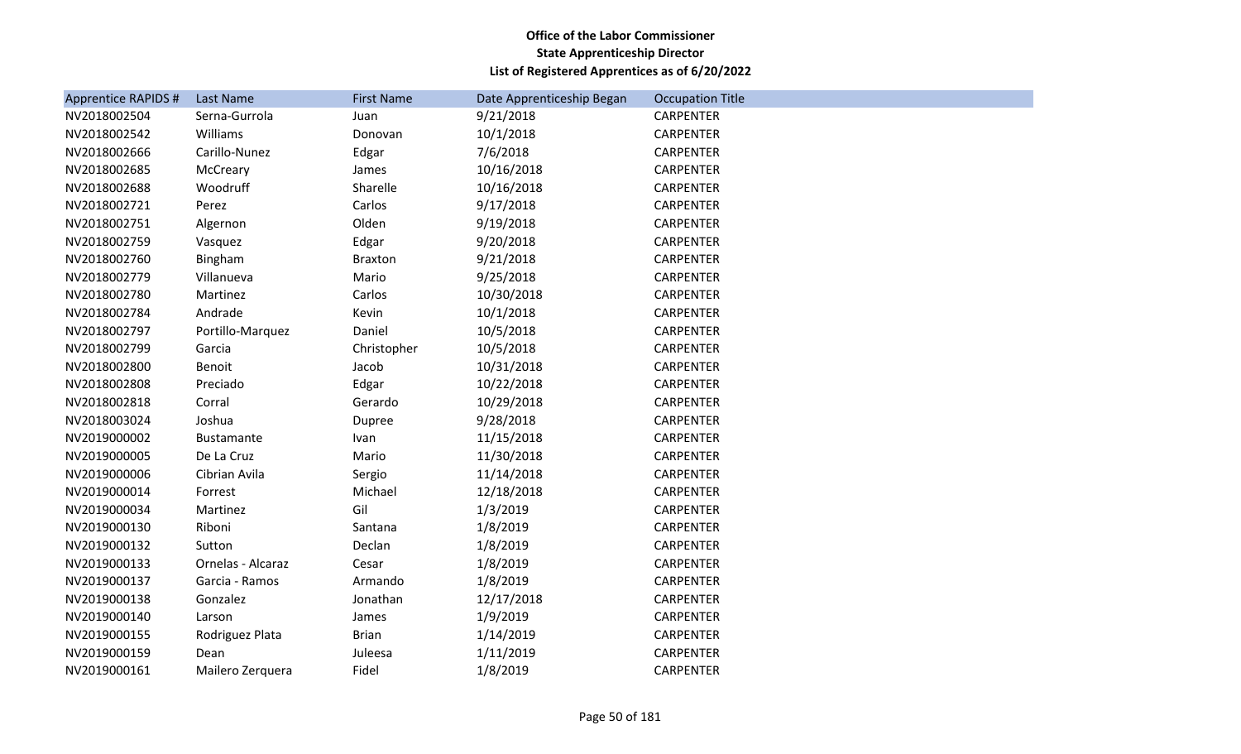| <b>Apprentice RAPIDS #</b> | Last Name         | <b>First Name</b> | Date Apprenticeship Began | <b>Occupation Title</b> |
|----------------------------|-------------------|-------------------|---------------------------|-------------------------|
| NV2018002504               | Serna-Gurrola     | Juan              | 9/21/2018                 | <b>CARPENTER</b>        |
| NV2018002542               | Williams          | Donovan           | 10/1/2018                 | <b>CARPENTER</b>        |
| NV2018002666               | Carillo-Nunez     | Edgar             | 7/6/2018                  | <b>CARPENTER</b>        |
| NV2018002685               | McCreary          | James             | 10/16/2018                | <b>CARPENTER</b>        |
| NV2018002688               | Woodruff          | Sharelle          | 10/16/2018                | <b>CARPENTER</b>        |
| NV2018002721               | Perez             | Carlos            | 9/17/2018                 | <b>CARPENTER</b>        |
| NV2018002751               | Algernon          | Olden             | 9/19/2018                 | <b>CARPENTER</b>        |
| NV2018002759               | Vasquez           | Edgar             | 9/20/2018                 | CARPENTER               |
| NV2018002760               | Bingham           | <b>Braxton</b>    | 9/21/2018                 | <b>CARPENTER</b>        |
| NV2018002779               | Villanueva        | Mario             | 9/25/2018                 | <b>CARPENTER</b>        |
| NV2018002780               | Martinez          | Carlos            | 10/30/2018                | <b>CARPENTER</b>        |
| NV2018002784               | Andrade           | Kevin             | 10/1/2018                 | CARPENTER               |
| NV2018002797               | Portillo-Marquez  | Daniel            | 10/5/2018                 | CARPENTER               |
| NV2018002799               | Garcia            | Christopher       | 10/5/2018                 | <b>CARPENTER</b>        |
| NV2018002800               | Benoit            | Jacob             | 10/31/2018                | CARPENTER               |
| NV2018002808               | Preciado          | Edgar             | 10/22/2018                | <b>CARPENTER</b>        |
| NV2018002818               | Corral            | Gerardo           | 10/29/2018                | <b>CARPENTER</b>        |
| NV2018003024               | Joshua            | Dupree            | 9/28/2018                 | CARPENTER               |
| NV2019000002               | <b>Bustamante</b> | Ivan              | 11/15/2018                | <b>CARPENTER</b>        |
| NV2019000005               | De La Cruz        | Mario             | 11/30/2018                | CARPENTER               |
| NV2019000006               | Cibrian Avila     | Sergio            | 11/14/2018                | <b>CARPENTER</b>        |
| NV2019000014               | Forrest           | Michael           | 12/18/2018                | <b>CARPENTER</b>        |
| NV2019000034               | Martinez          | Gil               | 1/3/2019                  | CARPENTER               |
| NV2019000130               | Riboni            | Santana           | 1/8/2019                  | <b>CARPENTER</b>        |
| NV2019000132               | Sutton            | Declan            | 1/8/2019                  | <b>CARPENTER</b>        |
| NV2019000133               | Ornelas - Alcaraz | Cesar             | 1/8/2019                  | CARPENTER               |
| NV2019000137               | Garcia - Ramos    | Armando           | 1/8/2019                  | <b>CARPENTER</b>        |
| NV2019000138               | Gonzalez          | Jonathan          | 12/17/2018                | CARPENTER               |
| NV2019000140               | Larson            | James             | 1/9/2019                  | CARPENTER               |
| NV2019000155               | Rodriguez Plata   | <b>Brian</b>      | 1/14/2019                 | <b>CARPENTER</b>        |
| NV2019000159               | Dean              | Juleesa           | 1/11/2019                 | CARPENTER               |
| NV2019000161               | Mailero Zerguera  | Fidel             | 1/8/2019                  | <b>CARPENTER</b>        |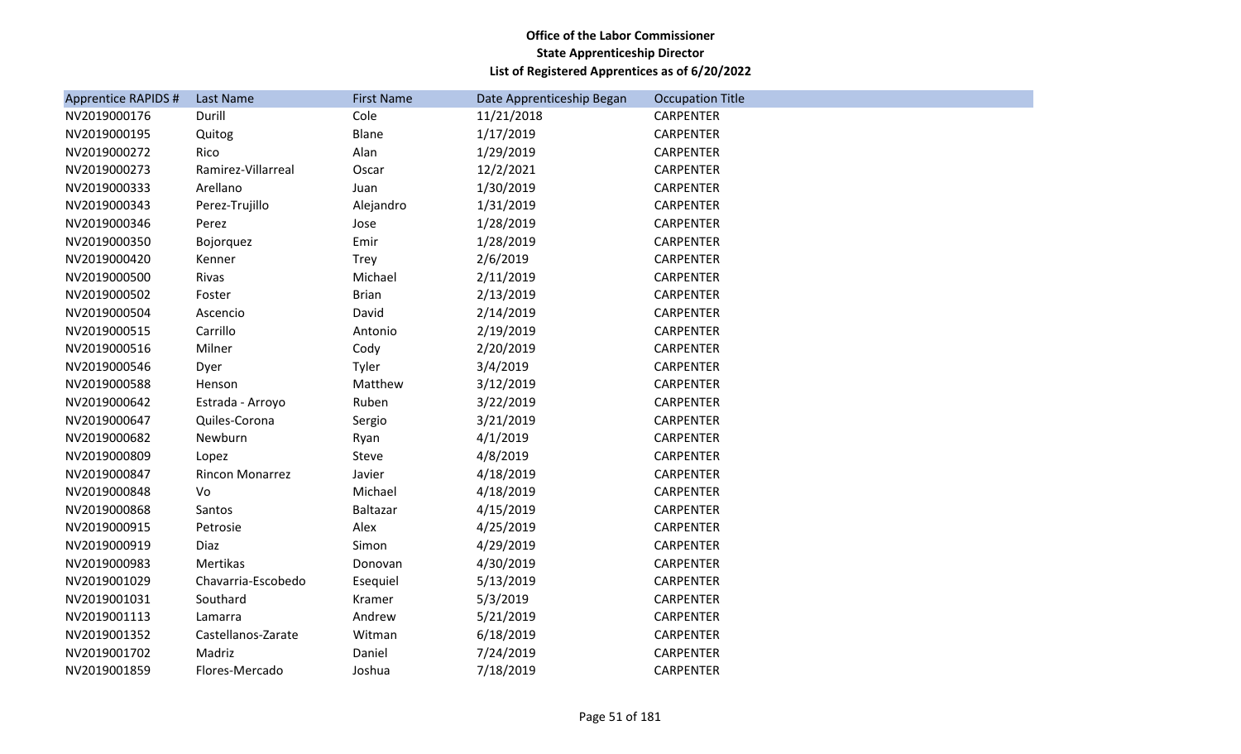| <b>Apprentice RAPIDS #</b> | Last Name          | <b>First Name</b> | Date Apprenticeship Began | <b>Occupation Title</b> |
|----------------------------|--------------------|-------------------|---------------------------|-------------------------|
| NV2019000176               | Durill             | Cole              | 11/21/2018                | <b>CARPENTER</b>        |
| NV2019000195               | Quitog             | Blane             | 1/17/2019                 | <b>CARPENTER</b>        |
| NV2019000272               | Rico               | Alan              | 1/29/2019                 | <b>CARPENTER</b>        |
| NV2019000273               | Ramirez-Villarreal | Oscar             | 12/2/2021                 | <b>CARPENTER</b>        |
| NV2019000333               | Arellano           | Juan              | 1/30/2019                 | <b>CARPENTER</b>        |
| NV2019000343               | Perez-Trujillo     | Alejandro         | 1/31/2019                 | <b>CARPENTER</b>        |
| NV2019000346               | Perez              | Jose              | 1/28/2019                 | CARPENTER               |
| NV2019000350               | Bojorquez          | Emir              | 1/28/2019                 | <b>CARPENTER</b>        |
| NV2019000420               | Kenner             | Trey              | 2/6/2019                  | <b>CARPENTER</b>        |
| NV2019000500               | Rivas              | Michael           | 2/11/2019                 | <b>CARPENTER</b>        |
| NV2019000502               | Foster             | <b>Brian</b>      | 2/13/2019                 | <b>CARPENTER</b>        |
| NV2019000504               | Ascencio           | David             | 2/14/2019                 | CARPENTER               |
| NV2019000515               | Carrillo           | Antonio           | 2/19/2019                 | <b>CARPENTER</b>        |
| NV2019000516               | Milner             | Cody              | 2/20/2019                 | CARPENTER               |
| NV2019000546               | Dyer               | Tyler             | 3/4/2019                  | <b>CARPENTER</b>        |
| NV2019000588               | Henson             | Matthew           | 3/12/2019                 | <b>CARPENTER</b>        |
| NV2019000642               | Estrada - Arroyo   | Ruben             | 3/22/2019                 | <b>CARPENTER</b>        |
| NV2019000647               | Quiles-Corona      | Sergio            | 3/21/2019                 | <b>CARPENTER</b>        |
| NV2019000682               | Newburn            | Ryan              | 4/1/2019                  | CARPENTER               |
| NV2019000809               | Lopez              | Steve             | 4/8/2019                  | <b>CARPENTER</b>        |
| NV2019000847               | Rincon Monarrez    | Javier            | 4/18/2019                 | CARPENTER               |
| NV2019000848               | Vo                 | Michael           | 4/18/2019                 | CARPENTER               |
| NV2019000868               | Santos             | Baltazar          | 4/15/2019                 | <b>CARPENTER</b>        |
| NV2019000915               | Petrosie           | Alex              | 4/25/2019                 | CARPENTER               |
| NV2019000919               | Diaz               | Simon             | 4/29/2019                 | <b>CARPENTER</b>        |
| NV2019000983               | Mertikas           | Donovan           | 4/30/2019                 | CARPENTER               |
| NV2019001029               | Chavarria-Escobedo | Esequiel          | 5/13/2019                 | CARPENTER               |
| NV2019001031               | Southard           | Kramer            | 5/3/2019                  | <b>CARPENTER</b>        |
| NV2019001113               | Lamarra            | Andrew            | 5/21/2019                 | CARPENTER               |
| NV2019001352               | Castellanos-Zarate | Witman            | 6/18/2019                 | CARPENTER               |
| NV2019001702               | Madriz             | Daniel            | 7/24/2019                 | CARPENTER               |
| NV2019001859               | Flores-Mercado     | Joshua            | 7/18/2019                 | <b>CARPENTER</b>        |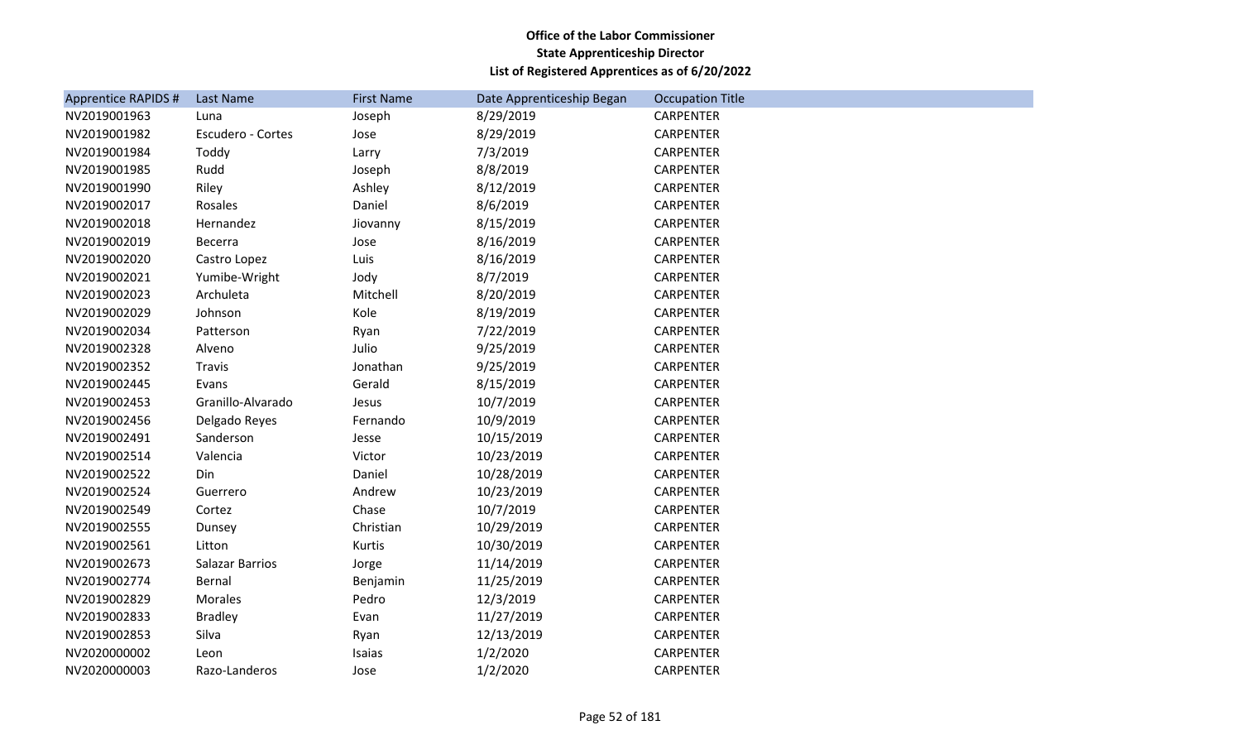| <b>Apprentice RAPIDS #</b> | Last Name         | <b>First Name</b> | Date Apprenticeship Began | <b>Occupation Title</b> |
|----------------------------|-------------------|-------------------|---------------------------|-------------------------|
| NV2019001963               | Luna              | Joseph            | 8/29/2019                 | <b>CARPENTER</b>        |
| NV2019001982               | Escudero - Cortes | Jose              | 8/29/2019                 | <b>CARPENTER</b>        |
| NV2019001984               | Toddy             | Larry             | 7/3/2019                  | <b>CARPENTER</b>        |
| NV2019001985               | Rudd              | Joseph            | 8/8/2019                  | <b>CARPENTER</b>        |
| NV2019001990               | Riley             | Ashley            | 8/12/2019                 | <b>CARPENTER</b>        |
| NV2019002017               | Rosales           | Daniel            | 8/6/2019                  | <b>CARPENTER</b>        |
| NV2019002018               | Hernandez         | Jiovanny          | 8/15/2019                 | <b>CARPENTER</b>        |
| NV2019002019               | <b>Becerra</b>    | Jose              | 8/16/2019                 | CARPENTER               |
| NV2019002020               | Castro Lopez      | Luis              | 8/16/2019                 | <b>CARPENTER</b>        |
| NV2019002021               | Yumibe-Wright     | Jody              | 8/7/2019                  | CARPENTER               |
| NV2019002023               | Archuleta         | Mitchell          | 8/20/2019                 | <b>CARPENTER</b>        |
| NV2019002029               | Johnson           | Kole              | 8/19/2019                 | CARPENTER               |
| NV2019002034               | Patterson         | Ryan              | 7/22/2019                 | <b>CARPENTER</b>        |
| NV2019002328               | Alveno            | Julio             | 9/25/2019                 | <b>CARPENTER</b>        |
| NV2019002352               | Travis            | Jonathan          | 9/25/2019                 | CARPENTER               |
| NV2019002445               | Evans             | Gerald            | 8/15/2019                 | <b>CARPENTER</b>        |
| NV2019002453               | Granillo-Alvarado | Jesus             | 10/7/2019                 | <b>CARPENTER</b>        |
| NV2019002456               | Delgado Reyes     | Fernando          | 10/9/2019                 | CARPENTER               |
| NV2019002491               | Sanderson         | Jesse             | 10/15/2019                | <b>CARPENTER</b>        |
| NV2019002514               | Valencia          | Victor            | 10/23/2019                | CARPENTER               |
| NV2019002522               | Din               | Daniel            | 10/28/2019                | CARPENTER               |
| NV2019002524               | Guerrero          | Andrew            | 10/23/2019                | <b>CARPENTER</b>        |
| NV2019002549               | Cortez            | Chase             | 10/7/2019                 | CARPENTER               |
| NV2019002555               | Dunsey            | Christian         | 10/29/2019                | <b>CARPENTER</b>        |
| NV2019002561               | Litton            | Kurtis            | 10/30/2019                | <b>CARPENTER</b>        |
| NV2019002673               | Salazar Barrios   | Jorge             | 11/14/2019                | CARPENTER               |
| NV2019002774               | Bernal            | Benjamin          | 11/25/2019                | <b>CARPENTER</b>        |
| NV2019002829               | Morales           | Pedro             | 12/3/2019                 | CARPENTER               |
| NV2019002833               | <b>Bradley</b>    | Evan              | 11/27/2019                | CARPENTER               |
| NV2019002853               | Silva             | Ryan              | 12/13/2019                | <b>CARPENTER</b>        |
| NV2020000002               | Leon              | Isaias            | 1/2/2020                  | <b>CARPENTER</b>        |
| NV2020000003               | Razo-Landeros     | Jose              | 1/2/2020                  | <b>CARPENTER</b>        |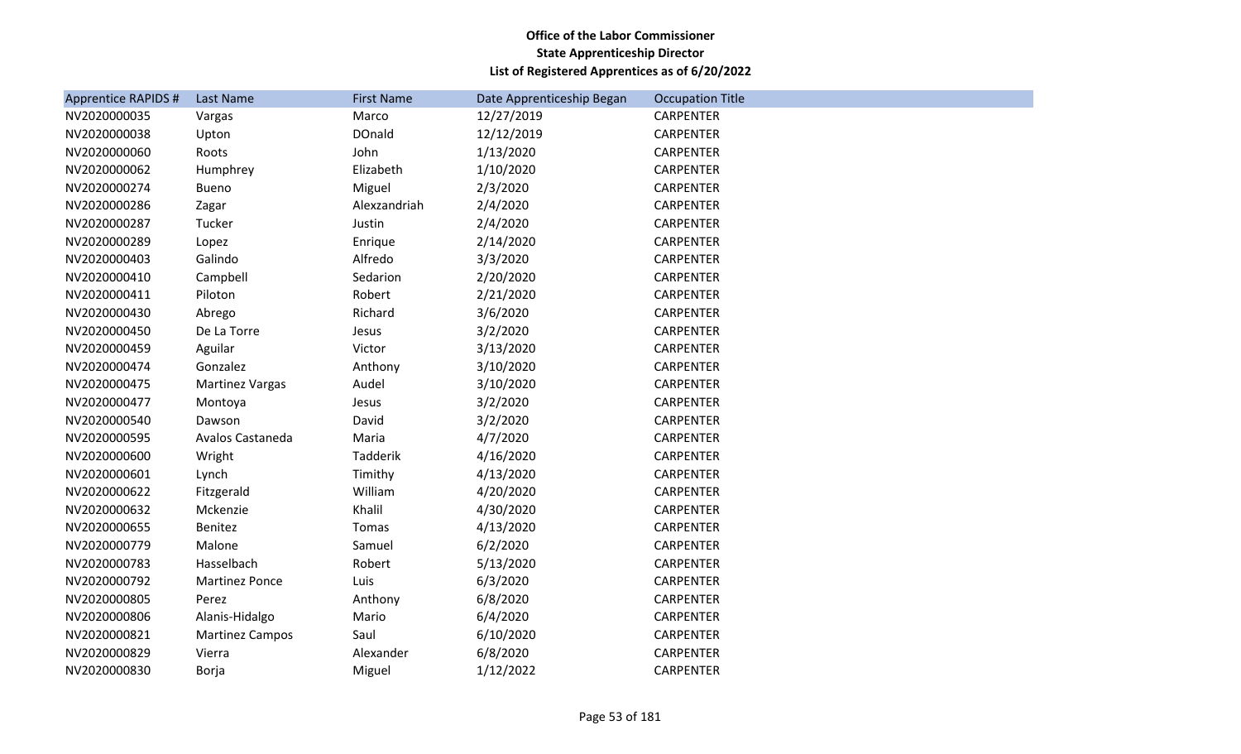| <b>Apprentice RAPIDS #</b> | Last Name              | <b>First Name</b> | Date Apprenticeship Began | <b>Occupation Title</b> |
|----------------------------|------------------------|-------------------|---------------------------|-------------------------|
| NV2020000035               | Vargas                 | Marco             | 12/27/2019                | <b>CARPENTER</b>        |
| NV2020000038               | Upton                  | <b>DOnald</b>     | 12/12/2019                | CARPENTER               |
| NV2020000060               | Roots                  | John              | 1/13/2020                 | <b>CARPENTER</b>        |
| NV2020000062               | Humphrey               | Elizabeth         | 1/10/2020                 | CARPENTER               |
| NV2020000274               | Bueno                  | Miguel            | 2/3/2020                  | <b>CARPENTER</b>        |
| NV2020000286               | Zagar                  | Alexzandriah      | 2/4/2020                  | <b>CARPENTER</b>        |
| NV2020000287               | Tucker                 | Justin            | 2/4/2020                  | <b>CARPENTER</b>        |
| NV2020000289               | Lopez                  | Enrique           | 2/14/2020                 | <b>CARPENTER</b>        |
| NV2020000403               | Galindo                | Alfredo           | 3/3/2020                  | <b>CARPENTER</b>        |
| NV2020000410               | Campbell               | Sedarion          | 2/20/2020                 | <b>CARPENTER</b>        |
| NV2020000411               | Piloton                | Robert            | 2/21/2020                 | CARPENTER               |
| NV2020000430               | Abrego                 | Richard           | 3/6/2020                  | <b>CARPENTER</b>        |
| NV2020000450               | De La Torre            | Jesus             | 3/2/2020                  | <b>CARPENTER</b>        |
| NV2020000459               | Aguilar                | Victor            | 3/13/2020                 | <b>CARPENTER</b>        |
| NV2020000474               | Gonzalez               | Anthony           | 3/10/2020                 | <b>CARPENTER</b>        |
| NV2020000475               | Martinez Vargas        | Audel             | 3/10/2020                 | <b>CARPENTER</b>        |
| NV2020000477               | Montoya                | Jesus             | 3/2/2020                  | <b>CARPENTER</b>        |
| NV2020000540               | Dawson                 | David             | 3/2/2020                  | <b>CARPENTER</b>        |
| NV2020000595               | Avalos Castaneda       | Maria             | 4/7/2020                  | <b>CARPENTER</b>        |
| NV2020000600               | Wright                 | Tadderik          | 4/16/2020                 | <b>CARPENTER</b>        |
| NV2020000601               | Lynch                  | Timithy           | 4/13/2020                 | <b>CARPENTER</b>        |
| NV2020000622               | Fitzgerald             | William           | 4/20/2020                 | CARPENTER               |
| NV2020000632               | Mckenzie               | Khalil            | 4/30/2020                 | <b>CARPENTER</b>        |
| NV2020000655               | <b>Benitez</b>         | Tomas             | 4/13/2020                 | <b>CARPENTER</b>        |
| NV2020000779               | Malone                 | Samuel            | 6/2/2020                  | <b>CARPENTER</b>        |
| NV2020000783               | Hasselbach             | Robert            | 5/13/2020                 | <b>CARPENTER</b>        |
| NV2020000792               | <b>Martinez Ponce</b>  | Luis              | 6/3/2020                  | <b>CARPENTER</b>        |
| NV2020000805               | Perez                  | Anthony           | 6/8/2020                  | <b>CARPENTER</b>        |
| NV2020000806               | Alanis-Hidalgo         | Mario             | 6/4/2020                  | CARPENTER               |
| NV2020000821               | <b>Martinez Campos</b> | Saul              | 6/10/2020                 | <b>CARPENTER</b>        |
| NV2020000829               | Vierra                 | Alexander         | 6/8/2020                  | CARPENTER               |
| NV2020000830               | Borja                  | Miguel            | 1/12/2022                 | <b>CARPENTER</b>        |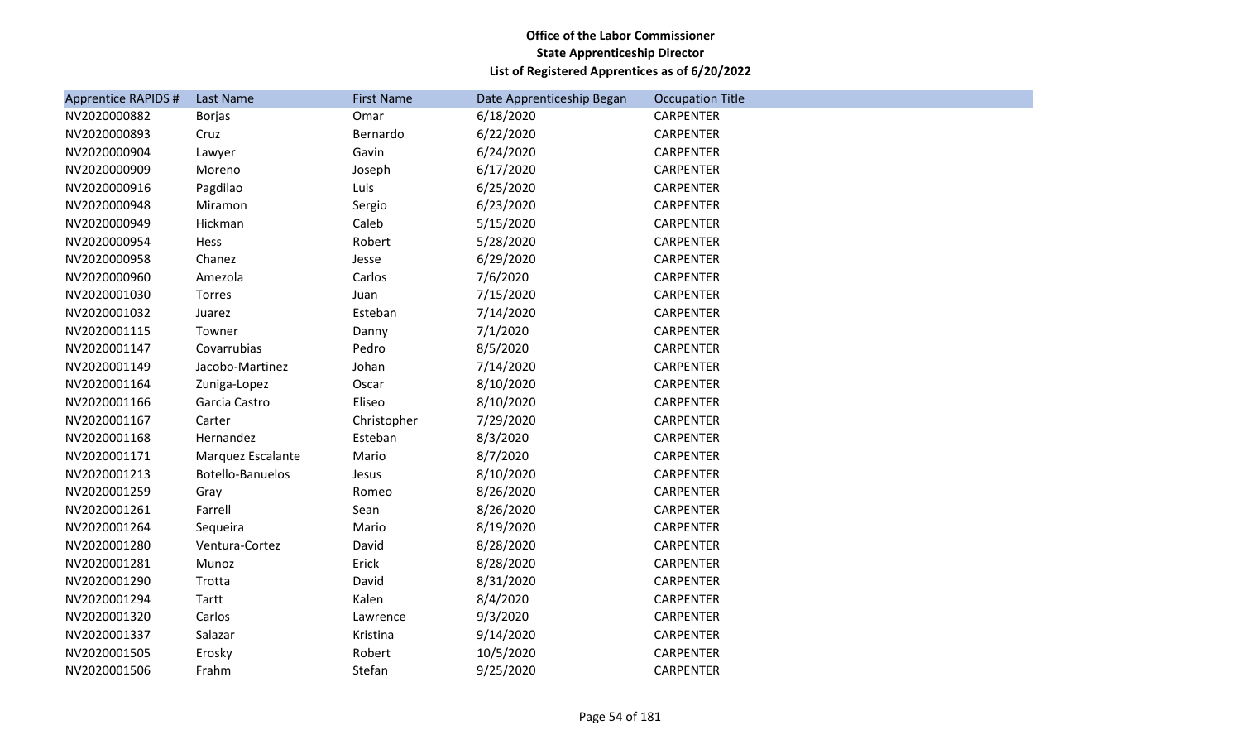| <b>Apprentice RAPIDS #</b> | Last Name         | <b>First Name</b> | Date Apprenticeship Began | <b>Occupation Title</b> |
|----------------------------|-------------------|-------------------|---------------------------|-------------------------|
| NV2020000882               | <b>Borjas</b>     | Omar              | 6/18/2020                 | <b>CARPENTER</b>        |
| NV2020000893               | Cruz              | Bernardo          | 6/22/2020                 | <b>CARPENTER</b>        |
| NV2020000904               | Lawyer            | Gavin             | 6/24/2020                 | CARPENTER               |
| NV2020000909               | Moreno            | Joseph            | 6/17/2020                 | <b>CARPENTER</b>        |
| NV2020000916               | Pagdilao          | Luis              | 6/25/2020                 | CARPENTER               |
| NV2020000948               | Miramon           | Sergio            | 6/23/2020                 | <b>CARPENTER</b>        |
| NV2020000949               | Hickman           | Caleb             | 5/15/2020                 | CARPENTER               |
| NV2020000954               | Hess              | Robert            | 5/28/2020                 | <b>CARPENTER</b>        |
| NV2020000958               | Chanez            | Jesse             | 6/29/2020                 | CARPENTER               |
| NV2020000960               | Amezola           | Carlos            | 7/6/2020                  | <b>CARPENTER</b>        |
| NV2020001030               | Torres            | Juan              | 7/15/2020                 | CARPENTER               |
| NV2020001032               | Juarez            | Esteban           | 7/14/2020                 | <b>CARPENTER</b>        |
| NV2020001115               | Towner            | Danny             | 7/1/2020                  | CARPENTER               |
| NV2020001147               | Covarrubias       | Pedro             | 8/5/2020                  | <b>CARPENTER</b>        |
| NV2020001149               | Jacobo-Martinez   | Johan             | 7/14/2020                 | <b>CARPENTER</b>        |
| NV2020001164               | Zuniga-Lopez      | Oscar             | 8/10/2020                 | CARPENTER               |
| NV2020001166               | Garcia Castro     | Eliseo            | 8/10/2020                 | CARPENTER               |
| NV2020001167               | Carter            | Christopher       | 7/29/2020                 | <b>CARPENTER</b>        |
| NV2020001168               | Hernandez         | Esteban           | 8/3/2020                  | <b>CARPENTER</b>        |
| NV2020001171               | Marquez Escalante | Mario             | 8/7/2020                  | <b>CARPENTER</b>        |
| NV2020001213               | Botello-Banuelos  | Jesus             | 8/10/2020                 | <b>CARPENTER</b>        |
| NV2020001259               | Gray              | Romeo             | 8/26/2020                 | <b>CARPENTER</b>        |
| NV2020001261               | Farrell           | Sean              | 8/26/2020                 | CARPENTER               |
| NV2020001264               | Sequeira          | Mario             | 8/19/2020                 | <b>CARPENTER</b>        |
| NV2020001280               | Ventura-Cortez    | David             | 8/28/2020                 | <b>CARPENTER</b>        |
| NV2020001281               | Munoz             | Erick             | 8/28/2020                 | <b>CARPENTER</b>        |
| NV2020001290               | Trotta            | David             | 8/31/2020                 | CARPENTER               |
| NV2020001294               | Tartt             | Kalen             | 8/4/2020                  | <b>CARPENTER</b>        |
| NV2020001320               | Carlos            | Lawrence          | 9/3/2020                  | <b>CARPENTER</b>        |
| NV2020001337               | Salazar           | Kristina          | 9/14/2020                 | <b>CARPENTER</b>        |
| NV2020001505               | Erosky            | Robert            | 10/5/2020                 | CARPENTER               |
| NV2020001506               | Frahm             | Stefan            | 9/25/2020                 | <b>CARPENTER</b>        |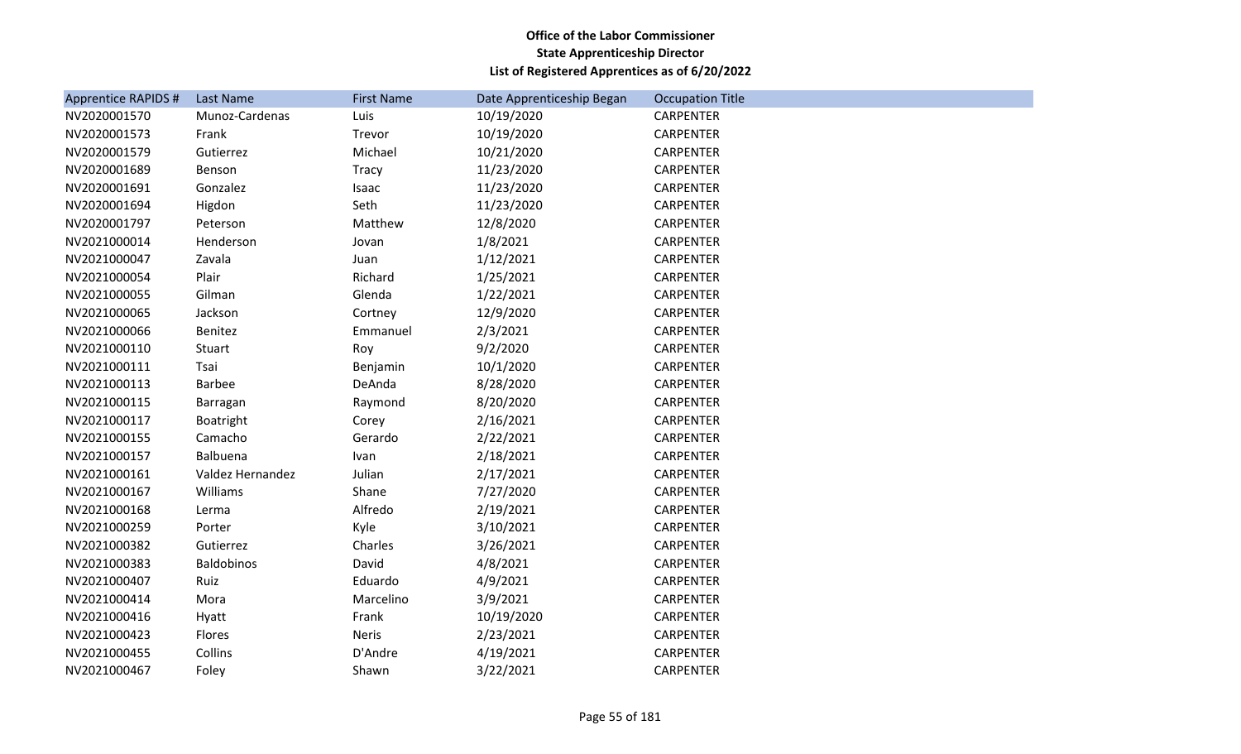| <b>Apprentice RAPIDS #</b> | Last Name        | <b>First Name</b> | Date Apprenticeship Began | <b>Occupation Title</b> |
|----------------------------|------------------|-------------------|---------------------------|-------------------------|
| NV2020001570               | Munoz-Cardenas   | Luis              | 10/19/2020                | <b>CARPENTER</b>        |
| NV2020001573               | Frank            | Trevor            | 10/19/2020                | CARPENTER               |
| NV2020001579               | Gutierrez        | Michael           | 10/21/2020                | <b>CARPENTER</b>        |
| NV2020001689               | Benson           | Tracy             | 11/23/2020                | <b>CARPENTER</b>        |
| NV2020001691               | Gonzalez         | Isaac             | 11/23/2020                | <b>CARPENTER</b>        |
| NV2020001694               | Higdon           | Seth              | 11/23/2020                | CARPENTER               |
| NV2020001797               | Peterson         | Matthew           | 12/8/2020                 | <b>CARPENTER</b>        |
| NV2021000014               | Henderson        | Jovan             | 1/8/2021                  | CARPENTER               |
| NV2021000047               | Zavala           | Juan              | 1/12/2021                 | <b>CARPENTER</b>        |
| NV2021000054               | Plair            | Richard           | 1/25/2021                 | CARPENTER               |
| NV2021000055               | Gilman           | Glenda            | 1/22/2021                 | <b>CARPENTER</b>        |
| NV2021000065               | Jackson          | Cortney           | 12/9/2020                 | CARPENTER               |
| NV2021000066               | Benitez          | Emmanuel          | 2/3/2021                  | <b>CARPENTER</b>        |
| NV2021000110               | Stuart           | Roy               | 9/2/2020                  | <b>CARPENTER</b>        |
| NV2021000111               | Tsai             | Benjamin          | 10/1/2020                 | <b>CARPENTER</b>        |
| NV2021000113               | Barbee           | DeAnda            | 8/28/2020                 | CARPENTER               |
| NV2021000115               | Barragan         | Raymond           | 8/20/2020                 | <b>CARPENTER</b>        |
| NV2021000117               | Boatright        | Corey             | 2/16/2021                 | CARPENTER               |
| NV2021000155               | Camacho          | Gerardo           | 2/22/2021                 | <b>CARPENTER</b>        |
| NV2021000157               | Balbuena         | Ivan              | 2/18/2021                 | CARPENTER               |
| NV2021000161               | Valdez Hernandez | Julian            | 2/17/2021                 | CARPENTER               |
| NV2021000167               | Williams         | Shane             | 7/27/2020                 | <b>CARPENTER</b>        |
| NV2021000168               | Lerma            | Alfredo           | 2/19/2021                 | <b>CARPENTER</b>        |
| NV2021000259               | Porter           | Kyle              | 3/10/2021                 | <b>CARPENTER</b>        |
| NV2021000382               | Gutierrez        | Charles           | 3/26/2021                 | CARPENTER               |
| NV2021000383               | Baldobinos       | David             | 4/8/2021                  | <b>CARPENTER</b>        |
| NV2021000407               | Ruiz             | Eduardo           | 4/9/2021                  | <b>CARPENTER</b>        |
| NV2021000414               | Mora             | Marcelino         | 3/9/2021                  | <b>CARPENTER</b>        |
| NV2021000416               | Hyatt            | Frank             | 10/19/2020                | <b>CARPENTER</b>        |
| NV2021000423               | Flores           | <b>Neris</b>      | 2/23/2021                 | <b>CARPENTER</b>        |
| NV2021000455               | Collins          | D'Andre           | 4/19/2021                 | <b>CARPENTER</b>        |
| NV2021000467               | Foley            | Shawn             | 3/22/2021                 | <b>CARPENTER</b>        |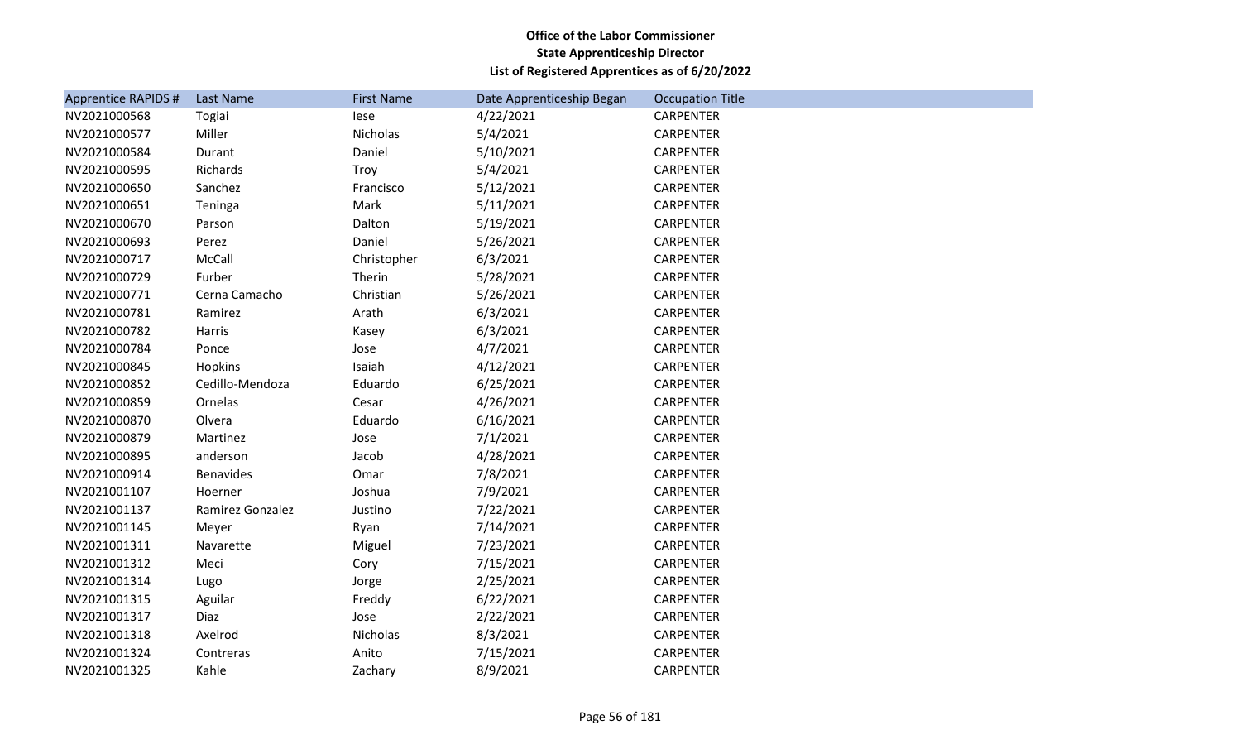| <b>Apprentice RAPIDS #</b> | Last Name        | <b>First Name</b> | Date Apprenticeship Began | <b>Occupation Title</b> |
|----------------------------|------------------|-------------------|---------------------------|-------------------------|
| NV2021000568               | Togiai           | lese              | 4/22/2021                 | <b>CARPENTER</b>        |
| NV2021000577               | Miller           | Nicholas          | 5/4/2021                  | <b>CARPENTER</b>        |
| NV2021000584               | Durant           | Daniel            | 5/10/2021                 | <b>CARPENTER</b>        |
| NV2021000595               | Richards         | Troy              | 5/4/2021                  | <b>CARPENTER</b>        |
| NV2021000650               | Sanchez          | Francisco         | 5/12/2021                 | CARPENTER               |
| NV2021000651               | Teninga          | Mark              | 5/11/2021                 | <b>CARPENTER</b>        |
| NV2021000670               | Parson           | Dalton            | 5/19/2021                 | <b>CARPENTER</b>        |
| NV2021000693               | Perez            | Daniel            | 5/26/2021                 | CARPENTER               |
| NV2021000717               | McCall           | Christopher       | 6/3/2021                  | <b>CARPENTER</b>        |
| NV2021000729               | Furber           | Therin            | 5/28/2021                 | CARPENTER               |
| NV2021000771               | Cerna Camacho    | Christian         | 5/26/2021                 | <b>CARPENTER</b>        |
| NV2021000781               | Ramirez          | Arath             | 6/3/2021                  | <b>CARPENTER</b>        |
| NV2021000782               | Harris           | Kasey             | 6/3/2021                  | <b>CARPENTER</b>        |
| NV2021000784               | Ponce            | Jose              | 4/7/2021                  | <b>CARPENTER</b>        |
| NV2021000845               | Hopkins          | Isaiah            | 4/12/2021                 | CARPENTER               |
| NV2021000852               | Cedillo-Mendoza  | Eduardo           | 6/25/2021                 | <b>CARPENTER</b>        |
| NV2021000859               | Ornelas          | Cesar             | 4/26/2021                 | <b>CARPENTER</b>        |
| NV2021000870               | Olvera           | Eduardo           | 6/16/2021                 | CARPENTER               |
| NV2021000879               | Martinez         | Jose              | 7/1/2021                  | <b>CARPENTER</b>        |
| NV2021000895               | anderson         | Jacob             | 4/28/2021                 | <b>CARPENTER</b>        |
| NV2021000914               | Benavides        | Omar              | 7/8/2021                  | <b>CARPENTER</b>        |
| NV2021001107               | Hoerner          | Joshua            | 7/9/2021                  | <b>CARPENTER</b>        |
| NV2021001137               | Ramirez Gonzalez | Justino           | 7/22/2021                 | CARPENTER               |
| NV2021001145               | Meyer            | Ryan              | 7/14/2021                 | <b>CARPENTER</b>        |
| NV2021001311               | Navarette        | Miguel            | 7/23/2021                 | <b>CARPENTER</b>        |
| NV2021001312               | Meci             | Cory              | 7/15/2021                 | <b>CARPENTER</b>        |
| NV2021001314               | Lugo             | Jorge             | 2/25/2021                 | <b>CARPENTER</b>        |
| NV2021001315               | Aguilar          | Freddy            | 6/22/2021                 | <b>CARPENTER</b>        |
| NV2021001317               | Diaz             | Jose              | 2/22/2021                 | CARPENTER               |
| NV2021001318               | Axelrod          | Nicholas          | 8/3/2021                  | <b>CARPENTER</b>        |
| NV2021001324               | Contreras        | Anito             | 7/15/2021                 | <b>CARPENTER</b>        |
| NV2021001325               | Kahle            | Zachary           | 8/9/2021                  | <b>CARPENTER</b>        |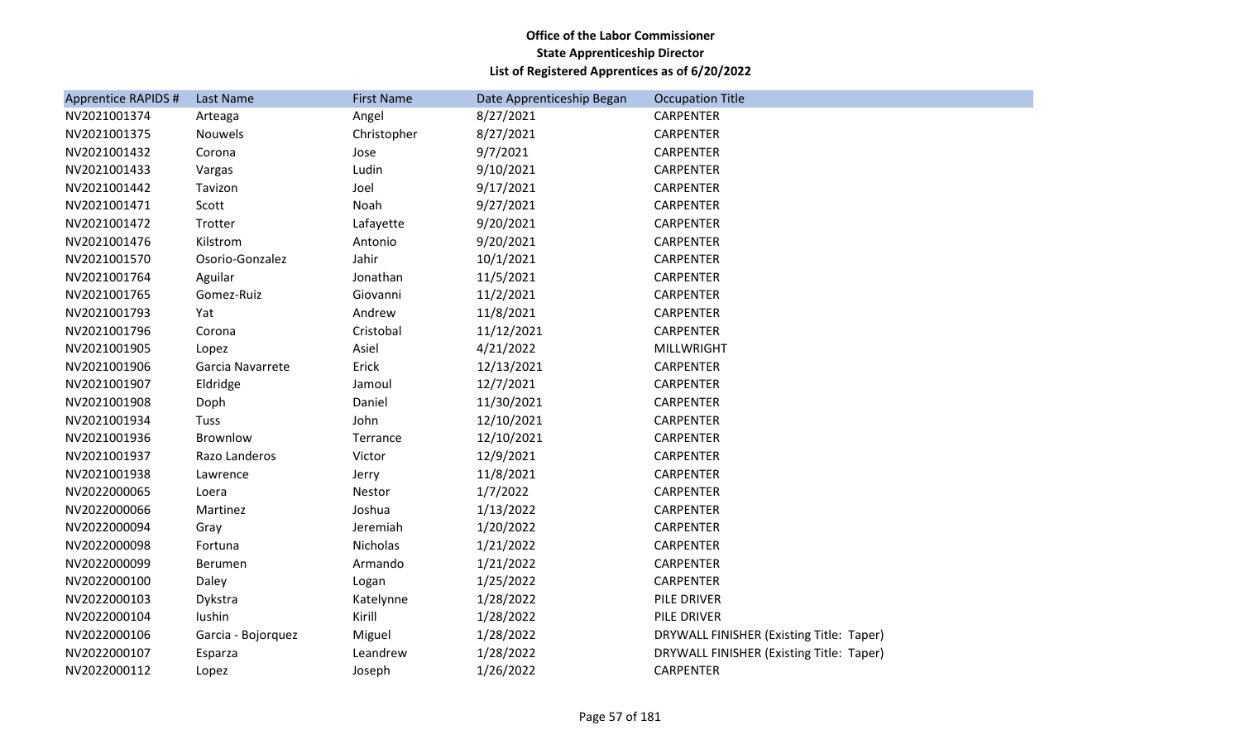| <b>Apprentice RAPIDS #</b> | Last Name          | <b>First Name</b> | Date Apprenticeship Began | <b>Occupation Title</b>                  |
|----------------------------|--------------------|-------------------|---------------------------|------------------------------------------|
| NV2021001374               | Arteaga            | Angel             | 8/27/2021                 | <b>CARPENTER</b>                         |
| NV2021001375               | Nouwels            | Christopher       | 8/27/2021                 | CARPENTER                                |
| NV2021001432               | Corona             | Jose              | 9/7/2021                  | CARPENTER                                |
| NV2021001433               | Vargas             | Ludin             | 9/10/2021                 | <b>CARPENTER</b>                         |
| NV2021001442               | Tavizon            | Joel              | 9/17/2021                 | <b>CARPENTER</b>                         |
| NV2021001471               | Scott              | Noah              | 9/27/2021                 | <b>CARPENTER</b>                         |
| NV2021001472               | Trotter            | Lafayette         | 9/20/2021                 | CARPENTER                                |
| NV2021001476               | Kilstrom           | Antonio           | 9/20/2021                 | <b>CARPENTER</b>                         |
| NV2021001570               | Osorio-Gonzalez    | Jahir             | 10/1/2021                 | CARPENTER                                |
| NV2021001764               | Aguilar            | Jonathan          | 11/5/2021                 | <b>CARPENTER</b>                         |
| NV2021001765               | Gomez-Ruiz         | Giovanni          | 11/2/2021                 | CARPENTER                                |
| NV2021001793               | Yat                | Andrew            | 11/8/2021                 | <b>CARPENTER</b>                         |
| NV2021001796               | Corona             | Cristobal         | 11/12/2021                | CARPENTER                                |
| NV2021001905               | Lopez              | Asiel             | 4/21/2022                 | <b>MILLWRIGHT</b>                        |
| NV2021001906               | Garcia Navarrete   | Erick             | 12/13/2021                | <b>CARPENTER</b>                         |
| NV2021001907               | Eldridge           | Jamoul            | 12/7/2021                 | <b>CARPENTER</b>                         |
| NV2021001908               | Doph               | Daniel            | 11/30/2021                | <b>CARPENTER</b>                         |
| NV2021001934               | Tuss               | John              | 12/10/2021                | <b>CARPENTER</b>                         |
| NV2021001936               | Brownlow           | Terrance          | 12/10/2021                | <b>CARPENTER</b>                         |
| NV2021001937               | Razo Landeros      | Victor            | 12/9/2021                 | <b>CARPENTER</b>                         |
| NV2021001938               | Lawrence           | Jerry             | 11/8/2021                 | <b>CARPENTER</b>                         |
| NV2022000065               | Loera              | Nestor            | 1/7/2022                  | <b>CARPENTER</b>                         |
| NV2022000066               | Martinez           | Joshua            | 1/13/2022                 | <b>CARPENTER</b>                         |
| NV2022000094               | Gray               | Jeremiah          | 1/20/2022                 | <b>CARPENTER</b>                         |
| NV2022000098               | Fortuna            | Nicholas          | 1/21/2022                 | CARPENTER                                |
| NV2022000099               | Berumen            | Armando           | 1/21/2022                 | <b>CARPENTER</b>                         |
| NV2022000100               | Daley              | Logan             | 1/25/2022                 | CARPENTER                                |
| NV2022000103               | Dykstra            | Katelynne         | 1/28/2022                 | PILE DRIVER                              |
| NV2022000104               | lushin             | Kirill            | 1/28/2022                 | PILE DRIVER                              |
| NV2022000106               | Garcia - Bojorquez | Miguel            | 1/28/2022                 | DRYWALL FINISHER (Existing Title: Taper) |
| NV2022000107               | Esparza            | Leandrew          | 1/28/2022                 | DRYWALL FINISHER (Existing Title: Taper) |
| NV2022000112               | Lopez              | Joseph            | 1/26/2022                 | <b>CARPENTER</b>                         |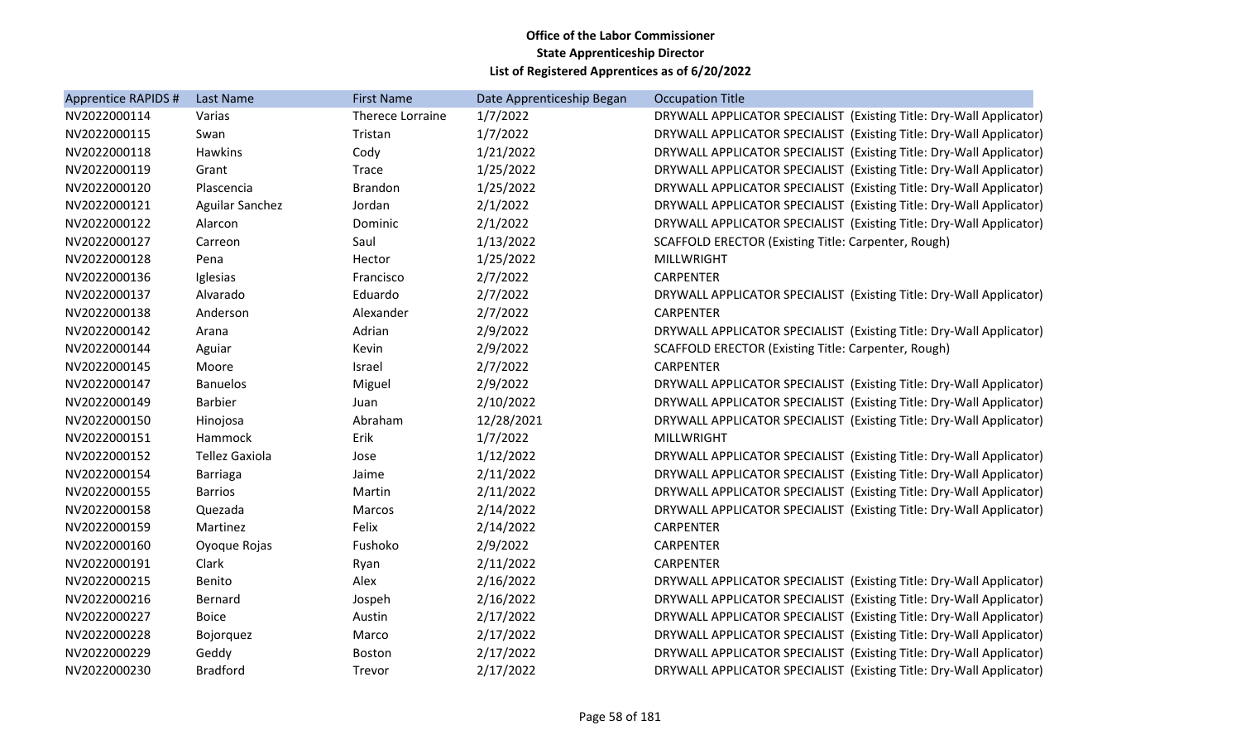| Apprentice RAPIDS # | Last Name              | <b>First Name</b> | Date Apprenticeship Began | <b>Occupation Title</b>                                             |
|---------------------|------------------------|-------------------|---------------------------|---------------------------------------------------------------------|
| NV2022000114        | Varias                 | Therece Lorraine  | 1/7/2022                  | DRYWALL APPLICATOR SPECIALIST (Existing Title: Dry-Wall Applicator) |
| NV2022000115        | Swan                   | Tristan           | 1/7/2022                  | DRYWALL APPLICATOR SPECIALIST (Existing Title: Dry-Wall Applicator) |
| NV2022000118        | <b>Hawkins</b>         | Cody              | 1/21/2022                 | DRYWALL APPLICATOR SPECIALIST (Existing Title: Dry-Wall Applicator) |
| NV2022000119        | Grant                  | Trace             | 1/25/2022                 | DRYWALL APPLICATOR SPECIALIST (Existing Title: Dry-Wall Applicator) |
| NV2022000120        | Plascencia             | Brandon           | 1/25/2022                 | DRYWALL APPLICATOR SPECIALIST (Existing Title: Dry-Wall Applicator) |
| NV2022000121        | <b>Aguilar Sanchez</b> | Jordan            | 2/1/2022                  | DRYWALL APPLICATOR SPECIALIST (Existing Title: Dry-Wall Applicator) |
| NV2022000122        | Alarcon                | Dominic           | 2/1/2022                  | DRYWALL APPLICATOR SPECIALIST (Existing Title: Dry-Wall Applicator) |
| NV2022000127        | Carreon                | Saul              | 1/13/2022                 | SCAFFOLD ERECTOR (Existing Title: Carpenter, Rough)                 |
| NV2022000128        | Pena                   | Hector            | 1/25/2022                 | <b>MILLWRIGHT</b>                                                   |
| NV2022000136        | Iglesias               | Francisco         | 2/7/2022                  | <b>CARPENTER</b>                                                    |
| NV2022000137        | Alvarado               | Eduardo           | 2/7/2022                  | DRYWALL APPLICATOR SPECIALIST (Existing Title: Dry-Wall Applicator) |
| NV2022000138        | Anderson               | Alexander         | 2/7/2022                  | <b>CARPENTER</b>                                                    |
| NV2022000142        | Arana                  | Adrian            | 2/9/2022                  | DRYWALL APPLICATOR SPECIALIST (Existing Title: Dry-Wall Applicator) |
| NV2022000144        | Aguiar                 | Kevin             | 2/9/2022                  | SCAFFOLD ERECTOR (Existing Title: Carpenter, Rough)                 |
| NV2022000145        | Moore                  | Israel            | 2/7/2022                  | <b>CARPENTER</b>                                                    |
| NV2022000147        | <b>Banuelos</b>        | Miguel            | 2/9/2022                  | DRYWALL APPLICATOR SPECIALIST (Existing Title: Dry-Wall Applicator) |
| NV2022000149        | <b>Barbier</b>         | Juan              | 2/10/2022                 | DRYWALL APPLICATOR SPECIALIST (Existing Title: Dry-Wall Applicator) |
| NV2022000150        | Hinojosa               | Abraham           | 12/28/2021                | DRYWALL APPLICATOR SPECIALIST (Existing Title: Dry-Wall Applicator) |
| NV2022000151        | Hammock                | Erik              | 1/7/2022                  | <b>MILLWRIGHT</b>                                                   |
| NV2022000152        | <b>Tellez Gaxiola</b>  | Jose              | 1/12/2022                 | DRYWALL APPLICATOR SPECIALIST (Existing Title: Dry-Wall Applicator) |
| NV2022000154        | Barriaga               | Jaime             | 2/11/2022                 | DRYWALL APPLICATOR SPECIALIST (Existing Title: Dry-Wall Applicator) |
| NV2022000155        | <b>Barrios</b>         | Martin            | 2/11/2022                 | DRYWALL APPLICATOR SPECIALIST (Existing Title: Dry-Wall Applicator) |
| NV2022000158        | Quezada                | Marcos            | 2/14/2022                 | DRYWALL APPLICATOR SPECIALIST (Existing Title: Dry-Wall Applicator) |
| NV2022000159        | Martinez               | Felix             | 2/14/2022                 | <b>CARPENTER</b>                                                    |
| NV2022000160        | Oyoque Rojas           | Fushoko           | 2/9/2022                  | <b>CARPENTER</b>                                                    |
| NV2022000191        | Clark                  | Ryan              | 2/11/2022                 | <b>CARPENTER</b>                                                    |
| NV2022000215        | Benito                 | Alex              | 2/16/2022                 | DRYWALL APPLICATOR SPECIALIST (Existing Title: Dry-Wall Applicator) |
| NV2022000216        | Bernard                | Jospeh            | 2/16/2022                 | DRYWALL APPLICATOR SPECIALIST (Existing Title: Dry-Wall Applicator) |
| NV2022000227        | <b>Boice</b>           | Austin            | 2/17/2022                 | DRYWALL APPLICATOR SPECIALIST (Existing Title: Dry-Wall Applicator) |
| NV2022000228        | Bojorquez              | Marco             | 2/17/2022                 | DRYWALL APPLICATOR SPECIALIST (Existing Title: Dry-Wall Applicator) |
| NV2022000229        | Geddy                  | <b>Boston</b>     | 2/17/2022                 | DRYWALL APPLICATOR SPECIALIST (Existing Title: Dry-Wall Applicator) |
| NV2022000230        | <b>Bradford</b>        | Trevor            | 2/17/2022                 | DRYWALL APPLICATOR SPECIALIST (Existing Title: Dry-Wall Applicator) |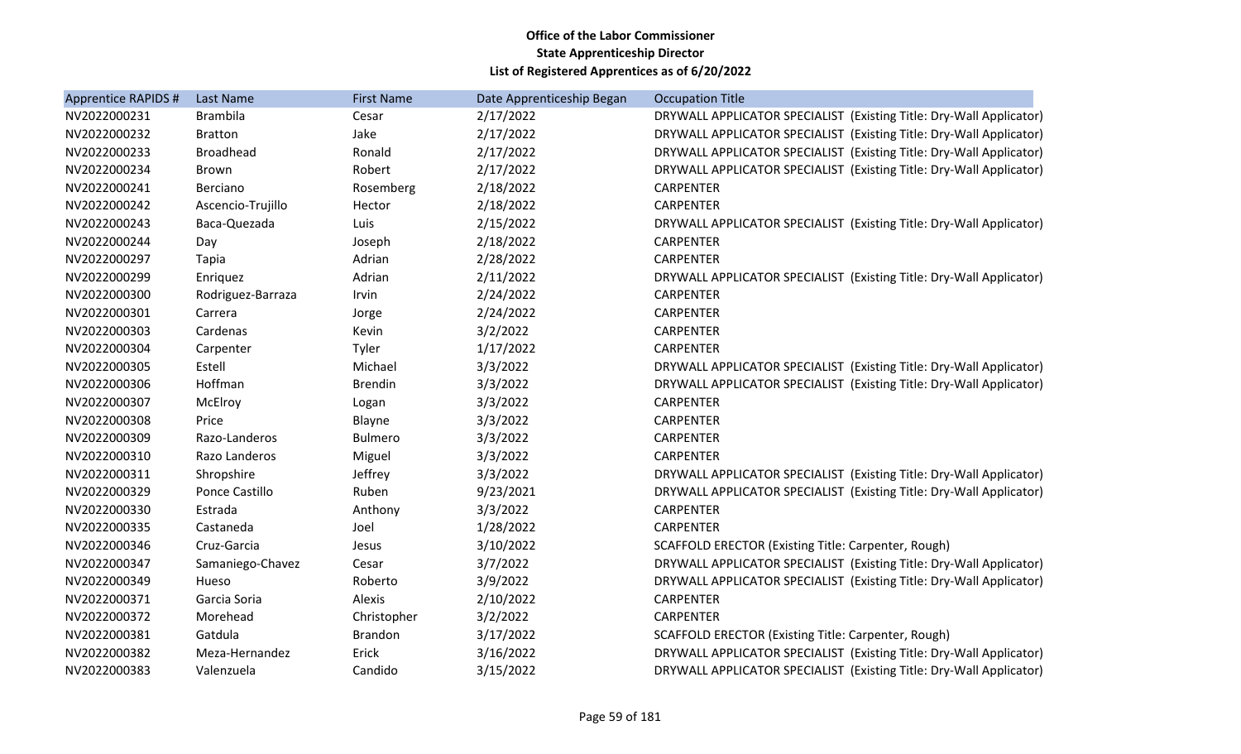| Apprentice RAPIDS # | Last Name         | <b>First Name</b> | Date Apprenticeship Began | <b>Occupation Title</b>                                             |
|---------------------|-------------------|-------------------|---------------------------|---------------------------------------------------------------------|
| NV2022000231        | <b>Brambila</b>   | Cesar             | 2/17/2022                 | DRYWALL APPLICATOR SPECIALIST (Existing Title: Dry-Wall Applicator) |
| NV2022000232        | <b>Bratton</b>    | Jake              | 2/17/2022                 | DRYWALL APPLICATOR SPECIALIST (Existing Title: Dry-Wall Applicator) |
| NV2022000233        | <b>Broadhead</b>  | Ronald            | 2/17/2022                 | DRYWALL APPLICATOR SPECIALIST (Existing Title: Dry-Wall Applicator) |
| NV2022000234        | <b>Brown</b>      | Robert            | 2/17/2022                 | DRYWALL APPLICATOR SPECIALIST (Existing Title: Dry-Wall Applicator) |
| NV2022000241        | Berciano          | Rosemberg         | 2/18/2022                 | <b>CARPENTER</b>                                                    |
| NV2022000242        | Ascencio-Trujillo | Hector            | 2/18/2022                 | <b>CARPENTER</b>                                                    |
| NV2022000243        | Baca-Quezada      | Luis              | 2/15/2022                 | DRYWALL APPLICATOR SPECIALIST (Existing Title: Dry-Wall Applicator) |
| NV2022000244        | Day               | Joseph            | 2/18/2022                 | <b>CARPENTER</b>                                                    |
| NV2022000297        | Tapia             | Adrian            | 2/28/2022                 | <b>CARPENTER</b>                                                    |
| NV2022000299        | Enriquez          | Adrian            | 2/11/2022                 | DRYWALL APPLICATOR SPECIALIST (Existing Title: Dry-Wall Applicator) |
| NV2022000300        | Rodriguez-Barraza | Irvin             | 2/24/2022                 | <b>CARPENTER</b>                                                    |
| NV2022000301        | Carrera           | Jorge             | 2/24/2022                 | <b>CARPENTER</b>                                                    |
| NV2022000303        | Cardenas          | Kevin             | 3/2/2022                  | <b>CARPENTER</b>                                                    |
| NV2022000304        | Carpenter         | Tyler             | 1/17/2022                 | <b>CARPENTER</b>                                                    |
| NV2022000305        | Estell            | Michael           | 3/3/2022                  | DRYWALL APPLICATOR SPECIALIST (Existing Title: Dry-Wall Applicator) |
| NV2022000306        | Hoffman           | <b>Brendin</b>    | 3/3/2022                  | DRYWALL APPLICATOR SPECIALIST (Existing Title: Dry-Wall Applicator) |
| NV2022000307        | McElroy           | Logan             | 3/3/2022                  | <b>CARPENTER</b>                                                    |
| NV2022000308        | Price             | Blayne            | 3/3/2022                  | CARPENTER                                                           |
| NV2022000309        | Razo-Landeros     | <b>Bulmero</b>    | 3/3/2022                  | <b>CARPENTER</b>                                                    |
| NV2022000310        | Razo Landeros     | Miguel            | 3/3/2022                  | <b>CARPENTER</b>                                                    |
| NV2022000311        | Shropshire        | Jeffrey           | 3/3/2022                  | DRYWALL APPLICATOR SPECIALIST (Existing Title: Dry-Wall Applicator) |
| NV2022000329        | Ponce Castillo    | Ruben             | 9/23/2021                 | DRYWALL APPLICATOR SPECIALIST (Existing Title: Dry-Wall Applicator) |
| NV2022000330        | Estrada           | Anthony           | 3/3/2022                  | <b>CARPENTER</b>                                                    |
| NV2022000335        | Castaneda         | Joel              | 1/28/2022                 | <b>CARPENTER</b>                                                    |
| NV2022000346        | Cruz-Garcia       | Jesus             | 3/10/2022                 | SCAFFOLD ERECTOR (Existing Title: Carpenter, Rough)                 |
| NV2022000347        | Samaniego-Chavez  | Cesar             | 3/7/2022                  | DRYWALL APPLICATOR SPECIALIST (Existing Title: Dry-Wall Applicator) |
| NV2022000349        | Hueso             | Roberto           | 3/9/2022                  | DRYWALL APPLICATOR SPECIALIST (Existing Title: Dry-Wall Applicator) |
| NV2022000371        | Garcia Soria      | Alexis            | 2/10/2022                 | <b>CARPENTER</b>                                                    |
| NV2022000372        | Morehead          | Christopher       | 3/2/2022                  | <b>CARPENTER</b>                                                    |
| NV2022000381        | Gatdula           | <b>Brandon</b>    | 3/17/2022                 | SCAFFOLD ERECTOR (Existing Title: Carpenter, Rough)                 |
| NV2022000382        | Meza-Hernandez    | Erick             | 3/16/2022                 | DRYWALL APPLICATOR SPECIALIST (Existing Title: Dry-Wall Applicator) |
| NV2022000383        | Valenzuela        | Candido           | 3/15/2022                 | DRYWALL APPLICATOR SPECIALIST (Existing Title: Dry-Wall Applicator) |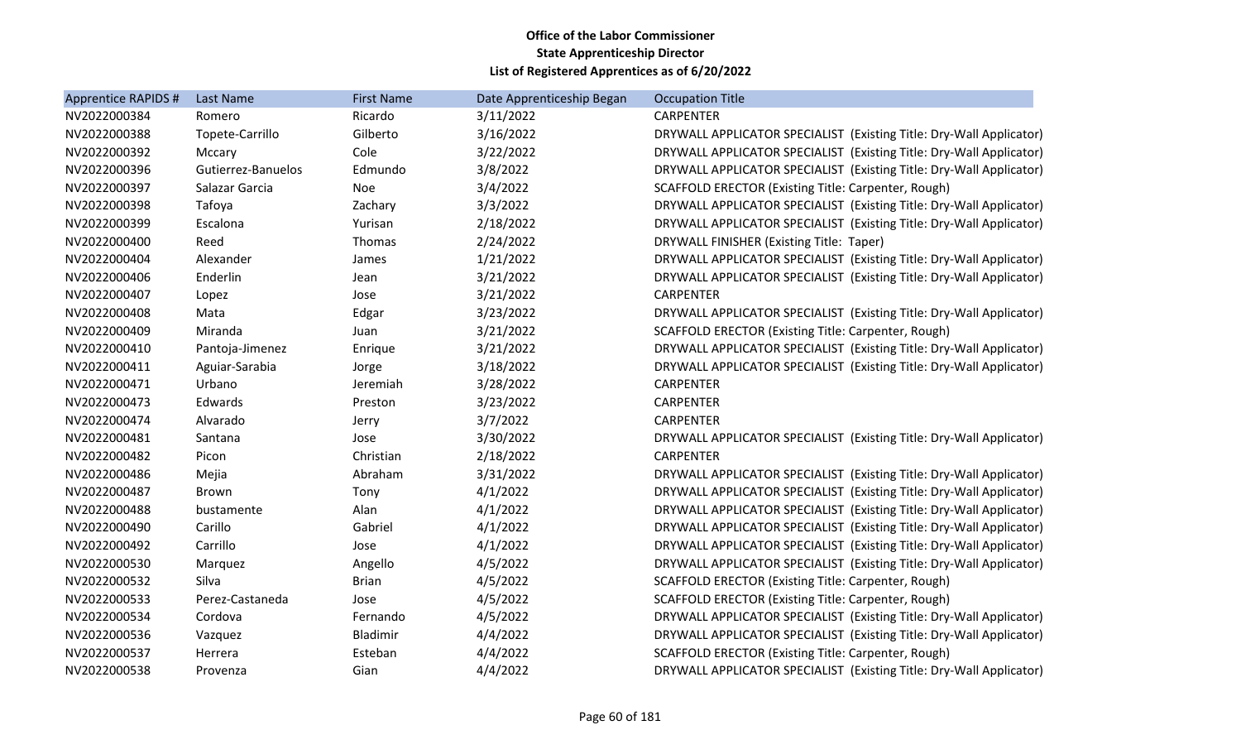| <b>Apprentice RAPIDS #</b> | Last Name          | <b>First Name</b> | Date Apprenticeship Began | <b>Occupation Title</b>                                             |
|----------------------------|--------------------|-------------------|---------------------------|---------------------------------------------------------------------|
| NV2022000384               | Romero             | Ricardo           | 3/11/2022                 | <b>CARPENTER</b>                                                    |
| NV2022000388               | Topete-Carrillo    | Gilberto          | 3/16/2022                 | DRYWALL APPLICATOR SPECIALIST (Existing Title: Dry-Wall Applicator) |
| NV2022000392               | Mccary             | Cole              | 3/22/2022                 | DRYWALL APPLICATOR SPECIALIST (Existing Title: Dry-Wall Applicator) |
| NV2022000396               | Gutierrez-Banuelos | Edmundo           | 3/8/2022                  | DRYWALL APPLICATOR SPECIALIST (Existing Title: Dry-Wall Applicator) |
| NV2022000397               | Salazar Garcia     | Noe               | 3/4/2022                  | SCAFFOLD ERECTOR (Existing Title: Carpenter, Rough)                 |
| NV2022000398               | Tafoya             | Zachary           | 3/3/2022                  | DRYWALL APPLICATOR SPECIALIST (Existing Title: Dry-Wall Applicator) |
| NV2022000399               | Escalona           | Yurisan           | 2/18/2022                 | DRYWALL APPLICATOR SPECIALIST (Existing Title: Dry-Wall Applicator) |
| NV2022000400               | Reed               | Thomas            | 2/24/2022                 | DRYWALL FINISHER (Existing Title: Taper)                            |
| NV2022000404               | Alexander          | James             | 1/21/2022                 | DRYWALL APPLICATOR SPECIALIST (Existing Title: Dry-Wall Applicator) |
| NV2022000406               | Enderlin           | Jean              | 3/21/2022                 | DRYWALL APPLICATOR SPECIALIST (Existing Title: Dry-Wall Applicator) |
| NV2022000407               | Lopez              | Jose              | 3/21/2022                 | <b>CARPENTER</b>                                                    |
| NV2022000408               | Mata               | Edgar             | 3/23/2022                 | DRYWALL APPLICATOR SPECIALIST (Existing Title: Dry-Wall Applicator) |
| NV2022000409               | Miranda            | Juan              | 3/21/2022                 | SCAFFOLD ERECTOR (Existing Title: Carpenter, Rough)                 |
| NV2022000410               | Pantoja-Jimenez    | Enrique           | 3/21/2022                 | DRYWALL APPLICATOR SPECIALIST (Existing Title: Dry-Wall Applicator) |
| NV2022000411               | Aguiar-Sarabia     | Jorge             | 3/18/2022                 | DRYWALL APPLICATOR SPECIALIST (Existing Title: Dry-Wall Applicator) |
| NV2022000471               | Urbano             | Jeremiah          | 3/28/2022                 | <b>CARPENTER</b>                                                    |
| NV2022000473               | Edwards            | Preston           | 3/23/2022                 | <b>CARPENTER</b>                                                    |
| NV2022000474               | Alvarado           | Jerry             | 3/7/2022                  | <b>CARPENTER</b>                                                    |
| NV2022000481               | Santana            | Jose              | 3/30/2022                 | DRYWALL APPLICATOR SPECIALIST (Existing Title: Dry-Wall Applicator) |
| NV2022000482               | Picon              | Christian         | 2/18/2022                 | <b>CARPENTER</b>                                                    |
| NV2022000486               | Mejia              | Abraham           | 3/31/2022                 | DRYWALL APPLICATOR SPECIALIST (Existing Title: Dry-Wall Applicator) |
| NV2022000487               | Brown              | Tony              | 4/1/2022                  | DRYWALL APPLICATOR SPECIALIST (Existing Title: Dry-Wall Applicator) |
| NV2022000488               | bustamente         | Alan              | 4/1/2022                  | DRYWALL APPLICATOR SPECIALIST (Existing Title: Dry-Wall Applicator) |
| NV2022000490               | Carillo            | Gabriel           | 4/1/2022                  | DRYWALL APPLICATOR SPECIALIST (Existing Title: Dry-Wall Applicator) |
| NV2022000492               | Carrillo           | Jose              | 4/1/2022                  | DRYWALL APPLICATOR SPECIALIST (Existing Title: Dry-Wall Applicator) |
| NV2022000530               | Marquez            | Angello           | 4/5/2022                  | DRYWALL APPLICATOR SPECIALIST (Existing Title: Dry-Wall Applicator) |
| NV2022000532               | Silva              | <b>Brian</b>      | 4/5/2022                  | SCAFFOLD ERECTOR (Existing Title: Carpenter, Rough)                 |
| NV2022000533               | Perez-Castaneda    | Jose              | 4/5/2022                  | SCAFFOLD ERECTOR (Existing Title: Carpenter, Rough)                 |
| NV2022000534               | Cordova            | Fernando          | 4/5/2022                  | DRYWALL APPLICATOR SPECIALIST (Existing Title: Dry-Wall Applicator) |
| NV2022000536               | Vazquez            | Bladimir          | 4/4/2022                  | DRYWALL APPLICATOR SPECIALIST (Existing Title: Dry-Wall Applicator) |
| NV2022000537               | Herrera            | Esteban           | 4/4/2022                  | <b>SCAFFOLD ERECTOR (Existing Title: Carpenter, Rough)</b>          |
| NV2022000538               | Provenza           | Gian              | 4/4/2022                  | DRYWALL APPLICATOR SPECIALIST (Existing Title: Dry-Wall Applicator) |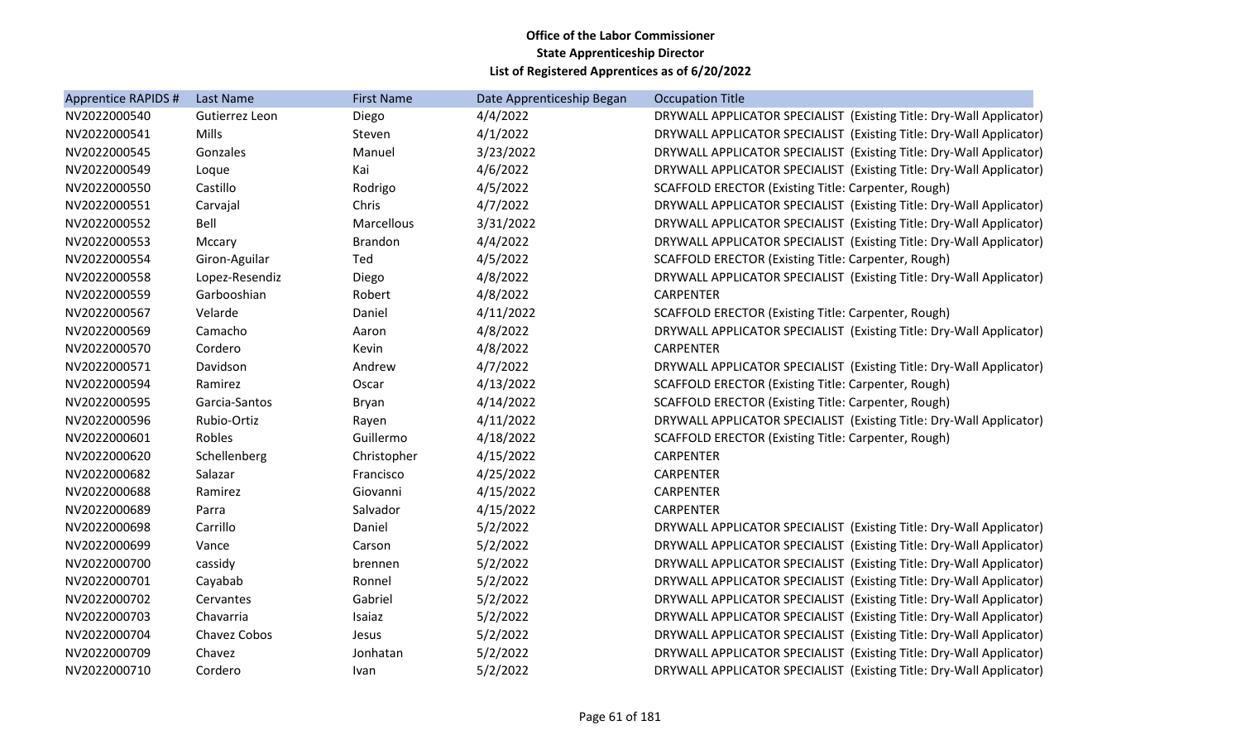| <b>Apprentice RAPIDS #</b> | Last Name      | <b>First Name</b> | Date Apprenticeship Began | <b>Occupation Title</b>                                             |
|----------------------------|----------------|-------------------|---------------------------|---------------------------------------------------------------------|
| NV2022000540               | Gutierrez Leon | Diego             | 4/4/2022                  | DRYWALL APPLICATOR SPECIALIST (Existing Title: Dry-Wall Applicator) |
| NV2022000541               | <b>Mills</b>   | Steven            | 4/1/2022                  | DRYWALL APPLICATOR SPECIALIST (Existing Title: Dry-Wall Applicator) |
| NV2022000545               | Gonzales       | Manuel            | 3/23/2022                 | DRYWALL APPLICATOR SPECIALIST (Existing Title: Dry-Wall Applicator) |
| NV2022000549               | Loque          | Kai               | 4/6/2022                  | DRYWALL APPLICATOR SPECIALIST (Existing Title: Dry-Wall Applicator) |
| NV2022000550               | Castillo       | Rodrigo           | 4/5/2022                  | SCAFFOLD ERECTOR (Existing Title: Carpenter, Rough)                 |
| NV2022000551               | Carvajal       | Chris             | 4/7/2022                  | DRYWALL APPLICATOR SPECIALIST (Existing Title: Dry-Wall Applicator) |
| NV2022000552               | Bell           | Marcellous        | 3/31/2022                 | DRYWALL APPLICATOR SPECIALIST (Existing Title: Dry-Wall Applicator) |
| NV2022000553               | Mccary         | <b>Brandon</b>    | 4/4/2022                  | DRYWALL APPLICATOR SPECIALIST (Existing Title: Dry-Wall Applicator) |
| NV2022000554               | Giron-Aguilar  | Ted               | 4/5/2022                  | SCAFFOLD ERECTOR (Existing Title: Carpenter, Rough)                 |
| NV2022000558               | Lopez-Resendiz | Diego             | 4/8/2022                  | DRYWALL APPLICATOR SPECIALIST (Existing Title: Dry-Wall Applicator) |
| NV2022000559               | Garbooshian    | Robert            | 4/8/2022                  | <b>CARPENTER</b>                                                    |
| NV2022000567               | Velarde        | Daniel            | 4/11/2022                 | SCAFFOLD ERECTOR (Existing Title: Carpenter, Rough)                 |
| NV2022000569               | Camacho        | Aaron             | 4/8/2022                  | DRYWALL APPLICATOR SPECIALIST (Existing Title: Dry-Wall Applicator) |
| NV2022000570               | Cordero        | Kevin             | 4/8/2022                  | <b>CARPENTER</b>                                                    |
| NV2022000571               | Davidson       | Andrew            | 4/7/2022                  | DRYWALL APPLICATOR SPECIALIST (Existing Title: Dry-Wall Applicator) |
| NV2022000594               | Ramirez        | Oscar             | 4/13/2022                 | SCAFFOLD ERECTOR (Existing Title: Carpenter, Rough)                 |
| NV2022000595               | Garcia-Santos  | Bryan             | 4/14/2022                 | SCAFFOLD ERECTOR (Existing Title: Carpenter, Rough)                 |
| NV2022000596               | Rubio-Ortiz    | Rayen             | 4/11/2022                 | DRYWALL APPLICATOR SPECIALIST (Existing Title: Dry-Wall Applicator) |
| NV2022000601               | Robles         | Guillermo         | 4/18/2022                 | SCAFFOLD ERECTOR (Existing Title: Carpenter, Rough)                 |
| NV2022000620               | Schellenberg   | Christopher       | 4/15/2022                 | <b>CARPENTER</b>                                                    |
| NV2022000682               | Salazar        | Francisco         | 4/25/2022                 | <b>CARPENTER</b>                                                    |
| NV2022000688               | Ramirez        | Giovanni          | 4/15/2022                 | <b>CARPENTER</b>                                                    |
| NV2022000689               | Parra          | Salvador          | 4/15/2022                 | <b>CARPENTER</b>                                                    |
| NV2022000698               | Carrillo       | Daniel            | 5/2/2022                  | DRYWALL APPLICATOR SPECIALIST (Existing Title: Dry-Wall Applicator) |
| NV2022000699               | Vance          | Carson            | 5/2/2022                  | DRYWALL APPLICATOR SPECIALIST (Existing Title: Dry-Wall Applicator) |
| NV2022000700               | cassidy        | brennen           | 5/2/2022                  | DRYWALL APPLICATOR SPECIALIST (Existing Title: Dry-Wall Applicator) |
| NV2022000701               | Cayabab        | Ronnel            | 5/2/2022                  | DRYWALL APPLICATOR SPECIALIST (Existing Title: Dry-Wall Applicator) |
| NV2022000702               | Cervantes      | Gabriel           | 5/2/2022                  | DRYWALL APPLICATOR SPECIALIST (Existing Title: Dry-Wall Applicator) |
| NV2022000703               | Chavarria      | Isaiaz            | 5/2/2022                  | DRYWALL APPLICATOR SPECIALIST (Existing Title: Dry-Wall Applicator) |
| NV2022000704               | Chavez Cobos   | Jesus             | 5/2/2022                  | DRYWALL APPLICATOR SPECIALIST (Existing Title: Dry-Wall Applicator) |
| NV2022000709               | Chavez         | Jonhatan          | 5/2/2022                  | DRYWALL APPLICATOR SPECIALIST (Existing Title: Dry-Wall Applicator) |
| NV2022000710               | Cordero        | Ivan              | 5/2/2022                  | DRYWALL APPLICATOR SPECIALIST (Existing Title: Dry-Wall Applicator) |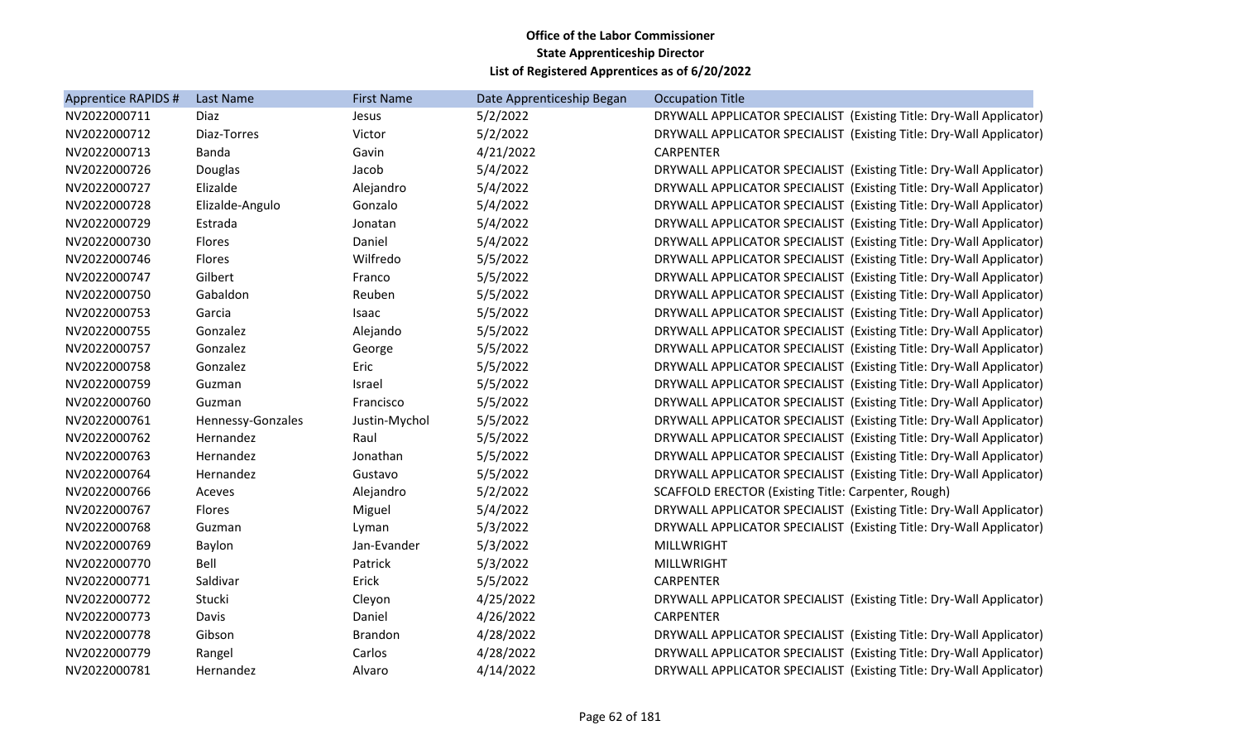| Apprentice RAPIDS # | Last Name         | <b>First Name</b> | Date Apprenticeship Began | <b>Occupation Title</b>                                             |
|---------------------|-------------------|-------------------|---------------------------|---------------------------------------------------------------------|
| NV2022000711        | Diaz              | Jesus             | 5/2/2022                  | DRYWALL APPLICATOR SPECIALIST (Existing Title: Dry-Wall Applicator) |
| NV2022000712        | Diaz-Torres       | Victor            | 5/2/2022                  | DRYWALL APPLICATOR SPECIALIST (Existing Title: Dry-Wall Applicator) |
| NV2022000713        | Banda             | Gavin             | 4/21/2022                 | <b>CARPENTER</b>                                                    |
| NV2022000726        | Douglas           | Jacob             | 5/4/2022                  | DRYWALL APPLICATOR SPECIALIST (Existing Title: Dry-Wall Applicator) |
| NV2022000727        | Elizalde          | Alejandro         | 5/4/2022                  | DRYWALL APPLICATOR SPECIALIST (Existing Title: Dry-Wall Applicator) |
| NV2022000728        | Elizalde-Angulo   | Gonzalo           | 5/4/2022                  | DRYWALL APPLICATOR SPECIALIST (Existing Title: Dry-Wall Applicator) |
| NV2022000729        | Estrada           | Jonatan           | 5/4/2022                  | DRYWALL APPLICATOR SPECIALIST (Existing Title: Dry-Wall Applicator) |
| NV2022000730        | Flores            | Daniel            | 5/4/2022                  | DRYWALL APPLICATOR SPECIALIST (Existing Title: Dry-Wall Applicator) |
| NV2022000746        | Flores            | Wilfredo          | 5/5/2022                  | DRYWALL APPLICATOR SPECIALIST (Existing Title: Dry-Wall Applicator) |
| NV2022000747        | Gilbert           | Franco            | 5/5/2022                  | DRYWALL APPLICATOR SPECIALIST (Existing Title: Dry-Wall Applicator) |
| NV2022000750        | Gabaldon          | Reuben            | 5/5/2022                  | DRYWALL APPLICATOR SPECIALIST (Existing Title: Dry-Wall Applicator) |
| NV2022000753        | Garcia            | Isaac             | 5/5/2022                  | DRYWALL APPLICATOR SPECIALIST (Existing Title: Dry-Wall Applicator) |
| NV2022000755        | Gonzalez          | Alejando          | 5/5/2022                  | DRYWALL APPLICATOR SPECIALIST (Existing Title: Dry-Wall Applicator) |
| NV2022000757        | Gonzalez          | George            | 5/5/2022                  | DRYWALL APPLICATOR SPECIALIST (Existing Title: Dry-Wall Applicator) |
| NV2022000758        | Gonzalez          | Eric              | 5/5/2022                  | DRYWALL APPLICATOR SPECIALIST (Existing Title: Dry-Wall Applicator) |
| NV2022000759        | Guzman            | Israel            | 5/5/2022                  | DRYWALL APPLICATOR SPECIALIST (Existing Title: Dry-Wall Applicator) |
| NV2022000760        | Guzman            | Francisco         | 5/5/2022                  | DRYWALL APPLICATOR SPECIALIST (Existing Title: Dry-Wall Applicator) |
| NV2022000761        | Hennessy-Gonzales | Justin-Mychol     | 5/5/2022                  | DRYWALL APPLICATOR SPECIALIST (Existing Title: Dry-Wall Applicator) |
| NV2022000762        | Hernandez         | Raul              | 5/5/2022                  | DRYWALL APPLICATOR SPECIALIST (Existing Title: Dry-Wall Applicator) |
| NV2022000763        | Hernandez         | Jonathan          | 5/5/2022                  | DRYWALL APPLICATOR SPECIALIST (Existing Title: Dry-Wall Applicator) |
| NV2022000764        | Hernandez         | Gustavo           | 5/5/2022                  | DRYWALL APPLICATOR SPECIALIST (Existing Title: Dry-Wall Applicator) |
| NV2022000766        | Aceves            | Alejandro         | 5/2/2022                  | SCAFFOLD ERECTOR (Existing Title: Carpenter, Rough)                 |
| NV2022000767        | Flores            | Miguel            | 5/4/2022                  | DRYWALL APPLICATOR SPECIALIST (Existing Title: Dry-Wall Applicator) |
| NV2022000768        | Guzman            | Lyman             | 5/3/2022                  | DRYWALL APPLICATOR SPECIALIST (Existing Title: Dry-Wall Applicator) |
| NV2022000769        | Baylon            | Jan-Evander       | 5/3/2022                  | <b>MILLWRIGHT</b>                                                   |
| NV2022000770        | Bell              | Patrick           | 5/3/2022                  | <b>MILLWRIGHT</b>                                                   |
| NV2022000771        | Saldivar          | Erick             | 5/5/2022                  | <b>CARPENTER</b>                                                    |
| NV2022000772        | Stucki            | Cleyon            | 4/25/2022                 | DRYWALL APPLICATOR SPECIALIST (Existing Title: Dry-Wall Applicator) |
| NV2022000773        | Davis             | Daniel            | 4/26/2022                 | <b>CARPENTER</b>                                                    |
| NV2022000778        | Gibson            | <b>Brandon</b>    | 4/28/2022                 | DRYWALL APPLICATOR SPECIALIST (Existing Title: Dry-Wall Applicator) |
| NV2022000779        | Rangel            | Carlos            | 4/28/2022                 | DRYWALL APPLICATOR SPECIALIST (Existing Title: Dry-Wall Applicator) |
| NV2022000781        | Hernandez         | Alvaro            | 4/14/2022                 | DRYWALL APPLICATOR SPECIALIST (Existing Title: Dry-Wall Applicator) |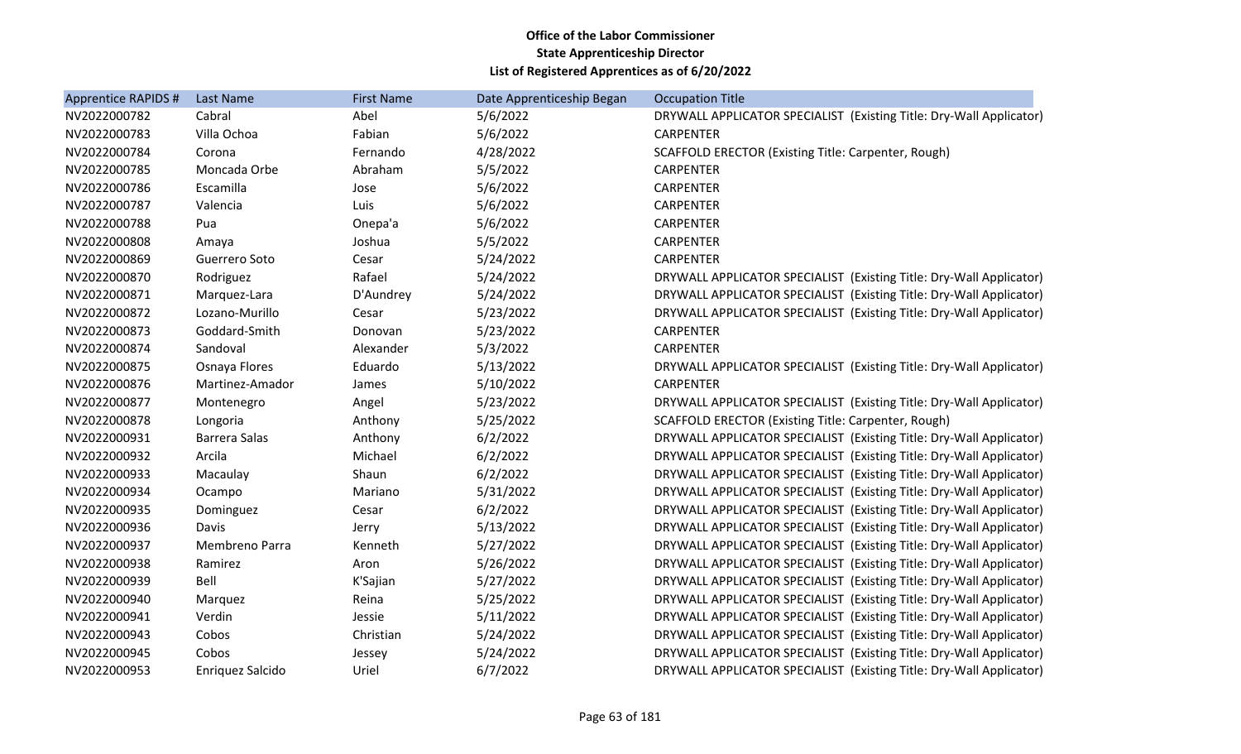| Apprentice RAPIDS # | Last Name            | <b>First Name</b> | Date Apprenticeship Began | <b>Occupation Title</b>                                             |
|---------------------|----------------------|-------------------|---------------------------|---------------------------------------------------------------------|
| NV2022000782        | Cabral               | Abel              | 5/6/2022                  | DRYWALL APPLICATOR SPECIALIST (Existing Title: Dry-Wall Applicator) |
| NV2022000783        | Villa Ochoa          | Fabian            | 5/6/2022                  | <b>CARPENTER</b>                                                    |
| NV2022000784        | Corona               | Fernando          | 4/28/2022                 | SCAFFOLD ERECTOR (Existing Title: Carpenter, Rough)                 |
| NV2022000785        | Moncada Orbe         | Abraham           | 5/5/2022                  | <b>CARPENTER</b>                                                    |
| NV2022000786        | Escamilla            | Jose              | 5/6/2022                  | <b>CARPENTER</b>                                                    |
| NV2022000787        | Valencia             | Luis              | 5/6/2022                  | <b>CARPENTER</b>                                                    |
| NV2022000788        | Pua                  | Onepa'a           | 5/6/2022                  | <b>CARPENTER</b>                                                    |
| NV2022000808        | Amaya                | Joshua            | 5/5/2022                  | <b>CARPENTER</b>                                                    |
| NV2022000869        | Guerrero Soto        | Cesar             | 5/24/2022                 | <b>CARPENTER</b>                                                    |
| NV2022000870        | Rodriguez            | Rafael            | 5/24/2022                 | DRYWALL APPLICATOR SPECIALIST (Existing Title: Dry-Wall Applicator) |
| NV2022000871        | Marquez-Lara         | D'Aundrey         | 5/24/2022                 | DRYWALL APPLICATOR SPECIALIST (Existing Title: Dry-Wall Applicator) |
| NV2022000872        | Lozano-Murillo       | Cesar             | 5/23/2022                 | DRYWALL APPLICATOR SPECIALIST (Existing Title: Dry-Wall Applicator) |
| NV2022000873        | Goddard-Smith        | Donovan           | 5/23/2022                 | <b>CARPENTER</b>                                                    |
| NV2022000874        | Sandoval             | Alexander         | 5/3/2022                  | <b>CARPENTER</b>                                                    |
| NV2022000875        | Osnaya Flores        | Eduardo           | 5/13/2022                 | DRYWALL APPLICATOR SPECIALIST (Existing Title: Dry-Wall Applicator) |
| NV2022000876        | Martinez-Amador      | James             | 5/10/2022                 | <b>CARPENTER</b>                                                    |
| NV2022000877        | Montenegro           | Angel             | 5/23/2022                 | DRYWALL APPLICATOR SPECIALIST (Existing Title: Dry-Wall Applicator) |
| NV2022000878        | Longoria             | Anthony           | 5/25/2022                 | SCAFFOLD ERECTOR (Existing Title: Carpenter, Rough)                 |
| NV2022000931        | <b>Barrera Salas</b> | Anthony           | 6/2/2022                  | DRYWALL APPLICATOR SPECIALIST (Existing Title: Dry-Wall Applicator) |
| NV2022000932        | Arcila               | Michael           | 6/2/2022                  | DRYWALL APPLICATOR SPECIALIST (Existing Title: Dry-Wall Applicator) |
| NV2022000933        | Macaulay             | Shaun             | 6/2/2022                  | DRYWALL APPLICATOR SPECIALIST (Existing Title: Dry-Wall Applicator) |
| NV2022000934        | Ocampo               | Mariano           | 5/31/2022                 | DRYWALL APPLICATOR SPECIALIST (Existing Title: Dry-Wall Applicator) |
| NV2022000935        | Dominguez            | Cesar             | 6/2/2022                  | DRYWALL APPLICATOR SPECIALIST (Existing Title: Dry-Wall Applicator) |
| NV2022000936        | Davis                | Jerry             | 5/13/2022                 | DRYWALL APPLICATOR SPECIALIST (Existing Title: Dry-Wall Applicator) |
| NV2022000937        | Membreno Parra       | Kenneth           | 5/27/2022                 | DRYWALL APPLICATOR SPECIALIST (Existing Title: Dry-Wall Applicator) |
| NV2022000938        | Ramirez              | Aron              | 5/26/2022                 | DRYWALL APPLICATOR SPECIALIST (Existing Title: Dry-Wall Applicator) |
| NV2022000939        | Bell                 | K'Sajian          | 5/27/2022                 | DRYWALL APPLICATOR SPECIALIST (Existing Title: Dry-Wall Applicator) |
| NV2022000940        | Marquez              | Reina             | 5/25/2022                 | DRYWALL APPLICATOR SPECIALIST (Existing Title: Dry-Wall Applicator) |
| NV2022000941        | Verdin               | Jessie            | 5/11/2022                 | DRYWALL APPLICATOR SPECIALIST (Existing Title: Dry-Wall Applicator) |
| NV2022000943        | Cobos                | Christian         | 5/24/2022                 | DRYWALL APPLICATOR SPECIALIST (Existing Title: Dry-Wall Applicator) |
| NV2022000945        | Cobos                | Jessey            | 5/24/2022                 | DRYWALL APPLICATOR SPECIALIST (Existing Title: Dry-Wall Applicator) |
| NV2022000953        | Enriquez Salcido     | Uriel             | 6/7/2022                  | DRYWALL APPLICATOR SPECIALIST (Existing Title: Dry-Wall Applicator) |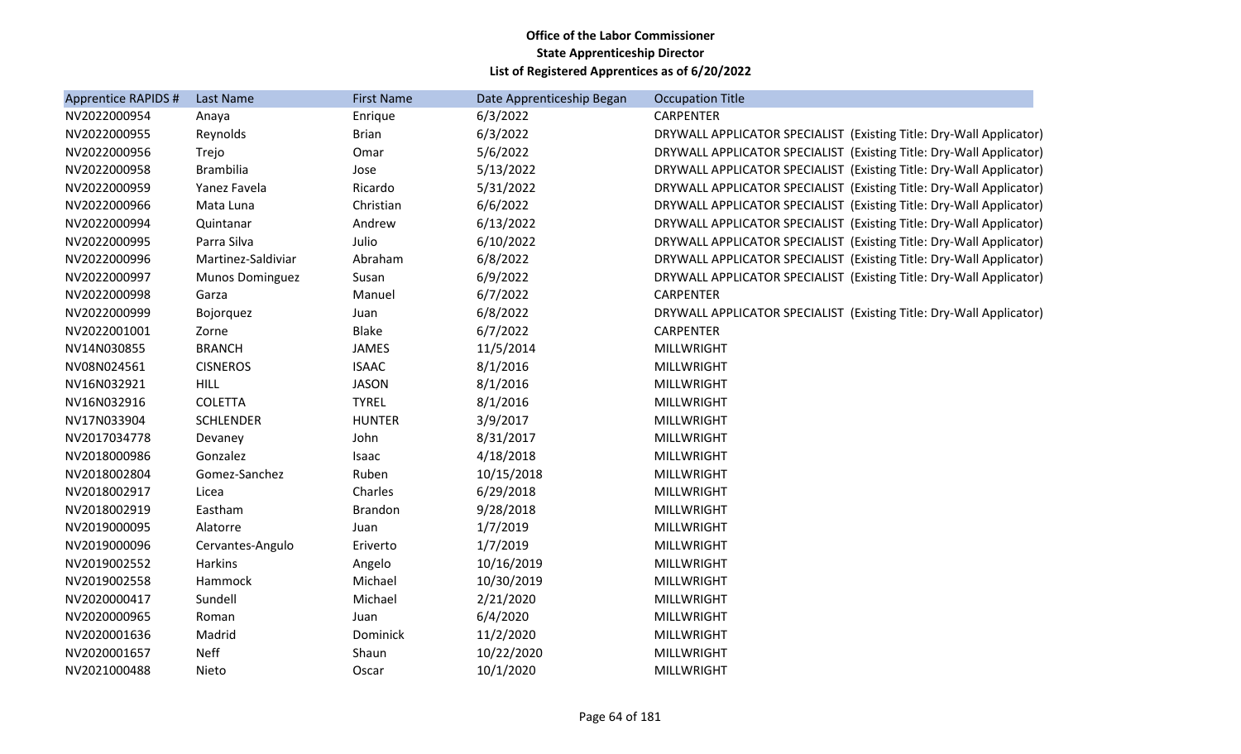| Apprentice RAPIDS # | <b>Last Name</b>       | <b>First Name</b> | Date Apprenticeship Began | <b>Occupation Title</b>                                             |
|---------------------|------------------------|-------------------|---------------------------|---------------------------------------------------------------------|
| NV2022000954        | Anaya                  | Enrique           | 6/3/2022                  | <b>CARPENTER</b>                                                    |
| NV2022000955        | Reynolds               | <b>Brian</b>      | 6/3/2022                  | DRYWALL APPLICATOR SPECIALIST (Existing Title: Dry-Wall Applicator) |
| NV2022000956        | Trejo                  | Omar              | 5/6/2022                  | DRYWALL APPLICATOR SPECIALIST (Existing Title: Dry-Wall Applicator) |
| NV2022000958        | <b>Brambilia</b>       | Jose              | 5/13/2022                 | DRYWALL APPLICATOR SPECIALIST (Existing Title: Dry-Wall Applicator) |
| NV2022000959        | Yanez Favela           | Ricardo           | 5/31/2022                 | DRYWALL APPLICATOR SPECIALIST (Existing Title: Dry-Wall Applicator) |
| NV2022000966        | Mata Luna              | Christian         | 6/6/2022                  | DRYWALL APPLICATOR SPECIALIST (Existing Title: Dry-Wall Applicator) |
| NV2022000994        | Quintanar              | Andrew            | 6/13/2022                 | DRYWALL APPLICATOR SPECIALIST (Existing Title: Dry-Wall Applicator) |
| NV2022000995        | Parra Silva            | Julio             | 6/10/2022                 | DRYWALL APPLICATOR SPECIALIST (Existing Title: Dry-Wall Applicator) |
| NV2022000996        | Martinez-Saldiviar     | Abraham           | 6/8/2022                  | DRYWALL APPLICATOR SPECIALIST (Existing Title: Dry-Wall Applicator) |
| NV2022000997        | <b>Munos Dominguez</b> | Susan             | 6/9/2022                  | DRYWALL APPLICATOR SPECIALIST (Existing Title: Dry-Wall Applicator) |
| NV2022000998        | Garza                  | Manuel            | 6/7/2022                  | <b>CARPENTER</b>                                                    |
| NV2022000999        | Bojorquez              | Juan              | 6/8/2022                  | DRYWALL APPLICATOR SPECIALIST (Existing Title: Dry-Wall Applicator) |
| NV2022001001        | Zorne                  | <b>Blake</b>      | 6/7/2022                  | <b>CARPENTER</b>                                                    |
| NV14N030855         | <b>BRANCH</b>          | <b>JAMES</b>      | 11/5/2014                 | <b>MILLWRIGHT</b>                                                   |
| NV08N024561         | <b>CISNEROS</b>        | <b>ISAAC</b>      | 8/1/2016                  | <b>MILLWRIGHT</b>                                                   |
| NV16N032921         | <b>HILL</b>            | <b>JASON</b>      | 8/1/2016                  | <b>MILLWRIGHT</b>                                                   |
| NV16N032916         | <b>COLETTA</b>         | <b>TYREL</b>      | 8/1/2016                  | <b>MILLWRIGHT</b>                                                   |
| NV17N033904         | <b>SCHLENDER</b>       | <b>HUNTER</b>     | 3/9/2017                  | <b>MILLWRIGHT</b>                                                   |
| NV2017034778        | Devaney                | John              | 8/31/2017                 | <b>MILLWRIGHT</b>                                                   |
| NV2018000986        | Gonzalez               | Isaac             | 4/18/2018                 | <b>MILLWRIGHT</b>                                                   |
| NV2018002804        | Gomez-Sanchez          | Ruben             | 10/15/2018                | <b>MILLWRIGHT</b>                                                   |
| NV2018002917        | Licea                  | Charles           | 6/29/2018                 | <b>MILLWRIGHT</b>                                                   |
| NV2018002919        | Eastham                | <b>Brandon</b>    | 9/28/2018                 | <b>MILLWRIGHT</b>                                                   |
| NV2019000095        | Alatorre               | Juan              | 1/7/2019                  | <b>MILLWRIGHT</b>                                                   |
| NV2019000096        | Cervantes-Angulo       | Eriverto          | 1/7/2019                  | <b>MILLWRIGHT</b>                                                   |
| NV2019002552        | Harkins                | Angelo            | 10/16/2019                | <b>MILLWRIGHT</b>                                                   |
| NV2019002558        | Hammock                | Michael           | 10/30/2019                | <b>MILLWRIGHT</b>                                                   |
| NV2020000417        | Sundell                | Michael           | 2/21/2020                 | <b>MILLWRIGHT</b>                                                   |
| NV2020000965        | Roman                  | Juan              | 6/4/2020                  | MILLWRIGHT                                                          |
| NV2020001636        | Madrid                 | Dominick          | 11/2/2020                 | <b>MILLWRIGHT</b>                                                   |
| NV2020001657        | <b>Neff</b>            | Shaun             | 10/22/2020                | <b>MILLWRIGHT</b>                                                   |
| NV2021000488        | Nieto                  | Oscar             | 10/1/2020                 | <b>MILLWRIGHT</b>                                                   |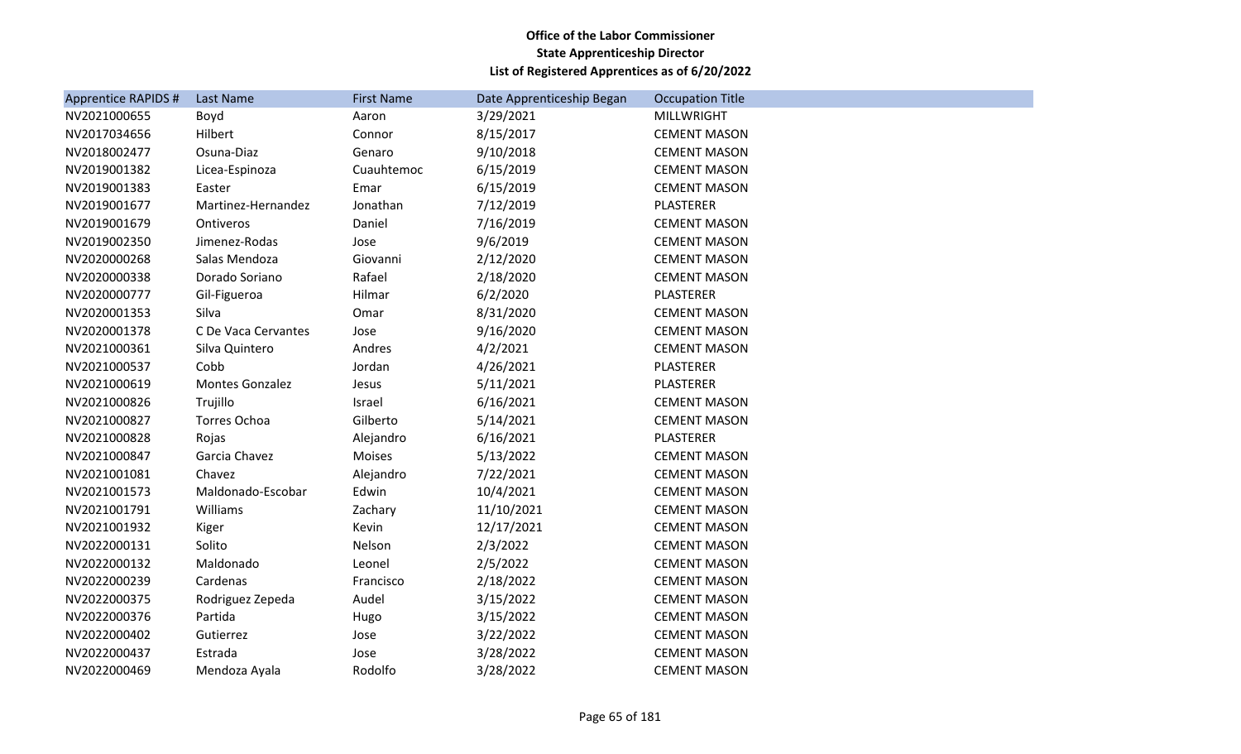| Apprentice RAPIDS # | <b>Last Name</b>       | <b>First Name</b> | Date Apprenticeship Began | <b>Occupation Title</b> |
|---------------------|------------------------|-------------------|---------------------------|-------------------------|
| NV2021000655        | Boyd                   | Aaron             | 3/29/2021                 | <b>MILLWRIGHT</b>       |
| NV2017034656        | Hilbert                | Connor            | 8/15/2017                 | <b>CEMENT MASON</b>     |
| NV2018002477        | Osuna-Diaz             | Genaro            | 9/10/2018                 | <b>CEMENT MASON</b>     |
| NV2019001382        | Licea-Espinoza         | Cuauhtemoc        | 6/15/2019                 | <b>CEMENT MASON</b>     |
| NV2019001383        | Easter                 | Emar              | 6/15/2019                 | <b>CEMENT MASON</b>     |
| NV2019001677        | Martinez-Hernandez     | Jonathan          | 7/12/2019                 | <b>PLASTERER</b>        |
| NV2019001679        | Ontiveros              | Daniel            | 7/16/2019                 | <b>CEMENT MASON</b>     |
| NV2019002350        | Jimenez-Rodas          | Jose              | 9/6/2019                  | <b>CEMENT MASON</b>     |
| NV2020000268        | Salas Mendoza          | Giovanni          | 2/12/2020                 | <b>CEMENT MASON</b>     |
| NV2020000338        | Dorado Soriano         | Rafael            | 2/18/2020                 | <b>CEMENT MASON</b>     |
| NV2020000777        | Gil-Figueroa           | Hilmar            | 6/2/2020                  | PLASTERER               |
| NV2020001353        | Silva                  | Omar              | 8/31/2020                 | <b>CEMENT MASON</b>     |
| NV2020001378        | C De Vaca Cervantes    | Jose              | 9/16/2020                 | <b>CEMENT MASON</b>     |
| NV2021000361        | Silva Quintero         | Andres            | 4/2/2021                  | <b>CEMENT MASON</b>     |
| NV2021000537        | Cobb                   | Jordan            | 4/26/2021                 | PLASTERER               |
| NV2021000619        | <b>Montes Gonzalez</b> | Jesus             | 5/11/2021                 | PLASTERER               |
| NV2021000826        | Trujillo               | Israel            | 6/16/2021                 | <b>CEMENT MASON</b>     |
| NV2021000827        | <b>Torres Ochoa</b>    | Gilberto          | 5/14/2021                 | <b>CEMENT MASON</b>     |
| NV2021000828        | Rojas                  | Alejandro         | 6/16/2021                 | PLASTERER               |
| NV2021000847        | Garcia Chavez          | Moises            | 5/13/2022                 | <b>CEMENT MASON</b>     |
| NV2021001081        | Chavez                 | Alejandro         | 7/22/2021                 | <b>CEMENT MASON</b>     |
| NV2021001573        | Maldonado-Escobar      | Edwin             | 10/4/2021                 | <b>CEMENT MASON</b>     |
| NV2021001791        | Williams               | Zachary           | 11/10/2021                | <b>CEMENT MASON</b>     |
| NV2021001932        | Kiger                  | Kevin             | 12/17/2021                | <b>CEMENT MASON</b>     |
| NV2022000131        | Solito                 | Nelson            | 2/3/2022                  | <b>CEMENT MASON</b>     |
| NV2022000132        | Maldonado              | Leonel            | 2/5/2022                  | <b>CEMENT MASON</b>     |
| NV2022000239        | Cardenas               | Francisco         | 2/18/2022                 | <b>CEMENT MASON</b>     |
| NV2022000375        | Rodriguez Zepeda       | Audel             | 3/15/2022                 | <b>CEMENT MASON</b>     |
| NV2022000376        | Partida                | Hugo              | 3/15/2022                 | <b>CEMENT MASON</b>     |
| NV2022000402        | Gutierrez              | Jose              | 3/22/2022                 | <b>CEMENT MASON</b>     |
| NV2022000437        | Estrada                | Jose              | 3/28/2022                 | <b>CEMENT MASON</b>     |
| NV2022000469        | Mendoza Ayala          | Rodolfo           | 3/28/2022                 | <b>CEMENT MASON</b>     |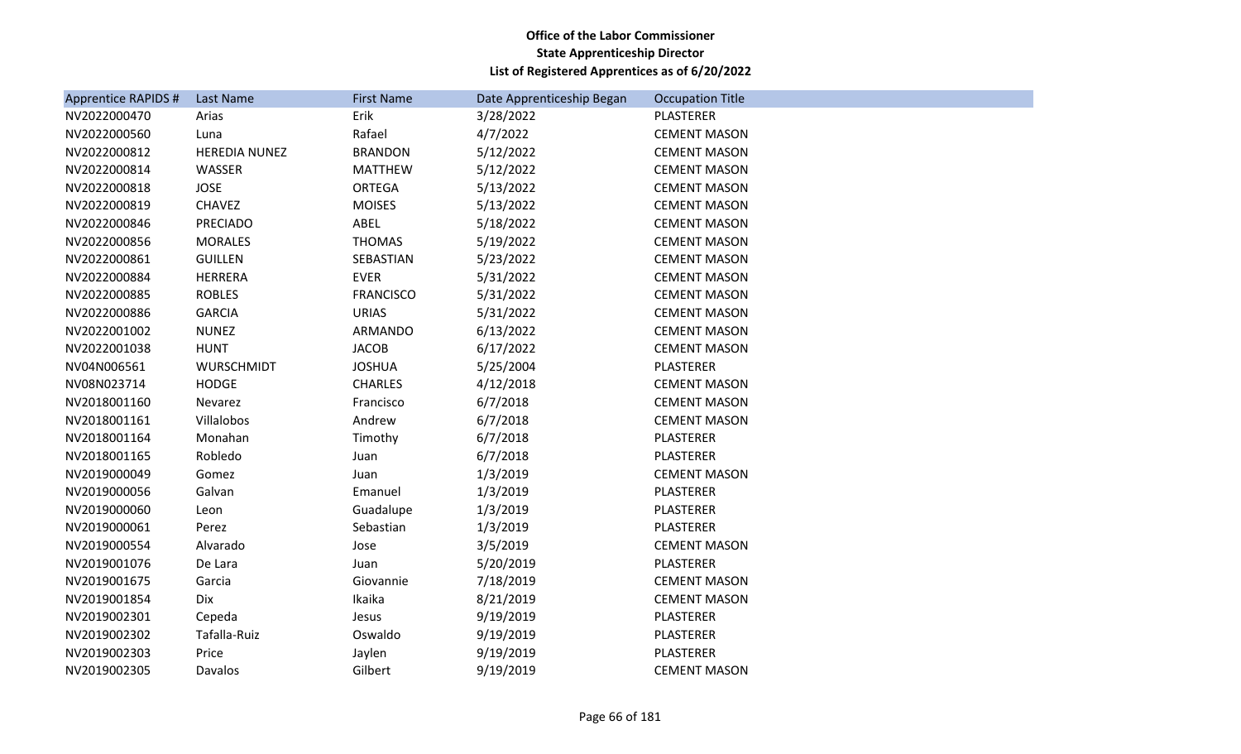| Apprentice RAPIDS # | Last Name            | <b>First Name</b> | Date Apprenticeship Began | <b>Occupation Title</b> |
|---------------------|----------------------|-------------------|---------------------------|-------------------------|
| NV2022000470        | Arias                | Erik              | 3/28/2022                 | PLASTERER               |
| NV2022000560        | Luna                 | Rafael            | 4/7/2022                  | <b>CEMENT MASON</b>     |
| NV2022000812        | <b>HEREDIA NUNEZ</b> | <b>BRANDON</b>    | 5/12/2022                 | <b>CEMENT MASON</b>     |
| NV2022000814        | WASSER               | <b>MATTHEW</b>    | 5/12/2022                 | <b>CEMENT MASON</b>     |
| NV2022000818        | <b>JOSE</b>          | ORTEGA            | 5/13/2022                 | <b>CEMENT MASON</b>     |
| NV2022000819        | <b>CHAVEZ</b>        | <b>MOISES</b>     | 5/13/2022                 | <b>CEMENT MASON</b>     |
| NV2022000846        | <b>PRECIADO</b>      | ABEL              | 5/18/2022                 | <b>CEMENT MASON</b>     |
| NV2022000856        | <b>MORALES</b>       | <b>THOMAS</b>     | 5/19/2022                 | <b>CEMENT MASON</b>     |
| NV2022000861        | <b>GUILLEN</b>       | SEBASTIAN         | 5/23/2022                 | <b>CEMENT MASON</b>     |
| NV2022000884        | <b>HERRERA</b>       | <b>EVER</b>       | 5/31/2022                 | <b>CEMENT MASON</b>     |
| NV2022000885        | <b>ROBLES</b>        | <b>FRANCISCO</b>  | 5/31/2022                 | <b>CEMENT MASON</b>     |
| NV2022000886        | <b>GARCIA</b>        | <b>URIAS</b>      | 5/31/2022                 | <b>CEMENT MASON</b>     |
| NV2022001002        | <b>NUNEZ</b>         | ARMANDO           | 6/13/2022                 | <b>CEMENT MASON</b>     |
| NV2022001038        | <b>HUNT</b>          | <b>JACOB</b>      | 6/17/2022                 | <b>CEMENT MASON</b>     |
| NV04N006561         | WURSCHMIDT           | <b>JOSHUA</b>     | 5/25/2004                 | PLASTERER               |
| NV08N023714         | <b>HODGE</b>         | <b>CHARLES</b>    | 4/12/2018                 | <b>CEMENT MASON</b>     |
| NV2018001160        | Nevarez              | Francisco         | 6/7/2018                  | <b>CEMENT MASON</b>     |
| NV2018001161        | Villalobos           | Andrew            | 6/7/2018                  | <b>CEMENT MASON</b>     |
| NV2018001164        | Monahan              | Timothy           | 6/7/2018                  | PLASTERER               |
| NV2018001165        | Robledo              | Juan              | 6/7/2018                  | PLASTERER               |
| NV2019000049        | Gomez                | Juan              | 1/3/2019                  | <b>CEMENT MASON</b>     |
| NV2019000056        | Galvan               | Emanuel           | 1/3/2019                  | PLASTERER               |
| NV2019000060        | Leon                 | Guadalupe         | 1/3/2019                  | <b>PLASTERER</b>        |
| NV2019000061        | Perez                | Sebastian         | 1/3/2019                  | PLASTERER               |
| NV2019000554        | Alvarado             | Jose              | 3/5/2019                  | <b>CEMENT MASON</b>     |
| NV2019001076        | De Lara              | Juan              | 5/20/2019                 | PLASTERER               |
| NV2019001675        | Garcia               | Giovannie         | 7/18/2019                 | <b>CEMENT MASON</b>     |
| NV2019001854        | Dix                  | Ikaika            | 8/21/2019                 | <b>CEMENT MASON</b>     |
| NV2019002301        | Cepeda               | Jesus             | 9/19/2019                 | PLASTERER               |
| NV2019002302        | Tafalla-Ruiz         | Oswaldo           | 9/19/2019                 | PLASTERER               |
| NV2019002303        | Price                | Jaylen            | 9/19/2019                 | PLASTERER               |
| NV2019002305        | Davalos              | Gilbert           | 9/19/2019                 | <b>CEMENT MASON</b>     |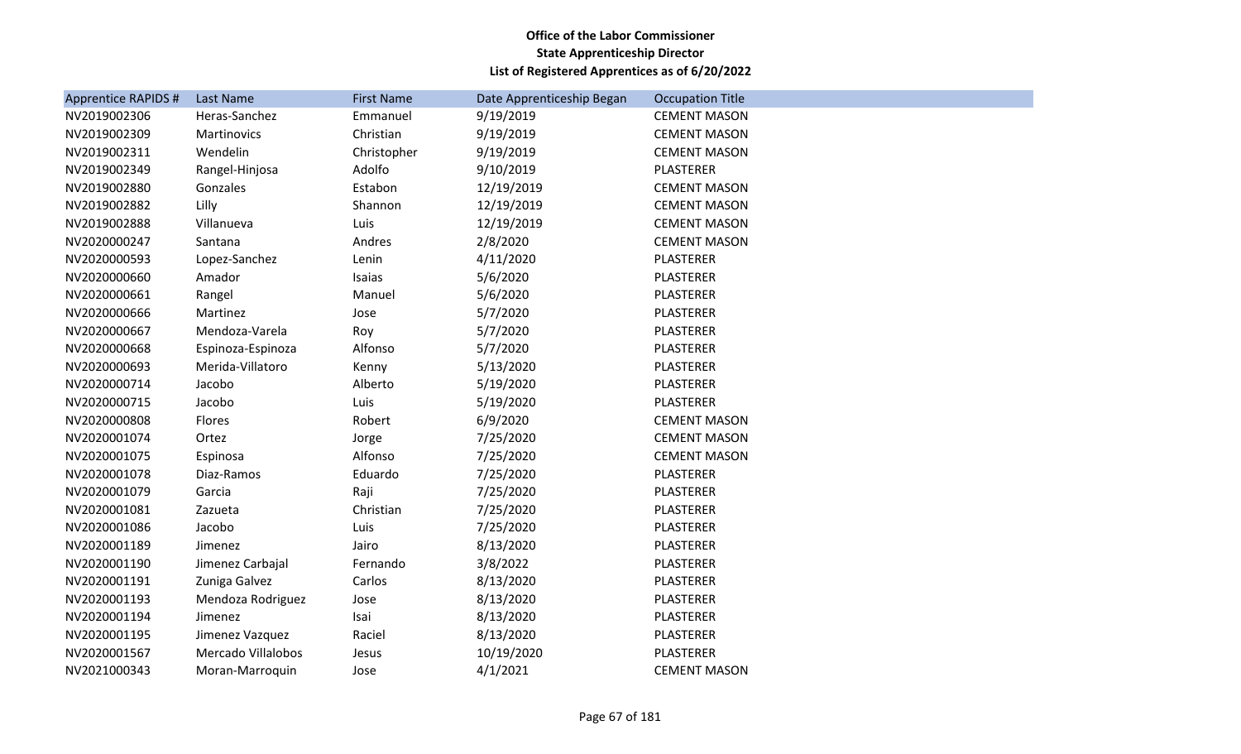| Apprentice RAPIDS # | <b>Last Name</b>   | <b>First Name</b> | Date Apprenticeship Began | <b>Occupation Title</b> |
|---------------------|--------------------|-------------------|---------------------------|-------------------------|
| NV2019002306        | Heras-Sanchez      | Emmanuel          | 9/19/2019                 | <b>CEMENT MASON</b>     |
| NV2019002309        | Martinovics        | Christian         | 9/19/2019                 | <b>CEMENT MASON</b>     |
| NV2019002311        | Wendelin           | Christopher       | 9/19/2019                 | <b>CEMENT MASON</b>     |
| NV2019002349        | Rangel-Hinjosa     | Adolfo            | 9/10/2019                 | <b>PLASTERER</b>        |
| NV2019002880        | Gonzales           | Estabon           | 12/19/2019                | <b>CEMENT MASON</b>     |
| NV2019002882        | Lilly              | Shannon           | 12/19/2019                | <b>CEMENT MASON</b>     |
| NV2019002888        | Villanueva         | Luis              | 12/19/2019                | <b>CEMENT MASON</b>     |
| NV2020000247        | Santana            | Andres            | 2/8/2020                  | <b>CEMENT MASON</b>     |
| NV2020000593        | Lopez-Sanchez      | Lenin             | 4/11/2020                 | <b>PLASTERER</b>        |
| NV2020000660        | Amador             | Isaias            | 5/6/2020                  | PLASTERER               |
| NV2020000661        | Rangel             | Manuel            | 5/6/2020                  | PLASTERER               |
| NV2020000666        | Martinez           | Jose              | 5/7/2020                  | PLASTERER               |
| NV2020000667        | Mendoza-Varela     | Roy               | 5/7/2020                  | <b>PLASTERER</b>        |
| NV2020000668        | Espinoza-Espinoza  | Alfonso           | 5/7/2020                  | <b>PLASTERER</b>        |
| NV2020000693        | Merida-Villatoro   | Kenny             | 5/13/2020                 | <b>PLASTERER</b>        |
| NV2020000714        | Jacobo             | Alberto           | 5/19/2020                 | PLASTERER               |
| NV2020000715        | Jacobo             | Luis              | 5/19/2020                 | PLASTERER               |
| NV2020000808        | Flores             | Robert            | 6/9/2020                  | <b>CEMENT MASON</b>     |
| NV2020001074        | Ortez              | Jorge             | 7/25/2020                 | <b>CEMENT MASON</b>     |
| NV2020001075        | Espinosa           | Alfonso           | 7/25/2020                 | <b>CEMENT MASON</b>     |
| NV2020001078        | Diaz-Ramos         | Eduardo           | 7/25/2020                 | PLASTERER               |
| NV2020001079        | Garcia             | Raji              | 7/25/2020                 | <b>PLASTERER</b>        |
| NV2020001081        | Zazueta            | Christian         | 7/25/2020                 | <b>PLASTERER</b>        |
| NV2020001086        | Jacobo             | Luis              | 7/25/2020                 | <b>PLASTERER</b>        |
| NV2020001189        | Jimenez            | Jairo             | 8/13/2020                 | <b>PLASTERER</b>        |
| NV2020001190        | Jimenez Carbajal   | Fernando          | 3/8/2022                  | PLASTERER               |
| NV2020001191        | Zuniga Galvez      | Carlos            | 8/13/2020                 | <b>PLASTERER</b>        |
| NV2020001193        | Mendoza Rodriguez  | Jose              | 8/13/2020                 | PLASTERER               |
| NV2020001194        | Jimenez            | Isai              | 8/13/2020                 | PLASTERER               |
| NV2020001195        | Jimenez Vazquez    | Raciel            | 8/13/2020                 | PLASTERER               |
| NV2020001567        | Mercado Villalobos | Jesus             | 10/19/2020                | <b>PLASTERER</b>        |
| NV2021000343        | Moran-Marroquin    | Jose              | 4/1/2021                  | <b>CEMENT MASON</b>     |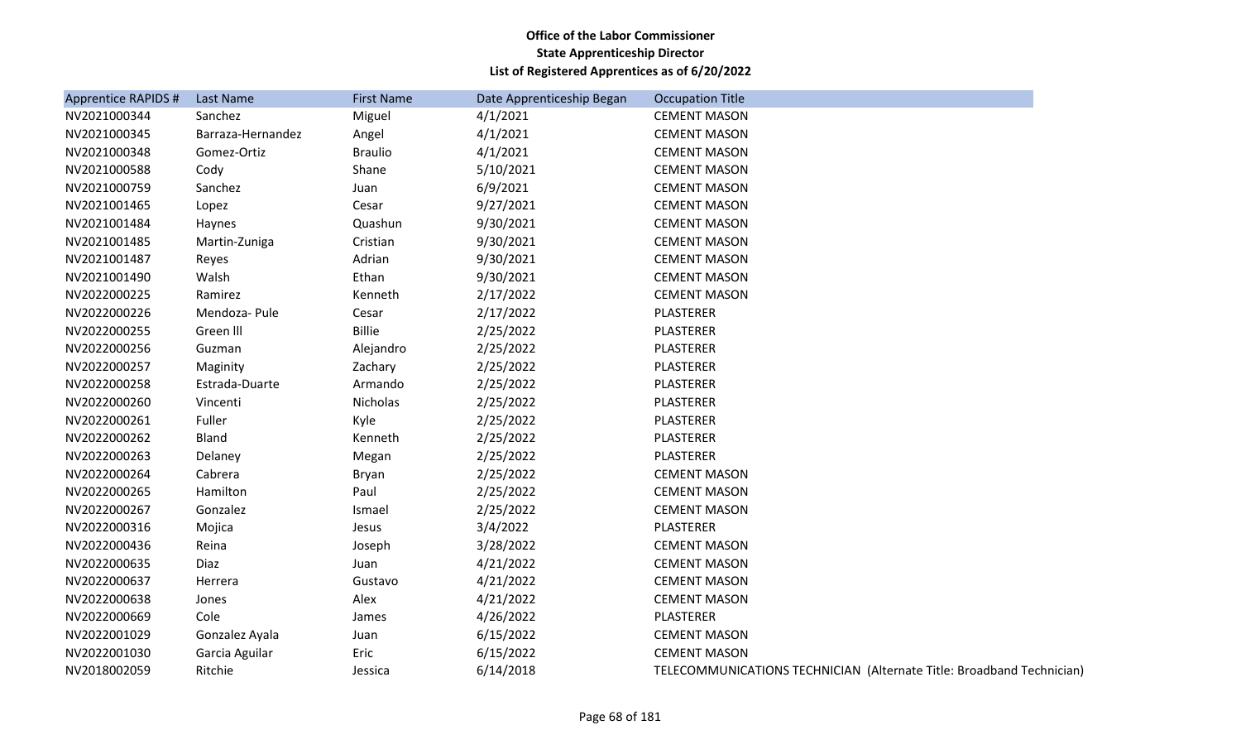| Apprentice RAPIDS # | Last Name         | <b>First Name</b> | Date Apprenticeship Began | <b>Occupation Title</b>                                               |
|---------------------|-------------------|-------------------|---------------------------|-----------------------------------------------------------------------|
| NV2021000344        | Sanchez           | Miguel            | 4/1/2021                  | <b>CEMENT MASON</b>                                                   |
| NV2021000345        | Barraza-Hernandez | Angel             | 4/1/2021                  | <b>CEMENT MASON</b>                                                   |
| NV2021000348        | Gomez-Ortiz       | <b>Braulio</b>    | 4/1/2021                  | <b>CEMENT MASON</b>                                                   |
| NV2021000588        | Cody              | Shane             | 5/10/2021                 | <b>CEMENT MASON</b>                                                   |
| NV2021000759        | Sanchez           | Juan              | 6/9/2021                  | <b>CEMENT MASON</b>                                                   |
| NV2021001465        | Lopez             | Cesar             | 9/27/2021                 | <b>CEMENT MASON</b>                                                   |
| NV2021001484        | Haynes            | Quashun           | 9/30/2021                 | <b>CEMENT MASON</b>                                                   |
| NV2021001485        | Martin-Zuniga     | Cristian          | 9/30/2021                 | <b>CEMENT MASON</b>                                                   |
| NV2021001487        | Reyes             | Adrian            | 9/30/2021                 | <b>CEMENT MASON</b>                                                   |
| NV2021001490        | Walsh             | Ethan             | 9/30/2021                 | <b>CEMENT MASON</b>                                                   |
| NV2022000225        | Ramirez           | Kenneth           | 2/17/2022                 | <b>CEMENT MASON</b>                                                   |
| NV2022000226        | Mendoza-Pule      | Cesar             | 2/17/2022                 | PLASTERER                                                             |
| NV2022000255        | Green III         | <b>Billie</b>     | 2/25/2022                 | PLASTERER                                                             |
| NV2022000256        | Guzman            | Alejandro         | 2/25/2022                 | <b>PLASTERER</b>                                                      |
| NV2022000257        | Maginity          | Zachary           | 2/25/2022                 | PLASTERER                                                             |
| NV2022000258        | Estrada-Duarte    | Armando           | 2/25/2022                 | PLASTERER                                                             |
| NV2022000260        | Vincenti          | Nicholas          | 2/25/2022                 | <b>PLASTERER</b>                                                      |
| NV2022000261        | Fuller            | Kyle              | 2/25/2022                 | PLASTERER                                                             |
| NV2022000262        | Bland             | Kenneth           | 2/25/2022                 | PLASTERER                                                             |
| NV2022000263        | Delaney           | Megan             | 2/25/2022                 | PLASTERER                                                             |
| NV2022000264        | Cabrera           | Bryan             | 2/25/2022                 | <b>CEMENT MASON</b>                                                   |
| NV2022000265        | Hamilton          | Paul              | 2/25/2022                 | <b>CEMENT MASON</b>                                                   |
| NV2022000267        | Gonzalez          | Ismael            | 2/25/2022                 | <b>CEMENT MASON</b>                                                   |
| NV2022000316        | Mojica            | Jesus             | 3/4/2022                  | PLASTERER                                                             |
| NV2022000436        | Reina             | Joseph            | 3/28/2022                 | <b>CEMENT MASON</b>                                                   |
| NV2022000635        | Diaz              | Juan              | 4/21/2022                 | <b>CEMENT MASON</b>                                                   |
| NV2022000637        | Herrera           | Gustavo           | 4/21/2022                 | <b>CEMENT MASON</b>                                                   |
| NV2022000638        | Jones             | Alex              | 4/21/2022                 | <b>CEMENT MASON</b>                                                   |
| NV2022000669        | Cole              | James             | 4/26/2022                 | PLASTERER                                                             |
| NV2022001029        | Gonzalez Ayala    | Juan              | 6/15/2022                 | <b>CEMENT MASON</b>                                                   |
| NV2022001030        | Garcia Aguilar    | Eric              | 6/15/2022                 | <b>CEMENT MASON</b>                                                   |
| NV2018002059        | Ritchie           | Jessica           | 6/14/2018                 | TELECOMMUNICATIONS TECHNICIAN (Alternate Title: Broadband Technician) |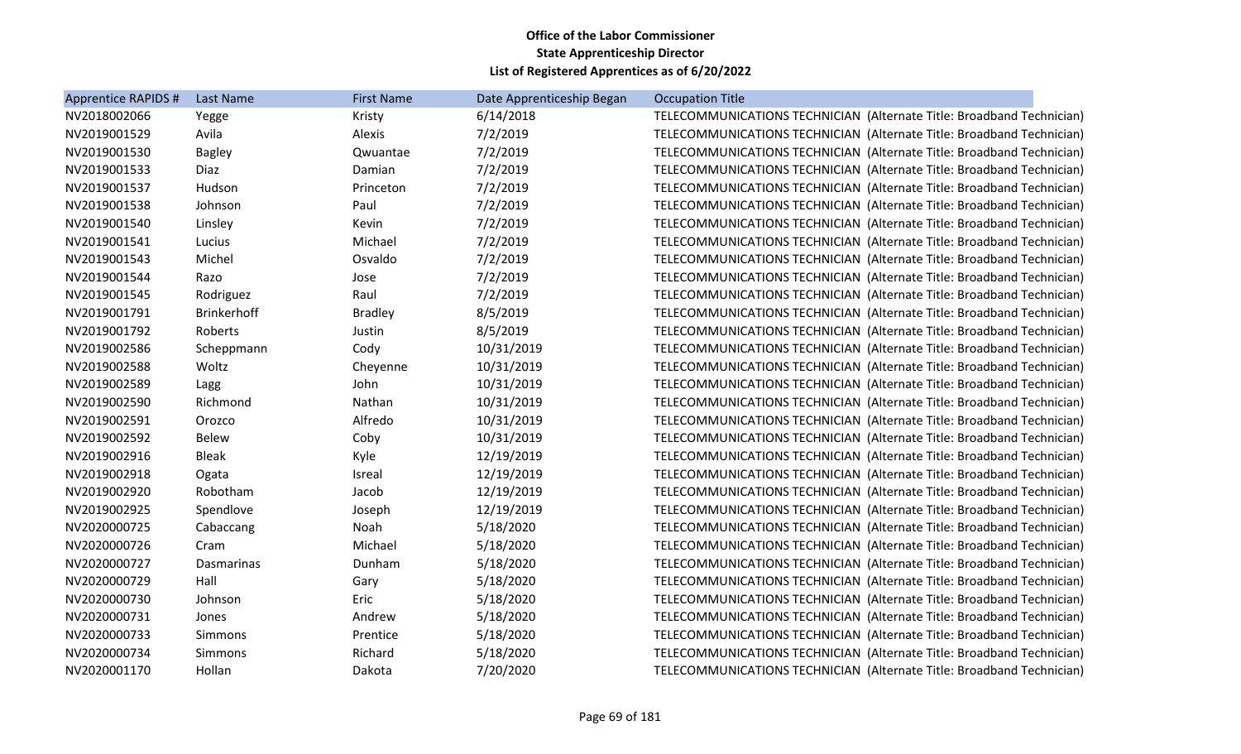| Apprentice RAPIDS # | Last Name          | <b>First Name</b> | Date Apprenticeship Began | <b>Occupation Title</b>                                               |
|---------------------|--------------------|-------------------|---------------------------|-----------------------------------------------------------------------|
| NV2018002066        | Yegge              | Kristy            | 6/14/2018                 | TELECOMMUNICATIONS TECHNICIAN (Alternate Title: Broadband Technician) |
| NV2019001529        | Avila              | Alexis            | 7/2/2019                  | TELECOMMUNICATIONS TECHNICIAN (Alternate Title: Broadband Technician) |
| NV2019001530        | <b>Bagley</b>      | Qwuantae          | 7/2/2019                  | TELECOMMUNICATIONS TECHNICIAN (Alternate Title: Broadband Technician) |
| NV2019001533        | Diaz               | Damian            | 7/2/2019                  | TELECOMMUNICATIONS TECHNICIAN (Alternate Title: Broadband Technician) |
| NV2019001537        | Hudson             | Princeton         | 7/2/2019                  | TELECOMMUNICATIONS TECHNICIAN (Alternate Title: Broadband Technician) |
| NV2019001538        | Johnson            | Paul              | 7/2/2019                  | TELECOMMUNICATIONS TECHNICIAN (Alternate Title: Broadband Technician) |
| NV2019001540        | Linsley            | Kevin             | 7/2/2019                  | TELECOMMUNICATIONS TECHNICIAN (Alternate Title: Broadband Technician) |
| NV2019001541        | Lucius             | Michael           | 7/2/2019                  | TELECOMMUNICATIONS TECHNICIAN (Alternate Title: Broadband Technician) |
| NV2019001543        | Michel             | Osvaldo           | 7/2/2019                  | TELECOMMUNICATIONS TECHNICIAN (Alternate Title: Broadband Technician) |
| NV2019001544        | Razo               | Jose              | 7/2/2019                  | TELECOMMUNICATIONS TECHNICIAN (Alternate Title: Broadband Technician) |
| NV2019001545        | Rodriguez          | Raul              | 7/2/2019                  | TELECOMMUNICATIONS TECHNICIAN (Alternate Title: Broadband Technician) |
| NV2019001791        | <b>Brinkerhoff</b> | <b>Bradley</b>    | 8/5/2019                  | TELECOMMUNICATIONS TECHNICIAN (Alternate Title: Broadband Technician) |
| NV2019001792        | Roberts            | Justin            | 8/5/2019                  | TELECOMMUNICATIONS TECHNICIAN (Alternate Title: Broadband Technician) |
| NV2019002586        | Scheppmann         | Cody              | 10/31/2019                | TELECOMMUNICATIONS TECHNICIAN (Alternate Title: Broadband Technician) |
| NV2019002588        | Woltz              | Cheyenne          | 10/31/2019                | TELECOMMUNICATIONS TECHNICIAN (Alternate Title: Broadband Technician) |
| NV2019002589        | Lagg               | John              | 10/31/2019                | TELECOMMUNICATIONS TECHNICIAN (Alternate Title: Broadband Technician) |
| NV2019002590        | Richmond           | Nathan            | 10/31/2019                | TELECOMMUNICATIONS TECHNICIAN (Alternate Title: Broadband Technician) |
| NV2019002591        | Orozco             | Alfredo           | 10/31/2019                | TELECOMMUNICATIONS TECHNICIAN (Alternate Title: Broadband Technician) |
| NV2019002592        | <b>Belew</b>       | Coby              | 10/31/2019                | TELECOMMUNICATIONS TECHNICIAN (Alternate Title: Broadband Technician) |
| NV2019002916        | <b>Bleak</b>       | Kyle              | 12/19/2019                | TELECOMMUNICATIONS TECHNICIAN (Alternate Title: Broadband Technician) |
| NV2019002918        | Ogata              | <b>Isreal</b>     | 12/19/2019                | TELECOMMUNICATIONS TECHNICIAN (Alternate Title: Broadband Technician) |
| NV2019002920        | Robotham           | Jacob             | 12/19/2019                | TELECOMMUNICATIONS TECHNICIAN (Alternate Title: Broadband Technician) |
| NV2019002925        | Spendlove          | Joseph            | 12/19/2019                | TELECOMMUNICATIONS TECHNICIAN (Alternate Title: Broadband Technician) |
| NV2020000725        | Cabaccang          | Noah              | 5/18/2020                 | TELECOMMUNICATIONS TECHNICIAN (Alternate Title: Broadband Technician) |
| NV2020000726        | Cram               | Michael           | 5/18/2020                 | TELECOMMUNICATIONS TECHNICIAN (Alternate Title: Broadband Technician) |
| NV2020000727        | <b>Dasmarinas</b>  | Dunham            | 5/18/2020                 | TELECOMMUNICATIONS TECHNICIAN (Alternate Title: Broadband Technician) |
| NV2020000729        | Hall               | Gary              | 5/18/2020                 | TELECOMMUNICATIONS TECHNICIAN (Alternate Title: Broadband Technician) |
| NV2020000730        | Johnson            | Eric              | 5/18/2020                 | TELECOMMUNICATIONS TECHNICIAN (Alternate Title: Broadband Technician) |
| NV2020000731        | Jones              | Andrew            | 5/18/2020                 | TELECOMMUNICATIONS TECHNICIAN (Alternate Title: Broadband Technician) |
| NV2020000733        | Simmons            | Prentice          | 5/18/2020                 | TELECOMMUNICATIONS TECHNICIAN (Alternate Title: Broadband Technician) |
| NV2020000734        | Simmons            | Richard           | 5/18/2020                 | TELECOMMUNICATIONS TECHNICIAN (Alternate Title: Broadband Technician) |
| NV2020001170        | Hollan             | Dakota            | 7/20/2020                 | TELECOMMUNICATIONS TECHNICIAN (Alternate Title: Broadband Technician) |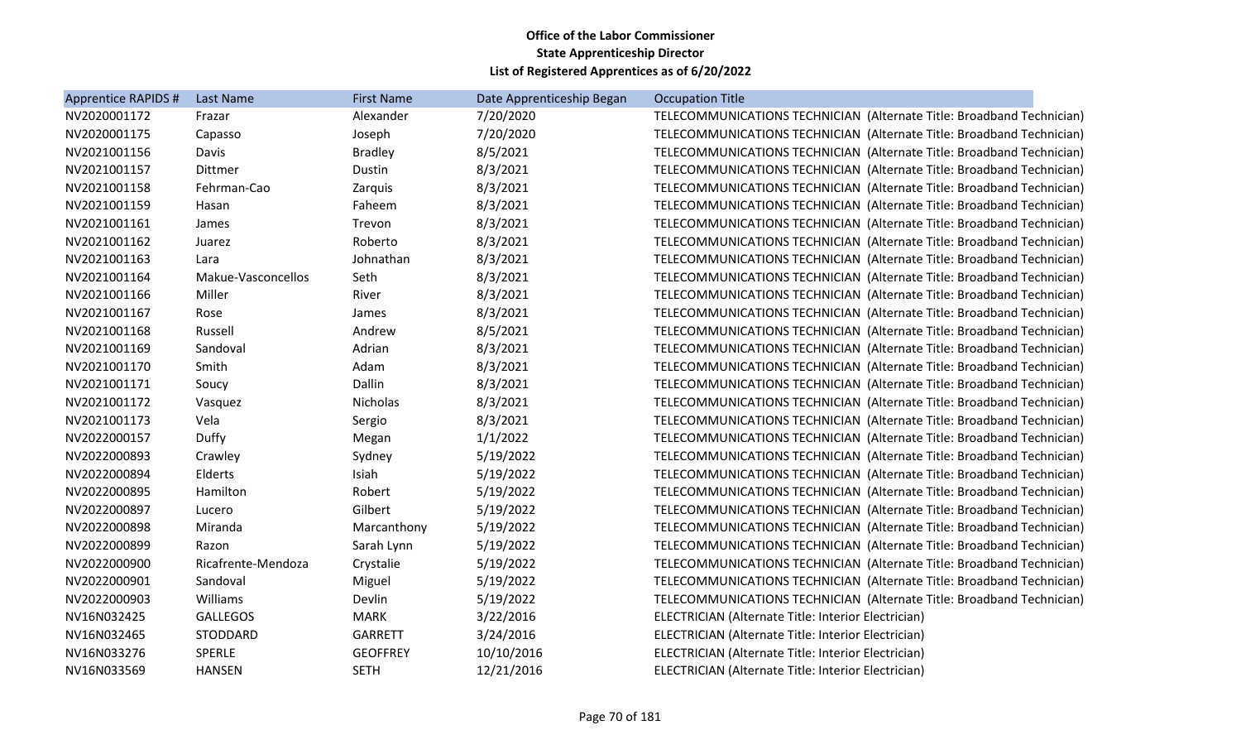| Apprentice RAPIDS # | Last Name          | <b>First Name</b> | Date Apprenticeship Began | <b>Occupation Title</b>                                               |
|---------------------|--------------------|-------------------|---------------------------|-----------------------------------------------------------------------|
| NV2020001172        | Frazar             | Alexander         | 7/20/2020                 | TELECOMMUNICATIONS TECHNICIAN (Alternate Title: Broadband Technician) |
| NV2020001175        | Capasso            | Joseph            | 7/20/2020                 | TELECOMMUNICATIONS TECHNICIAN (Alternate Title: Broadband Technician) |
| NV2021001156        | Davis              | <b>Bradley</b>    | 8/5/2021                  | TELECOMMUNICATIONS TECHNICIAN (Alternate Title: Broadband Technician) |
| NV2021001157        | Dittmer            | Dustin            | 8/3/2021                  | TELECOMMUNICATIONS TECHNICIAN (Alternate Title: Broadband Technician) |
| NV2021001158        | Fehrman-Cao        | Zarquis           | 8/3/2021                  | TELECOMMUNICATIONS TECHNICIAN (Alternate Title: Broadband Technician) |
| NV2021001159        | Hasan              | Faheem            | 8/3/2021                  | TELECOMMUNICATIONS TECHNICIAN (Alternate Title: Broadband Technician) |
| NV2021001161        | James              | Trevon            | 8/3/2021                  | TELECOMMUNICATIONS TECHNICIAN (Alternate Title: Broadband Technician) |
| NV2021001162        | Juarez             | Roberto           | 8/3/2021                  | TELECOMMUNICATIONS TECHNICIAN (Alternate Title: Broadband Technician) |
| NV2021001163        | Lara               | Johnathan         | 8/3/2021                  | TELECOMMUNICATIONS TECHNICIAN (Alternate Title: Broadband Technician) |
| NV2021001164        | Makue-Vasconcellos | Seth              | 8/3/2021                  | TELECOMMUNICATIONS TECHNICIAN (Alternate Title: Broadband Technician) |
| NV2021001166        | Miller             | River             | 8/3/2021                  | TELECOMMUNICATIONS TECHNICIAN (Alternate Title: Broadband Technician) |
| NV2021001167        | Rose               | James             | 8/3/2021                  | TELECOMMUNICATIONS TECHNICIAN (Alternate Title: Broadband Technician) |
| NV2021001168        | Russell            | Andrew            | 8/5/2021                  | TELECOMMUNICATIONS TECHNICIAN (Alternate Title: Broadband Technician) |
| NV2021001169        | Sandoval           | Adrian            | 8/3/2021                  | TELECOMMUNICATIONS TECHNICIAN (Alternate Title: Broadband Technician) |
| NV2021001170        | Smith              | Adam              | 8/3/2021                  | TELECOMMUNICATIONS TECHNICIAN (Alternate Title: Broadband Technician) |
| NV2021001171        | Soucy              | Dallin            | 8/3/2021                  | TELECOMMUNICATIONS TECHNICIAN (Alternate Title: Broadband Technician) |
| NV2021001172        | Vasquez            | Nicholas          | 8/3/2021                  | TELECOMMUNICATIONS TECHNICIAN (Alternate Title: Broadband Technician) |
| NV2021001173        | Vela               | Sergio            | 8/3/2021                  | TELECOMMUNICATIONS TECHNICIAN (Alternate Title: Broadband Technician) |
| NV2022000157        | Duffy              | Megan             | 1/1/2022                  | TELECOMMUNICATIONS TECHNICIAN (Alternate Title: Broadband Technician) |
| NV2022000893        | Crawley            | Sydney            | 5/19/2022                 | TELECOMMUNICATIONS TECHNICIAN (Alternate Title: Broadband Technician) |
| NV2022000894        | Elderts            | Isiah             | 5/19/2022                 | TELECOMMUNICATIONS TECHNICIAN (Alternate Title: Broadband Technician) |
| NV2022000895        | Hamilton           | Robert            | 5/19/2022                 | TELECOMMUNICATIONS TECHNICIAN (Alternate Title: Broadband Technician) |
| NV2022000897        | Lucero             | Gilbert           | 5/19/2022                 | TELECOMMUNICATIONS TECHNICIAN (Alternate Title: Broadband Technician) |
| NV2022000898        | Miranda            | Marcanthony       | 5/19/2022                 | TELECOMMUNICATIONS TECHNICIAN (Alternate Title: Broadband Technician) |
| NV2022000899        | Razon              | Sarah Lynn        | 5/19/2022                 | TELECOMMUNICATIONS TECHNICIAN (Alternate Title: Broadband Technician) |
| NV2022000900        | Ricafrente-Mendoza | Crystalie         | 5/19/2022                 | TELECOMMUNICATIONS TECHNICIAN (Alternate Title: Broadband Technician) |
| NV2022000901        | Sandoval           | Miguel            | 5/19/2022                 | TELECOMMUNICATIONS TECHNICIAN (Alternate Title: Broadband Technician) |
| NV2022000903        | Williams           | Devlin            | 5/19/2022                 | TELECOMMUNICATIONS TECHNICIAN (Alternate Title: Broadband Technician) |
| NV16N032425         | <b>GALLEGOS</b>    | <b>MARK</b>       | 3/22/2016                 | ELECTRICIAN (Alternate Title: Interior Electrician)                   |
| NV16N032465         | STODDARD           | <b>GARRETT</b>    | 3/24/2016                 | ELECTRICIAN (Alternate Title: Interior Electrician)                   |
| NV16N033276         | <b>SPERLE</b>      | <b>GEOFFREY</b>   | 10/10/2016                | ELECTRICIAN (Alternate Title: Interior Electrician)                   |
| NV16N033569         | <b>HANSEN</b>      | <b>SETH</b>       | 12/21/2016                | ELECTRICIAN (Alternate Title: Interior Electrician)                   |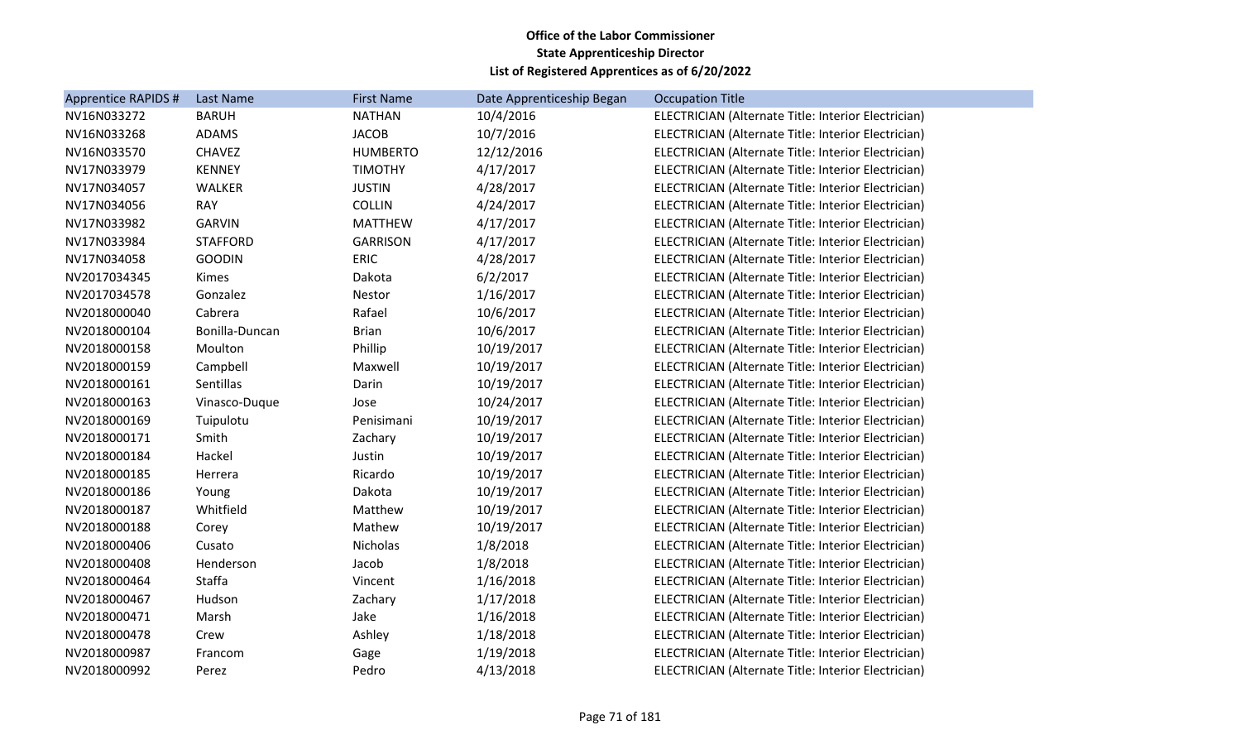| Apprentice RAPIDS # | Last Name       | <b>First Name</b> | Date Apprenticeship Began | <b>Occupation Title</b>                             |
|---------------------|-----------------|-------------------|---------------------------|-----------------------------------------------------|
| NV16N033272         | <b>BARUH</b>    | <b>NATHAN</b>     | 10/4/2016                 | ELECTRICIAN (Alternate Title: Interior Electrician) |
| NV16N033268         | <b>ADAMS</b>    | <b>JACOB</b>      | 10/7/2016                 | ELECTRICIAN (Alternate Title: Interior Electrician) |
| NV16N033570         | <b>CHAVEZ</b>   | <b>HUMBERTO</b>   | 12/12/2016                | ELECTRICIAN (Alternate Title: Interior Electrician) |
| NV17N033979         | <b>KENNEY</b>   | <b>TIMOTHY</b>    | 4/17/2017                 | ELECTRICIAN (Alternate Title: Interior Electrician) |
| NV17N034057         | WALKER          | <b>JUSTIN</b>     | 4/28/2017                 | ELECTRICIAN (Alternate Title: Interior Electrician) |
| NV17N034056         | <b>RAY</b>      | <b>COLLIN</b>     | 4/24/2017                 | ELECTRICIAN (Alternate Title: Interior Electrician) |
| NV17N033982         | <b>GARVIN</b>   | <b>MATTHEW</b>    | 4/17/2017                 | ELECTRICIAN (Alternate Title: Interior Electrician) |
| NV17N033984         | <b>STAFFORD</b> | <b>GARRISON</b>   | 4/17/2017                 | ELECTRICIAN (Alternate Title: Interior Electrician) |
| NV17N034058         | <b>GOODIN</b>   | <b>ERIC</b>       | 4/28/2017                 | ELECTRICIAN (Alternate Title: Interior Electrician) |
| NV2017034345        | Kimes           | Dakota            | 6/2/2017                  | ELECTRICIAN (Alternate Title: Interior Electrician) |
| NV2017034578        | Gonzalez        | Nestor            | 1/16/2017                 | ELECTRICIAN (Alternate Title: Interior Electrician) |
| NV2018000040        | Cabrera         | Rafael            | 10/6/2017                 | ELECTRICIAN (Alternate Title: Interior Electrician) |
| NV2018000104        | Bonilla-Duncan  | <b>Brian</b>      | 10/6/2017                 | ELECTRICIAN (Alternate Title: Interior Electrician) |
| NV2018000158        | Moulton         | Phillip           | 10/19/2017                | ELECTRICIAN (Alternate Title: Interior Electrician) |
| NV2018000159        | Campbell        | Maxwell           | 10/19/2017                | ELECTRICIAN (Alternate Title: Interior Electrician) |
| NV2018000161        | Sentillas       | Darin             | 10/19/2017                | ELECTRICIAN (Alternate Title: Interior Electrician) |
| NV2018000163        | Vinasco-Duque   | Jose              | 10/24/2017                | ELECTRICIAN (Alternate Title: Interior Electrician) |
| NV2018000169        | Tuipulotu       | Penisimani        | 10/19/2017                | ELECTRICIAN (Alternate Title: Interior Electrician) |
| NV2018000171        | Smith           | Zachary           | 10/19/2017                | ELECTRICIAN (Alternate Title: Interior Electrician) |
| NV2018000184        | Hackel          | Justin            | 10/19/2017                | ELECTRICIAN (Alternate Title: Interior Electrician) |
| NV2018000185        | Herrera         | Ricardo           | 10/19/2017                | ELECTRICIAN (Alternate Title: Interior Electrician) |
| NV2018000186        | Young           | Dakota            | 10/19/2017                | ELECTRICIAN (Alternate Title: Interior Electrician) |
| NV2018000187        | Whitfield       | Matthew           | 10/19/2017                | ELECTRICIAN (Alternate Title: Interior Electrician) |
| NV2018000188        | Corey           | Mathew            | 10/19/2017                | ELECTRICIAN (Alternate Title: Interior Electrician) |
| NV2018000406        | Cusato          | Nicholas          | 1/8/2018                  | ELECTRICIAN (Alternate Title: Interior Electrician) |
| NV2018000408        | Henderson       | Jacob             | 1/8/2018                  | ELECTRICIAN (Alternate Title: Interior Electrician) |
| NV2018000464        | Staffa          | Vincent           | 1/16/2018                 | ELECTRICIAN (Alternate Title: Interior Electrician) |
| NV2018000467        | Hudson          | Zachary           | 1/17/2018                 | ELECTRICIAN (Alternate Title: Interior Electrician) |
| NV2018000471        | Marsh           | Jake              | 1/16/2018                 | ELECTRICIAN (Alternate Title: Interior Electrician) |
| NV2018000478        | Crew            | Ashley            | 1/18/2018                 | ELECTRICIAN (Alternate Title: Interior Electrician) |
| NV2018000987        | Francom         | Gage              | 1/19/2018                 | ELECTRICIAN (Alternate Title: Interior Electrician) |
| NV2018000992        | Perez           | Pedro             | 4/13/2018                 | ELECTRICIAN (Alternate Title: Interior Electrician) |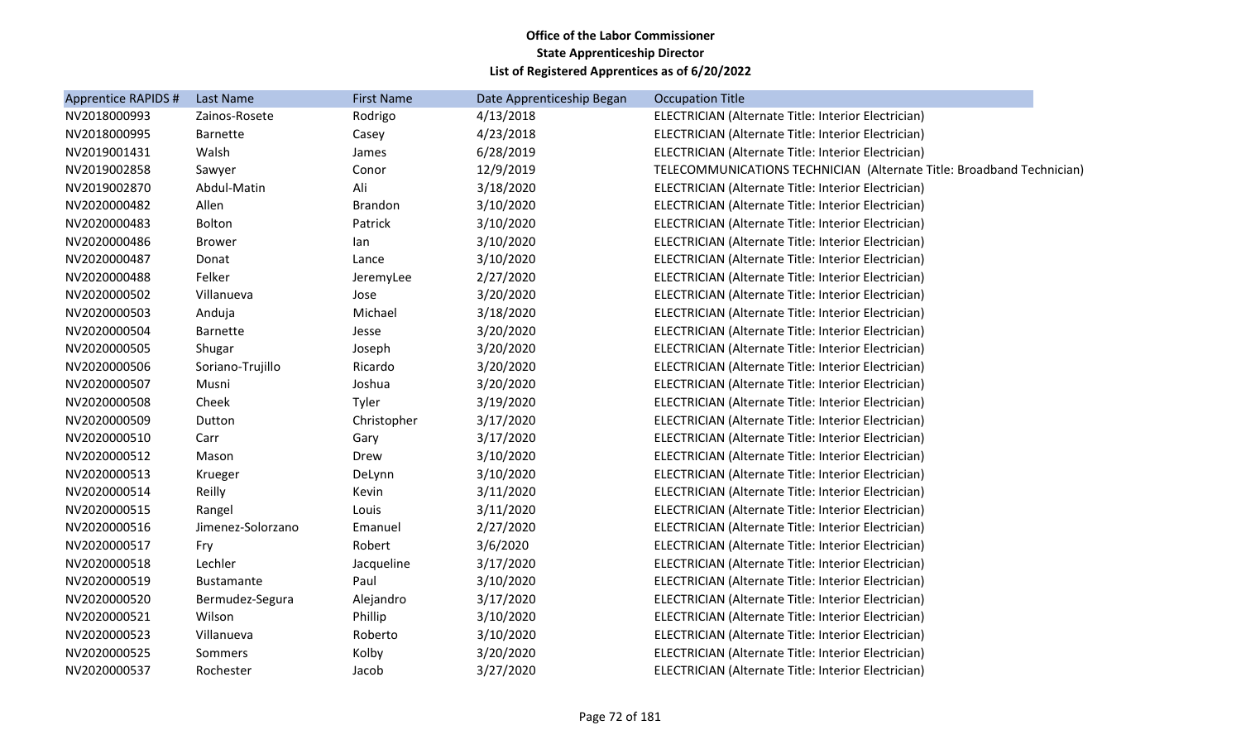| <b>Apprentice RAPIDS #</b> | Last Name         | <b>First Name</b> | Date Apprenticeship Began | <b>Occupation Title</b>                                               |
|----------------------------|-------------------|-------------------|---------------------------|-----------------------------------------------------------------------|
| NV2018000993               | Zainos-Rosete     | Rodrigo           | 4/13/2018                 | ELECTRICIAN (Alternate Title: Interior Electrician)                   |
| NV2018000995               | <b>Barnette</b>   | Casey             | 4/23/2018                 | ELECTRICIAN (Alternate Title: Interior Electrician)                   |
| NV2019001431               | Walsh             | James             | 6/28/2019                 | ELECTRICIAN (Alternate Title: Interior Electrician)                   |
| NV2019002858               | Sawyer            | Conor             | 12/9/2019                 | TELECOMMUNICATIONS TECHNICIAN (Alternate Title: Broadband Technician) |
| NV2019002870               | Abdul-Matin       | Ali               | 3/18/2020                 | ELECTRICIAN (Alternate Title: Interior Electrician)                   |
| NV2020000482               | Allen             | <b>Brandon</b>    | 3/10/2020                 | ELECTRICIAN (Alternate Title: Interior Electrician)                   |
| NV2020000483               | Bolton            | Patrick           | 3/10/2020                 | ELECTRICIAN (Alternate Title: Interior Electrician)                   |
| NV2020000486               | <b>Brower</b>     | lan               | 3/10/2020                 | ELECTRICIAN (Alternate Title: Interior Electrician)                   |
| NV2020000487               | Donat             | Lance             | 3/10/2020                 | ELECTRICIAN (Alternate Title: Interior Electrician)                   |
| NV2020000488               | Felker            | JeremyLee         | 2/27/2020                 | ELECTRICIAN (Alternate Title: Interior Electrician)                   |
| NV2020000502               | Villanueva        | Jose              | 3/20/2020                 | ELECTRICIAN (Alternate Title: Interior Electrician)                   |
| NV2020000503               | Anduja            | Michael           | 3/18/2020                 | ELECTRICIAN (Alternate Title: Interior Electrician)                   |
| NV2020000504               | <b>Barnette</b>   | Jesse             | 3/20/2020                 | ELECTRICIAN (Alternate Title: Interior Electrician)                   |
| NV2020000505               | Shugar            | Joseph            | 3/20/2020                 | ELECTRICIAN (Alternate Title: Interior Electrician)                   |
| NV2020000506               | Soriano-Trujillo  | Ricardo           | 3/20/2020                 | ELECTRICIAN (Alternate Title: Interior Electrician)                   |
| NV2020000507               | Musni             | Joshua            | 3/20/2020                 | ELECTRICIAN (Alternate Title: Interior Electrician)                   |
| NV2020000508               | Cheek             | Tyler             | 3/19/2020                 | ELECTRICIAN (Alternate Title: Interior Electrician)                   |
| NV2020000509               | Dutton            | Christopher       | 3/17/2020                 | ELECTRICIAN (Alternate Title: Interior Electrician)                   |
| NV2020000510               | Carr              | Gary              | 3/17/2020                 | ELECTRICIAN (Alternate Title: Interior Electrician)                   |
| NV2020000512               | Mason             | Drew              | 3/10/2020                 | ELECTRICIAN (Alternate Title: Interior Electrician)                   |
| NV2020000513               | Krueger           | DeLynn            | 3/10/2020                 | ELECTRICIAN (Alternate Title: Interior Electrician)                   |
| NV2020000514               | Reilly            | Kevin             | 3/11/2020                 | ELECTRICIAN (Alternate Title: Interior Electrician)                   |
| NV2020000515               | Rangel            | Louis             | 3/11/2020                 | ELECTRICIAN (Alternate Title: Interior Electrician)                   |
| NV2020000516               | Jimenez-Solorzano | Emanuel           | 2/27/2020                 | ELECTRICIAN (Alternate Title: Interior Electrician)                   |
| NV2020000517               | Fry               | Robert            | 3/6/2020                  | ELECTRICIAN (Alternate Title: Interior Electrician)                   |
| NV2020000518               | Lechler           | Jacqueline        | 3/17/2020                 | ELECTRICIAN (Alternate Title: Interior Electrician)                   |
| NV2020000519               | <b>Bustamante</b> | Paul              | 3/10/2020                 | ELECTRICIAN (Alternate Title: Interior Electrician)                   |
| NV2020000520               | Bermudez-Segura   | Alejandro         | 3/17/2020                 | ELECTRICIAN (Alternate Title: Interior Electrician)                   |
| NV2020000521               | Wilson            | Phillip           | 3/10/2020                 | ELECTRICIAN (Alternate Title: Interior Electrician)                   |
| NV2020000523               | Villanueva        | Roberto           | 3/10/2020                 | ELECTRICIAN (Alternate Title: Interior Electrician)                   |
| NV2020000525               | Sommers           | Kolby             | 3/20/2020                 | ELECTRICIAN (Alternate Title: Interior Electrician)                   |
| NV2020000537               | Rochester         | Jacob             | 3/27/2020                 | ELECTRICIAN (Alternate Title: Interior Electrician)                   |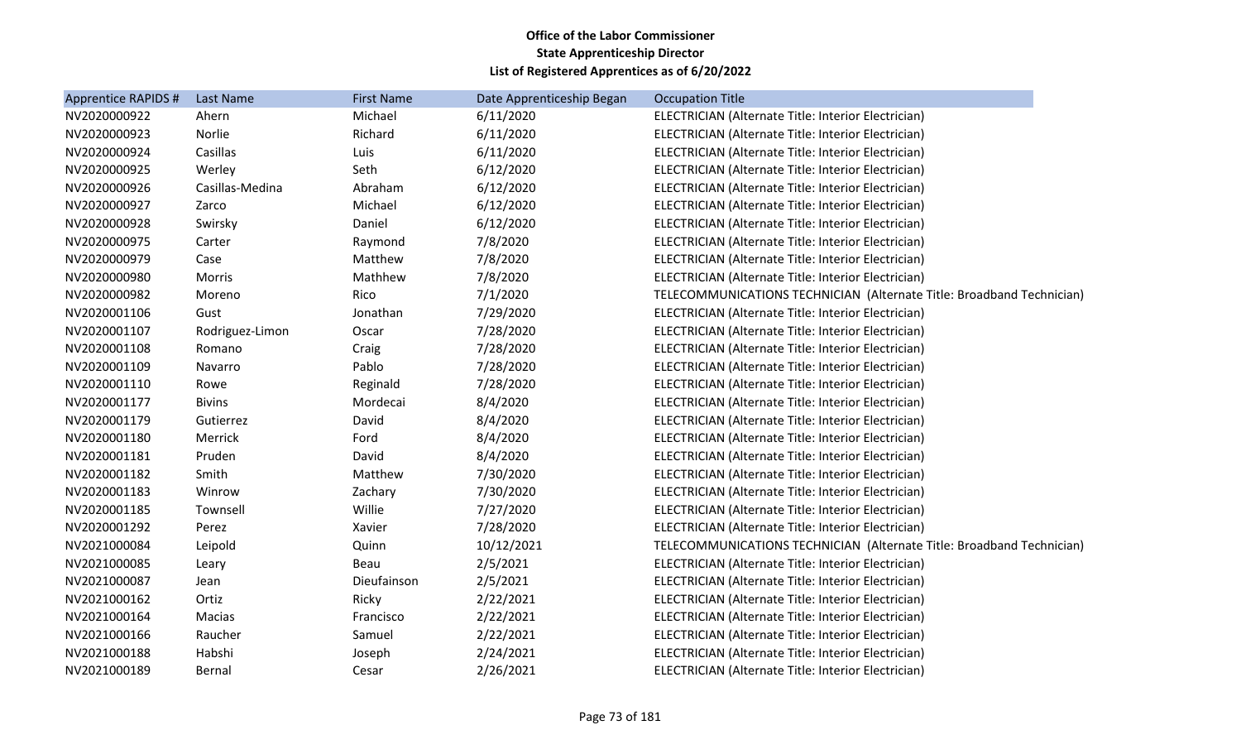| Apprentice RAPIDS # | Last Name       | <b>First Name</b> | Date Apprenticeship Began | <b>Occupation Title</b>                                               |
|---------------------|-----------------|-------------------|---------------------------|-----------------------------------------------------------------------|
| NV2020000922        | Ahern           | Michael           | 6/11/2020                 | ELECTRICIAN (Alternate Title: Interior Electrician)                   |
| NV2020000923        | Norlie          | Richard           | 6/11/2020                 | ELECTRICIAN (Alternate Title: Interior Electrician)                   |
| NV2020000924        | Casillas        | Luis              | 6/11/2020                 | ELECTRICIAN (Alternate Title: Interior Electrician)                   |
| NV2020000925        | Werley          | Seth              | 6/12/2020                 | ELECTRICIAN (Alternate Title: Interior Electrician)                   |
| NV2020000926        | Casillas-Medina | Abraham           | 6/12/2020                 | ELECTRICIAN (Alternate Title: Interior Electrician)                   |
| NV2020000927        | Zarco           | Michael           | 6/12/2020                 | ELECTRICIAN (Alternate Title: Interior Electrician)                   |
| NV2020000928        | Swirsky         | Daniel            | 6/12/2020                 | ELECTRICIAN (Alternate Title: Interior Electrician)                   |
| NV2020000975        | Carter          | Raymond           | 7/8/2020                  | ELECTRICIAN (Alternate Title: Interior Electrician)                   |
| NV2020000979        | Case            | Matthew           | 7/8/2020                  | ELECTRICIAN (Alternate Title: Interior Electrician)                   |
| NV2020000980        | Morris          | Mathhew           | 7/8/2020                  | ELECTRICIAN (Alternate Title: Interior Electrician)                   |
| NV2020000982        | Moreno          | Rico              | 7/1/2020                  | TELECOMMUNICATIONS TECHNICIAN (Alternate Title: Broadband Technician) |
| NV2020001106        | Gust            | Jonathan          | 7/29/2020                 | ELECTRICIAN (Alternate Title: Interior Electrician)                   |
| NV2020001107        | Rodriguez-Limon | Oscar             | 7/28/2020                 | ELECTRICIAN (Alternate Title: Interior Electrician)                   |
| NV2020001108        | Romano          | Craig             | 7/28/2020                 | ELECTRICIAN (Alternate Title: Interior Electrician)                   |
| NV2020001109        | Navarro         | Pablo             | 7/28/2020                 | ELECTRICIAN (Alternate Title: Interior Electrician)                   |
| NV2020001110        | Rowe            | Reginald          | 7/28/2020                 | ELECTRICIAN (Alternate Title: Interior Electrician)                   |
| NV2020001177        | <b>Bivins</b>   | Mordecai          | 8/4/2020                  | ELECTRICIAN (Alternate Title: Interior Electrician)                   |
| NV2020001179        | Gutierrez       | David             | 8/4/2020                  | ELECTRICIAN (Alternate Title: Interior Electrician)                   |
| NV2020001180        | Merrick         | Ford              | 8/4/2020                  | ELECTRICIAN (Alternate Title: Interior Electrician)                   |
| NV2020001181        | Pruden          | David             | 8/4/2020                  | ELECTRICIAN (Alternate Title: Interior Electrician)                   |
| NV2020001182        | Smith           | Matthew           | 7/30/2020                 | ELECTRICIAN (Alternate Title: Interior Electrician)                   |
| NV2020001183        | Winrow          | Zachary           | 7/30/2020                 | ELECTRICIAN (Alternate Title: Interior Electrician)                   |
| NV2020001185        | Townsell        | Willie            | 7/27/2020                 | ELECTRICIAN (Alternate Title: Interior Electrician)                   |
| NV2020001292        | Perez           | Xavier            | 7/28/2020                 | ELECTRICIAN (Alternate Title: Interior Electrician)                   |
| NV2021000084        | Leipold         | Quinn             | 10/12/2021                | TELECOMMUNICATIONS TECHNICIAN (Alternate Title: Broadband Technician) |
| NV2021000085        | Leary           | Beau              | 2/5/2021                  | ELECTRICIAN (Alternate Title: Interior Electrician)                   |
| NV2021000087        | Jean            | Dieufainson       | 2/5/2021                  | ELECTRICIAN (Alternate Title: Interior Electrician)                   |
| NV2021000162        | Ortiz           | Ricky             | 2/22/2021                 | ELECTRICIAN (Alternate Title: Interior Electrician)                   |
| NV2021000164        | Macias          | Francisco         | 2/22/2021                 | ELECTRICIAN (Alternate Title: Interior Electrician)                   |
| NV2021000166        | Raucher         | Samuel            | 2/22/2021                 | ELECTRICIAN (Alternate Title: Interior Electrician)                   |
| NV2021000188        | Habshi          | Joseph            | 2/24/2021                 | ELECTRICIAN (Alternate Title: Interior Electrician)                   |
| NV2021000189        | Bernal          | Cesar             | 2/26/2021                 | ELECTRICIAN (Alternate Title: Interior Electrician)                   |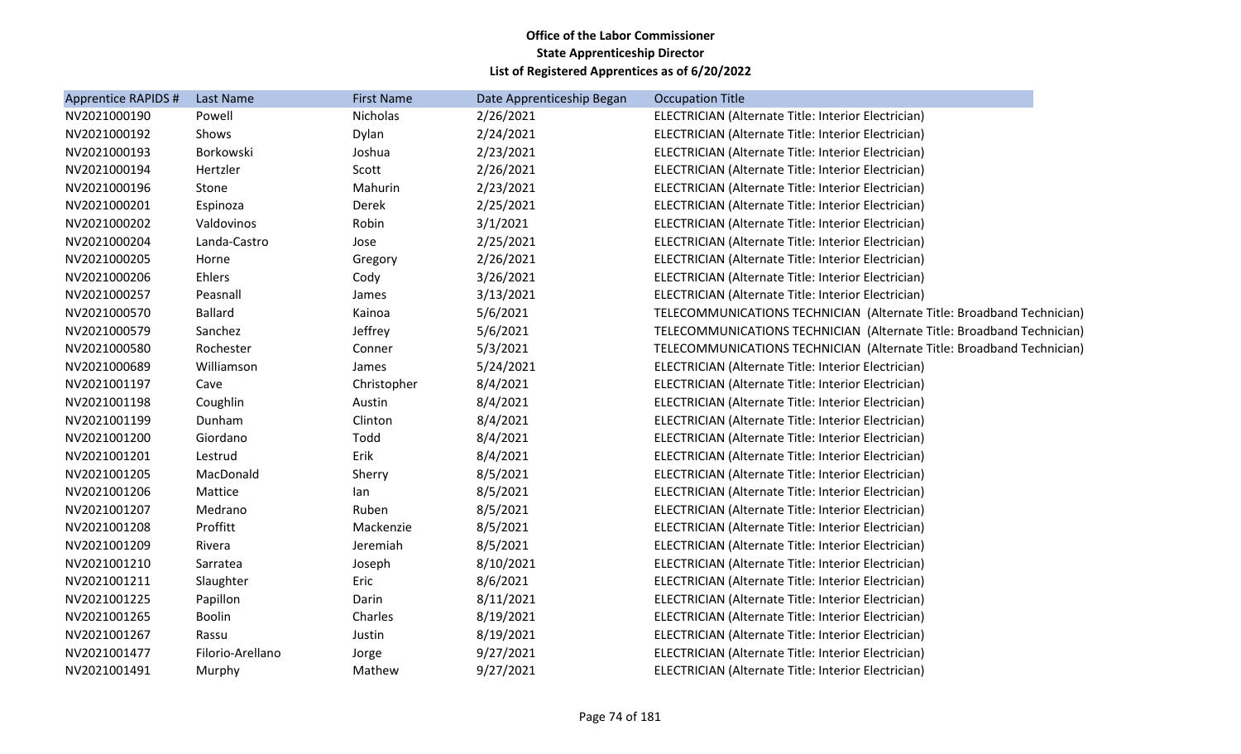| Apprentice RAPIDS # | Last Name        | <b>First Name</b> | Date Apprenticeship Began | <b>Occupation Title</b>                                               |
|---------------------|------------------|-------------------|---------------------------|-----------------------------------------------------------------------|
| NV2021000190        | Powell           | Nicholas          | 2/26/2021                 | ELECTRICIAN (Alternate Title: Interior Electrician)                   |
| NV2021000192        | Shows            | Dylan             | 2/24/2021                 | ELECTRICIAN (Alternate Title: Interior Electrician)                   |
| NV2021000193        | Borkowski        | Joshua            | 2/23/2021                 | ELECTRICIAN (Alternate Title: Interior Electrician)                   |
| NV2021000194        | Hertzler         | Scott             | 2/26/2021                 | ELECTRICIAN (Alternate Title: Interior Electrician)                   |
| NV2021000196        | Stone            | Mahurin           | 2/23/2021                 | ELECTRICIAN (Alternate Title: Interior Electrician)                   |
| NV2021000201        | Espinoza         | Derek             | 2/25/2021                 | ELECTRICIAN (Alternate Title: Interior Electrician)                   |
| NV2021000202        | Valdovinos       | Robin             | 3/1/2021                  | ELECTRICIAN (Alternate Title: Interior Electrician)                   |
| NV2021000204        | Landa-Castro     | Jose              | 2/25/2021                 | ELECTRICIAN (Alternate Title: Interior Electrician)                   |
| NV2021000205        | Horne            | Gregory           | 2/26/2021                 | ELECTRICIAN (Alternate Title: Interior Electrician)                   |
| NV2021000206        | Ehlers           | Cody              | 3/26/2021                 | ELECTRICIAN (Alternate Title: Interior Electrician)                   |
| NV2021000257        | Peasnall         | James             | 3/13/2021                 | ELECTRICIAN (Alternate Title: Interior Electrician)                   |
| NV2021000570        | <b>Ballard</b>   | Kainoa            | 5/6/2021                  | TELECOMMUNICATIONS TECHNICIAN (Alternate Title: Broadband Technician) |
| NV2021000579        | Sanchez          | Jeffrey           | 5/6/2021                  | TELECOMMUNICATIONS TECHNICIAN (Alternate Title: Broadband Technician) |
| NV2021000580        | Rochester        | Conner            | 5/3/2021                  | TELECOMMUNICATIONS TECHNICIAN (Alternate Title: Broadband Technician) |
| NV2021000689        | Williamson       | James             | 5/24/2021                 | ELECTRICIAN (Alternate Title: Interior Electrician)                   |
| NV2021001197        | Cave             | Christopher       | 8/4/2021                  | ELECTRICIAN (Alternate Title: Interior Electrician)                   |
| NV2021001198        | Coughlin         | Austin            | 8/4/2021                  | ELECTRICIAN (Alternate Title: Interior Electrician)                   |
| NV2021001199        | Dunham           | Clinton           | 8/4/2021                  | ELECTRICIAN (Alternate Title: Interior Electrician)                   |
| NV2021001200        | Giordano         | Todd              | 8/4/2021                  | ELECTRICIAN (Alternate Title: Interior Electrician)                   |
| NV2021001201        | Lestrud          | Erik              | 8/4/2021                  | ELECTRICIAN (Alternate Title: Interior Electrician)                   |
| NV2021001205        | MacDonald        | Sherry            | 8/5/2021                  | ELECTRICIAN (Alternate Title: Interior Electrician)                   |
| NV2021001206        | Mattice          | lan               | 8/5/2021                  | ELECTRICIAN (Alternate Title: Interior Electrician)                   |
| NV2021001207        | Medrano          | Ruben             | 8/5/2021                  | ELECTRICIAN (Alternate Title: Interior Electrician)                   |
| NV2021001208        | Proffitt         | Mackenzie         | 8/5/2021                  | ELECTRICIAN (Alternate Title: Interior Electrician)                   |
| NV2021001209        | Rivera           | Jeremiah          | 8/5/2021                  | ELECTRICIAN (Alternate Title: Interior Electrician)                   |
| NV2021001210        | Sarratea         | Joseph            | 8/10/2021                 | ELECTRICIAN (Alternate Title: Interior Electrician)                   |
| NV2021001211        | Slaughter        | Eric              | 8/6/2021                  | ELECTRICIAN (Alternate Title: Interior Electrician)                   |
| NV2021001225        | Papillon         | Darin             | 8/11/2021                 | ELECTRICIAN (Alternate Title: Interior Electrician)                   |
| NV2021001265        | <b>Boolin</b>    | Charles           | 8/19/2021                 | ELECTRICIAN (Alternate Title: Interior Electrician)                   |
| NV2021001267        | Rassu            | Justin            | 8/19/2021                 | ELECTRICIAN (Alternate Title: Interior Electrician)                   |
| NV2021001477        | Filorio-Arellano | Jorge             | 9/27/2021                 | ELECTRICIAN (Alternate Title: Interior Electrician)                   |
| NV2021001491        | Murphy           | Mathew            | 9/27/2021                 | ELECTRICIAN (Alternate Title: Interior Electrician)                   |
|                     |                  |                   |                           |                                                                       |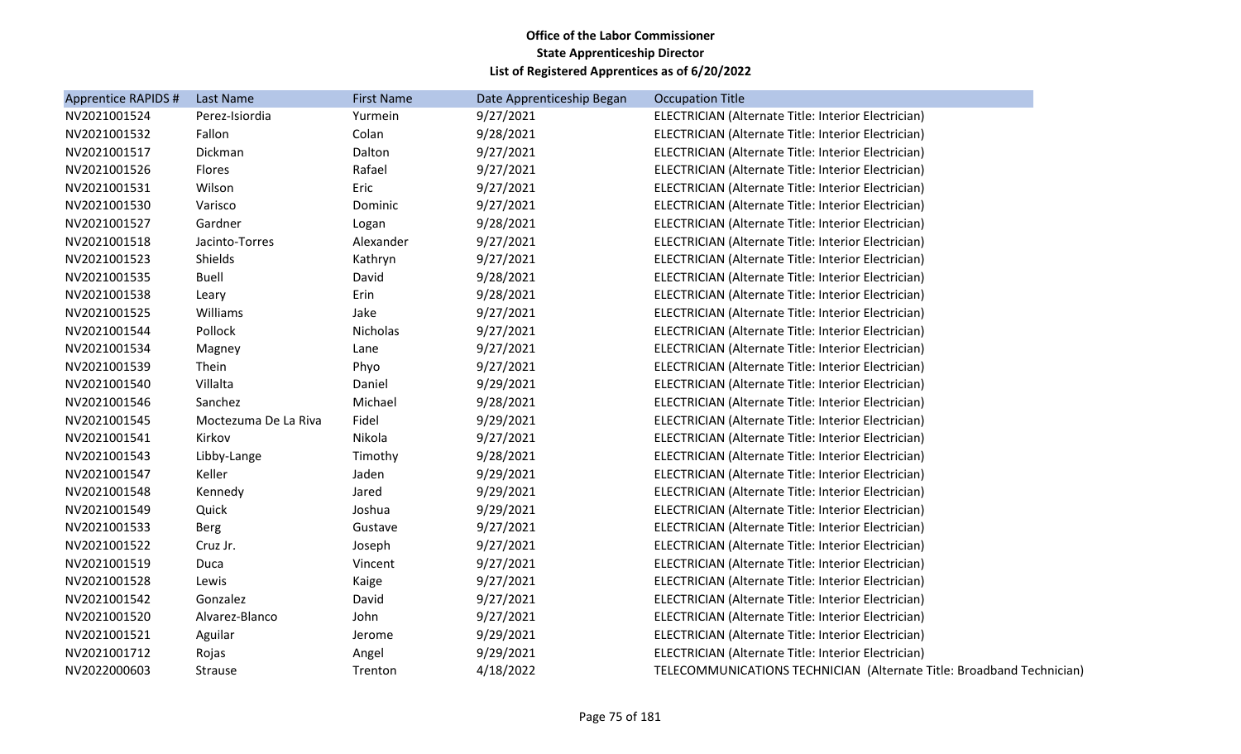| Apprentice RAPIDS # | Last Name            | <b>First Name</b> | Date Apprenticeship Began | <b>Occupation Title</b>                                               |
|---------------------|----------------------|-------------------|---------------------------|-----------------------------------------------------------------------|
| NV2021001524        | Perez-Isiordia       | Yurmein           | 9/27/2021                 | ELECTRICIAN (Alternate Title: Interior Electrician)                   |
| NV2021001532        | Fallon               | Colan             | 9/28/2021                 | ELECTRICIAN (Alternate Title: Interior Electrician)                   |
| NV2021001517        | Dickman              | Dalton            | 9/27/2021                 | ELECTRICIAN (Alternate Title: Interior Electrician)                   |
| NV2021001526        | Flores               | Rafael            | 9/27/2021                 | ELECTRICIAN (Alternate Title: Interior Electrician)                   |
| NV2021001531        | Wilson               | Eric              | 9/27/2021                 | ELECTRICIAN (Alternate Title: Interior Electrician)                   |
| NV2021001530        | Varisco              | Dominic           | 9/27/2021                 | ELECTRICIAN (Alternate Title: Interior Electrician)                   |
| NV2021001527        | Gardner              | Logan             | 9/28/2021                 | ELECTRICIAN (Alternate Title: Interior Electrician)                   |
| NV2021001518        | Jacinto-Torres       | Alexander         | 9/27/2021                 | ELECTRICIAN (Alternate Title: Interior Electrician)                   |
| NV2021001523        | Shields              | Kathryn           | 9/27/2021                 | ELECTRICIAN (Alternate Title: Interior Electrician)                   |
| NV2021001535        | <b>Buell</b>         | David             | 9/28/2021                 | ELECTRICIAN (Alternate Title: Interior Electrician)                   |
| NV2021001538        | Leary                | Erin              | 9/28/2021                 | ELECTRICIAN (Alternate Title: Interior Electrician)                   |
| NV2021001525        | Williams             | Jake              | 9/27/2021                 | ELECTRICIAN (Alternate Title: Interior Electrician)                   |
| NV2021001544        | Pollock              | Nicholas          | 9/27/2021                 | ELECTRICIAN (Alternate Title: Interior Electrician)                   |
| NV2021001534        | Magney               | Lane              | 9/27/2021                 | ELECTRICIAN (Alternate Title: Interior Electrician)                   |
| NV2021001539        | Thein                | Phyo              | 9/27/2021                 | ELECTRICIAN (Alternate Title: Interior Electrician)                   |
| NV2021001540        | Villalta             | Daniel            | 9/29/2021                 | ELECTRICIAN (Alternate Title: Interior Electrician)                   |
| NV2021001546        | Sanchez              | Michael           | 9/28/2021                 | ELECTRICIAN (Alternate Title: Interior Electrician)                   |
| NV2021001545        | Moctezuma De La Riva | Fidel             | 9/29/2021                 | ELECTRICIAN (Alternate Title: Interior Electrician)                   |
| NV2021001541        | Kirkov               | Nikola            | 9/27/2021                 | ELECTRICIAN (Alternate Title: Interior Electrician)                   |
| NV2021001543        | Libby-Lange          | Timothy           | 9/28/2021                 | ELECTRICIAN (Alternate Title: Interior Electrician)                   |
| NV2021001547        | Keller               | Jaden             | 9/29/2021                 | ELECTRICIAN (Alternate Title: Interior Electrician)                   |
| NV2021001548        | Kennedy              | Jared             | 9/29/2021                 | ELECTRICIAN (Alternate Title: Interior Electrician)                   |
| NV2021001549        | Quick                | Joshua            | 9/29/2021                 | ELECTRICIAN (Alternate Title: Interior Electrician)                   |
| NV2021001533        | <b>Berg</b>          | Gustave           | 9/27/2021                 | ELECTRICIAN (Alternate Title: Interior Electrician)                   |
| NV2021001522        | Cruz Jr.             | Joseph            | 9/27/2021                 | ELECTRICIAN (Alternate Title: Interior Electrician)                   |
| NV2021001519        | Duca                 | Vincent           | 9/27/2021                 | ELECTRICIAN (Alternate Title: Interior Electrician)                   |
| NV2021001528        | Lewis                | Kaige             | 9/27/2021                 | ELECTRICIAN (Alternate Title: Interior Electrician)                   |
| NV2021001542        | Gonzalez             | David             | 9/27/2021                 | ELECTRICIAN (Alternate Title: Interior Electrician)                   |
| NV2021001520        | Alvarez-Blanco       | John              | 9/27/2021                 | ELECTRICIAN (Alternate Title: Interior Electrician)                   |
| NV2021001521        | Aguilar              | Jerome            | 9/29/2021                 | ELECTRICIAN (Alternate Title: Interior Electrician)                   |
| NV2021001712        | Rojas                | Angel             | 9/29/2021                 | ELECTRICIAN (Alternate Title: Interior Electrician)                   |
| NV2022000603        | <b>Strause</b>       | Trenton           | 4/18/2022                 | TELECOMMUNICATIONS TECHNICIAN (Alternate Title: Broadband Technician) |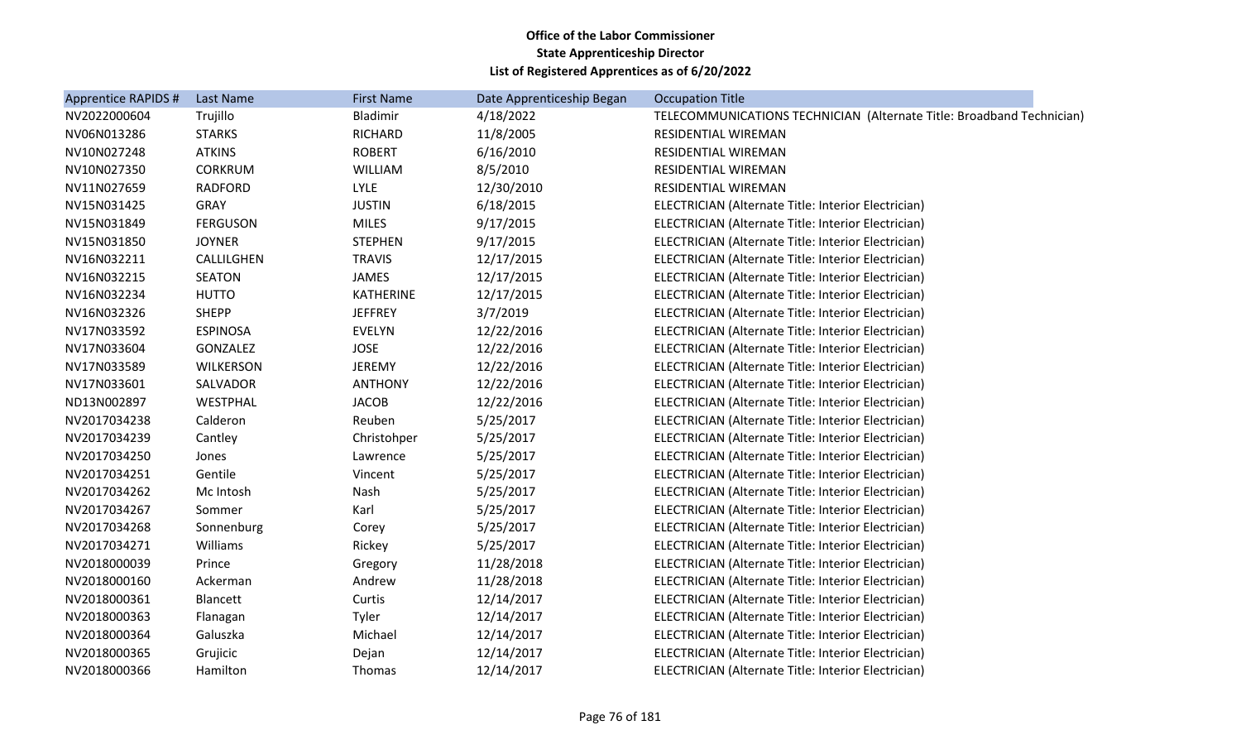| Apprentice RAPIDS # | <b>Last Name</b> | <b>First Name</b> | Date Apprenticeship Began | <b>Occupation Title</b>                                               |
|---------------------|------------------|-------------------|---------------------------|-----------------------------------------------------------------------|
| NV2022000604        | Trujillo         | Bladimir          | 4/18/2022                 | TELECOMMUNICATIONS TECHNICIAN (Alternate Title: Broadband Technician) |
| NV06N013286         | <b>STARKS</b>    | <b>RICHARD</b>    | 11/8/2005                 | RESIDENTIAL WIREMAN                                                   |
| NV10N027248         | <b>ATKINS</b>    | <b>ROBERT</b>     | 6/16/2010                 | RESIDENTIAL WIREMAN                                                   |
| NV10N027350         | <b>CORKRUM</b>   | WILLIAM           | 8/5/2010                  | RESIDENTIAL WIREMAN                                                   |
| NV11N027659         | <b>RADFORD</b>   | <b>LYLE</b>       | 12/30/2010                | RESIDENTIAL WIREMAN                                                   |
| NV15N031425         | <b>GRAY</b>      | <b>JUSTIN</b>     | 6/18/2015                 | ELECTRICIAN (Alternate Title: Interior Electrician)                   |
| NV15N031849         | <b>FERGUSON</b>  | <b>MILES</b>      | 9/17/2015                 | ELECTRICIAN (Alternate Title: Interior Electrician)                   |
| NV15N031850         | <b>JOYNER</b>    | <b>STEPHEN</b>    | 9/17/2015                 | ELECTRICIAN (Alternate Title: Interior Electrician)                   |
| NV16N032211         | CALLILGHEN       | <b>TRAVIS</b>     | 12/17/2015                | ELECTRICIAN (Alternate Title: Interior Electrician)                   |
| NV16N032215         | <b>SEATON</b>    | <b>JAMES</b>      | 12/17/2015                | ELECTRICIAN (Alternate Title: Interior Electrician)                   |
| NV16N032234         | <b>HUTTO</b>     | <b>KATHERINE</b>  | 12/17/2015                | ELECTRICIAN (Alternate Title: Interior Electrician)                   |
| NV16N032326         | <b>SHEPP</b>     | <b>JEFFREY</b>    | 3/7/2019                  | ELECTRICIAN (Alternate Title: Interior Electrician)                   |
| NV17N033592         | <b>ESPINOSA</b>  | <b>EVELYN</b>     | 12/22/2016                | ELECTRICIAN (Alternate Title: Interior Electrician)                   |
| NV17N033604         | GONZALEZ         | <b>JOSE</b>       | 12/22/2016                | ELECTRICIAN (Alternate Title: Interior Electrician)                   |
| NV17N033589         | <b>WILKERSON</b> | <b>JEREMY</b>     | 12/22/2016                | ELECTRICIAN (Alternate Title: Interior Electrician)                   |
| NV17N033601         | SALVADOR         | <b>ANTHONY</b>    | 12/22/2016                | ELECTRICIAN (Alternate Title: Interior Electrician)                   |
| ND13N002897         | WESTPHAL         | <b>JACOB</b>      | 12/22/2016                | ELECTRICIAN (Alternate Title: Interior Electrician)                   |
| NV2017034238        | Calderon         | Reuben            | 5/25/2017                 | ELECTRICIAN (Alternate Title: Interior Electrician)                   |
| NV2017034239        | Cantley          | Christohper       | 5/25/2017                 | ELECTRICIAN (Alternate Title: Interior Electrician)                   |
| NV2017034250        | Jones            | Lawrence          | 5/25/2017                 | ELECTRICIAN (Alternate Title: Interior Electrician)                   |
| NV2017034251        | Gentile          | Vincent           | 5/25/2017                 | ELECTRICIAN (Alternate Title: Interior Electrician)                   |
| NV2017034262        | Mc Intosh        | Nash              | 5/25/2017                 | ELECTRICIAN (Alternate Title: Interior Electrician)                   |
| NV2017034267        | Sommer           | Karl              | 5/25/2017                 | ELECTRICIAN (Alternate Title: Interior Electrician)                   |
| NV2017034268        | Sonnenburg       | Corey             | 5/25/2017                 | ELECTRICIAN (Alternate Title: Interior Electrician)                   |
| NV2017034271        | Williams         | Rickey            | 5/25/2017                 | ELECTRICIAN (Alternate Title: Interior Electrician)                   |
| NV2018000039        | Prince           | Gregory           | 11/28/2018                | ELECTRICIAN (Alternate Title: Interior Electrician)                   |
| NV2018000160        | Ackerman         | Andrew            | 11/28/2018                | ELECTRICIAN (Alternate Title: Interior Electrician)                   |
| NV2018000361        | Blancett         | Curtis            | 12/14/2017                | ELECTRICIAN (Alternate Title: Interior Electrician)                   |
| NV2018000363        | Flanagan         | Tyler             | 12/14/2017                | ELECTRICIAN (Alternate Title: Interior Electrician)                   |
| NV2018000364        | Galuszka         | Michael           | 12/14/2017                | ELECTRICIAN (Alternate Title: Interior Electrician)                   |
| NV2018000365        | Grujicic         | Dejan             | 12/14/2017                | ELECTRICIAN (Alternate Title: Interior Electrician)                   |
| NV2018000366        | Hamilton         | Thomas            | 12/14/2017                | ELECTRICIAN (Alternate Title: Interior Electrician)                   |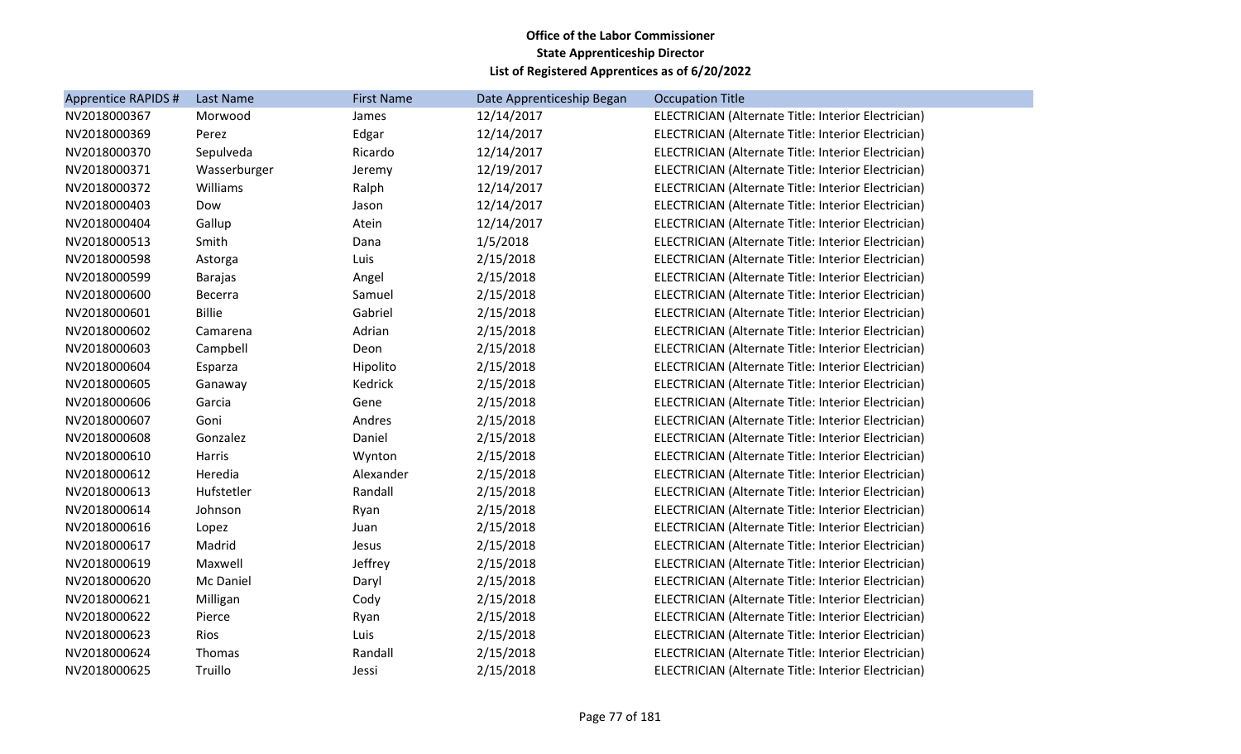| Apprentice RAPIDS # | Last Name      | <b>First Name</b> | Date Apprenticeship Began | <b>Occupation Title</b>                             |
|---------------------|----------------|-------------------|---------------------------|-----------------------------------------------------|
| NV2018000367        | Morwood        | James             | 12/14/2017                | ELECTRICIAN (Alternate Title: Interior Electrician) |
| NV2018000369        | Perez          | Edgar             | 12/14/2017                | ELECTRICIAN (Alternate Title: Interior Electrician) |
| NV2018000370        | Sepulveda      | Ricardo           | 12/14/2017                | ELECTRICIAN (Alternate Title: Interior Electrician) |
| NV2018000371        | Wasserburger   | Jeremy            | 12/19/2017                | ELECTRICIAN (Alternate Title: Interior Electrician) |
| NV2018000372        | Williams       | Ralph             | 12/14/2017                | ELECTRICIAN (Alternate Title: Interior Electrician) |
| NV2018000403        | Dow            | Jason             | 12/14/2017                | ELECTRICIAN (Alternate Title: Interior Electrician) |
| NV2018000404        | Gallup         | Atein             | 12/14/2017                | ELECTRICIAN (Alternate Title: Interior Electrician) |
| NV2018000513        | Smith          | Dana              | 1/5/2018                  | ELECTRICIAN (Alternate Title: Interior Electrician) |
| NV2018000598        | Astorga        | Luis              | 2/15/2018                 | ELECTRICIAN (Alternate Title: Interior Electrician) |
| NV2018000599        | <b>Barajas</b> | Angel             | 2/15/2018                 | ELECTRICIAN (Alternate Title: Interior Electrician) |
| NV2018000600        | <b>Becerra</b> | Samuel            | 2/15/2018                 | ELECTRICIAN (Alternate Title: Interior Electrician) |
| NV2018000601        | <b>Billie</b>  | Gabriel           | 2/15/2018                 | ELECTRICIAN (Alternate Title: Interior Electrician) |
| NV2018000602        | Camarena       | Adrian            | 2/15/2018                 | ELECTRICIAN (Alternate Title: Interior Electrician) |
| NV2018000603        | Campbell       | Deon              | 2/15/2018                 | ELECTRICIAN (Alternate Title: Interior Electrician) |
| NV2018000604        | Esparza        | Hipolito          | 2/15/2018                 | ELECTRICIAN (Alternate Title: Interior Electrician) |
| NV2018000605        | Ganaway        | Kedrick           | 2/15/2018                 | ELECTRICIAN (Alternate Title: Interior Electrician) |
| NV2018000606        | Garcia         | Gene              | 2/15/2018                 | ELECTRICIAN (Alternate Title: Interior Electrician) |
| NV2018000607        | Goni           | Andres            | 2/15/2018                 | ELECTRICIAN (Alternate Title: Interior Electrician) |
| NV2018000608        | Gonzalez       | Daniel            | 2/15/2018                 | ELECTRICIAN (Alternate Title: Interior Electrician) |
| NV2018000610        | Harris         | Wynton            | 2/15/2018                 | ELECTRICIAN (Alternate Title: Interior Electrician) |
| NV2018000612        | Heredia        | Alexander         | 2/15/2018                 | ELECTRICIAN (Alternate Title: Interior Electrician) |
| NV2018000613        | Hufstetler     | Randall           | 2/15/2018                 | ELECTRICIAN (Alternate Title: Interior Electrician) |
| NV2018000614        | Johnson        | Ryan              | 2/15/2018                 | ELECTRICIAN (Alternate Title: Interior Electrician) |
| NV2018000616        | Lopez          | Juan              | 2/15/2018                 | ELECTRICIAN (Alternate Title: Interior Electrician) |
| NV2018000617        | Madrid         | Jesus             | 2/15/2018                 | ELECTRICIAN (Alternate Title: Interior Electrician) |
| NV2018000619        | Maxwell        | Jeffrey           | 2/15/2018                 | ELECTRICIAN (Alternate Title: Interior Electrician) |
| NV2018000620        | Mc Daniel      | Daryl             | 2/15/2018                 | ELECTRICIAN (Alternate Title: Interior Electrician) |
| NV2018000621        | Milligan       | Cody              | 2/15/2018                 | ELECTRICIAN (Alternate Title: Interior Electrician) |
| NV2018000622        | Pierce         | Ryan              | 2/15/2018                 | ELECTRICIAN (Alternate Title: Interior Electrician) |
| NV2018000623        | Rios           | Luis              | 2/15/2018                 | ELECTRICIAN (Alternate Title: Interior Electrician) |
| NV2018000624        | Thomas         | Randall           | 2/15/2018                 | ELECTRICIAN (Alternate Title: Interior Electrician) |
| NV2018000625        | Truillo        | Jessi             | 2/15/2018                 | ELECTRICIAN (Alternate Title: Interior Electrician) |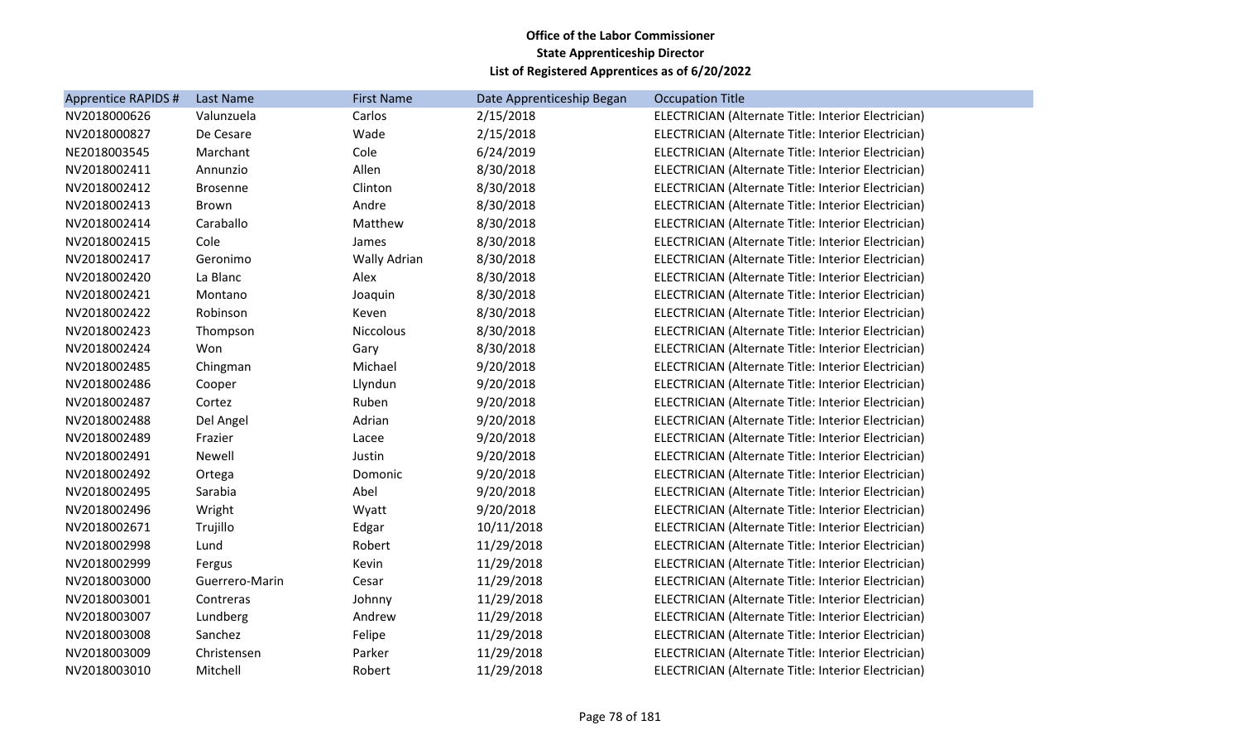| <b>Apprentice RAPIDS #</b> | Last Name       | <b>First Name</b> | Date Apprenticeship Began | <b>Occupation Title</b>                             |
|----------------------------|-----------------|-------------------|---------------------------|-----------------------------------------------------|
| NV2018000626               | Valunzuela      | Carlos            | 2/15/2018                 | ELECTRICIAN (Alternate Title: Interior Electrician) |
| NV2018000827               | De Cesare       | Wade              | 2/15/2018                 | ELECTRICIAN (Alternate Title: Interior Electrician) |
| NE2018003545               | Marchant        | Cole              | 6/24/2019                 | ELECTRICIAN (Alternate Title: Interior Electrician) |
| NV2018002411               | Annunzio        | Allen             | 8/30/2018                 | ELECTRICIAN (Alternate Title: Interior Electrician) |
| NV2018002412               | <b>Brosenne</b> | Clinton           | 8/30/2018                 | ELECTRICIAN (Alternate Title: Interior Electrician) |
| NV2018002413               | <b>Brown</b>    | Andre             | 8/30/2018                 | ELECTRICIAN (Alternate Title: Interior Electrician) |
| NV2018002414               | Caraballo       | Matthew           | 8/30/2018                 | ELECTRICIAN (Alternate Title: Interior Electrician) |
| NV2018002415               | Cole            | James             | 8/30/2018                 | ELECTRICIAN (Alternate Title: Interior Electrician) |
| NV2018002417               | Geronimo        | Wally Adrian      | 8/30/2018                 | ELECTRICIAN (Alternate Title: Interior Electrician) |
| NV2018002420               | La Blanc        | Alex              | 8/30/2018                 | ELECTRICIAN (Alternate Title: Interior Electrician) |
| NV2018002421               | Montano         | Joaquin           | 8/30/2018                 | ELECTRICIAN (Alternate Title: Interior Electrician) |
| NV2018002422               | Robinson        | Keven             | 8/30/2018                 | ELECTRICIAN (Alternate Title: Interior Electrician) |
| NV2018002423               | Thompson        | Niccolous         | 8/30/2018                 | ELECTRICIAN (Alternate Title: Interior Electrician) |
| NV2018002424               | Won             | Gary              | 8/30/2018                 | ELECTRICIAN (Alternate Title: Interior Electrician) |
| NV2018002485               | Chingman        | Michael           | 9/20/2018                 | ELECTRICIAN (Alternate Title: Interior Electrician) |
| NV2018002486               | Cooper          | Llyndun           | 9/20/2018                 | ELECTRICIAN (Alternate Title: Interior Electrician) |
| NV2018002487               | Cortez          | Ruben             | 9/20/2018                 | ELECTRICIAN (Alternate Title: Interior Electrician) |
| NV2018002488               | Del Angel       | Adrian            | 9/20/2018                 | ELECTRICIAN (Alternate Title: Interior Electrician) |
| NV2018002489               | Frazier         | Lacee             | 9/20/2018                 | ELECTRICIAN (Alternate Title: Interior Electrician) |
| NV2018002491               | Newell          | Justin            | 9/20/2018                 | ELECTRICIAN (Alternate Title: Interior Electrician) |
| NV2018002492               | Ortega          | Domonic           | 9/20/2018                 | ELECTRICIAN (Alternate Title: Interior Electrician) |
| NV2018002495               | Sarabia         | Abel              | 9/20/2018                 | ELECTRICIAN (Alternate Title: Interior Electrician) |
| NV2018002496               | Wright          | Wyatt             | 9/20/2018                 | ELECTRICIAN (Alternate Title: Interior Electrician) |
| NV2018002671               | Trujillo        | Edgar             | 10/11/2018                | ELECTRICIAN (Alternate Title: Interior Electrician) |
| NV2018002998               | Lund            | Robert            | 11/29/2018                | ELECTRICIAN (Alternate Title: Interior Electrician) |
| NV2018002999               | Fergus          | Kevin             | 11/29/2018                | ELECTRICIAN (Alternate Title: Interior Electrician) |
| NV2018003000               | Guerrero-Marin  | Cesar             | 11/29/2018                | ELECTRICIAN (Alternate Title: Interior Electrician) |
| NV2018003001               | Contreras       | Johnny            | 11/29/2018                | ELECTRICIAN (Alternate Title: Interior Electrician) |
| NV2018003007               | Lundberg        | Andrew            | 11/29/2018                | ELECTRICIAN (Alternate Title: Interior Electrician) |
| NV2018003008               | Sanchez         | Felipe            | 11/29/2018                | ELECTRICIAN (Alternate Title: Interior Electrician) |
| NV2018003009               | Christensen     | Parker            | 11/29/2018                | ELECTRICIAN (Alternate Title: Interior Electrician) |
| NV2018003010               | Mitchell        | Robert            | 11/29/2018                | ELECTRICIAN (Alternate Title: Interior Electrician) |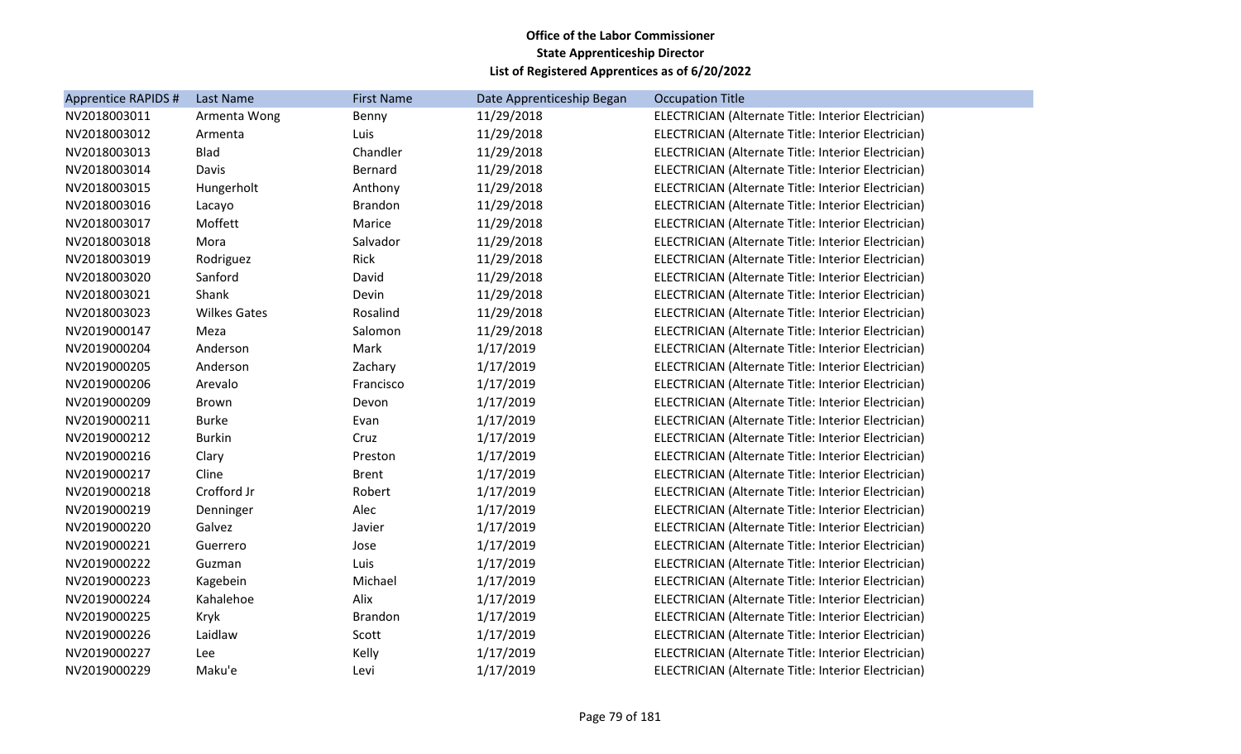| Apprentice RAPIDS # | <b>Last Name</b>    | <b>First Name</b> | Date Apprenticeship Began | <b>Occupation Title</b>                             |
|---------------------|---------------------|-------------------|---------------------------|-----------------------------------------------------|
| NV2018003011        | Armenta Wong        | Benny             | 11/29/2018                | ELECTRICIAN (Alternate Title: Interior Electrician) |
| NV2018003012        | Armenta             | Luis              | 11/29/2018                | ELECTRICIAN (Alternate Title: Interior Electrician) |
| NV2018003013        | <b>Blad</b>         | Chandler          | 11/29/2018                | ELECTRICIAN (Alternate Title: Interior Electrician) |
| NV2018003014        | Davis               | Bernard           | 11/29/2018                | ELECTRICIAN (Alternate Title: Interior Electrician) |
| NV2018003015        | Hungerholt          | Anthony           | 11/29/2018                | ELECTRICIAN (Alternate Title: Interior Electrician) |
| NV2018003016        | Lacayo              | <b>Brandon</b>    | 11/29/2018                | ELECTRICIAN (Alternate Title: Interior Electrician) |
| NV2018003017        | Moffett             | Marice            | 11/29/2018                | ELECTRICIAN (Alternate Title: Interior Electrician) |
| NV2018003018        | Mora                | Salvador          | 11/29/2018                | ELECTRICIAN (Alternate Title: Interior Electrician) |
| NV2018003019        | Rodriguez           | Rick              | 11/29/2018                | ELECTRICIAN (Alternate Title: Interior Electrician) |
| NV2018003020        | Sanford             | David             | 11/29/2018                | ELECTRICIAN (Alternate Title: Interior Electrician) |
| NV2018003021        | Shank               | Devin             | 11/29/2018                | ELECTRICIAN (Alternate Title: Interior Electrician) |
| NV2018003023        | <b>Wilkes Gates</b> | Rosalind          | 11/29/2018                | ELECTRICIAN (Alternate Title: Interior Electrician) |
| NV2019000147        | Meza                | Salomon           | 11/29/2018                | ELECTRICIAN (Alternate Title: Interior Electrician) |
| NV2019000204        | Anderson            | Mark              | 1/17/2019                 | ELECTRICIAN (Alternate Title: Interior Electrician) |
| NV2019000205        | Anderson            | Zachary           | 1/17/2019                 | ELECTRICIAN (Alternate Title: Interior Electrician) |
| NV2019000206        | Arevalo             | Francisco         | 1/17/2019                 | ELECTRICIAN (Alternate Title: Interior Electrician) |
| NV2019000209        | Brown               | Devon             | 1/17/2019                 | ELECTRICIAN (Alternate Title: Interior Electrician) |
| NV2019000211        | <b>Burke</b>        | Evan              | 1/17/2019                 | ELECTRICIAN (Alternate Title: Interior Electrician) |
| NV2019000212        | <b>Burkin</b>       | Cruz              | 1/17/2019                 | ELECTRICIAN (Alternate Title: Interior Electrician) |
| NV2019000216        | Clary               | Preston           | 1/17/2019                 | ELECTRICIAN (Alternate Title: Interior Electrician) |
| NV2019000217        | Cline               | <b>Brent</b>      | 1/17/2019                 | ELECTRICIAN (Alternate Title: Interior Electrician) |
| NV2019000218        | Crofford Jr         | Robert            | 1/17/2019                 | ELECTRICIAN (Alternate Title: Interior Electrician) |
| NV2019000219        | Denninger           | Alec              | 1/17/2019                 | ELECTRICIAN (Alternate Title: Interior Electrician) |
| NV2019000220        | Galvez              | Javier            | 1/17/2019                 | ELECTRICIAN (Alternate Title: Interior Electrician) |
| NV2019000221        | Guerrero            | Jose              | 1/17/2019                 | ELECTRICIAN (Alternate Title: Interior Electrician) |
| NV2019000222        | Guzman              | Luis              | 1/17/2019                 | ELECTRICIAN (Alternate Title: Interior Electrician) |
| NV2019000223        | Kagebein            | Michael           | 1/17/2019                 | ELECTRICIAN (Alternate Title: Interior Electrician) |
| NV2019000224        | Kahalehoe           | Alix              | 1/17/2019                 | ELECTRICIAN (Alternate Title: Interior Electrician) |
| NV2019000225        | Kryk                | <b>Brandon</b>    | 1/17/2019                 | ELECTRICIAN (Alternate Title: Interior Electrician) |
| NV2019000226        | Laidlaw             | Scott             | 1/17/2019                 | ELECTRICIAN (Alternate Title: Interior Electrician) |
| NV2019000227        | Lee                 | Kelly             | 1/17/2019                 | ELECTRICIAN (Alternate Title: Interior Electrician) |
| NV2019000229        | Maku'e              | Levi              | 1/17/2019                 | ELECTRICIAN (Alternate Title: Interior Electrician) |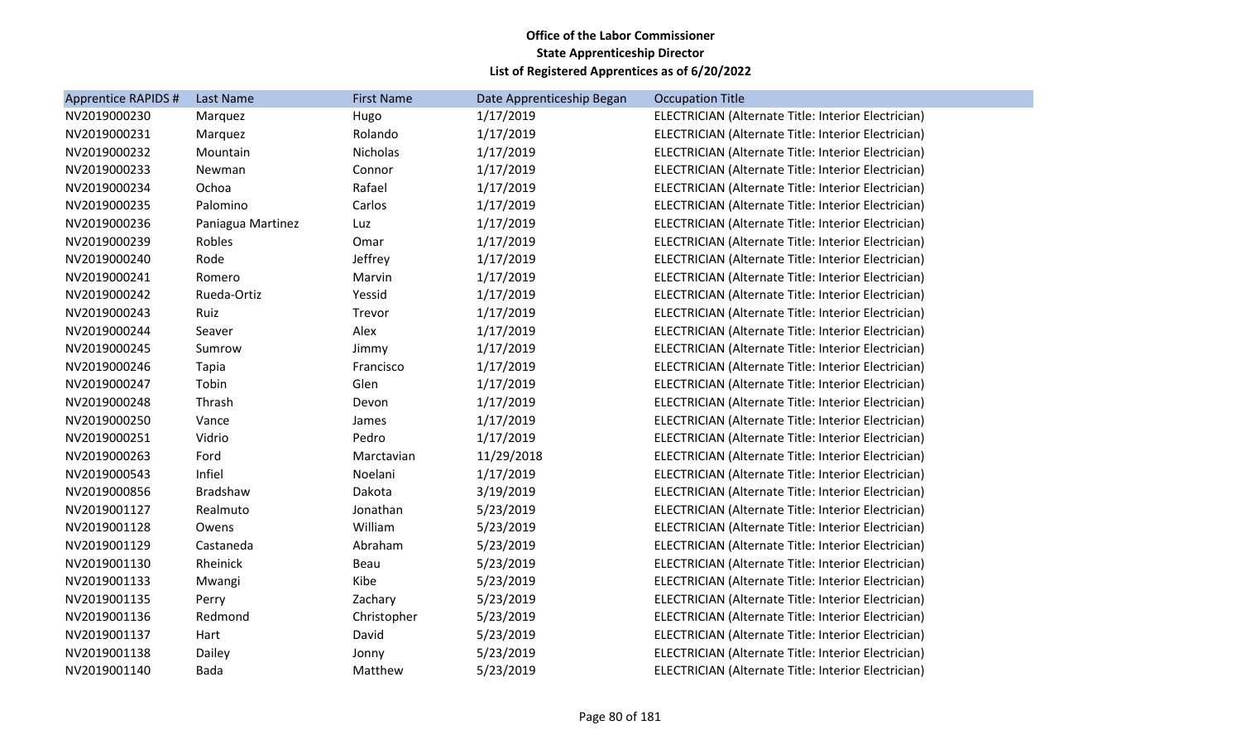| <b>Apprentice RAPIDS #</b> | Last Name         | <b>First Name</b> | Date Apprenticeship Began | <b>Occupation Title</b>                             |
|----------------------------|-------------------|-------------------|---------------------------|-----------------------------------------------------|
| NV2019000230               | Marquez           | Hugo              | 1/17/2019                 | ELECTRICIAN (Alternate Title: Interior Electrician) |
| NV2019000231               | Marquez           | Rolando           | 1/17/2019                 | ELECTRICIAN (Alternate Title: Interior Electrician) |
| NV2019000232               | Mountain          | Nicholas          | 1/17/2019                 | ELECTRICIAN (Alternate Title: Interior Electrician) |
| NV2019000233               | Newman            | Connor            | 1/17/2019                 | ELECTRICIAN (Alternate Title: Interior Electrician) |
| NV2019000234               | Ochoa             | Rafael            | 1/17/2019                 | ELECTRICIAN (Alternate Title: Interior Electrician) |
| NV2019000235               | Palomino          | Carlos            | 1/17/2019                 | ELECTRICIAN (Alternate Title: Interior Electrician) |
| NV2019000236               | Paniagua Martinez | Luz               | 1/17/2019                 | ELECTRICIAN (Alternate Title: Interior Electrician) |
| NV2019000239               | Robles            | Omar              | 1/17/2019                 | ELECTRICIAN (Alternate Title: Interior Electrician) |
| NV2019000240               | Rode              | Jeffrey           | 1/17/2019                 | ELECTRICIAN (Alternate Title: Interior Electrician) |
| NV2019000241               | Romero            | Marvin            | 1/17/2019                 | ELECTRICIAN (Alternate Title: Interior Electrician) |
| NV2019000242               | Rueda-Ortiz       | Yessid            | 1/17/2019                 | ELECTRICIAN (Alternate Title: Interior Electrician) |
| NV2019000243               | Ruiz              | Trevor            | 1/17/2019                 | ELECTRICIAN (Alternate Title: Interior Electrician) |
| NV2019000244               | Seaver            | Alex              | 1/17/2019                 | ELECTRICIAN (Alternate Title: Interior Electrician) |
| NV2019000245               | Sumrow            | Jimmy             | 1/17/2019                 | ELECTRICIAN (Alternate Title: Interior Electrician) |
| NV2019000246               | Tapia             | Francisco         | 1/17/2019                 | ELECTRICIAN (Alternate Title: Interior Electrician) |
| NV2019000247               | Tobin             | Glen              | 1/17/2019                 | ELECTRICIAN (Alternate Title: Interior Electrician) |
| NV2019000248               | Thrash            | Devon             | 1/17/2019                 | ELECTRICIAN (Alternate Title: Interior Electrician) |
| NV2019000250               | Vance             | James             | 1/17/2019                 | ELECTRICIAN (Alternate Title: Interior Electrician) |
| NV2019000251               | Vidrio            | Pedro             | 1/17/2019                 | ELECTRICIAN (Alternate Title: Interior Electrician) |
| NV2019000263               | Ford              | Marctavian        | 11/29/2018                | ELECTRICIAN (Alternate Title: Interior Electrician) |
| NV2019000543               | Infiel            | Noelani           | 1/17/2019                 | ELECTRICIAN (Alternate Title: Interior Electrician) |
| NV2019000856               | Bradshaw          | Dakota            | 3/19/2019                 | ELECTRICIAN (Alternate Title: Interior Electrician) |
| NV2019001127               | Realmuto          | Jonathan          | 5/23/2019                 | ELECTRICIAN (Alternate Title: Interior Electrician) |
| NV2019001128               | Owens             | William           | 5/23/2019                 | ELECTRICIAN (Alternate Title: Interior Electrician) |
| NV2019001129               | Castaneda         | Abraham           | 5/23/2019                 | ELECTRICIAN (Alternate Title: Interior Electrician) |
| NV2019001130               | Rheinick          | Beau              | 5/23/2019                 | ELECTRICIAN (Alternate Title: Interior Electrician) |
| NV2019001133               | Mwangi            | Kibe              | 5/23/2019                 | ELECTRICIAN (Alternate Title: Interior Electrician) |
| NV2019001135               | Perry             | Zachary           | 5/23/2019                 | ELECTRICIAN (Alternate Title: Interior Electrician) |
| NV2019001136               | Redmond           | Christopher       | 5/23/2019                 | ELECTRICIAN (Alternate Title: Interior Electrician) |
| NV2019001137               | Hart              | David             | 5/23/2019                 | ELECTRICIAN (Alternate Title: Interior Electrician) |
| NV2019001138               | Dailey            | Jonny             | 5/23/2019                 | ELECTRICIAN (Alternate Title: Interior Electrician) |
| NV2019001140               | <b>Bada</b>       | Matthew           | 5/23/2019                 | ELECTRICIAN (Alternate Title: Interior Electrician) |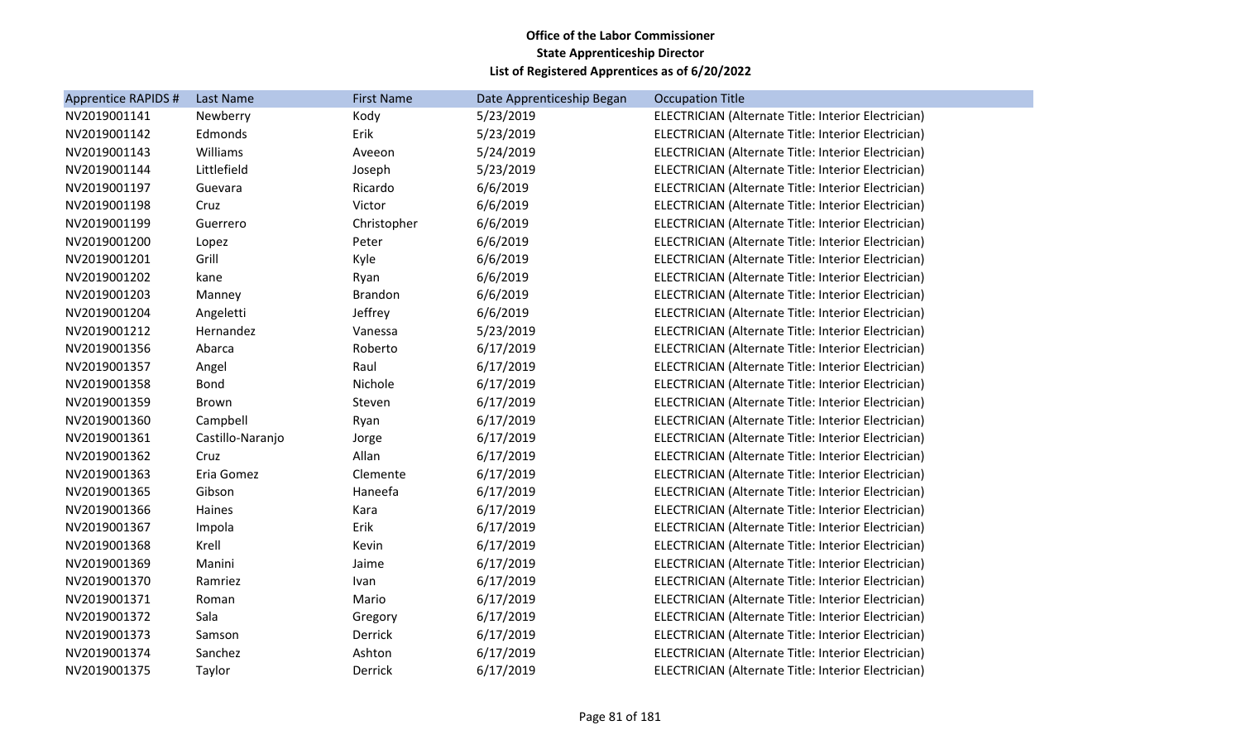| <b>Apprentice RAPIDS #</b> | Last Name        | <b>First Name</b> | Date Apprenticeship Began | <b>Occupation Title</b>                             |
|----------------------------|------------------|-------------------|---------------------------|-----------------------------------------------------|
| NV2019001141               | Newberry         | Kody              | 5/23/2019                 | ELECTRICIAN (Alternate Title: Interior Electrician) |
| NV2019001142               | Edmonds          | Erik              | 5/23/2019                 | ELECTRICIAN (Alternate Title: Interior Electrician) |
| NV2019001143               | Williams         | Aveeon            | 5/24/2019                 | ELECTRICIAN (Alternate Title: Interior Electrician) |
| NV2019001144               | Littlefield      | Joseph            | 5/23/2019                 | ELECTRICIAN (Alternate Title: Interior Electrician) |
| NV2019001197               | Guevara          | Ricardo           | 6/6/2019                  | ELECTRICIAN (Alternate Title: Interior Electrician) |
| NV2019001198               | Cruz             | Victor            | 6/6/2019                  | ELECTRICIAN (Alternate Title: Interior Electrician) |
| NV2019001199               | Guerrero         | Christopher       | 6/6/2019                  | ELECTRICIAN (Alternate Title: Interior Electrician) |
| NV2019001200               | Lopez            | Peter             | 6/6/2019                  | ELECTRICIAN (Alternate Title: Interior Electrician) |
| NV2019001201               | Grill            | Kyle              | 6/6/2019                  | ELECTRICIAN (Alternate Title: Interior Electrician) |
| NV2019001202               | kane             | Ryan              | 6/6/2019                  | ELECTRICIAN (Alternate Title: Interior Electrician) |
| NV2019001203               | Manney           | Brandon           | 6/6/2019                  | ELECTRICIAN (Alternate Title: Interior Electrician) |
| NV2019001204               | Angeletti        | Jeffrey           | 6/6/2019                  | ELECTRICIAN (Alternate Title: Interior Electrician) |
| NV2019001212               | Hernandez        | Vanessa           | 5/23/2019                 | ELECTRICIAN (Alternate Title: Interior Electrician) |
| NV2019001356               | Abarca           | Roberto           | 6/17/2019                 | ELECTRICIAN (Alternate Title: Interior Electrician) |
| NV2019001357               | Angel            | Raul              | 6/17/2019                 | ELECTRICIAN (Alternate Title: Interior Electrician) |
| NV2019001358               | <b>Bond</b>      | Nichole           | 6/17/2019                 | ELECTRICIAN (Alternate Title: Interior Electrician) |
| NV2019001359               | Brown            | Steven            | 6/17/2019                 | ELECTRICIAN (Alternate Title: Interior Electrician) |
| NV2019001360               | Campbell         | Ryan              | 6/17/2019                 | ELECTRICIAN (Alternate Title: Interior Electrician) |
| NV2019001361               | Castillo-Naranjo | Jorge             | 6/17/2019                 | ELECTRICIAN (Alternate Title: Interior Electrician) |
| NV2019001362               | Cruz             | Allan             | 6/17/2019                 | ELECTRICIAN (Alternate Title: Interior Electrician) |
| NV2019001363               | Eria Gomez       | Clemente          | 6/17/2019                 | ELECTRICIAN (Alternate Title: Interior Electrician) |
| NV2019001365               | Gibson           | Haneefa           | 6/17/2019                 | ELECTRICIAN (Alternate Title: Interior Electrician) |
| NV2019001366               | Haines           | Kara              | 6/17/2019                 | ELECTRICIAN (Alternate Title: Interior Electrician) |
| NV2019001367               | Impola           | Erik              | 6/17/2019                 | ELECTRICIAN (Alternate Title: Interior Electrician) |
| NV2019001368               | Krell            | Kevin             | 6/17/2019                 | ELECTRICIAN (Alternate Title: Interior Electrician) |
| NV2019001369               | Manini           | Jaime             | 6/17/2019                 | ELECTRICIAN (Alternate Title: Interior Electrician) |
| NV2019001370               | Ramriez          | Ivan              | 6/17/2019                 | ELECTRICIAN (Alternate Title: Interior Electrician) |
| NV2019001371               | Roman            | Mario             | 6/17/2019                 | ELECTRICIAN (Alternate Title: Interior Electrician) |
| NV2019001372               | Sala             | Gregory           | 6/17/2019                 | ELECTRICIAN (Alternate Title: Interior Electrician) |
| NV2019001373               | Samson           | Derrick           | 6/17/2019                 | ELECTRICIAN (Alternate Title: Interior Electrician) |
| NV2019001374               | Sanchez          | Ashton            | 6/17/2019                 | ELECTRICIAN (Alternate Title: Interior Electrician) |
| NV2019001375               | Taylor           | Derrick           | 6/17/2019                 | ELECTRICIAN (Alternate Title: Interior Electrician) |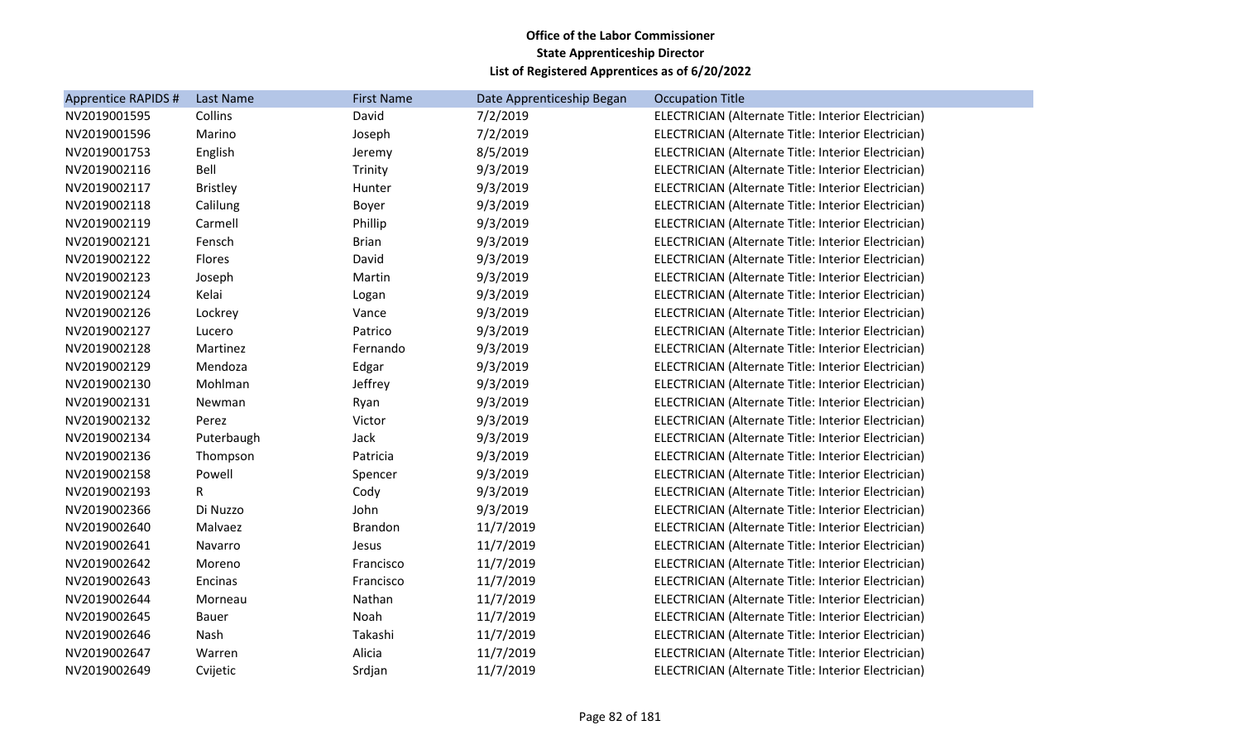| <b>Apprentice RAPIDS #</b> | Last Name       | <b>First Name</b> | Date Apprenticeship Began | <b>Occupation Title</b>                             |
|----------------------------|-----------------|-------------------|---------------------------|-----------------------------------------------------|
| NV2019001595               | Collins         | David             | 7/2/2019                  | ELECTRICIAN (Alternate Title: Interior Electrician) |
| NV2019001596               | Marino          | Joseph            | 7/2/2019                  | ELECTRICIAN (Alternate Title: Interior Electrician) |
| NV2019001753               | English         | Jeremy            | 8/5/2019                  | ELECTRICIAN (Alternate Title: Interior Electrician) |
| NV2019002116               | Bell            | Trinity           | 9/3/2019                  | ELECTRICIAN (Alternate Title: Interior Electrician) |
| NV2019002117               | <b>Bristley</b> | Hunter            | 9/3/2019                  | ELECTRICIAN (Alternate Title: Interior Electrician) |
| NV2019002118               | Calilung        | Boyer             | 9/3/2019                  | ELECTRICIAN (Alternate Title: Interior Electrician) |
| NV2019002119               | Carmell         | Phillip           | 9/3/2019                  | ELECTRICIAN (Alternate Title: Interior Electrician) |
| NV2019002121               | Fensch          | <b>Brian</b>      | 9/3/2019                  | ELECTRICIAN (Alternate Title: Interior Electrician) |
| NV2019002122               | Flores          | David             | 9/3/2019                  | ELECTRICIAN (Alternate Title: Interior Electrician) |
| NV2019002123               | Joseph          | Martin            | 9/3/2019                  | ELECTRICIAN (Alternate Title: Interior Electrician) |
| NV2019002124               | Kelai           | Logan             | 9/3/2019                  | ELECTRICIAN (Alternate Title: Interior Electrician) |
| NV2019002126               | Lockrey         | Vance             | 9/3/2019                  | ELECTRICIAN (Alternate Title: Interior Electrician) |
| NV2019002127               | Lucero          | Patrico           | 9/3/2019                  | ELECTRICIAN (Alternate Title: Interior Electrician) |
| NV2019002128               | Martinez        | Fernando          | 9/3/2019                  | ELECTRICIAN (Alternate Title: Interior Electrician) |
| NV2019002129               | Mendoza         | Edgar             | 9/3/2019                  | ELECTRICIAN (Alternate Title: Interior Electrician) |
| NV2019002130               | Mohlman         | Jeffrey           | 9/3/2019                  | ELECTRICIAN (Alternate Title: Interior Electrician) |
| NV2019002131               | Newman          | Ryan              | 9/3/2019                  | ELECTRICIAN (Alternate Title: Interior Electrician) |
| NV2019002132               | Perez           | Victor            | 9/3/2019                  | ELECTRICIAN (Alternate Title: Interior Electrician) |
| NV2019002134               | Puterbaugh      | Jack              | 9/3/2019                  | ELECTRICIAN (Alternate Title: Interior Electrician) |
| NV2019002136               | Thompson        | Patricia          | 9/3/2019                  | ELECTRICIAN (Alternate Title: Interior Electrician) |
| NV2019002158               | Powell          | Spencer           | 9/3/2019                  | ELECTRICIAN (Alternate Title: Interior Electrician) |
| NV2019002193               | R               | Cody              | 9/3/2019                  | ELECTRICIAN (Alternate Title: Interior Electrician) |
| NV2019002366               | Di Nuzzo        | John              | 9/3/2019                  | ELECTRICIAN (Alternate Title: Interior Electrician) |
| NV2019002640               | Malvaez         | <b>Brandon</b>    | 11/7/2019                 | ELECTRICIAN (Alternate Title: Interior Electrician) |
| NV2019002641               | Navarro         | Jesus             | 11/7/2019                 | ELECTRICIAN (Alternate Title: Interior Electrician) |
| NV2019002642               | Moreno          | Francisco         | 11/7/2019                 | ELECTRICIAN (Alternate Title: Interior Electrician) |
| NV2019002643               | Encinas         | Francisco         | 11/7/2019                 | ELECTRICIAN (Alternate Title: Interior Electrician) |
| NV2019002644               | Morneau         | Nathan            | 11/7/2019                 | ELECTRICIAN (Alternate Title: Interior Electrician) |
| NV2019002645               | Bauer           | Noah              | 11/7/2019                 | ELECTRICIAN (Alternate Title: Interior Electrician) |
| NV2019002646               | Nash            | Takashi           | 11/7/2019                 | ELECTRICIAN (Alternate Title: Interior Electrician) |
| NV2019002647               | Warren          | Alicia            | 11/7/2019                 | ELECTRICIAN (Alternate Title: Interior Electrician) |
| NV2019002649               | Cvijetic        | Srdjan            | 11/7/2019                 | ELECTRICIAN (Alternate Title: Interior Electrician) |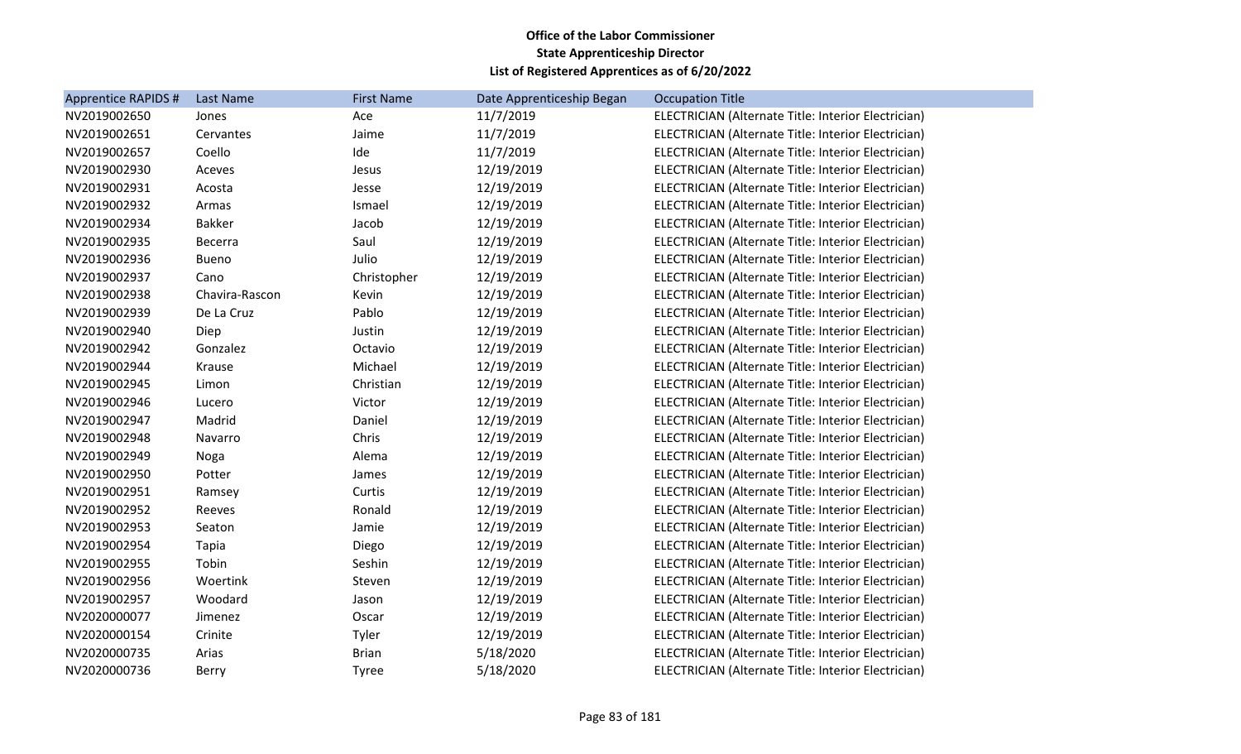| Apprentice RAPIDS # | Last Name      | <b>First Name</b> | Date Apprenticeship Began | <b>Occupation Title</b>                             |
|---------------------|----------------|-------------------|---------------------------|-----------------------------------------------------|
| NV2019002650        | Jones          | Ace               | 11/7/2019                 | ELECTRICIAN (Alternate Title: Interior Electrician) |
| NV2019002651        | Cervantes      | Jaime             | 11/7/2019                 | ELECTRICIAN (Alternate Title: Interior Electrician) |
| NV2019002657        | Coello         | Ide               | 11/7/2019                 | ELECTRICIAN (Alternate Title: Interior Electrician) |
| NV2019002930        | Aceves         | Jesus             | 12/19/2019                | ELECTRICIAN (Alternate Title: Interior Electrician) |
| NV2019002931        | Acosta         | Jesse             | 12/19/2019                | ELECTRICIAN (Alternate Title: Interior Electrician) |
| NV2019002932        | Armas          | Ismael            | 12/19/2019                | ELECTRICIAN (Alternate Title: Interior Electrician) |
| NV2019002934        | <b>Bakker</b>  | Jacob             | 12/19/2019                | ELECTRICIAN (Alternate Title: Interior Electrician) |
| NV2019002935        | Becerra        | Saul              | 12/19/2019                | ELECTRICIAN (Alternate Title: Interior Electrician) |
| NV2019002936        | <b>Bueno</b>   | Julio             | 12/19/2019                | ELECTRICIAN (Alternate Title: Interior Electrician) |
| NV2019002937        | Cano           | Christopher       | 12/19/2019                | ELECTRICIAN (Alternate Title: Interior Electrician) |
| NV2019002938        | Chavira-Rascon | Kevin             | 12/19/2019                | ELECTRICIAN (Alternate Title: Interior Electrician) |
| NV2019002939        | De La Cruz     | Pablo             | 12/19/2019                | ELECTRICIAN (Alternate Title: Interior Electrician) |
| NV2019002940        | Diep           | Justin            | 12/19/2019                | ELECTRICIAN (Alternate Title: Interior Electrician) |
| NV2019002942        | Gonzalez       | Octavio           | 12/19/2019                | ELECTRICIAN (Alternate Title: Interior Electrician) |
| NV2019002944        | Krause         | Michael           | 12/19/2019                | ELECTRICIAN (Alternate Title: Interior Electrician) |
| NV2019002945        | Limon          | Christian         | 12/19/2019                | ELECTRICIAN (Alternate Title: Interior Electrician) |
| NV2019002946        | Lucero         | Victor            | 12/19/2019                | ELECTRICIAN (Alternate Title: Interior Electrician) |
| NV2019002947        | Madrid         | Daniel            | 12/19/2019                | ELECTRICIAN (Alternate Title: Interior Electrician) |
| NV2019002948        | Navarro        | Chris             | 12/19/2019                | ELECTRICIAN (Alternate Title: Interior Electrician) |
| NV2019002949        | Noga           | Alema             | 12/19/2019                | ELECTRICIAN (Alternate Title: Interior Electrician) |
| NV2019002950        | Potter         | James             | 12/19/2019                | ELECTRICIAN (Alternate Title: Interior Electrician) |
| NV2019002951        | Ramsey         | Curtis            | 12/19/2019                | ELECTRICIAN (Alternate Title: Interior Electrician) |
| NV2019002952        | Reeves         | Ronald            | 12/19/2019                | ELECTRICIAN (Alternate Title: Interior Electrician) |
| NV2019002953        | Seaton         | Jamie             | 12/19/2019                | ELECTRICIAN (Alternate Title: Interior Electrician) |
| NV2019002954        | Tapia          | Diego             | 12/19/2019                | ELECTRICIAN (Alternate Title: Interior Electrician) |
| NV2019002955        | Tobin          | Seshin            | 12/19/2019                | ELECTRICIAN (Alternate Title: Interior Electrician) |
| NV2019002956        | Woertink       | Steven            | 12/19/2019                | ELECTRICIAN (Alternate Title: Interior Electrician) |
| NV2019002957        | Woodard        | Jason             | 12/19/2019                | ELECTRICIAN (Alternate Title: Interior Electrician) |
| NV2020000077        | Jimenez        | Oscar             | 12/19/2019                | ELECTRICIAN (Alternate Title: Interior Electrician) |
| NV2020000154        | Crinite        | Tyler             | 12/19/2019                | ELECTRICIAN (Alternate Title: Interior Electrician) |
| NV2020000735        | Arias          | <b>Brian</b>      | 5/18/2020                 | ELECTRICIAN (Alternate Title: Interior Electrician) |
| NV2020000736        | Berry          | <b>Tyree</b>      | 5/18/2020                 | ELECTRICIAN (Alternate Title: Interior Electrician) |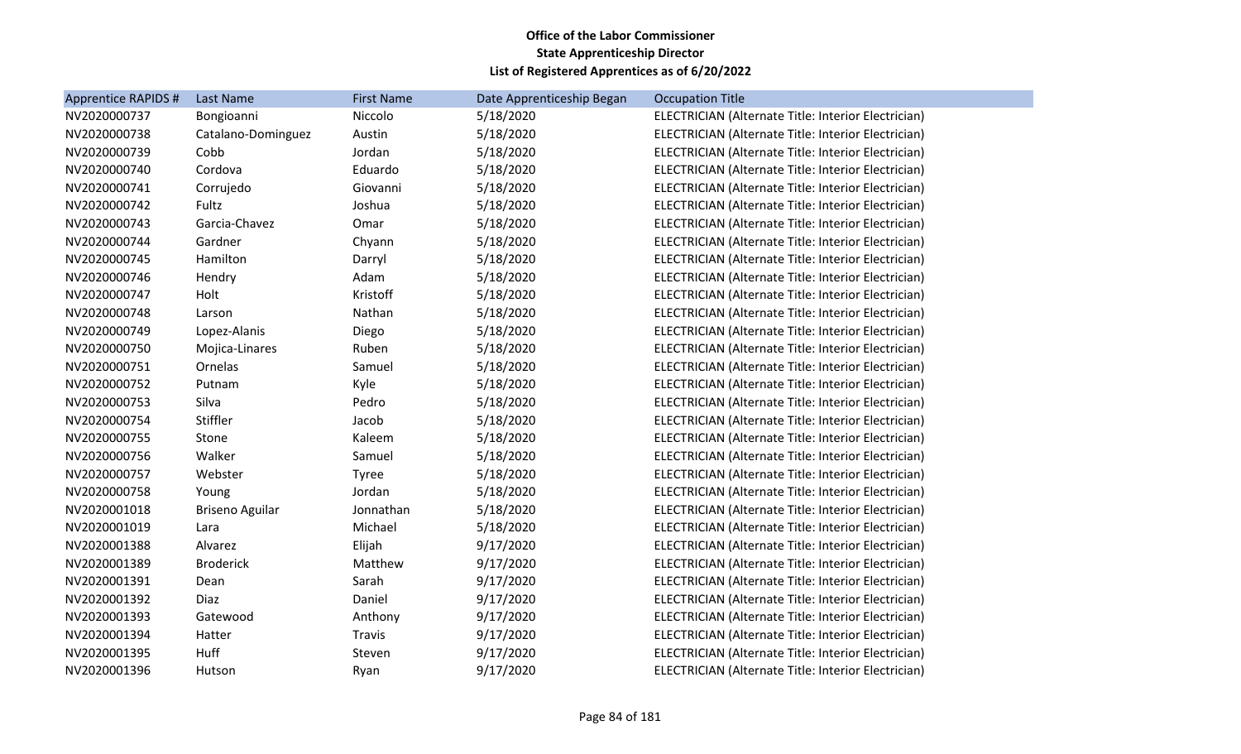| Apprentice RAPIDS # | Last Name              | <b>First Name</b> | Date Apprenticeship Began | <b>Occupation Title</b>                             |
|---------------------|------------------------|-------------------|---------------------------|-----------------------------------------------------|
| NV2020000737        | Bongioanni             | Niccolo           | 5/18/2020                 | ELECTRICIAN (Alternate Title: Interior Electrician) |
| NV2020000738        | Catalano-Dominguez     | Austin            | 5/18/2020                 | ELECTRICIAN (Alternate Title: Interior Electrician) |
| NV2020000739        | Cobb                   | Jordan            | 5/18/2020                 | ELECTRICIAN (Alternate Title: Interior Electrician) |
| NV2020000740        | Cordova                | Eduardo           | 5/18/2020                 | ELECTRICIAN (Alternate Title: Interior Electrician) |
| NV2020000741        | Corrujedo              | Giovanni          | 5/18/2020                 | ELECTRICIAN (Alternate Title: Interior Electrician) |
| NV2020000742        | Fultz                  | Joshua            | 5/18/2020                 | ELECTRICIAN (Alternate Title: Interior Electrician) |
| NV2020000743        | Garcia-Chavez          | Omar              | 5/18/2020                 | ELECTRICIAN (Alternate Title: Interior Electrician) |
| NV2020000744        | Gardner                | Chyann            | 5/18/2020                 | ELECTRICIAN (Alternate Title: Interior Electrician) |
| NV2020000745        | Hamilton               | Darryl            | 5/18/2020                 | ELECTRICIAN (Alternate Title: Interior Electrician) |
| NV2020000746        | Hendry                 | Adam              | 5/18/2020                 | ELECTRICIAN (Alternate Title: Interior Electrician) |
| NV2020000747        | Holt                   | Kristoff          | 5/18/2020                 | ELECTRICIAN (Alternate Title: Interior Electrician) |
| NV2020000748        | Larson                 | Nathan            | 5/18/2020                 | ELECTRICIAN (Alternate Title: Interior Electrician) |
| NV2020000749        | Lopez-Alanis           | Diego             | 5/18/2020                 | ELECTRICIAN (Alternate Title: Interior Electrician) |
| NV2020000750        | Mojica-Linares         | Ruben             | 5/18/2020                 | ELECTRICIAN (Alternate Title: Interior Electrician) |
| NV2020000751        | Ornelas                | Samuel            | 5/18/2020                 | ELECTRICIAN (Alternate Title: Interior Electrician) |
| NV2020000752        | Putnam                 | Kyle              | 5/18/2020                 | ELECTRICIAN (Alternate Title: Interior Electrician) |
| NV2020000753        | Silva                  | Pedro             | 5/18/2020                 | ELECTRICIAN (Alternate Title: Interior Electrician) |
| NV2020000754        | Stiffler               | Jacob             | 5/18/2020                 | ELECTRICIAN (Alternate Title: Interior Electrician) |
| NV2020000755        | Stone                  | Kaleem            | 5/18/2020                 | ELECTRICIAN (Alternate Title: Interior Electrician) |
| NV2020000756        | Walker                 | Samuel            | 5/18/2020                 | ELECTRICIAN (Alternate Title: Interior Electrician) |
| NV2020000757        | Webster                | Tyree             | 5/18/2020                 | ELECTRICIAN (Alternate Title: Interior Electrician) |
| NV2020000758        | Young                  | Jordan            | 5/18/2020                 | ELECTRICIAN (Alternate Title: Interior Electrician) |
| NV2020001018        | <b>Briseno Aguilar</b> | Jonnathan         | 5/18/2020                 | ELECTRICIAN (Alternate Title: Interior Electrician) |
| NV2020001019        | Lara                   | Michael           | 5/18/2020                 | ELECTRICIAN (Alternate Title: Interior Electrician) |
| NV2020001388        | Alvarez                | Elijah            | 9/17/2020                 | ELECTRICIAN (Alternate Title: Interior Electrician) |
| NV2020001389        | <b>Broderick</b>       | Matthew           | 9/17/2020                 | ELECTRICIAN (Alternate Title: Interior Electrician) |
| NV2020001391        | Dean                   | Sarah             | 9/17/2020                 | ELECTRICIAN (Alternate Title: Interior Electrician) |
| NV2020001392        | Diaz                   | Daniel            | 9/17/2020                 | ELECTRICIAN (Alternate Title: Interior Electrician) |
| NV2020001393        | Gatewood               | Anthony           | 9/17/2020                 | ELECTRICIAN (Alternate Title: Interior Electrician) |
| NV2020001394        | Hatter                 | Travis            | 9/17/2020                 | ELECTRICIAN (Alternate Title: Interior Electrician) |
| NV2020001395        | Huff                   | Steven            | 9/17/2020                 | ELECTRICIAN (Alternate Title: Interior Electrician) |
| NV2020001396        | Hutson                 | Ryan              | 9/17/2020                 | ELECTRICIAN (Alternate Title: Interior Electrician) |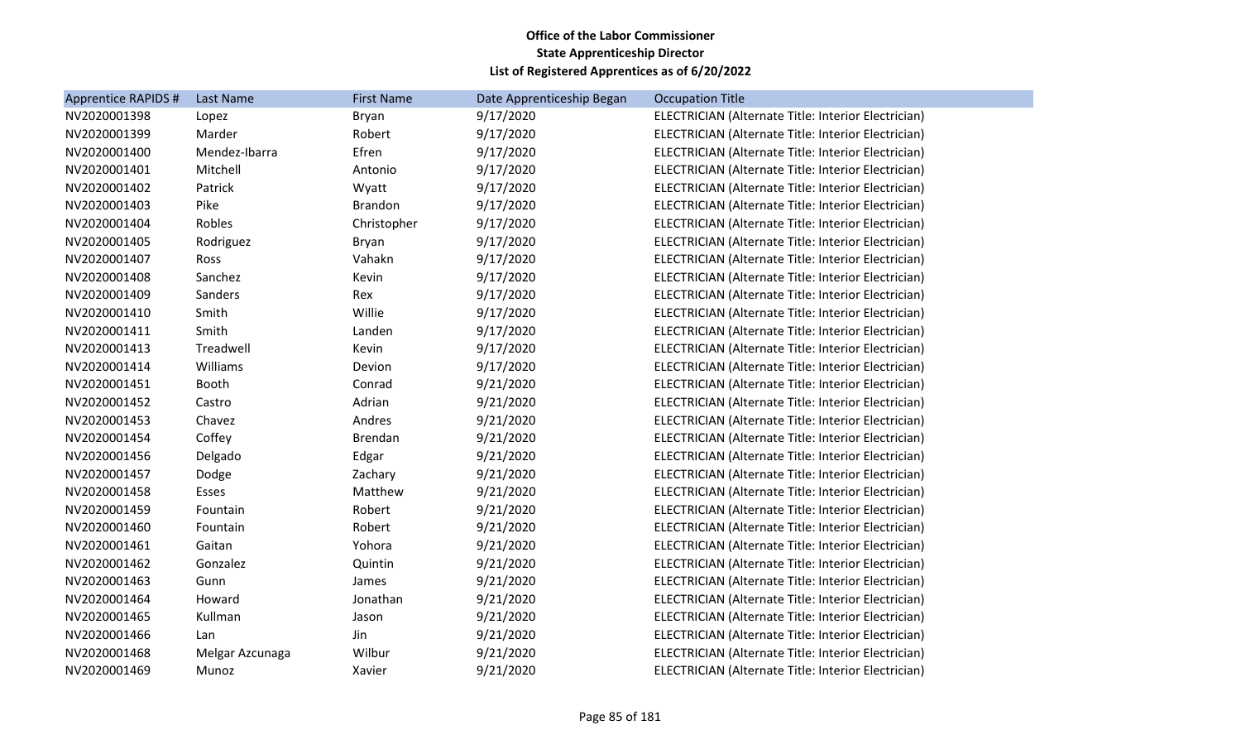| <b>Apprentice RAPIDS #</b> | Last Name       | <b>First Name</b> | Date Apprenticeship Began | <b>Occupation Title</b>                             |
|----------------------------|-----------------|-------------------|---------------------------|-----------------------------------------------------|
| NV2020001398               | Lopez           | Bryan             | 9/17/2020                 | ELECTRICIAN (Alternate Title: Interior Electrician) |
| NV2020001399               | Marder          | Robert            | 9/17/2020                 | ELECTRICIAN (Alternate Title: Interior Electrician) |
| NV2020001400               | Mendez-Ibarra   | Efren             | 9/17/2020                 | ELECTRICIAN (Alternate Title: Interior Electrician) |
| NV2020001401               | Mitchell        | Antonio           | 9/17/2020                 | ELECTRICIAN (Alternate Title: Interior Electrician) |
| NV2020001402               | Patrick         | Wyatt             | 9/17/2020                 | ELECTRICIAN (Alternate Title: Interior Electrician) |
| NV2020001403               | Pike            | Brandon           | 9/17/2020                 | ELECTRICIAN (Alternate Title: Interior Electrician) |
| NV2020001404               | Robles          | Christopher       | 9/17/2020                 | ELECTRICIAN (Alternate Title: Interior Electrician) |
| NV2020001405               | Rodriguez       | Bryan             | 9/17/2020                 | ELECTRICIAN (Alternate Title: Interior Electrician) |
| NV2020001407               | Ross            | Vahakn            | 9/17/2020                 | ELECTRICIAN (Alternate Title: Interior Electrician) |
| NV2020001408               | Sanchez         | Kevin             | 9/17/2020                 | ELECTRICIAN (Alternate Title: Interior Electrician) |
| NV2020001409               | Sanders         | Rex               | 9/17/2020                 | ELECTRICIAN (Alternate Title: Interior Electrician) |
| NV2020001410               | Smith           | Willie            | 9/17/2020                 | ELECTRICIAN (Alternate Title: Interior Electrician) |
| NV2020001411               | Smith           | Landen            | 9/17/2020                 | ELECTRICIAN (Alternate Title: Interior Electrician) |
| NV2020001413               | Treadwell       | Kevin             | 9/17/2020                 | ELECTRICIAN (Alternate Title: Interior Electrician) |
| NV2020001414               | Williams        | Devion            | 9/17/2020                 | ELECTRICIAN (Alternate Title: Interior Electrician) |
| NV2020001451               | Booth           | Conrad            | 9/21/2020                 | ELECTRICIAN (Alternate Title: Interior Electrician) |
| NV2020001452               | Castro          | Adrian            | 9/21/2020                 | ELECTRICIAN (Alternate Title: Interior Electrician) |
| NV2020001453               | Chavez          | Andres            | 9/21/2020                 | ELECTRICIAN (Alternate Title: Interior Electrician) |
| NV2020001454               | Coffey          | Brendan           | 9/21/2020                 | ELECTRICIAN (Alternate Title: Interior Electrician) |
| NV2020001456               | Delgado         | Edgar             | 9/21/2020                 | ELECTRICIAN (Alternate Title: Interior Electrician) |
| NV2020001457               | Dodge           | Zachary           | 9/21/2020                 | ELECTRICIAN (Alternate Title: Interior Electrician) |
| NV2020001458               | Esses           | Matthew           | 9/21/2020                 | ELECTRICIAN (Alternate Title: Interior Electrician) |
| NV2020001459               | Fountain        | Robert            | 9/21/2020                 | ELECTRICIAN (Alternate Title: Interior Electrician) |
| NV2020001460               | Fountain        | Robert            | 9/21/2020                 | ELECTRICIAN (Alternate Title: Interior Electrician) |
| NV2020001461               | Gaitan          | Yohora            | 9/21/2020                 | ELECTRICIAN (Alternate Title: Interior Electrician) |
| NV2020001462               | Gonzalez        | Quintin           | 9/21/2020                 | ELECTRICIAN (Alternate Title: Interior Electrician) |
| NV2020001463               | Gunn            | James             | 9/21/2020                 | ELECTRICIAN (Alternate Title: Interior Electrician) |
| NV2020001464               | Howard          | Jonathan          | 9/21/2020                 | ELECTRICIAN (Alternate Title: Interior Electrician) |
| NV2020001465               | Kullman         | Jason             | 9/21/2020                 | ELECTRICIAN (Alternate Title: Interior Electrician) |
| NV2020001466               | Lan             | Jin               | 9/21/2020                 | ELECTRICIAN (Alternate Title: Interior Electrician) |
| NV2020001468               | Melgar Azcunaga | Wilbur            | 9/21/2020                 | ELECTRICIAN (Alternate Title: Interior Electrician) |
| NV2020001469               | Munoz           | Xavier            | 9/21/2020                 | ELECTRICIAN (Alternate Title: Interior Electrician) |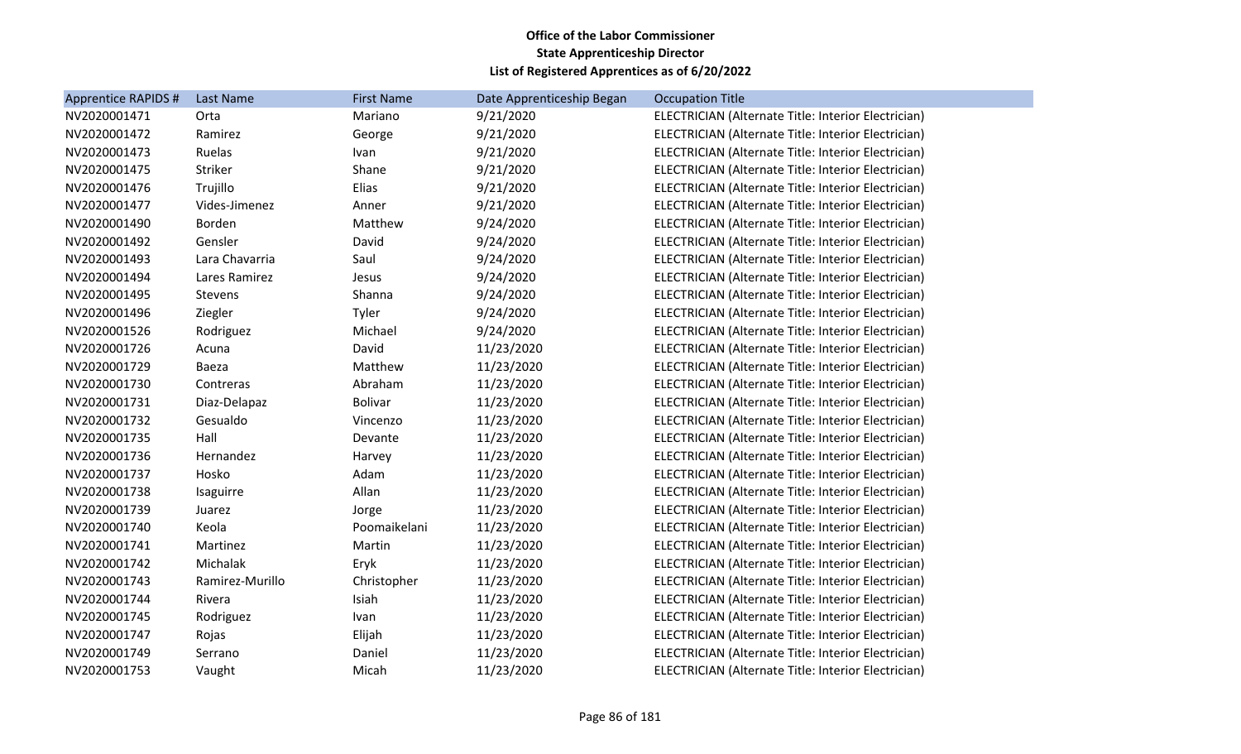| Apprentice RAPIDS # | Last Name       | <b>First Name</b> | Date Apprenticeship Began | <b>Occupation Title</b>                             |
|---------------------|-----------------|-------------------|---------------------------|-----------------------------------------------------|
| NV2020001471        | Orta            | Mariano           | 9/21/2020                 | ELECTRICIAN (Alternate Title: Interior Electrician) |
| NV2020001472        | Ramirez         | George            | 9/21/2020                 | ELECTRICIAN (Alternate Title: Interior Electrician) |
| NV2020001473        | Ruelas          | Ivan              | 9/21/2020                 | ELECTRICIAN (Alternate Title: Interior Electrician) |
| NV2020001475        | Striker         | Shane             | 9/21/2020                 | ELECTRICIAN (Alternate Title: Interior Electrician) |
| NV2020001476        | Trujillo        | Elias             | 9/21/2020                 | ELECTRICIAN (Alternate Title: Interior Electrician) |
| NV2020001477        | Vides-Jimenez   | Anner             | 9/21/2020                 | ELECTRICIAN (Alternate Title: Interior Electrician) |
| NV2020001490        | Borden          | Matthew           | 9/24/2020                 | ELECTRICIAN (Alternate Title: Interior Electrician) |
| NV2020001492        | Gensler         | David             | 9/24/2020                 | ELECTRICIAN (Alternate Title: Interior Electrician) |
| NV2020001493        | Lara Chavarria  | Saul              | 9/24/2020                 | ELECTRICIAN (Alternate Title: Interior Electrician) |
| NV2020001494        | Lares Ramirez   | Jesus             | 9/24/2020                 | ELECTRICIAN (Alternate Title: Interior Electrician) |
| NV2020001495        | Stevens         | Shanna            | 9/24/2020                 | ELECTRICIAN (Alternate Title: Interior Electrician) |
| NV2020001496        | Ziegler         | Tyler             | 9/24/2020                 | ELECTRICIAN (Alternate Title: Interior Electrician) |
| NV2020001526        | Rodriguez       | Michael           | 9/24/2020                 | ELECTRICIAN (Alternate Title: Interior Electrician) |
| NV2020001726        | Acuna           | David             | 11/23/2020                | ELECTRICIAN (Alternate Title: Interior Electrician) |
| NV2020001729        | Baeza           | Matthew           | 11/23/2020                | ELECTRICIAN (Alternate Title: Interior Electrician) |
| NV2020001730        | Contreras       | Abraham           | 11/23/2020                | ELECTRICIAN (Alternate Title: Interior Electrician) |
| NV2020001731        | Diaz-Delapaz    | <b>Bolivar</b>    | 11/23/2020                | ELECTRICIAN (Alternate Title: Interior Electrician) |
| NV2020001732        | Gesualdo        | Vincenzo          | 11/23/2020                | ELECTRICIAN (Alternate Title: Interior Electrician) |
| NV2020001735        | Hall            | Devante           | 11/23/2020                | ELECTRICIAN (Alternate Title: Interior Electrician) |
| NV2020001736        | Hernandez       | Harvey            | 11/23/2020                | ELECTRICIAN (Alternate Title: Interior Electrician) |
| NV2020001737        | Hosko           | Adam              | 11/23/2020                | ELECTRICIAN (Alternate Title: Interior Electrician) |
| NV2020001738        | Isaguirre       | Allan             | 11/23/2020                | ELECTRICIAN (Alternate Title: Interior Electrician) |
| NV2020001739        | Juarez          | Jorge             | 11/23/2020                | ELECTRICIAN (Alternate Title: Interior Electrician) |
| NV2020001740        | Keola           | Poomaikelani      | 11/23/2020                | ELECTRICIAN (Alternate Title: Interior Electrician) |
| NV2020001741        | Martinez        | Martin            | 11/23/2020                | ELECTRICIAN (Alternate Title: Interior Electrician) |
| NV2020001742        | Michalak        | Eryk              | 11/23/2020                | ELECTRICIAN (Alternate Title: Interior Electrician) |
| NV2020001743        | Ramirez-Murillo | Christopher       | 11/23/2020                | ELECTRICIAN (Alternate Title: Interior Electrician) |
| NV2020001744        | Rivera          | Isiah             | 11/23/2020                | ELECTRICIAN (Alternate Title: Interior Electrician) |
| NV2020001745        | Rodriguez       | Ivan              | 11/23/2020                | ELECTRICIAN (Alternate Title: Interior Electrician) |
| NV2020001747        | Rojas           | Elijah            | 11/23/2020                | ELECTRICIAN (Alternate Title: Interior Electrician) |
| NV2020001749        | Serrano         | Daniel            | 11/23/2020                | ELECTRICIAN (Alternate Title: Interior Electrician) |
| NV2020001753        | Vaught          | Micah             | 11/23/2020                | ELECTRICIAN (Alternate Title: Interior Electrician) |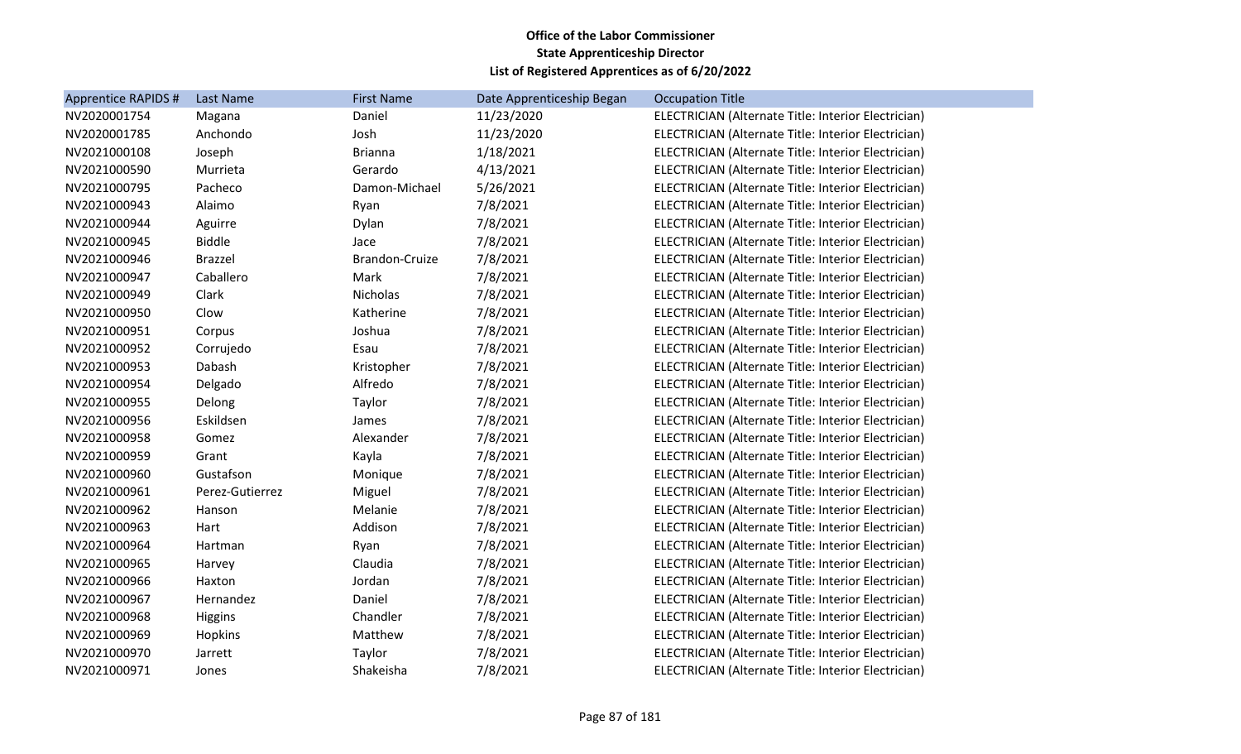| <b>Apprentice RAPIDS #</b> | Last Name       | <b>First Name</b> | Date Apprenticeship Began | <b>Occupation Title</b>                             |
|----------------------------|-----------------|-------------------|---------------------------|-----------------------------------------------------|
| NV2020001754               | Magana          | Daniel            | 11/23/2020                | ELECTRICIAN (Alternate Title: Interior Electrician) |
| NV2020001785               | Anchondo        | Josh              | 11/23/2020                | ELECTRICIAN (Alternate Title: Interior Electrician) |
| NV2021000108               | Joseph          | <b>Brianna</b>    | 1/18/2021                 | ELECTRICIAN (Alternate Title: Interior Electrician) |
| NV2021000590               | Murrieta        | Gerardo           | 4/13/2021                 | ELECTRICIAN (Alternate Title: Interior Electrician) |
| NV2021000795               | Pacheco         | Damon-Michael     | 5/26/2021                 | ELECTRICIAN (Alternate Title: Interior Electrician) |
| NV2021000943               | Alaimo          | Ryan              | 7/8/2021                  | ELECTRICIAN (Alternate Title: Interior Electrician) |
| NV2021000944               | Aguirre         | Dylan             | 7/8/2021                  | ELECTRICIAN (Alternate Title: Interior Electrician) |
| NV2021000945               | <b>Biddle</b>   | Jace              | 7/8/2021                  | ELECTRICIAN (Alternate Title: Interior Electrician) |
| NV2021000946               | <b>Brazzel</b>  | Brandon-Cruize    | 7/8/2021                  | ELECTRICIAN (Alternate Title: Interior Electrician) |
| NV2021000947               | Caballero       | Mark              | 7/8/2021                  | ELECTRICIAN (Alternate Title: Interior Electrician) |
| NV2021000949               | Clark           | Nicholas          | 7/8/2021                  | ELECTRICIAN (Alternate Title: Interior Electrician) |
| NV2021000950               | Clow            | Katherine         | 7/8/2021                  | ELECTRICIAN (Alternate Title: Interior Electrician) |
| NV2021000951               | Corpus          | Joshua            | 7/8/2021                  | ELECTRICIAN (Alternate Title: Interior Electrician) |
| NV2021000952               | Corrujedo       | Esau              | 7/8/2021                  | ELECTRICIAN (Alternate Title: Interior Electrician) |
| NV2021000953               | Dabash          | Kristopher        | 7/8/2021                  | ELECTRICIAN (Alternate Title: Interior Electrician) |
| NV2021000954               | Delgado         | Alfredo           | 7/8/2021                  | ELECTRICIAN (Alternate Title: Interior Electrician) |
| NV2021000955               | Delong          | Taylor            | 7/8/2021                  | ELECTRICIAN (Alternate Title: Interior Electrician) |
| NV2021000956               | Eskildsen       | James             | 7/8/2021                  | ELECTRICIAN (Alternate Title: Interior Electrician) |
| NV2021000958               | Gomez           | Alexander         | 7/8/2021                  | ELECTRICIAN (Alternate Title: Interior Electrician) |
| NV2021000959               | Grant           | Kayla             | 7/8/2021                  | ELECTRICIAN (Alternate Title: Interior Electrician) |
| NV2021000960               | Gustafson       | Monique           | 7/8/2021                  | ELECTRICIAN (Alternate Title: Interior Electrician) |
| NV2021000961               | Perez-Gutierrez | Miguel            | 7/8/2021                  | ELECTRICIAN (Alternate Title: Interior Electrician) |
| NV2021000962               | Hanson          | Melanie           | 7/8/2021                  | ELECTRICIAN (Alternate Title: Interior Electrician) |
| NV2021000963               | Hart            | Addison           | 7/8/2021                  | ELECTRICIAN (Alternate Title: Interior Electrician) |
| NV2021000964               | Hartman         | Ryan              | 7/8/2021                  | ELECTRICIAN (Alternate Title: Interior Electrician) |
| NV2021000965               | Harvey          | Claudia           | 7/8/2021                  | ELECTRICIAN (Alternate Title: Interior Electrician) |
| NV2021000966               | Haxton          | Jordan            | 7/8/2021                  | ELECTRICIAN (Alternate Title: Interior Electrician) |
| NV2021000967               | Hernandez       | Daniel            | 7/8/2021                  | ELECTRICIAN (Alternate Title: Interior Electrician) |
| NV2021000968               | <b>Higgins</b>  | Chandler          | 7/8/2021                  | ELECTRICIAN (Alternate Title: Interior Electrician) |
| NV2021000969               | Hopkins         | Matthew           | 7/8/2021                  | ELECTRICIAN (Alternate Title: Interior Electrician) |
| NV2021000970               | Jarrett         | Taylor            | 7/8/2021                  | ELECTRICIAN (Alternate Title: Interior Electrician) |
| NV2021000971               | Jones           | Shakeisha         | 7/8/2021                  | ELECTRICIAN (Alternate Title: Interior Electrician) |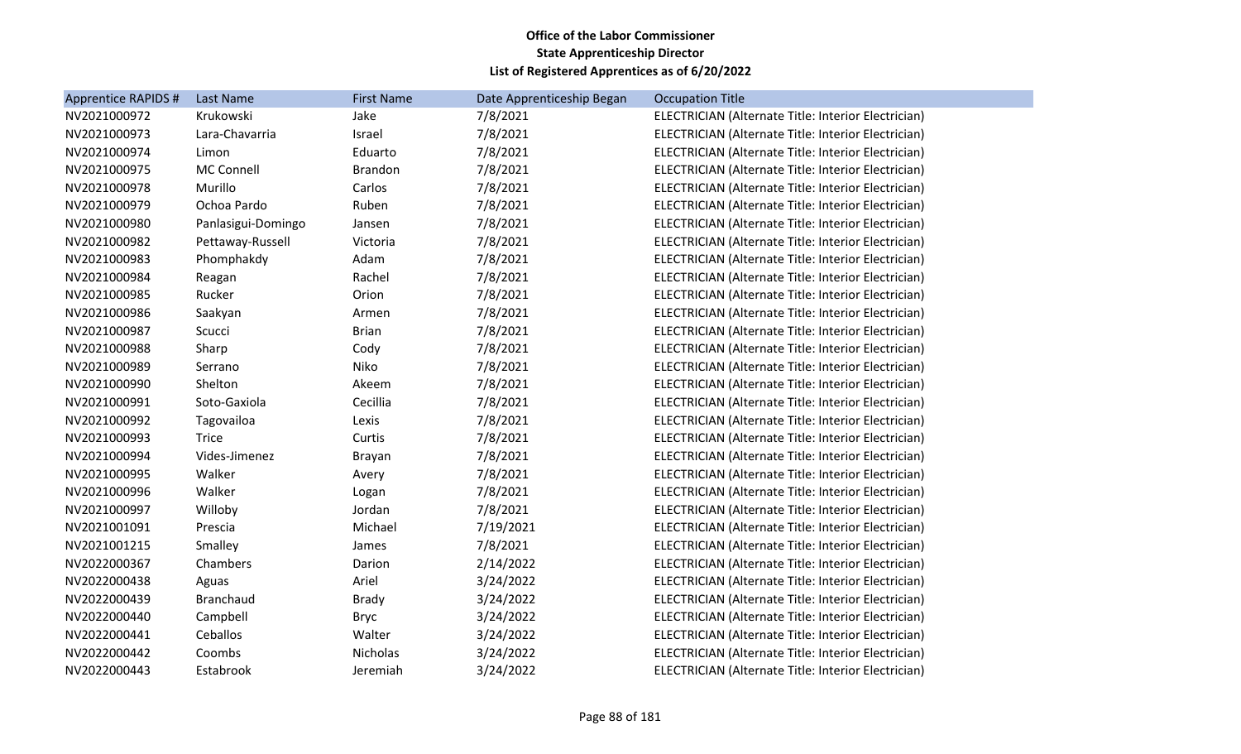| <b>Apprentice RAPIDS #</b> | Last Name          | <b>First Name</b> | Date Apprenticeship Began | <b>Occupation Title</b>                             |
|----------------------------|--------------------|-------------------|---------------------------|-----------------------------------------------------|
| NV2021000972               | Krukowski          | Jake              | 7/8/2021                  | ELECTRICIAN (Alternate Title: Interior Electrician) |
| NV2021000973               | Lara-Chavarria     | Israel            | 7/8/2021                  | ELECTRICIAN (Alternate Title: Interior Electrician) |
| NV2021000974               | Limon              | Eduarto           | 7/8/2021                  | ELECTRICIAN (Alternate Title: Interior Electrician) |
| NV2021000975               | <b>MC Connell</b>  | <b>Brandon</b>    | 7/8/2021                  | ELECTRICIAN (Alternate Title: Interior Electrician) |
| NV2021000978               | Murillo            | Carlos            | 7/8/2021                  | ELECTRICIAN (Alternate Title: Interior Electrician) |
| NV2021000979               | Ochoa Pardo        | Ruben             | 7/8/2021                  | ELECTRICIAN (Alternate Title: Interior Electrician) |
| NV2021000980               | Panlasigui-Domingo | Jansen            | 7/8/2021                  | ELECTRICIAN (Alternate Title: Interior Electrician) |
| NV2021000982               | Pettaway-Russell   | Victoria          | 7/8/2021                  | ELECTRICIAN (Alternate Title: Interior Electrician) |
| NV2021000983               | Phomphakdy         | Adam              | 7/8/2021                  | ELECTRICIAN (Alternate Title: Interior Electrician) |
| NV2021000984               | Reagan             | Rachel            | 7/8/2021                  | ELECTRICIAN (Alternate Title: Interior Electrician) |
| NV2021000985               | Rucker             | Orion             | 7/8/2021                  | ELECTRICIAN (Alternate Title: Interior Electrician) |
| NV2021000986               | Saakyan            | Armen             | 7/8/2021                  | ELECTRICIAN (Alternate Title: Interior Electrician) |
| NV2021000987               | Scucci             | <b>Brian</b>      | 7/8/2021                  | ELECTRICIAN (Alternate Title: Interior Electrician) |
| NV2021000988               | Sharp              | Cody              | 7/8/2021                  | ELECTRICIAN (Alternate Title: Interior Electrician) |
| NV2021000989               | Serrano            | Niko              | 7/8/2021                  | ELECTRICIAN (Alternate Title: Interior Electrician) |
| NV2021000990               | Shelton            | Akeem             | 7/8/2021                  | ELECTRICIAN (Alternate Title: Interior Electrician) |
| NV2021000991               | Soto-Gaxiola       | Cecillia          | 7/8/2021                  | ELECTRICIAN (Alternate Title: Interior Electrician) |
| NV2021000992               | Tagovailoa         | Lexis             | 7/8/2021                  | ELECTRICIAN (Alternate Title: Interior Electrician) |
| NV2021000993               | <b>Trice</b>       | Curtis            | 7/8/2021                  | ELECTRICIAN (Alternate Title: Interior Electrician) |
| NV2021000994               | Vides-Jimenez      | <b>Brayan</b>     | 7/8/2021                  | ELECTRICIAN (Alternate Title: Interior Electrician) |
| NV2021000995               | Walker             | Avery             | 7/8/2021                  | ELECTRICIAN (Alternate Title: Interior Electrician) |
| NV2021000996               | Walker             | Logan             | 7/8/2021                  | ELECTRICIAN (Alternate Title: Interior Electrician) |
| NV2021000997               | Willoby            | Jordan            | 7/8/2021                  | ELECTRICIAN (Alternate Title: Interior Electrician) |
| NV2021001091               | Prescia            | Michael           | 7/19/2021                 | ELECTRICIAN (Alternate Title: Interior Electrician) |
| NV2021001215               | Smalley            | James             | 7/8/2021                  | ELECTRICIAN (Alternate Title: Interior Electrician) |
| NV2022000367               | Chambers           | Darion            | 2/14/2022                 | ELECTRICIAN (Alternate Title: Interior Electrician) |
| NV2022000438               | Aguas              | Ariel             | 3/24/2022                 | ELECTRICIAN (Alternate Title: Interior Electrician) |
| NV2022000439               | Branchaud          | <b>Brady</b>      | 3/24/2022                 | ELECTRICIAN (Alternate Title: Interior Electrician) |
| NV2022000440               | Campbell           | <b>Bryc</b>       | 3/24/2022                 | ELECTRICIAN (Alternate Title: Interior Electrician) |
| NV2022000441               | Ceballos           | Walter            | 3/24/2022                 | ELECTRICIAN (Alternate Title: Interior Electrician) |
| NV2022000442               | Coombs             | Nicholas          | 3/24/2022                 | ELECTRICIAN (Alternate Title: Interior Electrician) |
| NV2022000443               | Estabrook          | Jeremiah          | 3/24/2022                 | ELECTRICIAN (Alternate Title: Interior Electrician) |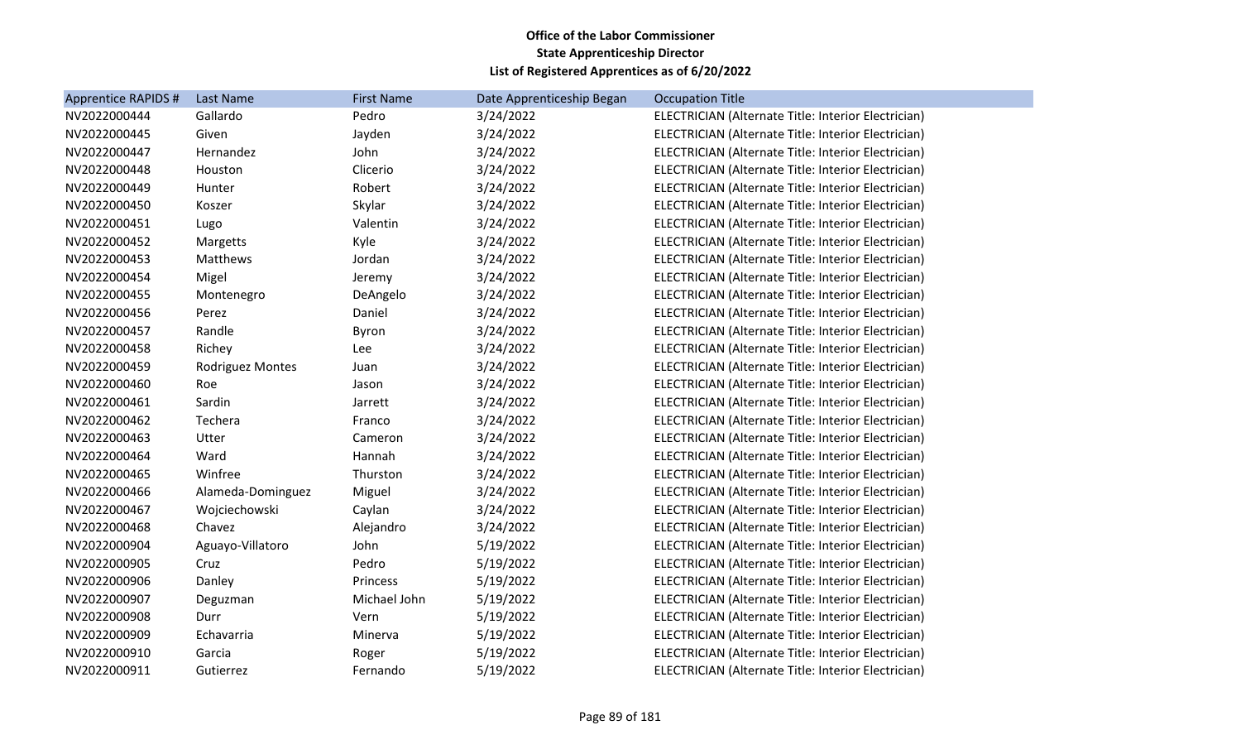| <b>Apprentice RAPIDS #</b> | Last Name               | <b>First Name</b> | Date Apprenticeship Began | <b>Occupation Title</b>                             |
|----------------------------|-------------------------|-------------------|---------------------------|-----------------------------------------------------|
| NV2022000444               | Gallardo                | Pedro             | 3/24/2022                 | ELECTRICIAN (Alternate Title: Interior Electrician) |
| NV2022000445               | Given                   | Jayden            | 3/24/2022                 | ELECTRICIAN (Alternate Title: Interior Electrician) |
| NV2022000447               | Hernandez               | John              | 3/24/2022                 | ELECTRICIAN (Alternate Title: Interior Electrician) |
| NV2022000448               | Houston                 | Clicerio          | 3/24/2022                 | ELECTRICIAN (Alternate Title: Interior Electrician) |
| NV2022000449               | Hunter                  | Robert            | 3/24/2022                 | ELECTRICIAN (Alternate Title: Interior Electrician) |
| NV2022000450               | Koszer                  | Skylar            | 3/24/2022                 | ELECTRICIAN (Alternate Title: Interior Electrician) |
| NV2022000451               | Lugo                    | Valentin          | 3/24/2022                 | ELECTRICIAN (Alternate Title: Interior Electrician) |
| NV2022000452               | Margetts                | Kyle              | 3/24/2022                 | ELECTRICIAN (Alternate Title: Interior Electrician) |
| NV2022000453               | Matthews                | Jordan            | 3/24/2022                 | ELECTRICIAN (Alternate Title: Interior Electrician) |
| NV2022000454               | Migel                   | Jeremy            | 3/24/2022                 | ELECTRICIAN (Alternate Title: Interior Electrician) |
| NV2022000455               | Montenegro              | DeAngelo          | 3/24/2022                 | ELECTRICIAN (Alternate Title: Interior Electrician) |
| NV2022000456               | Perez                   | Daniel            | 3/24/2022                 | ELECTRICIAN (Alternate Title: Interior Electrician) |
| NV2022000457               | Randle                  | Byron             | 3/24/2022                 | ELECTRICIAN (Alternate Title: Interior Electrician) |
| NV2022000458               | Richey                  | Lee               | 3/24/2022                 | ELECTRICIAN (Alternate Title: Interior Electrician) |
| NV2022000459               | <b>Rodriguez Montes</b> | Juan              | 3/24/2022                 | ELECTRICIAN (Alternate Title: Interior Electrician) |
| NV2022000460               | Roe                     | Jason             | 3/24/2022                 | ELECTRICIAN (Alternate Title: Interior Electrician) |
| NV2022000461               | Sardin                  | Jarrett           | 3/24/2022                 | ELECTRICIAN (Alternate Title: Interior Electrician) |
| NV2022000462               | Techera                 | Franco            | 3/24/2022                 | ELECTRICIAN (Alternate Title: Interior Electrician) |
| NV2022000463               | Utter                   | Cameron           | 3/24/2022                 | ELECTRICIAN (Alternate Title: Interior Electrician) |
| NV2022000464               | Ward                    | Hannah            | 3/24/2022                 | ELECTRICIAN (Alternate Title: Interior Electrician) |
| NV2022000465               | Winfree                 | Thurston          | 3/24/2022                 | ELECTRICIAN (Alternate Title: Interior Electrician) |
| NV2022000466               | Alameda-Dominguez       | Miguel            | 3/24/2022                 | ELECTRICIAN (Alternate Title: Interior Electrician) |
| NV2022000467               | Wojciechowski           | Caylan            | 3/24/2022                 | ELECTRICIAN (Alternate Title: Interior Electrician) |
| NV2022000468               | Chavez                  | Alejandro         | 3/24/2022                 | ELECTRICIAN (Alternate Title: Interior Electrician) |
| NV2022000904               | Aguayo-Villatoro        | John              | 5/19/2022                 | ELECTRICIAN (Alternate Title: Interior Electrician) |
| NV2022000905               | Cruz                    | Pedro             | 5/19/2022                 | ELECTRICIAN (Alternate Title: Interior Electrician) |
| NV2022000906               | Danley                  | Princess          | 5/19/2022                 | ELECTRICIAN (Alternate Title: Interior Electrician) |
| NV2022000907               | Deguzman                | Michael John      | 5/19/2022                 | ELECTRICIAN (Alternate Title: Interior Electrician) |
| NV2022000908               | Durr                    | Vern              | 5/19/2022                 | ELECTRICIAN (Alternate Title: Interior Electrician) |
| NV2022000909               | Echavarria              | Minerva           | 5/19/2022                 | ELECTRICIAN (Alternate Title: Interior Electrician) |
| NV2022000910               | Garcia                  | Roger             | 5/19/2022                 | ELECTRICIAN (Alternate Title: Interior Electrician) |
| NV2022000911               | Gutierrez               | Fernando          | 5/19/2022                 | ELECTRICIAN (Alternate Title: Interior Electrician) |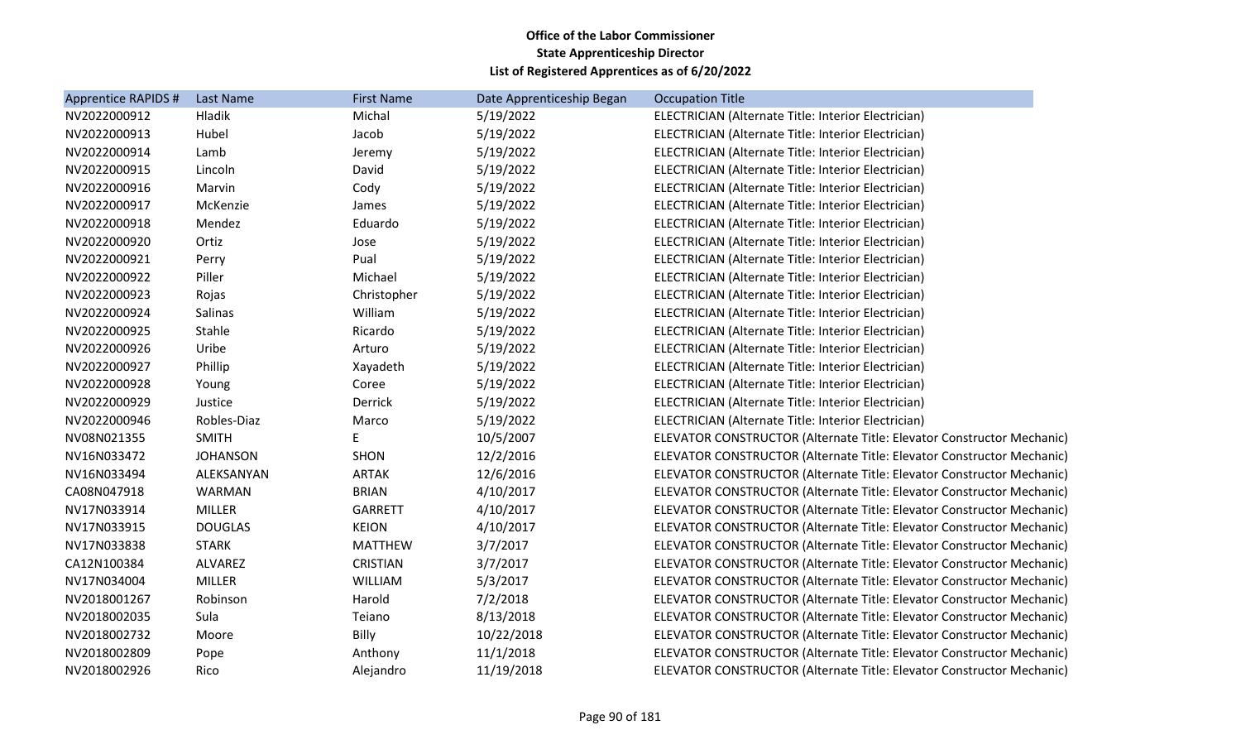| <b>Apprentice RAPIDS #</b> | <b>Last Name</b> | <b>First Name</b> | Date Apprenticeship Began | <b>Occupation Title</b>                                               |
|----------------------------|------------------|-------------------|---------------------------|-----------------------------------------------------------------------|
| NV2022000912               | Hladik           | Michal            | 5/19/2022                 | ELECTRICIAN (Alternate Title: Interior Electrician)                   |
| NV2022000913               | Hubel            | Jacob             | 5/19/2022                 | ELECTRICIAN (Alternate Title: Interior Electrician)                   |
| NV2022000914               | Lamb             | Jeremy            | 5/19/2022                 | ELECTRICIAN (Alternate Title: Interior Electrician)                   |
| NV2022000915               | Lincoln          | David             | 5/19/2022                 | ELECTRICIAN (Alternate Title: Interior Electrician)                   |
| NV2022000916               | Marvin           | Cody              | 5/19/2022                 | ELECTRICIAN (Alternate Title: Interior Electrician)                   |
| NV2022000917               | McKenzie         | James             | 5/19/2022                 | ELECTRICIAN (Alternate Title: Interior Electrician)                   |
| NV2022000918               | Mendez           | Eduardo           | 5/19/2022                 | ELECTRICIAN (Alternate Title: Interior Electrician)                   |
| NV2022000920               | Ortiz            | Jose              | 5/19/2022                 | ELECTRICIAN (Alternate Title: Interior Electrician)                   |
| NV2022000921               | Perry            | Pual              | 5/19/2022                 | ELECTRICIAN (Alternate Title: Interior Electrician)                   |
| NV2022000922               | Piller           | Michael           | 5/19/2022                 | ELECTRICIAN (Alternate Title: Interior Electrician)                   |
| NV2022000923               | Rojas            | Christopher       | 5/19/2022                 | ELECTRICIAN (Alternate Title: Interior Electrician)                   |
| NV2022000924               | Salinas          | William           | 5/19/2022                 | ELECTRICIAN (Alternate Title: Interior Electrician)                   |
| NV2022000925               | Stahle           | Ricardo           | 5/19/2022                 | ELECTRICIAN (Alternate Title: Interior Electrician)                   |
| NV2022000926               | Uribe            | Arturo            | 5/19/2022                 | ELECTRICIAN (Alternate Title: Interior Electrician)                   |
| NV2022000927               | Phillip          | Xayadeth          | 5/19/2022                 | ELECTRICIAN (Alternate Title: Interior Electrician)                   |
| NV2022000928               | Young            | Coree             | 5/19/2022                 | ELECTRICIAN (Alternate Title: Interior Electrician)                   |
| NV2022000929               | Justice          | Derrick           | 5/19/2022                 | ELECTRICIAN (Alternate Title: Interior Electrician)                   |
| NV2022000946               | Robles-Diaz      | Marco             | 5/19/2022                 | ELECTRICIAN (Alternate Title: Interior Electrician)                   |
| NV08N021355                | <b>SMITH</b>     | E                 | 10/5/2007                 | ELEVATOR CONSTRUCTOR (Alternate Title: Elevator Constructor Mechanic) |
| NV16N033472                | <b>JOHANSON</b>  | <b>SHON</b>       | 12/2/2016                 | ELEVATOR CONSTRUCTOR (Alternate Title: Elevator Constructor Mechanic) |
| NV16N033494                | ALEKSANYAN       | <b>ARTAK</b>      | 12/6/2016                 | ELEVATOR CONSTRUCTOR (Alternate Title: Elevator Constructor Mechanic) |
| CA08N047918                | WARMAN           | <b>BRIAN</b>      | 4/10/2017                 | ELEVATOR CONSTRUCTOR (Alternate Title: Elevator Constructor Mechanic) |
| NV17N033914                | <b>MILLER</b>    | <b>GARRETT</b>    | 4/10/2017                 | ELEVATOR CONSTRUCTOR (Alternate Title: Elevator Constructor Mechanic) |
| NV17N033915                | <b>DOUGLAS</b>   | <b>KEION</b>      | 4/10/2017                 | ELEVATOR CONSTRUCTOR (Alternate Title: Elevator Constructor Mechanic) |
| NV17N033838                | <b>STARK</b>     | <b>MATTHEW</b>    | 3/7/2017                  | ELEVATOR CONSTRUCTOR (Alternate Title: Elevator Constructor Mechanic) |
| CA12N100384                | ALVAREZ          | <b>CRISTIAN</b>   | 3/7/2017                  | ELEVATOR CONSTRUCTOR (Alternate Title: Elevator Constructor Mechanic) |
| NV17N034004                | <b>MILLER</b>    | WILLIAM           | 5/3/2017                  | ELEVATOR CONSTRUCTOR (Alternate Title: Elevator Constructor Mechanic) |
| NV2018001267               | Robinson         | Harold            | 7/2/2018                  | ELEVATOR CONSTRUCTOR (Alternate Title: Elevator Constructor Mechanic) |
| NV2018002035               | Sula             | Teiano            | 8/13/2018                 | ELEVATOR CONSTRUCTOR (Alternate Title: Elevator Constructor Mechanic) |
| NV2018002732               | Moore            | <b>Billy</b>      | 10/22/2018                | ELEVATOR CONSTRUCTOR (Alternate Title: Elevator Constructor Mechanic) |
| NV2018002809               | Pope             | Anthony           | 11/1/2018                 | ELEVATOR CONSTRUCTOR (Alternate Title: Elevator Constructor Mechanic) |
| NV2018002926               | Rico             | Alejandro         | 11/19/2018                | ELEVATOR CONSTRUCTOR (Alternate Title: Elevator Constructor Mechanic) |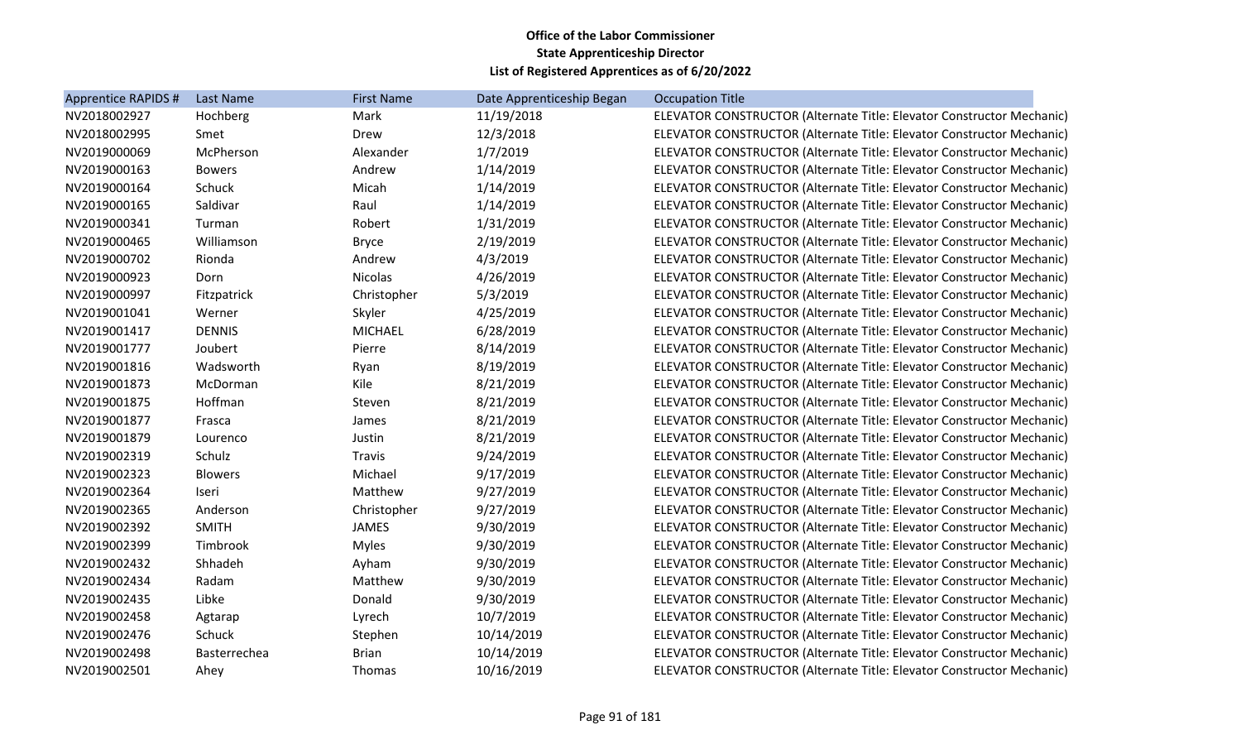| Apprentice RAPIDS # | Last Name      | <b>First Name</b> | Date Apprenticeship Began | <b>Occupation Title</b>                                               |
|---------------------|----------------|-------------------|---------------------------|-----------------------------------------------------------------------|
| NV2018002927        | Hochberg       | Mark              | 11/19/2018                | ELEVATOR CONSTRUCTOR (Alternate Title: Elevator Constructor Mechanic) |
| NV2018002995        | Smet           | Drew              | 12/3/2018                 | ELEVATOR CONSTRUCTOR (Alternate Title: Elevator Constructor Mechanic) |
| NV2019000069        | McPherson      | Alexander         | 1/7/2019                  | ELEVATOR CONSTRUCTOR (Alternate Title: Elevator Constructor Mechanic) |
| NV2019000163        | <b>Bowers</b>  | Andrew            | 1/14/2019                 | ELEVATOR CONSTRUCTOR (Alternate Title: Elevator Constructor Mechanic) |
| NV2019000164        | Schuck         | Micah             | 1/14/2019                 | ELEVATOR CONSTRUCTOR (Alternate Title: Elevator Constructor Mechanic) |
| NV2019000165        | Saldivar       | Raul              | 1/14/2019                 | ELEVATOR CONSTRUCTOR (Alternate Title: Elevator Constructor Mechanic) |
| NV2019000341        | Turman         | Robert            | 1/31/2019                 | ELEVATOR CONSTRUCTOR (Alternate Title: Elevator Constructor Mechanic) |
| NV2019000465        | Williamson     | <b>Bryce</b>      | 2/19/2019                 | ELEVATOR CONSTRUCTOR (Alternate Title: Elevator Constructor Mechanic) |
| NV2019000702        | Rionda         | Andrew            | 4/3/2019                  | ELEVATOR CONSTRUCTOR (Alternate Title: Elevator Constructor Mechanic) |
| NV2019000923        | Dorn           | <b>Nicolas</b>    | 4/26/2019                 | ELEVATOR CONSTRUCTOR (Alternate Title: Elevator Constructor Mechanic) |
| NV2019000997        | Fitzpatrick    | Christopher       | 5/3/2019                  | ELEVATOR CONSTRUCTOR (Alternate Title: Elevator Constructor Mechanic) |
| NV2019001041        | Werner         | Skyler            | 4/25/2019                 | ELEVATOR CONSTRUCTOR (Alternate Title: Elevator Constructor Mechanic) |
| NV2019001417        | <b>DENNIS</b>  | <b>MICHAEL</b>    | 6/28/2019                 | ELEVATOR CONSTRUCTOR (Alternate Title: Elevator Constructor Mechanic) |
| NV2019001777        | Joubert        | Pierre            | 8/14/2019                 | ELEVATOR CONSTRUCTOR (Alternate Title: Elevator Constructor Mechanic) |
| NV2019001816        | Wadsworth      | Ryan              | 8/19/2019                 | ELEVATOR CONSTRUCTOR (Alternate Title: Elevator Constructor Mechanic) |
| NV2019001873        | McDorman       | Kile              | 8/21/2019                 | ELEVATOR CONSTRUCTOR (Alternate Title: Elevator Constructor Mechanic) |
| NV2019001875        | Hoffman        | Steven            | 8/21/2019                 | ELEVATOR CONSTRUCTOR (Alternate Title: Elevator Constructor Mechanic) |
| NV2019001877        | Frasca         | James             | 8/21/2019                 | ELEVATOR CONSTRUCTOR (Alternate Title: Elevator Constructor Mechanic) |
| NV2019001879        | Lourenco       | Justin            | 8/21/2019                 | ELEVATOR CONSTRUCTOR (Alternate Title: Elevator Constructor Mechanic) |
| NV2019002319        | Schulz         | Travis            | 9/24/2019                 | ELEVATOR CONSTRUCTOR (Alternate Title: Elevator Constructor Mechanic) |
| NV2019002323        | <b>Blowers</b> | Michael           | 9/17/2019                 | ELEVATOR CONSTRUCTOR (Alternate Title: Elevator Constructor Mechanic) |
| NV2019002364        | Iseri          | Matthew           | 9/27/2019                 | ELEVATOR CONSTRUCTOR (Alternate Title: Elevator Constructor Mechanic) |
| NV2019002365        | Anderson       | Christopher       | 9/27/2019                 | ELEVATOR CONSTRUCTOR (Alternate Title: Elevator Constructor Mechanic) |
| NV2019002392        | <b>SMITH</b>   | <b>JAMES</b>      | 9/30/2019                 | ELEVATOR CONSTRUCTOR (Alternate Title: Elevator Constructor Mechanic) |
| NV2019002399        | Timbrook       | <b>Myles</b>      | 9/30/2019                 | ELEVATOR CONSTRUCTOR (Alternate Title: Elevator Constructor Mechanic) |
| NV2019002432        | Shhadeh        | Ayham             | 9/30/2019                 | ELEVATOR CONSTRUCTOR (Alternate Title: Elevator Constructor Mechanic) |
| NV2019002434        | Radam          | Matthew           | 9/30/2019                 | ELEVATOR CONSTRUCTOR (Alternate Title: Elevator Constructor Mechanic) |
| NV2019002435        | Libke          | Donald            | 9/30/2019                 | ELEVATOR CONSTRUCTOR (Alternate Title: Elevator Constructor Mechanic) |
| NV2019002458        | Agtarap        | Lyrech            | 10/7/2019                 | ELEVATOR CONSTRUCTOR (Alternate Title: Elevator Constructor Mechanic) |
| NV2019002476        | Schuck         | Stephen           | 10/14/2019                | ELEVATOR CONSTRUCTOR (Alternate Title: Elevator Constructor Mechanic) |
| NV2019002498        | Basterrechea   | <b>Brian</b>      | 10/14/2019                | ELEVATOR CONSTRUCTOR (Alternate Title: Elevator Constructor Mechanic) |
| NV2019002501        | Ahey           | <b>Thomas</b>     | 10/16/2019                | ELEVATOR CONSTRUCTOR (Alternate Title: Elevator Constructor Mechanic) |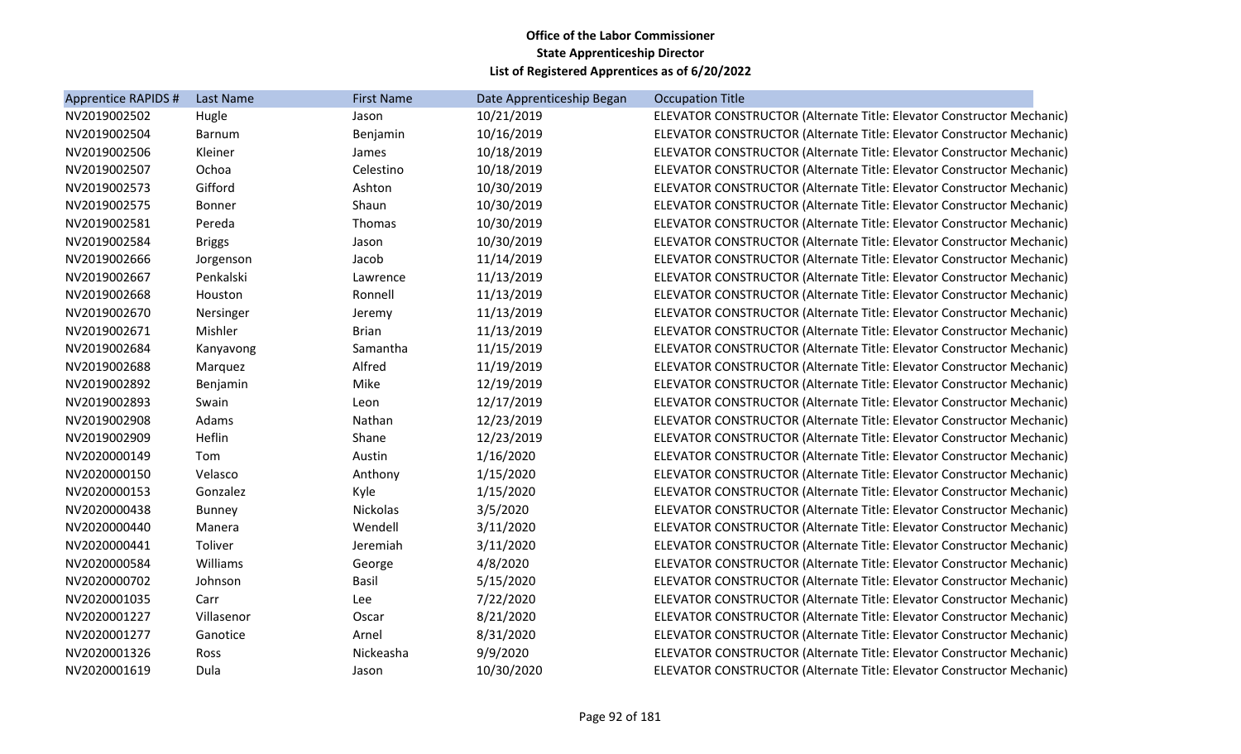| Apprentice RAPIDS # | Last Name     | <b>First Name</b> | Date Apprenticeship Began | <b>Occupation Title</b>                                               |
|---------------------|---------------|-------------------|---------------------------|-----------------------------------------------------------------------|
| NV2019002502        | Hugle         | Jason             | 10/21/2019                | ELEVATOR CONSTRUCTOR (Alternate Title: Elevator Constructor Mechanic) |
| NV2019002504        | <b>Barnum</b> | Benjamin          | 10/16/2019                | ELEVATOR CONSTRUCTOR (Alternate Title: Elevator Constructor Mechanic) |
| NV2019002506        | Kleiner       | James             | 10/18/2019                | ELEVATOR CONSTRUCTOR (Alternate Title: Elevator Constructor Mechanic) |
| NV2019002507        | Ochoa         | Celestino         | 10/18/2019                | ELEVATOR CONSTRUCTOR (Alternate Title: Elevator Constructor Mechanic) |
| NV2019002573        | Gifford       | Ashton            | 10/30/2019                | ELEVATOR CONSTRUCTOR (Alternate Title: Elevator Constructor Mechanic) |
| NV2019002575        | <b>Bonner</b> | Shaun             | 10/30/2019                | ELEVATOR CONSTRUCTOR (Alternate Title: Elevator Constructor Mechanic) |
| NV2019002581        | Pereda        | Thomas            | 10/30/2019                | ELEVATOR CONSTRUCTOR (Alternate Title: Elevator Constructor Mechanic) |
| NV2019002584        | <b>Briggs</b> | Jason             | 10/30/2019                | ELEVATOR CONSTRUCTOR (Alternate Title: Elevator Constructor Mechanic) |
| NV2019002666        | Jorgenson     | Jacob             | 11/14/2019                | ELEVATOR CONSTRUCTOR (Alternate Title: Elevator Constructor Mechanic) |
| NV2019002667        | Penkalski     | Lawrence          | 11/13/2019                | ELEVATOR CONSTRUCTOR (Alternate Title: Elevator Constructor Mechanic) |
| NV2019002668        | Houston       | Ronnell           | 11/13/2019                | ELEVATOR CONSTRUCTOR (Alternate Title: Elevator Constructor Mechanic) |
| NV2019002670        | Nersinger     | Jeremy            | 11/13/2019                | ELEVATOR CONSTRUCTOR (Alternate Title: Elevator Constructor Mechanic) |
| NV2019002671        | Mishler       | <b>Brian</b>      | 11/13/2019                | ELEVATOR CONSTRUCTOR (Alternate Title: Elevator Constructor Mechanic) |
| NV2019002684        | Kanyavong     | Samantha          | 11/15/2019                | ELEVATOR CONSTRUCTOR (Alternate Title: Elevator Constructor Mechanic) |
| NV2019002688        | Marquez       | Alfred            | 11/19/2019                | ELEVATOR CONSTRUCTOR (Alternate Title: Elevator Constructor Mechanic) |
| NV2019002892        | Benjamin      | Mike              | 12/19/2019                | ELEVATOR CONSTRUCTOR (Alternate Title: Elevator Constructor Mechanic) |
| NV2019002893        | Swain         | Leon              | 12/17/2019                | ELEVATOR CONSTRUCTOR (Alternate Title: Elevator Constructor Mechanic) |
| NV2019002908        | Adams         | Nathan            | 12/23/2019                | ELEVATOR CONSTRUCTOR (Alternate Title: Elevator Constructor Mechanic) |
| NV2019002909        | Heflin        | Shane             | 12/23/2019                | ELEVATOR CONSTRUCTOR (Alternate Title: Elevator Constructor Mechanic) |
| NV2020000149        | Tom           | Austin            | 1/16/2020                 | ELEVATOR CONSTRUCTOR (Alternate Title: Elevator Constructor Mechanic) |
| NV2020000150        | Velasco       | Anthony           | 1/15/2020                 | ELEVATOR CONSTRUCTOR (Alternate Title: Elevator Constructor Mechanic) |
| NV2020000153        | Gonzalez      | Kyle              | 1/15/2020                 | ELEVATOR CONSTRUCTOR (Alternate Title: Elevator Constructor Mechanic) |
| NV2020000438        | <b>Bunney</b> | Nickolas          | 3/5/2020                  | ELEVATOR CONSTRUCTOR (Alternate Title: Elevator Constructor Mechanic) |
| NV2020000440        | Manera        | Wendell           | 3/11/2020                 | ELEVATOR CONSTRUCTOR (Alternate Title: Elevator Constructor Mechanic) |
| NV2020000441        | Toliver       | Jeremiah          | 3/11/2020                 | ELEVATOR CONSTRUCTOR (Alternate Title: Elevator Constructor Mechanic) |
| NV2020000584        | Williams      | George            | 4/8/2020                  | ELEVATOR CONSTRUCTOR (Alternate Title: Elevator Constructor Mechanic) |
| NV2020000702        | Johnson       | <b>Basil</b>      | 5/15/2020                 | ELEVATOR CONSTRUCTOR (Alternate Title: Elevator Constructor Mechanic) |
| NV2020001035        | Carr          | Lee               | 7/22/2020                 | ELEVATOR CONSTRUCTOR (Alternate Title: Elevator Constructor Mechanic) |
| NV2020001227        | Villasenor    | Oscar             | 8/21/2020                 | ELEVATOR CONSTRUCTOR (Alternate Title: Elevator Constructor Mechanic) |
| NV2020001277        | Ganotice      | Arnel             | 8/31/2020                 | ELEVATOR CONSTRUCTOR (Alternate Title: Elevator Constructor Mechanic) |
| NV2020001326        | Ross          | Nickeasha         | 9/9/2020                  | ELEVATOR CONSTRUCTOR (Alternate Title: Elevator Constructor Mechanic) |
| NV2020001619        | Dula          | Jason             | 10/30/2020                | ELEVATOR CONSTRUCTOR (Alternate Title: Elevator Constructor Mechanic) |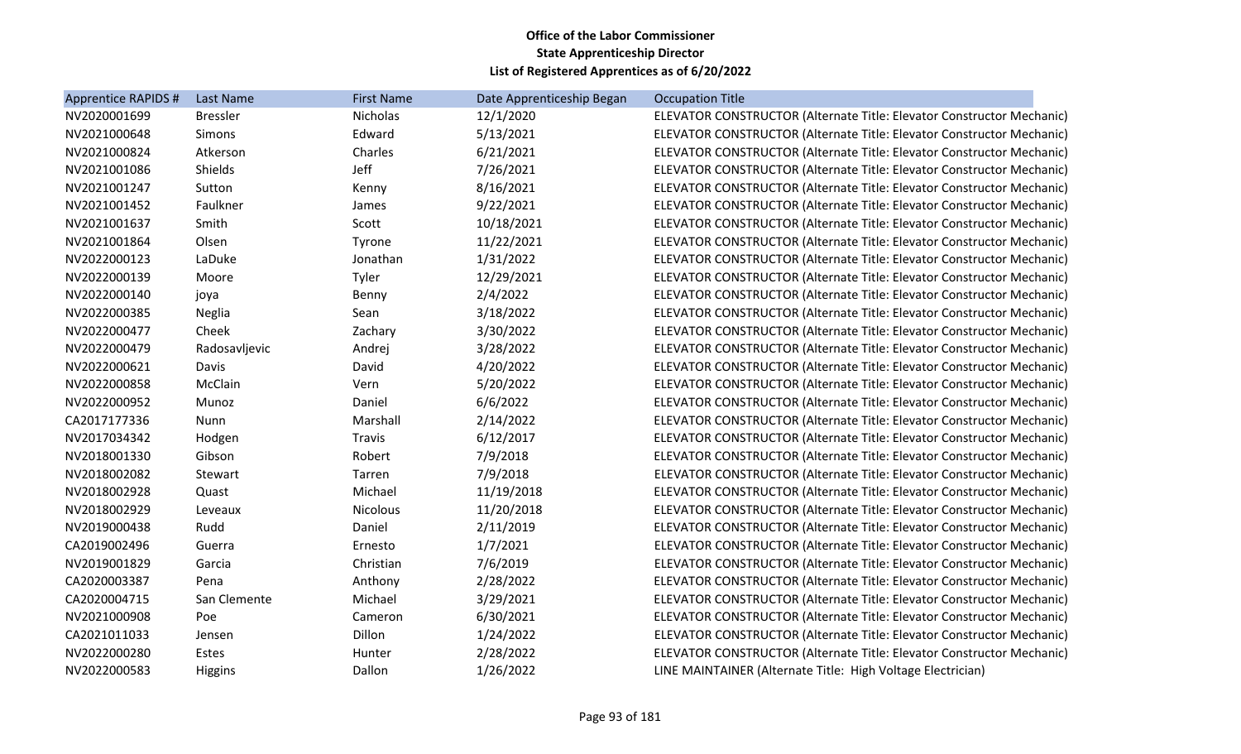| Apprentice RAPIDS # | <b>Last Name</b> | <b>First Name</b> | Date Apprenticeship Began | <b>Occupation Title</b>                                               |
|---------------------|------------------|-------------------|---------------------------|-----------------------------------------------------------------------|
| NV2020001699        | <b>Bressler</b>  | Nicholas          | 12/1/2020                 | ELEVATOR CONSTRUCTOR (Alternate Title: Elevator Constructor Mechanic) |
| NV2021000648        | Simons           | Edward            | 5/13/2021                 | ELEVATOR CONSTRUCTOR (Alternate Title: Elevator Constructor Mechanic) |
| NV2021000824        | Atkerson         | Charles           | 6/21/2021                 | ELEVATOR CONSTRUCTOR (Alternate Title: Elevator Constructor Mechanic) |
| NV2021001086        | Shields          | Jeff              | 7/26/2021                 | ELEVATOR CONSTRUCTOR (Alternate Title: Elevator Constructor Mechanic) |
| NV2021001247        | Sutton           | Kenny             | 8/16/2021                 | ELEVATOR CONSTRUCTOR (Alternate Title: Elevator Constructor Mechanic) |
| NV2021001452        | Faulkner         | James             | 9/22/2021                 | ELEVATOR CONSTRUCTOR (Alternate Title: Elevator Constructor Mechanic) |
| NV2021001637        | Smith            | Scott             | 10/18/2021                | ELEVATOR CONSTRUCTOR (Alternate Title: Elevator Constructor Mechanic) |
| NV2021001864        | Olsen            | Tyrone            | 11/22/2021                | ELEVATOR CONSTRUCTOR (Alternate Title: Elevator Constructor Mechanic) |
| NV2022000123        | LaDuke           | Jonathan          | 1/31/2022                 | ELEVATOR CONSTRUCTOR (Alternate Title: Elevator Constructor Mechanic) |
| NV2022000139        | Moore            | Tyler             | 12/29/2021                | ELEVATOR CONSTRUCTOR (Alternate Title: Elevator Constructor Mechanic) |
| NV2022000140        | joya             | Benny             | 2/4/2022                  | ELEVATOR CONSTRUCTOR (Alternate Title: Elevator Constructor Mechanic) |
| NV2022000385        | Neglia           | Sean              | 3/18/2022                 | ELEVATOR CONSTRUCTOR (Alternate Title: Elevator Constructor Mechanic) |
| NV2022000477        | Cheek            | Zachary           | 3/30/2022                 | ELEVATOR CONSTRUCTOR (Alternate Title: Elevator Constructor Mechanic) |
| NV2022000479        | Radosavljevic    | Andrej            | 3/28/2022                 | ELEVATOR CONSTRUCTOR (Alternate Title: Elevator Constructor Mechanic) |
| NV2022000621        | Davis            | David             | 4/20/2022                 | ELEVATOR CONSTRUCTOR (Alternate Title: Elevator Constructor Mechanic) |
| NV2022000858        | McClain          | Vern              | 5/20/2022                 | ELEVATOR CONSTRUCTOR (Alternate Title: Elevator Constructor Mechanic) |
| NV2022000952        | Munoz            | Daniel            | 6/6/2022                  | ELEVATOR CONSTRUCTOR (Alternate Title: Elevator Constructor Mechanic) |
| CA2017177336        | Nunn             | Marshall          | 2/14/2022                 | ELEVATOR CONSTRUCTOR (Alternate Title: Elevator Constructor Mechanic) |
| NV2017034342        | Hodgen           | Travis            | 6/12/2017                 | ELEVATOR CONSTRUCTOR (Alternate Title: Elevator Constructor Mechanic) |
| NV2018001330        | Gibson           | Robert            | 7/9/2018                  | ELEVATOR CONSTRUCTOR (Alternate Title: Elevator Constructor Mechanic) |
| NV2018002082        | Stewart          | Tarren            | 7/9/2018                  | ELEVATOR CONSTRUCTOR (Alternate Title: Elevator Constructor Mechanic) |
| NV2018002928        | Quast            | Michael           | 11/19/2018                | ELEVATOR CONSTRUCTOR (Alternate Title: Elevator Constructor Mechanic) |
| NV2018002929        | Leveaux          | Nicolous          | 11/20/2018                | ELEVATOR CONSTRUCTOR (Alternate Title: Elevator Constructor Mechanic) |
| NV2019000438        | Rudd             | Daniel            | 2/11/2019                 | ELEVATOR CONSTRUCTOR (Alternate Title: Elevator Constructor Mechanic) |
| CA2019002496        | Guerra           | Ernesto           | 1/7/2021                  | ELEVATOR CONSTRUCTOR (Alternate Title: Elevator Constructor Mechanic) |
| NV2019001829        | Garcia           | Christian         | 7/6/2019                  | ELEVATOR CONSTRUCTOR (Alternate Title: Elevator Constructor Mechanic) |
| CA2020003387        | Pena             | Anthony           | 2/28/2022                 | ELEVATOR CONSTRUCTOR (Alternate Title: Elevator Constructor Mechanic) |
| CA2020004715        | San Clemente     | Michael           | 3/29/2021                 | ELEVATOR CONSTRUCTOR (Alternate Title: Elevator Constructor Mechanic) |
| NV2021000908        | Poe              | Cameron           | 6/30/2021                 | ELEVATOR CONSTRUCTOR (Alternate Title: Elevator Constructor Mechanic) |
| CA2021011033        | Jensen           | Dillon            | 1/24/2022                 | ELEVATOR CONSTRUCTOR (Alternate Title: Elevator Constructor Mechanic) |
| NV2022000280        | Estes            | Hunter            | 2/28/2022                 | ELEVATOR CONSTRUCTOR (Alternate Title: Elevator Constructor Mechanic) |
| NV2022000583        | Higgins          | Dallon            | 1/26/2022                 | LINE MAINTAINER (Alternate Title: High Voltage Electrician)           |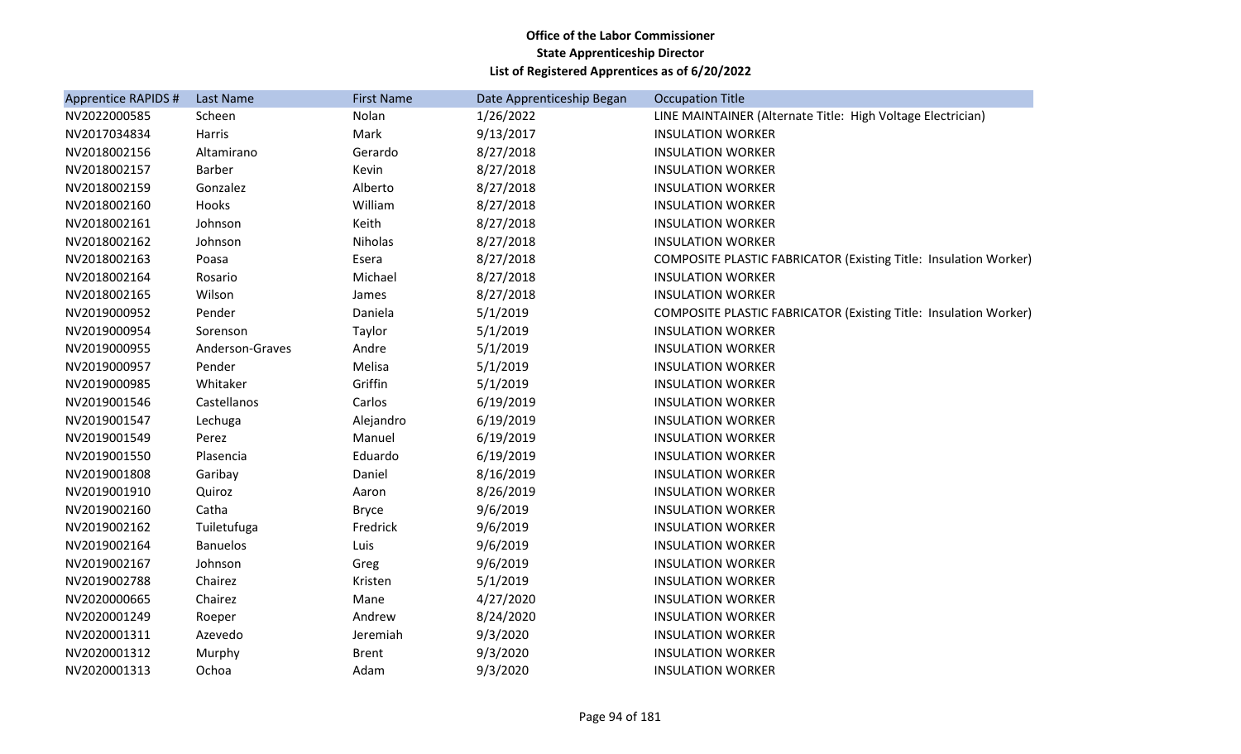| Apprentice RAPIDS # | Last Name       | <b>First Name</b> | Date Apprenticeship Began | <b>Occupation Title</b>                                                 |
|---------------------|-----------------|-------------------|---------------------------|-------------------------------------------------------------------------|
| NV2022000585        | Scheen          | Nolan             | 1/26/2022                 | LINE MAINTAINER (Alternate Title: High Voltage Electrician)             |
| NV2017034834        | Harris          | Mark              | 9/13/2017                 | <b>INSULATION WORKER</b>                                                |
| NV2018002156        | Altamirano      | Gerardo           | 8/27/2018                 | <b>INSULATION WORKER</b>                                                |
| NV2018002157        | <b>Barber</b>   | Kevin             | 8/27/2018                 | <b>INSULATION WORKER</b>                                                |
| NV2018002159        | Gonzalez        | Alberto           | 8/27/2018                 | <b>INSULATION WORKER</b>                                                |
| NV2018002160        | Hooks           | William           | 8/27/2018                 | <b>INSULATION WORKER</b>                                                |
| NV2018002161        | Johnson         | Keith             | 8/27/2018                 | <b>INSULATION WORKER</b>                                                |
| NV2018002162        | Johnson         | Niholas           | 8/27/2018                 | <b>INSULATION WORKER</b>                                                |
| NV2018002163        | Poasa           | Esera             | 8/27/2018                 | COMPOSITE PLASTIC FABRICATOR (Existing Title: Insulation Worker)        |
| NV2018002164        | Rosario         | Michael           | 8/27/2018                 | <b>INSULATION WORKER</b>                                                |
| NV2018002165        | Wilson          | James             | 8/27/2018                 | <b>INSULATION WORKER</b>                                                |
| NV2019000952        | Pender          | Daniela           | 5/1/2019                  | <b>COMPOSITE PLASTIC FABRICATOR (Existing Title: Insulation Worker)</b> |
| NV2019000954        | Sorenson        | Taylor            | 5/1/2019                  | <b>INSULATION WORKER</b>                                                |
| NV2019000955        | Anderson-Graves | Andre             | 5/1/2019                  | <b>INSULATION WORKER</b>                                                |
| NV2019000957        | Pender          | Melisa            | 5/1/2019                  | <b>INSULATION WORKER</b>                                                |
| NV2019000985        | Whitaker        | Griffin           | 5/1/2019                  | <b>INSULATION WORKER</b>                                                |
| NV2019001546        | Castellanos     | Carlos            | 6/19/2019                 | <b>INSULATION WORKER</b>                                                |
| NV2019001547        | Lechuga         | Alejandro         | 6/19/2019                 | <b>INSULATION WORKER</b>                                                |
| NV2019001549        | Perez           | Manuel            | 6/19/2019                 | <b>INSULATION WORKER</b>                                                |
| NV2019001550        | Plasencia       | Eduardo           | 6/19/2019                 | <b>INSULATION WORKER</b>                                                |
| NV2019001808        | Garibay         | Daniel            | 8/16/2019                 | <b>INSULATION WORKER</b>                                                |
| NV2019001910        | Quiroz          | Aaron             | 8/26/2019                 | <b>INSULATION WORKER</b>                                                |
| NV2019002160        | Catha           | <b>Bryce</b>      | 9/6/2019                  | <b>INSULATION WORKER</b>                                                |
| NV2019002162        | Tuiletufuga     | Fredrick          | 9/6/2019                  | <b>INSULATION WORKER</b>                                                |
| NV2019002164        | <b>Banuelos</b> | Luis              | 9/6/2019                  | <b>INSULATION WORKER</b>                                                |
| NV2019002167        | Johnson         | Greg              | 9/6/2019                  | <b>INSULATION WORKER</b>                                                |
| NV2019002788        | Chairez         | Kristen           | 5/1/2019                  | <b>INSULATION WORKER</b>                                                |
| NV2020000665        | Chairez         | Mane              | 4/27/2020                 | <b>INSULATION WORKER</b>                                                |
| NV2020001249        | Roeper          | Andrew            | 8/24/2020                 | <b>INSULATION WORKER</b>                                                |
| NV2020001311        | Azevedo         | Jeremiah          | 9/3/2020                  | <b>INSULATION WORKER</b>                                                |
| NV2020001312        | Murphy          | <b>Brent</b>      | 9/3/2020                  | <b>INSULATION WORKER</b>                                                |
| NV2020001313        | Ochoa           | Adam              | 9/3/2020                  | <b>INSULATION WORKER</b>                                                |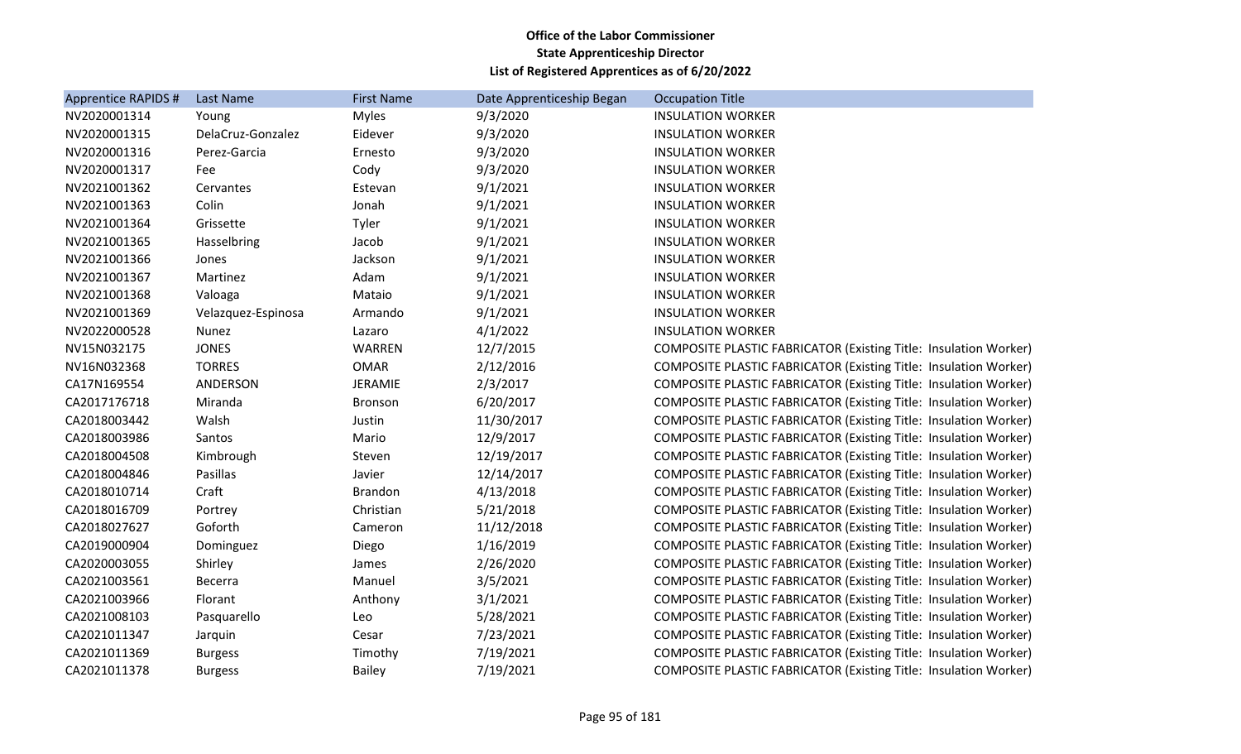| Apprentice RAPIDS # | Last Name          | <b>First Name</b> | Date Apprenticeship Began | <b>Occupation Title</b>                                                 |
|---------------------|--------------------|-------------------|---------------------------|-------------------------------------------------------------------------|
| NV2020001314        | Young              | <b>Myles</b>      | 9/3/2020                  | <b>INSULATION WORKER</b>                                                |
| NV2020001315        | DelaCruz-Gonzalez  | Eidever           | 9/3/2020                  | <b>INSULATION WORKER</b>                                                |
| NV2020001316        | Perez-Garcia       | Ernesto           | 9/3/2020                  | <b>INSULATION WORKER</b>                                                |
| NV2020001317        | Fee                | Cody              | 9/3/2020                  | <b>INSULATION WORKER</b>                                                |
| NV2021001362        | Cervantes          | Estevan           | 9/1/2021                  | <b>INSULATION WORKER</b>                                                |
| NV2021001363        | Colin              | Jonah             | 9/1/2021                  | <b>INSULATION WORKER</b>                                                |
| NV2021001364        | Grissette          | Tyler             | 9/1/2021                  | <b>INSULATION WORKER</b>                                                |
| NV2021001365        | Hasselbring        | Jacob             | 9/1/2021                  | <b>INSULATION WORKER</b>                                                |
| NV2021001366        | Jones              | Jackson           | 9/1/2021                  | <b>INSULATION WORKER</b>                                                |
| NV2021001367        | Martinez           | Adam              | 9/1/2021                  | <b>INSULATION WORKER</b>                                                |
| NV2021001368        | Valoaga            | Mataio            | 9/1/2021                  | <b>INSULATION WORKER</b>                                                |
| NV2021001369        | Velazquez-Espinosa | Armando           | 9/1/2021                  | <b>INSULATION WORKER</b>                                                |
| NV2022000528        | Nunez              | Lazaro            | 4/1/2022                  | <b>INSULATION WORKER</b>                                                |
| NV15N032175         | <b>JONES</b>       | WARREN            | 12/7/2015                 | COMPOSITE PLASTIC FABRICATOR (Existing Title: Insulation Worker)        |
| NV16N032368         | <b>TORRES</b>      | <b>OMAR</b>       | 2/12/2016                 | COMPOSITE PLASTIC FABRICATOR (Existing Title: Insulation Worker)        |
| CA17N169554         | ANDERSON           | JERAMIE           | 2/3/2017                  | <b>COMPOSITE PLASTIC FABRICATOR (Existing Title: Insulation Worker)</b> |
| CA2017176718        | Miranda            | Bronson           | 6/20/2017                 | <b>COMPOSITE PLASTIC FABRICATOR (Existing Title: Insulation Worker)</b> |
| CA2018003442        | Walsh              | Justin            | 11/30/2017                | <b>COMPOSITE PLASTIC FABRICATOR (Existing Title: Insulation Worker)</b> |
| CA2018003986        | Santos             | Mario             | 12/9/2017                 | <b>COMPOSITE PLASTIC FABRICATOR (Existing Title: Insulation Worker)</b> |
| CA2018004508        | Kimbrough          | Steven            | 12/19/2017                | COMPOSITE PLASTIC FABRICATOR (Existing Title: Insulation Worker)        |
| CA2018004846        | Pasillas           | Javier            | 12/14/2017                | <b>COMPOSITE PLASTIC FABRICATOR (Existing Title: Insulation Worker)</b> |
| CA2018010714        | Craft              | <b>Brandon</b>    | 4/13/2018                 | <b>COMPOSITE PLASTIC FABRICATOR (Existing Title: Insulation Worker)</b> |
| CA2018016709        | Portrey            | Christian         | 5/21/2018                 | COMPOSITE PLASTIC FABRICATOR (Existing Title: Insulation Worker)        |
| CA2018027627        | Goforth            | Cameron           | 11/12/2018                | <b>COMPOSITE PLASTIC FABRICATOR (Existing Title: Insulation Worker)</b> |
| CA2019000904        | Dominguez          | Diego             | 1/16/2019                 | <b>COMPOSITE PLASTIC FABRICATOR (Existing Title: Insulation Worker)</b> |
| CA2020003055        | Shirley            | James             | 2/26/2020                 | <b>COMPOSITE PLASTIC FABRICATOR (Existing Title: Insulation Worker)</b> |
| CA2021003561        | <b>Becerra</b>     | Manuel            | 3/5/2021                  | <b>COMPOSITE PLASTIC FABRICATOR (Existing Title: Insulation Worker)</b> |
| CA2021003966        | Florant            | Anthony           | 3/1/2021                  | <b>COMPOSITE PLASTIC FABRICATOR (Existing Title: Insulation Worker)</b> |
| CA2021008103        | Pasquarello        | Leo               | 5/28/2021                 | COMPOSITE PLASTIC FABRICATOR (Existing Title: Insulation Worker)        |
| CA2021011347        | Jarquin            | Cesar             | 7/23/2021                 | <b>COMPOSITE PLASTIC FABRICATOR (Existing Title: Insulation Worker)</b> |
| CA2021011369        | <b>Burgess</b>     | Timothy           | 7/19/2021                 | COMPOSITE PLASTIC FABRICATOR (Existing Title: Insulation Worker)        |
| CA2021011378        | <b>Burgess</b>     | <b>Bailey</b>     | 7/19/2021                 | COMPOSITE PLASTIC FABRICATOR (Existing Title: Insulation Worker)        |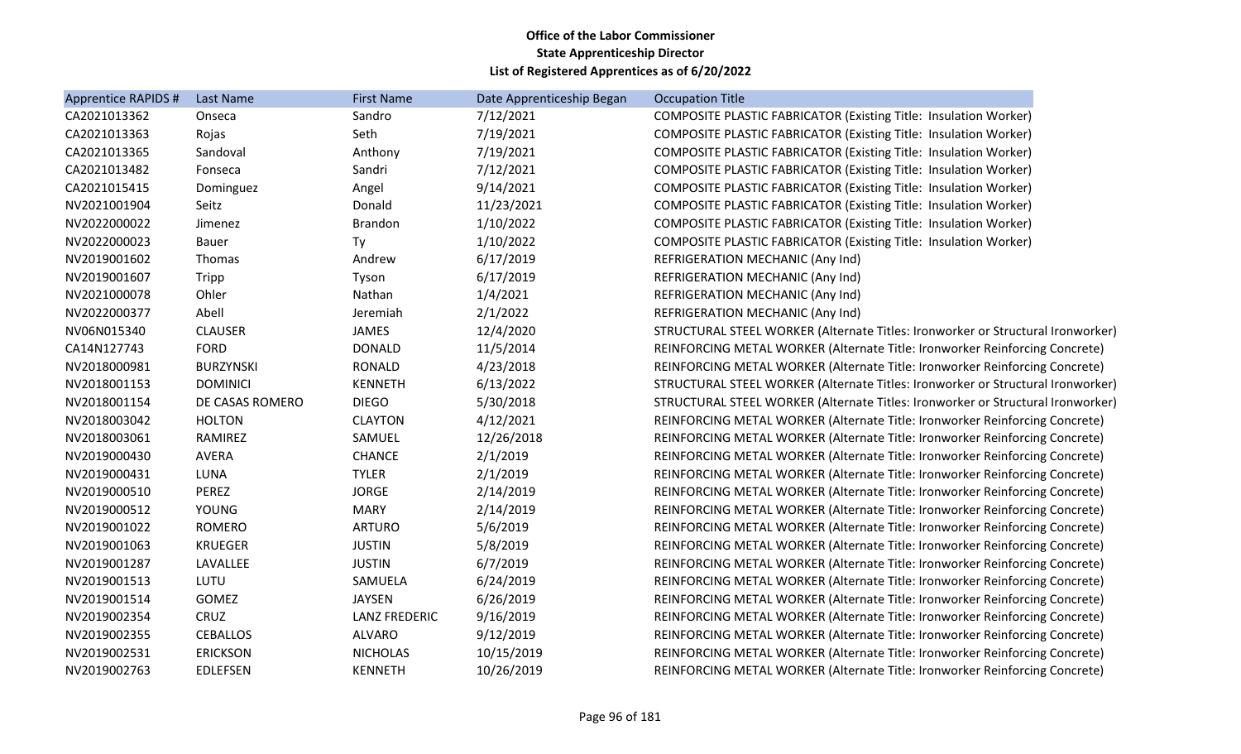| Apprentice RAPIDS # | <b>Last Name</b> | <b>First Name</b>    | Date Apprenticeship Began | <b>Occupation Title</b>                                                         |
|---------------------|------------------|----------------------|---------------------------|---------------------------------------------------------------------------------|
| CA2021013362        | Onseca           | Sandro               | 7/12/2021                 | <b>COMPOSITE PLASTIC FABRICATOR (Existing Title: Insulation Worker)</b>         |
| CA2021013363        | Rojas            | Seth                 | 7/19/2021                 | <b>COMPOSITE PLASTIC FABRICATOR (Existing Title: Insulation Worker)</b>         |
| CA2021013365        | Sandoval         | Anthony              | 7/19/2021                 | <b>COMPOSITE PLASTIC FABRICATOR (Existing Title: Insulation Worker)</b>         |
| CA2021013482        | Fonseca          | Sandri               | 7/12/2021                 | <b>COMPOSITE PLASTIC FABRICATOR (Existing Title: Insulation Worker)</b>         |
| CA2021015415        | Dominguez        | Angel                | 9/14/2021                 | <b>COMPOSITE PLASTIC FABRICATOR (Existing Title: Insulation Worker)</b>         |
| NV2021001904        | Seitz            | Donald               | 11/23/2021                | <b>COMPOSITE PLASTIC FABRICATOR (Existing Title: Insulation Worker)</b>         |
| NV2022000022        | Jimenez          | <b>Brandon</b>       | 1/10/2022                 | COMPOSITE PLASTIC FABRICATOR (Existing Title: Insulation Worker)                |
| NV2022000023        | <b>Bauer</b>     | Ty                   | 1/10/2022                 | <b>COMPOSITE PLASTIC FABRICATOR (Existing Title: Insulation Worker)</b>         |
| NV2019001602        | Thomas           | Andrew               | 6/17/2019                 | REFRIGERATION MECHANIC (Any Ind)                                                |
| NV2019001607        | Tripp            | Tyson                | 6/17/2019                 | REFRIGERATION MECHANIC (Any Ind)                                                |
| NV2021000078        | Ohler            | Nathan               | 1/4/2021                  | REFRIGERATION MECHANIC (Any Ind)                                                |
| NV2022000377        | Abell            | Jeremiah             | 2/1/2022                  | REFRIGERATION MECHANIC (Any Ind)                                                |
| NV06N015340         | <b>CLAUSER</b>   | <b>JAMES</b>         | 12/4/2020                 | STRUCTURAL STEEL WORKER (Alternate Titles: Ironworker or Structural Ironworker) |
| CA14N127743         | <b>FORD</b>      | <b>DONALD</b>        | 11/5/2014                 | REINFORCING METAL WORKER (Alternate Title: Ironworker Reinforcing Concrete)     |
| NV2018000981        | <b>BURZYNSKI</b> | <b>RONALD</b>        | 4/23/2018                 | REINFORCING METAL WORKER (Alternate Title: Ironworker Reinforcing Concrete)     |
| NV2018001153        | <b>DOMINICI</b>  | <b>KENNETH</b>       | 6/13/2022                 | STRUCTURAL STEEL WORKER (Alternate Titles: Ironworker or Structural Ironworker) |
| NV2018001154        | DE CASAS ROMERO  | <b>DIEGO</b>         | 5/30/2018                 | STRUCTURAL STEEL WORKER (Alternate Titles: Ironworker or Structural Ironworker) |
| NV2018003042        | <b>HOLTON</b>    | <b>CLAYTON</b>       | 4/12/2021                 | REINFORCING METAL WORKER (Alternate Title: Ironworker Reinforcing Concrete)     |
| NV2018003061        | RAMIREZ          | SAMUEL               | 12/26/2018                | REINFORCING METAL WORKER (Alternate Title: Ironworker Reinforcing Concrete)     |
| NV2019000430        | <b>AVERA</b>     | <b>CHANCE</b>        | 2/1/2019                  | REINFORCING METAL WORKER (Alternate Title: Ironworker Reinforcing Concrete)     |
| NV2019000431        | LUNA             | <b>TYLER</b>         | 2/1/2019                  | REINFORCING METAL WORKER (Alternate Title: Ironworker Reinforcing Concrete)     |
| NV2019000510        | PEREZ            | <b>JORGE</b>         | 2/14/2019                 | REINFORCING METAL WORKER (Alternate Title: Ironworker Reinforcing Concrete)     |
| NV2019000512        | YOUNG            | <b>MARY</b>          | 2/14/2019                 | REINFORCING METAL WORKER (Alternate Title: Ironworker Reinforcing Concrete)     |
| NV2019001022        | <b>ROMERO</b>    | <b>ARTURO</b>        | 5/6/2019                  | REINFORCING METAL WORKER (Alternate Title: Ironworker Reinforcing Concrete)     |
| NV2019001063        | <b>KRUEGER</b>   | <b>JUSTIN</b>        | 5/8/2019                  | REINFORCING METAL WORKER (Alternate Title: Ironworker Reinforcing Concrete)     |
| NV2019001287        | LAVALLEE         | <b>JUSTIN</b>        | 6/7/2019                  | REINFORCING METAL WORKER (Alternate Title: Ironworker Reinforcing Concrete)     |
| NV2019001513        | LUTU             | SAMUELA              | 6/24/2019                 | REINFORCING METAL WORKER (Alternate Title: Ironworker Reinforcing Concrete)     |
| NV2019001514        | GOMEZ            | <b>JAYSEN</b>        | 6/26/2019                 | REINFORCING METAL WORKER (Alternate Title: Ironworker Reinforcing Concrete)     |
| NV2019002354        | CRUZ             | <b>LANZ FREDERIC</b> | 9/16/2019                 | REINFORCING METAL WORKER (Alternate Title: Ironworker Reinforcing Concrete)     |
| NV2019002355        | <b>CEBALLOS</b>  | <b>ALVARO</b>        | 9/12/2019                 | REINFORCING METAL WORKER (Alternate Title: Ironworker Reinforcing Concrete)     |
| NV2019002531        | <b>ERICKSON</b>  | <b>NICHOLAS</b>      | 10/15/2019                | REINFORCING METAL WORKER (Alternate Title: Ironworker Reinforcing Concrete)     |
| NV2019002763        | <b>EDLEFSEN</b>  | <b>KENNETH</b>       | 10/26/2019                | REINFORCING METAL WORKER (Alternate Title: Ironworker Reinforcing Concrete)     |
|                     |                  |                      |                           |                                                                                 |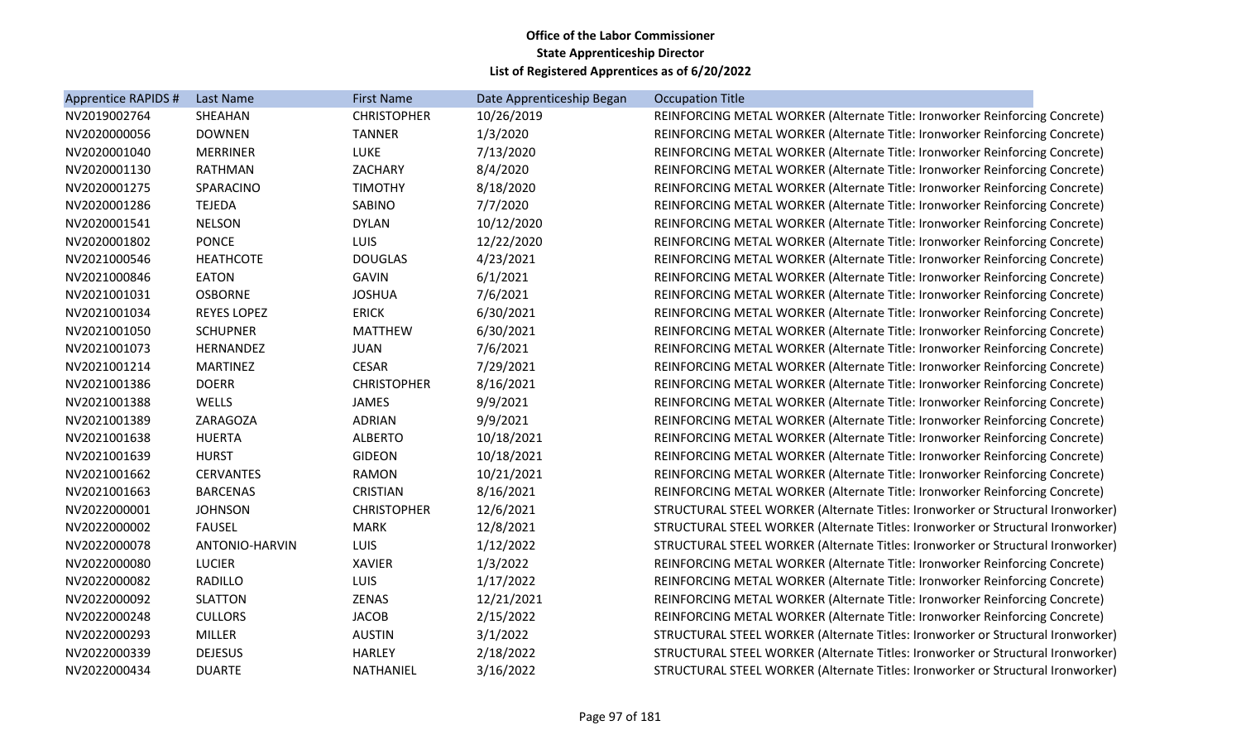| Apprentice RAPIDS # | Last Name             | <b>First Name</b>  | Date Apprenticeship Began | <b>Occupation Title</b>                                                         |
|---------------------|-----------------------|--------------------|---------------------------|---------------------------------------------------------------------------------|
| NV2019002764        | SHEAHAN               | <b>CHRISTOPHER</b> | 10/26/2019                | REINFORCING METAL WORKER (Alternate Title: Ironworker Reinforcing Concrete)     |
| NV2020000056        | <b>DOWNEN</b>         | <b>TANNER</b>      | 1/3/2020                  | REINFORCING METAL WORKER (Alternate Title: Ironworker Reinforcing Concrete)     |
| NV2020001040        | <b>MERRINER</b>       | LUKE               | 7/13/2020                 | REINFORCING METAL WORKER (Alternate Title: Ironworker Reinforcing Concrete)     |
| NV2020001130        | <b>RATHMAN</b>        | ZACHARY            | 8/4/2020                  | REINFORCING METAL WORKER (Alternate Title: Ironworker Reinforcing Concrete)     |
| NV2020001275        | SPARACINO             | <b>TIMOTHY</b>     | 8/18/2020                 | REINFORCING METAL WORKER (Alternate Title: Ironworker Reinforcing Concrete)     |
| NV2020001286        | <b>TEJEDA</b>         | SABINO             | 7/7/2020                  | REINFORCING METAL WORKER (Alternate Title: Ironworker Reinforcing Concrete)     |
| NV2020001541        | <b>NELSON</b>         | <b>DYLAN</b>       | 10/12/2020                | REINFORCING METAL WORKER (Alternate Title: Ironworker Reinforcing Concrete)     |
| NV2020001802        | <b>PONCE</b>          | <b>LUIS</b>        | 12/22/2020                | REINFORCING METAL WORKER (Alternate Title: Ironworker Reinforcing Concrete)     |
| NV2021000546        | <b>HEATHCOTE</b>      | <b>DOUGLAS</b>     | 4/23/2021                 | REINFORCING METAL WORKER (Alternate Title: Ironworker Reinforcing Concrete)     |
| NV2021000846        | <b>EATON</b>          | <b>GAVIN</b>       | 6/1/2021                  | REINFORCING METAL WORKER (Alternate Title: Ironworker Reinforcing Concrete)     |
| NV2021001031        | <b>OSBORNE</b>        | <b>JOSHUA</b>      | 7/6/2021                  | REINFORCING METAL WORKER (Alternate Title: Ironworker Reinforcing Concrete)     |
| NV2021001034        | <b>REYES LOPEZ</b>    | <b>ERICK</b>       | 6/30/2021                 | REINFORCING METAL WORKER (Alternate Title: Ironworker Reinforcing Concrete)     |
| NV2021001050        | <b>SCHUPNER</b>       | <b>MATTHEW</b>     | 6/30/2021                 | REINFORCING METAL WORKER (Alternate Title: Ironworker Reinforcing Concrete)     |
| NV2021001073        | <b>HERNANDEZ</b>      | <b>JUAN</b>        | 7/6/2021                  | REINFORCING METAL WORKER (Alternate Title: Ironworker Reinforcing Concrete)     |
| NV2021001214        | <b>MARTINEZ</b>       | <b>CESAR</b>       | 7/29/2021                 | REINFORCING METAL WORKER (Alternate Title: Ironworker Reinforcing Concrete)     |
| NV2021001386        | <b>DOERR</b>          | <b>CHRISTOPHER</b> | 8/16/2021                 | REINFORCING METAL WORKER (Alternate Title: Ironworker Reinforcing Concrete)     |
| NV2021001388        | WELLS                 | JAMES              | 9/9/2021                  | REINFORCING METAL WORKER (Alternate Title: Ironworker Reinforcing Concrete)     |
| NV2021001389        | ZARAGOZA              | <b>ADRIAN</b>      | 9/9/2021                  | REINFORCING METAL WORKER (Alternate Title: Ironworker Reinforcing Concrete)     |
| NV2021001638        | <b>HUERTA</b>         | <b>ALBERTO</b>     | 10/18/2021                | REINFORCING METAL WORKER (Alternate Title: Ironworker Reinforcing Concrete)     |
| NV2021001639        | <b>HURST</b>          | <b>GIDEON</b>      | 10/18/2021                | REINFORCING METAL WORKER (Alternate Title: Ironworker Reinforcing Concrete)     |
| NV2021001662        | <b>CERVANTES</b>      | <b>RAMON</b>       | 10/21/2021                | REINFORCING METAL WORKER (Alternate Title: Ironworker Reinforcing Concrete)     |
| NV2021001663        | <b>BARCENAS</b>       | <b>CRISTIAN</b>    | 8/16/2021                 | REINFORCING METAL WORKER (Alternate Title: Ironworker Reinforcing Concrete)     |
| NV2022000001        | <b>JOHNSON</b>        | <b>CHRISTOPHER</b> | 12/6/2021                 | STRUCTURAL STEEL WORKER (Alternate Titles: Ironworker or Structural Ironworker) |
| NV2022000002        | <b>FAUSEL</b>         | <b>MARK</b>        | 12/8/2021                 | STRUCTURAL STEEL WORKER (Alternate Titles: Ironworker or Structural Ironworker) |
| NV2022000078        | <b>ANTONIO-HARVIN</b> | <b>LUIS</b>        | 1/12/2022                 | STRUCTURAL STEEL WORKER (Alternate Titles: Ironworker or Structural Ironworker) |
| NV2022000080        | <b>LUCIER</b>         | <b>XAVIER</b>      | 1/3/2022                  | REINFORCING METAL WORKER (Alternate Title: Ironworker Reinforcing Concrete)     |
| NV2022000082        | RADILLO               | <b>LUIS</b>        | 1/17/2022                 | REINFORCING METAL WORKER (Alternate Title: Ironworker Reinforcing Concrete)     |
| NV2022000092        | <b>SLATTON</b>        | ZENAS              | 12/21/2021                | REINFORCING METAL WORKER (Alternate Title: Ironworker Reinforcing Concrete)     |
| NV2022000248        | <b>CULLORS</b>        | <b>JACOB</b>       | 2/15/2022                 | REINFORCING METAL WORKER (Alternate Title: Ironworker Reinforcing Concrete)     |
| NV2022000293        | MILLER                | <b>AUSTIN</b>      | 3/1/2022                  | STRUCTURAL STEEL WORKER (Alternate Titles: Ironworker or Structural Ironworker) |
| NV2022000339        | <b>DEJESUS</b>        | <b>HARLEY</b>      | 2/18/2022                 | STRUCTURAL STEEL WORKER (Alternate Titles: Ironworker or Structural Ironworker) |
| NV2022000434        | <b>DUARTE</b>         | NATHANIEL          | 3/16/2022                 | STRUCTURAL STEEL WORKER (Alternate Titles: Ironworker or Structural Ironworker) |
|                     |                       |                    |                           |                                                                                 |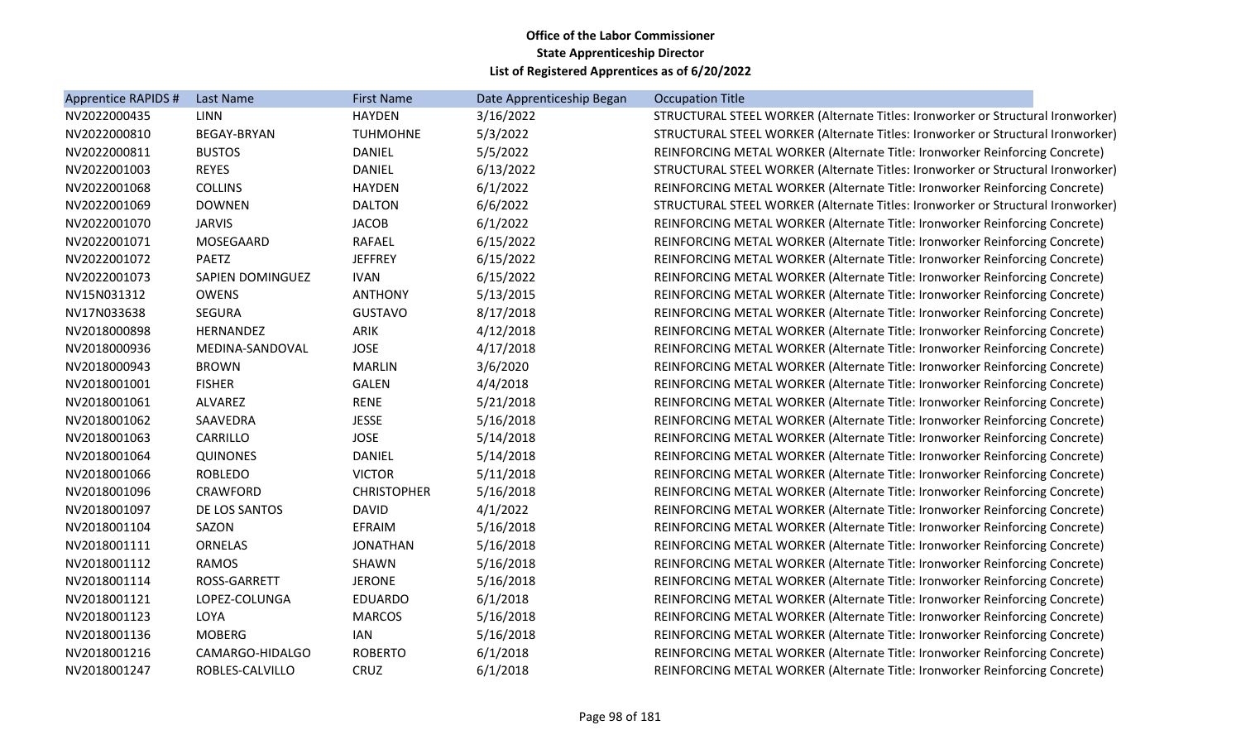| Apprentice RAPIDS # | Last Name               | <b>First Name</b>  | Date Apprenticeship Began | <b>Occupation Title</b>                                                         |  |
|---------------------|-------------------------|--------------------|---------------------------|---------------------------------------------------------------------------------|--|
| NV2022000435        | <b>LINN</b>             | <b>HAYDEN</b>      | 3/16/2022                 | STRUCTURAL STEEL WORKER (Alternate Titles: Ironworker or Structural Ironworker) |  |
| NV2022000810        | <b>BEGAY-BRYAN</b>      | <b>TUHMOHNE</b>    | 5/3/2022                  | STRUCTURAL STEEL WORKER (Alternate Titles: Ironworker or Structural Ironworker) |  |
| NV2022000811        | <b>BUSTOS</b>           | <b>DANIEL</b>      | 5/5/2022                  | REINFORCING METAL WORKER (Alternate Title: Ironworker Reinforcing Concrete)     |  |
| NV2022001003        | <b>REYES</b>            | <b>DANIEL</b>      | 6/13/2022                 | STRUCTURAL STEEL WORKER (Alternate Titles: Ironworker or Structural Ironworker) |  |
| NV2022001068        | <b>COLLINS</b>          | <b>HAYDEN</b>      | 6/1/2022                  | REINFORCING METAL WORKER (Alternate Title: Ironworker Reinforcing Concrete)     |  |
| NV2022001069        | <b>DOWNEN</b>           | <b>DALTON</b>      | 6/6/2022                  | STRUCTURAL STEEL WORKER (Alternate Titles: Ironworker or Structural Ironworker) |  |
| NV2022001070        | <b>JARVIS</b>           | <b>JACOB</b>       | 6/1/2022                  | REINFORCING METAL WORKER (Alternate Title: Ironworker Reinforcing Concrete)     |  |
| NV2022001071        | MOSEGAARD               | <b>RAFAEL</b>      | 6/15/2022                 | REINFORCING METAL WORKER (Alternate Title: Ironworker Reinforcing Concrete)     |  |
| NV2022001072        | <b>PAETZ</b>            | <b>JEFFREY</b>     | 6/15/2022                 | REINFORCING METAL WORKER (Alternate Title: Ironworker Reinforcing Concrete)     |  |
| NV2022001073        | <b>SAPIEN DOMINGUEZ</b> | <b>IVAN</b>        | 6/15/2022                 | REINFORCING METAL WORKER (Alternate Title: Ironworker Reinforcing Concrete)     |  |
| NV15N031312         | <b>OWENS</b>            | <b>ANTHONY</b>     | 5/13/2015                 | REINFORCING METAL WORKER (Alternate Title: Ironworker Reinforcing Concrete)     |  |
| NV17N033638         | <b>SEGURA</b>           | <b>GUSTAVO</b>     | 8/17/2018                 | REINFORCING METAL WORKER (Alternate Title: Ironworker Reinforcing Concrete)     |  |
| NV2018000898        | HERNANDEZ               | ARIK               | 4/12/2018                 | REINFORCING METAL WORKER (Alternate Title: Ironworker Reinforcing Concrete)     |  |
| NV2018000936        | MEDINA-SANDOVAL         | <b>JOSE</b>        | 4/17/2018                 | REINFORCING METAL WORKER (Alternate Title: Ironworker Reinforcing Concrete)     |  |
| NV2018000943        | <b>BROWN</b>            | <b>MARLIN</b>      | 3/6/2020                  | REINFORCING METAL WORKER (Alternate Title: Ironworker Reinforcing Concrete)     |  |
| NV2018001001        | <b>FISHER</b>           | <b>GALEN</b>       | 4/4/2018                  | REINFORCING METAL WORKER (Alternate Title: Ironworker Reinforcing Concrete)     |  |
| NV2018001061        | ALVAREZ                 | <b>RENE</b>        | 5/21/2018                 | REINFORCING METAL WORKER (Alternate Title: Ironworker Reinforcing Concrete)     |  |
| NV2018001062        | SAAVEDRA                | <b>JESSE</b>       | 5/16/2018                 | REINFORCING METAL WORKER (Alternate Title: Ironworker Reinforcing Concrete)     |  |
| NV2018001063        | CARRILLO                | <b>JOSE</b>        | 5/14/2018                 | REINFORCING METAL WORKER (Alternate Title: Ironworker Reinforcing Concrete)     |  |
| NV2018001064        | <b>QUINONES</b>         | <b>DANIEL</b>      | 5/14/2018                 | REINFORCING METAL WORKER (Alternate Title: Ironworker Reinforcing Concrete)     |  |
| NV2018001066        | <b>ROBLEDO</b>          | <b>VICTOR</b>      | 5/11/2018                 | REINFORCING METAL WORKER (Alternate Title: Ironworker Reinforcing Concrete)     |  |
| NV2018001096        | <b>CRAWFORD</b>         | <b>CHRISTOPHER</b> | 5/16/2018                 | REINFORCING METAL WORKER (Alternate Title: Ironworker Reinforcing Concrete)     |  |
| NV2018001097        | DE LOS SANTOS           | <b>DAVID</b>       | 4/1/2022                  | REINFORCING METAL WORKER (Alternate Title: Ironworker Reinforcing Concrete)     |  |
| NV2018001104        | SAZON                   | EFRAIM             | 5/16/2018                 | REINFORCING METAL WORKER (Alternate Title: Ironworker Reinforcing Concrete)     |  |
| NV2018001111        | ORNELAS                 | <b>JONATHAN</b>    | 5/16/2018                 | REINFORCING METAL WORKER (Alternate Title: Ironworker Reinforcing Concrete)     |  |
| NV2018001112        | <b>RAMOS</b>            | SHAWN              | 5/16/2018                 | REINFORCING METAL WORKER (Alternate Title: Ironworker Reinforcing Concrete)     |  |
| NV2018001114        | ROSS-GARRETT            | <b>JERONE</b>      | 5/16/2018                 | REINFORCING METAL WORKER (Alternate Title: Ironworker Reinforcing Concrete)     |  |
| NV2018001121        | LOPEZ-COLUNGA           | <b>EDUARDO</b>     | 6/1/2018                  | REINFORCING METAL WORKER (Alternate Title: Ironworker Reinforcing Concrete)     |  |
| NV2018001123        | LOYA                    | <b>MARCOS</b>      | 5/16/2018                 | REINFORCING METAL WORKER (Alternate Title: Ironworker Reinforcing Concrete)     |  |
| NV2018001136        | <b>MOBERG</b>           | IAN                | 5/16/2018                 | REINFORCING METAL WORKER (Alternate Title: Ironworker Reinforcing Concrete)     |  |
| NV2018001216        | CAMARGO-HIDALGO         | <b>ROBERTO</b>     | 6/1/2018                  | REINFORCING METAL WORKER (Alternate Title: Ironworker Reinforcing Concrete)     |  |
| NV2018001247        | ROBLES-CALVILLO         | CRUZ               | 6/1/2018                  | REINFORCING METAL WORKER (Alternate Title: Ironworker Reinforcing Concrete)     |  |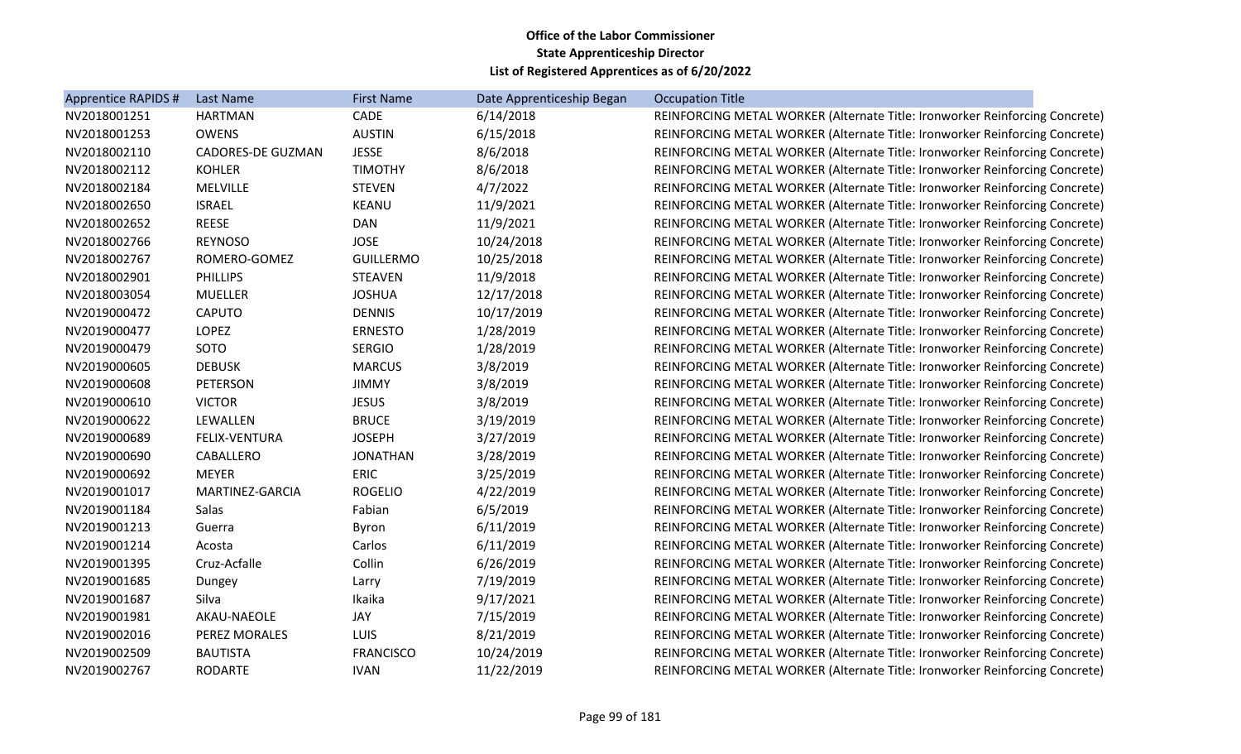| Apprentice RAPIDS # | Last Name                | <b>First Name</b> | Date Apprenticeship Began | <b>Occupation Title</b>                                                     |
|---------------------|--------------------------|-------------------|---------------------------|-----------------------------------------------------------------------------|
| NV2018001251        | HARTMAN                  | CADE              | 6/14/2018                 | REINFORCING METAL WORKER (Alternate Title: Ironworker Reinforcing Concrete) |
| NV2018001253        | <b>OWENS</b>             | <b>AUSTIN</b>     | 6/15/2018                 | REINFORCING METAL WORKER (Alternate Title: Ironworker Reinforcing Concrete) |
| NV2018002110        | <b>CADORES-DE GUZMAN</b> | <b>JESSE</b>      | 8/6/2018                  | REINFORCING METAL WORKER (Alternate Title: Ironworker Reinforcing Concrete) |
| NV2018002112        | <b>KOHLER</b>            | <b>TIMOTHY</b>    | 8/6/2018                  | REINFORCING METAL WORKER (Alternate Title: Ironworker Reinforcing Concrete) |
| NV2018002184        | <b>MELVILLE</b>          | <b>STEVEN</b>     | 4/7/2022                  | REINFORCING METAL WORKER (Alternate Title: Ironworker Reinforcing Concrete) |
| NV2018002650        | <b>ISRAEL</b>            | KEANU             | 11/9/2021                 | REINFORCING METAL WORKER (Alternate Title: Ironworker Reinforcing Concrete) |
| NV2018002652        | <b>REESE</b>             | <b>DAN</b>        | 11/9/2021                 | REINFORCING METAL WORKER (Alternate Title: Ironworker Reinforcing Concrete) |
| NV2018002766        | <b>REYNOSO</b>           | <b>JOSE</b>       | 10/24/2018                | REINFORCING METAL WORKER (Alternate Title: Ironworker Reinforcing Concrete) |
| NV2018002767        | ROMERO-GOMEZ             | <b>GUILLERMO</b>  | 10/25/2018                | REINFORCING METAL WORKER (Alternate Title: Ironworker Reinforcing Concrete) |
| NV2018002901        | <b>PHILLIPS</b>          | <b>STEAVEN</b>    | 11/9/2018                 | REINFORCING METAL WORKER (Alternate Title: Ironworker Reinforcing Concrete) |
| NV2018003054        | <b>MUELLER</b>           | <b>JOSHUA</b>     | 12/17/2018                | REINFORCING METAL WORKER (Alternate Title: Ironworker Reinforcing Concrete) |
| NV2019000472        | <b>CAPUTO</b>            | <b>DENNIS</b>     | 10/17/2019                | REINFORCING METAL WORKER (Alternate Title: Ironworker Reinforcing Concrete) |
| NV2019000477        | LOPEZ                    | <b>ERNESTO</b>    | 1/28/2019                 | REINFORCING METAL WORKER (Alternate Title: Ironworker Reinforcing Concrete) |
| NV2019000479        | SOTO                     | <b>SERGIO</b>     | 1/28/2019                 | REINFORCING METAL WORKER (Alternate Title: Ironworker Reinforcing Concrete) |
| NV2019000605        | <b>DEBUSK</b>            | <b>MARCUS</b>     | 3/8/2019                  | REINFORCING METAL WORKER (Alternate Title: Ironworker Reinforcing Concrete) |
| NV2019000608        | PETERSON                 | <b>JIMMY</b>      | 3/8/2019                  | REINFORCING METAL WORKER (Alternate Title: Ironworker Reinforcing Concrete) |
| NV2019000610        | <b>VICTOR</b>            | <b>JESUS</b>      | 3/8/2019                  | REINFORCING METAL WORKER (Alternate Title: Ironworker Reinforcing Concrete) |
| NV2019000622        | LEWALLEN                 | <b>BRUCE</b>      | 3/19/2019                 | REINFORCING METAL WORKER (Alternate Title: Ironworker Reinforcing Concrete) |
| NV2019000689        | FELIX-VENTURA            | <b>JOSEPH</b>     | 3/27/2019                 | REINFORCING METAL WORKER (Alternate Title: Ironworker Reinforcing Concrete) |
| NV2019000690        | CABALLERO                | <b>JONATHAN</b>   | 3/28/2019                 | REINFORCING METAL WORKER (Alternate Title: Ironworker Reinforcing Concrete) |
| NV2019000692        | MEYER                    | <b>ERIC</b>       | 3/25/2019                 | REINFORCING METAL WORKER (Alternate Title: Ironworker Reinforcing Concrete) |
| NV2019001017        | MARTINEZ-GARCIA          | <b>ROGELIO</b>    | 4/22/2019                 | REINFORCING METAL WORKER (Alternate Title: Ironworker Reinforcing Concrete) |
| NV2019001184        | Salas                    | Fabian            | 6/5/2019                  | REINFORCING METAL WORKER (Alternate Title: Ironworker Reinforcing Concrete) |
| NV2019001213        | Guerra                   | Byron             | 6/11/2019                 | REINFORCING METAL WORKER (Alternate Title: Ironworker Reinforcing Concrete) |
| NV2019001214        | Acosta                   | Carlos            | 6/11/2019                 | REINFORCING METAL WORKER (Alternate Title: Ironworker Reinforcing Concrete) |
| NV2019001395        | Cruz-Acfalle             | Collin            | 6/26/2019                 | REINFORCING METAL WORKER (Alternate Title: Ironworker Reinforcing Concrete) |
| NV2019001685        | Dungey                   | Larry             | 7/19/2019                 | REINFORCING METAL WORKER (Alternate Title: Ironworker Reinforcing Concrete) |
| NV2019001687        | Silva                    | Ikaika            | 9/17/2021                 | REINFORCING METAL WORKER (Alternate Title: Ironworker Reinforcing Concrete) |
| NV2019001981        | AKAU-NAEOLE              | JAY               | 7/15/2019                 | REINFORCING METAL WORKER (Alternate Title: Ironworker Reinforcing Concrete) |
| NV2019002016        | PEREZ MORALES            | LUIS              | 8/21/2019                 | REINFORCING METAL WORKER (Alternate Title: Ironworker Reinforcing Concrete) |
| NV2019002509        | <b>BAUTISTA</b>          | <b>FRANCISCO</b>  | 10/24/2019                | REINFORCING METAL WORKER (Alternate Title: Ironworker Reinforcing Concrete) |
| NV2019002767        | <b>RODARTE</b>           | <b>IVAN</b>       | 11/22/2019                | REINFORCING METAL WORKER (Alternate Title: Ironworker Reinforcing Concrete) |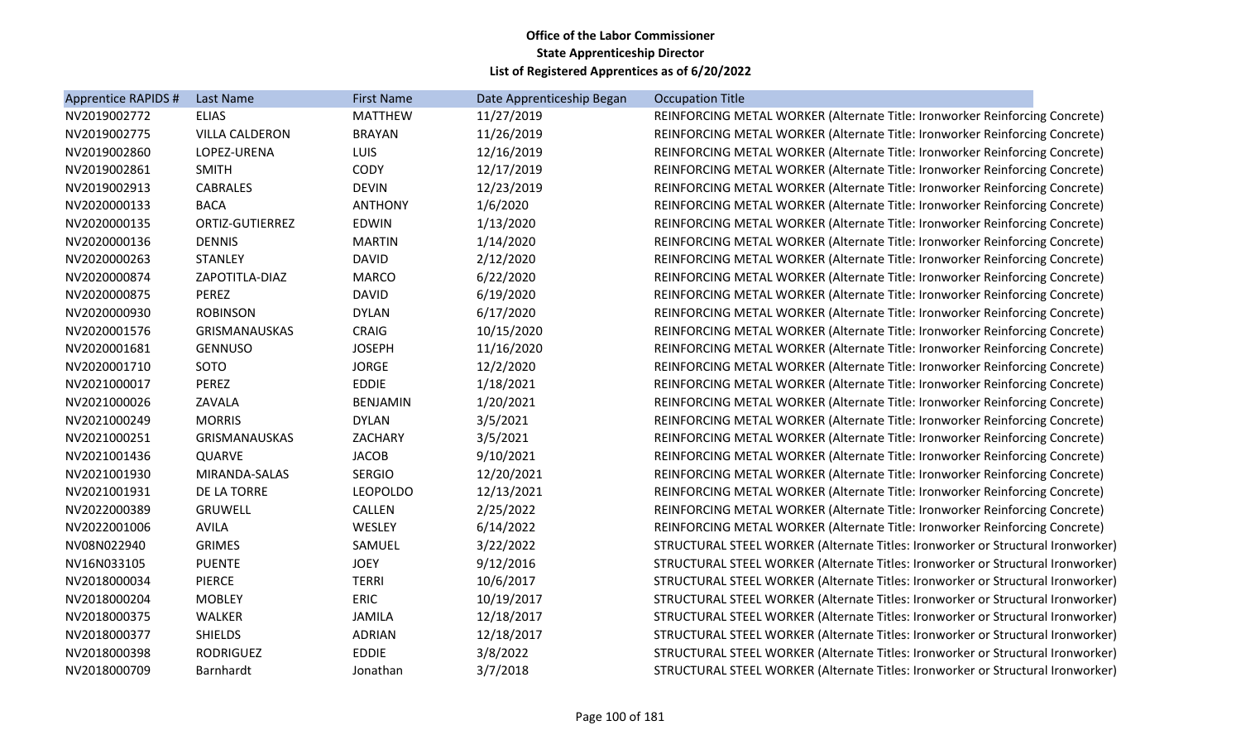| Apprentice RAPIDS # | Last Name             | <b>First Name</b> | Date Apprenticeship Began | <b>Occupation Title</b>                                                         |
|---------------------|-----------------------|-------------------|---------------------------|---------------------------------------------------------------------------------|
| NV2019002772        | <b>ELIAS</b>          | <b>MATTHEW</b>    | 11/27/2019                | REINFORCING METAL WORKER (Alternate Title: Ironworker Reinforcing Concrete)     |
| NV2019002775        | <b>VILLA CALDERON</b> | <b>BRAYAN</b>     | 11/26/2019                | REINFORCING METAL WORKER (Alternate Title: Ironworker Reinforcing Concrete)     |
| NV2019002860        | LOPEZ-URENA           | <b>LUIS</b>       | 12/16/2019                | REINFORCING METAL WORKER (Alternate Title: Ironworker Reinforcing Concrete)     |
| NV2019002861        | <b>SMITH</b>          | CODY              | 12/17/2019                | REINFORCING METAL WORKER (Alternate Title: Ironworker Reinforcing Concrete)     |
| NV2019002913        | <b>CABRALES</b>       | <b>DEVIN</b>      | 12/23/2019                | REINFORCING METAL WORKER (Alternate Title: Ironworker Reinforcing Concrete)     |
| NV2020000133        | <b>BACA</b>           | <b>ANTHONY</b>    | 1/6/2020                  | REINFORCING METAL WORKER (Alternate Title: Ironworker Reinforcing Concrete)     |
| NV2020000135        | ORTIZ-GUTIERREZ       | <b>EDWIN</b>      | 1/13/2020                 | REINFORCING METAL WORKER (Alternate Title: Ironworker Reinforcing Concrete)     |
| NV2020000136        | <b>DENNIS</b>         | <b>MARTIN</b>     | 1/14/2020                 | REINFORCING METAL WORKER (Alternate Title: Ironworker Reinforcing Concrete)     |
| NV2020000263        | <b>STANLEY</b>        | <b>DAVID</b>      | 2/12/2020                 | REINFORCING METAL WORKER (Alternate Title: Ironworker Reinforcing Concrete)     |
| NV2020000874        | ZAPOTITLA-DIAZ        | <b>MARCO</b>      | 6/22/2020                 | REINFORCING METAL WORKER (Alternate Title: Ironworker Reinforcing Concrete)     |
| NV2020000875        | <b>PEREZ</b>          | <b>DAVID</b>      | 6/19/2020                 | REINFORCING METAL WORKER (Alternate Title: Ironworker Reinforcing Concrete)     |
| NV2020000930        | <b>ROBINSON</b>       | <b>DYLAN</b>      | 6/17/2020                 | REINFORCING METAL WORKER (Alternate Title: Ironworker Reinforcing Concrete)     |
| NV2020001576        | <b>GRISMANAUSKAS</b>  | CRAIG             | 10/15/2020                | REINFORCING METAL WORKER (Alternate Title: Ironworker Reinforcing Concrete)     |
| NV2020001681        | <b>GENNUSO</b>        | <b>JOSEPH</b>     | 11/16/2020                | REINFORCING METAL WORKER (Alternate Title: Ironworker Reinforcing Concrete)     |
| NV2020001710        | SOTO                  | <b>JORGE</b>      | 12/2/2020                 | REINFORCING METAL WORKER (Alternate Title: Ironworker Reinforcing Concrete)     |
| NV2021000017        | PEREZ                 | <b>EDDIE</b>      | 1/18/2021                 | REINFORCING METAL WORKER (Alternate Title: Ironworker Reinforcing Concrete)     |
| NV2021000026        | ZAVALA                | <b>BENJAMIN</b>   | 1/20/2021                 | REINFORCING METAL WORKER (Alternate Title: Ironworker Reinforcing Concrete)     |
| NV2021000249        | <b>MORRIS</b>         | <b>DYLAN</b>      | 3/5/2021                  | REINFORCING METAL WORKER (Alternate Title: Ironworker Reinforcing Concrete)     |
| NV2021000251        | GRISMANAUSKAS         | ZACHARY           | 3/5/2021                  | REINFORCING METAL WORKER (Alternate Title: Ironworker Reinforcing Concrete)     |
| NV2021001436        | <b>QUARVE</b>         | <b>JACOB</b>      | 9/10/2021                 | REINFORCING METAL WORKER (Alternate Title: Ironworker Reinforcing Concrete)     |
| NV2021001930        | MIRANDA-SALAS         | <b>SERGIO</b>     | 12/20/2021                | REINFORCING METAL WORKER (Alternate Title: Ironworker Reinforcing Concrete)     |
| NV2021001931        | DE LA TORRE           | <b>LEOPOLDO</b>   | 12/13/2021                | REINFORCING METAL WORKER (Alternate Title: Ironworker Reinforcing Concrete)     |
| NV2022000389        | <b>GRUWELL</b>        | CALLEN            | 2/25/2022                 | REINFORCING METAL WORKER (Alternate Title: Ironworker Reinforcing Concrete)     |
| NV2022001006        | <b>AVILA</b>          | WESLEY            | 6/14/2022                 | REINFORCING METAL WORKER (Alternate Title: Ironworker Reinforcing Concrete)     |
| NV08N022940         | <b>GRIMES</b>         | SAMUEL            | 3/22/2022                 | STRUCTURAL STEEL WORKER (Alternate Titles: Ironworker or Structural Ironworker) |
| NV16N033105         | <b>PUENTE</b>         | <b>JOEY</b>       | 9/12/2016                 | STRUCTURAL STEEL WORKER (Alternate Titles: Ironworker or Structural Ironworker) |
| NV2018000034        | <b>PIERCE</b>         | <b>TERRI</b>      | 10/6/2017                 | STRUCTURAL STEEL WORKER (Alternate Titles: Ironworker or Structural Ironworker) |
| NV2018000204        | <b>MOBLEY</b>         | <b>ERIC</b>       | 10/19/2017                | STRUCTURAL STEEL WORKER (Alternate Titles: Ironworker or Structural Ironworker) |
| NV2018000375        | <b>WALKER</b>         | <b>JAMILA</b>     | 12/18/2017                | STRUCTURAL STEEL WORKER (Alternate Titles: Ironworker or Structural Ironworker) |
| NV2018000377        | <b>SHIELDS</b>        | <b>ADRIAN</b>     | 12/18/2017                | STRUCTURAL STEEL WORKER (Alternate Titles: Ironworker or Structural Ironworker) |
| NV2018000398        | <b>RODRIGUEZ</b>      | <b>EDDIE</b>      | 3/8/2022                  | STRUCTURAL STEEL WORKER (Alternate Titles: Ironworker or Structural Ironworker) |
| NV2018000709        | Barnhardt             | Jonathan          | 3/7/2018                  | STRUCTURAL STEEL WORKER (Alternate Titles: Ironworker or Structural Ironworker) |
|                     |                       |                   |                           |                                                                                 |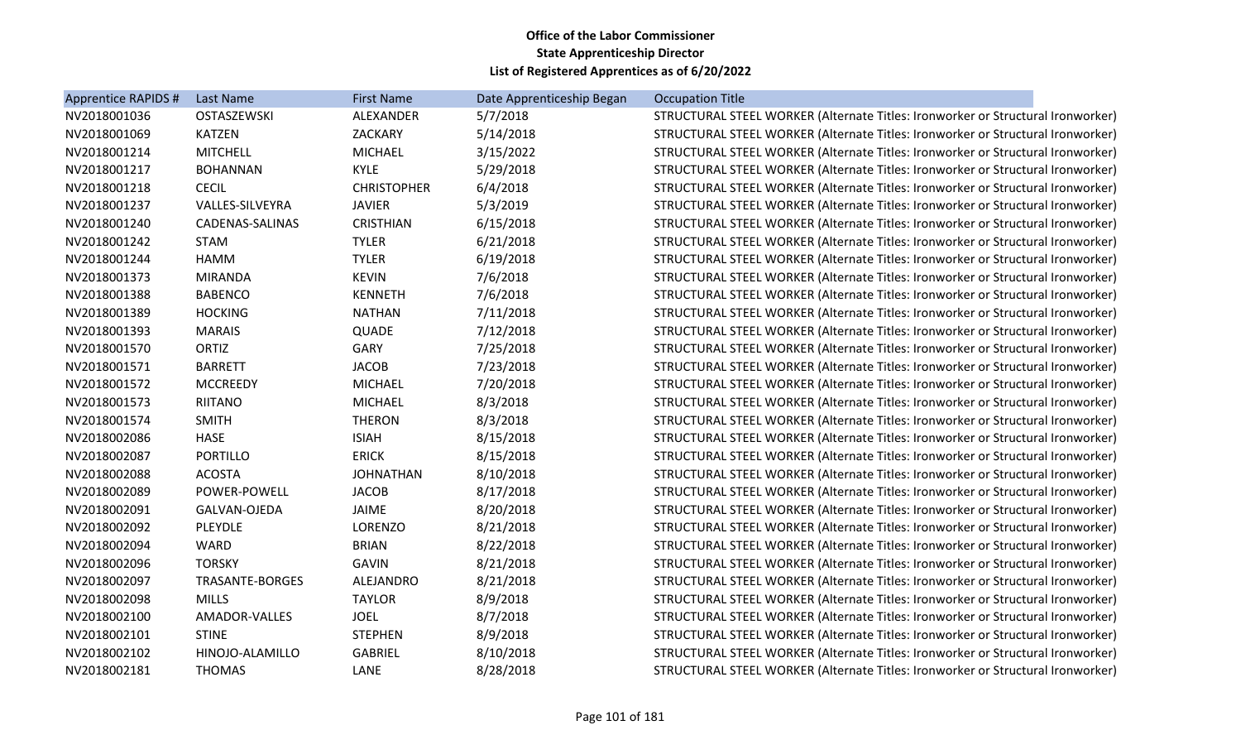| Apprentice RAPIDS # | Last Name       | <b>First Name</b>  | Date Apprenticeship Began | <b>Occupation Title</b>                                                         |
|---------------------|-----------------|--------------------|---------------------------|---------------------------------------------------------------------------------|
| NV2018001036        | OSTASZEWSKI     | ALEXANDER          | 5/7/2018                  | STRUCTURAL STEEL WORKER (Alternate Titles: Ironworker or Structural Ironworker) |
| NV2018001069        | <b>KATZEN</b>   | ZACKARY            | 5/14/2018                 | STRUCTURAL STEEL WORKER (Alternate Titles: Ironworker or Structural Ironworker) |
| NV2018001214        | <b>MITCHELL</b> | <b>MICHAEL</b>     | 3/15/2022                 | STRUCTURAL STEEL WORKER (Alternate Titles: Ironworker or Structural Ironworker) |
| NV2018001217        | <b>BOHANNAN</b> | <b>KYLE</b>        | 5/29/2018                 | STRUCTURAL STEEL WORKER (Alternate Titles: Ironworker or Structural Ironworker) |
| NV2018001218        | <b>CECIL</b>    | <b>CHRISTOPHER</b> | 6/4/2018                  | STRUCTURAL STEEL WORKER (Alternate Titles: Ironworker or Structural Ironworker) |
| NV2018001237        | VALLES-SILVEYRA | <b>JAVIER</b>      | 5/3/2019                  | STRUCTURAL STEEL WORKER (Alternate Titles: Ironworker or Structural Ironworker) |
| NV2018001240        | CADENAS-SALINAS | <b>CRISTHIAN</b>   | 6/15/2018                 | STRUCTURAL STEEL WORKER (Alternate Titles: Ironworker or Structural Ironworker) |
| NV2018001242        | <b>STAM</b>     | <b>TYLER</b>       | 6/21/2018                 | STRUCTURAL STEEL WORKER (Alternate Titles: Ironworker or Structural Ironworker) |
| NV2018001244        | <b>HAMM</b>     | <b>TYLER</b>       | 6/19/2018                 | STRUCTURAL STEEL WORKER (Alternate Titles: Ironworker or Structural Ironworker) |
| NV2018001373        | <b>MIRANDA</b>  | <b>KEVIN</b>       | 7/6/2018                  | STRUCTURAL STEEL WORKER (Alternate Titles: Ironworker or Structural Ironworker) |
| NV2018001388        | <b>BABENCO</b>  | <b>KENNETH</b>     | 7/6/2018                  | STRUCTURAL STEEL WORKER (Alternate Titles: Ironworker or Structural Ironworker) |
| NV2018001389        | <b>HOCKING</b>  | <b>NATHAN</b>      | 7/11/2018                 | STRUCTURAL STEEL WORKER (Alternate Titles: Ironworker or Structural Ironworker) |
| NV2018001393        | <b>MARAIS</b>   | QUADE              | 7/12/2018                 | STRUCTURAL STEEL WORKER (Alternate Titles: Ironworker or Structural Ironworker) |
| NV2018001570        | <b>ORTIZ</b>    | GARY               | 7/25/2018                 | STRUCTURAL STEEL WORKER (Alternate Titles: Ironworker or Structural Ironworker) |
| NV2018001571        | <b>BARRETT</b>  | <b>JACOB</b>       | 7/23/2018                 | STRUCTURAL STEEL WORKER (Alternate Titles: Ironworker or Structural Ironworker) |
| NV2018001572        | <b>MCCREEDY</b> | <b>MICHAEL</b>     | 7/20/2018                 | STRUCTURAL STEEL WORKER (Alternate Titles: Ironworker or Structural Ironworker) |
| NV2018001573        | <b>RIITANO</b>  | <b>MICHAEL</b>     | 8/3/2018                  | STRUCTURAL STEEL WORKER (Alternate Titles: Ironworker or Structural Ironworker) |
| NV2018001574        | <b>SMITH</b>    | <b>THERON</b>      | 8/3/2018                  | STRUCTURAL STEEL WORKER (Alternate Titles: Ironworker or Structural Ironworker) |
| NV2018002086        | HASE            | <b>ISIAH</b>       | 8/15/2018                 | STRUCTURAL STEEL WORKER (Alternate Titles: Ironworker or Structural Ironworker) |
| NV2018002087        | <b>PORTILLO</b> | <b>ERICK</b>       | 8/15/2018                 | STRUCTURAL STEEL WORKER (Alternate Titles: Ironworker or Structural Ironworker) |
| NV2018002088        | <b>ACOSTA</b>   | <b>JOHNATHAN</b>   | 8/10/2018                 | STRUCTURAL STEEL WORKER (Alternate Titles: Ironworker or Structural Ironworker) |
| NV2018002089        | POWER-POWELL    | <b>JACOB</b>       | 8/17/2018                 | STRUCTURAL STEEL WORKER (Alternate Titles: Ironworker or Structural Ironworker) |
| NV2018002091        | GALVAN-OJEDA    | JAIME              | 8/20/2018                 | STRUCTURAL STEEL WORKER (Alternate Titles: Ironworker or Structural Ironworker) |
| NV2018002092        | <b>PLEYDLE</b>  | <b>LORENZO</b>     | 8/21/2018                 | STRUCTURAL STEEL WORKER (Alternate Titles: Ironworker or Structural Ironworker) |
| NV2018002094        | <b>WARD</b>     | <b>BRIAN</b>       | 8/22/2018                 | STRUCTURAL STEEL WORKER (Alternate Titles: Ironworker or Structural Ironworker) |
| NV2018002096        | <b>TORSKY</b>   | <b>GAVIN</b>       | 8/21/2018                 | STRUCTURAL STEEL WORKER (Alternate Titles: Ironworker or Structural Ironworker) |
| NV2018002097        | TRASANTE-BORGES | ALEJANDRO          | 8/21/2018                 | STRUCTURAL STEEL WORKER (Alternate Titles: Ironworker or Structural Ironworker) |
| NV2018002098        | <b>MILLS</b>    | <b>TAYLOR</b>      | 8/9/2018                  | STRUCTURAL STEEL WORKER (Alternate Titles: Ironworker or Structural Ironworker) |
| NV2018002100        | AMADOR-VALLES   | <b>JOEL</b>        | 8/7/2018                  | STRUCTURAL STEEL WORKER (Alternate Titles: Ironworker or Structural Ironworker) |
| NV2018002101        | <b>STINE</b>    | <b>STEPHEN</b>     | 8/9/2018                  | STRUCTURAL STEEL WORKER (Alternate Titles: Ironworker or Structural Ironworker) |
| NV2018002102        | HINOJO-ALAMILLO | <b>GABRIEL</b>     | 8/10/2018                 | STRUCTURAL STEEL WORKER (Alternate Titles: Ironworker or Structural Ironworker) |
| NV2018002181        | <b>THOMAS</b>   | LANE               | 8/28/2018                 | STRUCTURAL STEEL WORKER (Alternate Titles: Ironworker or Structural Ironworker) |
|                     |                 |                    |                           |                                                                                 |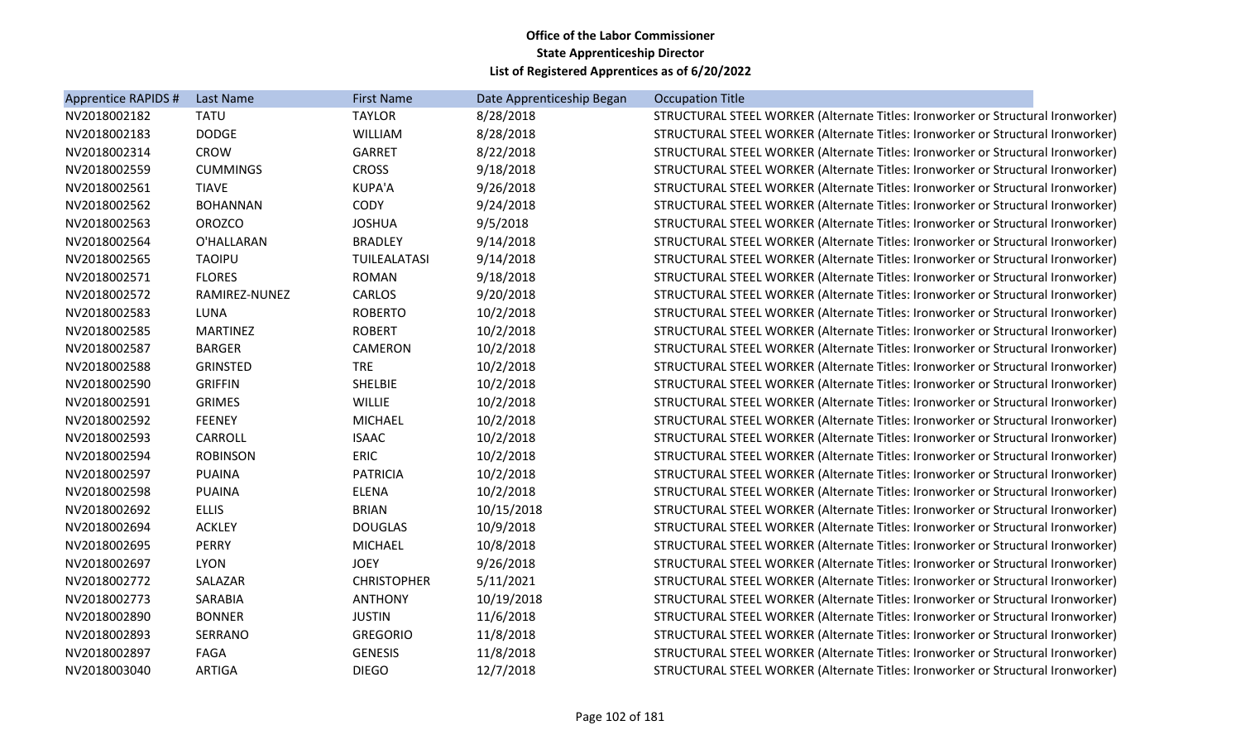| Apprentice RAPIDS # | Last Name       | <b>First Name</b>  | Date Apprenticeship Began | <b>Occupation Title</b>                                                         |
|---------------------|-----------------|--------------------|---------------------------|---------------------------------------------------------------------------------|
| NV2018002182        | <b>TATU</b>     | <b>TAYLOR</b>      | 8/28/2018                 | STRUCTURAL STEEL WORKER (Alternate Titles: Ironworker or Structural Ironworker) |
| NV2018002183        | <b>DODGE</b>    | WILLIAM            | 8/28/2018                 | STRUCTURAL STEEL WORKER (Alternate Titles: Ironworker or Structural Ironworker) |
| NV2018002314        | <b>CROW</b>     | <b>GARRET</b>      | 8/22/2018                 | STRUCTURAL STEEL WORKER (Alternate Titles: Ironworker or Structural Ironworker) |
| NV2018002559        | <b>CUMMINGS</b> | <b>CROSS</b>       | 9/18/2018                 | STRUCTURAL STEEL WORKER (Alternate Titles: Ironworker or Structural Ironworker) |
| NV2018002561        | <b>TIAVE</b>    | <b>KUPA'A</b>      | 9/26/2018                 | STRUCTURAL STEEL WORKER (Alternate Titles: Ironworker or Structural Ironworker) |
| NV2018002562        | <b>BOHANNAN</b> | CODY               | 9/24/2018                 | STRUCTURAL STEEL WORKER (Alternate Titles: Ironworker or Structural Ironworker) |
| NV2018002563        | <b>OROZCO</b>   | <b>JOSHUA</b>      | 9/5/2018                  | STRUCTURAL STEEL WORKER (Alternate Titles: Ironworker or Structural Ironworker) |
| NV2018002564        | O'HALLARAN      | <b>BRADLEY</b>     | 9/14/2018                 | STRUCTURAL STEEL WORKER (Alternate Titles: Ironworker or Structural Ironworker) |
| NV2018002565        | <b>TAOIPU</b>   | TUILEALATASI       | 9/14/2018                 | STRUCTURAL STEEL WORKER (Alternate Titles: Ironworker or Structural Ironworker) |
| NV2018002571        | <b>FLORES</b>   | <b>ROMAN</b>       | 9/18/2018                 | STRUCTURAL STEEL WORKER (Alternate Titles: Ironworker or Structural Ironworker) |
| NV2018002572        | RAMIREZ-NUNEZ   | <b>CARLOS</b>      | 9/20/2018                 | STRUCTURAL STEEL WORKER (Alternate Titles: Ironworker or Structural Ironworker) |
| NV2018002583        | LUNA            | <b>ROBERTO</b>     | 10/2/2018                 | STRUCTURAL STEEL WORKER (Alternate Titles: Ironworker or Structural Ironworker) |
| NV2018002585        | <b>MARTINEZ</b> | <b>ROBERT</b>      | 10/2/2018                 | STRUCTURAL STEEL WORKER (Alternate Titles: Ironworker or Structural Ironworker) |
| NV2018002587        | <b>BARGER</b>   | CAMERON            | 10/2/2018                 | STRUCTURAL STEEL WORKER (Alternate Titles: Ironworker or Structural Ironworker) |
| NV2018002588        | <b>GRINSTED</b> | <b>TRE</b>         | 10/2/2018                 | STRUCTURAL STEEL WORKER (Alternate Titles: Ironworker or Structural Ironworker) |
| NV2018002590        | <b>GRIFFIN</b>  | <b>SHELBIE</b>     | 10/2/2018                 | STRUCTURAL STEEL WORKER (Alternate Titles: Ironworker or Structural Ironworker) |
| NV2018002591        | <b>GRIMES</b>   | <b>WILLIE</b>      | 10/2/2018                 | STRUCTURAL STEEL WORKER (Alternate Titles: Ironworker or Structural Ironworker) |
| NV2018002592        | <b>FEENEY</b>   | <b>MICHAEL</b>     | 10/2/2018                 | STRUCTURAL STEEL WORKER (Alternate Titles: Ironworker or Structural Ironworker) |
| NV2018002593        | CARROLL         | <b>ISAAC</b>       | 10/2/2018                 | STRUCTURAL STEEL WORKER (Alternate Titles: Ironworker or Structural Ironworker) |
| NV2018002594        | <b>ROBINSON</b> | <b>ERIC</b>        | 10/2/2018                 | STRUCTURAL STEEL WORKER (Alternate Titles: Ironworker or Structural Ironworker) |
| NV2018002597        | <b>PUAINA</b>   | <b>PATRICIA</b>    | 10/2/2018                 | STRUCTURAL STEEL WORKER (Alternate Titles: Ironworker or Structural Ironworker) |
| NV2018002598        | <b>PUAINA</b>   | <b>ELENA</b>       | 10/2/2018                 | STRUCTURAL STEEL WORKER (Alternate Titles: Ironworker or Structural Ironworker) |
| NV2018002692        | <b>ELLIS</b>    | <b>BRIAN</b>       | 10/15/2018                | STRUCTURAL STEEL WORKER (Alternate Titles: Ironworker or Structural Ironworker) |
| NV2018002694        | <b>ACKLEY</b>   | <b>DOUGLAS</b>     | 10/9/2018                 | STRUCTURAL STEEL WORKER (Alternate Titles: Ironworker or Structural Ironworker) |
| NV2018002695        | <b>PERRY</b>    | <b>MICHAEL</b>     | 10/8/2018                 | STRUCTURAL STEEL WORKER (Alternate Titles: Ironworker or Structural Ironworker) |
| NV2018002697        | <b>LYON</b>     | <b>JOEY</b>        | 9/26/2018                 | STRUCTURAL STEEL WORKER (Alternate Titles: Ironworker or Structural Ironworker) |
| NV2018002772        | SALAZAR         | <b>CHRISTOPHER</b> | 5/11/2021                 | STRUCTURAL STEEL WORKER (Alternate Titles: Ironworker or Structural Ironworker) |
| NV2018002773        | SARABIA         | <b>ANTHONY</b>     | 10/19/2018                | STRUCTURAL STEEL WORKER (Alternate Titles: Ironworker or Structural Ironworker) |
| NV2018002890        | <b>BONNER</b>   | <b>JUSTIN</b>      | 11/6/2018                 | STRUCTURAL STEEL WORKER (Alternate Titles: Ironworker or Structural Ironworker) |
| NV2018002893        | SERRANO         | <b>GREGORIO</b>    | 11/8/2018                 | STRUCTURAL STEEL WORKER (Alternate Titles: Ironworker or Structural Ironworker) |
| NV2018002897        | FAGA            | <b>GENESIS</b>     | 11/8/2018                 | STRUCTURAL STEEL WORKER (Alternate Titles: Ironworker or Structural Ironworker) |
| NV2018003040        | <b>ARTIGA</b>   | <b>DIEGO</b>       | 12/7/2018                 | STRUCTURAL STEEL WORKER (Alternate Titles: Ironworker or Structural Ironworker) |
|                     |                 |                    |                           |                                                                                 |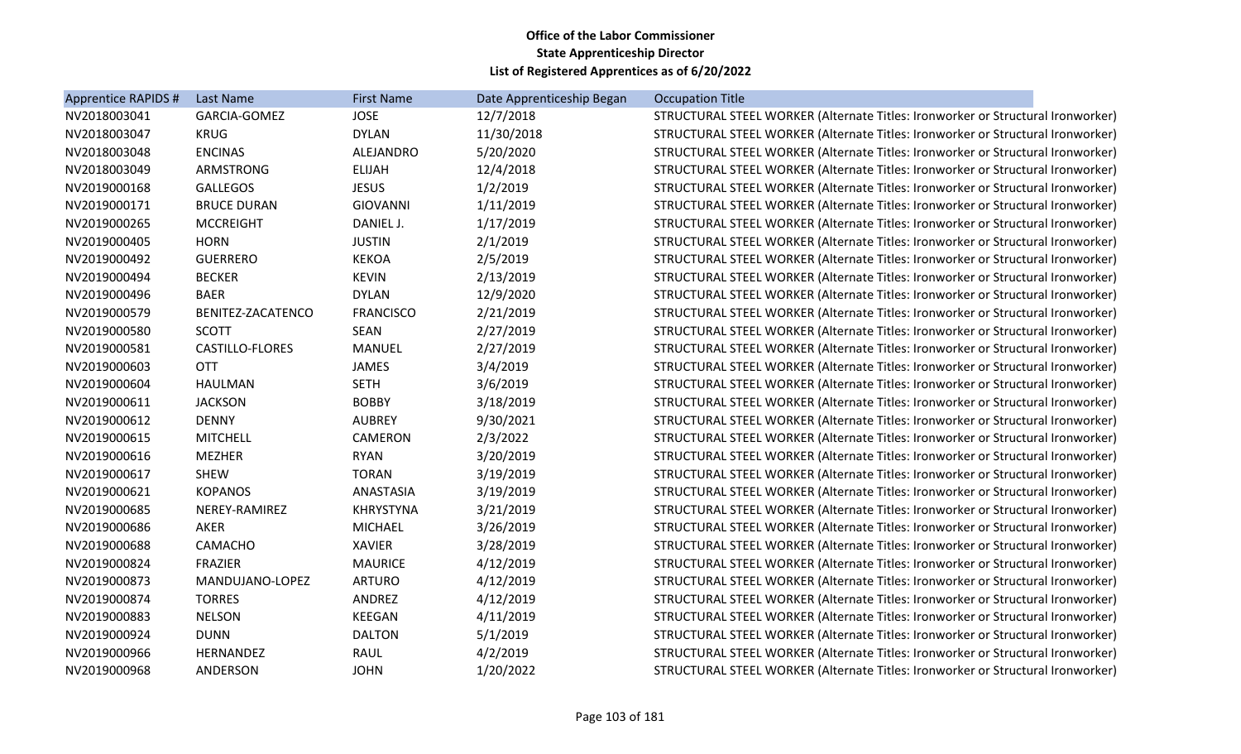| Apprentice RAPIDS # | Last Name              | <b>First Name</b> | Date Apprenticeship Began | <b>Occupation Title</b>                                                         |
|---------------------|------------------------|-------------------|---------------------------|---------------------------------------------------------------------------------|
| NV2018003041        | GARCIA-GOMEZ           | <b>JOSE</b>       | 12/7/2018                 | STRUCTURAL STEEL WORKER (Alternate Titles: Ironworker or Structural Ironworker) |
| NV2018003047        | <b>KRUG</b>            | <b>DYLAN</b>      | 11/30/2018                | STRUCTURAL STEEL WORKER (Alternate Titles: Ironworker or Structural Ironworker) |
| NV2018003048        | <b>ENCINAS</b>         | ALEJANDRO         | 5/20/2020                 | STRUCTURAL STEEL WORKER (Alternate Titles: Ironworker or Structural Ironworker) |
| NV2018003049        | <b>ARMSTRONG</b>       | <b>ELIJAH</b>     | 12/4/2018                 | STRUCTURAL STEEL WORKER (Alternate Titles: Ironworker or Structural Ironworker) |
| NV2019000168        | <b>GALLEGOS</b>        | <b>JESUS</b>      | 1/2/2019                  | STRUCTURAL STEEL WORKER (Alternate Titles: Ironworker or Structural Ironworker) |
| NV2019000171        | <b>BRUCE DURAN</b>     | <b>GIOVANNI</b>   | 1/11/2019                 | STRUCTURAL STEEL WORKER (Alternate Titles: Ironworker or Structural Ironworker) |
| NV2019000265        | <b>MCCREIGHT</b>       | DANIEL J.         | 1/17/2019                 | STRUCTURAL STEEL WORKER (Alternate Titles: Ironworker or Structural Ironworker) |
| NV2019000405        | <b>HORN</b>            | <b>JUSTIN</b>     | 2/1/2019                  | STRUCTURAL STEEL WORKER (Alternate Titles: Ironworker or Structural Ironworker) |
| NV2019000492        | <b>GUERRERO</b>        | <b>KEKOA</b>      | 2/5/2019                  | STRUCTURAL STEEL WORKER (Alternate Titles: Ironworker or Structural Ironworker) |
| NV2019000494        | <b>BECKER</b>          | <b>KEVIN</b>      | 2/13/2019                 | STRUCTURAL STEEL WORKER (Alternate Titles: Ironworker or Structural Ironworker) |
| NV2019000496        | <b>BAER</b>            | <b>DYLAN</b>      | 12/9/2020                 | STRUCTURAL STEEL WORKER (Alternate Titles: Ironworker or Structural Ironworker) |
| NV2019000579        | BENITEZ-ZACATENCO      | <b>FRANCISCO</b>  | 2/21/2019                 | STRUCTURAL STEEL WORKER (Alternate Titles: Ironworker or Structural Ironworker) |
| NV2019000580        | <b>SCOTT</b>           | SEAN              | 2/27/2019                 | STRUCTURAL STEEL WORKER (Alternate Titles: Ironworker or Structural Ironworker) |
| NV2019000581        | <b>CASTILLO-FLORES</b> | MANUEL            | 2/27/2019                 | STRUCTURAL STEEL WORKER (Alternate Titles: Ironworker or Structural Ironworker) |
| NV2019000603        | <b>OTT</b>             | JAMES             | 3/4/2019                  | STRUCTURAL STEEL WORKER (Alternate Titles: Ironworker or Structural Ironworker) |
| NV2019000604        | HAULMAN                | <b>SETH</b>       | 3/6/2019                  | STRUCTURAL STEEL WORKER (Alternate Titles: Ironworker or Structural Ironworker) |
| NV2019000611        | <b>JACKSON</b>         | <b>BOBBY</b>      | 3/18/2019                 | STRUCTURAL STEEL WORKER (Alternate Titles: Ironworker or Structural Ironworker) |
| NV2019000612        | <b>DENNY</b>           | <b>AUBREY</b>     | 9/30/2021                 | STRUCTURAL STEEL WORKER (Alternate Titles: Ironworker or Structural Ironworker) |
| NV2019000615        | <b>MITCHELL</b>        | CAMERON           | 2/3/2022                  | STRUCTURAL STEEL WORKER (Alternate Titles: Ironworker or Structural Ironworker) |
| NV2019000616        | <b>MEZHER</b>          | <b>RYAN</b>       | 3/20/2019                 | STRUCTURAL STEEL WORKER (Alternate Titles: Ironworker or Structural Ironworker) |
| NV2019000617        | <b>SHEW</b>            | <b>TORAN</b>      | 3/19/2019                 | STRUCTURAL STEEL WORKER (Alternate Titles: Ironworker or Structural Ironworker) |
| NV2019000621        | <b>KOPANOS</b>         | ANASTASIA         | 3/19/2019                 | STRUCTURAL STEEL WORKER (Alternate Titles: Ironworker or Structural Ironworker) |
| NV2019000685        | NEREY-RAMIREZ          | <b>KHRYSTYNA</b>  | 3/21/2019                 | STRUCTURAL STEEL WORKER (Alternate Titles: Ironworker or Structural Ironworker) |
| NV2019000686        | AKER                   | <b>MICHAEL</b>    | 3/26/2019                 | STRUCTURAL STEEL WORKER (Alternate Titles: Ironworker or Structural Ironworker) |
| NV2019000688        | CAMACHO                | <b>XAVIER</b>     | 3/28/2019                 | STRUCTURAL STEEL WORKER (Alternate Titles: Ironworker or Structural Ironworker) |
| NV2019000824        | FRAZIER                | <b>MAURICE</b>    | 4/12/2019                 | STRUCTURAL STEEL WORKER (Alternate Titles: Ironworker or Structural Ironworker) |
| NV2019000873        | MANDUJANO-LOPEZ        | <b>ARTURO</b>     | 4/12/2019                 | STRUCTURAL STEEL WORKER (Alternate Titles: Ironworker or Structural Ironworker) |
| NV2019000874        | <b>TORRES</b>          | ANDREZ            | 4/12/2019                 | STRUCTURAL STEEL WORKER (Alternate Titles: Ironworker or Structural Ironworker) |
| NV2019000883        | <b>NELSON</b>          | <b>KEEGAN</b>     | 4/11/2019                 | STRUCTURAL STEEL WORKER (Alternate Titles: Ironworker or Structural Ironworker) |
| NV2019000924        | <b>DUNN</b>            | <b>DALTON</b>     | 5/1/2019                  | STRUCTURAL STEEL WORKER (Alternate Titles: Ironworker or Structural Ironworker) |
| NV2019000966        | HERNANDEZ              | RAUL              | 4/2/2019                  | STRUCTURAL STEEL WORKER (Alternate Titles: Ironworker or Structural Ironworker) |
| NV2019000968        | ANDERSON               | <b>JOHN</b>       | 1/20/2022                 | STRUCTURAL STEEL WORKER (Alternate Titles: Ironworker or Structural Ironworker) |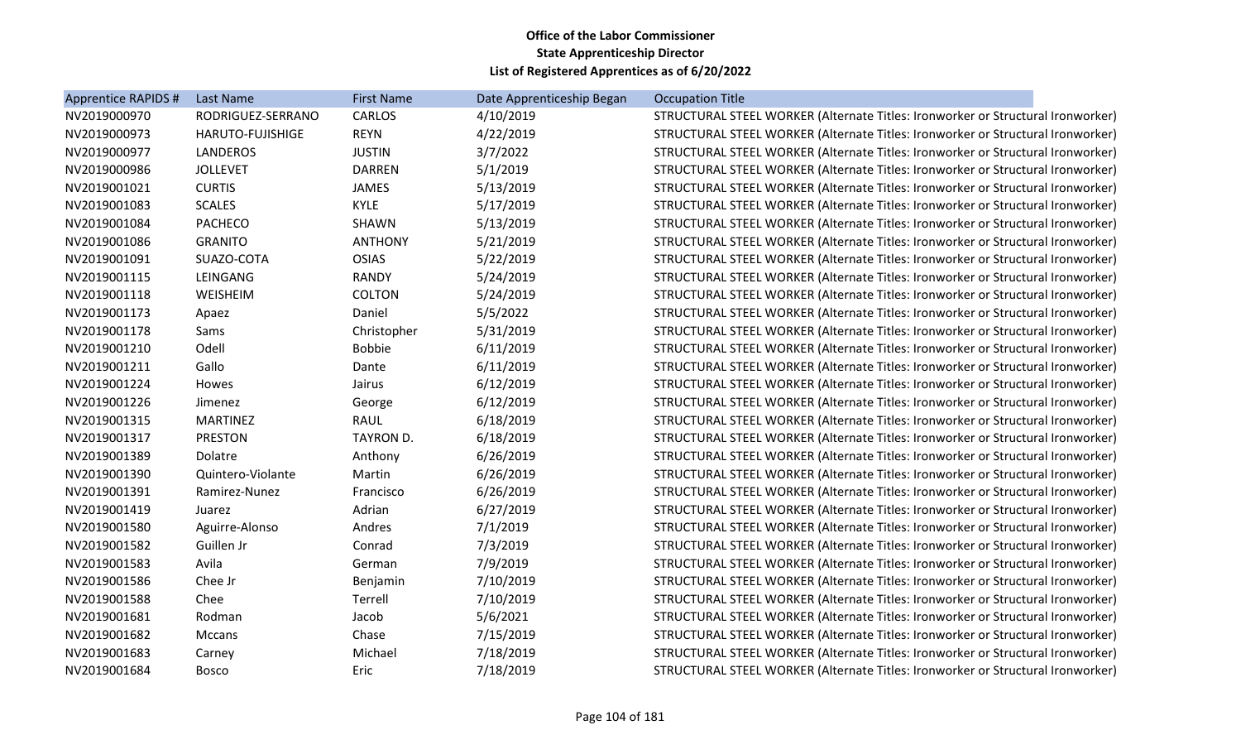| Apprentice RAPIDS # | Last Name         | <b>First Name</b> | Date Apprenticeship Began | <b>Occupation Title</b>                                                         |
|---------------------|-------------------|-------------------|---------------------------|---------------------------------------------------------------------------------|
| NV2019000970        | RODRIGUEZ-SERRANO | <b>CARLOS</b>     | 4/10/2019                 | STRUCTURAL STEEL WORKER (Alternate Titles: Ironworker or Structural Ironworker) |
| NV2019000973        | HARUTO-FUJISHIGE  | <b>REYN</b>       | 4/22/2019                 | STRUCTURAL STEEL WORKER (Alternate Titles: Ironworker or Structural Ironworker) |
| NV2019000977        | <b>LANDEROS</b>   | <b>JUSTIN</b>     | 3/7/2022                  | STRUCTURAL STEEL WORKER (Alternate Titles: Ironworker or Structural Ironworker) |
| NV2019000986        | <b>JOLLEVET</b>   | <b>DARREN</b>     | 5/1/2019                  | STRUCTURAL STEEL WORKER (Alternate Titles: Ironworker or Structural Ironworker) |
| NV2019001021        | <b>CURTIS</b>     | JAMES             | 5/13/2019                 | STRUCTURAL STEEL WORKER (Alternate Titles: Ironworker or Structural Ironworker) |
| NV2019001083        | <b>SCALES</b>     | <b>KYLE</b>       | 5/17/2019                 | STRUCTURAL STEEL WORKER (Alternate Titles: Ironworker or Structural Ironworker) |
| NV2019001084        | <b>PACHECO</b>    | SHAWN             | 5/13/2019                 | STRUCTURAL STEEL WORKER (Alternate Titles: Ironworker or Structural Ironworker) |
| NV2019001086        | <b>GRANITO</b>    | <b>ANTHONY</b>    | 5/21/2019                 | STRUCTURAL STEEL WORKER (Alternate Titles: Ironworker or Structural Ironworker) |
| NV2019001091        | SUAZO-COTA        | <b>OSIAS</b>      | 5/22/2019                 | STRUCTURAL STEEL WORKER (Alternate Titles: Ironworker or Structural Ironworker) |
| NV2019001115        | LEINGANG          | <b>RANDY</b>      | 5/24/2019                 | STRUCTURAL STEEL WORKER (Alternate Titles: Ironworker or Structural Ironworker) |
| NV2019001118        | WEISHEIM          | <b>COLTON</b>     | 5/24/2019                 | STRUCTURAL STEEL WORKER (Alternate Titles: Ironworker or Structural Ironworker) |
| NV2019001173        | Apaez             | Daniel            | 5/5/2022                  | STRUCTURAL STEEL WORKER (Alternate Titles: Ironworker or Structural Ironworker) |
| NV2019001178        | Sams              | Christopher       | 5/31/2019                 | STRUCTURAL STEEL WORKER (Alternate Titles: Ironworker or Structural Ironworker) |
| NV2019001210        | Odell             | <b>Bobbie</b>     | 6/11/2019                 | STRUCTURAL STEEL WORKER (Alternate Titles: Ironworker or Structural Ironworker) |
| NV2019001211        | Gallo             | Dante             | 6/11/2019                 | STRUCTURAL STEEL WORKER (Alternate Titles: Ironworker or Structural Ironworker) |
| NV2019001224        | Howes             | Jairus            | 6/12/2019                 | STRUCTURAL STEEL WORKER (Alternate Titles: Ironworker or Structural Ironworker) |
| NV2019001226        | Jimenez           | George            | 6/12/2019                 | STRUCTURAL STEEL WORKER (Alternate Titles: Ironworker or Structural Ironworker) |
| NV2019001315        | <b>MARTINEZ</b>   | <b>RAUL</b>       | 6/18/2019                 | STRUCTURAL STEEL WORKER (Alternate Titles: Ironworker or Structural Ironworker) |
| NV2019001317        | <b>PRESTON</b>    | <b>TAYRON D.</b>  | 6/18/2019                 | STRUCTURAL STEEL WORKER (Alternate Titles: Ironworker or Structural Ironworker) |
| NV2019001389        | Dolatre           | Anthony           | 6/26/2019                 | STRUCTURAL STEEL WORKER (Alternate Titles: Ironworker or Structural Ironworker) |
| NV2019001390        | Quintero-Violante | Martin            | 6/26/2019                 | STRUCTURAL STEEL WORKER (Alternate Titles: Ironworker or Structural Ironworker) |
| NV2019001391        | Ramirez-Nunez     | Francisco         | 6/26/2019                 | STRUCTURAL STEEL WORKER (Alternate Titles: Ironworker or Structural Ironworker) |
| NV2019001419        | Juarez            | Adrian            | 6/27/2019                 | STRUCTURAL STEEL WORKER (Alternate Titles: Ironworker or Structural Ironworker) |
| NV2019001580        | Aguirre-Alonso    | Andres            | 7/1/2019                  | STRUCTURAL STEEL WORKER (Alternate Titles: Ironworker or Structural Ironworker) |
| NV2019001582        | Guillen Jr        | Conrad            | 7/3/2019                  | STRUCTURAL STEEL WORKER (Alternate Titles: Ironworker or Structural Ironworker) |
| NV2019001583        | Avila             | German            | 7/9/2019                  | STRUCTURAL STEEL WORKER (Alternate Titles: Ironworker or Structural Ironworker) |
| NV2019001586        | Chee Jr           | Benjamin          | 7/10/2019                 | STRUCTURAL STEEL WORKER (Alternate Titles: Ironworker or Structural Ironworker) |
| NV2019001588        | Chee              | Terrell           | 7/10/2019                 | STRUCTURAL STEEL WORKER (Alternate Titles: Ironworker or Structural Ironworker) |
| NV2019001681        | Rodman            | Jacob             | 5/6/2021                  | STRUCTURAL STEEL WORKER (Alternate Titles: Ironworker or Structural Ironworker) |
| NV2019001682        | Mccans            | Chase             | 7/15/2019                 | STRUCTURAL STEEL WORKER (Alternate Titles: Ironworker or Structural Ironworker) |
| NV2019001683        | Carney            | Michael           | 7/18/2019                 | STRUCTURAL STEEL WORKER (Alternate Titles: Ironworker or Structural Ironworker) |
| NV2019001684        | <b>Bosco</b>      | Eric              | 7/18/2019                 | STRUCTURAL STEEL WORKER (Alternate Titles: Ironworker or Structural Ironworker) |
|                     |                   |                   |                           |                                                                                 |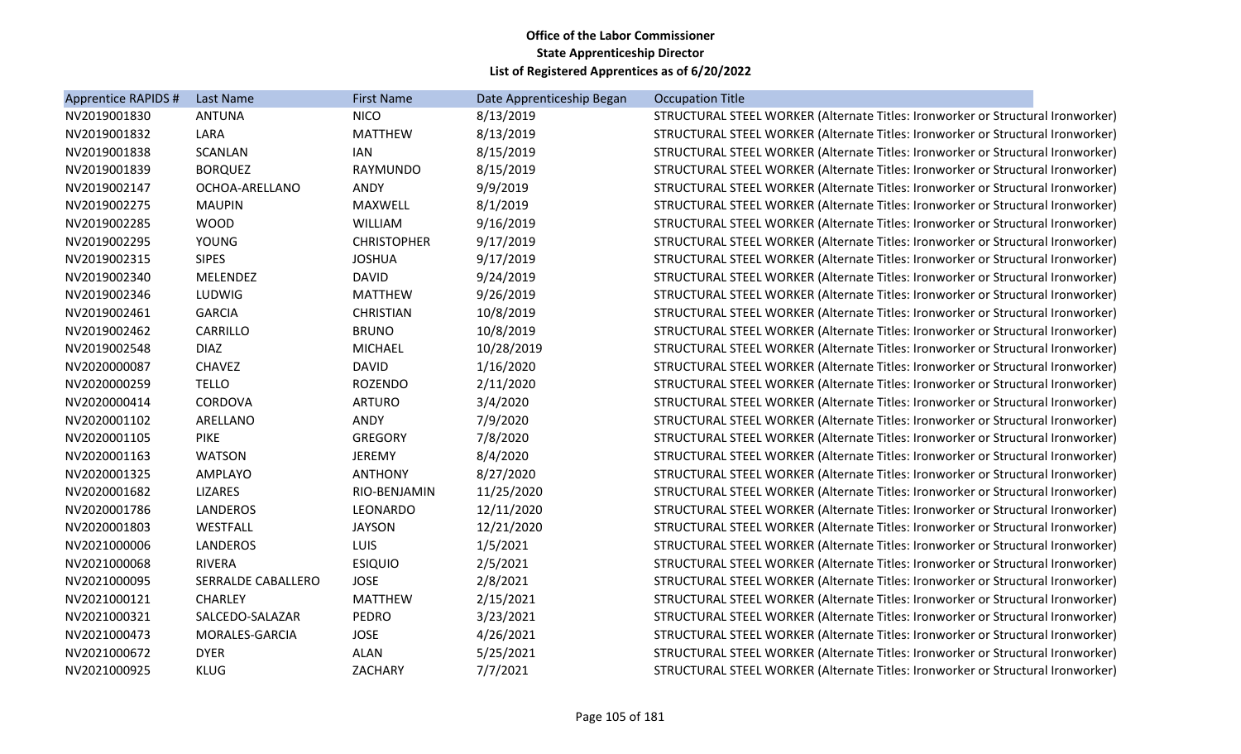| Apprentice RAPIDS # | Last Name                 | <b>First Name</b>  | Date Apprenticeship Began | <b>Occupation Title</b>                                                         |
|---------------------|---------------------------|--------------------|---------------------------|---------------------------------------------------------------------------------|
| NV2019001830        | <b>ANTUNA</b>             | <b>NICO</b>        | 8/13/2019                 | STRUCTURAL STEEL WORKER (Alternate Titles: Ironworker or Structural Ironworker) |
| NV2019001832        | LARA                      | <b>MATTHEW</b>     | 8/13/2019                 | STRUCTURAL STEEL WORKER (Alternate Titles: Ironworker or Structural Ironworker) |
| NV2019001838        | <b>SCANLAN</b>            | <b>IAN</b>         | 8/15/2019                 | STRUCTURAL STEEL WORKER (Alternate Titles: Ironworker or Structural Ironworker) |
| NV2019001839        | <b>BORQUEZ</b>            | RAYMUNDO           | 8/15/2019                 | STRUCTURAL STEEL WORKER (Alternate Titles: Ironworker or Structural Ironworker) |
| NV2019002147        | OCHOA-ARELLANO            | ANDY               | 9/9/2019                  | STRUCTURAL STEEL WORKER (Alternate Titles: Ironworker or Structural Ironworker) |
| NV2019002275        | <b>MAUPIN</b>             | MAXWELL            | 8/1/2019                  | STRUCTURAL STEEL WORKER (Alternate Titles: Ironworker or Structural Ironworker) |
| NV2019002285        | <b>WOOD</b>               | <b>WILLIAM</b>     | 9/16/2019                 | STRUCTURAL STEEL WORKER (Alternate Titles: Ironworker or Structural Ironworker) |
| NV2019002295        | <b>YOUNG</b>              | <b>CHRISTOPHER</b> | 9/17/2019                 | STRUCTURAL STEEL WORKER (Alternate Titles: Ironworker or Structural Ironworker) |
| NV2019002315        | <b>SIPES</b>              | <b>JOSHUA</b>      | 9/17/2019                 | STRUCTURAL STEEL WORKER (Alternate Titles: Ironworker or Structural Ironworker) |
| NV2019002340        | MELENDEZ                  | <b>DAVID</b>       | 9/24/2019                 | STRUCTURAL STEEL WORKER (Alternate Titles: Ironworker or Structural Ironworker) |
| NV2019002346        | LUDWIG                    | <b>MATTHEW</b>     | 9/26/2019                 | STRUCTURAL STEEL WORKER (Alternate Titles: Ironworker or Structural Ironworker) |
| NV2019002461        | <b>GARCIA</b>             | <b>CHRISTIAN</b>   | 10/8/2019                 | STRUCTURAL STEEL WORKER (Alternate Titles: Ironworker or Structural Ironworker) |
| NV2019002462        | CARRILLO                  | <b>BRUNO</b>       | 10/8/2019                 | STRUCTURAL STEEL WORKER (Alternate Titles: Ironworker or Structural Ironworker) |
| NV2019002548        | <b>DIAZ</b>               | <b>MICHAEL</b>     | 10/28/2019                | STRUCTURAL STEEL WORKER (Alternate Titles: Ironworker or Structural Ironworker) |
| NV2020000087        | <b>CHAVEZ</b>             | <b>DAVID</b>       | 1/16/2020                 | STRUCTURAL STEEL WORKER (Alternate Titles: Ironworker or Structural Ironworker) |
| NV2020000259        | <b>TELLO</b>              | <b>ROZENDO</b>     | 2/11/2020                 | STRUCTURAL STEEL WORKER (Alternate Titles: Ironworker or Structural Ironworker) |
| NV2020000414        | CORDOVA                   | <b>ARTURO</b>      | 3/4/2020                  | STRUCTURAL STEEL WORKER (Alternate Titles: Ironworker or Structural Ironworker) |
| NV2020001102        | ARELLANO                  | ANDY               | 7/9/2020                  | STRUCTURAL STEEL WORKER (Alternate Titles: Ironworker or Structural Ironworker) |
| NV2020001105        | <b>PIKE</b>               | <b>GREGORY</b>     | 7/8/2020                  | STRUCTURAL STEEL WORKER (Alternate Titles: Ironworker or Structural Ironworker) |
| NV2020001163        | <b>WATSON</b>             | <b>JEREMY</b>      | 8/4/2020                  | STRUCTURAL STEEL WORKER (Alternate Titles: Ironworker or Structural Ironworker) |
| NV2020001325        | AMPLAYO                   | <b>ANTHONY</b>     | 8/27/2020                 | STRUCTURAL STEEL WORKER (Alternate Titles: Ironworker or Structural Ironworker) |
| NV2020001682        | <b>LIZARES</b>            | RIO-BENJAMIN       | 11/25/2020                | STRUCTURAL STEEL WORKER (Alternate Titles: Ironworker or Structural Ironworker) |
| NV2020001786        | <b>LANDEROS</b>           | LEONARDO           | 12/11/2020                | STRUCTURAL STEEL WORKER (Alternate Titles: Ironworker or Structural Ironworker) |
| NV2020001803        | WESTFALL                  | <b>JAYSON</b>      | 12/21/2020                | STRUCTURAL STEEL WORKER (Alternate Titles: Ironworker or Structural Ironworker) |
| NV2021000006        | <b>LANDEROS</b>           | LUIS               | 1/5/2021                  | STRUCTURAL STEEL WORKER (Alternate Titles: Ironworker or Structural Ironworker) |
| NV2021000068        | <b>RIVERA</b>             | <b>ESIQUIO</b>     | 2/5/2021                  | STRUCTURAL STEEL WORKER (Alternate Titles: Ironworker or Structural Ironworker) |
| NV2021000095        | <b>SERRALDE CABALLERO</b> | <b>JOSE</b>        | 2/8/2021                  | STRUCTURAL STEEL WORKER (Alternate Titles: Ironworker or Structural Ironworker) |
| NV2021000121        | <b>CHARLEY</b>            | <b>MATTHEW</b>     | 2/15/2021                 | STRUCTURAL STEEL WORKER (Alternate Titles: Ironworker or Structural Ironworker) |
| NV2021000321        | SALCEDO-SALAZAR           | PEDRO              | 3/23/2021                 | STRUCTURAL STEEL WORKER (Alternate Titles: Ironworker or Structural Ironworker) |
| NV2021000473        | MORALES-GARCIA            | <b>JOSE</b>        | 4/26/2021                 | STRUCTURAL STEEL WORKER (Alternate Titles: Ironworker or Structural Ironworker) |
| NV2021000672        | <b>DYER</b>               | <b>ALAN</b>        | 5/25/2021                 | STRUCTURAL STEEL WORKER (Alternate Titles: Ironworker or Structural Ironworker) |
| NV2021000925        | <b>KLUG</b>               | ZACHARY            | 7/7/2021                  | STRUCTURAL STEEL WORKER (Alternate Titles: Ironworker or Structural Ironworker) |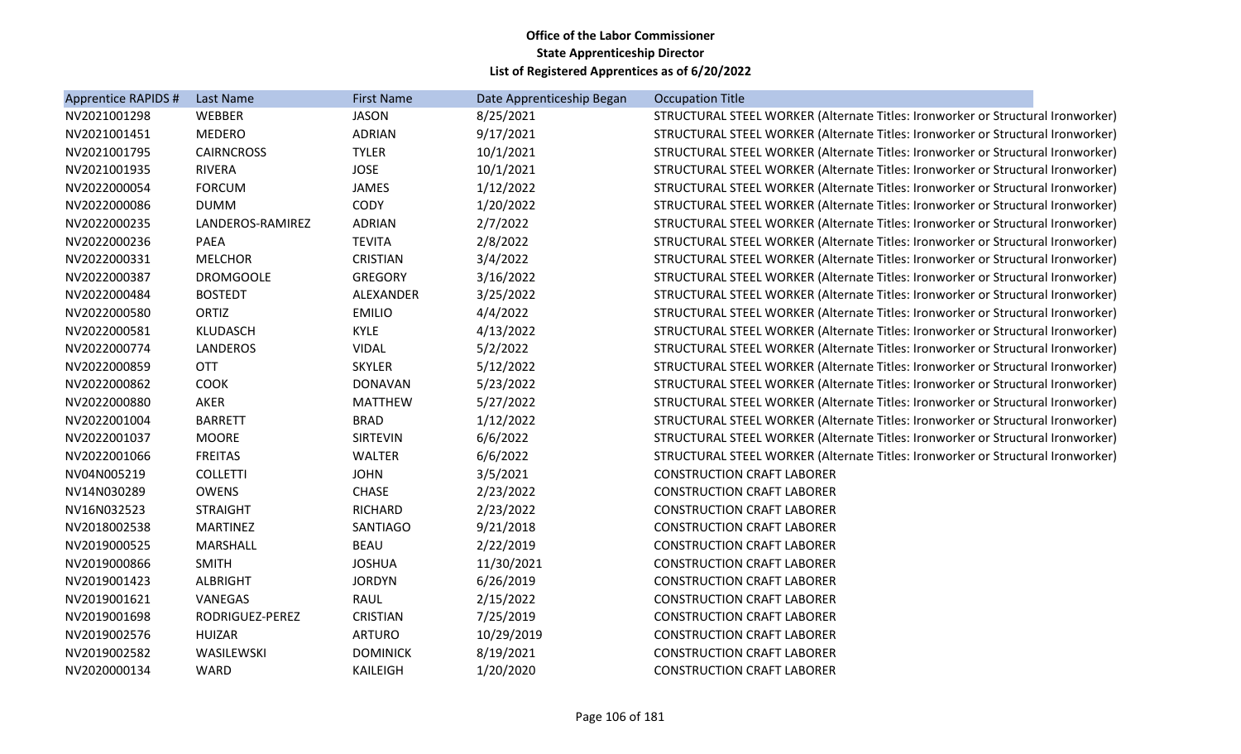| Apprentice RAPIDS # | Last Name         | <b>First Name</b> | Date Apprenticeship Began | <b>Occupation Title</b>                                                         |
|---------------------|-------------------|-------------------|---------------------------|---------------------------------------------------------------------------------|
| NV2021001298        | WEBBER            | <b>JASON</b>      | 8/25/2021                 | STRUCTURAL STEEL WORKER (Alternate Titles: Ironworker or Structural Ironworker) |
| NV2021001451        | <b>MEDERO</b>     | <b>ADRIAN</b>     | 9/17/2021                 | STRUCTURAL STEEL WORKER (Alternate Titles: Ironworker or Structural Ironworker) |
| NV2021001795        | <b>CAIRNCROSS</b> | <b>TYLER</b>      | 10/1/2021                 | STRUCTURAL STEEL WORKER (Alternate Titles: Ironworker or Structural Ironworker) |
| NV2021001935        | <b>RIVERA</b>     | <b>JOSE</b>       | 10/1/2021                 | STRUCTURAL STEEL WORKER (Alternate Titles: Ironworker or Structural Ironworker) |
| NV2022000054        | <b>FORCUM</b>     | <b>JAMES</b>      | 1/12/2022                 | STRUCTURAL STEEL WORKER (Alternate Titles: Ironworker or Structural Ironworker) |
| NV2022000086        | <b>DUMM</b>       | CODY              | 1/20/2022                 | STRUCTURAL STEEL WORKER (Alternate Titles: Ironworker or Structural Ironworker) |
| NV2022000235        | LANDEROS-RAMIREZ  | <b>ADRIAN</b>     | 2/7/2022                  | STRUCTURAL STEEL WORKER (Alternate Titles: Ironworker or Structural Ironworker) |
| NV2022000236        | <b>PAEA</b>       | <b>TEVITA</b>     | 2/8/2022                  | STRUCTURAL STEEL WORKER (Alternate Titles: Ironworker or Structural Ironworker) |
| NV2022000331        | <b>MELCHOR</b>    | <b>CRISTIAN</b>   | 3/4/2022                  | STRUCTURAL STEEL WORKER (Alternate Titles: Ironworker or Structural Ironworker) |
| NV2022000387        | <b>DROMGOOLE</b>  | <b>GREGORY</b>    | 3/16/2022                 | STRUCTURAL STEEL WORKER (Alternate Titles: Ironworker or Structural Ironworker) |
| NV2022000484        | <b>BOSTEDT</b>    | ALEXANDER         | 3/25/2022                 | STRUCTURAL STEEL WORKER (Alternate Titles: Ironworker or Structural Ironworker) |
| NV2022000580        | ORTIZ             | <b>EMILIO</b>     | 4/4/2022                  | STRUCTURAL STEEL WORKER (Alternate Titles: Ironworker or Structural Ironworker) |
| NV2022000581        | KLUDASCH          | <b>KYLE</b>       | 4/13/2022                 | STRUCTURAL STEEL WORKER (Alternate Titles: Ironworker or Structural Ironworker) |
| NV2022000774        | <b>LANDEROS</b>   | <b>VIDAL</b>      | 5/2/2022                  | STRUCTURAL STEEL WORKER (Alternate Titles: Ironworker or Structural Ironworker) |
| NV2022000859        | <b>OTT</b>        | <b>SKYLER</b>     | 5/12/2022                 | STRUCTURAL STEEL WORKER (Alternate Titles: Ironworker or Structural Ironworker) |
| NV2022000862        | <b>COOK</b>       | <b>DONAVAN</b>    | 5/23/2022                 | STRUCTURAL STEEL WORKER (Alternate Titles: Ironworker or Structural Ironworker) |
| NV2022000880        | AKER              | <b>MATTHEW</b>    | 5/27/2022                 | STRUCTURAL STEEL WORKER (Alternate Titles: Ironworker or Structural Ironworker) |
| NV2022001004        | <b>BARRETT</b>    | <b>BRAD</b>       | 1/12/2022                 | STRUCTURAL STEEL WORKER (Alternate Titles: Ironworker or Structural Ironworker) |
| NV2022001037        | <b>MOORE</b>      | <b>SIRTEVIN</b>   | 6/6/2022                  | STRUCTURAL STEEL WORKER (Alternate Titles: Ironworker or Structural Ironworker) |
| NV2022001066        | <b>FREITAS</b>    | <b>WALTER</b>     | 6/6/2022                  | STRUCTURAL STEEL WORKER (Alternate Titles: Ironworker or Structural Ironworker) |
| NV04N005219         | <b>COLLETTI</b>   | <b>JOHN</b>       | 3/5/2021                  | <b>CONSTRUCTION CRAFT LABORER</b>                                               |
| NV14N030289         | <b>OWENS</b>      | <b>CHASE</b>      | 2/23/2022                 | <b>CONSTRUCTION CRAFT LABORER</b>                                               |
| NV16N032523         | <b>STRAIGHT</b>   | <b>RICHARD</b>    | 2/23/2022                 | <b>CONSTRUCTION CRAFT LABORER</b>                                               |
| NV2018002538        | <b>MARTINEZ</b>   | SANTIAGO          | 9/21/2018                 | <b>CONSTRUCTION CRAFT LABORER</b>                                               |
| NV2019000525        | <b>MARSHALL</b>   | <b>BEAU</b>       | 2/22/2019                 | <b>CONSTRUCTION CRAFT LABORER</b>                                               |
| NV2019000866        | <b>SMITH</b>      | <b>JOSHUA</b>     | 11/30/2021                | <b>CONSTRUCTION CRAFT LABORER</b>                                               |
| NV2019001423        | <b>ALBRIGHT</b>   | <b>JORDYN</b>     | 6/26/2019                 | <b>CONSTRUCTION CRAFT LABORER</b>                                               |
| NV2019001621        | VANEGAS           | <b>RAUL</b>       | 2/15/2022                 | <b>CONSTRUCTION CRAFT LABORER</b>                                               |
| NV2019001698        | RODRIGUEZ-PEREZ   | CRISTIAN          | 7/25/2019                 | <b>CONSTRUCTION CRAFT LABORER</b>                                               |
| NV2019002576        | <b>HUIZAR</b>     | <b>ARTURO</b>     | 10/29/2019                | <b>CONSTRUCTION CRAFT LABORER</b>                                               |
| NV2019002582        | WASILEWSKI        | <b>DOMINICK</b>   | 8/19/2021                 | <b>CONSTRUCTION CRAFT LABORER</b>                                               |
| NV2020000134        | WARD              | KAILEIGH          | 1/20/2020                 | <b>CONSTRUCTION CRAFT LABORER</b>                                               |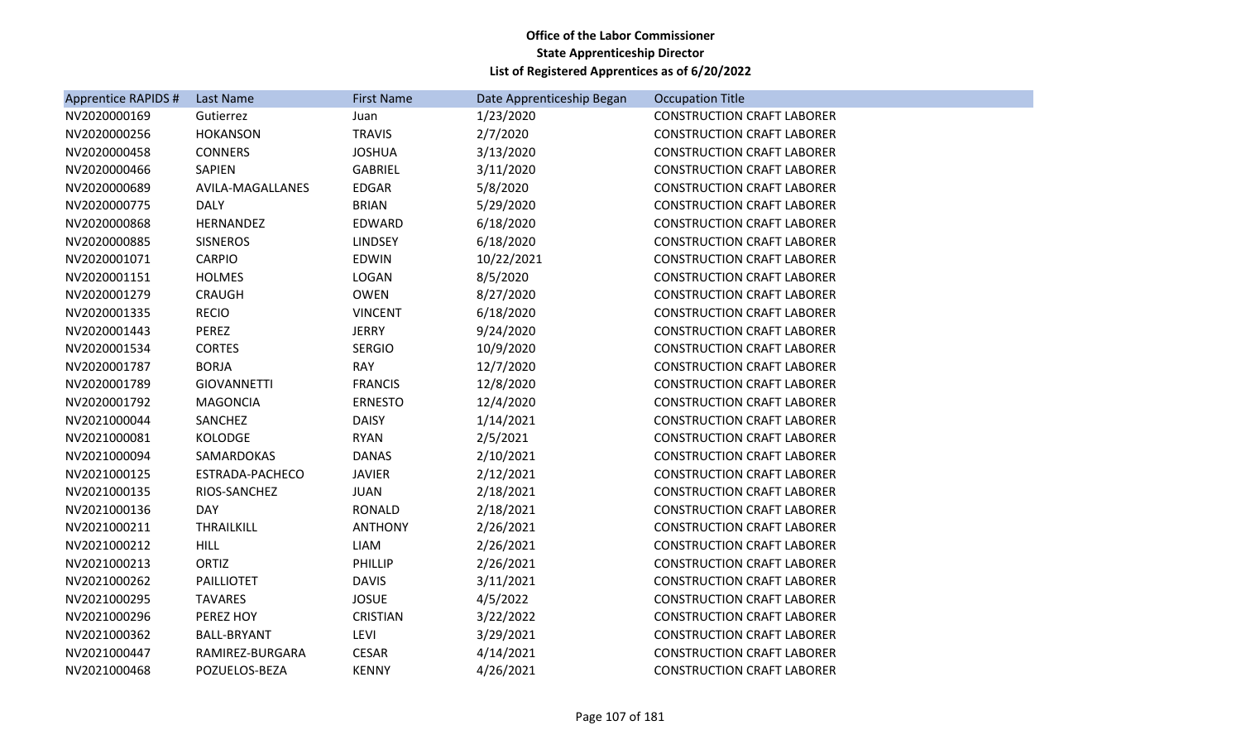| Apprentice RAPIDS # | Last Name          | <b>First Name</b> | Date Apprenticeship Began | <b>Occupation Title</b>           |
|---------------------|--------------------|-------------------|---------------------------|-----------------------------------|
| NV2020000169        | Gutierrez          | Juan              | 1/23/2020                 | <b>CONSTRUCTION CRAFT LABORER</b> |
| NV2020000256        | <b>HOKANSON</b>    | <b>TRAVIS</b>     | 2/7/2020                  | <b>CONSTRUCTION CRAFT LABORER</b> |
| NV2020000458        | <b>CONNERS</b>     | <b>JOSHUA</b>     | 3/13/2020                 | <b>CONSTRUCTION CRAFT LABORER</b> |
| NV2020000466        | SAPIEN             | <b>GABRIEL</b>    | 3/11/2020                 | <b>CONSTRUCTION CRAFT LABORER</b> |
| NV2020000689        | AVILA-MAGALLANES   | <b>EDGAR</b>      | 5/8/2020                  | <b>CONSTRUCTION CRAFT LABORER</b> |
| NV2020000775        | <b>DALY</b>        | <b>BRIAN</b>      | 5/29/2020                 | <b>CONSTRUCTION CRAFT LABORER</b> |
| NV2020000868        | HERNANDEZ          | EDWARD            | 6/18/2020                 | <b>CONSTRUCTION CRAFT LABORER</b> |
| NV2020000885        | <b>SISNEROS</b>    | <b>LINDSEY</b>    | 6/18/2020                 | <b>CONSTRUCTION CRAFT LABORER</b> |
| NV2020001071        | CARPIO             | <b>EDWIN</b>      | 10/22/2021                | <b>CONSTRUCTION CRAFT LABORER</b> |
| NV2020001151        | <b>HOLMES</b>      | LOGAN             | 8/5/2020                  | <b>CONSTRUCTION CRAFT LABORER</b> |
| NV2020001279        | <b>CRAUGH</b>      | <b>OWEN</b>       | 8/27/2020                 | <b>CONSTRUCTION CRAFT LABORER</b> |
| NV2020001335        | <b>RECIO</b>       | <b>VINCENT</b>    | 6/18/2020                 | <b>CONSTRUCTION CRAFT LABORER</b> |
| NV2020001443        | <b>PEREZ</b>       | <b>JERRY</b>      | 9/24/2020                 | <b>CONSTRUCTION CRAFT LABORER</b> |
| NV2020001534        | <b>CORTES</b>      | <b>SERGIO</b>     | 10/9/2020                 | <b>CONSTRUCTION CRAFT LABORER</b> |
| NV2020001787        | <b>BORJA</b>       | <b>RAY</b>        | 12/7/2020                 | <b>CONSTRUCTION CRAFT LABORER</b> |
| NV2020001789        | <b>GIOVANNETTI</b> | <b>FRANCIS</b>    | 12/8/2020                 | <b>CONSTRUCTION CRAFT LABORER</b> |
| NV2020001792        | <b>MAGONCIA</b>    | <b>ERNESTO</b>    | 12/4/2020                 | <b>CONSTRUCTION CRAFT LABORER</b> |
| NV2021000044        | SANCHEZ            | <b>DAISY</b>      | 1/14/2021                 | <b>CONSTRUCTION CRAFT LABORER</b> |
| NV2021000081        | <b>KOLODGE</b>     | <b>RYAN</b>       | 2/5/2021                  | <b>CONSTRUCTION CRAFT LABORER</b> |
| NV2021000094        | SAMARDOKAS         | <b>DANAS</b>      | 2/10/2021                 | <b>CONSTRUCTION CRAFT LABORER</b> |
| NV2021000125        | ESTRADA-PACHECO    | <b>JAVIER</b>     | 2/12/2021                 | <b>CONSTRUCTION CRAFT LABORER</b> |
| NV2021000135        | RIOS-SANCHEZ       | <b>JUAN</b>       | 2/18/2021                 | <b>CONSTRUCTION CRAFT LABORER</b> |
| NV2021000136        | <b>DAY</b>         | RONALD            | 2/18/2021                 | <b>CONSTRUCTION CRAFT LABORER</b> |
| NV2021000211        | THRAILKILL         | <b>ANTHONY</b>    | 2/26/2021                 | <b>CONSTRUCTION CRAFT LABORER</b> |
| NV2021000212        | <b>HILL</b>        | LIAM              | 2/26/2021                 | <b>CONSTRUCTION CRAFT LABORER</b> |
| NV2021000213        | ORTIZ              | PHILLIP           | 2/26/2021                 | <b>CONSTRUCTION CRAFT LABORER</b> |
| NV2021000262        | <b>PAILLIOTET</b>  | <b>DAVIS</b>      | 3/11/2021                 | <b>CONSTRUCTION CRAFT LABORER</b> |
| NV2021000295        | <b>TAVARES</b>     | <b>JOSUE</b>      | 4/5/2022                  | <b>CONSTRUCTION CRAFT LABORER</b> |
| NV2021000296        | PEREZ HOY          | CRISTIAN          | 3/22/2022                 | <b>CONSTRUCTION CRAFT LABORER</b> |
| NV2021000362        | <b>BALL-BRYANT</b> | LEVI              | 3/29/2021                 | <b>CONSTRUCTION CRAFT LABORER</b> |
| NV2021000447        | RAMIREZ-BURGARA    | <b>CESAR</b>      | 4/14/2021                 | <b>CONSTRUCTION CRAFT LABORER</b> |
| NV2021000468        | POZUELOS-BEZA      | <b>KENNY</b>      | 4/26/2021                 | <b>CONSTRUCTION CRAFT LABORER</b> |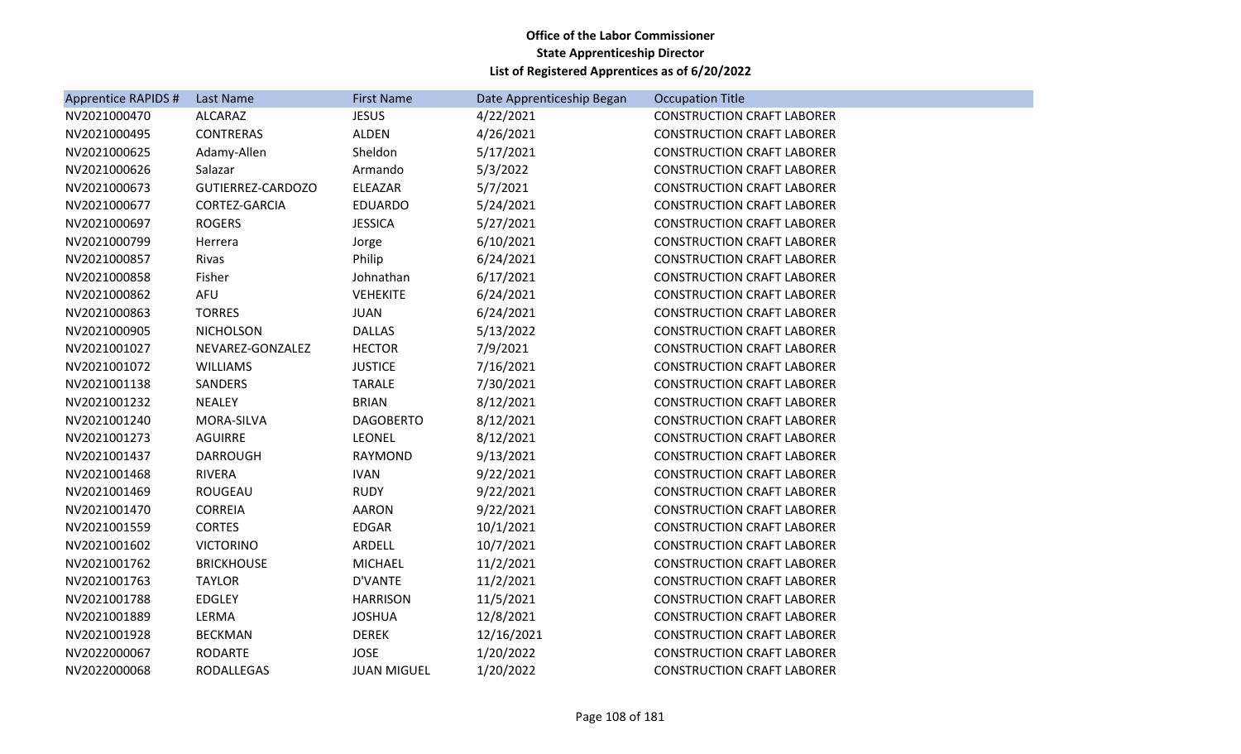| <b>Apprentice RAPIDS #</b> | Last Name         | <b>First Name</b>  | Date Apprenticeship Began | <b>Occupation Title</b>           |
|----------------------------|-------------------|--------------------|---------------------------|-----------------------------------|
| NV2021000470               | <b>ALCARAZ</b>    | <b>JESUS</b>       | 4/22/2021                 | <b>CONSTRUCTION CRAFT LABORER</b> |
| NV2021000495               | <b>CONTRERAS</b>  | <b>ALDEN</b>       | 4/26/2021                 | <b>CONSTRUCTION CRAFT LABORER</b> |
| NV2021000625               | Adamy-Allen       | Sheldon            | 5/17/2021                 | <b>CONSTRUCTION CRAFT LABORER</b> |
| NV2021000626               | Salazar           | Armando            | 5/3/2022                  | <b>CONSTRUCTION CRAFT LABORER</b> |
| NV2021000673               | GUTIERREZ-CARDOZO | ELEAZAR            | 5/7/2021                  | <b>CONSTRUCTION CRAFT LABORER</b> |
| NV2021000677               | CORTEZ-GARCIA     | <b>EDUARDO</b>     | 5/24/2021                 | <b>CONSTRUCTION CRAFT LABORER</b> |
| NV2021000697               | <b>ROGERS</b>     | <b>JESSICA</b>     | 5/27/2021                 | <b>CONSTRUCTION CRAFT LABORER</b> |
| NV2021000799               | Herrera           | Jorge              | 6/10/2021                 | <b>CONSTRUCTION CRAFT LABORER</b> |
| NV2021000857               | Rivas             | Philip             | 6/24/2021                 | <b>CONSTRUCTION CRAFT LABORER</b> |
| NV2021000858               | Fisher            | Johnathan          | 6/17/2021                 | <b>CONSTRUCTION CRAFT LABORER</b> |
| NV2021000862               | <b>AFU</b>        | <b>VEHEKITE</b>    | 6/24/2021                 | <b>CONSTRUCTION CRAFT LABORER</b> |
| NV2021000863               | <b>TORRES</b>     | <b>JUAN</b>        | 6/24/2021                 | <b>CONSTRUCTION CRAFT LABORER</b> |
| NV2021000905               | <b>NICHOLSON</b>  | <b>DALLAS</b>      | 5/13/2022                 | <b>CONSTRUCTION CRAFT LABORER</b> |
| NV2021001027               | NEVAREZ-GONZALEZ  | <b>HECTOR</b>      | 7/9/2021                  | <b>CONSTRUCTION CRAFT LABORER</b> |
| NV2021001072               | <b>WILLIAMS</b>   | <b>JUSTICE</b>     | 7/16/2021                 | <b>CONSTRUCTION CRAFT LABORER</b> |
| NV2021001138               | SANDERS           | <b>TARALE</b>      | 7/30/2021                 | <b>CONSTRUCTION CRAFT LABORER</b> |
| NV2021001232               | <b>NEALEY</b>     | <b>BRIAN</b>       | 8/12/2021                 | <b>CONSTRUCTION CRAFT LABORER</b> |
| NV2021001240               | MORA-SILVA        | <b>DAGOBERTO</b>   | 8/12/2021                 | <b>CONSTRUCTION CRAFT LABORER</b> |
| NV2021001273               | <b>AGUIRRE</b>    | <b>LEONEL</b>      | 8/12/2021                 | <b>CONSTRUCTION CRAFT LABORER</b> |
| NV2021001437               | <b>DARROUGH</b>   | <b>RAYMOND</b>     | 9/13/2021                 | <b>CONSTRUCTION CRAFT LABORER</b> |
| NV2021001468               | <b>RIVERA</b>     | <b>IVAN</b>        | 9/22/2021                 | <b>CONSTRUCTION CRAFT LABORER</b> |
| NV2021001469               | ROUGEAU           | <b>RUDY</b>        | 9/22/2021                 | <b>CONSTRUCTION CRAFT LABORER</b> |
| NV2021001470               | <b>CORREIA</b>    | AARON              | 9/22/2021                 | <b>CONSTRUCTION CRAFT LABORER</b> |
| NV2021001559               | <b>CORTES</b>     | EDGAR              | 10/1/2021                 | <b>CONSTRUCTION CRAFT LABORER</b> |
| NV2021001602               | <b>VICTORINO</b>  | <b>ARDELL</b>      | 10/7/2021                 | <b>CONSTRUCTION CRAFT LABORER</b> |
| NV2021001762               | <b>BRICKHOUSE</b> | <b>MICHAEL</b>     | 11/2/2021                 | <b>CONSTRUCTION CRAFT LABORER</b> |
| NV2021001763               | <b>TAYLOR</b>     | D'VANTE            | 11/2/2021                 | <b>CONSTRUCTION CRAFT LABORER</b> |
| NV2021001788               | <b>EDGLEY</b>     | <b>HARRISON</b>    | 11/5/2021                 | <b>CONSTRUCTION CRAFT LABORER</b> |
| NV2021001889               | LERMA             | <b>JOSHUA</b>      | 12/8/2021                 | <b>CONSTRUCTION CRAFT LABORER</b> |
| NV2021001928               | <b>BECKMAN</b>    | <b>DEREK</b>       | 12/16/2021                | <b>CONSTRUCTION CRAFT LABORER</b> |
| NV2022000067               | <b>RODARTE</b>    | <b>JOSE</b>        | 1/20/2022                 | <b>CONSTRUCTION CRAFT LABORER</b> |
| NV2022000068               | RODALLEGAS        | <b>JUAN MIGUEL</b> | 1/20/2022                 | <b>CONSTRUCTION CRAFT LABORER</b> |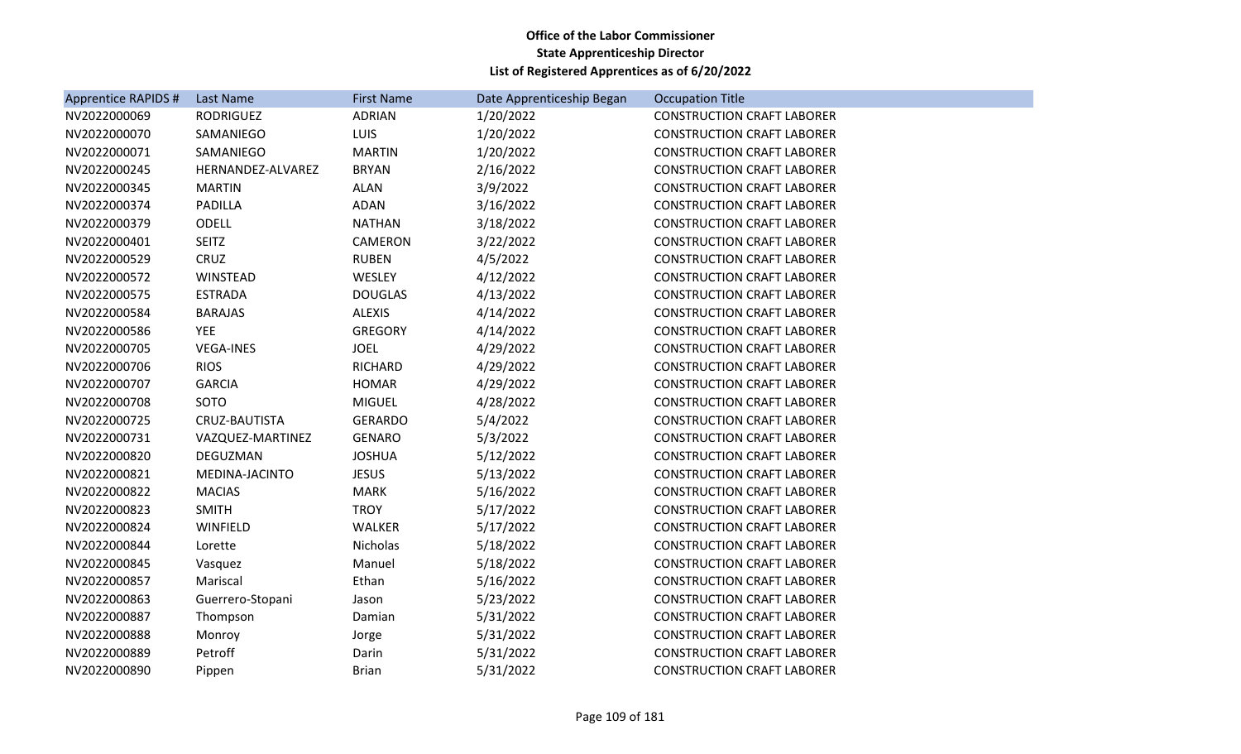| <b>Apprentice RAPIDS #</b> | Last Name         | <b>First Name</b> | Date Apprenticeship Began | <b>Occupation Title</b>           |
|----------------------------|-------------------|-------------------|---------------------------|-----------------------------------|
| NV2022000069               | <b>RODRIGUEZ</b>  | <b>ADRIAN</b>     | 1/20/2022                 | <b>CONSTRUCTION CRAFT LABORER</b> |
| NV2022000070               | SAMANIEGO         | <b>LUIS</b>       | 1/20/2022                 | <b>CONSTRUCTION CRAFT LABORER</b> |
| NV2022000071               | SAMANIEGO         | <b>MARTIN</b>     | 1/20/2022                 | <b>CONSTRUCTION CRAFT LABORER</b> |
| NV2022000245               | HERNANDEZ-ALVAREZ | <b>BRYAN</b>      | 2/16/2022                 | <b>CONSTRUCTION CRAFT LABORER</b> |
| NV2022000345               | <b>MARTIN</b>     | <b>ALAN</b>       | 3/9/2022                  | <b>CONSTRUCTION CRAFT LABORER</b> |
| NV2022000374               | PADILLA           | <b>ADAN</b>       | 3/16/2022                 | <b>CONSTRUCTION CRAFT LABORER</b> |
| NV2022000379               | <b>ODELL</b>      | <b>NATHAN</b>     | 3/18/2022                 | <b>CONSTRUCTION CRAFT LABORER</b> |
| NV2022000401               | <b>SEITZ</b>      | CAMERON           | 3/22/2022                 | <b>CONSTRUCTION CRAFT LABORER</b> |
| NV2022000529               | CRUZ              | <b>RUBEN</b>      | 4/5/2022                  | <b>CONSTRUCTION CRAFT LABORER</b> |
| NV2022000572               | WINSTEAD          | WESLEY            | 4/12/2022                 | <b>CONSTRUCTION CRAFT LABORER</b> |
| NV2022000575               | <b>ESTRADA</b>    | <b>DOUGLAS</b>    | 4/13/2022                 | <b>CONSTRUCTION CRAFT LABORER</b> |
| NV2022000584               | <b>BARAJAS</b>    | <b>ALEXIS</b>     | 4/14/2022                 | <b>CONSTRUCTION CRAFT LABORER</b> |
| NV2022000586               | <b>YEE</b>        | <b>GREGORY</b>    | 4/14/2022                 | <b>CONSTRUCTION CRAFT LABORER</b> |
| NV2022000705               | <b>VEGA-INES</b>  | <b>JOEL</b>       | 4/29/2022                 | <b>CONSTRUCTION CRAFT LABORER</b> |
| NV2022000706               | <b>RIOS</b>       | <b>RICHARD</b>    | 4/29/2022                 | <b>CONSTRUCTION CRAFT LABORER</b> |
| NV2022000707               | <b>GARCIA</b>     | <b>HOMAR</b>      | 4/29/2022                 | <b>CONSTRUCTION CRAFT LABORER</b> |
| NV2022000708               | SOTO              | <b>MIGUEL</b>     | 4/28/2022                 | <b>CONSTRUCTION CRAFT LABORER</b> |
| NV2022000725               | CRUZ-BAUTISTA     | <b>GERARDO</b>    | 5/4/2022                  | <b>CONSTRUCTION CRAFT LABORER</b> |
| NV2022000731               | VAZQUEZ-MARTINEZ  | <b>GENARO</b>     | 5/3/2022                  | <b>CONSTRUCTION CRAFT LABORER</b> |
| NV2022000820               | DEGUZMAN          | <b>JOSHUA</b>     | 5/12/2022                 | <b>CONSTRUCTION CRAFT LABORER</b> |
| NV2022000821               | MEDINA-JACINTO    | <b>JESUS</b>      | 5/13/2022                 | <b>CONSTRUCTION CRAFT LABORER</b> |
| NV2022000822               | <b>MACIAS</b>     | <b>MARK</b>       | 5/16/2022                 | <b>CONSTRUCTION CRAFT LABORER</b> |
| NV2022000823               | <b>SMITH</b>      | <b>TROY</b>       | 5/17/2022                 | <b>CONSTRUCTION CRAFT LABORER</b> |
| NV2022000824               | WINFIELD          | <b>WALKER</b>     | 5/17/2022                 | <b>CONSTRUCTION CRAFT LABORER</b> |
| NV2022000844               | Lorette           | Nicholas          | 5/18/2022                 | <b>CONSTRUCTION CRAFT LABORER</b> |
| NV2022000845               | Vasquez           | Manuel            | 5/18/2022                 | <b>CONSTRUCTION CRAFT LABORER</b> |
| NV2022000857               | Mariscal          | Ethan             | 5/16/2022                 | <b>CONSTRUCTION CRAFT LABORER</b> |
| NV2022000863               | Guerrero-Stopani  | Jason             | 5/23/2022                 | <b>CONSTRUCTION CRAFT LABORER</b> |
| NV2022000887               | Thompson          | Damian            | 5/31/2022                 | <b>CONSTRUCTION CRAFT LABORER</b> |
| NV2022000888               | Monroy            | Jorge             | 5/31/2022                 | <b>CONSTRUCTION CRAFT LABORER</b> |
| NV2022000889               | Petroff           | Darin             | 5/31/2022                 | <b>CONSTRUCTION CRAFT LABORER</b> |
| NV2022000890               | Pippen            | <b>Brian</b>      | 5/31/2022                 | <b>CONSTRUCTION CRAFT LABORER</b> |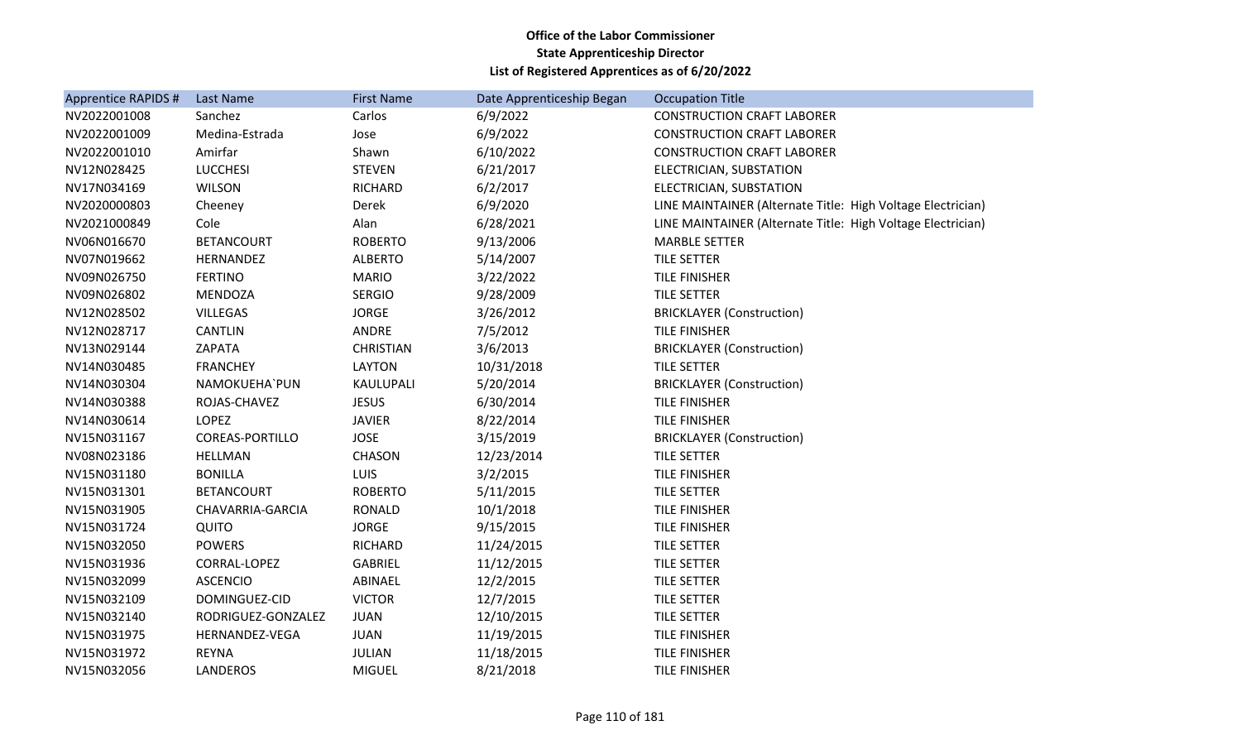| Apprentice RAPIDS # | Last Name              | <b>First Name</b> | Date Apprenticeship Began | <b>Occupation Title</b>                                     |
|---------------------|------------------------|-------------------|---------------------------|-------------------------------------------------------------|
| NV2022001008        | Sanchez                | Carlos            | 6/9/2022                  | <b>CONSTRUCTION CRAFT LABORER</b>                           |
| NV2022001009        | Medina-Estrada         | Jose              | 6/9/2022                  | <b>CONSTRUCTION CRAFT LABORER</b>                           |
| NV2022001010        | Amirfar                | Shawn             | 6/10/2022                 | <b>CONSTRUCTION CRAFT LABORER</b>                           |
| NV12N028425         | <b>LUCCHESI</b>        | <b>STEVEN</b>     | 6/21/2017                 | ELECTRICIAN, SUBSTATION                                     |
| NV17N034169         | <b>WILSON</b>          | <b>RICHARD</b>    | 6/2/2017                  | ELECTRICIAN, SUBSTATION                                     |
| NV2020000803        | Cheeney                | Derek             | 6/9/2020                  | LINE MAINTAINER (Alternate Title: High Voltage Electrician) |
| NV2021000849        | Cole                   | Alan              | 6/28/2021                 | LINE MAINTAINER (Alternate Title: High Voltage Electrician) |
| NV06N016670         | <b>BETANCOURT</b>      | <b>ROBERTO</b>    | 9/13/2006                 | <b>MARBLE SETTER</b>                                        |
| NV07N019662         | HERNANDEZ              | <b>ALBERTO</b>    | 5/14/2007                 | TILE SETTER                                                 |
| NV09N026750         | <b>FERTINO</b>         | <b>MARIO</b>      | 3/22/2022                 | <b>TILE FINISHER</b>                                        |
| NV09N026802         | <b>MENDOZA</b>         | <b>SERGIO</b>     | 9/28/2009                 | <b>TILE SETTER</b>                                          |
| NV12N028502         | <b>VILLEGAS</b>        | <b>JORGE</b>      | 3/26/2012                 | <b>BRICKLAYER (Construction)</b>                            |
| NV12N028717         | <b>CANTLIN</b>         | ANDRE             | 7/5/2012                  | TILE FINISHER                                               |
| NV13N029144         | ZAPATA                 | <b>CHRISTIAN</b>  | 3/6/2013                  | <b>BRICKLAYER (Construction)</b>                            |
| NV14N030485         | <b>FRANCHEY</b>        | <b>LAYTON</b>     | 10/31/2018                | TILE SETTER                                                 |
| NV14N030304         | NAMOKUEHA`PUN          | KAULUPALI         | 5/20/2014                 | <b>BRICKLAYER (Construction)</b>                            |
| NV14N030388         | ROJAS-CHAVEZ           | <b>JESUS</b>      | 6/30/2014                 | TILE FINISHER                                               |
| NV14N030614         | <b>LOPEZ</b>           | <b>JAVIER</b>     | 8/22/2014                 | <b>TILE FINISHER</b>                                        |
| NV15N031167         | <b>COREAS-PORTILLO</b> | <b>JOSE</b>       | 3/15/2019                 | <b>BRICKLAYER (Construction)</b>                            |
| NV08N023186         | <b>HELLMAN</b>         | CHASON            | 12/23/2014                | TILE SETTER                                                 |
| NV15N031180         | <b>BONILLA</b>         | LUIS              | 3/2/2015                  | TILE FINISHER                                               |
| NV15N031301         | <b>BETANCOURT</b>      | <b>ROBERTO</b>    | 5/11/2015                 | <b>TILE SETTER</b>                                          |
| NV15N031905         | CHAVARRIA-GARCIA       | <b>RONALD</b>     | 10/1/2018                 | TILE FINISHER                                               |
| NV15N031724         | QUITO                  | <b>JORGE</b>      | 9/15/2015                 | TILE FINISHER                                               |
| NV15N032050         | <b>POWERS</b>          | <b>RICHARD</b>    | 11/24/2015                | <b>TILE SETTER</b>                                          |
| NV15N031936         | CORRAL-LOPEZ           | <b>GABRIEL</b>    | 11/12/2015                | TILE SETTER                                                 |
| NV15N032099         | <b>ASCENCIO</b>        | ABINAEL           | 12/2/2015                 | TILE SETTER                                                 |
| NV15N032109         | DOMINGUEZ-CID          | <b>VICTOR</b>     | 12/7/2015                 | <b>TILE SETTER</b>                                          |
| NV15N032140         | RODRIGUEZ-GONZALEZ     | <b>JUAN</b>       | 12/10/2015                | <b>TILE SETTER</b>                                          |
| NV15N031975         | HERNANDEZ-VEGA         | <b>JUAN</b>       | 11/19/2015                | TILE FINISHER                                               |
| NV15N031972         | <b>REYNA</b>           | <b>JULIAN</b>     | 11/18/2015                | <b>TILE FINISHER</b>                                        |
| NV15N032056         | <b>LANDEROS</b>        | <b>MIGUEL</b>     | 8/21/2018                 | <b>TILE FINISHER</b>                                        |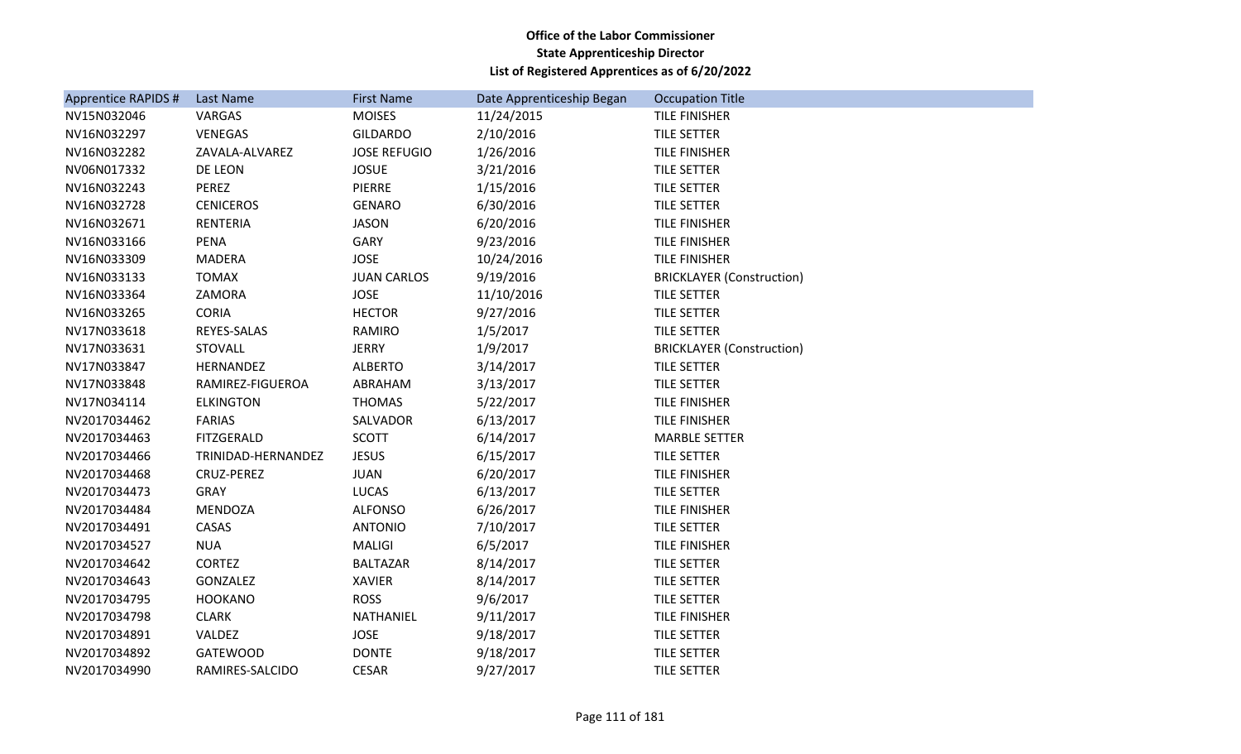| Apprentice RAPIDS # | Last Name          | <b>First Name</b>   | Date Apprenticeship Began | <b>Occupation Title</b>          |
|---------------------|--------------------|---------------------|---------------------------|----------------------------------|
| NV15N032046         | VARGAS             | <b>MOISES</b>       | 11/24/2015                | <b>TILE FINISHER</b>             |
| NV16N032297         | VENEGAS            | <b>GILDARDO</b>     | 2/10/2016                 | TILE SETTER                      |
| NV16N032282         | ZAVALA-ALVAREZ     | <b>JOSE REFUGIO</b> | 1/26/2016                 | TILE FINISHER                    |
| NV06N017332         | DE LEON            | <b>JOSUE</b>        | 3/21/2016                 | <b>TILE SETTER</b>               |
| NV16N032243         | PEREZ              | <b>PIERRE</b>       | 1/15/2016                 | <b>TILE SETTER</b>               |
| NV16N032728         | <b>CENICEROS</b>   | <b>GENARO</b>       | 6/30/2016                 | TILE SETTER                      |
| NV16N032671         | <b>RENTERIA</b>    | <b>JASON</b>        | 6/20/2016                 | TILE FINISHER                    |
| NV16N033166         | <b>PENA</b>        | <b>GARY</b>         | 9/23/2016                 | <b>TILE FINISHER</b>             |
| NV16N033309         | MADERA             | <b>JOSE</b>         | 10/24/2016                | <b>TILE FINISHER</b>             |
| NV16N033133         | <b>TOMAX</b>       | <b>JUAN CARLOS</b>  | 9/19/2016                 | <b>BRICKLAYER (Construction)</b> |
| NV16N033364         | ZAMORA             | <b>JOSE</b>         | 11/10/2016                | TILE SETTER                      |
| NV16N033265         | <b>CORIA</b>       | <b>HECTOR</b>       | 9/27/2016                 | TILE SETTER                      |
| NV17N033618         | REYES-SALAS        | <b>RAMIRO</b>       | 1/5/2017                  | <b>TILE SETTER</b>               |
| NV17N033631         | <b>STOVALL</b>     | <b>JERRY</b>        | 1/9/2017                  | <b>BRICKLAYER (Construction)</b> |
| NV17N033847         | HERNANDEZ          | <b>ALBERTO</b>      | 3/14/2017                 | TILE SETTER                      |
| NV17N033848         | RAMIREZ-FIGUEROA   | ABRAHAM             | 3/13/2017                 | <b>TILE SETTER</b>               |
| NV17N034114         | <b>ELKINGTON</b>   | <b>THOMAS</b>       | 5/22/2017                 | <b>TILE FINISHER</b>             |
| NV2017034462        | <b>FARIAS</b>      | SALVADOR            | 6/13/2017                 | <b>TILE FINISHER</b>             |
| NV2017034463        | FITZGERALD         | <b>SCOTT</b>        | 6/14/2017                 | <b>MARBLE SETTER</b>             |
| NV2017034466        | TRINIDAD-HERNANDEZ | <b>JESUS</b>        | 6/15/2017                 | <b>TILE SETTER</b>               |
| NV2017034468        | CRUZ-PEREZ         | <b>JUAN</b>         | 6/20/2017                 | TILE FINISHER                    |
| NV2017034473        | <b>GRAY</b>        | LUCAS               | 6/13/2017                 | <b>TILE SETTER</b>               |
| NV2017034484        | <b>MENDOZA</b>     | <b>ALFONSO</b>      | 6/26/2017                 | TILE FINISHER                    |
| NV2017034491        | CASAS              | <b>ANTONIO</b>      | 7/10/2017                 | <b>TILE SETTER</b>               |
| NV2017034527        | <b>NUA</b>         | MALIGI              | 6/5/2017                  | <b>TILE FINISHER</b>             |
| NV2017034642        | <b>CORTEZ</b>      | <b>BALTAZAR</b>     | 8/14/2017                 | <b>TILE SETTER</b>               |
| NV2017034643        | GONZALEZ           | <b>XAVIER</b>       | 8/14/2017                 | <b>TILE SETTER</b>               |
| NV2017034795        | <b>HOOKANO</b>     | <b>ROSS</b>         | 9/6/2017                  | TILE SETTER                      |
| NV2017034798        | <b>CLARK</b>       | NATHANIEL           | 9/11/2017                 | <b>TILE FINISHER</b>             |
| NV2017034891        | VALDEZ             | <b>JOSE</b>         | 9/18/2017                 | TILE SETTER                      |
| NV2017034892        | GATEWOOD           | <b>DONTE</b>        | 9/18/2017                 | TILE SETTER                      |
| NV2017034990        | RAMIRES-SALCIDO    | <b>CESAR</b>        | 9/27/2017                 | <b>TILE SETTER</b>               |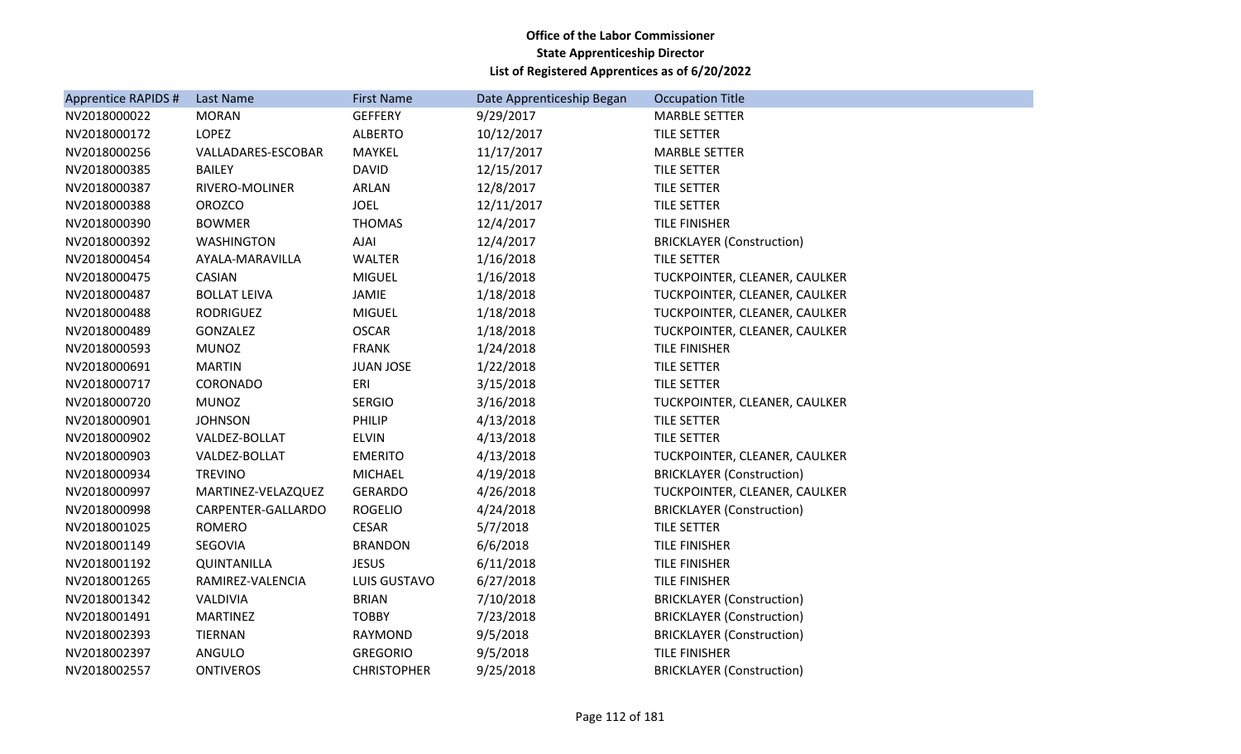| Apprentice RAPIDS # | Last Name           | <b>First Name</b>  | Date Apprenticeship Began | <b>Occupation Title</b>          |
|---------------------|---------------------|--------------------|---------------------------|----------------------------------|
| NV2018000022        | <b>MORAN</b>        | <b>GEFFERY</b>     | 9/29/2017                 | <b>MARBLE SETTER</b>             |
| NV2018000172        | <b>LOPEZ</b>        | <b>ALBERTO</b>     | 10/12/2017                | <b>TILE SETTER</b>               |
| NV2018000256        | VALLADARES-ESCOBAR  | MAYKEL             | 11/17/2017                | <b>MARBLE SETTER</b>             |
| NV2018000385        | <b>BAILEY</b>       | <b>DAVID</b>       | 12/15/2017                | <b>TILE SETTER</b>               |
| NV2018000387        | RIVERO-MOLINER      | ARLAN              | 12/8/2017                 | TILE SETTER                      |
| NV2018000388        | <b>OROZCO</b>       | <b>JOEL</b>        | 12/11/2017                | TILE SETTER                      |
| NV2018000390        | <b>BOWMER</b>       | <b>THOMAS</b>      | 12/4/2017                 | TILE FINISHER                    |
| NV2018000392        | <b>WASHINGTON</b>   | AJAI               | 12/4/2017                 | <b>BRICKLAYER (Construction)</b> |
| NV2018000454        | AYALA-MARAVILLA     | WALTER             | 1/16/2018                 | TILE SETTER                      |
| NV2018000475        | CASIAN              | <b>MIGUEL</b>      | 1/16/2018                 | TUCKPOINTER, CLEANER, CAULKER    |
| NV2018000487        | <b>BOLLAT LEIVA</b> | JAMIE              | 1/18/2018                 | TUCKPOINTER, CLEANER, CAULKER    |
| NV2018000488        | RODRIGUEZ           | <b>MIGUEL</b>      | 1/18/2018                 | TUCKPOINTER, CLEANER, CAULKER    |
| NV2018000489        | GONZALEZ            | <b>OSCAR</b>       | 1/18/2018                 | TUCKPOINTER, CLEANER, CAULKER    |
| NV2018000593        | <b>MUNOZ</b>        | <b>FRANK</b>       | 1/24/2018                 | <b>TILE FINISHER</b>             |
| NV2018000691        | <b>MARTIN</b>       | <b>JUAN JOSE</b>   | 1/22/2018                 | <b>TILE SETTER</b>               |
| NV2018000717        | CORONADO            | ERI                | 3/15/2018                 | <b>TILE SETTER</b>               |
| NV2018000720        | <b>MUNOZ</b>        | <b>SERGIO</b>      | 3/16/2018                 | TUCKPOINTER, CLEANER, CAULKER    |
| NV2018000901        | <b>JOHNSON</b>      | PHILIP             | 4/13/2018                 | TILE SETTER                      |
| NV2018000902        | VALDEZ-BOLLAT       | <b>ELVIN</b>       | 4/13/2018                 | <b>TILE SETTER</b>               |
| NV2018000903        | VALDEZ-BOLLAT       | <b>EMERITO</b>     | 4/13/2018                 | TUCKPOINTER, CLEANER, CAULKER    |
| NV2018000934        | <b>TREVINO</b>      | <b>MICHAEL</b>     | 4/19/2018                 | <b>BRICKLAYER (Construction)</b> |
| NV2018000997        | MARTINEZ-VELAZQUEZ  | <b>GERARDO</b>     | 4/26/2018                 | TUCKPOINTER, CLEANER, CAULKER    |
| NV2018000998        | CARPENTER-GALLARDO  | <b>ROGELIO</b>     | 4/24/2018                 | <b>BRICKLAYER (Construction)</b> |
| NV2018001025        | <b>ROMERO</b>       | <b>CESAR</b>       | 5/7/2018                  | TILE SETTER                      |
| NV2018001149        | SEGOVIA             | <b>BRANDON</b>     | 6/6/2018                  | TILE FINISHER                    |
| NV2018001192        | QUINTANILLA         | <b>JESUS</b>       | 6/11/2018                 | <b>TILE FINISHER</b>             |
| NV2018001265        | RAMIREZ-VALENCIA    | LUIS GUSTAVO       | 6/27/2018                 | TILE FINISHER                    |
| NV2018001342        | VALDIVIA            | <b>BRIAN</b>       | 7/10/2018                 | <b>BRICKLAYER (Construction)</b> |
| NV2018001491        | <b>MARTINEZ</b>     | <b>TOBBY</b>       | 7/23/2018                 | <b>BRICKLAYER (Construction)</b> |
| NV2018002393        | <b>TIERNAN</b>      | RAYMOND            | 9/5/2018                  | <b>BRICKLAYER (Construction)</b> |
| NV2018002397        | ANGULO              | <b>GREGORIO</b>    | 9/5/2018                  | TILE FINISHER                    |
| NV2018002557        | <b>ONTIVEROS</b>    | <b>CHRISTOPHER</b> | 9/25/2018                 | <b>BRICKLAYER (Construction)</b> |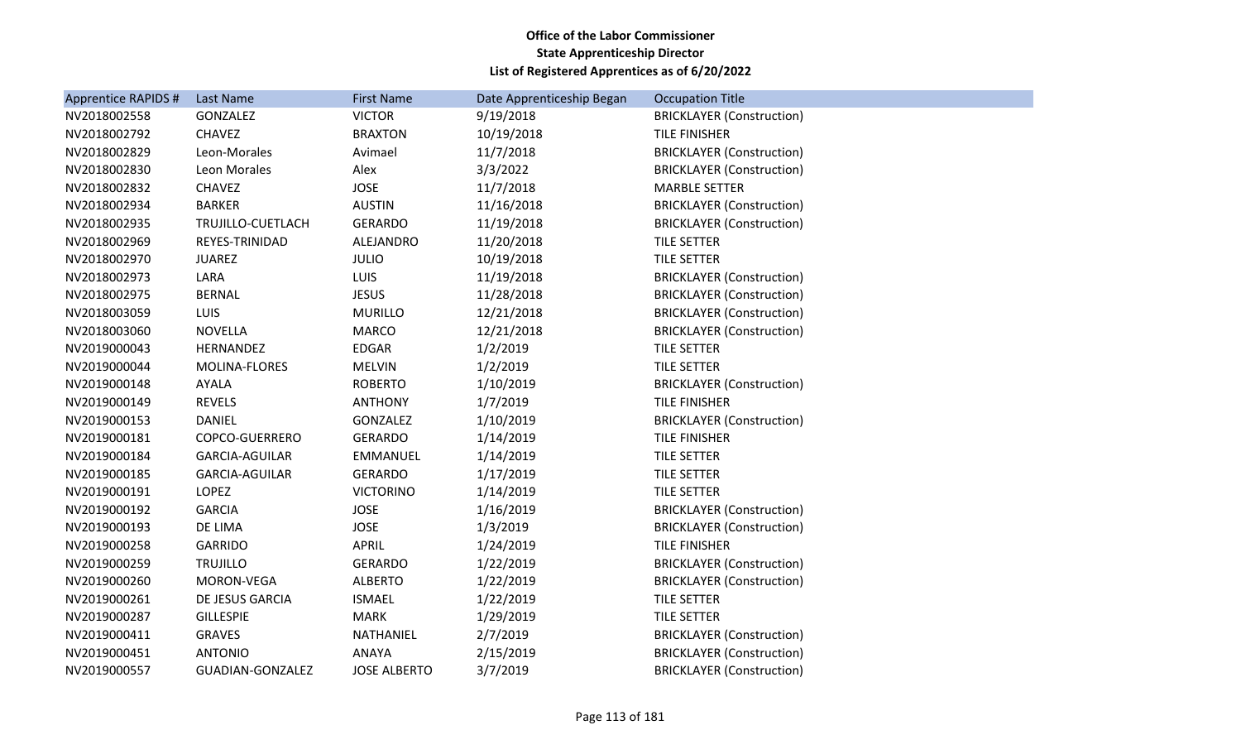| <b>Apprentice RAPIDS #</b> | Last Name             | <b>First Name</b>   | Date Apprenticeship Began | <b>Occupation Title</b>          |
|----------------------------|-----------------------|---------------------|---------------------------|----------------------------------|
| NV2018002558               | GONZALEZ              | <b>VICTOR</b>       | 9/19/2018                 | <b>BRICKLAYER (Construction)</b> |
| NV2018002792               | <b>CHAVEZ</b>         | <b>BRAXTON</b>      | 10/19/2018                | TILE FINISHER                    |
| NV2018002829               | Leon-Morales          | Avimael             | 11/7/2018                 | <b>BRICKLAYER (Construction)</b> |
| NV2018002830               | Leon Morales          | Alex                | 3/3/2022                  | <b>BRICKLAYER (Construction)</b> |
| NV2018002832               | <b>CHAVEZ</b>         | <b>JOSE</b>         | 11/7/2018                 | <b>MARBLE SETTER</b>             |
| NV2018002934               | <b>BARKER</b>         | <b>AUSTIN</b>       | 11/16/2018                | <b>BRICKLAYER (Construction)</b> |
| NV2018002935               | TRUJILLO-CUETLACH     | <b>GERARDO</b>      | 11/19/2018                | <b>BRICKLAYER (Construction)</b> |
| NV2018002969               | REYES-TRINIDAD        | ALEJANDRO           | 11/20/2018                | TILE SETTER                      |
| NV2018002970               | <b>JUAREZ</b>         | <b>JULIO</b>        | 10/19/2018                | TILE SETTER                      |
| NV2018002973               | LARA                  | <b>LUIS</b>         | 11/19/2018                | <b>BRICKLAYER (Construction)</b> |
| NV2018002975               | <b>BERNAL</b>         | <b>JESUS</b>        | 11/28/2018                | <b>BRICKLAYER (Construction)</b> |
| NV2018003059               | LUIS                  | <b>MURILLO</b>      | 12/21/2018                | <b>BRICKLAYER (Construction)</b> |
| NV2018003060               | <b>NOVELLA</b>        | <b>MARCO</b>        | 12/21/2018                | <b>BRICKLAYER (Construction)</b> |
| NV2019000043               | HERNANDEZ             | EDGAR               | 1/2/2019                  | TILE SETTER                      |
| NV2019000044               | MOLINA-FLORES         | <b>MELVIN</b>       | 1/2/2019                  | TILE SETTER                      |
| NV2019000148               | AYALA                 | <b>ROBERTO</b>      | 1/10/2019                 | <b>BRICKLAYER (Construction)</b> |
| NV2019000149               | <b>REVELS</b>         | <b>ANTHONY</b>      | 1/7/2019                  | TILE FINISHER                    |
| NV2019000153               | <b>DANIEL</b>         | GONZALEZ            | 1/10/2019                 | <b>BRICKLAYER (Construction)</b> |
| NV2019000181               | COPCO-GUERRERO        | <b>GERARDO</b>      | 1/14/2019                 | <b>TILE FINISHER</b>             |
| NV2019000184               | <b>GARCIA-AGUILAR</b> | <b>EMMANUEL</b>     | 1/14/2019                 | <b>TILE SETTER</b>               |
| NV2019000185               | <b>GARCIA-AGUILAR</b> | <b>GERARDO</b>      | 1/17/2019                 | <b>TILE SETTER</b>               |
| NV2019000191               | LOPEZ                 | <b>VICTORINO</b>    | 1/14/2019                 | TILE SETTER                      |
| NV2019000192               | <b>GARCIA</b>         | <b>JOSE</b>         | 1/16/2019                 | <b>BRICKLAYER (Construction)</b> |
| NV2019000193               | DE LIMA               | <b>JOSE</b>         | 1/3/2019                  | <b>BRICKLAYER (Construction)</b> |
| NV2019000258               | <b>GARRIDO</b>        | APRIL               | 1/24/2019                 | <b>TILE FINISHER</b>             |
| NV2019000259               | <b>TRUJILLO</b>       | <b>GERARDO</b>      | 1/22/2019                 | <b>BRICKLAYER (Construction)</b> |
| NV2019000260               | MORON-VEGA            | <b>ALBERTO</b>      | 1/22/2019                 | <b>BRICKLAYER (Construction)</b> |
| NV2019000261               | DE JESUS GARCIA       | <b>ISMAEL</b>       | 1/22/2019                 | <b>TILE SETTER</b>               |
| NV2019000287               | <b>GILLESPIE</b>      | <b>MARK</b>         | 1/29/2019                 | TILE SETTER                      |
| NV2019000411               | <b>GRAVES</b>         | NATHANIEL           | 2/7/2019                  | <b>BRICKLAYER (Construction)</b> |
| NV2019000451               | <b>ANTONIO</b>        | ANAYA               | 2/15/2019                 | <b>BRICKLAYER (Construction)</b> |
| NV2019000557               | GUADIAN-GONZALEZ      | <b>JOSE ALBERTO</b> | 3/7/2019                  | <b>BRICKLAYER (Construction)</b> |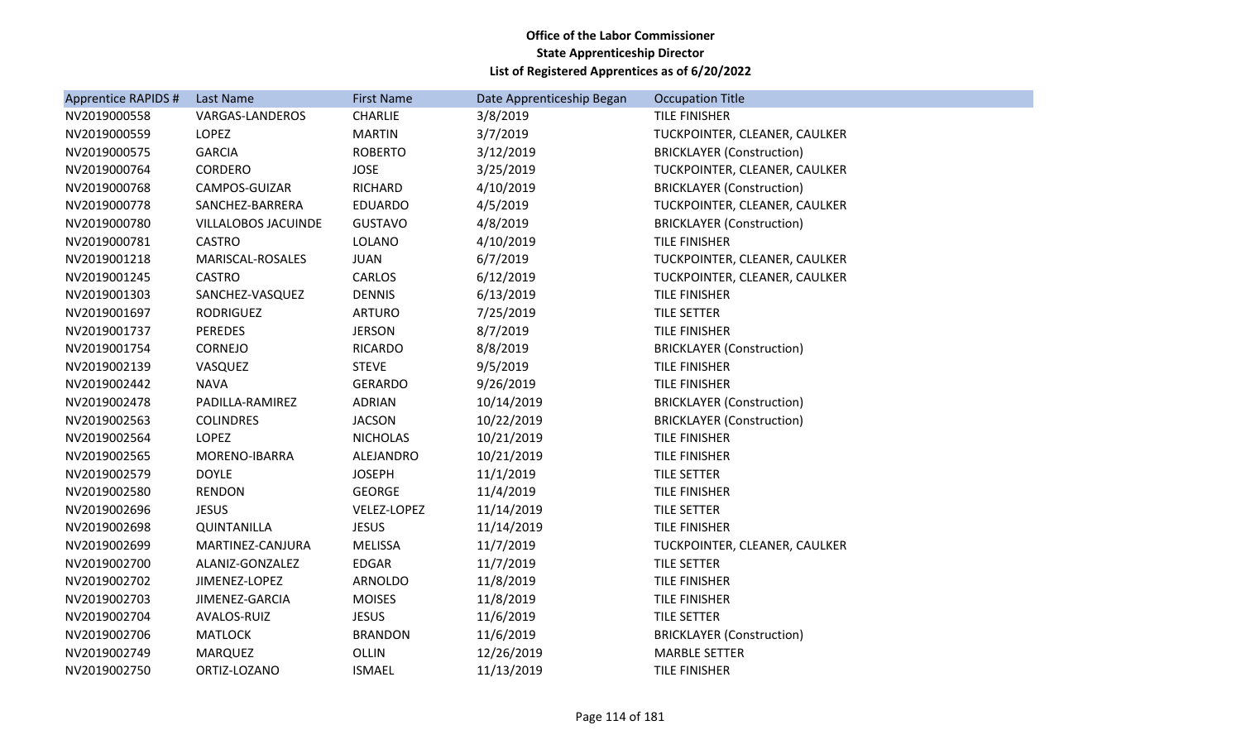| Apprentice RAPIDS # | Last Name              | <b>First Name</b> | Date Apprenticeship Began | <b>Occupation Title</b>          |
|---------------------|------------------------|-------------------|---------------------------|----------------------------------|
| NV2019000558        | <b>VARGAS-LANDEROS</b> | <b>CHARLIE</b>    | 3/8/2019                  | <b>TILE FINISHER</b>             |
| NV2019000559        | LOPEZ                  | <b>MARTIN</b>     | 3/7/2019                  | TUCKPOINTER, CLEANER, CAULKER    |
| NV2019000575        | <b>GARCIA</b>          | <b>ROBERTO</b>    | 3/12/2019                 | <b>BRICKLAYER (Construction)</b> |
| NV2019000764        | <b>CORDERO</b>         | <b>JOSE</b>       | 3/25/2019                 | TUCKPOINTER, CLEANER, CAULKER    |
| NV2019000768        | CAMPOS-GUIZAR          | <b>RICHARD</b>    | 4/10/2019                 | <b>BRICKLAYER (Construction)</b> |
| NV2019000778        | SANCHEZ-BARRERA        | <b>EDUARDO</b>    | 4/5/2019                  | TUCKPOINTER, CLEANER, CAULKER    |
| NV2019000780        | VILLALOBOS JACUINDE    | <b>GUSTAVO</b>    | 4/8/2019                  | <b>BRICKLAYER (Construction)</b> |
| NV2019000781        | <b>CASTRO</b>          | <b>LOLANO</b>     | 4/10/2019                 | <b>TILE FINISHER</b>             |
| NV2019001218        | MARISCAL-ROSALES       | <b>JUAN</b>       | 6/7/2019                  | TUCKPOINTER, CLEANER, CAULKER    |
| NV2019001245        | <b>CASTRO</b>          | <b>CARLOS</b>     | 6/12/2019                 | TUCKPOINTER, CLEANER, CAULKER    |
| NV2019001303        | SANCHEZ-VASQUEZ        | <b>DENNIS</b>     | 6/13/2019                 | <b>TILE FINISHER</b>             |
| NV2019001697        | RODRIGUEZ              | <b>ARTURO</b>     | 7/25/2019                 | TILE SETTER                      |
| NV2019001737        | <b>PEREDES</b>         | <b>JERSON</b>     | 8/7/2019                  | <b>TILE FINISHER</b>             |
| NV2019001754        | <b>CORNEJO</b>         | <b>RICARDO</b>    | 8/8/2019                  | <b>BRICKLAYER (Construction)</b> |
| NV2019002139        | VASQUEZ                | <b>STEVE</b>      | 9/5/2019                  | <b>TILE FINISHER</b>             |
| NV2019002442        | <b>NAVA</b>            | <b>GERARDO</b>    | 9/26/2019                 | TILE FINISHER                    |
| NV2019002478        | PADILLA-RAMIREZ        | <b>ADRIAN</b>     | 10/14/2019                | <b>BRICKLAYER (Construction)</b> |
| NV2019002563        | <b>COLINDRES</b>       | <b>JACSON</b>     | 10/22/2019                | <b>BRICKLAYER (Construction)</b> |
| NV2019002564        | <b>LOPEZ</b>           | <b>NICHOLAS</b>   | 10/21/2019                | TILE FINISHER                    |
| NV2019002565        | <b>MORENO-IBARRA</b>   | ALEJANDRO         | 10/21/2019                | <b>TILE FINISHER</b>             |
| NV2019002579        | <b>DOYLE</b>           | <b>JOSEPH</b>     | 11/1/2019                 | TILE SETTER                      |
| NV2019002580        | <b>RENDON</b>          | <b>GEORGE</b>     | 11/4/2019                 | <b>TILE FINISHER</b>             |
| NV2019002696        | <b>JESUS</b>           | VELEZ-LOPEZ       | 11/14/2019                | TILE SETTER                      |
| NV2019002698        | QUINTANILLA            | <b>JESUS</b>      | 11/14/2019                | TILE FINISHER                    |
| NV2019002699        | MARTINEZ-CANJURA       | <b>MELISSA</b>    | 11/7/2019                 | TUCKPOINTER, CLEANER, CAULKER    |
| NV2019002700        | ALANIZ-GONZALEZ        | <b>EDGAR</b>      | 11/7/2019                 | <b>TILE SETTER</b>               |
| NV2019002702        | JIMENEZ-LOPEZ          | ARNOLDO           | 11/8/2019                 | <b>TILE FINISHER</b>             |
| NV2019002703        | JIMENEZ-GARCIA         | <b>MOISES</b>     | 11/8/2019                 | <b>TILE FINISHER</b>             |
| NV2019002704        | AVALOS-RUIZ            | <b>JESUS</b>      | 11/6/2019                 | TILE SETTER                      |
| NV2019002706        | <b>MATLOCK</b>         | <b>BRANDON</b>    | 11/6/2019                 | <b>BRICKLAYER (Construction)</b> |
| NV2019002749        | <b>MARQUEZ</b>         | OLLIN             | 12/26/2019                | <b>MARBLE SETTER</b>             |
| NV2019002750        | ORTIZ-LOZANO           | <b>ISMAEL</b>     | 11/13/2019                | <b>TILE FINISHER</b>             |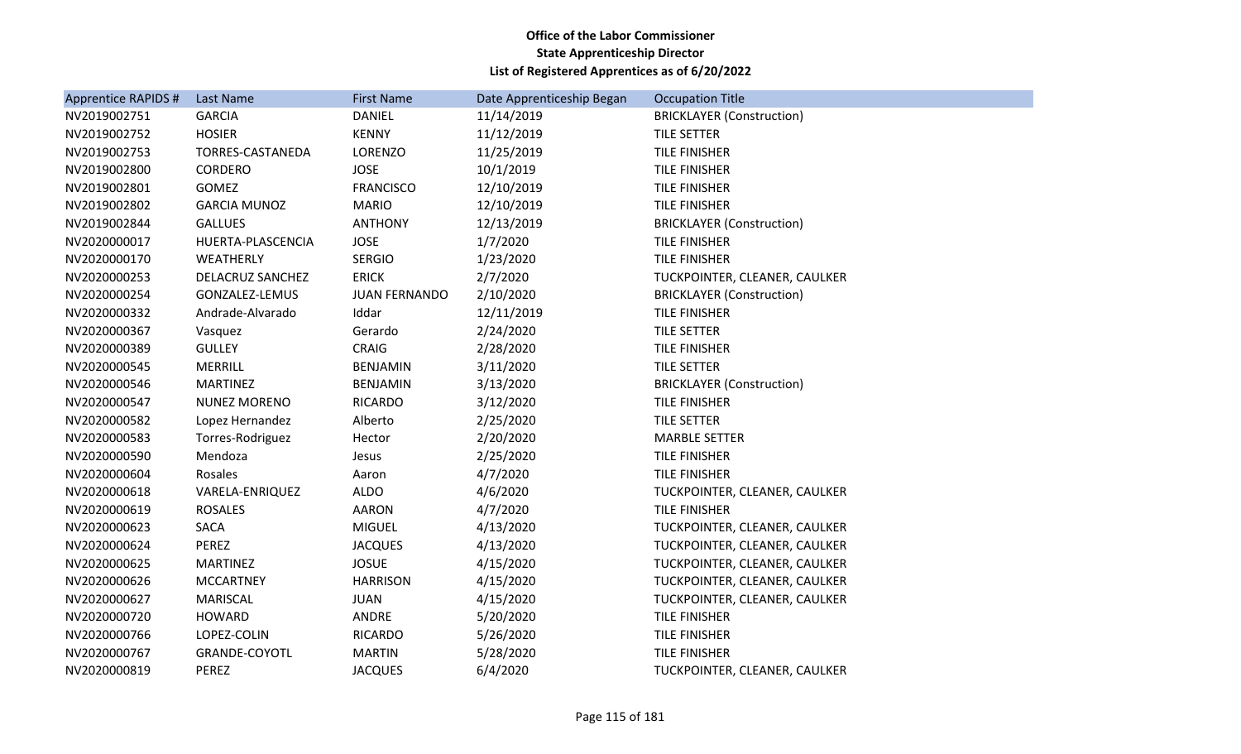| Apprentice RAPIDS # | Last Name           | <b>First Name</b>    | Date Apprenticeship Began | <b>Occupation Title</b>          |
|---------------------|---------------------|----------------------|---------------------------|----------------------------------|
| NV2019002751        | <b>GARCIA</b>       | <b>DANIEL</b>        | 11/14/2019                | <b>BRICKLAYER (Construction)</b> |
| NV2019002752        | <b>HOSIER</b>       | <b>KENNY</b>         | 11/12/2019                | TILE SETTER                      |
| NV2019002753        | TORRES-CASTANEDA    | LORENZO              | 11/25/2019                | TILE FINISHER                    |
| NV2019002800        | CORDERO             | <b>JOSE</b>          | 10/1/2019                 | <b>TILE FINISHER</b>             |
| NV2019002801        | <b>GOMEZ</b>        | <b>FRANCISCO</b>     | 12/10/2019                | TILE FINISHER                    |
| NV2019002802        | <b>GARCIA MUNOZ</b> | <b>MARIO</b>         | 12/10/2019                | <b>TILE FINISHER</b>             |
| NV2019002844        | <b>GALLUES</b>      | <b>ANTHONY</b>       | 12/13/2019                | <b>BRICKLAYER (Construction)</b> |
| NV2020000017        | HUERTA-PLASCENCIA   | <b>JOSE</b>          | 1/7/2020                  | TILE FINISHER                    |
| NV2020000170        | WEATHERLY           | <b>SERGIO</b>        | 1/23/2020                 | <b>TILE FINISHER</b>             |
| NV2020000253        | DELACRUZ SANCHEZ    | <b>ERICK</b>         | 2/7/2020                  | TUCKPOINTER, CLEANER, CAULKER    |
| NV2020000254        | GONZALEZ-LEMUS      | <b>JUAN FERNANDO</b> | 2/10/2020                 | <b>BRICKLAYER (Construction)</b> |
| NV2020000332        | Andrade-Alvarado    | Iddar                | 12/11/2019                | <b>TILE FINISHER</b>             |
| NV2020000367        | Vasquez             | Gerardo              | 2/24/2020                 | TILE SETTER                      |
| NV2020000389        | <b>GULLEY</b>       | CRAIG                | 2/28/2020                 | TILE FINISHER                    |
| NV2020000545        | <b>MERRILL</b>      | <b>BENJAMIN</b>      | 3/11/2020                 | <b>TILE SETTER</b>               |
| NV2020000546        | <b>MARTINEZ</b>     | <b>BENJAMIN</b>      | 3/13/2020                 | <b>BRICKLAYER (Construction)</b> |
| NV2020000547        | <b>NUNEZ MORENO</b> | <b>RICARDO</b>       | 3/12/2020                 | TILE FINISHER                    |
| NV2020000582        | Lopez Hernandez     | Alberto              | 2/25/2020                 | TILE SETTER                      |
| NV2020000583        | Torres-Rodriguez    | Hector               | 2/20/2020                 | <b>MARBLE SETTER</b>             |
| NV2020000590        | Mendoza             | Jesus                | 2/25/2020                 | <b>TILE FINISHER</b>             |
| NV2020000604        | Rosales             | Aaron                | 4/7/2020                  | TILE FINISHER                    |
| NV2020000618        | VARELA-ENRIQUEZ     | <b>ALDO</b>          | 4/6/2020                  | TUCKPOINTER, CLEANER, CAULKER    |
| NV2020000619        | <b>ROSALES</b>      | <b>AARON</b>         | 4/7/2020                  | TILE FINISHER                    |
| NV2020000623        | <b>SACA</b>         | <b>MIGUEL</b>        | 4/13/2020                 | TUCKPOINTER, CLEANER, CAULKER    |
| NV2020000624        | <b>PEREZ</b>        | <b>JACQUES</b>       | 4/13/2020                 | TUCKPOINTER, CLEANER, CAULKER    |
| NV2020000625        | <b>MARTINEZ</b>     | <b>JOSUE</b>         | 4/15/2020                 | TUCKPOINTER, CLEANER, CAULKER    |
| NV2020000626        | <b>MCCARTNEY</b>    | <b>HARRISON</b>      | 4/15/2020                 | TUCKPOINTER, CLEANER, CAULKER    |
| NV2020000627        | <b>MARISCAL</b>     | <b>JUAN</b>          | 4/15/2020                 | TUCKPOINTER, CLEANER, CAULKER    |
| NV2020000720        | <b>HOWARD</b>       | ANDRE                | 5/20/2020                 | TILE FINISHER                    |
| NV2020000766        | LOPEZ-COLIN         | <b>RICARDO</b>       | 5/26/2020                 | TILE FINISHER                    |
| NV2020000767        | GRANDE-COYOTL       | <b>MARTIN</b>        | 5/28/2020                 | TILE FINISHER                    |
| NV2020000819        | PEREZ               | <b>JACQUES</b>       | 6/4/2020                  | TUCKPOINTER, CLEANER, CAULKER    |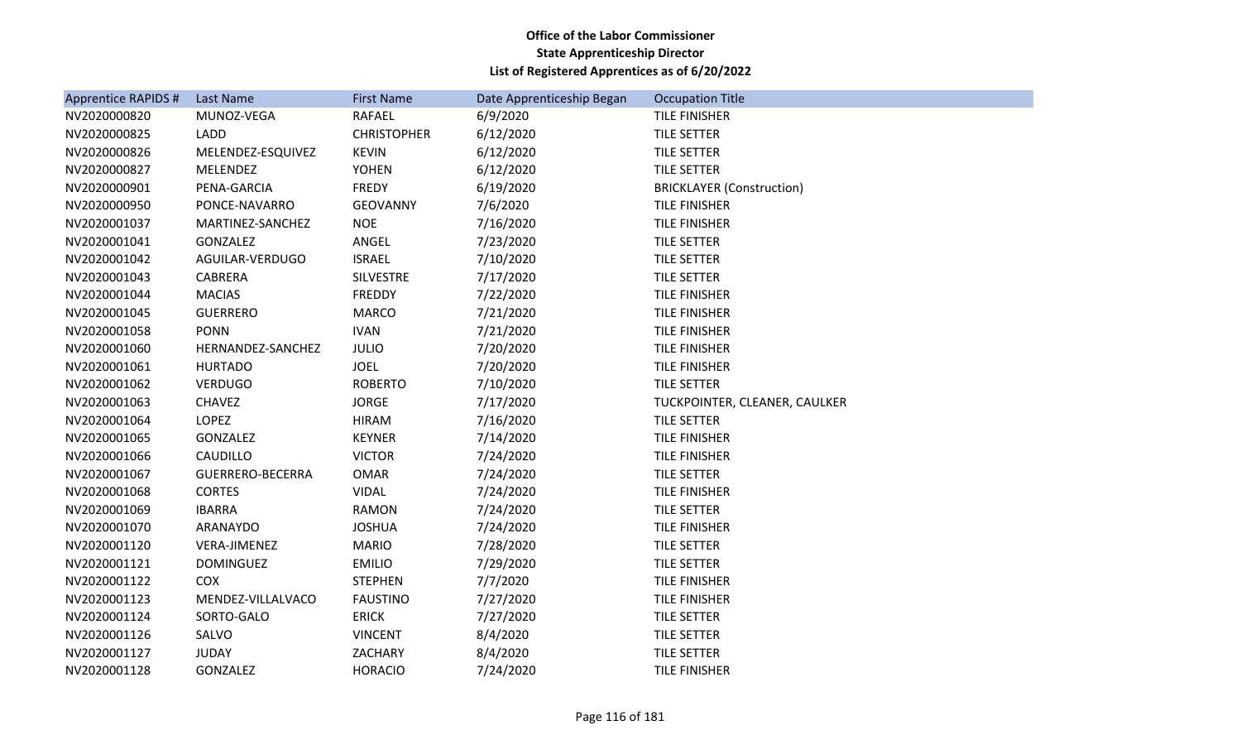| Apprentice RAPIDS # | <b>Last Name</b>  | <b>First Name</b>  | Date Apprenticeship Began | <b>Occupation Title</b>          |
|---------------------|-------------------|--------------------|---------------------------|----------------------------------|
| NV2020000820        | MUNOZ-VEGA        | <b>RAFAEL</b>      | 6/9/2020                  | TILE FINISHER                    |
| NV2020000825        | <b>LADD</b>       | <b>CHRISTOPHER</b> | 6/12/2020                 | TILE SETTER                      |
| NV2020000826        | MELENDEZ-ESQUIVEZ | <b>KEVIN</b>       | 6/12/2020                 | TILE SETTER                      |
| NV2020000827        | <b>MELENDEZ</b>   | <b>YOHEN</b>       | 6/12/2020                 | TILE SETTER                      |
| NV2020000901        | PENA-GARCIA       | FREDY              | 6/19/2020                 | <b>BRICKLAYER (Construction)</b> |
| NV2020000950        | PONCE-NAVARRO     | <b>GEOVANNY</b>    | 7/6/2020                  | <b>TILE FINISHER</b>             |
| NV2020001037        | MARTINEZ-SANCHEZ  | <b>NOE</b>         | 7/16/2020                 | <b>TILE FINISHER</b>             |
| NV2020001041        | <b>GONZALEZ</b>   | ANGEL              | 7/23/2020                 | TILE SETTER                      |
| NV2020001042        | AGUILAR-VERDUGO   | <b>ISRAEL</b>      | 7/10/2020                 | TILE SETTER                      |
| NV2020001043        | CABRERA           | SILVESTRE          | 7/17/2020                 | TILE SETTER                      |
| NV2020001044        | <b>MACIAS</b>     | <b>FREDDY</b>      | 7/22/2020                 | TILE FINISHER                    |
| NV2020001045        | <b>GUERRERO</b>   | <b>MARCO</b>       | 7/21/2020                 | TILE FINISHER                    |
| NV2020001058        | <b>PONN</b>       | <b>IVAN</b>        | 7/21/2020                 | <b>TILE FINISHER</b>             |
| NV2020001060        | HERNANDEZ-SANCHEZ | <b>JULIO</b>       | 7/20/2020                 | TILE FINISHER                    |
| NV2020001061        | <b>HURTADO</b>    | <b>JOEL</b>        | 7/20/2020                 | <b>TILE FINISHER</b>             |
| NV2020001062        | <b>VERDUGO</b>    | <b>ROBERTO</b>     | 7/10/2020                 | <b>TILE SETTER</b>               |
| NV2020001063        | <b>CHAVEZ</b>     | <b>JORGE</b>       | 7/17/2020                 | TUCKPOINTER, CLEANER, CAULKER    |
| NV2020001064        | LOPEZ             | <b>HIRAM</b>       | 7/16/2020                 | TILE SETTER                      |
| NV2020001065        | <b>GONZALEZ</b>   | <b>KEYNER</b>      | 7/14/2020                 | TILE FINISHER                    |
| NV2020001066        | <b>CAUDILLO</b>   | <b>VICTOR</b>      | 7/24/2020                 | TILE FINISHER                    |
| NV2020001067        | GUERRERO-BECERRA  | <b>OMAR</b>        | 7/24/2020                 | <b>TILE SETTER</b>               |
| NV2020001068        | <b>CORTES</b>     | <b>VIDAL</b>       | 7/24/2020                 | TILE FINISHER                    |
| NV2020001069        | <b>IBARRA</b>     | <b>RAMON</b>       | 7/24/2020                 | TILE SETTER                      |
| NV2020001070        | ARANAYDO          | <b>JOSHUA</b>      | 7/24/2020                 | <b>TILE FINISHER</b>             |
| NV2020001120        | VERA-JIMENEZ      | <b>MARIO</b>       | 7/28/2020                 | TILE SETTER                      |
| NV2020001121        | <b>DOMINGUEZ</b>  | <b>EMILIO</b>      | 7/29/2020                 | TILE SETTER                      |
| NV2020001122        | <b>COX</b>        | <b>STEPHEN</b>     | 7/7/2020                  | <b>TILE FINISHER</b>             |
| NV2020001123        | MENDEZ-VILLALVACO | <b>FAUSTINO</b>    | 7/27/2020                 | TILE FINISHER                    |
| NV2020001124        | SORTO-GALO        | <b>ERICK</b>       | 7/27/2020                 | TILE SETTER                      |
| NV2020001126        | SALVO             | <b>VINCENT</b>     | 8/4/2020                  | TILE SETTER                      |
| NV2020001127        | <b>JUDAY</b>      | ZACHARY            | 8/4/2020                  | TILE SETTER                      |
| NV2020001128        | <b>GONZALEZ</b>   | <b>HORACIO</b>     | 7/24/2020                 | <b>TILE FINISHER</b>             |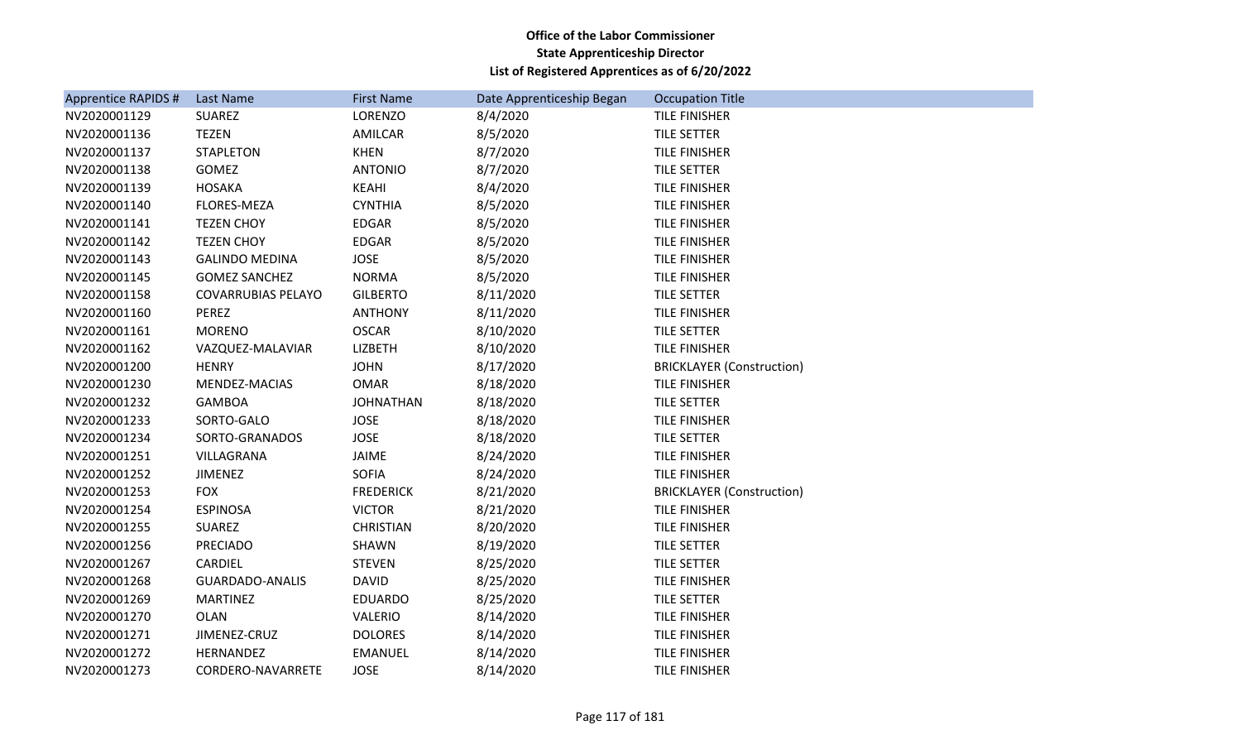| Apprentice RAPIDS # | Last Name                 | <b>First Name</b> | Date Apprenticeship Began | <b>Occupation Title</b>          |
|---------------------|---------------------------|-------------------|---------------------------|----------------------------------|
| NV2020001129        | SUAREZ                    | LORENZO           | 8/4/2020                  | TILE FINISHER                    |
| NV2020001136        | <b>TEZEN</b>              | AMILCAR           | 8/5/2020                  | <b>TILE SETTER</b>               |
| NV2020001137        | <b>STAPLETON</b>          | <b>KHEN</b>       | 8/7/2020                  | TILE FINISHER                    |
| NV2020001138        | GOMEZ                     | <b>ANTONIO</b>    | 8/7/2020                  | <b>TILE SETTER</b>               |
| NV2020001139        | <b>HOSAKA</b>             | KEAHI             | 8/4/2020                  | TILE FINISHER                    |
| NV2020001140        | <b>FLORES-MEZA</b>        | <b>CYNTHIA</b>    | 8/5/2020                  | TILE FINISHER                    |
| NV2020001141        | <b>TEZEN CHOY</b>         | <b>EDGAR</b>      | 8/5/2020                  | TILE FINISHER                    |
| NV2020001142        | <b>TEZEN CHOY</b>         | EDGAR             | 8/5/2020                  | TILE FINISHER                    |
| NV2020001143        | <b>GALINDO MEDINA</b>     | <b>JOSE</b>       | 8/5/2020                  | <b>TILE FINISHER</b>             |
| NV2020001145        | <b>GOMEZ SANCHEZ</b>      | <b>NORMA</b>      | 8/5/2020                  | TILE FINISHER                    |
| NV2020001158        | <b>COVARRUBIAS PELAYO</b> | <b>GILBERTO</b>   | 8/11/2020                 | TILE SETTER                      |
| NV2020001160        | PEREZ                     | <b>ANTHONY</b>    | 8/11/2020                 | TILE FINISHER                    |
| NV2020001161        | <b>MORENO</b>             | <b>OSCAR</b>      | 8/10/2020                 | TILE SETTER                      |
| NV2020001162        | VAZQUEZ-MALAVIAR          | LIZBETH           | 8/10/2020                 | TILE FINISHER                    |
| NV2020001200        | <b>HENRY</b>              | <b>JOHN</b>       | 8/17/2020                 | <b>BRICKLAYER (Construction)</b> |
| NV2020001230        | MENDEZ-MACIAS             | <b>OMAR</b>       | 8/18/2020                 | TILE FINISHER                    |
| NV2020001232        | <b>GAMBOA</b>             | <b>JOHNATHAN</b>  | 8/18/2020                 | TILE SETTER                      |
| NV2020001233        | SORTO-GALO                | <b>JOSE</b>       | 8/18/2020                 | TILE FINISHER                    |
| NV2020001234        | SORTO-GRANADOS            | <b>JOSE</b>       | 8/18/2020                 | TILE SETTER                      |
| NV2020001251        | VILLAGRANA                | JAIME             | 8/24/2020                 | TILE FINISHER                    |
| NV2020001252        | <b>JIMENEZ</b>            | <b>SOFIA</b>      | 8/24/2020                 | TILE FINISHER                    |
| NV2020001253        | <b>FOX</b>                | <b>FREDERICK</b>  | 8/21/2020                 | <b>BRICKLAYER (Construction)</b> |
| NV2020001254        | <b>ESPINOSA</b>           | <b>VICTOR</b>     | 8/21/2020                 | <b>TILE FINISHER</b>             |
| NV2020001255        | SUAREZ                    | <b>CHRISTIAN</b>  | 8/20/2020                 | TILE FINISHER                    |
| NV2020001256        | <b>PRECIADO</b>           | SHAWN             | 8/19/2020                 | TILE SETTER                      |
| NV2020001267        | CARDIEL                   | <b>STEVEN</b>     | 8/25/2020                 | TILE SETTER                      |
| NV2020001268        | GUARDADO-ANALIS           | <b>DAVID</b>      | 8/25/2020                 | TILE FINISHER                    |
| NV2020001269        | <b>MARTINEZ</b>           | <b>EDUARDO</b>    | 8/25/2020                 | TILE SETTER                      |
| NV2020001270        | <b>OLAN</b>               | <b>VALERIO</b>    | 8/14/2020                 | <b>TILE FINISHER</b>             |
| NV2020001271        | JIMENEZ-CRUZ              | <b>DOLORES</b>    | 8/14/2020                 | TILE FINISHER                    |
| NV2020001272        | HERNANDEZ                 | <b>EMANUEL</b>    | 8/14/2020                 | TILE FINISHER                    |
| NV2020001273        | CORDERO-NAVARRETE         | <b>JOSE</b>       | 8/14/2020                 | <b>TILE FINISHER</b>             |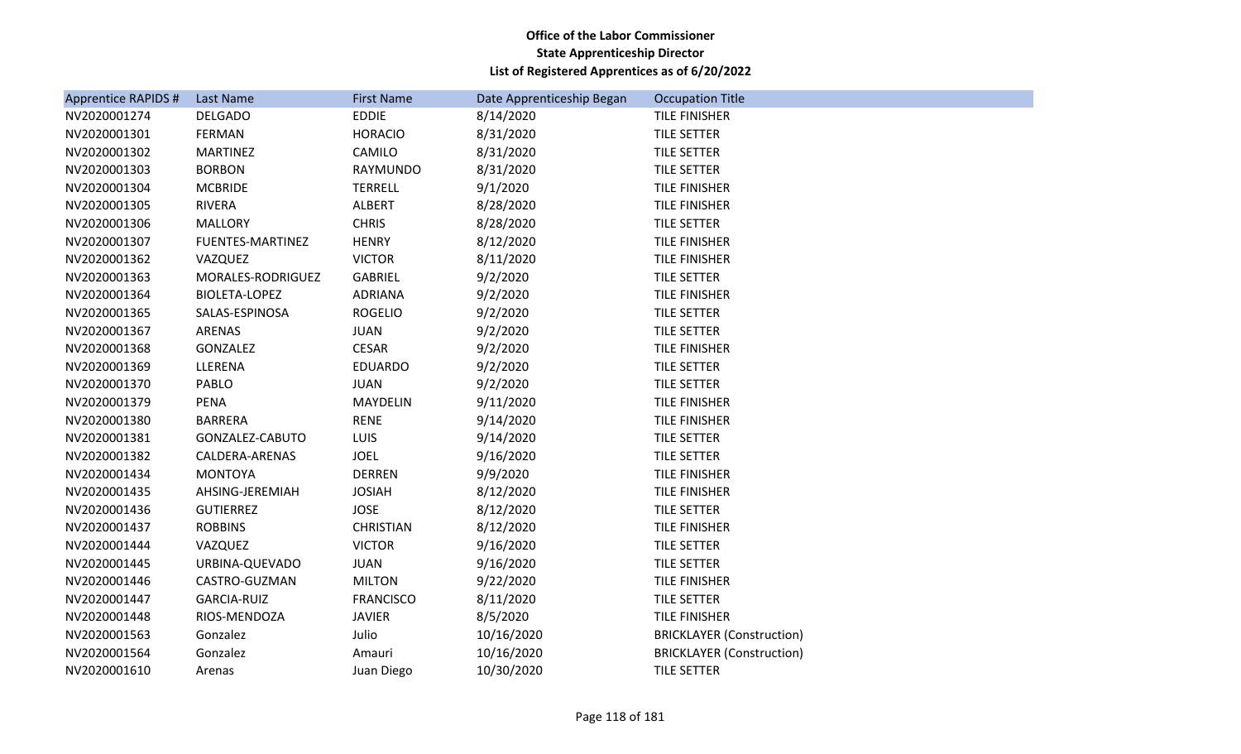| Apprentice RAPIDS # | Last Name               | <b>First Name</b> | Date Apprenticeship Began | <b>Occupation Title</b>          |
|---------------------|-------------------------|-------------------|---------------------------|----------------------------------|
| NV2020001274        | <b>DELGADO</b>          | <b>EDDIE</b>      | 8/14/2020                 | <b>TILE FINISHER</b>             |
| NV2020001301        | <b>FERMAN</b>           | <b>HORACIO</b>    | 8/31/2020                 | TILE SETTER                      |
| NV2020001302        | <b>MARTINEZ</b>         | CAMILO            | 8/31/2020                 | TILE SETTER                      |
| NV2020001303        | <b>BORBON</b>           | <b>RAYMUNDO</b>   | 8/31/2020                 | <b>TILE SETTER</b>               |
| NV2020001304        | <b>MCBRIDE</b>          | <b>TERRELL</b>    | 9/1/2020                  | TILE FINISHER                    |
| NV2020001305        | <b>RIVERA</b>           | ALBERT            | 8/28/2020                 | TILE FINISHER                    |
| NV2020001306        | <b>MALLORY</b>          | <b>CHRIS</b>      | 8/28/2020                 | TILE SETTER                      |
| NV2020001307        | <b>FUENTES-MARTINEZ</b> | <b>HENRY</b>      | 8/12/2020                 | TILE FINISHER                    |
| NV2020001362        | VAZQUEZ                 | <b>VICTOR</b>     | 8/11/2020                 | TILE FINISHER                    |
| NV2020001363        | MORALES-RODRIGUEZ       | <b>GABRIEL</b>    | 9/2/2020                  | TILE SETTER                      |
| NV2020001364        | <b>BIOLETA-LOPEZ</b>    | <b>ADRIANA</b>    | 9/2/2020                  | TILE FINISHER                    |
| NV2020001365        | SALAS-ESPINOSA          | <b>ROGELIO</b>    | 9/2/2020                  | TILE SETTER                      |
| NV2020001367        | ARENAS                  | <b>JUAN</b>       | 9/2/2020                  | TILE SETTER                      |
| NV2020001368        | GONZALEZ                | <b>CESAR</b>      | 9/2/2020                  | TILE FINISHER                    |
| NV2020001369        | LLERENA                 | <b>EDUARDO</b>    | 9/2/2020                  | TILE SETTER                      |
| NV2020001370        | <b>PABLO</b>            | <b>JUAN</b>       | 9/2/2020                  | TILE SETTER                      |
| NV2020001379        | PENA                    | MAYDELIN          | 9/11/2020                 | <b>TILE FINISHER</b>             |
| NV2020001380        | <b>BARRERA</b>          | <b>RENE</b>       | 9/14/2020                 | TILE FINISHER                    |
| NV2020001381        | GONZALEZ-CABUTO         | LUIS              | 9/14/2020                 | TILE SETTER                      |
| NV2020001382        | CALDERA-ARENAS          | <b>JOEL</b>       | 9/16/2020                 | TILE SETTER                      |
| NV2020001434        | <b>MONTOYA</b>          | <b>DERREN</b>     | 9/9/2020                  | TILE FINISHER                    |
| NV2020001435        | AHSING-JEREMIAH         | <b>JOSIAH</b>     | 8/12/2020                 | <b>TILE FINISHER</b>             |
| NV2020001436        | <b>GUTIERREZ</b>        | <b>JOSE</b>       | 8/12/2020                 | TILE SETTER                      |
| NV2020001437        | <b>ROBBINS</b>          | <b>CHRISTIAN</b>  | 8/12/2020                 | TILE FINISHER                    |
| NV2020001444        | VAZQUEZ                 | <b>VICTOR</b>     | 9/16/2020                 | <b>TILE SETTER</b>               |
| NV2020001445        | URBINA-QUEVADO          | <b>JUAN</b>       | 9/16/2020                 | TILE SETTER                      |
| NV2020001446        | CASTRO-GUZMAN           | <b>MILTON</b>     | 9/22/2020                 | TILE FINISHER                    |
| NV2020001447        | <b>GARCIA-RUIZ</b>      | <b>FRANCISCO</b>  | 8/11/2020                 | <b>TILE SETTER</b>               |
| NV2020001448        | RIOS-MENDOZA            | <b>JAVIER</b>     | 8/5/2020                  | TILE FINISHER                    |
| NV2020001563        | Gonzalez                | Julio             | 10/16/2020                | <b>BRICKLAYER (Construction)</b> |
| NV2020001564        | Gonzalez                | Amauri            | 10/16/2020                | <b>BRICKLAYER (Construction)</b> |
| NV2020001610        | Arenas                  | Juan Diego        | 10/30/2020                | TILE SETTER                      |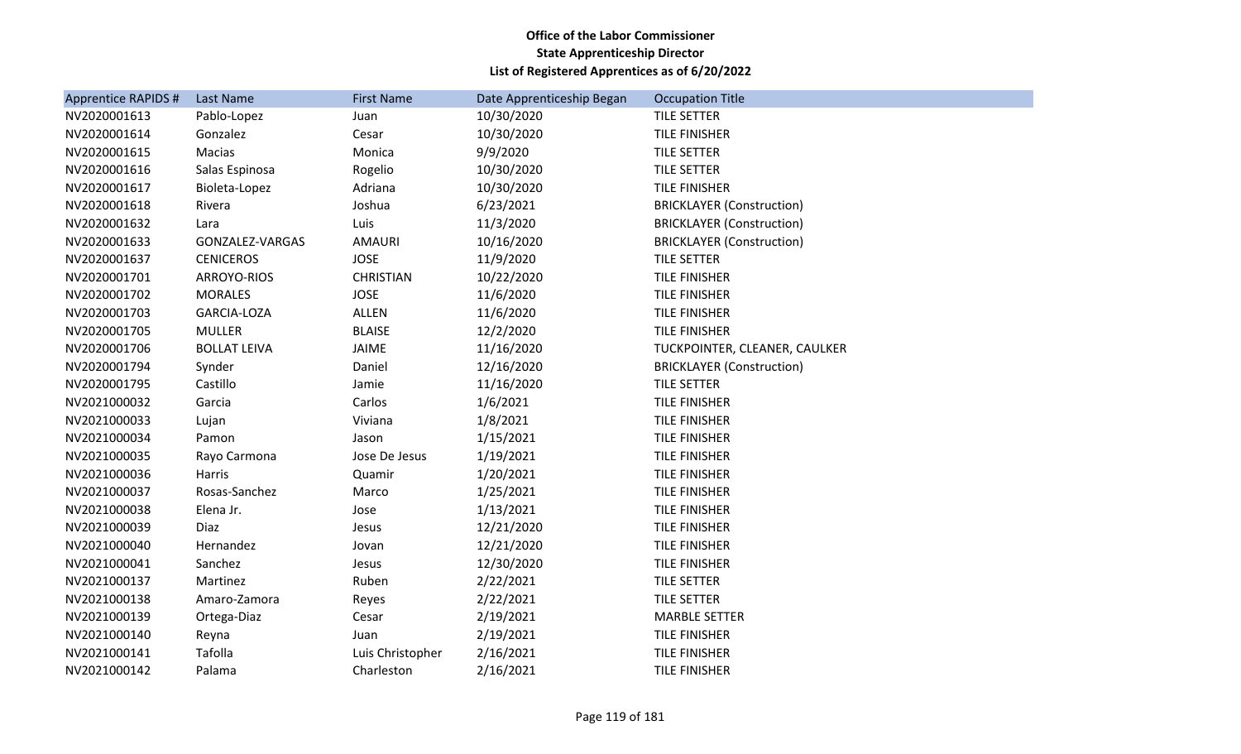| Apprentice RAPIDS # | Last Name           | <b>First Name</b> | Date Apprenticeship Began | <b>Occupation Title</b>          |
|---------------------|---------------------|-------------------|---------------------------|----------------------------------|
| NV2020001613        | Pablo-Lopez         | Juan              | 10/30/2020                | <b>TILE SETTER</b>               |
| NV2020001614        | Gonzalez            | Cesar             | 10/30/2020                | <b>TILE FINISHER</b>             |
| NV2020001615        | Macias              | Monica            | 9/9/2020                  | TILE SETTER                      |
| NV2020001616        | Salas Espinosa      | Rogelio           | 10/30/2020                | <b>TILE SETTER</b>               |
| NV2020001617        | Bioleta-Lopez       | Adriana           | 10/30/2020                | <b>TILE FINISHER</b>             |
| NV2020001618        | Rivera              | Joshua            | 6/23/2021                 | <b>BRICKLAYER (Construction)</b> |
| NV2020001632        | Lara                | Luis              | 11/3/2020                 | <b>BRICKLAYER (Construction)</b> |
| NV2020001633        | GONZALEZ-VARGAS     | <b>AMAURI</b>     | 10/16/2020                | <b>BRICKLAYER (Construction)</b> |
| NV2020001637        | <b>CENICEROS</b>    | <b>JOSE</b>       | 11/9/2020                 | TILE SETTER                      |
| NV2020001701        | ARROYO-RIOS         | <b>CHRISTIAN</b>  | 10/22/2020                | <b>TILE FINISHER</b>             |
| NV2020001702        | <b>MORALES</b>      | <b>JOSE</b>       | 11/6/2020                 | <b>TILE FINISHER</b>             |
| NV2020001703        | GARCIA-LOZA         | ALLEN             | 11/6/2020                 | <b>TILE FINISHER</b>             |
| NV2020001705        | <b>MULLER</b>       | <b>BLAISE</b>     | 12/2/2020                 | <b>TILE FINISHER</b>             |
| NV2020001706        | <b>BOLLAT LEIVA</b> | <b>JAIME</b>      | 11/16/2020                | TUCKPOINTER, CLEANER, CAULKER    |
| NV2020001794        | Synder              | Daniel            | 12/16/2020                | <b>BRICKLAYER (Construction)</b> |
| NV2020001795        | Castillo            | Jamie             | 11/16/2020                | TILE SETTER                      |
| NV2021000032        | Garcia              | Carlos            | 1/6/2021                  | TILE FINISHER                    |
| NV2021000033        | Lujan               | Viviana           | 1/8/2021                  | <b>TILE FINISHER</b>             |
| NV2021000034        | Pamon               | Jason             | 1/15/2021                 | <b>TILE FINISHER</b>             |
| NV2021000035        | Rayo Carmona        | Jose De Jesus     | 1/19/2021                 | <b>TILE FINISHER</b>             |
| NV2021000036        | Harris              | Quamir            | 1/20/2021                 | <b>TILE FINISHER</b>             |
| NV2021000037        | Rosas-Sanchez       | Marco             | 1/25/2021                 | <b>TILE FINISHER</b>             |
| NV2021000038        | Elena Jr.           | Jose              | 1/13/2021                 | <b>TILE FINISHER</b>             |
| NV2021000039        | <b>Diaz</b>         | Jesus             | 12/21/2020                | <b>TILE FINISHER</b>             |
| NV2021000040        | Hernandez           | Jovan             | 12/21/2020                | <b>TILE FINISHER</b>             |
| NV2021000041        | Sanchez             | Jesus             | 12/30/2020                | <b>TILE FINISHER</b>             |
| NV2021000137        | Martinez            | Ruben             | 2/22/2021                 | <b>TILE SETTER</b>               |
| NV2021000138        | Amaro-Zamora        | Reyes             | 2/22/2021                 | TILE SETTER                      |
| NV2021000139        | Ortega-Diaz         | Cesar             | 2/19/2021                 | <b>MARBLE SETTER</b>             |
| NV2021000140        | Reyna               | Juan              | 2/19/2021                 | <b>TILE FINISHER</b>             |
| NV2021000141        | Tafolla             | Luis Christopher  | 2/16/2021                 | <b>TILE FINISHER</b>             |
| NV2021000142        | Palama              | Charleston        | 2/16/2021                 | <b>TILE FINISHER</b>             |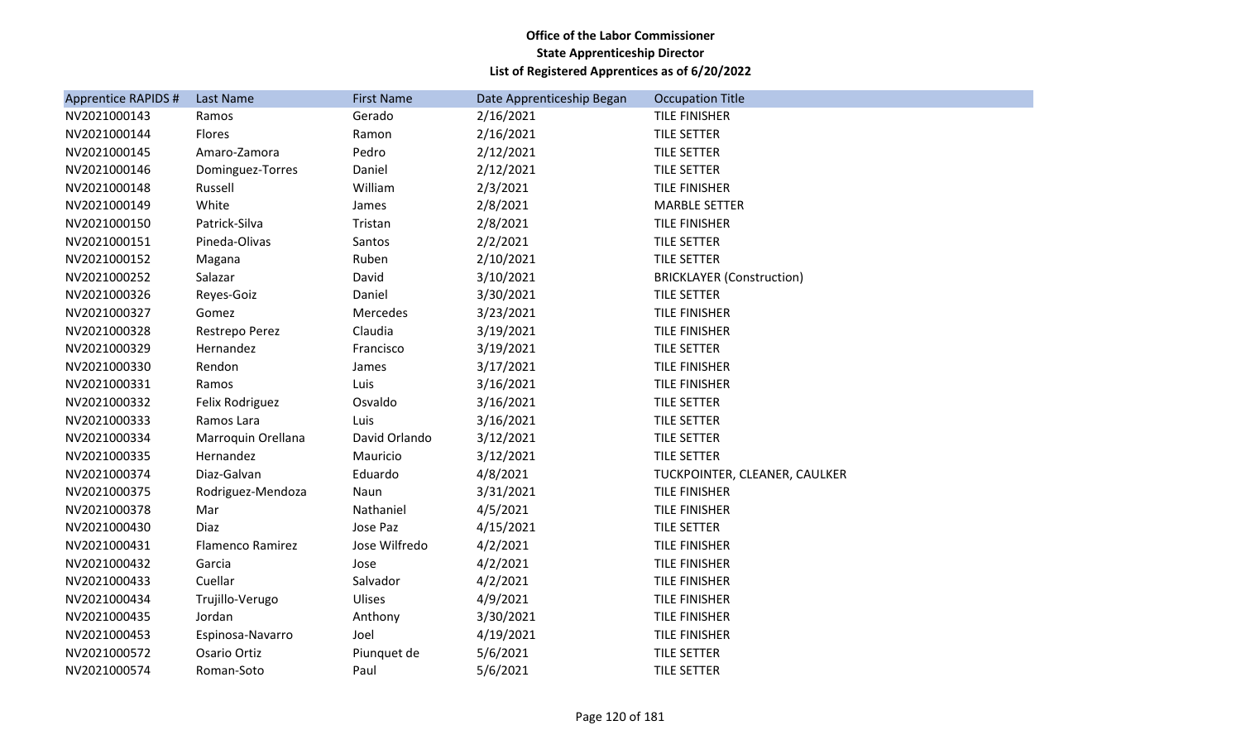| Apprentice RAPIDS # | Last Name               | <b>First Name</b> | Date Apprenticeship Began | <b>Occupation Title</b>          |
|---------------------|-------------------------|-------------------|---------------------------|----------------------------------|
| NV2021000143        | Ramos                   | Gerado            | 2/16/2021                 | <b>TILE FINISHER</b>             |
| NV2021000144        | Flores                  | Ramon             | 2/16/2021                 | TILE SETTER                      |
| NV2021000145        | Amaro-Zamora            | Pedro             | 2/12/2021                 | <b>TILE SETTER</b>               |
| NV2021000146        | Dominguez-Torres        | Daniel            | 2/12/2021                 | <b>TILE SETTER</b>               |
| NV2021000148        | Russell                 | William           | 2/3/2021                  | <b>TILE FINISHER</b>             |
| NV2021000149        | White                   | James             | 2/8/2021                  | <b>MARBLE SETTER</b>             |
| NV2021000150        | Patrick-Silva           | Tristan           | 2/8/2021                  | <b>TILE FINISHER</b>             |
| NV2021000151        | Pineda-Olivas           | Santos            | 2/2/2021                  | <b>TILE SETTER</b>               |
| NV2021000152        | Magana                  | Ruben             | 2/10/2021                 | TILE SETTER                      |
| NV2021000252        | Salazar                 | David             | 3/10/2021                 | <b>BRICKLAYER (Construction)</b> |
| NV2021000326        | Reyes-Goiz              | Daniel            | 3/30/2021                 | TILE SETTER                      |
| NV2021000327        | Gomez                   | Mercedes          | 3/23/2021                 | <b>TILE FINISHER</b>             |
| NV2021000328        | Restrepo Perez          | Claudia           | 3/19/2021                 | <b>TILE FINISHER</b>             |
| NV2021000329        | Hernandez               | Francisco         | 3/19/2021                 | <b>TILE SETTER</b>               |
| NV2021000330        | Rendon                  | James             | 3/17/2021                 | <b>TILE FINISHER</b>             |
| NV2021000331        | Ramos                   | Luis              | 3/16/2021                 | <b>TILE FINISHER</b>             |
| NV2021000332        | Felix Rodriguez         | Osvaldo           | 3/16/2021                 | TILE SETTER                      |
| NV2021000333        | Ramos Lara              | Luis              | 3/16/2021                 | <b>TILE SETTER</b>               |
| NV2021000334        | Marroquin Orellana      | David Orlando     | 3/12/2021                 | <b>TILE SETTER</b>               |
| NV2021000335        | Hernandez               | Mauricio          | 3/12/2021                 | <b>TILE SETTER</b>               |
| NV2021000374        | Diaz-Galvan             | Eduardo           | 4/8/2021                  | TUCKPOINTER, CLEANER, CAULKER    |
| NV2021000375        | Rodriguez-Mendoza       | Naun              | 3/31/2021                 | TILE FINISHER                    |
| NV2021000378        | Mar                     | Nathaniel         | 4/5/2021                  | TILE FINISHER                    |
| NV2021000430        | Diaz                    | Jose Paz          | 4/15/2021                 | TILE SETTER                      |
| NV2021000431        | <b>Flamenco Ramirez</b> | Jose Wilfredo     | 4/2/2021                  | <b>TILE FINISHER</b>             |
| NV2021000432        | Garcia                  | Jose              | 4/2/2021                  | <b>TILE FINISHER</b>             |
| NV2021000433        | Cuellar                 | Salvador          | 4/2/2021                  | TILE FINISHER                    |
| NV2021000434        | Trujillo-Verugo         | Ulises            | 4/9/2021                  | <b>TILE FINISHER</b>             |
| NV2021000435        | Jordan                  | Anthony           | 3/30/2021                 | TILE FINISHER                    |
| NV2021000453        | Espinosa-Navarro        | Joel              | 4/19/2021                 | TILE FINISHER                    |
| NV2021000572        | Osario Ortiz            | Piunquet de       | 5/6/2021                  | TILE SETTER                      |
| NV2021000574        | Roman-Soto              | Paul              | 5/6/2021                  | <b>TILE SETTER</b>               |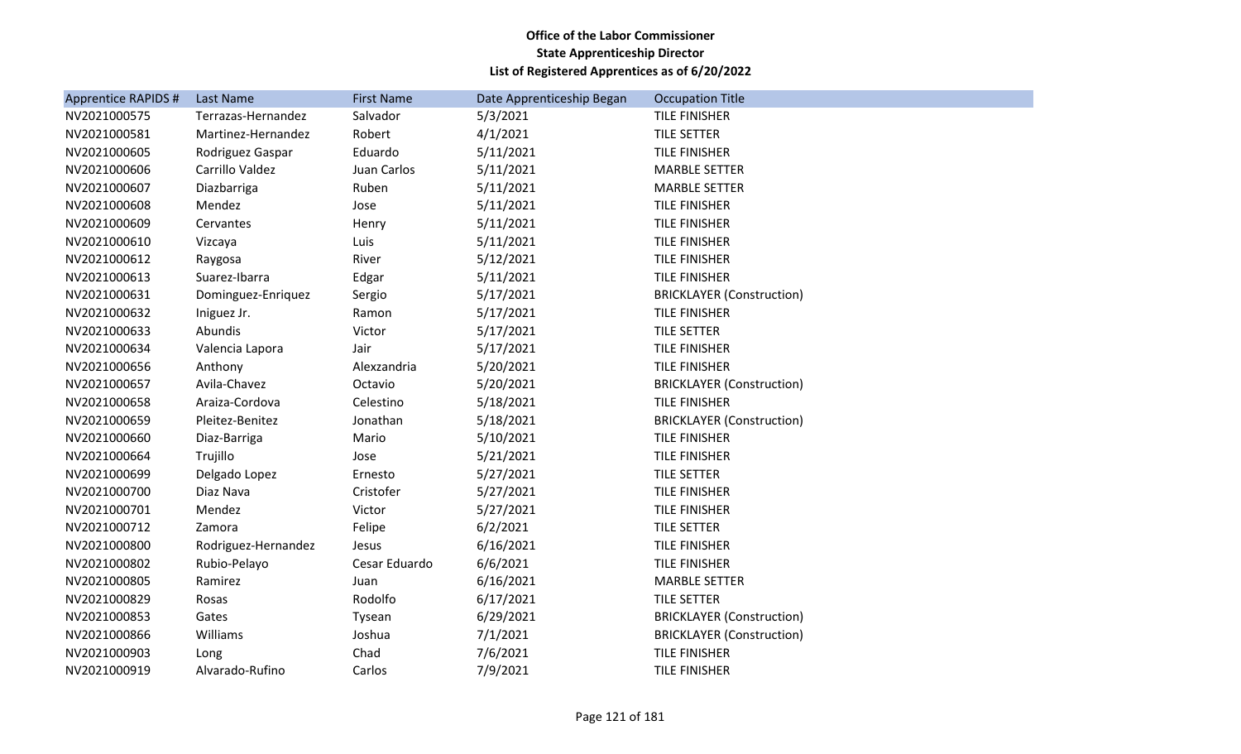| <b>Apprentice RAPIDS #</b> | Last Name           | <b>First Name</b> | Date Apprenticeship Began | <b>Occupation Title</b>          |
|----------------------------|---------------------|-------------------|---------------------------|----------------------------------|
| NV2021000575               | Terrazas-Hernandez  | Salvador          | 5/3/2021                  | TILE FINISHER                    |
| NV2021000581               | Martinez-Hernandez  | Robert            | 4/1/2021                  | <b>TILE SETTER</b>               |
| NV2021000605               | Rodriguez Gaspar    | Eduardo           | 5/11/2021                 | TILE FINISHER                    |
| NV2021000606               | Carrillo Valdez     | Juan Carlos       | 5/11/2021                 | <b>MARBLE SETTER</b>             |
| NV2021000607               | Diazbarriga         | Ruben             | 5/11/2021                 | <b>MARBLE SETTER</b>             |
| NV2021000608               | Mendez              | Jose              | 5/11/2021                 | <b>TILE FINISHER</b>             |
| NV2021000609               | Cervantes           | Henry             | 5/11/2021                 | TILE FINISHER                    |
| NV2021000610               | Vizcaya             | Luis              | 5/11/2021                 | <b>TILE FINISHER</b>             |
| NV2021000612               | Raygosa             | River             | 5/12/2021                 | <b>TILE FINISHER</b>             |
| NV2021000613               | Suarez-Ibarra       | Edgar             | 5/11/2021                 | TILE FINISHER                    |
| NV2021000631               | Dominguez-Enriquez  | Sergio            | 5/17/2021                 | <b>BRICKLAYER (Construction)</b> |
| NV2021000632               | Iniguez Jr.         | Ramon             | 5/17/2021                 | TILE FINISHER                    |
| NV2021000633               | Abundis             | Victor            | 5/17/2021                 | <b>TILE SETTER</b>               |
| NV2021000634               | Valencia Lapora     | Jair              | 5/17/2021                 | <b>TILE FINISHER</b>             |
| NV2021000656               | Anthony             | Alexzandria       | 5/20/2021                 | TILE FINISHER                    |
| NV2021000657               | Avila-Chavez        | Octavio           | 5/20/2021                 | <b>BRICKLAYER (Construction)</b> |
| NV2021000658               | Araiza-Cordova      | Celestino         | 5/18/2021                 | TILE FINISHER                    |
| NV2021000659               | Pleitez-Benitez     | Jonathan          | 5/18/2021                 | <b>BRICKLAYER (Construction)</b> |
| NV2021000660               | Diaz-Barriga        | Mario             | 5/10/2021                 | TILE FINISHER                    |
| NV2021000664               | Trujillo            | Jose              | 5/21/2021                 | TILE FINISHER                    |
| NV2021000699               | Delgado Lopez       | Ernesto           | 5/27/2021                 | <b>TILE SETTER</b>               |
| NV2021000700               | Diaz Nava           | Cristofer         | 5/27/2021                 | TILE FINISHER                    |
| NV2021000701               | Mendez              | Victor            | 5/27/2021                 | <b>TILE FINISHER</b>             |
| NV2021000712               | Zamora              | Felipe            | 6/2/2021                  | TILE SETTER                      |
| NV2021000800               | Rodriguez-Hernandez | Jesus             | 6/16/2021                 | TILE FINISHER                    |
| NV2021000802               | Rubio-Pelayo        | Cesar Eduardo     | 6/6/2021                  | <b>TILE FINISHER</b>             |
| NV2021000805               | Ramirez             | Juan              | 6/16/2021                 | <b>MARBLE SETTER</b>             |
| NV2021000829               | Rosas               | Rodolfo           | 6/17/2021                 | TILE SETTER                      |
| NV2021000853               | Gates               | Tysean            | 6/29/2021                 | <b>BRICKLAYER (Construction)</b> |
| NV2021000866               | Williams            | Joshua            | 7/1/2021                  | <b>BRICKLAYER (Construction)</b> |
| NV2021000903               | Long                | Chad              | 7/6/2021                  | TILE FINISHER                    |
| NV2021000919               | Alvarado-Rufino     | Carlos            | 7/9/2021                  | <b>TILE FINISHER</b>             |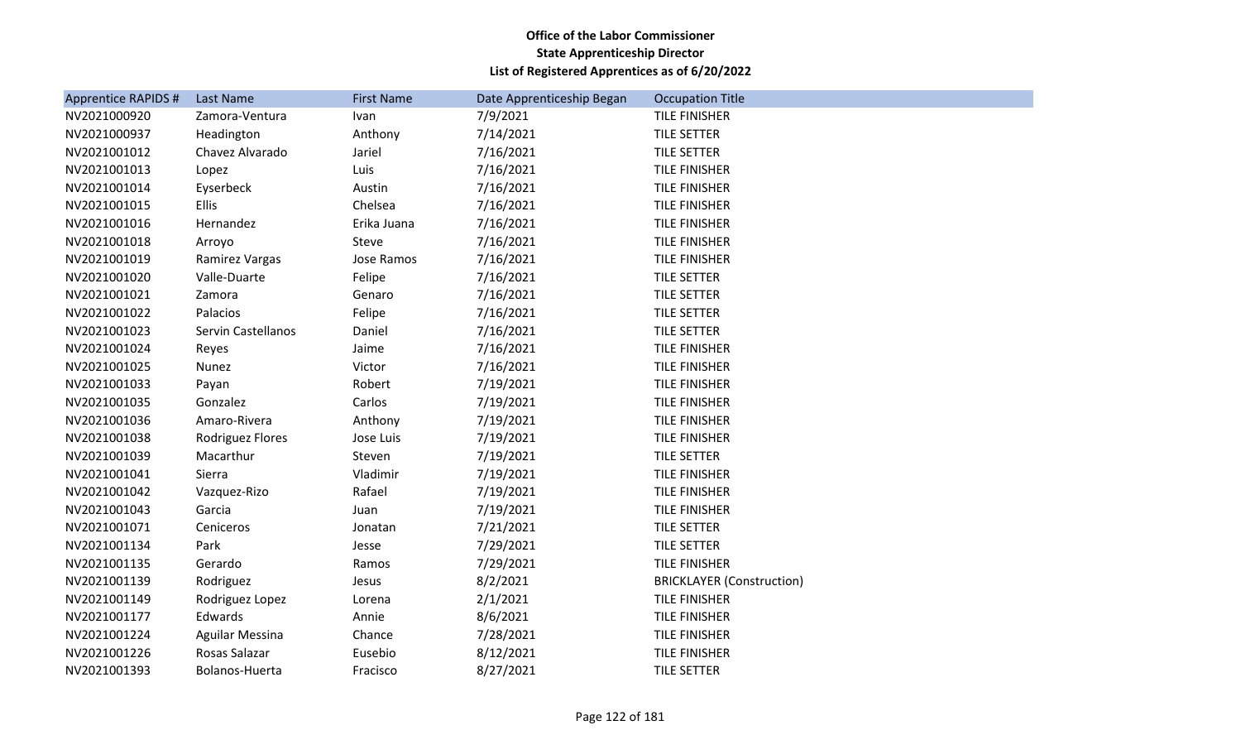| <b>Apprentice RAPIDS #</b> | Last Name              | <b>First Name</b> | Date Apprenticeship Began | <b>Occupation Title</b>          |
|----------------------------|------------------------|-------------------|---------------------------|----------------------------------|
| NV2021000920               | Zamora-Ventura         | Ivan              | 7/9/2021                  | <b>TILE FINISHER</b>             |
| NV2021000937               | Headington             | Anthony           | 7/14/2021                 | TILE SETTER                      |
| NV2021001012               | Chavez Alvarado        | Jariel            | 7/16/2021                 | <b>TILE SETTER</b>               |
| NV2021001013               | Lopez                  | Luis              | 7/16/2021                 | <b>TILE FINISHER</b>             |
| NV2021001014               | Eyserbeck              | Austin            | 7/16/2021                 | <b>TILE FINISHER</b>             |
| NV2021001015               | <b>Ellis</b>           | Chelsea           | 7/16/2021                 | TILE FINISHER                    |
| NV2021001016               | Hernandez              | Erika Juana       | 7/16/2021                 | <b>TILE FINISHER</b>             |
| NV2021001018               | Arroyo                 | Steve             | 7/16/2021                 | <b>TILE FINISHER</b>             |
| NV2021001019               | Ramirez Vargas         | Jose Ramos        | 7/16/2021                 | TILE FINISHER                    |
| NV2021001020               | Valle-Duarte           | Felipe            | 7/16/2021                 | TILE SETTER                      |
| NV2021001021               | Zamora                 | Genaro            | 7/16/2021                 | <b>TILE SETTER</b>               |
| NV2021001022               | Palacios               | Felipe            | 7/16/2021                 | TILE SETTER                      |
| NV2021001023               | Servin Castellanos     | Daniel            | 7/16/2021                 | TILE SETTER                      |
| NV2021001024               | Reyes                  | Jaime             | 7/16/2021                 | <b>TILE FINISHER</b>             |
| NV2021001025               | Nunez                  | Victor            | 7/16/2021                 | <b>TILE FINISHER</b>             |
| NV2021001033               | Payan                  | Robert            | 7/19/2021                 | TILE FINISHER                    |
| NV2021001035               | Gonzalez               | Carlos            | 7/19/2021                 | TILE FINISHER                    |
| NV2021001036               | Amaro-Rivera           | Anthony           | 7/19/2021                 | <b>TILE FINISHER</b>             |
| NV2021001038               | Rodriguez Flores       | Jose Luis         | 7/19/2021                 | TILE FINISHER                    |
| NV2021001039               | Macarthur              | Steven            | 7/19/2021                 | <b>TILE SETTER</b>               |
| NV2021001041               | Sierra                 | Vladimir          | 7/19/2021                 | TILE FINISHER                    |
| NV2021001042               | Vazquez-Rizo           | Rafael            | 7/19/2021                 | <b>TILE FINISHER</b>             |
| NV2021001043               | Garcia                 | Juan              | 7/19/2021                 | TILE FINISHER                    |
| NV2021001071               | Ceniceros              | Jonatan           | 7/21/2021                 | <b>TILE SETTER</b>               |
| NV2021001134               | Park                   | Jesse             | 7/29/2021                 | TILE SETTER                      |
| NV2021001135               | Gerardo                | Ramos             | 7/29/2021                 | <b>TILE FINISHER</b>             |
| NV2021001139               | Rodriguez              | Jesus             | 8/2/2021                  | <b>BRICKLAYER (Construction)</b> |
| NV2021001149               | Rodriguez Lopez        | Lorena            | 2/1/2021                  | TILE FINISHER                    |
| NV2021001177               | Edwards                | Annie             | 8/6/2021                  | <b>TILE FINISHER</b>             |
| NV2021001224               | <b>Aguilar Messina</b> | Chance            | 7/28/2021                 | <b>TILE FINISHER</b>             |
| NV2021001226               | Rosas Salazar          | Eusebio           | 8/12/2021                 | <b>TILE FINISHER</b>             |
| NV2021001393               | Bolanos-Huerta         | Fracisco          | 8/27/2021                 | <b>TILE SETTER</b>               |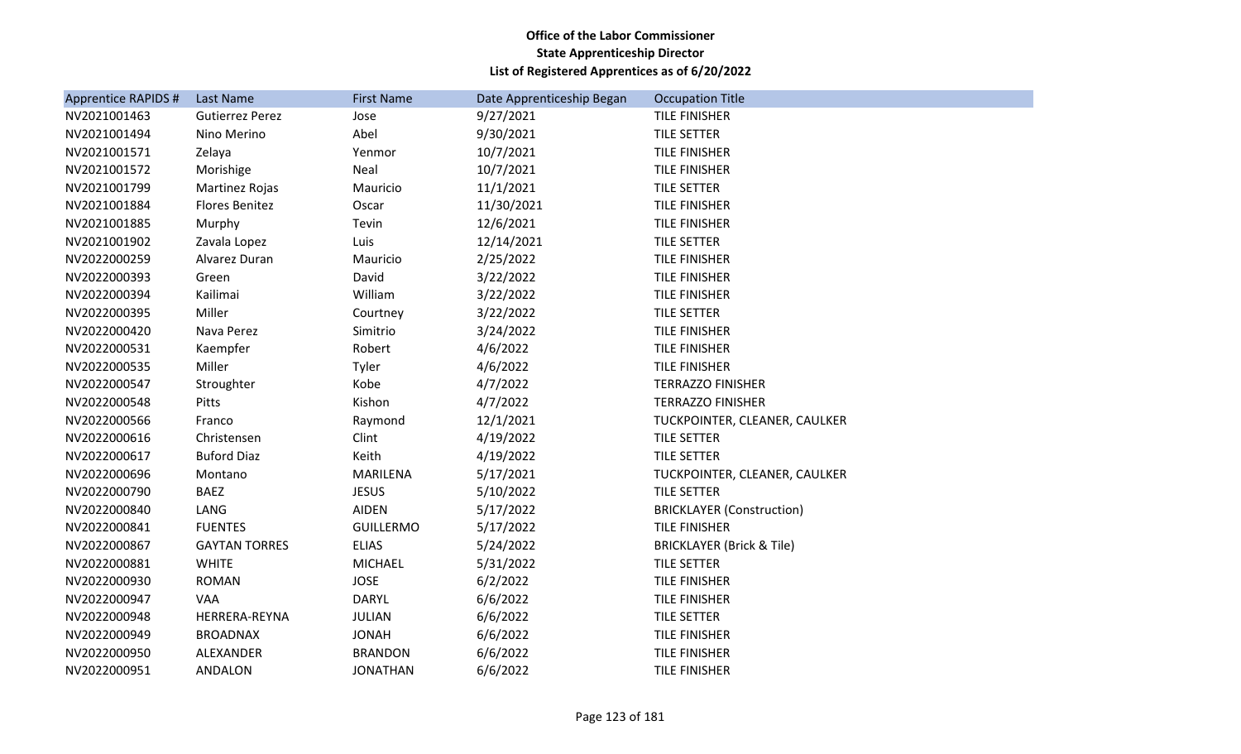| <b>Apprentice RAPIDS#</b> | Last Name              | <b>First Name</b> | Date Apprenticeship Began | <b>Occupation Title</b>              |
|---------------------------|------------------------|-------------------|---------------------------|--------------------------------------|
| NV2021001463              | <b>Gutierrez Perez</b> | Jose              | 9/27/2021                 | TILE FINISHER                        |
| NV2021001494              | Nino Merino            | Abel              | 9/30/2021                 | TILE SETTER                          |
| NV2021001571              | Zelaya                 | Yenmor            | 10/7/2021                 | TILE FINISHER                        |
| NV2021001572              | Morishige              | Neal              | 10/7/2021                 | TILE FINISHER                        |
| NV2021001799              | Martinez Rojas         | Mauricio          | 11/1/2021                 | <b>TILE SETTER</b>                   |
| NV2021001884              | <b>Flores Benitez</b>  | Oscar             | 11/30/2021                | TILE FINISHER                        |
| NV2021001885              | Murphy                 | Tevin             | 12/6/2021                 | <b>TILE FINISHER</b>                 |
| NV2021001902              | Zavala Lopez           | Luis              | 12/14/2021                | <b>TILE SETTER</b>                   |
| NV2022000259              | Alvarez Duran          | Mauricio          | 2/25/2022                 | TILE FINISHER                        |
| NV2022000393              | Green                  | David             | 3/22/2022                 | <b>TILE FINISHER</b>                 |
| NV2022000394              | Kailimai               | William           | 3/22/2022                 | <b>TILE FINISHER</b>                 |
| NV2022000395              | Miller                 | Courtney          | 3/22/2022                 | <b>TILE SETTER</b>                   |
| NV2022000420              | Nava Perez             | Simitrio          | 3/24/2022                 | TILE FINISHER                        |
| NV2022000531              | Kaempfer               | Robert            | 4/6/2022                  | TILE FINISHER                        |
| NV2022000535              | Miller                 | Tyler             | 4/6/2022                  | <b>TILE FINISHER</b>                 |
| NV2022000547              | Stroughter             | Kobe              | 4/7/2022                  | <b>TERRAZZO FINISHER</b>             |
| NV2022000548              | Pitts                  | Kishon            | 4/7/2022                  | <b>TERRAZZO FINISHER</b>             |
| NV2022000566              | Franco                 | Raymond           | 12/1/2021                 | TUCKPOINTER, CLEANER, CAULKER        |
| NV2022000616              | Christensen            | Clint             | 4/19/2022                 | <b>TILE SETTER</b>                   |
| NV2022000617              | <b>Buford Diaz</b>     | Keith             | 4/19/2022                 | <b>TILE SETTER</b>                   |
| NV2022000696              | Montano                | <b>MARILENA</b>   | 5/17/2021                 | TUCKPOINTER, CLEANER, CAULKER        |
| NV2022000790              | <b>BAEZ</b>            | <b>JESUS</b>      | 5/10/2022                 | <b>TILE SETTER</b>                   |
| NV2022000840              | LANG                   | <b>AIDEN</b>      | 5/17/2022                 | <b>BRICKLAYER (Construction)</b>     |
| NV2022000841              | <b>FUENTES</b>         | <b>GUILLERMO</b>  | 5/17/2022                 | TILE FINISHER                        |
| NV2022000867              | <b>GAYTAN TORRES</b>   | <b>ELIAS</b>      | 5/24/2022                 | <b>BRICKLAYER (Brick &amp; Tile)</b> |
| NV2022000881              | <b>WHITE</b>           | <b>MICHAEL</b>    | 5/31/2022                 | <b>TILE SETTER</b>                   |
| NV2022000930              | <b>ROMAN</b>           | <b>JOSE</b>       | 6/2/2022                  | <b>TILE FINISHER</b>                 |
| NV2022000947              | <b>VAA</b>             | <b>DARYL</b>      | 6/6/2022                  | <b>TILE FINISHER</b>                 |
| NV2022000948              | HERRERA-REYNA          | <b>JULIAN</b>     | 6/6/2022                  | <b>TILE SETTER</b>                   |
| NV2022000949              | <b>BROADNAX</b>        | <b>JONAH</b>      | 6/6/2022                  | TILE FINISHER                        |
| NV2022000950              | ALEXANDER              | <b>BRANDON</b>    | 6/6/2022                  | <b>TILE FINISHER</b>                 |
| NV2022000951              | ANDALON                | <b>JONATHAN</b>   | 6/6/2022                  | <b>TILE FINISHER</b>                 |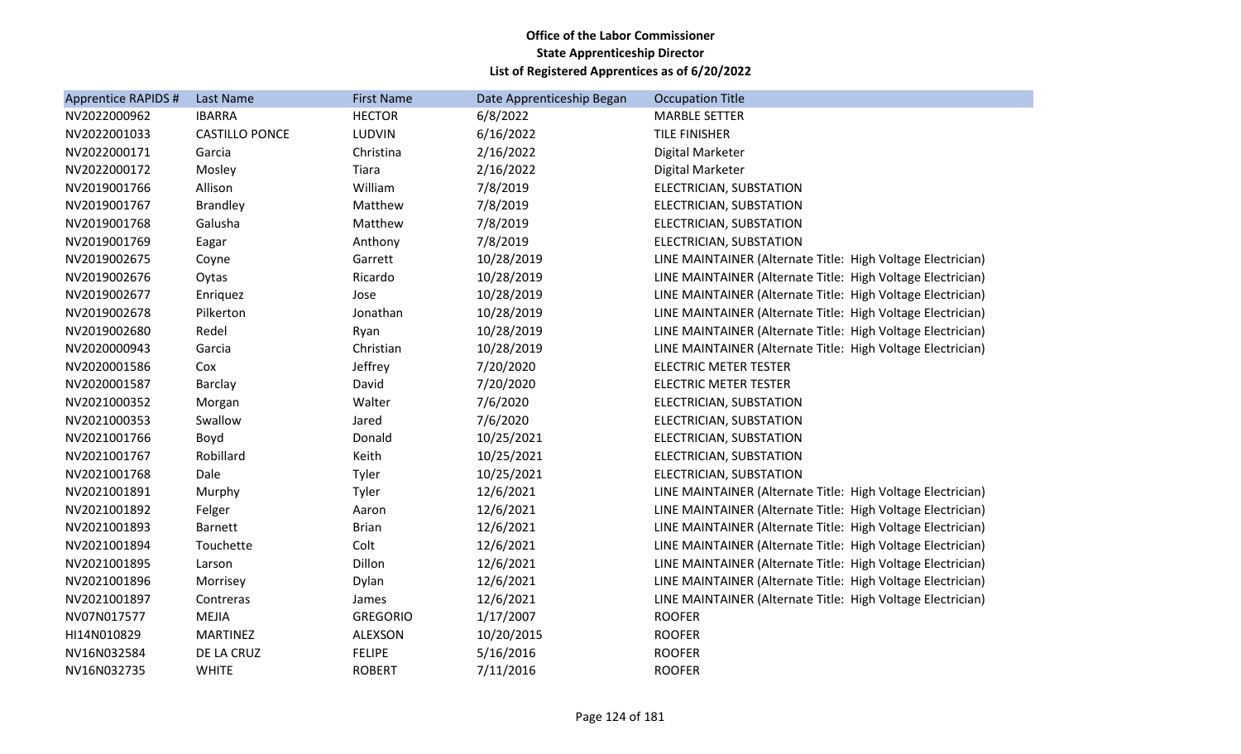| <b>Apprentice RAPIDS #</b> | Last Name             | <b>First Name</b> | Date Apprenticeship Began | <b>Occupation Title</b>                                     |
|----------------------------|-----------------------|-------------------|---------------------------|-------------------------------------------------------------|
| NV2022000962               | <b>IBARRA</b>         | <b>HECTOR</b>     | 6/8/2022                  | <b>MARBLE SETTER</b>                                        |
| NV2022001033               | <b>CASTILLO PONCE</b> | <b>LUDVIN</b>     | 6/16/2022                 | <b>TILE FINISHER</b>                                        |
| NV2022000171               | Garcia                | Christina         | 2/16/2022                 | Digital Marketer                                            |
| NV2022000172               | Mosley                | Tiara             | 2/16/2022                 | Digital Marketer                                            |
| NV2019001766               | Allison               | William           | 7/8/2019                  | ELECTRICIAN, SUBSTATION                                     |
| NV2019001767               | <b>Brandley</b>       | Matthew           | 7/8/2019                  | ELECTRICIAN, SUBSTATION                                     |
| NV2019001768               | Galusha               | Matthew           | 7/8/2019                  | ELECTRICIAN, SUBSTATION                                     |
| NV2019001769               | Eagar                 | Anthony           | 7/8/2019                  | ELECTRICIAN, SUBSTATION                                     |
| NV2019002675               | Coyne                 | Garrett           | 10/28/2019                | LINE MAINTAINER (Alternate Title: High Voltage Electrician) |
| NV2019002676               | Oytas                 | Ricardo           | 10/28/2019                | LINE MAINTAINER (Alternate Title: High Voltage Electrician) |
| NV2019002677               | Enriquez              | Jose              | 10/28/2019                | LINE MAINTAINER (Alternate Title: High Voltage Electrician) |
| NV2019002678               | Pilkerton             | Jonathan          | 10/28/2019                | LINE MAINTAINER (Alternate Title: High Voltage Electrician) |
| NV2019002680               | Redel                 | Ryan              | 10/28/2019                | LINE MAINTAINER (Alternate Title: High Voltage Electrician) |
| NV2020000943               | Garcia                | Christian         | 10/28/2019                | LINE MAINTAINER (Alternate Title: High Voltage Electrician) |
| NV2020001586               | Cox                   | Jeffrey           | 7/20/2020                 | <b>ELECTRIC METER TESTER</b>                                |
| NV2020001587               | <b>Barclay</b>        | David             | 7/20/2020                 | <b>ELECTRIC METER TESTER</b>                                |
| NV2021000352               | Morgan                | Walter            | 7/6/2020                  | ELECTRICIAN, SUBSTATION                                     |
| NV2021000353               | Swallow               | Jared             | 7/6/2020                  | ELECTRICIAN, SUBSTATION                                     |
| NV2021001766               | Boyd                  | Donald            | 10/25/2021                | ELECTRICIAN, SUBSTATION                                     |
| NV2021001767               | Robillard             | Keith             | 10/25/2021                | ELECTRICIAN, SUBSTATION                                     |
| NV2021001768               | Dale                  | Tyler             | 10/25/2021                | ELECTRICIAN, SUBSTATION                                     |
| NV2021001891               | Murphy                | Tyler             | 12/6/2021                 | LINE MAINTAINER (Alternate Title: High Voltage Electrician) |
| NV2021001892               | Felger                | Aaron             | 12/6/2021                 | LINE MAINTAINER (Alternate Title: High Voltage Electrician) |
| NV2021001893               | <b>Barnett</b>        | <b>Brian</b>      | 12/6/2021                 | LINE MAINTAINER (Alternate Title: High Voltage Electrician) |
| NV2021001894               | Touchette             | Colt              | 12/6/2021                 | LINE MAINTAINER (Alternate Title: High Voltage Electrician) |
| NV2021001895               | Larson                | Dillon            | 12/6/2021                 | LINE MAINTAINER (Alternate Title: High Voltage Electrician) |
| NV2021001896               | Morrisey              | Dylan             | 12/6/2021                 | LINE MAINTAINER (Alternate Title: High Voltage Electrician) |
| NV2021001897               | Contreras             | James             | 12/6/2021                 | LINE MAINTAINER (Alternate Title: High Voltage Electrician) |
| NV07N017577                | <b>MEJIA</b>          | <b>GREGORIO</b>   | 1/17/2007                 | <b>ROOFER</b>                                               |
| HI14N010829                | <b>MARTINEZ</b>       | ALEXSON           | 10/20/2015                | <b>ROOFER</b>                                               |
| NV16N032584                | DE LA CRUZ            | <b>FELIPE</b>     | 5/16/2016                 | <b>ROOFER</b>                                               |
| NV16N032735                | <b>WHITE</b>          | <b>ROBERT</b>     | 7/11/2016                 | <b>ROOFER</b>                                               |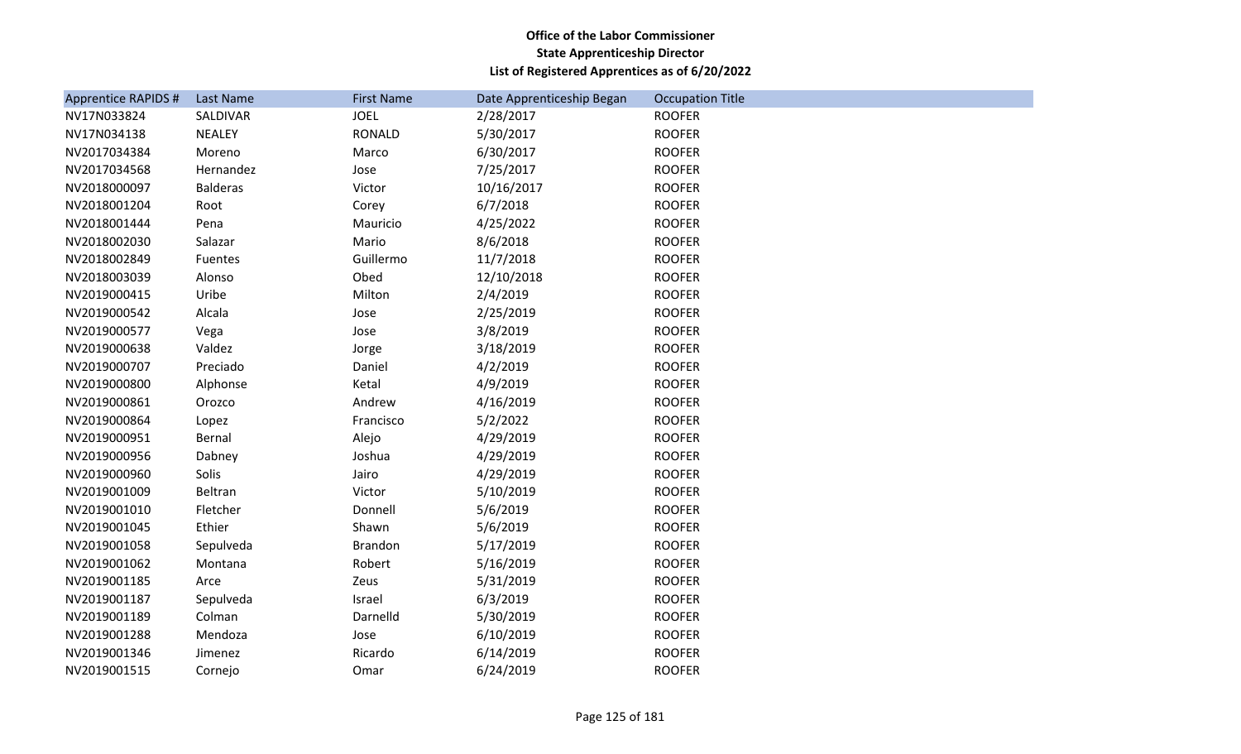| <b>Apprentice RAPIDS #</b> | Last Name       | <b>First Name</b> | Date Apprenticeship Began | <b>Occupation Title</b> |
|----------------------------|-----------------|-------------------|---------------------------|-------------------------|
| NV17N033824                | SALDIVAR        | <b>JOEL</b>       | 2/28/2017                 | <b>ROOFER</b>           |
| NV17N034138                | <b>NEALEY</b>   | <b>RONALD</b>     | 5/30/2017                 | <b>ROOFER</b>           |
| NV2017034384               | Moreno          | Marco             | 6/30/2017                 | <b>ROOFER</b>           |
| NV2017034568               | Hernandez       | Jose              | 7/25/2017                 | <b>ROOFER</b>           |
| NV2018000097               | <b>Balderas</b> | Victor            | 10/16/2017                | <b>ROOFER</b>           |
| NV2018001204               | Root            | Corey             | 6/7/2018                  | <b>ROOFER</b>           |
| NV2018001444               | Pena            | Mauricio          | 4/25/2022                 | <b>ROOFER</b>           |
| NV2018002030               | Salazar         | Mario             | 8/6/2018                  | <b>ROOFER</b>           |
| NV2018002849               | Fuentes         | Guillermo         | 11/7/2018                 | <b>ROOFER</b>           |
| NV2018003039               | Alonso          | Obed              | 12/10/2018                | <b>ROOFER</b>           |
| NV2019000415               | Uribe           | Milton            | 2/4/2019                  | <b>ROOFER</b>           |
| NV2019000542               | Alcala          | Jose              | 2/25/2019                 | <b>ROOFER</b>           |
| NV2019000577               | Vega            | Jose              | 3/8/2019                  | <b>ROOFER</b>           |
| NV2019000638               | Valdez          | Jorge             | 3/18/2019                 | <b>ROOFER</b>           |
| NV2019000707               | Preciado        | Daniel            | 4/2/2019                  | <b>ROOFER</b>           |
| NV2019000800               | Alphonse        | Ketal             | 4/9/2019                  | <b>ROOFER</b>           |
| NV2019000861               | Orozco          | Andrew            | 4/16/2019                 | <b>ROOFER</b>           |
| NV2019000864               | Lopez           | Francisco         | 5/2/2022                  | <b>ROOFER</b>           |
| NV2019000951               | Bernal          | Alejo             | 4/29/2019                 | <b>ROOFER</b>           |
| NV2019000956               | Dabney          | Joshua            | 4/29/2019                 | <b>ROOFER</b>           |
| NV2019000960               | Solis           | Jairo             | 4/29/2019                 | <b>ROOFER</b>           |
| NV2019001009               | Beltran         | Victor            | 5/10/2019                 | <b>ROOFER</b>           |
| NV2019001010               | Fletcher        | Donnell           | 5/6/2019                  | <b>ROOFER</b>           |
| NV2019001045               | Ethier          | Shawn             | 5/6/2019                  | <b>ROOFER</b>           |
| NV2019001058               | Sepulveda       | <b>Brandon</b>    | 5/17/2019                 | <b>ROOFER</b>           |
| NV2019001062               | Montana         | Robert            | 5/16/2019                 | <b>ROOFER</b>           |
| NV2019001185               | Arce            | Zeus              | 5/31/2019                 | <b>ROOFER</b>           |
| NV2019001187               | Sepulveda       | Israel            | 6/3/2019                  | <b>ROOFER</b>           |
| NV2019001189               | Colman          | Darnelld          | 5/30/2019                 | <b>ROOFER</b>           |
| NV2019001288               | Mendoza         | Jose              | 6/10/2019                 | <b>ROOFER</b>           |
| NV2019001346               | Jimenez         | Ricardo           | 6/14/2019                 | <b>ROOFER</b>           |
| NV2019001515               | Cornejo         | Omar              | 6/24/2019                 | <b>ROOFER</b>           |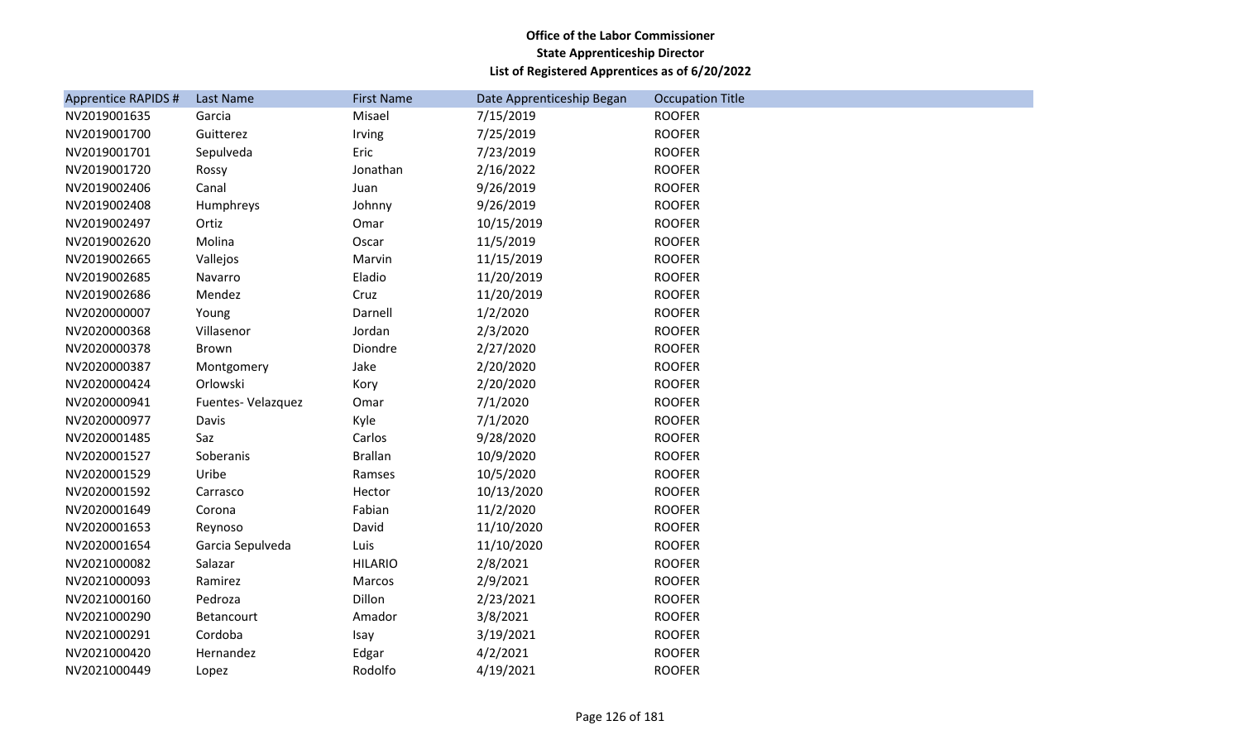| <b>Apprentice RAPIDS #</b> | Last Name          | <b>First Name</b> | Date Apprenticeship Began | <b>Occupation Title</b> |
|----------------------------|--------------------|-------------------|---------------------------|-------------------------|
| NV2019001635               | Garcia             | Misael            | 7/15/2019                 | <b>ROOFER</b>           |
| NV2019001700               | Guitterez          | Irving            | 7/25/2019                 | <b>ROOFER</b>           |
| NV2019001701               | Sepulveda          | Eric              | 7/23/2019                 | <b>ROOFER</b>           |
| NV2019001720               | Rossy              | Jonathan          | 2/16/2022                 | <b>ROOFER</b>           |
| NV2019002406               | Canal              | Juan              | 9/26/2019                 | <b>ROOFER</b>           |
| NV2019002408               | Humphreys          | Johnny            | 9/26/2019                 | <b>ROOFER</b>           |
| NV2019002497               | Ortiz              | Omar              | 10/15/2019                | <b>ROOFER</b>           |
| NV2019002620               | Molina             | Oscar             | 11/5/2019                 | <b>ROOFER</b>           |
| NV2019002665               | Vallejos           | Marvin            | 11/15/2019                | <b>ROOFER</b>           |
| NV2019002685               | Navarro            | Eladio            | 11/20/2019                | <b>ROOFER</b>           |
| NV2019002686               | Mendez             | Cruz              | 11/20/2019                | <b>ROOFER</b>           |
| NV2020000007               | Young              | Darnell           | 1/2/2020                  | <b>ROOFER</b>           |
| NV2020000368               | Villasenor         | Jordan            | 2/3/2020                  | <b>ROOFER</b>           |
| NV2020000378               | Brown              | Diondre           | 2/27/2020                 | <b>ROOFER</b>           |
| NV2020000387               | Montgomery         | Jake              | 2/20/2020                 | <b>ROOFER</b>           |
| NV2020000424               | Orlowski           | Kory              | 2/20/2020                 | <b>ROOFER</b>           |
| NV2020000941               | Fuentes- Velazquez | Omar              | 7/1/2020                  | <b>ROOFER</b>           |
| NV2020000977               | Davis              | Kyle              | 7/1/2020                  | <b>ROOFER</b>           |
| NV2020001485               | Saz                | Carlos            | 9/28/2020                 | <b>ROOFER</b>           |
| NV2020001527               | Soberanis          | <b>Brallan</b>    | 10/9/2020                 | <b>ROOFER</b>           |
| NV2020001529               | Uribe              | Ramses            | 10/5/2020                 | <b>ROOFER</b>           |
| NV2020001592               | Carrasco           | Hector            | 10/13/2020                | <b>ROOFER</b>           |
| NV2020001649               | Corona             | Fabian            | 11/2/2020                 | <b>ROOFER</b>           |
| NV2020001653               | Reynoso            | David             | 11/10/2020                | <b>ROOFER</b>           |
| NV2020001654               | Garcia Sepulveda   | Luis              | 11/10/2020                | <b>ROOFER</b>           |
| NV2021000082               | Salazar            | <b>HILARIO</b>    | 2/8/2021                  | <b>ROOFER</b>           |
| NV2021000093               | Ramirez            | Marcos            | 2/9/2021                  | <b>ROOFER</b>           |
| NV2021000160               | Pedroza            | Dillon            | 2/23/2021                 | <b>ROOFER</b>           |
| NV2021000290               | Betancourt         | Amador            | 3/8/2021                  | <b>ROOFER</b>           |
| NV2021000291               | Cordoba            | Isay              | 3/19/2021                 | <b>ROOFER</b>           |
| NV2021000420               | Hernandez          | Edgar             | 4/2/2021                  | <b>ROOFER</b>           |
| NV2021000449               | Lopez              | Rodolfo           | 4/19/2021                 | <b>ROOFER</b>           |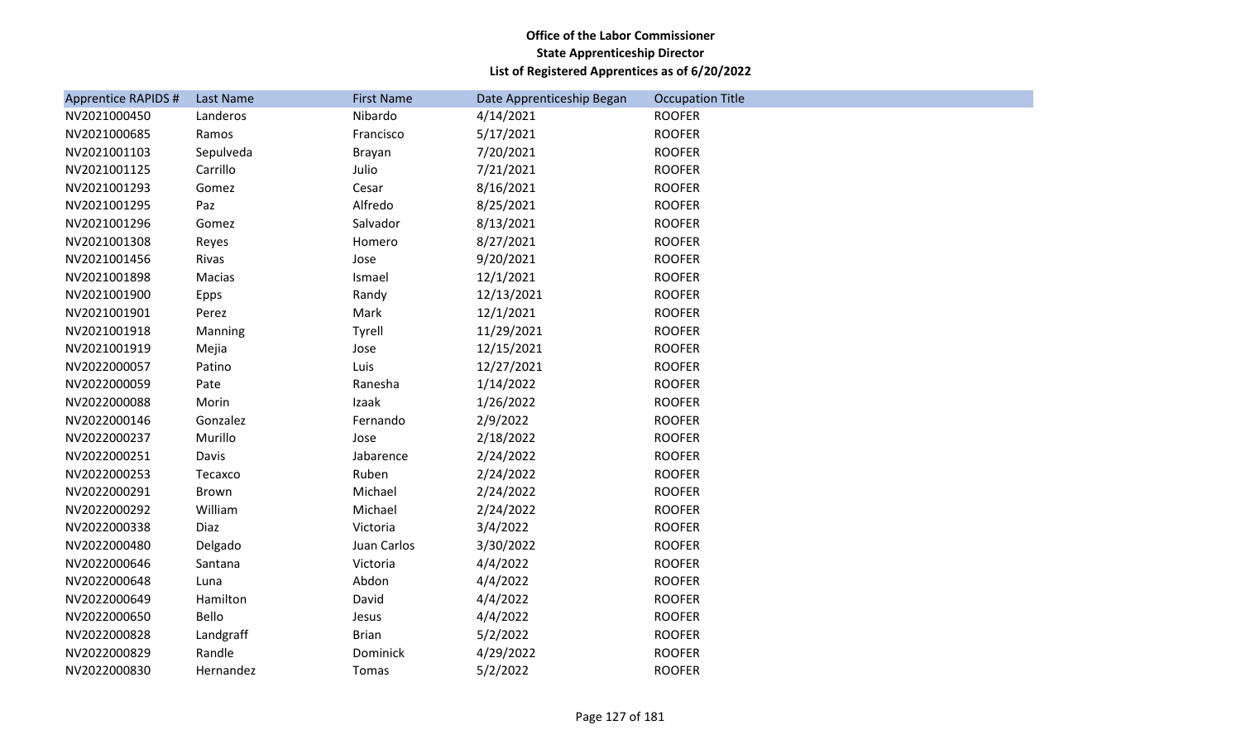| <b>Apprentice RAPIDS #</b> | Last Name   | <b>First Name</b> | Date Apprenticeship Began | <b>Occupation Title</b> |
|----------------------------|-------------|-------------------|---------------------------|-------------------------|
| NV2021000450               | Landeros    | Nibardo           | 4/14/2021                 | <b>ROOFER</b>           |
| NV2021000685               | Ramos       | Francisco         | 5/17/2021                 | <b>ROOFER</b>           |
| NV2021001103               | Sepulveda   | Brayan            | 7/20/2021                 | <b>ROOFER</b>           |
| NV2021001125               | Carrillo    | Julio             | 7/21/2021                 | <b>ROOFER</b>           |
| NV2021001293               | Gomez       | Cesar             | 8/16/2021                 | <b>ROOFER</b>           |
| NV2021001295               | Paz         | Alfredo           | 8/25/2021                 | <b>ROOFER</b>           |
| NV2021001296               | Gomez       | Salvador          | 8/13/2021                 | <b>ROOFER</b>           |
| NV2021001308               | Reyes       | Homero            | 8/27/2021                 | <b>ROOFER</b>           |
| NV2021001456               | Rivas       | Jose              | 9/20/2021                 | <b>ROOFER</b>           |
| NV2021001898               | Macias      | Ismael            | 12/1/2021                 | <b>ROOFER</b>           |
| NV2021001900               | <b>Epps</b> | Randy             | 12/13/2021                | <b>ROOFER</b>           |
| NV2021001901               | Perez       | Mark              | 12/1/2021                 | <b>ROOFER</b>           |
| NV2021001918               | Manning     | Tyrell            | 11/29/2021                | <b>ROOFER</b>           |
| NV2021001919               | Mejia       | Jose              | 12/15/2021                | <b>ROOFER</b>           |
| NV2022000057               | Patino      | Luis              | 12/27/2021                | <b>ROOFER</b>           |
| NV2022000059               | Pate        | Ranesha           | 1/14/2022                 | <b>ROOFER</b>           |
| NV2022000088               | Morin       | Izaak             | 1/26/2022                 | <b>ROOFER</b>           |
| NV2022000146               | Gonzalez    | Fernando          | 2/9/2022                  | <b>ROOFER</b>           |
| NV2022000237               | Murillo     | Jose              | 2/18/2022                 | <b>ROOFER</b>           |
| NV2022000251               | Davis       | Jabarence         | 2/24/2022                 | <b>ROOFER</b>           |
| NV2022000253               | Tecaxco     | Ruben             | 2/24/2022                 | <b>ROOFER</b>           |
| NV2022000291               | Brown       | Michael           | 2/24/2022                 | <b>ROOFER</b>           |
| NV2022000292               | William     | Michael           | 2/24/2022                 | <b>ROOFER</b>           |
| NV2022000338               | Diaz        | Victoria          | 3/4/2022                  | <b>ROOFER</b>           |
| NV2022000480               | Delgado     | Juan Carlos       | 3/30/2022                 | <b>ROOFER</b>           |
| NV2022000646               | Santana     | Victoria          | 4/4/2022                  | <b>ROOFER</b>           |
| NV2022000648               | Luna        | Abdon             | 4/4/2022                  | <b>ROOFER</b>           |
| NV2022000649               | Hamilton    | David             | 4/4/2022                  | <b>ROOFER</b>           |
| NV2022000650               | Bello       | Jesus             | 4/4/2022                  | <b>ROOFER</b>           |
| NV2022000828               | Landgraff   | <b>Brian</b>      | 5/2/2022                  | <b>ROOFER</b>           |
| NV2022000829               | Randle      | Dominick          | 4/29/2022                 | <b>ROOFER</b>           |
| NV2022000830               | Hernandez   | Tomas             | 5/2/2022                  | <b>ROOFER</b>           |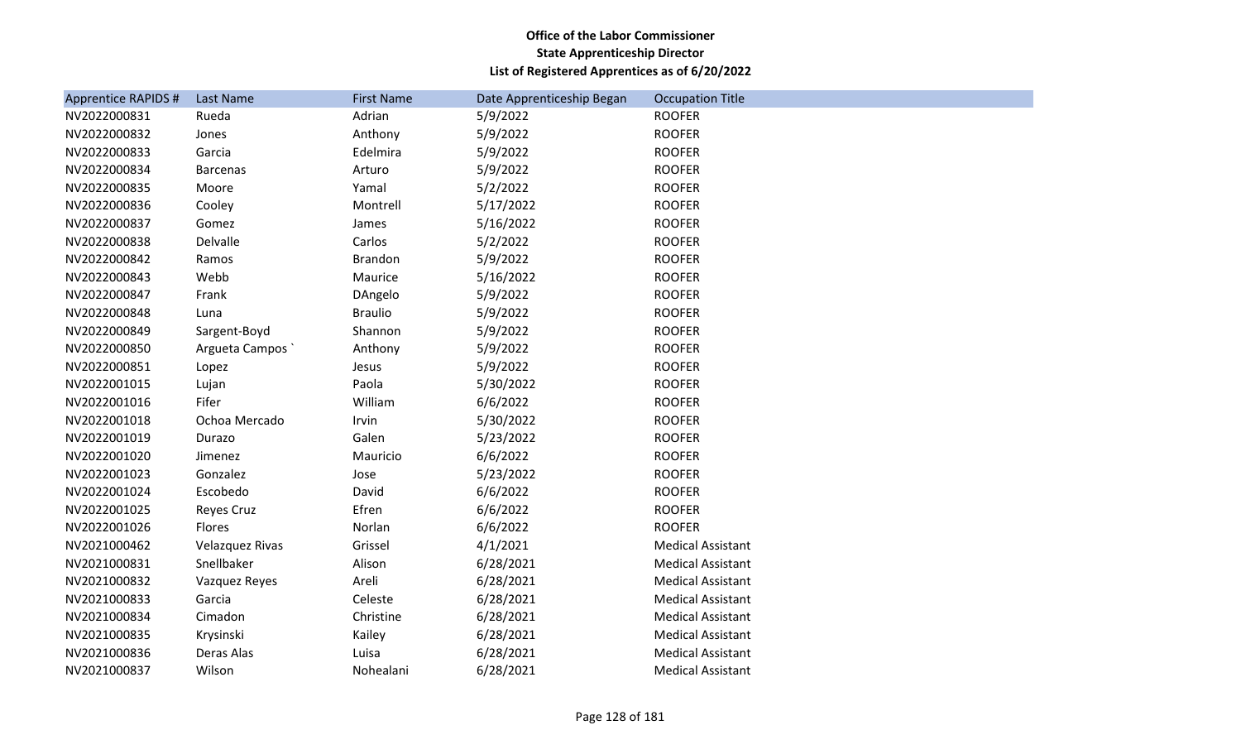| <b>Apprentice RAPIDS #</b> | Last Name       | <b>First Name</b> | Date Apprenticeship Began | <b>Occupation Title</b>  |
|----------------------------|-----------------|-------------------|---------------------------|--------------------------|
| NV2022000831               | Rueda           | Adrian            | 5/9/2022                  | <b>ROOFER</b>            |
| NV2022000832               | Jones           | Anthony           | 5/9/2022                  | <b>ROOFER</b>            |
| NV2022000833               | Garcia          | Edelmira          | 5/9/2022                  | <b>ROOFER</b>            |
| NV2022000834               | <b>Barcenas</b> | Arturo            | 5/9/2022                  | <b>ROOFER</b>            |
| NV2022000835               | Moore           | Yamal             | 5/2/2022                  | <b>ROOFER</b>            |
| NV2022000836               | Cooley          | Montrell          | 5/17/2022                 | <b>ROOFER</b>            |
| NV2022000837               | Gomez           | James             | 5/16/2022                 | <b>ROOFER</b>            |
| NV2022000838               | Delvalle        | Carlos            | 5/2/2022                  | <b>ROOFER</b>            |
| NV2022000842               | Ramos           | <b>Brandon</b>    | 5/9/2022                  | <b>ROOFER</b>            |
| NV2022000843               | Webb            | Maurice           | 5/16/2022                 | <b>ROOFER</b>            |
| NV2022000847               | Frank           | DAngelo           | 5/9/2022                  | <b>ROOFER</b>            |
| NV2022000848               | Luna            | <b>Braulio</b>    | 5/9/2022                  | <b>ROOFER</b>            |
| NV2022000849               | Sargent-Boyd    | Shannon           | 5/9/2022                  | <b>ROOFER</b>            |
| NV2022000850               | Argueta Campos  | Anthony           | 5/9/2022                  | <b>ROOFER</b>            |
| NV2022000851               | Lopez           | Jesus             | 5/9/2022                  | <b>ROOFER</b>            |
| NV2022001015               | Lujan           | Paola             | 5/30/2022                 | <b>ROOFER</b>            |
| NV2022001016               | Fifer           | William           | 6/6/2022                  | <b>ROOFER</b>            |
| NV2022001018               | Ochoa Mercado   | Irvin             | 5/30/2022                 | <b>ROOFER</b>            |
| NV2022001019               | Durazo          | Galen             | 5/23/2022                 | <b>ROOFER</b>            |
| NV2022001020               | Jimenez         | Mauricio          | 6/6/2022                  | <b>ROOFER</b>            |
| NV2022001023               | Gonzalez        | Jose              | 5/23/2022                 | <b>ROOFER</b>            |
| NV2022001024               | Escobedo        | David             | 6/6/2022                  | <b>ROOFER</b>            |
| NV2022001025               | Reyes Cruz      | Efren             | 6/6/2022                  | <b>ROOFER</b>            |
| NV2022001026               | Flores          | Norlan            | 6/6/2022                  | <b>ROOFER</b>            |
| NV2021000462               | Velazquez Rivas | Grissel           | 4/1/2021                  | <b>Medical Assistant</b> |
| NV2021000831               | Snellbaker      | Alison            | 6/28/2021                 | <b>Medical Assistant</b> |
| NV2021000832               | Vazquez Reyes   | Areli             | 6/28/2021                 | <b>Medical Assistant</b> |
| NV2021000833               | Garcia          | Celeste           | 6/28/2021                 | <b>Medical Assistant</b> |
| NV2021000834               | Cimadon         | Christine         | 6/28/2021                 | <b>Medical Assistant</b> |
| NV2021000835               | Krysinski       | Kailey            | 6/28/2021                 | <b>Medical Assistant</b> |
| NV2021000836               | Deras Alas      | Luisa             | 6/28/2021                 | <b>Medical Assistant</b> |
| NV2021000837               | Wilson          | Nohealani         | 6/28/2021                 | <b>Medical Assistant</b> |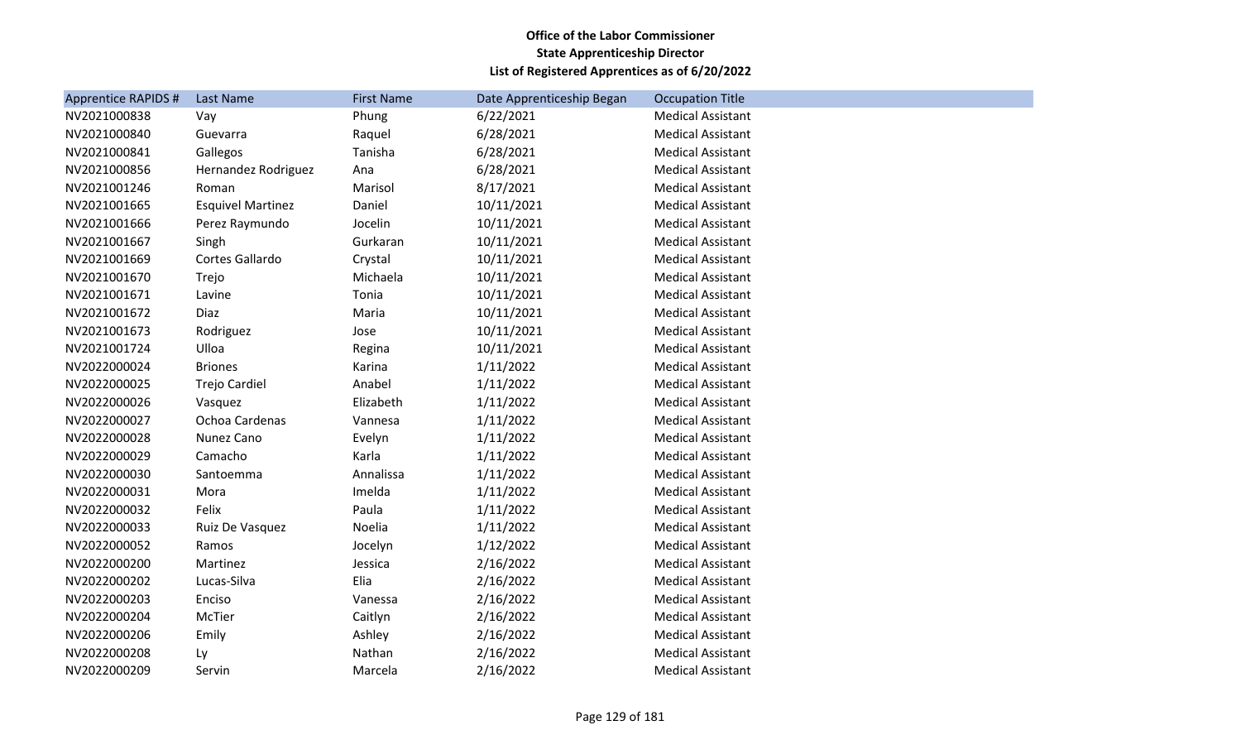| Apprentice RAPIDS # | Last Name                | <b>First Name</b> | Date Apprenticeship Began | <b>Occupation Title</b>  |
|---------------------|--------------------------|-------------------|---------------------------|--------------------------|
| NV2021000838        | Vay                      | Phung             | 6/22/2021                 | <b>Medical Assistant</b> |
| NV2021000840        | Guevarra                 | Raquel            | 6/28/2021                 | <b>Medical Assistant</b> |
| NV2021000841        | Gallegos                 | Tanisha           | 6/28/2021                 | <b>Medical Assistant</b> |
| NV2021000856        | Hernandez Rodriguez      | Ana               | 6/28/2021                 | <b>Medical Assistant</b> |
| NV2021001246        | Roman                    | Marisol           | 8/17/2021                 | <b>Medical Assistant</b> |
| NV2021001665        | <b>Esquivel Martinez</b> | Daniel            | 10/11/2021                | <b>Medical Assistant</b> |
| NV2021001666        | Perez Raymundo           | Jocelin           | 10/11/2021                | <b>Medical Assistant</b> |
| NV2021001667        | Singh                    | Gurkaran          | 10/11/2021                | <b>Medical Assistant</b> |
| NV2021001669        | Cortes Gallardo          | Crystal           | 10/11/2021                | <b>Medical Assistant</b> |
| NV2021001670        | Trejo                    | Michaela          | 10/11/2021                | <b>Medical Assistant</b> |
| NV2021001671        | Lavine                   | Tonia             | 10/11/2021                | <b>Medical Assistant</b> |
| NV2021001672        | Diaz                     | Maria             | 10/11/2021                | <b>Medical Assistant</b> |
| NV2021001673        | Rodriguez                | Jose              | 10/11/2021                | <b>Medical Assistant</b> |
| NV2021001724        | Ulloa                    | Regina            | 10/11/2021                | <b>Medical Assistant</b> |
| NV2022000024        | <b>Briones</b>           | Karina            | 1/11/2022                 | <b>Medical Assistant</b> |
| NV2022000025        | Trejo Cardiel            | Anabel            | 1/11/2022                 | <b>Medical Assistant</b> |
| NV2022000026        | Vasquez                  | Elizabeth         | 1/11/2022                 | <b>Medical Assistant</b> |
| NV2022000027        | Ochoa Cardenas           | Vannesa           | 1/11/2022                 | <b>Medical Assistant</b> |
| NV2022000028        | Nunez Cano               | Evelyn            | 1/11/2022                 | <b>Medical Assistant</b> |
| NV2022000029        | Camacho                  | Karla             | 1/11/2022                 | <b>Medical Assistant</b> |
| NV2022000030        | Santoemma                | Annalissa         | 1/11/2022                 | <b>Medical Assistant</b> |
| NV2022000031        | Mora                     | Imelda            | 1/11/2022                 | <b>Medical Assistant</b> |
| NV2022000032        | Felix                    | Paula             | 1/11/2022                 | <b>Medical Assistant</b> |
| NV2022000033        | Ruiz De Vasquez          | Noelia            | 1/11/2022                 | <b>Medical Assistant</b> |
| NV2022000052        | Ramos                    | Jocelyn           | 1/12/2022                 | <b>Medical Assistant</b> |
| NV2022000200        | Martinez                 | Jessica           | 2/16/2022                 | <b>Medical Assistant</b> |
| NV2022000202        | Lucas-Silva              | Elia              | 2/16/2022                 | <b>Medical Assistant</b> |
| NV2022000203        | Enciso                   | Vanessa           | 2/16/2022                 | <b>Medical Assistant</b> |
| NV2022000204        | McTier                   | Caitlyn           | 2/16/2022                 | <b>Medical Assistant</b> |
| NV2022000206        | Emily                    | Ashley            | 2/16/2022                 | <b>Medical Assistant</b> |
| NV2022000208        | Ly                       | Nathan            | 2/16/2022                 | <b>Medical Assistant</b> |
| NV2022000209        | Servin                   | Marcela           | 2/16/2022                 | <b>Medical Assistant</b> |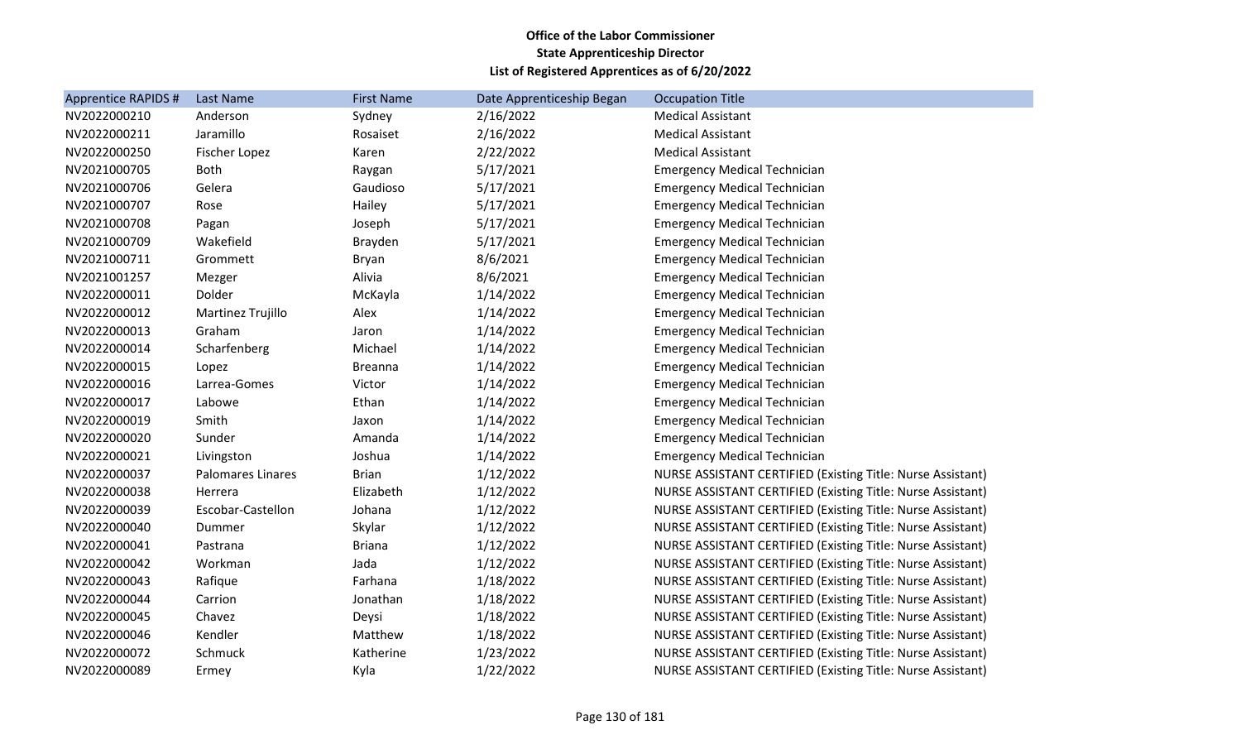| <b>Apprentice RAPIDS #</b> | <b>Last Name</b>         | <b>First Name</b> | Date Apprenticeship Began | <b>Occupation Title</b>                                            |
|----------------------------|--------------------------|-------------------|---------------------------|--------------------------------------------------------------------|
| NV2022000210               | Anderson                 | Sydney            | 2/16/2022                 | <b>Medical Assistant</b>                                           |
| NV2022000211               | Jaramillo                | Rosaiset          | 2/16/2022                 | <b>Medical Assistant</b>                                           |
| NV2022000250               | Fischer Lopez            | Karen             | 2/22/2022                 | <b>Medical Assistant</b>                                           |
| NV2021000705               | <b>Both</b>              | Raygan            | 5/17/2021                 | <b>Emergency Medical Technician</b>                                |
| NV2021000706               | Gelera                   | Gaudioso          | 5/17/2021                 | <b>Emergency Medical Technician</b>                                |
| NV2021000707               | Rose                     | Hailey            | 5/17/2021                 | <b>Emergency Medical Technician</b>                                |
| NV2021000708               | Pagan                    | Joseph            | 5/17/2021                 | <b>Emergency Medical Technician</b>                                |
| NV2021000709               | Wakefield                | Brayden           | 5/17/2021                 | <b>Emergency Medical Technician</b>                                |
| NV2021000711               | Grommett                 | Bryan             | 8/6/2021                  | <b>Emergency Medical Technician</b>                                |
| NV2021001257               | Mezger                   | Alivia            | 8/6/2021                  | <b>Emergency Medical Technician</b>                                |
| NV2022000011               | Dolder                   | McKayla           | 1/14/2022                 | <b>Emergency Medical Technician</b>                                |
| NV2022000012               | Martinez Trujillo        | Alex              | 1/14/2022                 | <b>Emergency Medical Technician</b>                                |
| NV2022000013               | Graham                   | Jaron             | 1/14/2022                 | <b>Emergency Medical Technician</b>                                |
| NV2022000014               | Scharfenberg             | Michael           | 1/14/2022                 | <b>Emergency Medical Technician</b>                                |
| NV2022000015               | Lopez                    | <b>Breanna</b>    | 1/14/2022                 | <b>Emergency Medical Technician</b>                                |
| NV2022000016               | Larrea-Gomes             | Victor            | 1/14/2022                 | <b>Emergency Medical Technician</b>                                |
| NV2022000017               | Labowe                   | Ethan             | 1/14/2022                 | <b>Emergency Medical Technician</b>                                |
| NV2022000019               | Smith                    | Jaxon             | 1/14/2022                 | <b>Emergency Medical Technician</b>                                |
| NV2022000020               | Sunder                   | Amanda            | 1/14/2022                 | <b>Emergency Medical Technician</b>                                |
| NV2022000021               | Livingston               | Joshua            | 1/14/2022                 | <b>Emergency Medical Technician</b>                                |
| NV2022000037               | <b>Palomares Linares</b> | <b>Brian</b>      | 1/12/2022                 | NURSE ASSISTANT CERTIFIED (Existing Title: Nurse Assistant)        |
| NV2022000038               | Herrera                  | Elizabeth         | 1/12/2022                 | NURSE ASSISTANT CERTIFIED (Existing Title: Nurse Assistant)        |
| NV2022000039               | Escobar-Castellon        | Johana            | 1/12/2022                 | <b>NURSE ASSISTANT CERTIFIED (Existing Title: Nurse Assistant)</b> |
| NV2022000040               | Dummer                   | Skylar            | 1/12/2022                 | NURSE ASSISTANT CERTIFIED (Existing Title: Nurse Assistant)        |
| NV2022000041               | Pastrana                 | <b>Briana</b>     | 1/12/2022                 | NURSE ASSISTANT CERTIFIED (Existing Title: Nurse Assistant)        |
| NV2022000042               | Workman                  | Jada              | 1/12/2022                 | NURSE ASSISTANT CERTIFIED (Existing Title: Nurse Assistant)        |
| NV2022000043               | Rafique                  | Farhana           | 1/18/2022                 | <b>NURSE ASSISTANT CERTIFIED (Existing Title: Nurse Assistant)</b> |
| NV2022000044               | Carrion                  | Jonathan          | 1/18/2022                 | <b>NURSE ASSISTANT CERTIFIED (Existing Title: Nurse Assistant)</b> |
| NV2022000045               | Chavez                   | Deysi             | 1/18/2022                 | <b>NURSE ASSISTANT CERTIFIED (Existing Title: Nurse Assistant)</b> |
| NV2022000046               | Kendler                  | Matthew           | 1/18/2022                 | <b>NURSE ASSISTANT CERTIFIED (Existing Title: Nurse Assistant)</b> |
| NV2022000072               | Schmuck                  | Katherine         | 1/23/2022                 | NURSE ASSISTANT CERTIFIED (Existing Title: Nurse Assistant)        |
| NV2022000089               | Ermey                    | Kyla              | 1/22/2022                 | <b>NURSE ASSISTANT CERTIFIED (Existing Title: Nurse Assistant)</b> |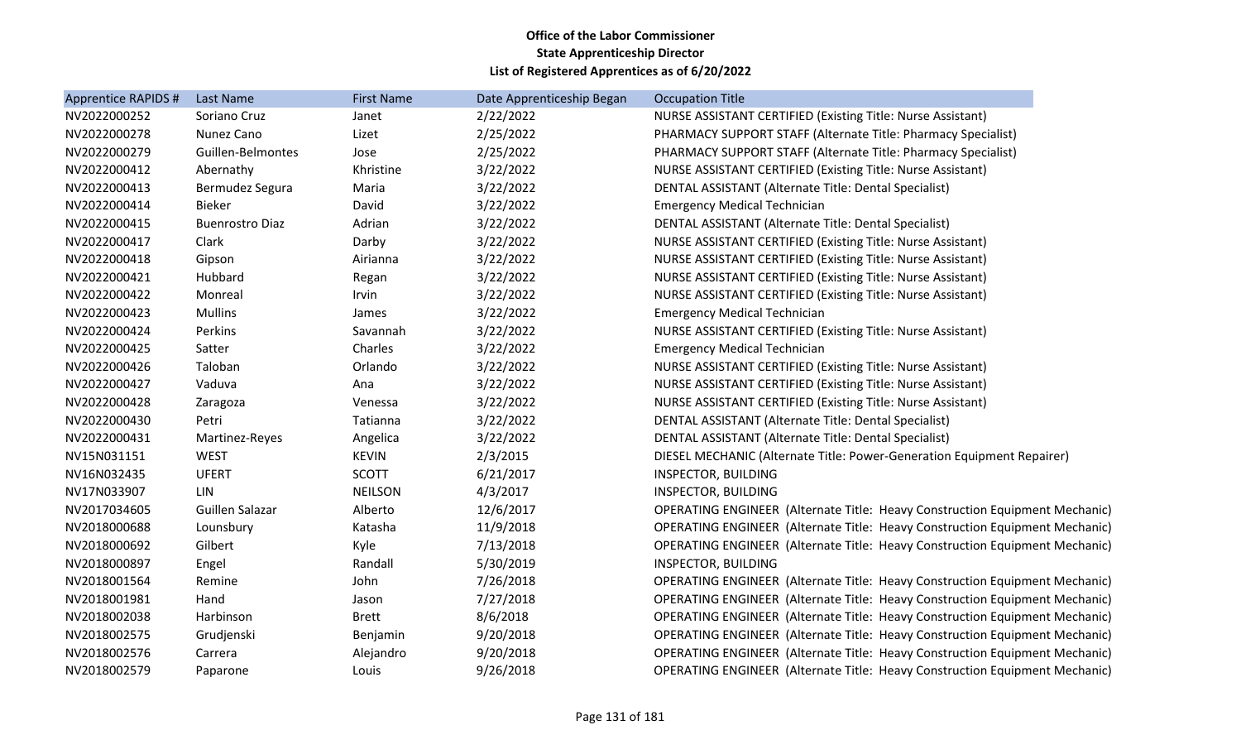| Apprentice RAPIDS # | <b>Last Name</b>       | <b>First Name</b> | Date Apprenticeship Began | <b>Occupation Title</b>                                                     |
|---------------------|------------------------|-------------------|---------------------------|-----------------------------------------------------------------------------|
| NV2022000252        | Soriano Cruz           | Janet             | 2/22/2022                 | <b>NURSE ASSISTANT CERTIFIED (Existing Title: Nurse Assistant)</b>          |
| NV2022000278        | Nunez Cano             | Lizet             | 2/25/2022                 | PHARMACY SUPPORT STAFF (Alternate Title: Pharmacy Specialist)               |
| NV2022000279        | Guillen-Belmontes      | Jose              | 2/25/2022                 | PHARMACY SUPPORT STAFF (Alternate Title: Pharmacy Specialist)               |
| NV2022000412        | Abernathy              | Khristine         | 3/22/2022                 | <b>NURSE ASSISTANT CERTIFIED (Existing Title: Nurse Assistant)</b>          |
| NV2022000413        | Bermudez Segura        | Maria             | 3/22/2022                 | DENTAL ASSISTANT (Alternate Title: Dental Specialist)                       |
| NV2022000414        | <b>Bieker</b>          | David             | 3/22/2022                 | <b>Emergency Medical Technician</b>                                         |
| NV2022000415        | <b>Buenrostro Diaz</b> | Adrian            | 3/22/2022                 | DENTAL ASSISTANT (Alternate Title: Dental Specialist)                       |
| NV2022000417        | Clark                  | Darby             | 3/22/2022                 | <b>NURSE ASSISTANT CERTIFIED (Existing Title: Nurse Assistant)</b>          |
| NV2022000418        | Gipson                 | Airianna          | 3/22/2022                 | <b>NURSE ASSISTANT CERTIFIED (Existing Title: Nurse Assistant)</b>          |
| NV2022000421        | Hubbard                | Regan             | 3/22/2022                 | NURSE ASSISTANT CERTIFIED (Existing Title: Nurse Assistant)                 |
| NV2022000422        | Monreal                | Irvin             | 3/22/2022                 | NURSE ASSISTANT CERTIFIED (Existing Title: Nurse Assistant)                 |
| NV2022000423        | <b>Mullins</b>         | James             | 3/22/2022                 | <b>Emergency Medical Technician</b>                                         |
| NV2022000424        | Perkins                | Savannah          | 3/22/2022                 | <b>NURSE ASSISTANT CERTIFIED (Existing Title: Nurse Assistant)</b>          |
| NV2022000425        | Satter                 | Charles           | 3/22/2022                 | <b>Emergency Medical Technician</b>                                         |
| NV2022000426        | Taloban                | Orlando           | 3/22/2022                 | NURSE ASSISTANT CERTIFIED (Existing Title: Nurse Assistant)                 |
| NV2022000427        | Vaduva                 | Ana               | 3/22/2022                 | <b>NURSE ASSISTANT CERTIFIED (Existing Title: Nurse Assistant)</b>          |
| NV2022000428        | Zaragoza               | Venessa           | 3/22/2022                 | NURSE ASSISTANT CERTIFIED (Existing Title: Nurse Assistant)                 |
| NV2022000430        | Petri                  | Tatianna          | 3/22/2022                 | DENTAL ASSISTANT (Alternate Title: Dental Specialist)                       |
| NV2022000431        | Martinez-Reyes         | Angelica          | 3/22/2022                 | DENTAL ASSISTANT (Alternate Title: Dental Specialist)                       |
| NV15N031151         | <b>WEST</b>            | <b>KEVIN</b>      | 2/3/2015                  | DIESEL MECHANIC (Alternate Title: Power-Generation Equipment Repairer)      |
| NV16N032435         | <b>UFERT</b>           | <b>SCOTT</b>      | 6/21/2017                 | <b>INSPECTOR, BUILDING</b>                                                  |
| NV17N033907         | LIN                    | <b>NEILSON</b>    | 4/3/2017                  | <b>INSPECTOR, BUILDING</b>                                                  |
| NV2017034605        | Guillen Salazar        | Alberto           | 12/6/2017                 | OPERATING ENGINEER (Alternate Title: Heavy Construction Equipment Mechanic) |
| NV2018000688        | Lounsbury              | Katasha           | 11/9/2018                 | OPERATING ENGINEER (Alternate Title: Heavy Construction Equipment Mechanic) |
| NV2018000692        | Gilbert                | Kyle              | 7/13/2018                 | OPERATING ENGINEER (Alternate Title: Heavy Construction Equipment Mechanic) |
| NV2018000897        | Engel                  | Randall           | 5/30/2019                 | INSPECTOR, BUILDING                                                         |
| NV2018001564        | Remine                 | John              | 7/26/2018                 | OPERATING ENGINEER (Alternate Title: Heavy Construction Equipment Mechanic) |
| NV2018001981        | Hand                   | Jason             | 7/27/2018                 | OPERATING ENGINEER (Alternate Title: Heavy Construction Equipment Mechanic) |
| NV2018002038        | Harbinson              | <b>Brett</b>      | 8/6/2018                  | OPERATING ENGINEER (Alternate Title: Heavy Construction Equipment Mechanic) |
| NV2018002575        | Grudjenski             | Benjamin          | 9/20/2018                 | OPERATING ENGINEER (Alternate Title: Heavy Construction Equipment Mechanic) |
| NV2018002576        | Carrera                | Alejandro         | 9/20/2018                 | OPERATING ENGINEER (Alternate Title: Heavy Construction Equipment Mechanic) |
| NV2018002579        | Paparone               | Louis             | 9/26/2018                 | OPERATING ENGINEER (Alternate Title: Heavy Construction Equipment Mechanic) |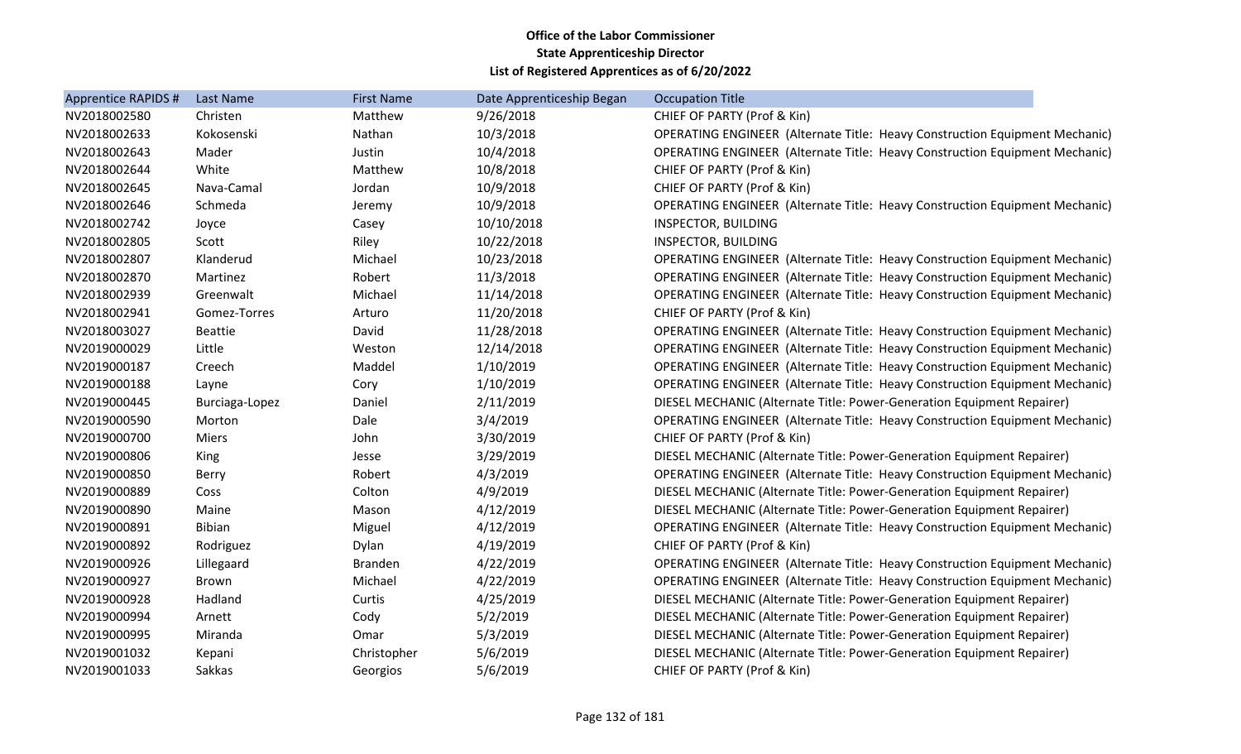| Apprentice RAPIDS # | Last Name      | <b>First Name</b> | Date Apprenticeship Began | <b>Occupation Title</b>                                                            |
|---------------------|----------------|-------------------|---------------------------|------------------------------------------------------------------------------------|
| NV2018002580        | Christen       | Matthew           | 9/26/2018                 | CHIEF OF PARTY (Prof & Kin)                                                        |
| NV2018002633        | Kokosenski     | Nathan            | 10/3/2018                 | <b>OPERATING ENGINEER (Alternate Title: Heavy Construction Equipment Mechanic)</b> |
| NV2018002643        | Mader          | Justin            | 10/4/2018                 | <b>OPERATING ENGINEER (Alternate Title: Heavy Construction Equipment Mechanic)</b> |
| NV2018002644        | White          | Matthew           | 10/8/2018                 | CHIEF OF PARTY (Prof & Kin)                                                        |
| NV2018002645        | Nava-Camal     | Jordan            | 10/9/2018                 | CHIEF OF PARTY (Prof & Kin)                                                        |
| NV2018002646        | Schmeda        | Jeremy            | 10/9/2018                 | <b>OPERATING ENGINEER (Alternate Title: Heavy Construction Equipment Mechanic)</b> |
| NV2018002742        | Joyce          | Casey             | 10/10/2018                | INSPECTOR, BUILDING                                                                |
| NV2018002805        | Scott          | Riley             | 10/22/2018                | <b>INSPECTOR, BUILDING</b>                                                         |
| NV2018002807        | Klanderud      | Michael           | 10/23/2018                | <b>OPERATING ENGINEER (Alternate Title: Heavy Construction Equipment Mechanic)</b> |
| NV2018002870        | Martinez       | Robert            | 11/3/2018                 | OPERATING ENGINEER (Alternate Title: Heavy Construction Equipment Mechanic)        |
| NV2018002939        | Greenwalt      | Michael           | 11/14/2018                | <b>OPERATING ENGINEER (Alternate Title: Heavy Construction Equipment Mechanic)</b> |
| NV2018002941        | Gomez-Torres   | Arturo            | 11/20/2018                | CHIEF OF PARTY (Prof & Kin)                                                        |
| NV2018003027        | <b>Beattie</b> | David             | 11/28/2018                | <b>OPERATING ENGINEER (Alternate Title: Heavy Construction Equipment Mechanic)</b> |
| NV2019000029        | Little         | Weston            | 12/14/2018                | <b>OPERATING ENGINEER (Alternate Title: Heavy Construction Equipment Mechanic)</b> |
| NV2019000187        | Creech         | Maddel            | 1/10/2019                 | <b>OPERATING ENGINEER (Alternate Title: Heavy Construction Equipment Mechanic)</b> |
| NV2019000188        | Layne          | Cory              | 1/10/2019                 | <b>OPERATING ENGINEER (Alternate Title: Heavy Construction Equipment Mechanic)</b> |
| NV2019000445        | Burciaga-Lopez | Daniel            | 2/11/2019                 | DIESEL MECHANIC (Alternate Title: Power-Generation Equipment Repairer)             |
| NV2019000590        | Morton         | Dale              | 3/4/2019                  | <b>OPERATING ENGINEER (Alternate Title: Heavy Construction Equipment Mechanic)</b> |
| NV2019000700        | <b>Miers</b>   | John              | 3/30/2019                 | CHIEF OF PARTY (Prof & Kin)                                                        |
| NV2019000806        | King           | Jesse             | 3/29/2019                 | DIESEL MECHANIC (Alternate Title: Power-Generation Equipment Repairer)             |
| NV2019000850        | <b>Berry</b>   | Robert            | 4/3/2019                  | OPERATING ENGINEER (Alternate Title: Heavy Construction Equipment Mechanic)        |
| NV2019000889        | Coss           | Colton            | 4/9/2019                  | DIESEL MECHANIC (Alternate Title: Power-Generation Equipment Repairer)             |
| NV2019000890        | Maine          | Mason             | 4/12/2019                 | DIESEL MECHANIC (Alternate Title: Power-Generation Equipment Repairer)             |
| NV2019000891        | <b>Bibian</b>  | Miguel            | 4/12/2019                 | <b>OPERATING ENGINEER (Alternate Title: Heavy Construction Equipment Mechanic)</b> |
| NV2019000892        | Rodriguez      | Dylan             | 4/19/2019                 | CHIEF OF PARTY (Prof & Kin)                                                        |
| NV2019000926        | Lillegaard     | <b>Branden</b>    | 4/22/2019                 | <b>OPERATING ENGINEER (Alternate Title: Heavy Construction Equipment Mechanic)</b> |
| NV2019000927        | <b>Brown</b>   | Michael           | 4/22/2019                 | <b>OPERATING ENGINEER (Alternate Title: Heavy Construction Equipment Mechanic)</b> |
| NV2019000928        | Hadland        | Curtis            | 4/25/2019                 | DIESEL MECHANIC (Alternate Title: Power-Generation Equipment Repairer)             |
| NV2019000994        | Arnett         | Cody              | 5/2/2019                  | DIESEL MECHANIC (Alternate Title: Power-Generation Equipment Repairer)             |
| NV2019000995        | Miranda        | Omar              | 5/3/2019                  | DIESEL MECHANIC (Alternate Title: Power-Generation Equipment Repairer)             |
| NV2019001032        | Kepani         | Christopher       | 5/6/2019                  | DIESEL MECHANIC (Alternate Title: Power-Generation Equipment Repairer)             |
| NV2019001033        | Sakkas         | Georgios          | 5/6/2019                  | CHIEF OF PARTY (Prof & Kin)                                                        |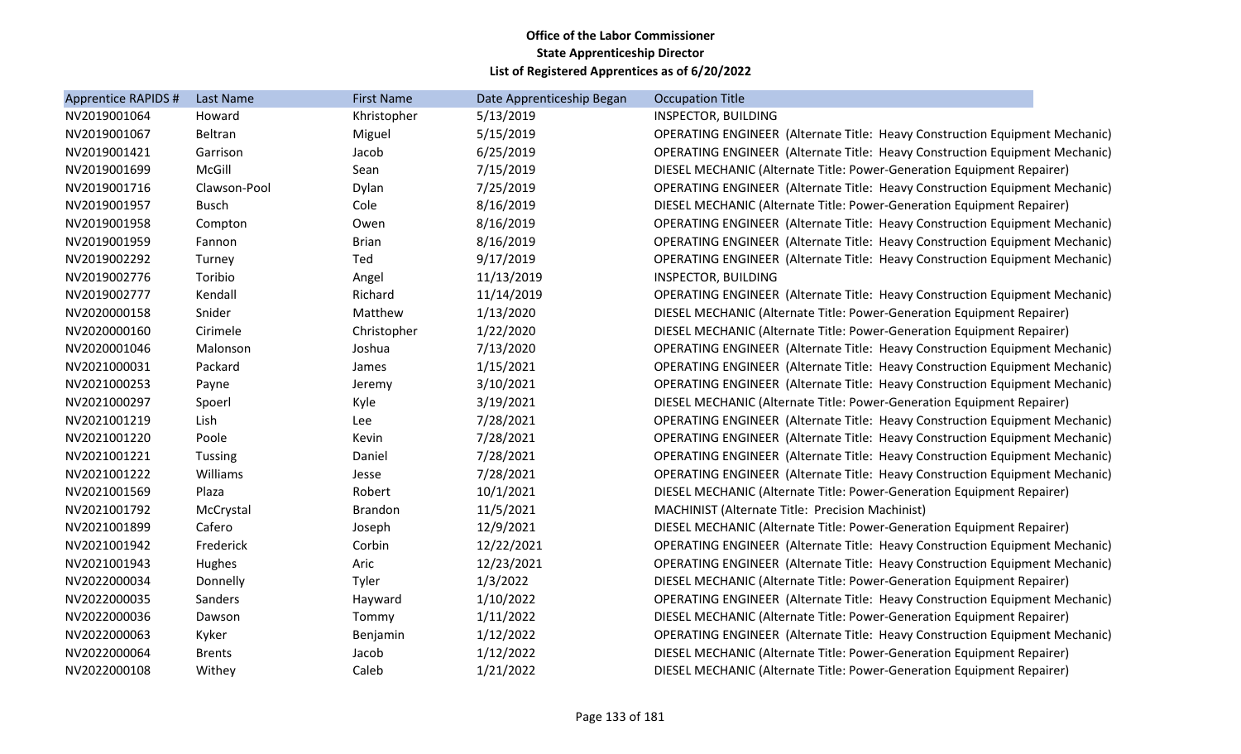| Apprentice RAPIDS # | Last Name      | <b>First Name</b> | Date Apprenticeship Began | <b>Occupation Title</b>                                                            |
|---------------------|----------------|-------------------|---------------------------|------------------------------------------------------------------------------------|
| NV2019001064        | Howard         | Khristopher       | 5/13/2019                 | INSPECTOR, BUILDING                                                                |
| NV2019001067        | Beltran        | Miguel            | 5/15/2019                 | <b>OPERATING ENGINEER (Alternate Title: Heavy Construction Equipment Mechanic)</b> |
| NV2019001421        | Garrison       | Jacob             | 6/25/2019                 | <b>OPERATING ENGINEER (Alternate Title: Heavy Construction Equipment Mechanic)</b> |
| NV2019001699        | McGill         | Sean              | 7/15/2019                 | DIESEL MECHANIC (Alternate Title: Power-Generation Equipment Repairer)             |
| NV2019001716        | Clawson-Pool   | Dylan             | 7/25/2019                 | OPERATING ENGINEER (Alternate Title: Heavy Construction Equipment Mechanic)        |
| NV2019001957        | <b>Busch</b>   | Cole              | 8/16/2019                 | DIESEL MECHANIC (Alternate Title: Power-Generation Equipment Repairer)             |
| NV2019001958        | Compton        | Owen              | 8/16/2019                 | OPERATING ENGINEER (Alternate Title: Heavy Construction Equipment Mechanic)        |
| NV2019001959        | Fannon         | <b>Brian</b>      | 8/16/2019                 | OPERATING ENGINEER (Alternate Title: Heavy Construction Equipment Mechanic)        |
| NV2019002292        | Turney         | Ted               | 9/17/2019                 | <b>OPERATING ENGINEER (Alternate Title: Heavy Construction Equipment Mechanic)</b> |
| NV2019002776        | Toribio        | Angel             | 11/13/2019                | <b>INSPECTOR, BUILDING</b>                                                         |
| NV2019002777        | Kendall        | Richard           | 11/14/2019                | <b>OPERATING ENGINEER (Alternate Title: Heavy Construction Equipment Mechanic)</b> |
| NV2020000158        | Snider         | Matthew           | 1/13/2020                 | DIESEL MECHANIC (Alternate Title: Power-Generation Equipment Repairer)             |
| NV2020000160        | Cirimele       | Christopher       | 1/22/2020                 | DIESEL MECHANIC (Alternate Title: Power-Generation Equipment Repairer)             |
| NV2020001046        | Malonson       | Joshua            | 7/13/2020                 | OPERATING ENGINEER (Alternate Title: Heavy Construction Equipment Mechanic)        |
| NV2021000031        | Packard        | James             | 1/15/2021                 | <b>OPERATING ENGINEER (Alternate Title: Heavy Construction Equipment Mechanic)</b> |
| NV2021000253        | Payne          | Jeremy            | 3/10/2021                 | <b>OPERATING ENGINEER (Alternate Title: Heavy Construction Equipment Mechanic)</b> |
| NV2021000297        | Spoerl         | Kyle              | 3/19/2021                 | DIESEL MECHANIC (Alternate Title: Power-Generation Equipment Repairer)             |
| NV2021001219        | Lish           | Lee               | 7/28/2021                 | <b>OPERATING ENGINEER (Alternate Title: Heavy Construction Equipment Mechanic)</b> |
| NV2021001220        | Poole          | Kevin             | 7/28/2021                 | <b>OPERATING ENGINEER (Alternate Title: Heavy Construction Equipment Mechanic)</b> |
| NV2021001221        | <b>Tussing</b> | Daniel            | 7/28/2021                 | <b>OPERATING ENGINEER (Alternate Title: Heavy Construction Equipment Mechanic)</b> |
| NV2021001222        | Williams       | Jesse             | 7/28/2021                 | <b>OPERATING ENGINEER (Alternate Title: Heavy Construction Equipment Mechanic)</b> |
| NV2021001569        | Plaza          | Robert            | 10/1/2021                 | DIESEL MECHANIC (Alternate Title: Power-Generation Equipment Repairer)             |
| NV2021001792        | McCrystal      | <b>Brandon</b>    | 11/5/2021                 | <b>MACHINIST (Alternate Title: Precision Machinist)</b>                            |
| NV2021001899        | Cafero         | Joseph            | 12/9/2021                 | DIESEL MECHANIC (Alternate Title: Power-Generation Equipment Repairer)             |
| NV2021001942        | Frederick      | Corbin            | 12/22/2021                | <b>OPERATING ENGINEER (Alternate Title: Heavy Construction Equipment Mechanic)</b> |
| NV2021001943        | Hughes         | Aric              | 12/23/2021                | OPERATING ENGINEER (Alternate Title: Heavy Construction Equipment Mechanic)        |
| NV2022000034        | Donnelly       | Tyler             | 1/3/2022                  | DIESEL MECHANIC (Alternate Title: Power-Generation Equipment Repairer)             |
| NV2022000035        | Sanders        | Hayward           | 1/10/2022                 | <b>OPERATING ENGINEER (Alternate Title: Heavy Construction Equipment Mechanic)</b> |
| NV2022000036        | Dawson         | Tommy             | 1/11/2022                 | DIESEL MECHANIC (Alternate Title: Power-Generation Equipment Repairer)             |
| NV2022000063        | Kyker          | Benjamin          | 1/12/2022                 | <b>OPERATING ENGINEER (Alternate Title: Heavy Construction Equipment Mechanic)</b> |
| NV2022000064        | <b>Brents</b>  | Jacob             | 1/12/2022                 | DIESEL MECHANIC (Alternate Title: Power-Generation Equipment Repairer)             |
| NV2022000108        | Withey         | Caleb             | 1/21/2022                 | DIESEL MECHANIC (Alternate Title: Power-Generation Equipment Repairer)             |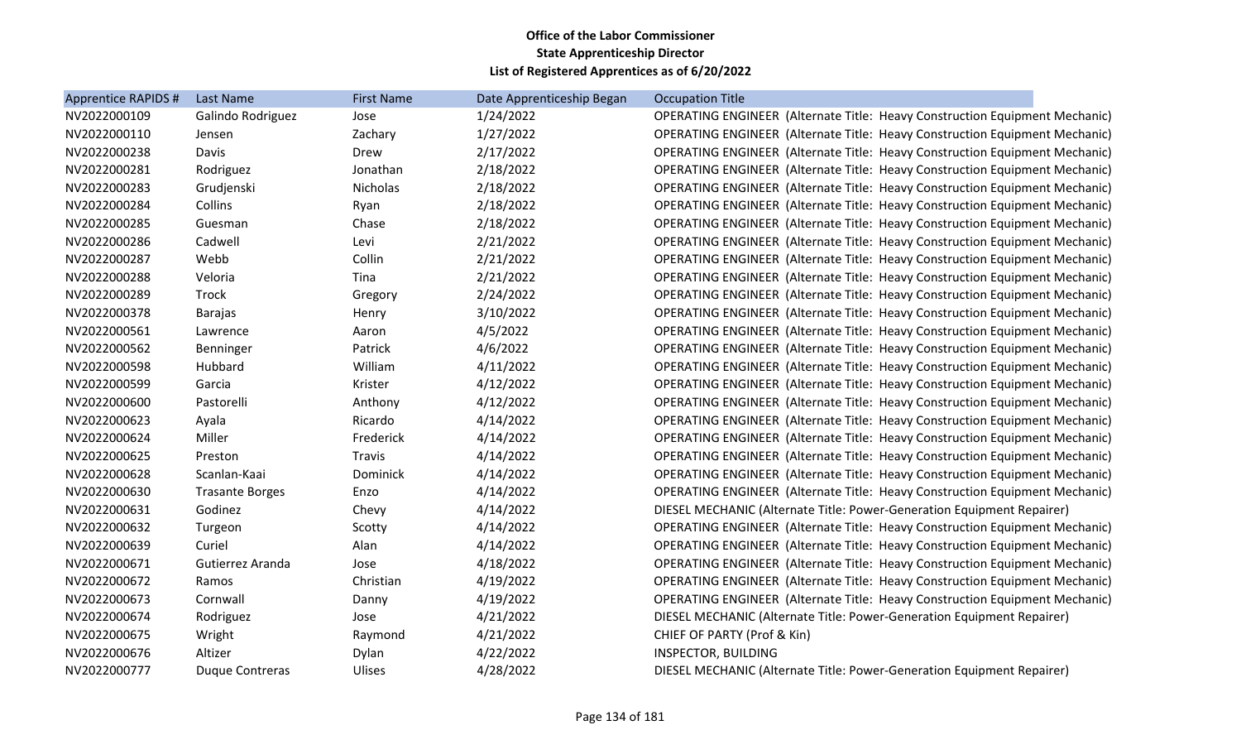| Apprentice RAPIDS # | Last Name              | <b>First Name</b> | Date Apprenticeship Began | <b>Occupation Title</b>                                                            |
|---------------------|------------------------|-------------------|---------------------------|------------------------------------------------------------------------------------|
| NV2022000109        | Galindo Rodriguez      | Jose              | 1/24/2022                 | <b>OPERATING ENGINEER (Alternate Title: Heavy Construction Equipment Mechanic)</b> |
| NV2022000110        | Jensen                 | Zachary           | 1/27/2022                 | <b>OPERATING ENGINEER (Alternate Title: Heavy Construction Equipment Mechanic)</b> |
| NV2022000238        | Davis                  | Drew              | 2/17/2022                 | <b>OPERATING ENGINEER (Alternate Title: Heavy Construction Equipment Mechanic)</b> |
| NV2022000281        | Rodriguez              | Jonathan          | 2/18/2022                 | <b>OPERATING ENGINEER (Alternate Title: Heavy Construction Equipment Mechanic)</b> |
| NV2022000283        | Grudjenski             | <b>Nicholas</b>   | 2/18/2022                 | <b>OPERATING ENGINEER (Alternate Title: Heavy Construction Equipment Mechanic)</b> |
| NV2022000284        | Collins                | Ryan              | 2/18/2022                 | <b>OPERATING ENGINEER (Alternate Title: Heavy Construction Equipment Mechanic)</b> |
| NV2022000285        | Guesman                | Chase             | 2/18/2022                 | <b>OPERATING ENGINEER (Alternate Title: Heavy Construction Equipment Mechanic)</b> |
| NV2022000286        | Cadwell                | Levi              | 2/21/2022                 | <b>OPERATING ENGINEER (Alternate Title: Heavy Construction Equipment Mechanic)</b> |
| NV2022000287        | Webb                   | Collin            | 2/21/2022                 | OPERATING ENGINEER (Alternate Title: Heavy Construction Equipment Mechanic)        |
| NV2022000288        | Veloria                | Tina              | 2/21/2022                 | <b>OPERATING ENGINEER (Alternate Title: Heavy Construction Equipment Mechanic)</b> |
| NV2022000289        | Trock                  | Gregory           | 2/24/2022                 | <b>OPERATING ENGINEER (Alternate Title: Heavy Construction Equipment Mechanic)</b> |
| NV2022000378        | <b>Barajas</b>         | Henry             | 3/10/2022                 | <b>OPERATING ENGINEER (Alternate Title: Heavy Construction Equipment Mechanic)</b> |
| NV2022000561        | Lawrence               | Aaron             | 4/5/2022                  | <b>OPERATING ENGINEER (Alternate Title: Heavy Construction Equipment Mechanic)</b> |
| NV2022000562        | Benninger              | Patrick           | 4/6/2022                  | <b>OPERATING ENGINEER (Alternate Title: Heavy Construction Equipment Mechanic)</b> |
| NV2022000598        | Hubbard                | William           | 4/11/2022                 | <b>OPERATING ENGINEER (Alternate Title: Heavy Construction Equipment Mechanic)</b> |
| NV2022000599        | Garcia                 | Krister           | 4/12/2022                 | <b>OPERATING ENGINEER (Alternate Title: Heavy Construction Equipment Mechanic)</b> |
| NV2022000600        | Pastorelli             | Anthony           | 4/12/2022                 | <b>OPERATING ENGINEER (Alternate Title: Heavy Construction Equipment Mechanic)</b> |
| NV2022000623        | Ayala                  | Ricardo           | 4/14/2022                 | <b>OPERATING ENGINEER (Alternate Title: Heavy Construction Equipment Mechanic)</b> |
| NV2022000624        | Miller                 | Frederick         | 4/14/2022                 | <b>OPERATING ENGINEER (Alternate Title: Heavy Construction Equipment Mechanic)</b> |
| NV2022000625        | Preston                | Travis            | 4/14/2022                 | <b>OPERATING ENGINEER (Alternate Title: Heavy Construction Equipment Mechanic)</b> |
| NV2022000628        | Scanlan-Kaai           | Dominick          | 4/14/2022                 | <b>OPERATING ENGINEER (Alternate Title: Heavy Construction Equipment Mechanic)</b> |
| NV2022000630        | <b>Trasante Borges</b> | Enzo              | 4/14/2022                 | <b>OPERATING ENGINEER (Alternate Title: Heavy Construction Equipment Mechanic)</b> |
| NV2022000631        | Godinez                | Chevy             | 4/14/2022                 | DIESEL MECHANIC (Alternate Title: Power-Generation Equipment Repairer)             |
| NV2022000632        | Turgeon                | Scotty            | 4/14/2022                 | <b>OPERATING ENGINEER (Alternate Title: Heavy Construction Equipment Mechanic)</b> |
| NV2022000639        | Curiel                 | Alan              | 4/14/2022                 | <b>OPERATING ENGINEER (Alternate Title: Heavy Construction Equipment Mechanic)</b> |
| NV2022000671        | Gutierrez Aranda       | Jose              | 4/18/2022                 | <b>OPERATING ENGINEER (Alternate Title: Heavy Construction Equipment Mechanic)</b> |
| NV2022000672        | Ramos                  | Christian         | 4/19/2022                 | <b>OPERATING ENGINEER (Alternate Title: Heavy Construction Equipment Mechanic)</b> |
| NV2022000673        | Cornwall               | Danny             | 4/19/2022                 | <b>OPERATING ENGINEER (Alternate Title: Heavy Construction Equipment Mechanic)</b> |
| NV2022000674        | Rodriguez              | Jose              | 4/21/2022                 | DIESEL MECHANIC (Alternate Title: Power-Generation Equipment Repairer)             |
| NV2022000675        | Wright                 | Raymond           | 4/21/2022                 | CHIEF OF PARTY (Prof & Kin)                                                        |
| NV2022000676        | Altizer                | Dylan             | 4/22/2022                 | INSPECTOR, BUILDING                                                                |
| NV2022000777        | <b>Duque Contreras</b> | Ulises            | 4/28/2022                 | DIESEL MECHANIC (Alternate Title: Power-Generation Equipment Repairer)             |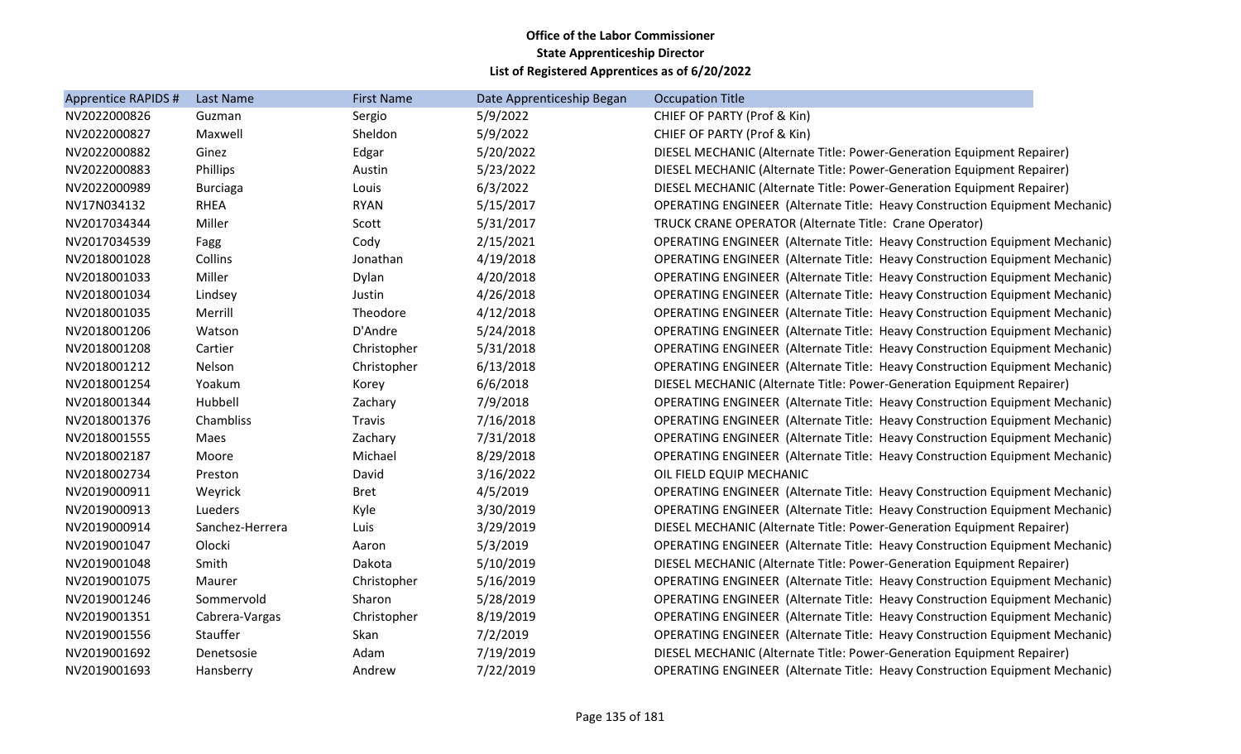| Apprentice RAPIDS # | Last Name       | <b>First Name</b> | Date Apprenticeship Began | <b>Occupation Title</b>                                                            |
|---------------------|-----------------|-------------------|---------------------------|------------------------------------------------------------------------------------|
| NV2022000826        | Guzman          | Sergio            | 5/9/2022                  | CHIEF OF PARTY (Prof & Kin)                                                        |
| NV2022000827        | Maxwell         | Sheldon           | 5/9/2022                  | CHIEF OF PARTY (Prof & Kin)                                                        |
| NV2022000882        | Ginez           | Edgar             | 5/20/2022                 | DIESEL MECHANIC (Alternate Title: Power-Generation Equipment Repairer)             |
| NV2022000883        | Phillips        | Austin            | 5/23/2022                 | DIESEL MECHANIC (Alternate Title: Power-Generation Equipment Repairer)             |
| NV2022000989        | <b>Burciaga</b> | Louis             | 6/3/2022                  | DIESEL MECHANIC (Alternate Title: Power-Generation Equipment Repairer)             |
| NV17N034132         | <b>RHEA</b>     | <b>RYAN</b>       | 5/15/2017                 | <b>OPERATING ENGINEER (Alternate Title: Heavy Construction Equipment Mechanic)</b> |
| NV2017034344        | Miller          | Scott             | 5/31/2017                 | TRUCK CRANE OPERATOR (Alternate Title: Crane Operator)                             |
| NV2017034539        | Fagg            | Cody              | 2/15/2021                 | <b>OPERATING ENGINEER (Alternate Title: Heavy Construction Equipment Mechanic)</b> |
| NV2018001028        | Collins         | Jonathan          | 4/19/2018                 | <b>OPERATING ENGINEER (Alternate Title: Heavy Construction Equipment Mechanic)</b> |
| NV2018001033        | Miller          | Dylan             | 4/20/2018                 | <b>OPERATING ENGINEER (Alternate Title: Heavy Construction Equipment Mechanic)</b> |
| NV2018001034        | Lindsey         | Justin            | 4/26/2018                 | <b>OPERATING ENGINEER (Alternate Title: Heavy Construction Equipment Mechanic)</b> |
| NV2018001035        | Merrill         | Theodore          | 4/12/2018                 | <b>OPERATING ENGINEER (Alternate Title: Heavy Construction Equipment Mechanic)</b> |
| NV2018001206        | Watson          | D'Andre           | 5/24/2018                 | <b>OPERATING ENGINEER (Alternate Title: Heavy Construction Equipment Mechanic)</b> |
| NV2018001208        | Cartier         | Christopher       | 5/31/2018                 | <b>OPERATING ENGINEER (Alternate Title: Heavy Construction Equipment Mechanic)</b> |
| NV2018001212        | Nelson          | Christopher       | 6/13/2018                 | <b>OPERATING ENGINEER (Alternate Title: Heavy Construction Equipment Mechanic)</b> |
| NV2018001254        | Yoakum          | Korey             | 6/6/2018                  | DIESEL MECHANIC (Alternate Title: Power-Generation Equipment Repairer)             |
| NV2018001344        | Hubbell         | Zachary           | 7/9/2018                  | <b>OPERATING ENGINEER (Alternate Title: Heavy Construction Equipment Mechanic)</b> |
| NV2018001376        | Chambliss       | Travis            | 7/16/2018                 | <b>OPERATING ENGINEER (Alternate Title: Heavy Construction Equipment Mechanic)</b> |
| NV2018001555        | Maes            | Zachary           | 7/31/2018                 | <b>OPERATING ENGINEER (Alternate Title: Heavy Construction Equipment Mechanic)</b> |
| NV2018002187        | Moore           | Michael           | 8/29/2018                 | <b>OPERATING ENGINEER (Alternate Title: Heavy Construction Equipment Mechanic)</b> |
| NV2018002734        | Preston         | David             | 3/16/2022                 | OIL FIELD EQUIP MECHANIC                                                           |
| NV2019000911        | Weyrick         | <b>Bret</b>       | 4/5/2019                  | OPERATING ENGINEER (Alternate Title: Heavy Construction Equipment Mechanic)        |
| NV2019000913        | Lueders         | Kyle              | 3/30/2019                 | OPERATING ENGINEER (Alternate Title: Heavy Construction Equipment Mechanic)        |
| NV2019000914        | Sanchez-Herrera | Luis              | 3/29/2019                 | DIESEL MECHANIC (Alternate Title: Power-Generation Equipment Repairer)             |
| NV2019001047        | Olocki          | Aaron             | 5/3/2019                  | OPERATING ENGINEER (Alternate Title: Heavy Construction Equipment Mechanic)        |
| NV2019001048        | Smith           | Dakota            | 5/10/2019                 | DIESEL MECHANIC (Alternate Title: Power-Generation Equipment Repairer)             |
| NV2019001075        | Maurer          | Christopher       | 5/16/2019                 | <b>OPERATING ENGINEER (Alternate Title: Heavy Construction Equipment Mechanic)</b> |
| NV2019001246        | Sommervold      | Sharon            | 5/28/2019                 | <b>OPERATING ENGINEER (Alternate Title: Heavy Construction Equipment Mechanic)</b> |
| NV2019001351        | Cabrera-Vargas  | Christopher       | 8/19/2019                 | <b>OPERATING ENGINEER (Alternate Title: Heavy Construction Equipment Mechanic)</b> |
| NV2019001556        | Stauffer        | Skan              | 7/2/2019                  | <b>OPERATING ENGINEER (Alternate Title: Heavy Construction Equipment Mechanic)</b> |
| NV2019001692        | Denetsosie      | Adam              | 7/19/2019                 | DIESEL MECHANIC (Alternate Title: Power-Generation Equipment Repairer)             |
| NV2019001693        | Hansberry       | Andrew            | 7/22/2019                 | <b>OPERATING ENGINEER (Alternate Title: Heavy Construction Equipment Mechanic)</b> |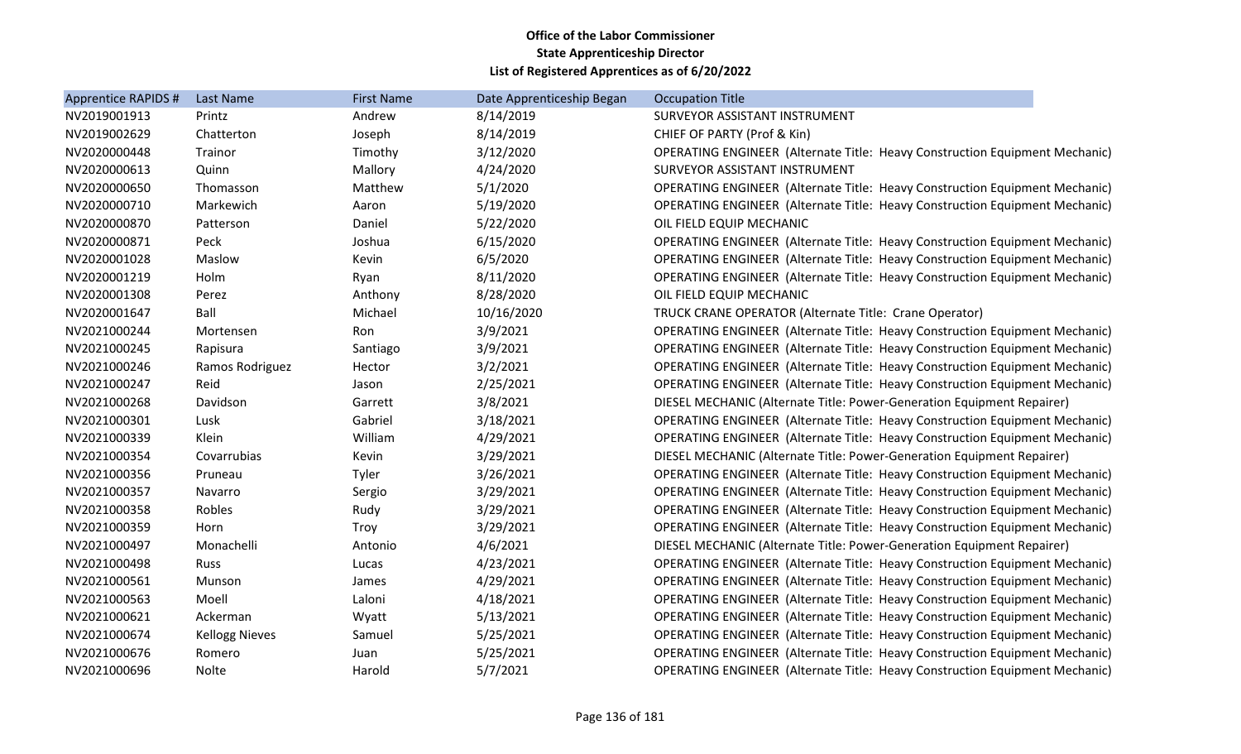| Apprentice RAPIDS # | <b>Last Name</b>      | <b>First Name</b> | Date Apprenticeship Began | <b>Occupation Title</b>                                                            |
|---------------------|-----------------------|-------------------|---------------------------|------------------------------------------------------------------------------------|
| NV2019001913        | Printz                | Andrew            | 8/14/2019                 | SURVEYOR ASSISTANT INSTRUMENT                                                      |
| NV2019002629        | Chatterton            | Joseph            | 8/14/2019                 | CHIEF OF PARTY (Prof & Kin)                                                        |
| NV2020000448        | Trainor               | Timothy           | 3/12/2020                 | <b>OPERATING ENGINEER (Alternate Title: Heavy Construction Equipment Mechanic)</b> |
| NV2020000613        | Quinn                 | Mallory           | 4/24/2020                 | SURVEYOR ASSISTANT INSTRUMENT                                                      |
| NV2020000650        | Thomasson             | Matthew           | 5/1/2020                  | <b>OPERATING ENGINEER (Alternate Title: Heavy Construction Equipment Mechanic)</b> |
| NV2020000710        | Markewich             | Aaron             | 5/19/2020                 | <b>OPERATING ENGINEER (Alternate Title: Heavy Construction Equipment Mechanic)</b> |
| NV2020000870        | Patterson             | Daniel            | 5/22/2020                 | OIL FIELD EQUIP MECHANIC                                                           |
| NV2020000871        | Peck                  | Joshua            | 6/15/2020                 | <b>OPERATING ENGINEER (Alternate Title: Heavy Construction Equipment Mechanic)</b> |
| NV2020001028        | Maslow                | Kevin             | 6/5/2020                  | <b>OPERATING ENGINEER (Alternate Title: Heavy Construction Equipment Mechanic)</b> |
| NV2020001219        | Holm                  | Ryan              | 8/11/2020                 | <b>OPERATING ENGINEER (Alternate Title: Heavy Construction Equipment Mechanic)</b> |
| NV2020001308        | Perez                 | Anthony           | 8/28/2020                 | OIL FIELD EQUIP MECHANIC                                                           |
| NV2020001647        | Ball                  | Michael           | 10/16/2020                | TRUCK CRANE OPERATOR (Alternate Title: Crane Operator)                             |
| NV2021000244        | Mortensen             | Ron               | 3/9/2021                  | <b>OPERATING ENGINEER (Alternate Title: Heavy Construction Equipment Mechanic)</b> |
| NV2021000245        | Rapisura              | Santiago          | 3/9/2021                  | <b>OPERATING ENGINEER (Alternate Title: Heavy Construction Equipment Mechanic)</b> |
| NV2021000246        | Ramos Rodriguez       | Hector            | 3/2/2021                  | <b>OPERATING ENGINEER (Alternate Title: Heavy Construction Equipment Mechanic)</b> |
| NV2021000247        | Reid                  | Jason             | 2/25/2021                 | <b>OPERATING ENGINEER (Alternate Title: Heavy Construction Equipment Mechanic)</b> |
| NV2021000268        | Davidson              | Garrett           | 3/8/2021                  | DIESEL MECHANIC (Alternate Title: Power-Generation Equipment Repairer)             |
| NV2021000301        | Lusk                  | Gabriel           | 3/18/2021                 | <b>OPERATING ENGINEER (Alternate Title: Heavy Construction Equipment Mechanic)</b> |
| NV2021000339        | Klein                 | William           | 4/29/2021                 | <b>OPERATING ENGINEER (Alternate Title: Heavy Construction Equipment Mechanic)</b> |
| NV2021000354        | Covarrubias           | Kevin             | 3/29/2021                 | DIESEL MECHANIC (Alternate Title: Power-Generation Equipment Repairer)             |
| NV2021000356        | Pruneau               | Tyler             | 3/26/2021                 | <b>OPERATING ENGINEER (Alternate Title: Heavy Construction Equipment Mechanic)</b> |
| NV2021000357        | Navarro               | Sergio            | 3/29/2021                 | OPERATING ENGINEER (Alternate Title: Heavy Construction Equipment Mechanic)        |
| NV2021000358        | Robles                | Rudy              | 3/29/2021                 | OPERATING ENGINEER (Alternate Title: Heavy Construction Equipment Mechanic)        |
| NV2021000359        | Horn                  | Troy              | 3/29/2021                 | <b>OPERATING ENGINEER (Alternate Title: Heavy Construction Equipment Mechanic)</b> |
| NV2021000497        | Monachelli            | Antonio           | 4/6/2021                  | DIESEL MECHANIC (Alternate Title: Power-Generation Equipment Repairer)             |
| NV2021000498        | Russ                  | Lucas             | 4/23/2021                 | <b>OPERATING ENGINEER (Alternate Title: Heavy Construction Equipment Mechanic)</b> |
| NV2021000561        | Munson                | James             | 4/29/2021                 | <b>OPERATING ENGINEER (Alternate Title: Heavy Construction Equipment Mechanic)</b> |
| NV2021000563        | Moell                 | Laloni            | 4/18/2021                 | <b>OPERATING ENGINEER (Alternate Title: Heavy Construction Equipment Mechanic)</b> |
| NV2021000621        | Ackerman              | Wyatt             | 5/13/2021                 | <b>OPERATING ENGINEER (Alternate Title: Heavy Construction Equipment Mechanic)</b> |
| NV2021000674        | <b>Kellogg Nieves</b> | Samuel            | 5/25/2021                 | <b>OPERATING ENGINEER (Alternate Title: Heavy Construction Equipment Mechanic)</b> |
| NV2021000676        | Romero                | Juan              | 5/25/2021                 | <b>OPERATING ENGINEER (Alternate Title: Heavy Construction Equipment Mechanic)</b> |
| NV2021000696        | Nolte                 | Harold            | 5/7/2021                  | <b>OPERATING ENGINEER (Alternate Title: Heavy Construction Equipment Mechanic)</b> |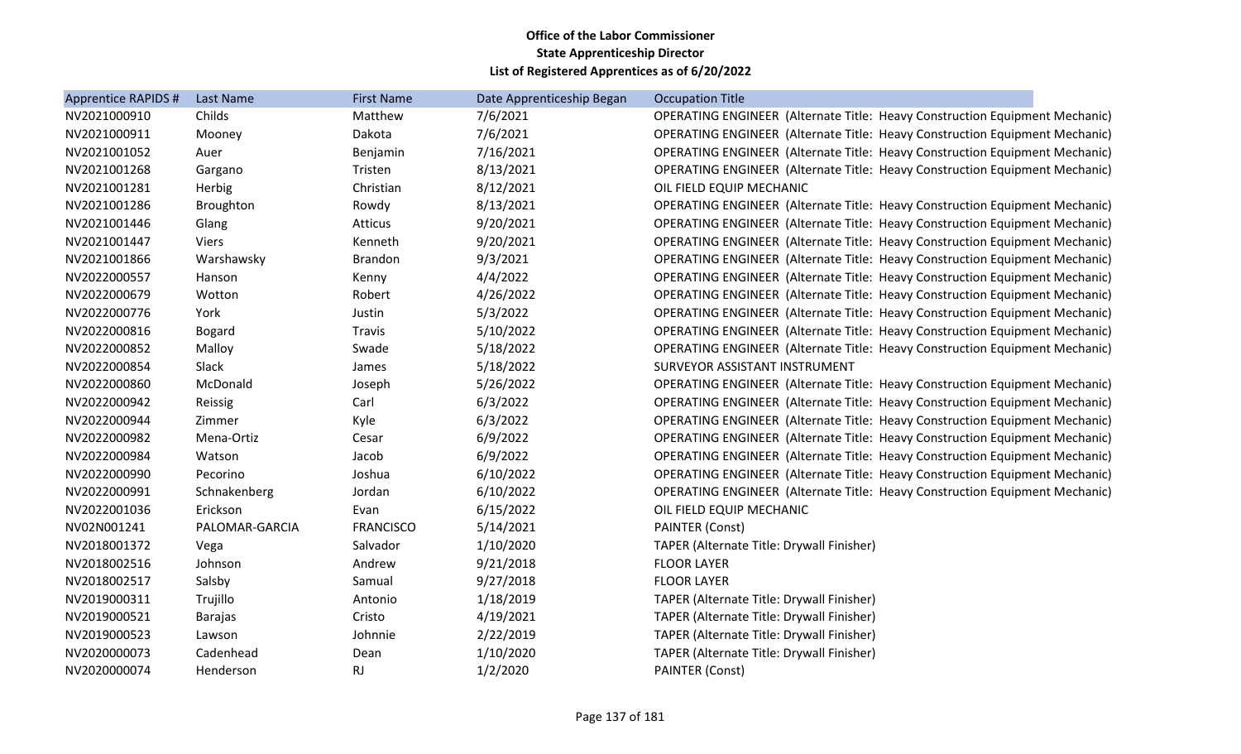| Apprentice RAPIDS # | Last Name      | <b>First Name</b> | Date Apprenticeship Began | <b>Occupation Title</b>                                                            |
|---------------------|----------------|-------------------|---------------------------|------------------------------------------------------------------------------------|
| NV2021000910        | Childs         | Matthew           | 7/6/2021                  | <b>OPERATING ENGINEER (Alternate Title: Heavy Construction Equipment Mechanic)</b> |
| NV2021000911        | Mooney         | Dakota            | 7/6/2021                  | OPERATING ENGINEER (Alternate Title: Heavy Construction Equipment Mechanic)        |
| NV2021001052        | Auer           | Benjamin          | 7/16/2021                 | <b>OPERATING ENGINEER (Alternate Title: Heavy Construction Equipment Mechanic)</b> |
| NV2021001268        | Gargano        | Tristen           | 8/13/2021                 | <b>OPERATING ENGINEER (Alternate Title: Heavy Construction Equipment Mechanic)</b> |
| NV2021001281        | Herbig         | Christian         | 8/12/2021                 | OIL FIELD EQUIP MECHANIC                                                           |
| NV2021001286        | Broughton      | Rowdy             | 8/13/2021                 | <b>OPERATING ENGINEER (Alternate Title: Heavy Construction Equipment Mechanic)</b> |
| NV2021001446        | Glang          | Atticus           | 9/20/2021                 | OPERATING ENGINEER (Alternate Title: Heavy Construction Equipment Mechanic)        |
| NV2021001447        | <b>Viers</b>   | Kenneth           | 9/20/2021                 | <b>OPERATING ENGINEER (Alternate Title: Heavy Construction Equipment Mechanic)</b> |
| NV2021001866        | Warshawsky     | <b>Brandon</b>    | 9/3/2021                  | <b>OPERATING ENGINEER (Alternate Title: Heavy Construction Equipment Mechanic)</b> |
| NV2022000557        | Hanson         | Kenny             | 4/4/2022                  | <b>OPERATING ENGINEER (Alternate Title: Heavy Construction Equipment Mechanic)</b> |
| NV2022000679        | Wotton         | Robert            | 4/26/2022                 | <b>OPERATING ENGINEER (Alternate Title: Heavy Construction Equipment Mechanic)</b> |
| NV2022000776        | York           | Justin            | 5/3/2022                  | <b>OPERATING ENGINEER (Alternate Title: Heavy Construction Equipment Mechanic)</b> |
| NV2022000816        | <b>Bogard</b>  | Travis            | 5/10/2022                 | <b>OPERATING ENGINEER (Alternate Title: Heavy Construction Equipment Mechanic)</b> |
| NV2022000852        | Malloy         | Swade             | 5/18/2022                 | <b>OPERATING ENGINEER (Alternate Title: Heavy Construction Equipment Mechanic)</b> |
| NV2022000854        | Slack          | James             | 5/18/2022                 | SURVEYOR ASSISTANT INSTRUMENT                                                      |
| NV2022000860        | McDonald       | Joseph            | 5/26/2022                 | <b>OPERATING ENGINEER (Alternate Title: Heavy Construction Equipment Mechanic)</b> |
| NV2022000942        | Reissig        | Carl              | 6/3/2022                  | OPERATING ENGINEER (Alternate Title: Heavy Construction Equipment Mechanic)        |
| NV2022000944        | Zimmer         | Kyle              | 6/3/2022                  | <b>OPERATING ENGINEER (Alternate Title: Heavy Construction Equipment Mechanic)</b> |
| NV2022000982        | Mena-Ortiz     | Cesar             | 6/9/2022                  | <b>OPERATING ENGINEER (Alternate Title: Heavy Construction Equipment Mechanic)</b> |
| NV2022000984        | Watson         | Jacob             | 6/9/2022                  | <b>OPERATING ENGINEER (Alternate Title: Heavy Construction Equipment Mechanic)</b> |
| NV2022000990        | Pecorino       | Joshua            | 6/10/2022                 | <b>OPERATING ENGINEER (Alternate Title: Heavy Construction Equipment Mechanic)</b> |
| NV2022000991        | Schnakenberg   | Jordan            | 6/10/2022                 | <b>OPERATING ENGINEER (Alternate Title: Heavy Construction Equipment Mechanic)</b> |
| NV2022001036        | Erickson       | Evan              | 6/15/2022                 | OIL FIELD EQUIP MECHANIC                                                           |
| NV02N001241         | PALOMAR-GARCIA | <b>FRANCISCO</b>  | 5/14/2021                 | <b>PAINTER (Const)</b>                                                             |
| NV2018001372        | Vega           | Salvador          | 1/10/2020                 | TAPER (Alternate Title: Drywall Finisher)                                          |
| NV2018002516        | Johnson        | Andrew            | 9/21/2018                 | <b>FLOOR LAYER</b>                                                                 |
| NV2018002517        | Salsby         | Samual            | 9/27/2018                 | <b>FLOOR LAYER</b>                                                                 |
| NV2019000311        | Trujillo       | Antonio           | 1/18/2019                 | TAPER (Alternate Title: Drywall Finisher)                                          |
| NV2019000521        | <b>Barajas</b> | Cristo            | 4/19/2021                 | TAPER (Alternate Title: Drywall Finisher)                                          |
| NV2019000523        | Lawson         | Johnnie           | 2/22/2019                 | TAPER (Alternate Title: Drywall Finisher)                                          |
| NV2020000073        | Cadenhead      | Dean              | 1/10/2020                 | TAPER (Alternate Title: Drywall Finisher)                                          |
| NV2020000074        | Henderson      | <b>RJ</b>         | 1/2/2020                  | PAINTER (Const)                                                                    |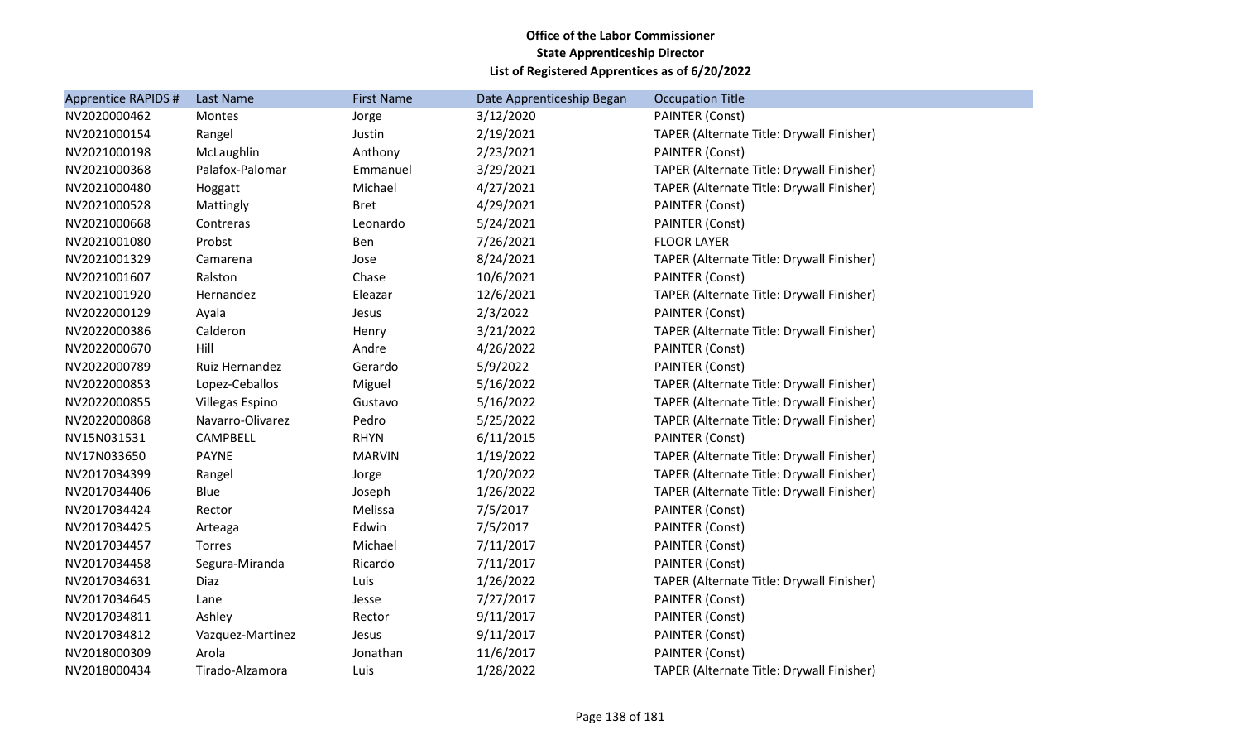| <b>Apprentice RAPIDS #</b> | Last Name              | <b>First Name</b> | Date Apprenticeship Began | <b>Occupation Title</b>                   |
|----------------------------|------------------------|-------------------|---------------------------|-------------------------------------------|
| NV2020000462               | Montes                 | Jorge             | 3/12/2020                 | <b>PAINTER (Const)</b>                    |
| NV2021000154               | Rangel                 | Justin            | 2/19/2021                 | TAPER (Alternate Title: Drywall Finisher) |
| NV2021000198               | McLaughlin             | Anthony           | 2/23/2021                 | <b>PAINTER (Const)</b>                    |
| NV2021000368               | Palafox-Palomar        | Emmanuel          | 3/29/2021                 | TAPER (Alternate Title: Drywall Finisher) |
| NV2021000480               | Hoggatt                | Michael           | 4/27/2021                 | TAPER (Alternate Title: Drywall Finisher) |
| NV2021000528               | Mattingly              | <b>Bret</b>       | 4/29/2021                 | <b>PAINTER (Const)</b>                    |
| NV2021000668               | Contreras              | Leonardo          | 5/24/2021                 | PAINTER (Const)                           |
| NV2021001080               | Probst                 | Ben               | 7/26/2021                 | <b>FLOOR LAYER</b>                        |
| NV2021001329               | Camarena               | Jose              | 8/24/2021                 | TAPER (Alternate Title: Drywall Finisher) |
| NV2021001607               | Ralston                | Chase             | 10/6/2021                 | <b>PAINTER (Const)</b>                    |
| NV2021001920               | Hernandez              | Eleazar           | 12/6/2021                 | TAPER (Alternate Title: Drywall Finisher) |
| NV2022000129               | Ayala                  | Jesus             | 2/3/2022                  | <b>PAINTER (Const)</b>                    |
| NV2022000386               | Calderon               | Henry             | 3/21/2022                 | TAPER (Alternate Title: Drywall Finisher) |
| NV2022000670               | Hill                   | Andre             | 4/26/2022                 | <b>PAINTER (Const)</b>                    |
| NV2022000789               | Ruiz Hernandez         | Gerardo           | 5/9/2022                  | PAINTER (Const)                           |
| NV2022000853               | Lopez-Ceballos         | Miguel            | 5/16/2022                 | TAPER (Alternate Title: Drywall Finisher) |
| NV2022000855               | <b>Villegas Espino</b> | Gustavo           | 5/16/2022                 | TAPER (Alternate Title: Drywall Finisher) |
| NV2022000868               | Navarro-Olivarez       | Pedro             | 5/25/2022                 | TAPER (Alternate Title: Drywall Finisher) |
| NV15N031531                | CAMPBELL               | <b>RHYN</b>       | 6/11/2015                 | <b>PAINTER (Const)</b>                    |
| NV17N033650                | <b>PAYNE</b>           | <b>MARVIN</b>     | 1/19/2022                 | TAPER (Alternate Title: Drywall Finisher) |
| NV2017034399               | Rangel                 | Jorge             | 1/20/2022                 | TAPER (Alternate Title: Drywall Finisher) |
| NV2017034406               | Blue                   | Joseph            | 1/26/2022                 | TAPER (Alternate Title: Drywall Finisher) |
| NV2017034424               | Rector                 | Melissa           | 7/5/2017                  | PAINTER (Const)                           |
| NV2017034425               | Arteaga                | Edwin             | 7/5/2017                  | <b>PAINTER (Const)</b>                    |
| NV2017034457               | Torres                 | Michael           | 7/11/2017                 | PAINTER (Const)                           |
| NV2017034458               | Segura-Miranda         | Ricardo           | 7/11/2017                 | <b>PAINTER (Const)</b>                    |
| NV2017034631               | Diaz                   | Luis              | 1/26/2022                 | TAPER (Alternate Title: Drywall Finisher) |
| NV2017034645               | Lane                   | Jesse             | 7/27/2017                 | PAINTER (Const)                           |
| NV2017034811               | Ashley                 | Rector            | 9/11/2017                 | PAINTER (Const)                           |
| NV2017034812               | Vazquez-Martinez       | Jesus             | 9/11/2017                 | <b>PAINTER (Const)</b>                    |
| NV2018000309               | Arola                  | Jonathan          | 11/6/2017                 | <b>PAINTER (Const)</b>                    |
| NV2018000434               | Tirado-Alzamora        | Luis              | 1/28/2022                 | TAPER (Alternate Title: Drywall Finisher) |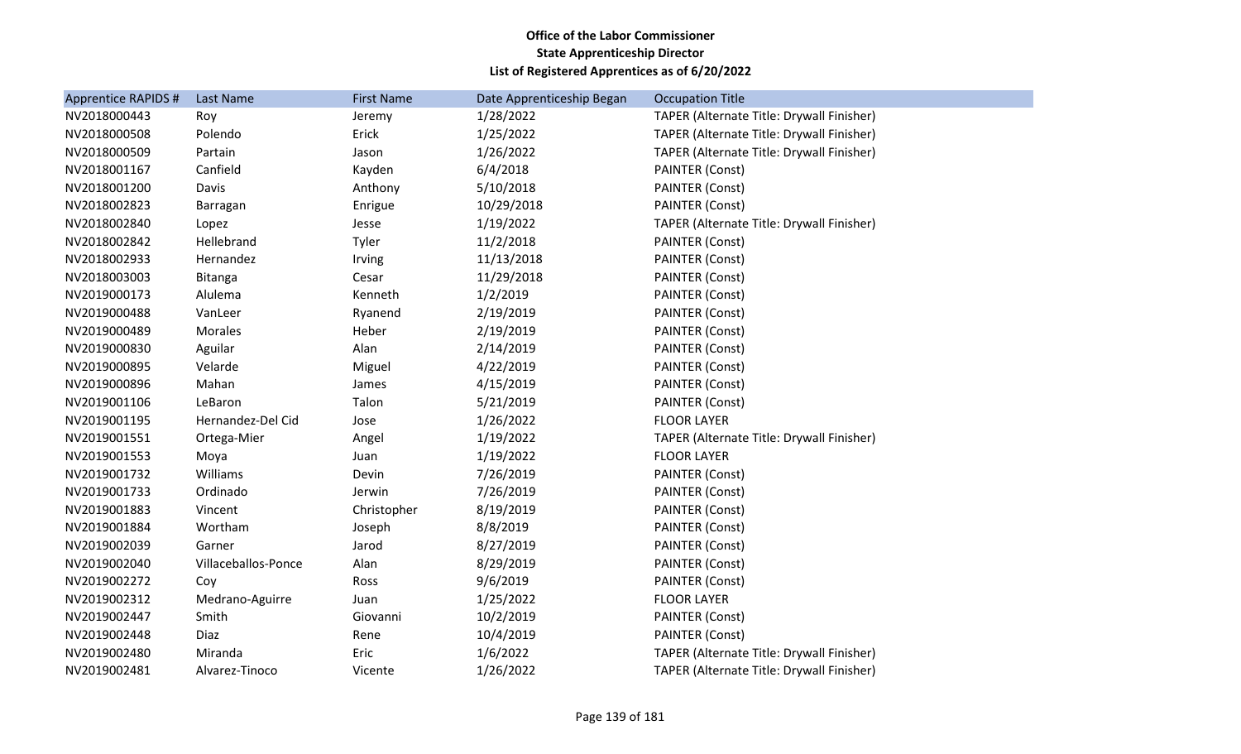| <b>Apprentice RAPIDS #</b> | Last Name           | <b>First Name</b> | Date Apprenticeship Began | <b>Occupation Title</b>                   |
|----------------------------|---------------------|-------------------|---------------------------|-------------------------------------------|
| NV2018000443               | Roy                 | Jeremy            | 1/28/2022                 | TAPER (Alternate Title: Drywall Finisher) |
| NV2018000508               | Polendo             | Erick             | 1/25/2022                 | TAPER (Alternate Title: Drywall Finisher) |
| NV2018000509               | Partain             | Jason             | 1/26/2022                 | TAPER (Alternate Title: Drywall Finisher) |
| NV2018001167               | Canfield            | Kayden            | 6/4/2018                  | PAINTER (Const)                           |
| NV2018001200               | Davis               | Anthony           | 5/10/2018                 | <b>PAINTER (Const)</b>                    |
| NV2018002823               | Barragan            | Enrigue           | 10/29/2018                | <b>PAINTER (Const)</b>                    |
| NV2018002840               | Lopez               | Jesse             | 1/19/2022                 | TAPER (Alternate Title: Drywall Finisher) |
| NV2018002842               | Hellebrand          | Tyler             | 11/2/2018                 | PAINTER (Const)                           |
| NV2018002933               | Hernandez           | Irving            | 11/13/2018                | <b>PAINTER (Const)</b>                    |
| NV2018003003               | <b>Bitanga</b>      | Cesar             | 11/29/2018                | <b>PAINTER (Const)</b>                    |
| NV2019000173               | Alulema             | Kenneth           | 1/2/2019                  | PAINTER (Const)                           |
| NV2019000488               | VanLeer             | Ryanend           | 2/19/2019                 | <b>PAINTER (Const)</b>                    |
| NV2019000489               | Morales             | Heber             | 2/19/2019                 | <b>PAINTER (Const)</b>                    |
| NV2019000830               | Aguilar             | Alan              | 2/14/2019                 | PAINTER (Const)                           |
| NV2019000895               | Velarde             | Miguel            | 4/22/2019                 | PAINTER (Const)                           |
| NV2019000896               | Mahan               | James             | 4/15/2019                 | PAINTER (Const)                           |
| NV2019001106               | LeBaron             | Talon             | 5/21/2019                 | <b>PAINTER (Const)</b>                    |
| NV2019001195               | Hernandez-Del Cid   | Jose              | 1/26/2022                 | <b>FLOOR LAYER</b>                        |
| NV2019001551               | Ortega-Mier         | Angel             | 1/19/2022                 | TAPER (Alternate Title: Drywall Finisher) |
| NV2019001553               | Moya                | Juan              | 1/19/2022                 | <b>FLOOR LAYER</b>                        |
| NV2019001732               | Williams            | Devin             | 7/26/2019                 | PAINTER (Const)                           |
| NV2019001733               | Ordinado            | Jerwin            | 7/26/2019                 | PAINTER (Const)                           |
| NV2019001883               | Vincent             | Christopher       | 8/19/2019                 | PAINTER (Const)                           |
| NV2019001884               | Wortham             | Joseph            | 8/8/2019                  | <b>PAINTER (Const)</b>                    |
| NV2019002039               | Garner              | Jarod             | 8/27/2019                 | PAINTER (Const)                           |
| NV2019002040               | Villaceballos-Ponce | Alan              | 8/29/2019                 | <b>PAINTER (Const)</b>                    |
| NV2019002272               | Coy                 | Ross              | 9/6/2019                  | <b>PAINTER (Const)</b>                    |
| NV2019002312               | Medrano-Aguirre     | Juan              | 1/25/2022                 | <b>FLOOR LAYER</b>                        |
| NV2019002447               | Smith               | Giovanni          | 10/2/2019                 | PAINTER (Const)                           |
| NV2019002448               | Diaz                | Rene              | 10/4/2019                 | PAINTER (Const)                           |
| NV2019002480               | Miranda             | Eric              | 1/6/2022                  | TAPER (Alternate Title: Drywall Finisher) |
| NV2019002481               | Alvarez-Tinoco      | Vicente           | 1/26/2022                 | TAPER (Alternate Title: Drywall Finisher) |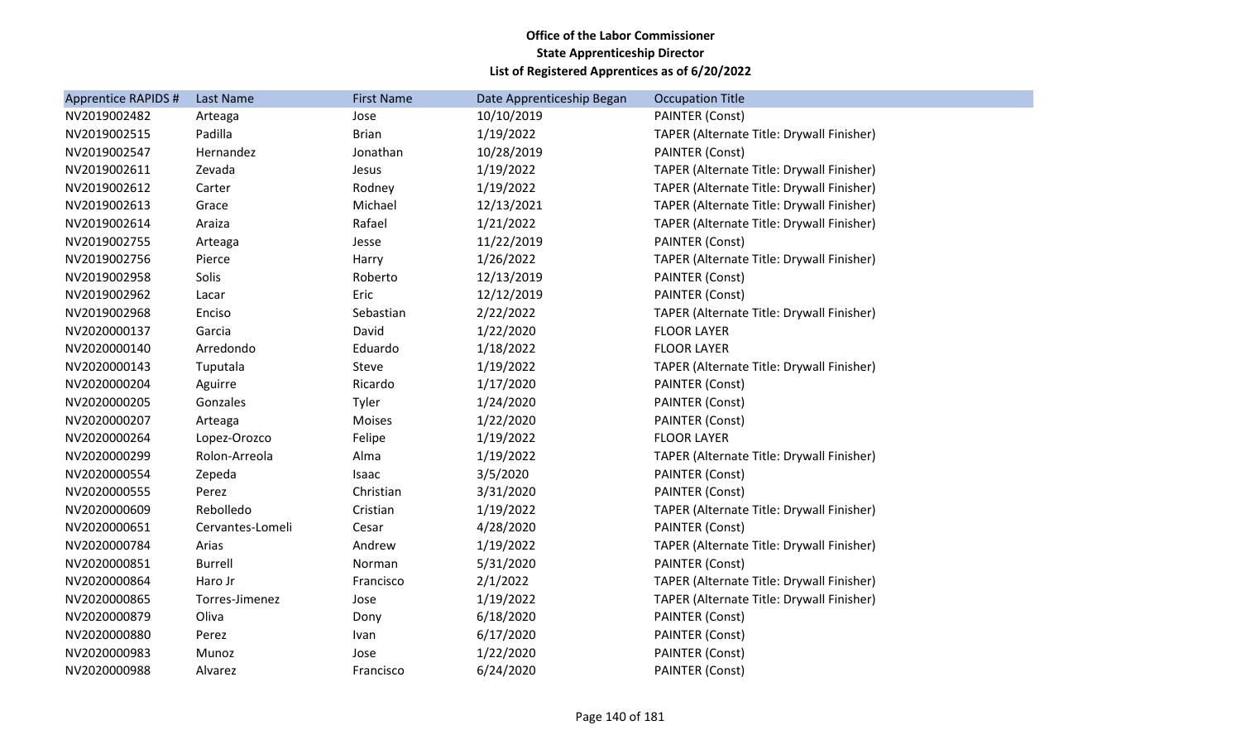| <b>Apprentice RAPIDS #</b> | Last Name        | <b>First Name</b> | Date Apprenticeship Began | <b>Occupation Title</b>                   |
|----------------------------|------------------|-------------------|---------------------------|-------------------------------------------|
| NV2019002482               | Arteaga          | Jose              | 10/10/2019                | <b>PAINTER (Const)</b>                    |
| NV2019002515               | Padilla          | <b>Brian</b>      | 1/19/2022                 | TAPER (Alternate Title: Drywall Finisher) |
| NV2019002547               | Hernandez        | Jonathan          | 10/28/2019                | <b>PAINTER (Const)</b>                    |
| NV2019002611               | Zevada           | Jesus             | 1/19/2022                 | TAPER (Alternate Title: Drywall Finisher) |
| NV2019002612               | Carter           | Rodney            | 1/19/2022                 | TAPER (Alternate Title: Drywall Finisher) |
| NV2019002613               | Grace            | Michael           | 12/13/2021                | TAPER (Alternate Title: Drywall Finisher) |
| NV2019002614               | Araiza           | Rafael            | 1/21/2022                 | TAPER (Alternate Title: Drywall Finisher) |
| NV2019002755               | Arteaga          | Jesse             | 11/22/2019                | <b>PAINTER (Const)</b>                    |
| NV2019002756               | Pierce           | Harry             | 1/26/2022                 | TAPER (Alternate Title: Drywall Finisher) |
| NV2019002958               | Solis            | Roberto           | 12/13/2019                | PAINTER (Const)                           |
| NV2019002962               | Lacar            | Eric              | 12/12/2019                | <b>PAINTER (Const)</b>                    |
| NV2019002968               | Enciso           | Sebastian         | 2/22/2022                 | TAPER (Alternate Title: Drywall Finisher) |
| NV2020000137               | Garcia           | David             | 1/22/2020                 | <b>FLOOR LAYER</b>                        |
| NV2020000140               | Arredondo        | Eduardo           | 1/18/2022                 | <b>FLOOR LAYER</b>                        |
| NV2020000143               | Tuputala         | Steve             | 1/19/2022                 | TAPER (Alternate Title: Drywall Finisher) |
| NV2020000204               | Aguirre          | Ricardo           | 1/17/2020                 | <b>PAINTER (Const)</b>                    |
| NV2020000205               | Gonzales         | Tyler             | 1/24/2020                 | <b>PAINTER (Const)</b>                    |
| NV2020000207               | Arteaga          | Moises            | 1/22/2020                 | <b>PAINTER (Const)</b>                    |
| NV2020000264               | Lopez-Orozco     | Felipe            | 1/19/2022                 | <b>FLOOR LAYER</b>                        |
| NV2020000299               | Rolon-Arreola    | Alma              | 1/19/2022                 | TAPER (Alternate Title: Drywall Finisher) |
| NV2020000554               | Zepeda           | Isaac             | 3/5/2020                  | <b>PAINTER (Const)</b>                    |
| NV2020000555               | Perez            | Christian         | 3/31/2020                 | <b>PAINTER (Const)</b>                    |
| NV2020000609               | Rebolledo        | Cristian          | 1/19/2022                 | TAPER (Alternate Title: Drywall Finisher) |
| NV2020000651               | Cervantes-Lomeli | Cesar             | 4/28/2020                 | <b>PAINTER (Const)</b>                    |
| NV2020000784               | Arias            | Andrew            | 1/19/2022                 | TAPER (Alternate Title: Drywall Finisher) |
| NV2020000851               | <b>Burrell</b>   | Norman            | 5/31/2020                 | <b>PAINTER (Const)</b>                    |
| NV2020000864               | Haro Jr          | Francisco         | 2/1/2022                  | TAPER (Alternate Title: Drywall Finisher) |
| NV2020000865               | Torres-Jimenez   | Jose              | 1/19/2022                 | TAPER (Alternate Title: Drywall Finisher) |
| NV2020000879               | Oliva            | Dony              | 6/18/2020                 | <b>PAINTER (Const)</b>                    |
| NV2020000880               | Perez            | Ivan              | 6/17/2020                 | <b>PAINTER (Const)</b>                    |
| NV2020000983               | Munoz            | Jose              | 1/22/2020                 | <b>PAINTER (Const)</b>                    |
| NV2020000988               | Alvarez          | Francisco         | 6/24/2020                 | PAINTER (Const)                           |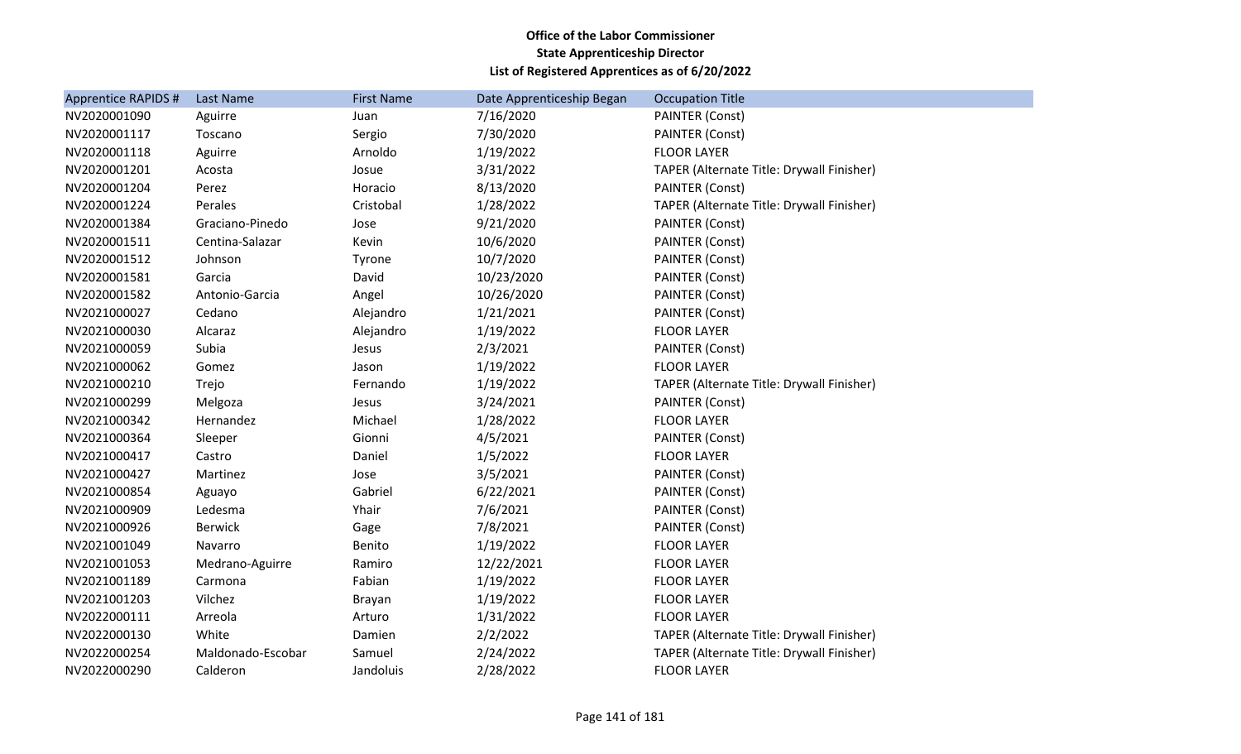| <b>Apprentice RAPIDS #</b> | Last Name         | <b>First Name</b> | Date Apprenticeship Began | <b>Occupation Title</b>                   |
|----------------------------|-------------------|-------------------|---------------------------|-------------------------------------------|
| NV2020001090               | Aguirre           | Juan              | 7/16/2020                 | <b>PAINTER (Const)</b>                    |
| NV2020001117               | Toscano           | Sergio            | 7/30/2020                 | <b>PAINTER (Const)</b>                    |
| NV2020001118               | Aguirre           | Arnoldo           | 1/19/2022                 | <b>FLOOR LAYER</b>                        |
| NV2020001201               | Acosta            | Josue             | 3/31/2022                 | TAPER (Alternate Title: Drywall Finisher) |
| NV2020001204               | Perez             | Horacio           | 8/13/2020                 | <b>PAINTER (Const)</b>                    |
| NV2020001224               | Perales           | Cristobal         | 1/28/2022                 | TAPER (Alternate Title: Drywall Finisher) |
| NV2020001384               | Graciano-Pinedo   | Jose              | 9/21/2020                 | PAINTER (Const)                           |
| NV2020001511               | Centina-Salazar   | Kevin             | 10/6/2020                 | <b>PAINTER (Const)</b>                    |
| NV2020001512               | Johnson           | Tyrone            | 10/7/2020                 | <b>PAINTER (Const)</b>                    |
| NV2020001581               | Garcia            | David             | 10/23/2020                | <b>PAINTER (Const)</b>                    |
| NV2020001582               | Antonio-Garcia    | Angel             | 10/26/2020                | <b>PAINTER (Const)</b>                    |
| NV2021000027               | Cedano            | Alejandro         | 1/21/2021                 | PAINTER (Const)                           |
| NV2021000030               | Alcaraz           | Alejandro         | 1/19/2022                 | <b>FLOOR LAYER</b>                        |
| NV2021000059               | Subia             | Jesus             | 2/3/2021                  | <b>PAINTER (Const)</b>                    |
| NV2021000062               | Gomez             | Jason             | 1/19/2022                 | <b>FLOOR LAYER</b>                        |
| NV2021000210               | Trejo             | Fernando          | 1/19/2022                 | TAPER (Alternate Title: Drywall Finisher) |
| NV2021000299               | Melgoza           | Jesus             | 3/24/2021                 | <b>PAINTER (Const)</b>                    |
| NV2021000342               | Hernandez         | Michael           | 1/28/2022                 | <b>FLOOR LAYER</b>                        |
| NV2021000364               | Sleeper           | Gionni            | 4/5/2021                  | PAINTER (Const)                           |
| NV2021000417               | Castro            | Daniel            | 1/5/2022                  | <b>FLOOR LAYER</b>                        |
| NV2021000427               | Martinez          | Jose              | 3/5/2021                  | <b>PAINTER (Const)</b>                    |
| NV2021000854               | Aguayo            | Gabriel           | 6/22/2021                 | <b>PAINTER (Const)</b>                    |
| NV2021000909               | Ledesma           | Yhair             | 7/6/2021                  | <b>PAINTER (Const)</b>                    |
| NV2021000926               | <b>Berwick</b>    | Gage              | 7/8/2021                  | PAINTER (Const)                           |
| NV2021001049               | Navarro           | Benito            | 1/19/2022                 | <b>FLOOR LAYER</b>                        |
| NV2021001053               | Medrano-Aguirre   | Ramiro            | 12/22/2021                | <b>FLOOR LAYER</b>                        |
| NV2021001189               | Carmona           | Fabian            | 1/19/2022                 | <b>FLOOR LAYER</b>                        |
| NV2021001203               | Vilchez           | Brayan            | 1/19/2022                 | <b>FLOOR LAYER</b>                        |
| NV2022000111               | Arreola           | Arturo            | 1/31/2022                 | <b>FLOOR LAYER</b>                        |
| NV2022000130               | White             | Damien            | 2/2/2022                  | TAPER (Alternate Title: Drywall Finisher) |
| NV2022000254               | Maldonado-Escobar | Samuel            | 2/24/2022                 | TAPER (Alternate Title: Drywall Finisher) |
| NV2022000290               | Calderon          | Jandoluis         | 2/28/2022                 | <b>FLOOR LAYER</b>                        |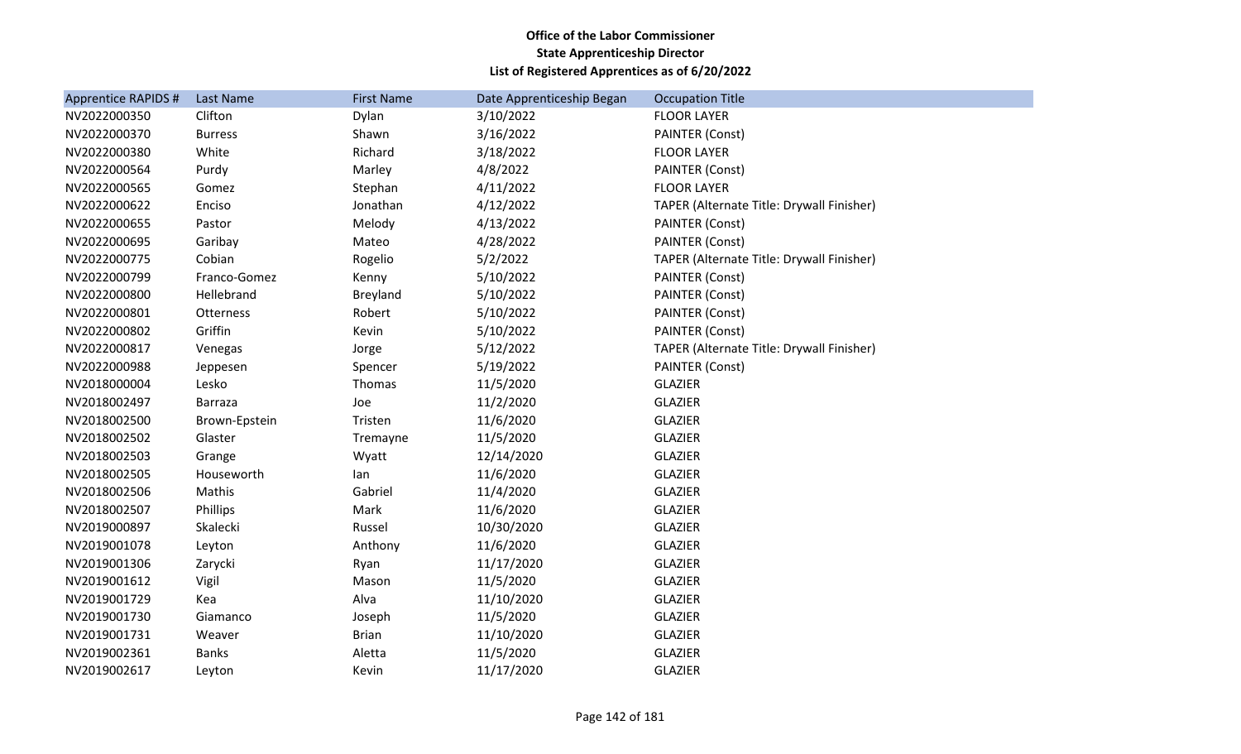| <b>Apprentice RAPIDS #</b> | Last Name      | <b>First Name</b> | Date Apprenticeship Began | <b>Occupation Title</b>                   |
|----------------------------|----------------|-------------------|---------------------------|-------------------------------------------|
| NV2022000350               | Clifton        | Dylan             | 3/10/2022                 | <b>FLOOR LAYER</b>                        |
| NV2022000370               | <b>Burress</b> | Shawn             | 3/16/2022                 | PAINTER (Const)                           |
| NV2022000380               | White          | Richard           | 3/18/2022                 | <b>FLOOR LAYER</b>                        |
| NV2022000564               | Purdy          | Marley            | 4/8/2022                  | <b>PAINTER (Const)</b>                    |
| NV2022000565               | Gomez          | Stephan           | 4/11/2022                 | <b>FLOOR LAYER</b>                        |
| NV2022000622               | Enciso         | Jonathan          | 4/12/2022                 | TAPER (Alternate Title: Drywall Finisher) |
| NV2022000655               | Pastor         | Melody            | 4/13/2022                 | PAINTER (Const)                           |
| NV2022000695               | Garibay        | Mateo             | 4/28/2022                 | PAINTER (Const)                           |
| NV2022000775               | Cobian         | Rogelio           | 5/2/2022                  | TAPER (Alternate Title: Drywall Finisher) |
| NV2022000799               | Franco-Gomez   | Kenny             | 5/10/2022                 | <b>PAINTER (Const)</b>                    |
| NV2022000800               | Hellebrand     | Breyland          | 5/10/2022                 | <b>PAINTER (Const)</b>                    |
| NV2022000801               | Otterness      | Robert            | 5/10/2022                 | <b>PAINTER (Const)</b>                    |
| NV2022000802               | Griffin        | Kevin             | 5/10/2022                 | PAINTER (Const)                           |
| NV2022000817               | Venegas        | Jorge             | 5/12/2022                 | TAPER (Alternate Title: Drywall Finisher) |
| NV2022000988               | Jeppesen       | Spencer           | 5/19/2022                 | <b>PAINTER (Const)</b>                    |
| NV2018000004               | Lesko          | Thomas            | 11/5/2020                 | <b>GLAZIER</b>                            |
| NV2018002497               | <b>Barraza</b> | Joe               | 11/2/2020                 | <b>GLAZIER</b>                            |
| NV2018002500               | Brown-Epstein  | Tristen           | 11/6/2020                 | <b>GLAZIER</b>                            |
| NV2018002502               | Glaster        | Tremayne          | 11/5/2020                 | <b>GLAZIER</b>                            |
| NV2018002503               | Grange         | Wyatt             | 12/14/2020                | <b>GLAZIER</b>                            |
| NV2018002505               | Houseworth     | lan               | 11/6/2020                 | <b>GLAZIER</b>                            |
| NV2018002506               | Mathis         | Gabriel           | 11/4/2020                 | <b>GLAZIER</b>                            |
| NV2018002507               | Phillips       | Mark              | 11/6/2020                 | <b>GLAZIER</b>                            |
| NV2019000897               | Skalecki       | Russel            | 10/30/2020                | <b>GLAZIER</b>                            |
| NV2019001078               | Leyton         | Anthony           | 11/6/2020                 | <b>GLAZIER</b>                            |
| NV2019001306               | Zarycki        | Ryan              | 11/17/2020                | <b>GLAZIER</b>                            |
| NV2019001612               | Vigil          | Mason             | 11/5/2020                 | <b>GLAZIER</b>                            |
| NV2019001729               | Kea            | Alva              | 11/10/2020                | <b>GLAZIER</b>                            |
| NV2019001730               | Giamanco       | Joseph            | 11/5/2020                 | <b>GLAZIER</b>                            |
| NV2019001731               | Weaver         | <b>Brian</b>      | 11/10/2020                | <b>GLAZIER</b>                            |
| NV2019002361               | <b>Banks</b>   | Aletta            | 11/5/2020                 | <b>GLAZIER</b>                            |
| NV2019002617               | Leyton         | Kevin             | 11/17/2020                | <b>GLAZIER</b>                            |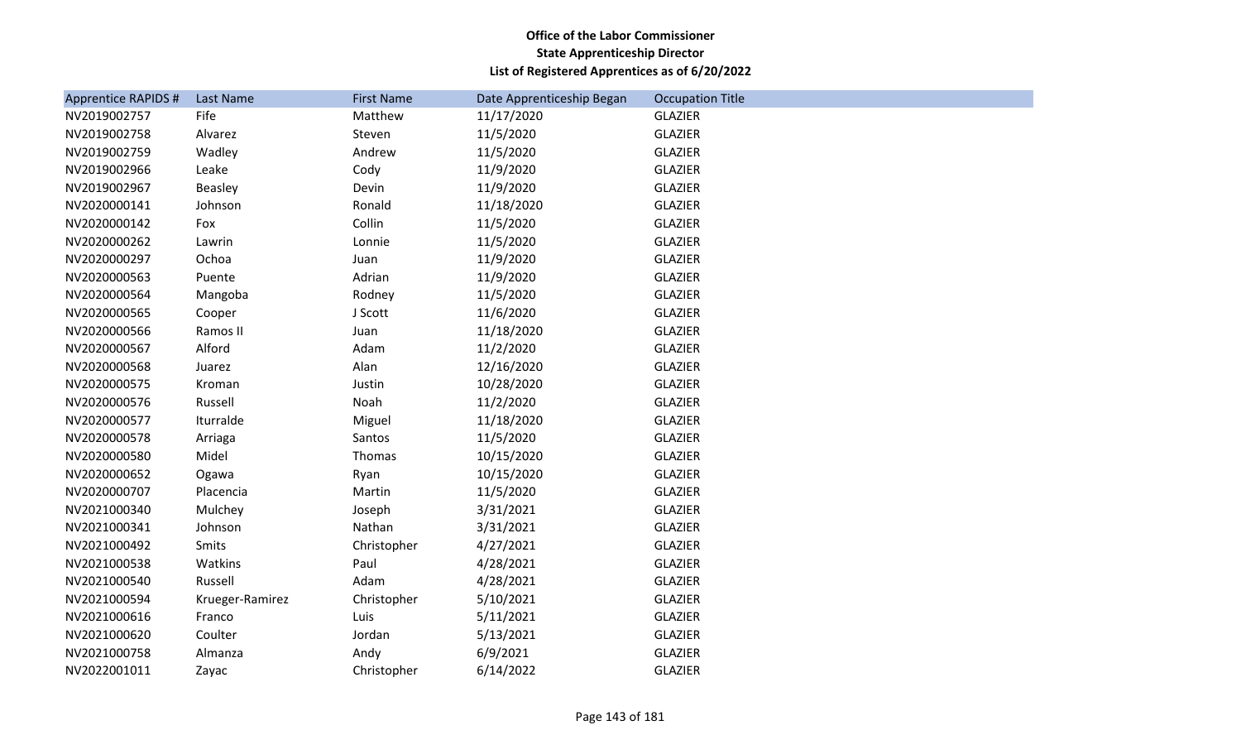| <b>Apprentice RAPIDS #</b> | Last Name       | <b>First Name</b> | Date Apprenticeship Began | <b>Occupation Title</b> |
|----------------------------|-----------------|-------------------|---------------------------|-------------------------|
| NV2019002757               | Fife            | Matthew           | 11/17/2020                | <b>GLAZIER</b>          |
| NV2019002758               | Alvarez         | Steven            | 11/5/2020                 | <b>GLAZIER</b>          |
| NV2019002759               | Wadley          | Andrew            | 11/5/2020                 | <b>GLAZIER</b>          |
| NV2019002966               | Leake           | Cody              | 11/9/2020                 | <b>GLAZIER</b>          |
| NV2019002967               | Beasley         | Devin             | 11/9/2020                 | <b>GLAZIER</b>          |
| NV2020000141               | Johnson         | Ronald            | 11/18/2020                | <b>GLAZIER</b>          |
| NV2020000142               | Fox             | Collin            | 11/5/2020                 | <b>GLAZIER</b>          |
| NV2020000262               | Lawrin          | Lonnie            | 11/5/2020                 | <b>GLAZIER</b>          |
| NV2020000297               | Ochoa           | Juan              | 11/9/2020                 | <b>GLAZIER</b>          |
| NV2020000563               | Puente          | Adrian            | 11/9/2020                 | <b>GLAZIER</b>          |
| NV2020000564               | Mangoba         | Rodney            | 11/5/2020                 | <b>GLAZIER</b>          |
| NV2020000565               | Cooper          | J Scott           | 11/6/2020                 | <b>GLAZIER</b>          |
| NV2020000566               | Ramos II        | Juan              | 11/18/2020                | <b>GLAZIER</b>          |
| NV2020000567               | Alford          | Adam              | 11/2/2020                 | <b>GLAZIER</b>          |
| NV2020000568               | Juarez          | Alan              | 12/16/2020                | <b>GLAZIER</b>          |
| NV2020000575               | Kroman          | Justin            | 10/28/2020                | <b>GLAZIER</b>          |
| NV2020000576               | Russell         | Noah              | 11/2/2020                 | <b>GLAZIER</b>          |
| NV2020000577               | Iturralde       | Miguel            | 11/18/2020                | <b>GLAZIER</b>          |
| NV2020000578               | Arriaga         | Santos            | 11/5/2020                 | <b>GLAZIER</b>          |
| NV2020000580               | Midel           | Thomas            | 10/15/2020                | <b>GLAZIER</b>          |
| NV2020000652               | Ogawa           | Ryan              | 10/15/2020                | <b>GLAZIER</b>          |
| NV2020000707               | Placencia       | Martin            | 11/5/2020                 | <b>GLAZIER</b>          |
| NV2021000340               | Mulchey         | Joseph            | 3/31/2021                 | <b>GLAZIER</b>          |
| NV2021000341               | Johnson         | Nathan            | 3/31/2021                 | <b>GLAZIER</b>          |
| NV2021000492               | Smits           | Christopher       | 4/27/2021                 | <b>GLAZIER</b>          |
| NV2021000538               | Watkins         | Paul              | 4/28/2021                 | <b>GLAZIER</b>          |
| NV2021000540               | Russell         | Adam              | 4/28/2021                 | <b>GLAZIER</b>          |
| NV2021000594               | Krueger-Ramirez | Christopher       | 5/10/2021                 | <b>GLAZIER</b>          |
| NV2021000616               | Franco          | Luis              | 5/11/2021                 | <b>GLAZIER</b>          |
| NV2021000620               | Coulter         | Jordan            | 5/13/2021                 | <b>GLAZIER</b>          |
| NV2021000758               | Almanza         | Andy              | 6/9/2021                  | <b>GLAZIER</b>          |
| NV2022001011               | Zayac           | Christopher       | 6/14/2022                 | <b>GLAZIER</b>          |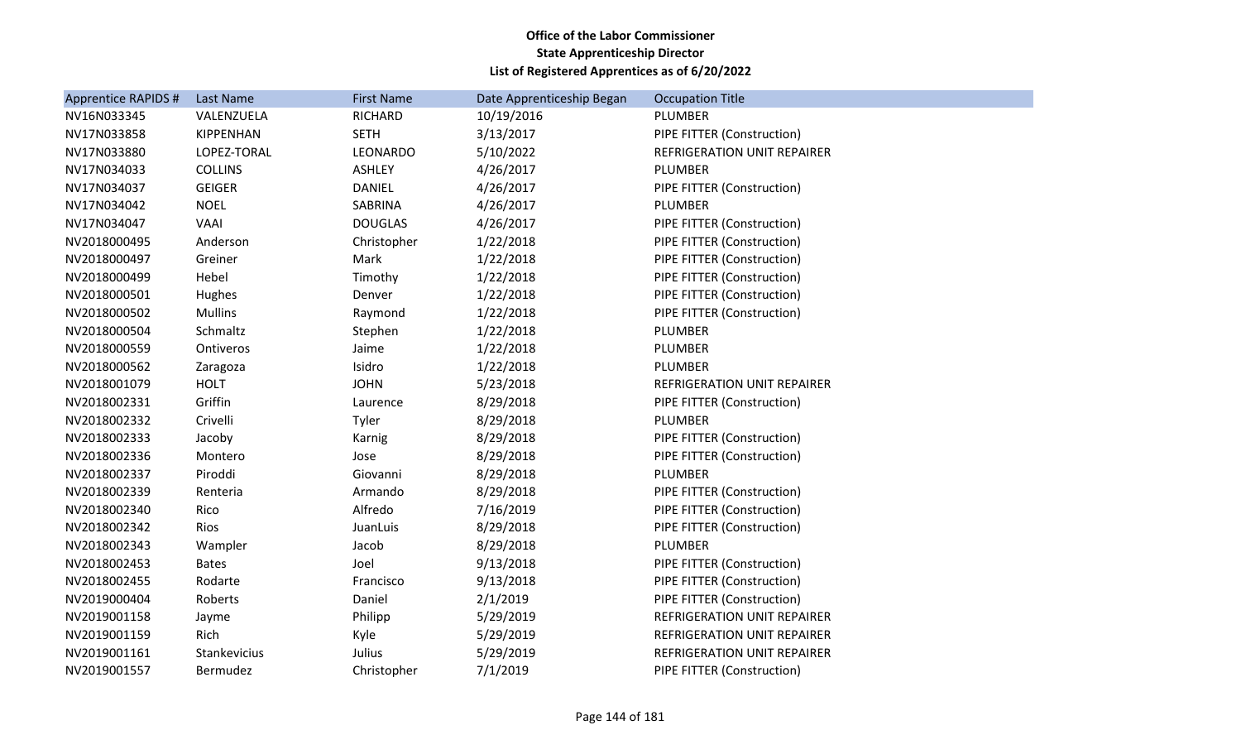| <b>Apprentice RAPIDS #</b> | Last Name      | <b>First Name</b> | Date Apprenticeship Began | <b>Occupation Title</b>            |
|----------------------------|----------------|-------------------|---------------------------|------------------------------------|
| NV16N033345                | VALENZUELA     | RICHARD           | 10/19/2016                | PLUMBER                            |
| NV17N033858                | KIPPENHAN      | <b>SETH</b>       | 3/13/2017                 | PIPE FITTER (Construction)         |
| NV17N033880                | LOPEZ-TORAL    | LEONARDO          | 5/10/2022                 | REFRIGERATION UNIT REPAIRER        |
| NV17N034033                | <b>COLLINS</b> | <b>ASHLEY</b>     | 4/26/2017                 | PLUMBER                            |
| NV17N034037                | <b>GEIGER</b>  | <b>DANIEL</b>     | 4/26/2017                 | PIPE FITTER (Construction)         |
| NV17N034042                | <b>NOEL</b>    | SABRINA           | 4/26/2017                 | PLUMBER                            |
| NV17N034047                | VAAI           | <b>DOUGLAS</b>    | 4/26/2017                 | PIPE FITTER (Construction)         |
| NV2018000495               | Anderson       | Christopher       | 1/22/2018                 | PIPE FITTER (Construction)         |
| NV2018000497               | Greiner        | Mark              | 1/22/2018                 | PIPE FITTER (Construction)         |
| NV2018000499               | Hebel          | Timothy           | 1/22/2018                 | PIPE FITTER (Construction)         |
| NV2018000501               | Hughes         | Denver            | 1/22/2018                 | PIPE FITTER (Construction)         |
| NV2018000502               | <b>Mullins</b> | Raymond           | 1/22/2018                 | PIPE FITTER (Construction)         |
| NV2018000504               | Schmaltz       | Stephen           | 1/22/2018                 | PLUMBER                            |
| NV2018000559               | Ontiveros      | Jaime             | 1/22/2018                 | PLUMBER                            |
| NV2018000562               | Zaragoza       | Isidro            | 1/22/2018                 | PLUMBER                            |
| NV2018001079               | <b>HOLT</b>    | <b>JOHN</b>       | 5/23/2018                 | REFRIGERATION UNIT REPAIRER        |
| NV2018002331               | Griffin        | Laurence          | 8/29/2018                 | PIPE FITTER (Construction)         |
| NV2018002332               | Crivelli       | Tyler             | 8/29/2018                 | PLUMBER                            |
| NV2018002333               | Jacoby         | Karnig            | 8/29/2018                 | PIPE FITTER (Construction)         |
| NV2018002336               | Montero        | Jose              | 8/29/2018                 | PIPE FITTER (Construction)         |
| NV2018002337               | Piroddi        | Giovanni          | 8/29/2018                 | PLUMBER                            |
| NV2018002339               | Renteria       | Armando           | 8/29/2018                 | PIPE FITTER (Construction)         |
| NV2018002340               | Rico           | Alfredo           | 7/16/2019                 | PIPE FITTER (Construction)         |
| NV2018002342               | Rios           | JuanLuis          | 8/29/2018                 | PIPE FITTER (Construction)         |
| NV2018002343               | Wampler        | Jacob             | 8/29/2018                 | PLUMBER                            |
| NV2018002453               | <b>Bates</b>   | Joel              | 9/13/2018                 | PIPE FITTER (Construction)         |
| NV2018002455               | Rodarte        | Francisco         | 9/13/2018                 | PIPE FITTER (Construction)         |
| NV2019000404               | Roberts        | Daniel            | 2/1/2019                  | PIPE FITTER (Construction)         |
| NV2019001158               | Jayme          | Philipp           | 5/29/2019                 | <b>REFRIGERATION UNIT REPAIRER</b> |
| NV2019001159               | Rich           | Kyle              | 5/29/2019                 | REFRIGERATION UNIT REPAIRER        |
| NV2019001161               | Stankevicius   | Julius            | 5/29/2019                 | <b>REFRIGERATION UNIT REPAIRER</b> |
| NV2019001557               | Bermudez       | Christopher       | 7/1/2019                  | PIPE FITTER (Construction)         |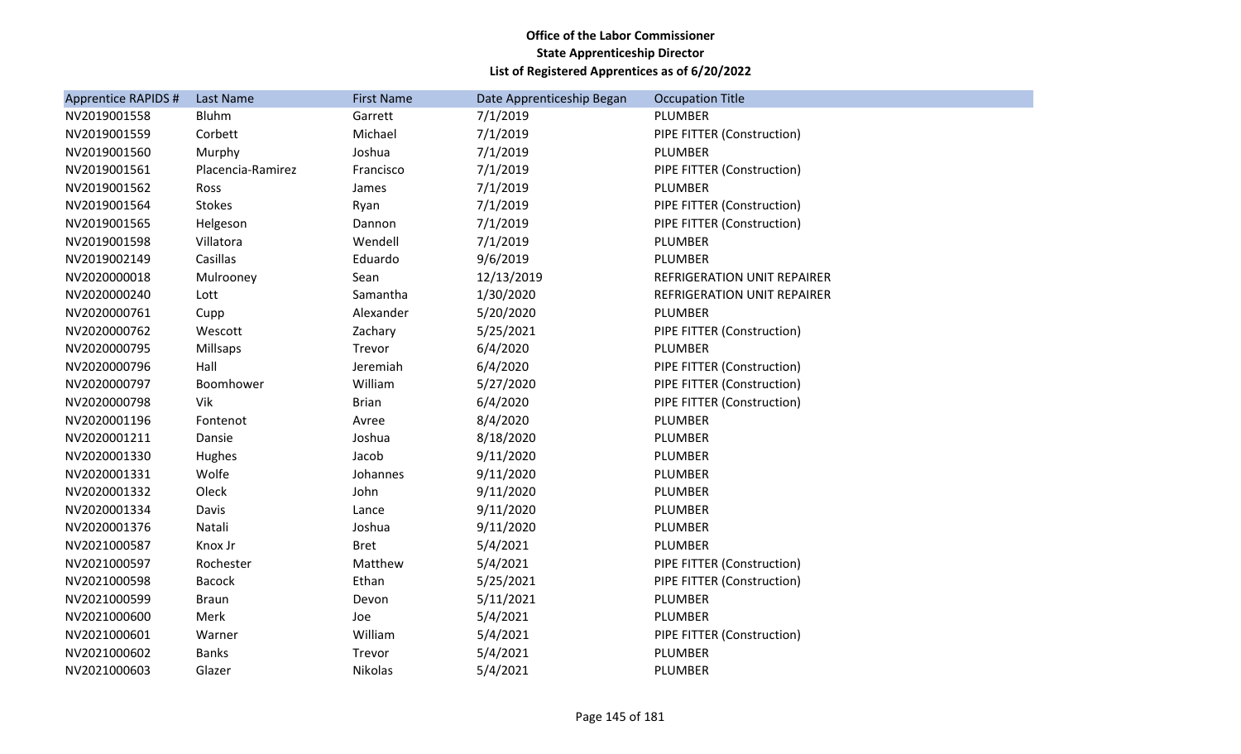| <b>Apprentice RAPIDS #</b> | Last Name         | <b>First Name</b> | Date Apprenticeship Began | <b>Occupation Title</b>            |
|----------------------------|-------------------|-------------------|---------------------------|------------------------------------|
| NV2019001558               | <b>Bluhm</b>      | Garrett           | 7/1/2019                  | PLUMBER                            |
| NV2019001559               | Corbett           | Michael           | 7/1/2019                  | PIPE FITTER (Construction)         |
| NV2019001560               | Murphy            | Joshua            | 7/1/2019                  | PLUMBER                            |
| NV2019001561               | Placencia-Ramirez | Francisco         | 7/1/2019                  | PIPE FITTER (Construction)         |
| NV2019001562               | Ross              | James             | 7/1/2019                  | PLUMBER                            |
| NV2019001564               | Stokes            | Ryan              | 7/1/2019                  | PIPE FITTER (Construction)         |
| NV2019001565               | Helgeson          | Dannon            | 7/1/2019                  | PIPE FITTER (Construction)         |
| NV2019001598               | Villatora         | Wendell           | 7/1/2019                  | PLUMBER                            |
| NV2019002149               | Casillas          | Eduardo           | 9/6/2019                  | PLUMBER                            |
| NV2020000018               | Mulrooney         | Sean              | 12/13/2019                | <b>REFRIGERATION UNIT REPAIRER</b> |
| NV2020000240               | Lott              | Samantha          | 1/30/2020                 | REFRIGERATION UNIT REPAIRER        |
| NV2020000761               | Cupp              | Alexander         | 5/20/2020                 | PLUMBER                            |
| NV2020000762               | Wescott           | Zachary           | 5/25/2021                 | PIPE FITTER (Construction)         |
| NV2020000795               | <b>Millsaps</b>   | Trevor            | 6/4/2020                  | PLUMBER                            |
| NV2020000796               | Hall              | Jeremiah          | 6/4/2020                  | PIPE FITTER (Construction)         |
| NV2020000797               | Boomhower         | William           | 5/27/2020                 | PIPE FITTER (Construction)         |
| NV2020000798               | Vik               | <b>Brian</b>      | 6/4/2020                  | PIPE FITTER (Construction)         |
| NV2020001196               | Fontenot          | Avree             | 8/4/2020                  | PLUMBER                            |
| NV2020001211               | Dansie            | Joshua            | 8/18/2020                 | PLUMBER                            |
| NV2020001330               | Hughes            | Jacob             | 9/11/2020                 | PLUMBER                            |
| NV2020001331               | Wolfe             | Johannes          | 9/11/2020                 | PLUMBER                            |
| NV2020001332               | Oleck             | John              | 9/11/2020                 | PLUMBER                            |
| NV2020001334               | Davis             | Lance             | 9/11/2020                 | PLUMBER                            |
| NV2020001376               | Natali            | Joshua            | 9/11/2020                 | PLUMBER                            |
| NV2021000587               | Knox Jr           | <b>Bret</b>       | 5/4/2021                  | PLUMBER                            |
| NV2021000597               | Rochester         | Matthew           | 5/4/2021                  | PIPE FITTER (Construction)         |
| NV2021000598               | <b>Bacock</b>     | Ethan             | 5/25/2021                 | PIPE FITTER (Construction)         |
| NV2021000599               | <b>Braun</b>      | Devon             | 5/11/2021                 | PLUMBER                            |
| NV2021000600               | Merk              | Joe               | 5/4/2021                  | PLUMBER                            |
| NV2021000601               | Warner            | William           | 5/4/2021                  | PIPE FITTER (Construction)         |
| NV2021000602               | <b>Banks</b>      | Trevor            | 5/4/2021                  | PLUMBER                            |
| NV2021000603               | Glazer            | Nikolas           | 5/4/2021                  | PLUMBER                            |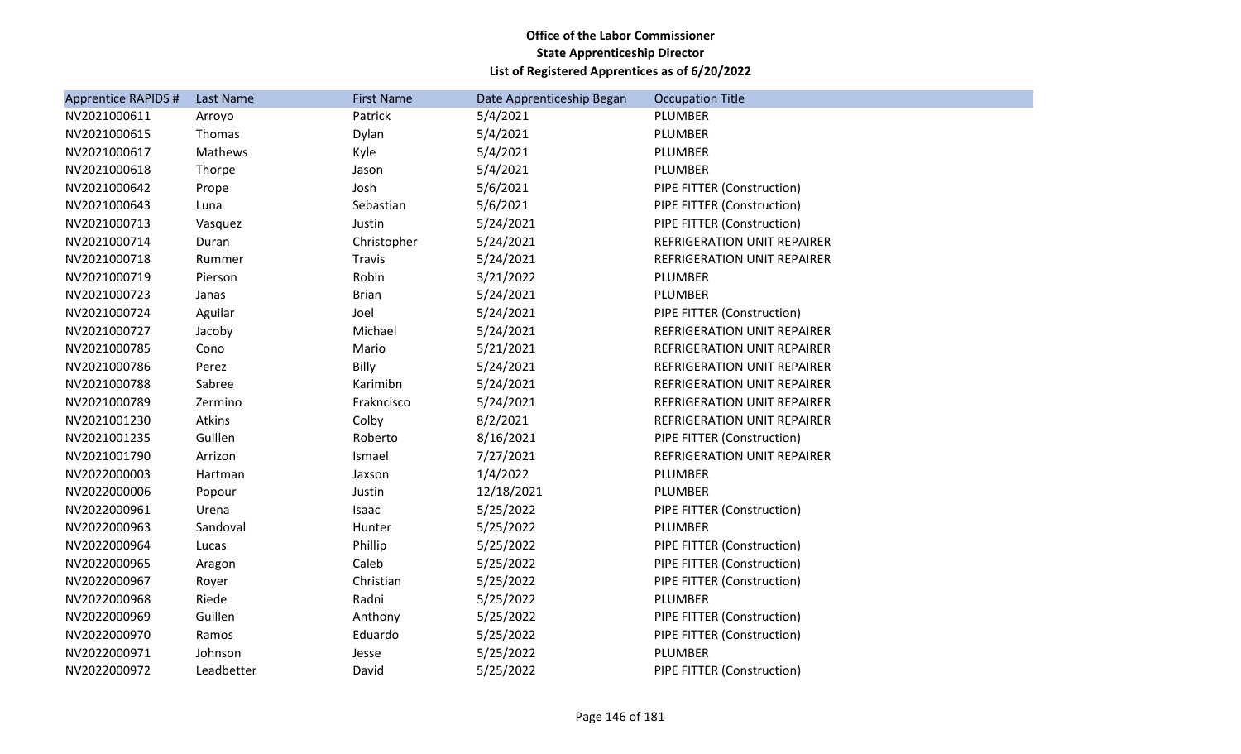| <b>Apprentice RAPIDS #</b> | Last Name  | <b>First Name</b> | Date Apprenticeship Began | <b>Occupation Title</b>     |
|----------------------------|------------|-------------------|---------------------------|-----------------------------|
| NV2021000611               | Arroyo     | Patrick           | 5/4/2021                  | PLUMBER                     |
| NV2021000615               | Thomas     | Dylan             | 5/4/2021                  | PLUMBER                     |
| NV2021000617               | Mathews    | Kyle              | 5/4/2021                  | PLUMBER                     |
| NV2021000618               | Thorpe     | Jason             | 5/4/2021                  | PLUMBER                     |
| NV2021000642               | Prope      | Josh              | 5/6/2021                  | PIPE FITTER (Construction)  |
| NV2021000643               | Luna       | Sebastian         | 5/6/2021                  | PIPE FITTER (Construction)  |
| NV2021000713               | Vasquez    | Justin            | 5/24/2021                 | PIPE FITTER (Construction)  |
| NV2021000714               | Duran      | Christopher       | 5/24/2021                 | REFRIGERATION UNIT REPAIRER |
| NV2021000718               | Rummer     | Travis            | 5/24/2021                 | REFRIGERATION UNIT REPAIRER |
| NV2021000719               | Pierson    | Robin             | 3/21/2022                 | PLUMBER                     |
| NV2021000723               | Janas      | <b>Brian</b>      | 5/24/2021                 | PLUMBER                     |
| NV2021000724               | Aguilar    | Joel              | 5/24/2021                 | PIPE FITTER (Construction)  |
| NV2021000727               | Jacoby     | Michael           | 5/24/2021                 | REFRIGERATION UNIT REPAIRER |
| NV2021000785               | Cono       | Mario             | 5/21/2021                 | REFRIGERATION UNIT REPAIRER |
| NV2021000786               | Perez      | Billy             | 5/24/2021                 | REFRIGERATION UNIT REPAIRER |
| NV2021000788               | Sabree     | Karimibn          | 5/24/2021                 | REFRIGERATION UNIT REPAIRER |
| NV2021000789               | Zermino    | Frakncisco        | 5/24/2021                 | REFRIGERATION UNIT REPAIRER |
| NV2021001230               | Atkins     | Colby             | 8/2/2021                  | REFRIGERATION UNIT REPAIRER |
| NV2021001235               | Guillen    | Roberto           | 8/16/2021                 | PIPE FITTER (Construction)  |
| NV2021001790               | Arrizon    | Ismael            | 7/27/2021                 | REFRIGERATION UNIT REPAIRER |
| NV2022000003               | Hartman    | Jaxson            | 1/4/2022                  | PLUMBER                     |
| NV2022000006               | Popour     | Justin            | 12/18/2021                | PLUMBER                     |
| NV2022000961               | Urena      | Isaac             | 5/25/2022                 | PIPE FITTER (Construction)  |
| NV2022000963               | Sandoval   | Hunter            | 5/25/2022                 | PLUMBER                     |
| NV2022000964               | Lucas      | Phillip           | 5/25/2022                 | PIPE FITTER (Construction)  |
| NV2022000965               | Aragon     | Caleb             | 5/25/2022                 | PIPE FITTER (Construction)  |
| NV2022000967               | Royer      | Christian         | 5/25/2022                 | PIPE FITTER (Construction)  |
| NV2022000968               | Riede      | Radni             | 5/25/2022                 | PLUMBER                     |
| NV2022000969               | Guillen    | Anthony           | 5/25/2022                 | PIPE FITTER (Construction)  |
| NV2022000970               | Ramos      | Eduardo           | 5/25/2022                 | PIPE FITTER (Construction)  |
| NV2022000971               | Johnson    | Jesse             | 5/25/2022                 | PLUMBER                     |
| NV2022000972               | Leadbetter | David             | 5/25/2022                 | PIPE FITTER (Construction)  |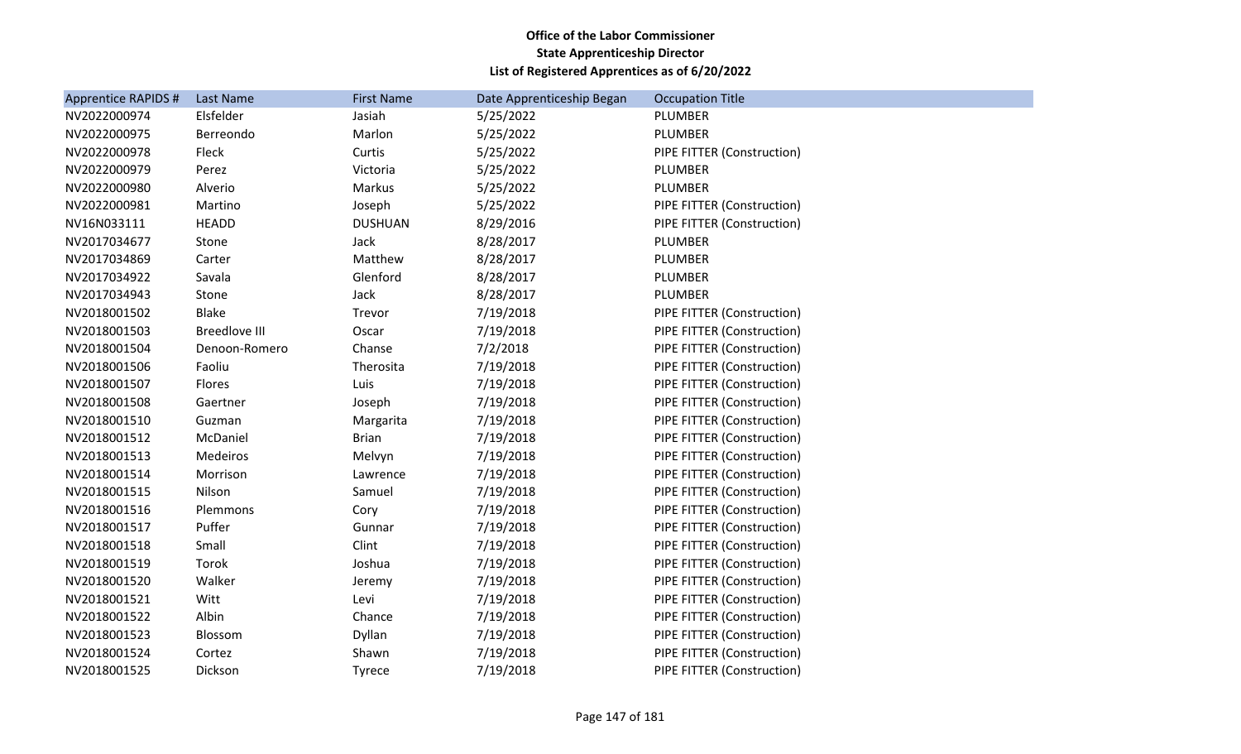| Apprentice RAPIDS # | Last Name            | <b>First Name</b> | Date Apprenticeship Began | <b>Occupation Title</b>    |
|---------------------|----------------------|-------------------|---------------------------|----------------------------|
| NV2022000974        | Elsfelder            | Jasiah            | 5/25/2022                 | <b>PLUMBER</b>             |
| NV2022000975        | Berreondo            | Marlon            | 5/25/2022                 | <b>PLUMBER</b>             |
| NV2022000978        | Fleck                | Curtis            | 5/25/2022                 | PIPE FITTER (Construction) |
| NV2022000979        | Perez                | Victoria          | 5/25/2022                 | <b>PLUMBER</b>             |
| NV2022000980        | Alverio              | Markus            | 5/25/2022                 | <b>PLUMBER</b>             |
| NV2022000981        | Martino              | Joseph            | 5/25/2022                 | PIPE FITTER (Construction) |
| NV16N033111         | <b>HEADD</b>         | <b>DUSHUAN</b>    | 8/29/2016                 | PIPE FITTER (Construction) |
| NV2017034677        | Stone                | Jack              | 8/28/2017                 | <b>PLUMBER</b>             |
| NV2017034869        | Carter               | Matthew           | 8/28/2017                 | <b>PLUMBER</b>             |
| NV2017034922        | Savala               | Glenford          | 8/28/2017                 | PLUMBER                    |
| NV2017034943        | Stone                | Jack              | 8/28/2017                 | PLUMBER                    |
| NV2018001502        | <b>Blake</b>         | Trevor            | 7/19/2018                 | PIPE FITTER (Construction) |
| NV2018001503        | <b>Breedlove III</b> | Oscar             | 7/19/2018                 | PIPE FITTER (Construction) |
| NV2018001504        | Denoon-Romero        | Chanse            | 7/2/2018                  | PIPE FITTER (Construction) |
| NV2018001506        | Faoliu               | Therosita         | 7/19/2018                 | PIPE FITTER (Construction) |
| NV2018001507        | Flores               | Luis              | 7/19/2018                 | PIPE FITTER (Construction) |
| NV2018001508        | Gaertner             | Joseph            | 7/19/2018                 | PIPE FITTER (Construction) |
| NV2018001510        | Guzman               | Margarita         | 7/19/2018                 | PIPE FITTER (Construction) |
| NV2018001512        | McDaniel             | <b>Brian</b>      | 7/19/2018                 | PIPE FITTER (Construction) |
| NV2018001513        | Medeiros             | Melvyn            | 7/19/2018                 | PIPE FITTER (Construction) |
| NV2018001514        | Morrison             | Lawrence          | 7/19/2018                 | PIPE FITTER (Construction) |
| NV2018001515        | Nilson               | Samuel            | 7/19/2018                 | PIPE FITTER (Construction) |
| NV2018001516        | Plemmons             | Cory              | 7/19/2018                 | PIPE FITTER (Construction) |
| NV2018001517        | Puffer               | Gunnar            | 7/19/2018                 | PIPE FITTER (Construction) |
| NV2018001518        | Small                | Clint             | 7/19/2018                 | PIPE FITTER (Construction) |
| NV2018001519        | Torok                | Joshua            | 7/19/2018                 | PIPE FITTER (Construction) |
| NV2018001520        | Walker               | Jeremy            | 7/19/2018                 | PIPE FITTER (Construction) |
| NV2018001521        | Witt                 | Levi              | 7/19/2018                 | PIPE FITTER (Construction) |
| NV2018001522        | Albin                | Chance            | 7/19/2018                 | PIPE FITTER (Construction) |
| NV2018001523        | Blossom              | Dyllan            | 7/19/2018                 | PIPE FITTER (Construction) |
| NV2018001524        | Cortez               | Shawn             | 7/19/2018                 | PIPE FITTER (Construction) |
| NV2018001525        | Dickson              | <b>Tyrece</b>     | 7/19/2018                 | PIPE FITTER (Construction) |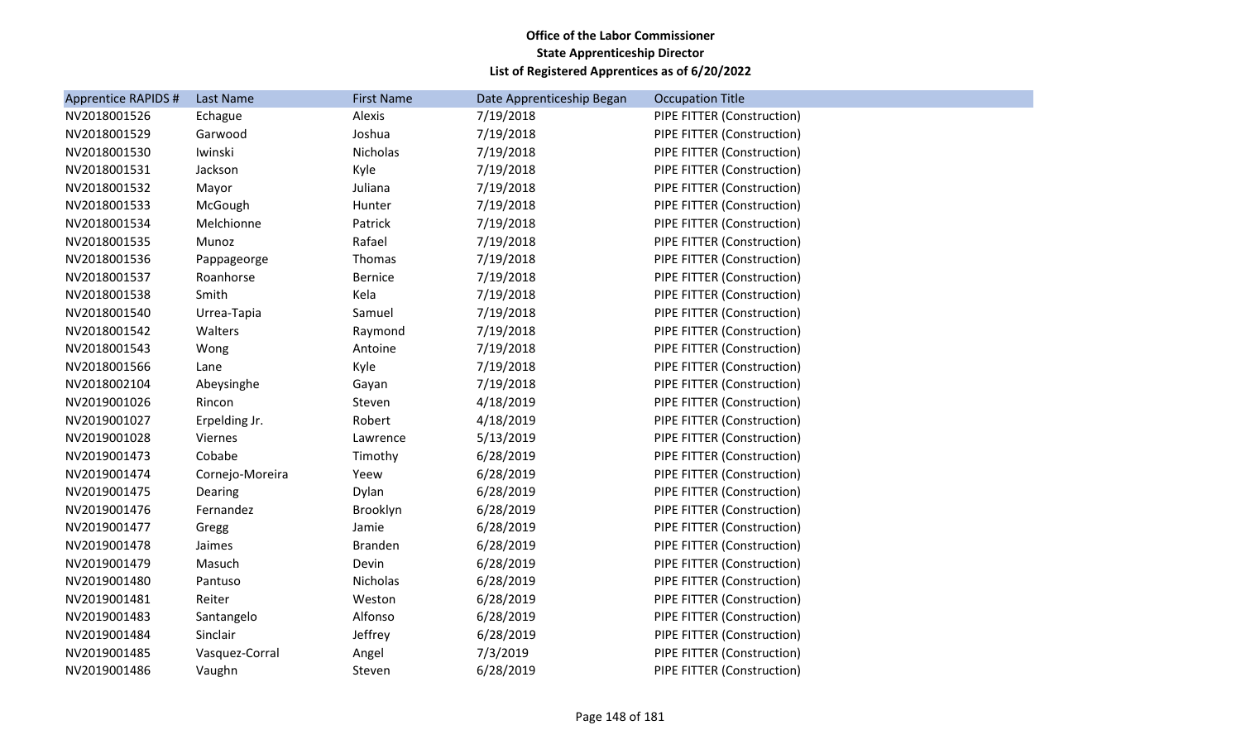| <b>Apprentice RAPIDS #</b> | Last Name       | <b>First Name</b> | Date Apprenticeship Began | <b>Occupation Title</b>    |
|----------------------------|-----------------|-------------------|---------------------------|----------------------------|
| NV2018001526               | Echague         | Alexis            | 7/19/2018                 | PIPE FITTER (Construction) |
| NV2018001529               | Garwood         | Joshua            | 7/19/2018                 | PIPE FITTER (Construction) |
| NV2018001530               | Iwinski         | Nicholas          | 7/19/2018                 | PIPE FITTER (Construction) |
| NV2018001531               | Jackson         | Kyle              | 7/19/2018                 | PIPE FITTER (Construction) |
| NV2018001532               | Mayor           | Juliana           | 7/19/2018                 | PIPE FITTER (Construction) |
| NV2018001533               | McGough         | Hunter            | 7/19/2018                 | PIPE FITTER (Construction) |
| NV2018001534               | Melchionne      | Patrick           | 7/19/2018                 | PIPE FITTER (Construction) |
| NV2018001535               | Munoz           | Rafael            | 7/19/2018                 | PIPE FITTER (Construction) |
| NV2018001536               | Pappageorge     | Thomas            | 7/19/2018                 | PIPE FITTER (Construction) |
| NV2018001537               | Roanhorse       | <b>Bernice</b>    | 7/19/2018                 | PIPE FITTER (Construction) |
| NV2018001538               | Smith           | Kela              | 7/19/2018                 | PIPE FITTER (Construction) |
| NV2018001540               | Urrea-Tapia     | Samuel            | 7/19/2018                 | PIPE FITTER (Construction) |
| NV2018001542               | Walters         | Raymond           | 7/19/2018                 | PIPE FITTER (Construction) |
| NV2018001543               | Wong            | Antoine           | 7/19/2018                 | PIPE FITTER (Construction) |
| NV2018001566               | Lane            | Kyle              | 7/19/2018                 | PIPE FITTER (Construction) |
| NV2018002104               | Abeysinghe      | Gayan             | 7/19/2018                 | PIPE FITTER (Construction) |
| NV2019001026               | Rincon          | Steven            | 4/18/2019                 | PIPE FITTER (Construction) |
| NV2019001027               | Erpelding Jr.   | Robert            | 4/18/2019                 | PIPE FITTER (Construction) |
| NV2019001028               | Viernes         | Lawrence          | 5/13/2019                 | PIPE FITTER (Construction) |
| NV2019001473               | Cobabe          | Timothy           | 6/28/2019                 | PIPE FITTER (Construction) |
| NV2019001474               | Cornejo-Moreira | Yeew              | 6/28/2019                 | PIPE FITTER (Construction) |
| NV2019001475               | Dearing         | Dylan             | 6/28/2019                 | PIPE FITTER (Construction) |
| NV2019001476               | Fernandez       | Brooklyn          | 6/28/2019                 | PIPE FITTER (Construction) |
| NV2019001477               | Gregg           | Jamie             | 6/28/2019                 | PIPE FITTER (Construction) |
| NV2019001478               | Jaimes          | <b>Branden</b>    | 6/28/2019                 | PIPE FITTER (Construction) |
| NV2019001479               | Masuch          | Devin             | 6/28/2019                 | PIPE FITTER (Construction) |
| NV2019001480               | Pantuso         | Nicholas          | 6/28/2019                 | PIPE FITTER (Construction) |
| NV2019001481               | Reiter          | Weston            | 6/28/2019                 | PIPE FITTER (Construction) |
| NV2019001483               | Santangelo      | Alfonso           | 6/28/2019                 | PIPE FITTER (Construction) |
| NV2019001484               | Sinclair        | Jeffrey           | 6/28/2019                 | PIPE FITTER (Construction) |
| NV2019001485               | Vasquez-Corral  | Angel             | 7/3/2019                  | PIPE FITTER (Construction) |
| NV2019001486               | Vaughn          | Steven            | 6/28/2019                 | PIPE FITTER (Construction) |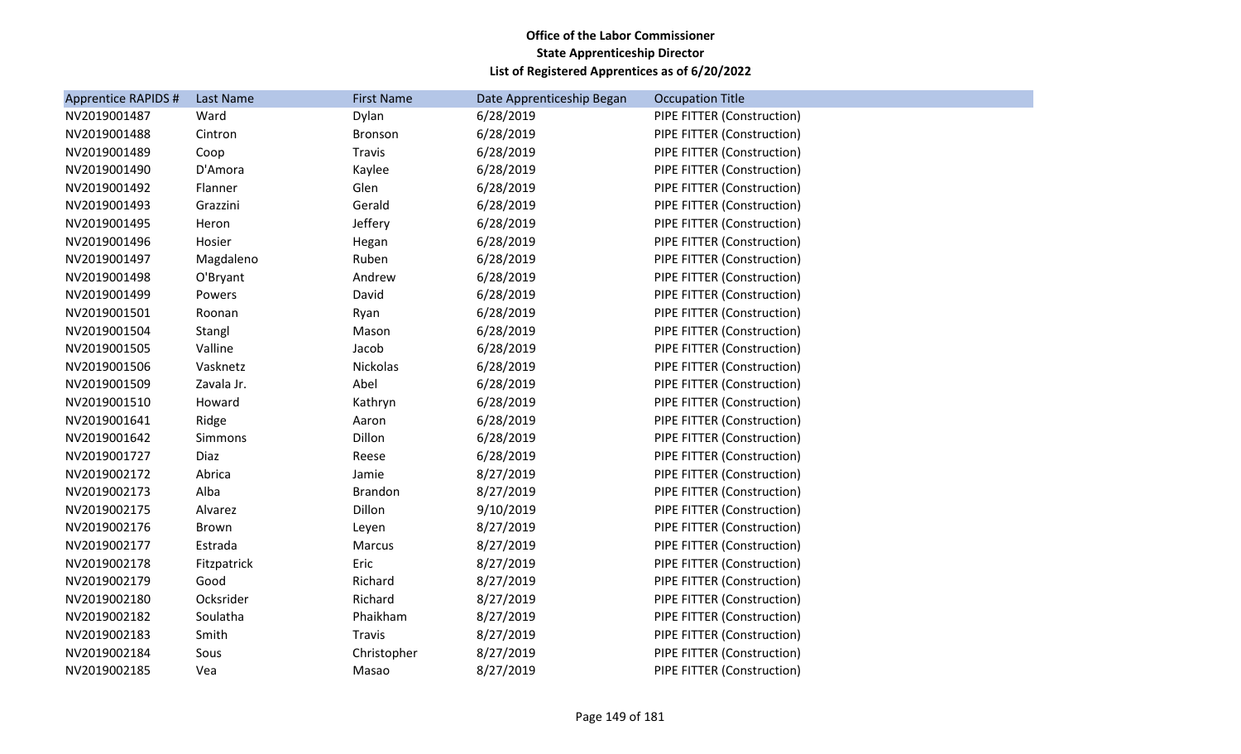| <b>Apprentice RAPIDS #</b> | Last Name    | <b>First Name</b> | Date Apprenticeship Began | <b>Occupation Title</b>    |
|----------------------------|--------------|-------------------|---------------------------|----------------------------|
| NV2019001487               | Ward         | Dylan             | 6/28/2019                 | PIPE FITTER (Construction) |
| NV2019001488               | Cintron      | Bronson           | 6/28/2019                 | PIPE FITTER (Construction) |
| NV2019001489               | Coop         | Travis            | 6/28/2019                 | PIPE FITTER (Construction) |
| NV2019001490               | D'Amora      | Kaylee            | 6/28/2019                 | PIPE FITTER (Construction) |
| NV2019001492               | Flanner      | Glen              | 6/28/2019                 | PIPE FITTER (Construction) |
| NV2019001493               | Grazzini     | Gerald            | 6/28/2019                 | PIPE FITTER (Construction) |
| NV2019001495               | Heron        | Jeffery           | 6/28/2019                 | PIPE FITTER (Construction) |
| NV2019001496               | Hosier       | Hegan             | 6/28/2019                 | PIPE FITTER (Construction) |
| NV2019001497               | Magdaleno    | Ruben             | 6/28/2019                 | PIPE FITTER (Construction) |
| NV2019001498               | O'Bryant     | Andrew            | 6/28/2019                 | PIPE FITTER (Construction) |
| NV2019001499               | Powers       | David             | 6/28/2019                 | PIPE FITTER (Construction) |
| NV2019001501               | Roonan       | Ryan              | 6/28/2019                 | PIPE FITTER (Construction) |
| NV2019001504               | Stangl       | Mason             | 6/28/2019                 | PIPE FITTER (Construction) |
| NV2019001505               | Valline      | Jacob             | 6/28/2019                 | PIPE FITTER (Construction) |
| NV2019001506               | Vasknetz     | Nickolas          | 6/28/2019                 | PIPE FITTER (Construction) |
| NV2019001509               | Zavala Jr.   | Abel              | 6/28/2019                 | PIPE FITTER (Construction) |
| NV2019001510               | Howard       | Kathryn           | 6/28/2019                 | PIPE FITTER (Construction) |
| NV2019001641               | Ridge        | Aaron             | 6/28/2019                 | PIPE FITTER (Construction) |
| NV2019001642               | Simmons      | Dillon            | 6/28/2019                 | PIPE FITTER (Construction) |
| NV2019001727               | Diaz         | Reese             | 6/28/2019                 | PIPE FITTER (Construction) |
| NV2019002172               | Abrica       | Jamie             | 8/27/2019                 | PIPE FITTER (Construction) |
| NV2019002173               | Alba         | <b>Brandon</b>    | 8/27/2019                 | PIPE FITTER (Construction) |
| NV2019002175               | Alvarez      | Dillon            | 9/10/2019                 | PIPE FITTER (Construction) |
| NV2019002176               | <b>Brown</b> | Leyen             | 8/27/2019                 | PIPE FITTER (Construction) |
| NV2019002177               | Estrada      | Marcus            | 8/27/2019                 | PIPE FITTER (Construction) |
| NV2019002178               | Fitzpatrick  | Eric              | 8/27/2019                 | PIPE FITTER (Construction) |
| NV2019002179               | Good         | Richard           | 8/27/2019                 | PIPE FITTER (Construction) |
| NV2019002180               | Ocksrider    | Richard           | 8/27/2019                 | PIPE FITTER (Construction) |
| NV2019002182               | Soulatha     | Phaikham          | 8/27/2019                 | PIPE FITTER (Construction) |
| NV2019002183               | Smith        | Travis            | 8/27/2019                 | PIPE FITTER (Construction) |
| NV2019002184               | Sous         | Christopher       | 8/27/2019                 | PIPE FITTER (Construction) |
| NV2019002185               | Vea          | Masao             | 8/27/2019                 | PIPE FITTER (Construction) |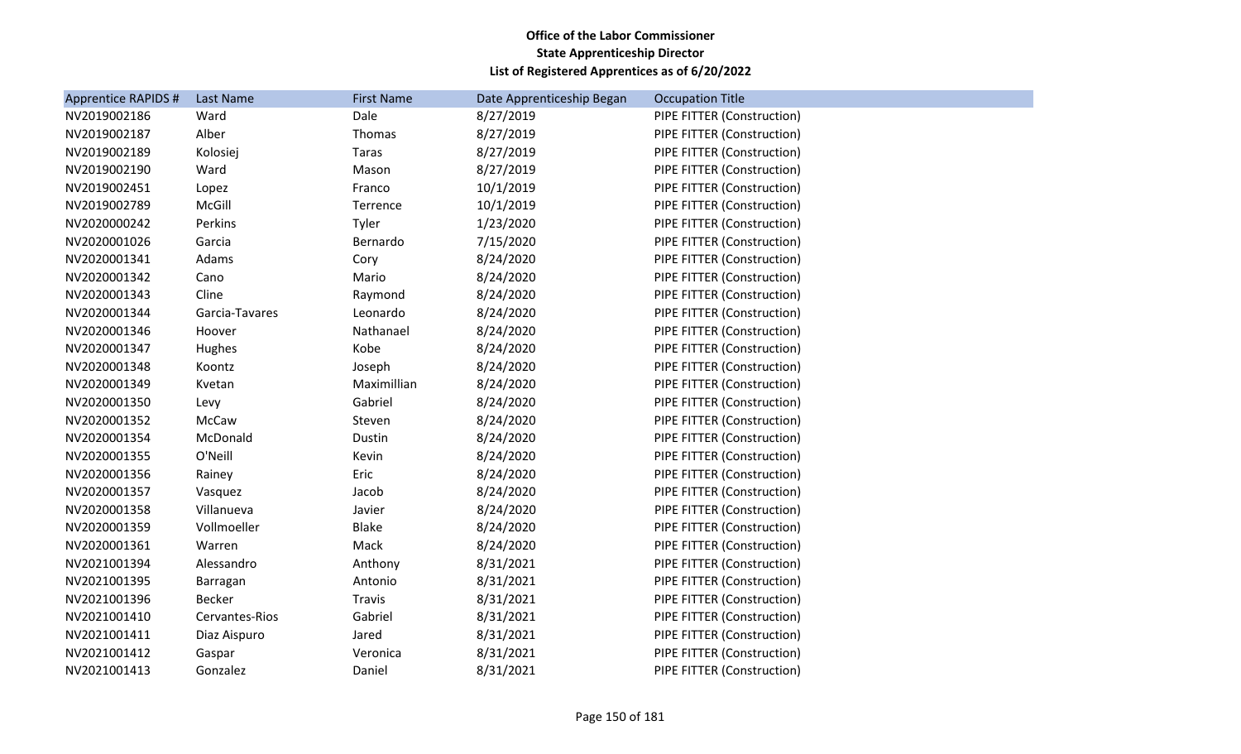| <b>Apprentice RAPIDS #</b> | Last Name      | <b>First Name</b> | Date Apprenticeship Began | <b>Occupation Title</b>    |
|----------------------------|----------------|-------------------|---------------------------|----------------------------|
| NV2019002186               | Ward           | Dale              | 8/27/2019                 | PIPE FITTER (Construction) |
| NV2019002187               | Alber          | Thomas            | 8/27/2019                 | PIPE FITTER (Construction) |
| NV2019002189               | Kolosiej       | Taras             | 8/27/2019                 | PIPE FITTER (Construction) |
| NV2019002190               | Ward           | Mason             | 8/27/2019                 | PIPE FITTER (Construction) |
| NV2019002451               | Lopez          | Franco            | 10/1/2019                 | PIPE FITTER (Construction) |
| NV2019002789               | McGill         | Terrence          | 10/1/2019                 | PIPE FITTER (Construction) |
| NV2020000242               | Perkins        | Tyler             | 1/23/2020                 | PIPE FITTER (Construction) |
| NV2020001026               | Garcia         | Bernardo          | 7/15/2020                 | PIPE FITTER (Construction) |
| NV2020001341               | Adams          | Cory              | 8/24/2020                 | PIPE FITTER (Construction) |
| NV2020001342               | Cano           | Mario             | 8/24/2020                 | PIPE FITTER (Construction) |
| NV2020001343               | Cline          | Raymond           | 8/24/2020                 | PIPE FITTER (Construction) |
| NV2020001344               | Garcia-Tavares | Leonardo          | 8/24/2020                 | PIPE FITTER (Construction) |
| NV2020001346               | Hoover         | Nathanael         | 8/24/2020                 | PIPE FITTER (Construction) |
| NV2020001347               | Hughes         | Kobe              | 8/24/2020                 | PIPE FITTER (Construction) |
| NV2020001348               | Koontz         | Joseph            | 8/24/2020                 | PIPE FITTER (Construction) |
| NV2020001349               | Kvetan         | Maximillian       | 8/24/2020                 | PIPE FITTER (Construction) |
| NV2020001350               | Levy           | Gabriel           | 8/24/2020                 | PIPE FITTER (Construction) |
| NV2020001352               | McCaw          | Steven            | 8/24/2020                 | PIPE FITTER (Construction) |
| NV2020001354               | McDonald       | Dustin            | 8/24/2020                 | PIPE FITTER (Construction) |
| NV2020001355               | O'Neill        | Kevin             | 8/24/2020                 | PIPE FITTER (Construction) |
| NV2020001356               | Rainey         | Eric              | 8/24/2020                 | PIPE FITTER (Construction) |
| NV2020001357               | Vasquez        | Jacob             | 8/24/2020                 | PIPE FITTER (Construction) |
| NV2020001358               | Villanueva     | Javier            | 8/24/2020                 | PIPE FITTER (Construction) |
| NV2020001359               | Vollmoeller    | <b>Blake</b>      | 8/24/2020                 | PIPE FITTER (Construction) |
| NV2020001361               | Warren         | Mack              | 8/24/2020                 | PIPE FITTER (Construction) |
| NV2021001394               | Alessandro     | Anthony           | 8/31/2021                 | PIPE FITTER (Construction) |
| NV2021001395               | Barragan       | Antonio           | 8/31/2021                 | PIPE FITTER (Construction) |
| NV2021001396               | Becker         | Travis            | 8/31/2021                 | PIPE FITTER (Construction) |
| NV2021001410               | Cervantes-Rios | Gabriel           | 8/31/2021                 | PIPE FITTER (Construction) |
| NV2021001411               | Diaz Aispuro   | Jared             | 8/31/2021                 | PIPE FITTER (Construction) |
| NV2021001412               | Gaspar         | Veronica          | 8/31/2021                 | PIPE FITTER (Construction) |
| NV2021001413               | Gonzalez       | Daniel            | 8/31/2021                 | PIPE FITTER (Construction) |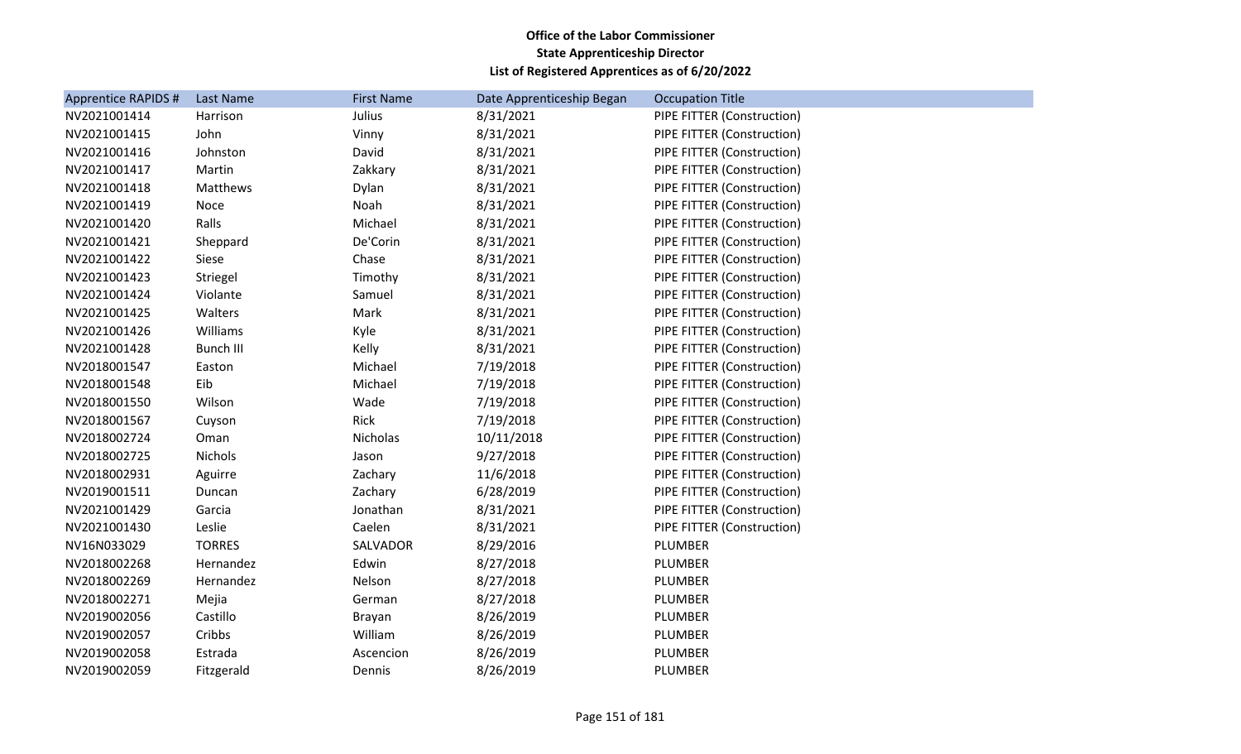| <b>Apprentice RAPIDS #</b> | Last Name        | <b>First Name</b> | Date Apprenticeship Began | <b>Occupation Title</b>    |
|----------------------------|------------------|-------------------|---------------------------|----------------------------|
| NV2021001414               | Harrison         | Julius            | 8/31/2021                 | PIPE FITTER (Construction) |
| NV2021001415               | John             | Vinny             | 8/31/2021                 | PIPE FITTER (Construction) |
| NV2021001416               | Johnston         | David             | 8/31/2021                 | PIPE FITTER (Construction) |
| NV2021001417               | Martin           | Zakkary           | 8/31/2021                 | PIPE FITTER (Construction) |
| NV2021001418               | Matthews         | Dylan             | 8/31/2021                 | PIPE FITTER (Construction) |
| NV2021001419               | Noce             | Noah              | 8/31/2021                 | PIPE FITTER (Construction) |
| NV2021001420               | Ralls            | Michael           | 8/31/2021                 | PIPE FITTER (Construction) |
| NV2021001421               | Sheppard         | De'Corin          | 8/31/2021                 | PIPE FITTER (Construction) |
| NV2021001422               | Siese            | Chase             | 8/31/2021                 | PIPE FITTER (Construction) |
| NV2021001423               | Striegel         | Timothy           | 8/31/2021                 | PIPE FITTER (Construction) |
| NV2021001424               | Violante         | Samuel            | 8/31/2021                 | PIPE FITTER (Construction) |
| NV2021001425               | Walters          | Mark              | 8/31/2021                 | PIPE FITTER (Construction) |
| NV2021001426               | Williams         | Kyle              | 8/31/2021                 | PIPE FITTER (Construction) |
| NV2021001428               | <b>Bunch III</b> | Kelly             | 8/31/2021                 | PIPE FITTER (Construction) |
| NV2018001547               | Easton           | Michael           | 7/19/2018                 | PIPE FITTER (Construction) |
| NV2018001548               | Eib              | Michael           | 7/19/2018                 | PIPE FITTER (Construction) |
| NV2018001550               | Wilson           | Wade              | 7/19/2018                 | PIPE FITTER (Construction) |
| NV2018001567               | Cuyson           | Rick              | 7/19/2018                 | PIPE FITTER (Construction) |
| NV2018002724               | Oman             | Nicholas          | 10/11/2018                | PIPE FITTER (Construction) |
| NV2018002725               | Nichols          | Jason             | 9/27/2018                 | PIPE FITTER (Construction) |
| NV2018002931               | Aguirre          | Zachary           | 11/6/2018                 | PIPE FITTER (Construction) |
| NV2019001511               | Duncan           | Zachary           | 6/28/2019                 | PIPE FITTER (Construction) |
| NV2021001429               | Garcia           | Jonathan          | 8/31/2021                 | PIPE FITTER (Construction) |
| NV2021001430               | Leslie           | Caelen            | 8/31/2021                 | PIPE FITTER (Construction) |
| NV16N033029                | <b>TORRES</b>    | SALVADOR          | 8/29/2016                 | PLUMBER                    |
| NV2018002268               | Hernandez        | Edwin             | 8/27/2018                 | PLUMBER                    |
| NV2018002269               | Hernandez        | Nelson            | 8/27/2018                 | PLUMBER                    |
| NV2018002271               | Mejia            | German            | 8/27/2018                 | PLUMBER                    |
| NV2019002056               | Castillo         | Brayan            | 8/26/2019                 | PLUMBER                    |
| NV2019002057               | Cribbs           | William           | 8/26/2019                 | PLUMBER                    |
| NV2019002058               | Estrada          | Ascencion         | 8/26/2019                 | PLUMBER                    |
| NV2019002059               | Fitzgerald       | Dennis            | 8/26/2019                 | PLUMBER                    |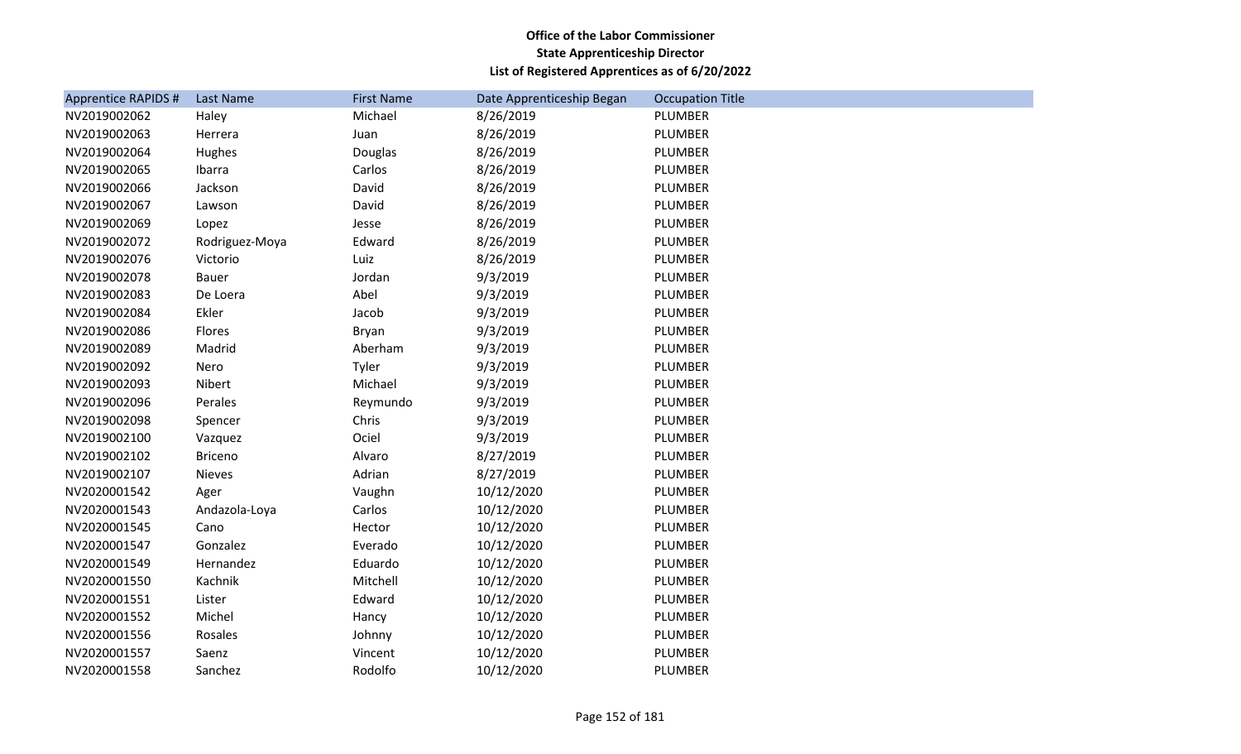| <b>Apprentice RAPIDS #</b> | Last Name      | <b>First Name</b> | Date Apprenticeship Began | <b>Occupation Title</b> |
|----------------------------|----------------|-------------------|---------------------------|-------------------------|
| NV2019002062               | Haley          | Michael           | 8/26/2019                 | PLUMBER                 |
| NV2019002063               | Herrera        | Juan              | 8/26/2019                 | PLUMBER                 |
| NV2019002064               | Hughes         | Douglas           | 8/26/2019                 | PLUMBER                 |
| NV2019002065               | Ibarra         | Carlos            | 8/26/2019                 | PLUMBER                 |
| NV2019002066               | Jackson        | David             | 8/26/2019                 | PLUMBER                 |
| NV2019002067               | Lawson         | David             | 8/26/2019                 | PLUMBER                 |
| NV2019002069               | Lopez          | Jesse             | 8/26/2019                 | PLUMBER                 |
| NV2019002072               | Rodriguez-Moya | Edward            | 8/26/2019                 | PLUMBER                 |
| NV2019002076               | Victorio       | Luiz              | 8/26/2019                 | PLUMBER                 |
| NV2019002078               | Bauer          | Jordan            | 9/3/2019                  | PLUMBER                 |
| NV2019002083               | De Loera       | Abel              | 9/3/2019                  | PLUMBER                 |
| NV2019002084               | Ekler          | Jacob             | 9/3/2019                  | PLUMBER                 |
| NV2019002086               | Flores         | Bryan             | 9/3/2019                  | PLUMBER                 |
| NV2019002089               | Madrid         | Aberham           | 9/3/2019                  | PLUMBER                 |
| NV2019002092               | Nero           | Tyler             | 9/3/2019                  | PLUMBER                 |
| NV2019002093               | Nibert         | Michael           | 9/3/2019                  | PLUMBER                 |
| NV2019002096               | Perales        | Reymundo          | 9/3/2019                  | PLUMBER                 |
| NV2019002098               | Spencer        | Chris             | 9/3/2019                  | PLUMBER                 |
| NV2019002100               | Vazquez        | Ociel             | 9/3/2019                  | PLUMBER                 |
| NV2019002102               | <b>Briceno</b> | Alvaro            | 8/27/2019                 | PLUMBER                 |
| NV2019002107               | Nieves         | Adrian            | 8/27/2019                 | PLUMBER                 |
| NV2020001542               | Ager           | Vaughn            | 10/12/2020                | PLUMBER                 |
| NV2020001543               | Andazola-Loya  | Carlos            | 10/12/2020                | PLUMBER                 |
| NV2020001545               | Cano           | Hector            | 10/12/2020                | PLUMBER                 |
| NV2020001547               | Gonzalez       | Everado           | 10/12/2020                | PLUMBER                 |
| NV2020001549               | Hernandez      | Eduardo           | 10/12/2020                | PLUMBER                 |
| NV2020001550               | Kachnik        | Mitchell          | 10/12/2020                | PLUMBER                 |
| NV2020001551               | Lister         | Edward            | 10/12/2020                | PLUMBER                 |
| NV2020001552               | Michel         | Hancy             | 10/12/2020                | PLUMBER                 |
| NV2020001556               | Rosales        | Johnny            | 10/12/2020                | PLUMBER                 |
| NV2020001557               | Saenz          | Vincent           | 10/12/2020                | PLUMBER                 |
| NV2020001558               | Sanchez        | Rodolfo           | 10/12/2020                | PLUMBER                 |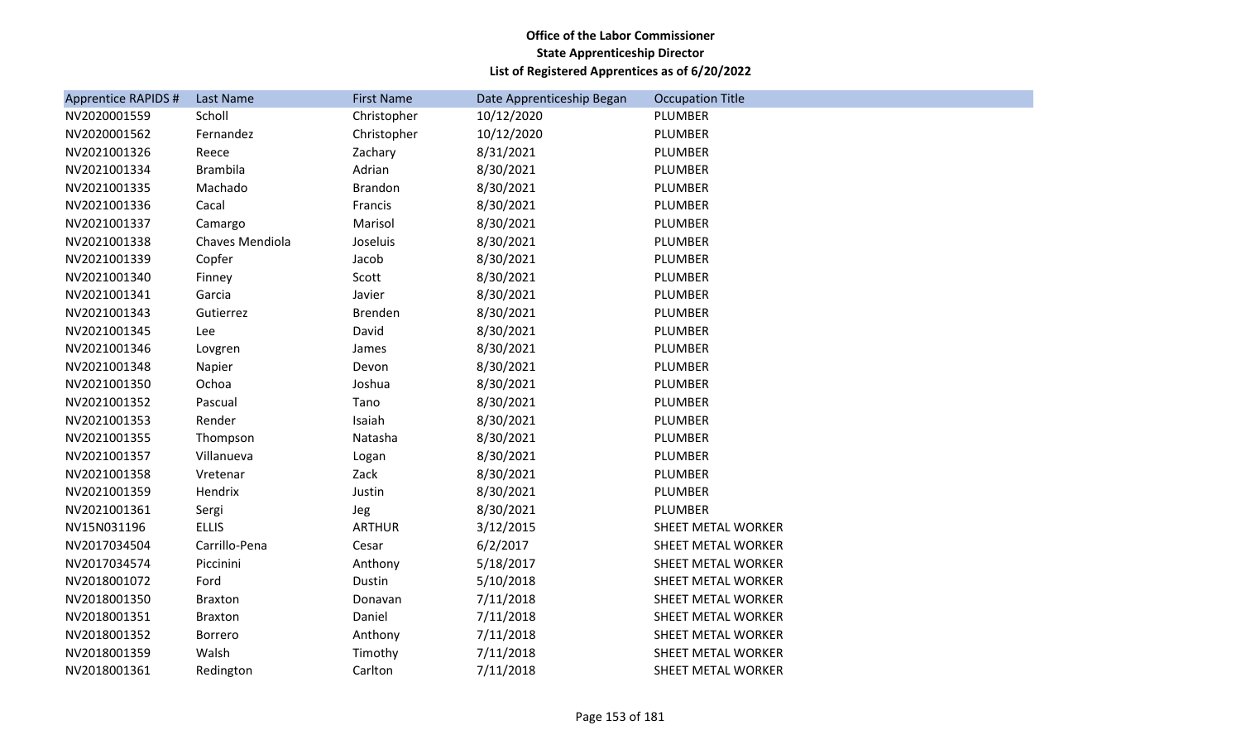| Apprentice RAPIDS # | Last Name       | <b>First Name</b> | Date Apprenticeship Began | <b>Occupation Title</b> |
|---------------------|-----------------|-------------------|---------------------------|-------------------------|
| NV2020001559        | Scholl          | Christopher       | 10/12/2020                | PLUMBER                 |
| NV2020001562        | Fernandez       | Christopher       | 10/12/2020                | PLUMBER                 |
| NV2021001326        | Reece           | Zachary           | 8/31/2021                 | PLUMBER                 |
| NV2021001334        | <b>Brambila</b> | Adrian            | 8/30/2021                 | PLUMBER                 |
| NV2021001335        | Machado         | <b>Brandon</b>    | 8/30/2021                 | PLUMBER                 |
| NV2021001336        | Cacal           | Francis           | 8/30/2021                 | PLUMBER                 |
| NV2021001337        | Camargo         | Marisol           | 8/30/2021                 | PLUMBER                 |
| NV2021001338        | Chaves Mendiola | Joseluis          | 8/30/2021                 | PLUMBER                 |
| NV2021001339        | Copfer          | Jacob             | 8/30/2021                 | PLUMBER                 |
| NV2021001340        | Finney          | Scott             | 8/30/2021                 | PLUMBER                 |
| NV2021001341        | Garcia          | Javier            | 8/30/2021                 | PLUMBER                 |
| NV2021001343        | Gutierrez       | Brenden           | 8/30/2021                 | PLUMBER                 |
| NV2021001345        | Lee             | David             | 8/30/2021                 | PLUMBER                 |
| NV2021001346        | Lovgren         | James             | 8/30/2021                 | PLUMBER                 |
| NV2021001348        | Napier          | Devon             | 8/30/2021                 | PLUMBER                 |
| NV2021001350        | Ochoa           | Joshua            | 8/30/2021                 | PLUMBER                 |
| NV2021001352        | Pascual         | Tano              | 8/30/2021                 | PLUMBER                 |
| NV2021001353        | Render          | Isaiah            | 8/30/2021                 | PLUMBER                 |
| NV2021001355        | Thompson        | Natasha           | 8/30/2021                 | PLUMBER                 |
| NV2021001357        | Villanueva      | Logan             | 8/30/2021                 | PLUMBER                 |
| NV2021001358        | Vretenar        | Zack              | 8/30/2021                 | PLUMBER                 |
| NV2021001359        | Hendrix         | Justin            | 8/30/2021                 | PLUMBER                 |
| NV2021001361        | Sergi           | Jeg               | 8/30/2021                 | PLUMBER                 |
| NV15N031196         | <b>ELLIS</b>    | <b>ARTHUR</b>     | 3/12/2015                 | SHEET METAL WORKER      |
| NV2017034504        | Carrillo-Pena   | Cesar             | 6/2/2017                  | SHEET METAL WORKER      |
| NV2017034574        | Piccinini       | Anthony           | 5/18/2017                 | SHEET METAL WORKER      |
| NV2018001072        | Ford            | Dustin            | 5/10/2018                 | SHEET METAL WORKER      |
| NV2018001350        | <b>Braxton</b>  | Donavan           | 7/11/2018                 | SHEET METAL WORKER      |
| NV2018001351        | <b>Braxton</b>  | Daniel            | 7/11/2018                 | SHEET METAL WORKER      |
| NV2018001352        | Borrero         | Anthony           | 7/11/2018                 | SHEET METAL WORKER      |
| NV2018001359        | Walsh           | Timothy           | 7/11/2018                 | SHEET METAL WORKER      |
| NV2018001361        | Redington       | Carlton           | 7/11/2018                 | SHEET METAL WORKER      |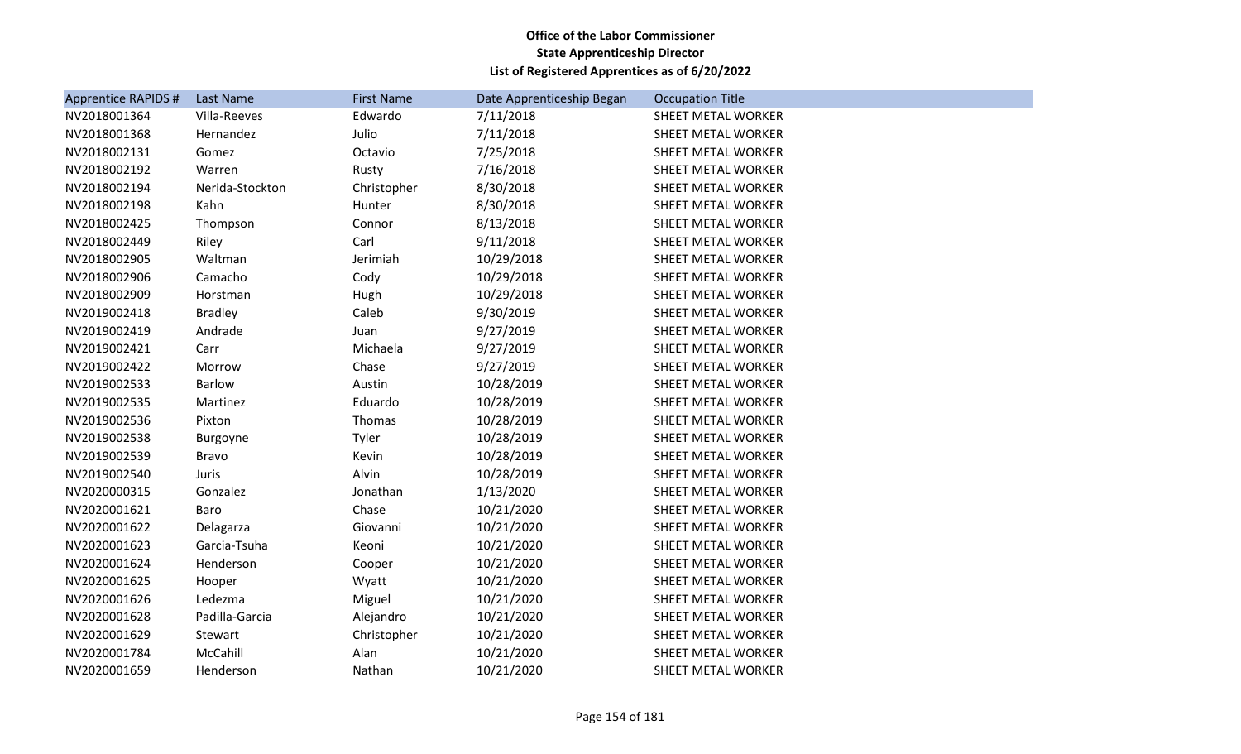| <b>Apprentice RAPIDS #</b> | Last Name       | <b>First Name</b> | Date Apprenticeship Began | <b>Occupation Title</b> |
|----------------------------|-----------------|-------------------|---------------------------|-------------------------|
| NV2018001364               | Villa-Reeves    | Edwardo           | 7/11/2018                 | SHEET METAL WORKER      |
| NV2018001368               | Hernandez       | Julio             | 7/11/2018                 | SHEET METAL WORKER      |
| NV2018002131               | Gomez           | Octavio           | 7/25/2018                 | SHEET METAL WORKER      |
| NV2018002192               | Warren          | Rusty             | 7/16/2018                 | SHEET METAL WORKER      |
| NV2018002194               | Nerida-Stockton | Christopher       | 8/30/2018                 | SHEET METAL WORKER      |
| NV2018002198               | Kahn            | Hunter            | 8/30/2018                 | SHEET METAL WORKER      |
| NV2018002425               | Thompson        | Connor            | 8/13/2018                 | SHEET METAL WORKER      |
| NV2018002449               | Riley           | Carl              | 9/11/2018                 | SHEET METAL WORKER      |
| NV2018002905               | Waltman         | Jerimiah          | 10/29/2018                | SHEET METAL WORKER      |
| NV2018002906               | Camacho         | Cody              | 10/29/2018                | SHEET METAL WORKER      |
| NV2018002909               | Horstman        | Hugh              | 10/29/2018                | SHEET METAL WORKER      |
| NV2019002418               | <b>Bradley</b>  | Caleb             | 9/30/2019                 | SHEET METAL WORKER      |
| NV2019002419               | Andrade         | Juan              | 9/27/2019                 | SHEET METAL WORKER      |
| NV2019002421               | Carr            | Michaela          | 9/27/2019                 | SHEET METAL WORKER      |
| NV2019002422               | Morrow          | Chase             | 9/27/2019                 | SHEET METAL WORKER      |
| NV2019002533               | Barlow          | Austin            | 10/28/2019                | SHEET METAL WORKER      |
| NV2019002535               | Martinez        | Eduardo           | 10/28/2019                | SHEET METAL WORKER      |
| NV2019002536               | Pixton          | Thomas            | 10/28/2019                | SHEET METAL WORKER      |
| NV2019002538               | <b>Burgoyne</b> | Tyler             | 10/28/2019                | SHEET METAL WORKER      |
| NV2019002539               | <b>Bravo</b>    | Kevin             | 10/28/2019                | SHEET METAL WORKER      |
| NV2019002540               | <b>Juris</b>    | Alvin             | 10/28/2019                | SHEET METAL WORKER      |
| NV2020000315               | Gonzalez        | Jonathan          | 1/13/2020                 | SHEET METAL WORKER      |
| NV2020001621               | Baro            | Chase             | 10/21/2020                | SHEET METAL WORKER      |
| NV2020001622               | Delagarza       | Giovanni          | 10/21/2020                | SHEET METAL WORKER      |
| NV2020001623               | Garcia-Tsuha    | Keoni             | 10/21/2020                | SHEET METAL WORKER      |
| NV2020001624               | Henderson       | Cooper            | 10/21/2020                | SHEET METAL WORKER      |
| NV2020001625               | Hooper          | Wyatt             | 10/21/2020                | SHEET METAL WORKER      |
| NV2020001626               | Ledezma         | Miguel            | 10/21/2020                | SHEET METAL WORKER      |
| NV2020001628               | Padilla-Garcia  | Alejandro         | 10/21/2020                | SHEET METAL WORKER      |
| NV2020001629               | Stewart         | Christopher       | 10/21/2020                | SHEET METAL WORKER      |
| NV2020001784               | McCahill        | Alan              | 10/21/2020                | SHEET METAL WORKER      |
| NV2020001659               | Henderson       | Nathan            | 10/21/2020                | SHEET METAL WORKER      |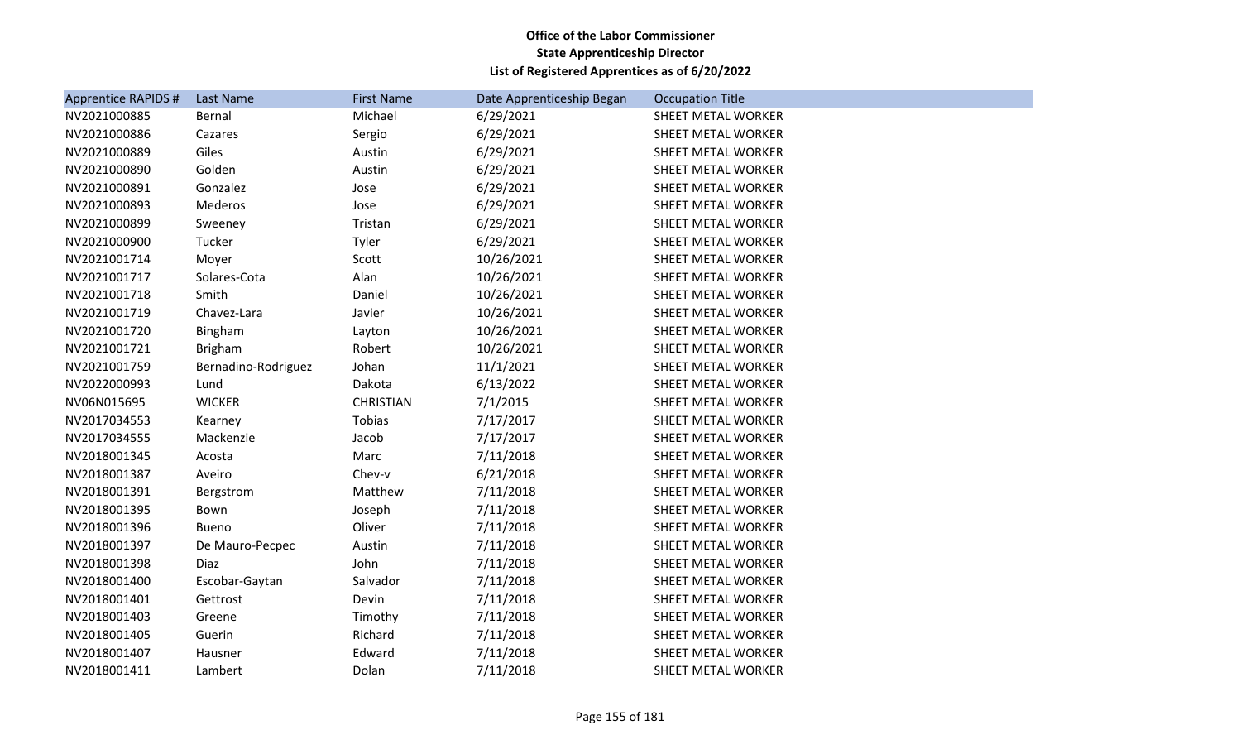| <b>Apprentice RAPIDS #</b> | Last Name           | <b>First Name</b> | Date Apprenticeship Began | <b>Occupation Title</b> |
|----------------------------|---------------------|-------------------|---------------------------|-------------------------|
| NV2021000885               | Bernal              | Michael           | 6/29/2021                 | SHEET METAL WORKER      |
| NV2021000886               | Cazares             | Sergio            | 6/29/2021                 | SHEET METAL WORKER      |
| NV2021000889               | Giles               | Austin            | 6/29/2021                 | SHEET METAL WORKER      |
| NV2021000890               | Golden              | Austin            | 6/29/2021                 | SHEET METAL WORKER      |
| NV2021000891               | Gonzalez            | Jose              | 6/29/2021                 | SHEET METAL WORKER      |
| NV2021000893               | Mederos             | Jose              | 6/29/2021                 | SHEET METAL WORKER      |
| NV2021000899               | Sweeney             | Tristan           | 6/29/2021                 | SHEET METAL WORKER      |
| NV2021000900               | Tucker              | Tyler             | 6/29/2021                 | SHEET METAL WORKER      |
| NV2021001714               | Moyer               | Scott             | 10/26/2021                | SHEET METAL WORKER      |
| NV2021001717               | Solares-Cota        | Alan              | 10/26/2021                | SHEET METAL WORKER      |
| NV2021001718               | Smith               | Daniel            | 10/26/2021                | SHEET METAL WORKER      |
| NV2021001719               | Chavez-Lara         | Javier            | 10/26/2021                | SHEET METAL WORKER      |
| NV2021001720               | Bingham             | Layton            | 10/26/2021                | SHEET METAL WORKER      |
| NV2021001721               | <b>Brigham</b>      | Robert            | 10/26/2021                | SHEET METAL WORKER      |
| NV2021001759               | Bernadino-Rodriguez | Johan             | 11/1/2021                 | SHEET METAL WORKER      |
| NV2022000993               | Lund                | Dakota            | 6/13/2022                 | SHEET METAL WORKER      |
| NV06N015695                | <b>WICKER</b>       | <b>CHRISTIAN</b>  | 7/1/2015                  | SHEET METAL WORKER      |
| NV2017034553               | Kearney             | Tobias            | 7/17/2017                 | SHEET METAL WORKER      |
| NV2017034555               | Mackenzie           | Jacob             | 7/17/2017                 | SHEET METAL WORKER      |
| NV2018001345               | Acosta              | Marc              | 7/11/2018                 | SHEET METAL WORKER      |
| NV2018001387               | Aveiro              | Chev-v            | 6/21/2018                 | SHEET METAL WORKER      |
| NV2018001391               | Bergstrom           | Matthew           | 7/11/2018                 | SHEET METAL WORKER      |
| NV2018001395               | Bown                | Joseph            | 7/11/2018                 | SHEET METAL WORKER      |
| NV2018001396               | <b>Bueno</b>        | Oliver            | 7/11/2018                 | SHEET METAL WORKER      |
| NV2018001397               | De Mauro-Pecpec     | Austin            | 7/11/2018                 | SHEET METAL WORKER      |
| NV2018001398               | Diaz                | John              | 7/11/2018                 | SHEET METAL WORKER      |
| NV2018001400               | Escobar-Gaytan      | Salvador          | 7/11/2018                 | SHEET METAL WORKER      |
| NV2018001401               | Gettrost            | Devin             | 7/11/2018                 | SHEET METAL WORKER      |
| NV2018001403               | Greene              | Timothy           | 7/11/2018                 | SHEET METAL WORKER      |
| NV2018001405               | Guerin              | Richard           | 7/11/2018                 | SHEET METAL WORKER      |
| NV2018001407               | Hausner             | Edward            | 7/11/2018                 | SHEET METAL WORKER      |
| NV2018001411               | Lambert             | Dolan             | 7/11/2018                 | SHEET METAL WORKER      |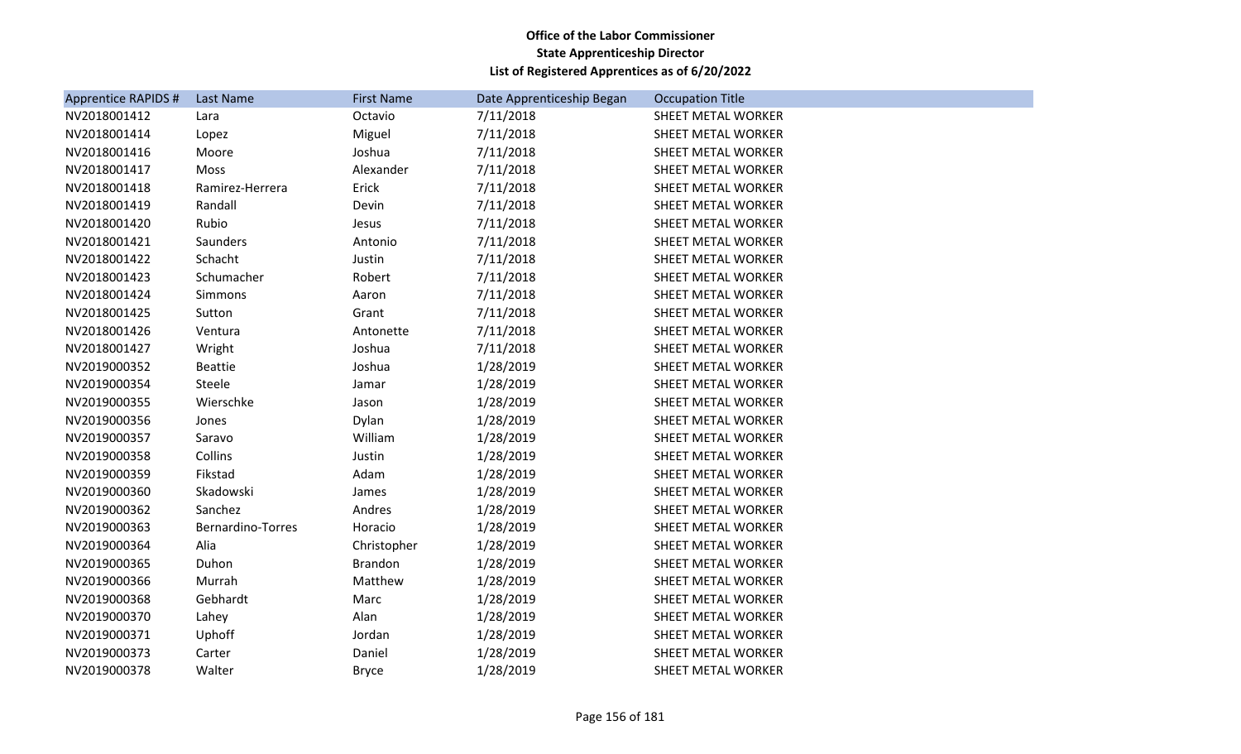| <b>Apprentice RAPIDS #</b> | Last Name         | <b>First Name</b> | Date Apprenticeship Began | <b>Occupation Title</b> |
|----------------------------|-------------------|-------------------|---------------------------|-------------------------|
| NV2018001412               | Lara              | Octavio           | 7/11/2018                 | SHEET METAL WORKER      |
| NV2018001414               | Lopez             | Miguel            | 7/11/2018                 | SHEET METAL WORKER      |
| NV2018001416               | Moore             | Joshua            | 7/11/2018                 | SHEET METAL WORKER      |
| NV2018001417               | Moss              | Alexander         | 7/11/2018                 | SHEET METAL WORKER      |
| NV2018001418               | Ramirez-Herrera   | Erick             | 7/11/2018                 | SHEET METAL WORKER      |
| NV2018001419               | Randall           | Devin             | 7/11/2018                 | SHEET METAL WORKER      |
| NV2018001420               | Rubio             | Jesus             | 7/11/2018                 | SHEET METAL WORKER      |
| NV2018001421               | Saunders          | Antonio           | 7/11/2018                 | SHEET METAL WORKER      |
| NV2018001422               | Schacht           | Justin            | 7/11/2018                 | SHEET METAL WORKER      |
| NV2018001423               | Schumacher        | Robert            | 7/11/2018                 | SHEET METAL WORKER      |
| NV2018001424               | Simmons           | Aaron             | 7/11/2018                 | SHEET METAL WORKER      |
| NV2018001425               | Sutton            | Grant             | 7/11/2018                 | SHEET METAL WORKER      |
| NV2018001426               | Ventura           | Antonette         | 7/11/2018                 | SHEET METAL WORKER      |
| NV2018001427               | Wright            | Joshua            | 7/11/2018                 | SHEET METAL WORKER      |
| NV2019000352               | <b>Beattie</b>    | Joshua            | 1/28/2019                 | SHEET METAL WORKER      |
| NV2019000354               | Steele            | Jamar             | 1/28/2019                 | SHEET METAL WORKER      |
| NV2019000355               | Wierschke         | Jason             | 1/28/2019                 | SHEET METAL WORKER      |
| NV2019000356               | Jones             | Dylan             | 1/28/2019                 | SHEET METAL WORKER      |
| NV2019000357               | Saravo            | William           | 1/28/2019                 | SHEET METAL WORKER      |
| NV2019000358               | Collins           | Justin            | 1/28/2019                 | SHEET METAL WORKER      |
| NV2019000359               | Fikstad           | Adam              | 1/28/2019                 | SHEET METAL WORKER      |
| NV2019000360               | Skadowski         | James             | 1/28/2019                 | SHEET METAL WORKER      |
| NV2019000362               | Sanchez           | Andres            | 1/28/2019                 | SHEET METAL WORKER      |
| NV2019000363               | Bernardino-Torres | Horacio           | 1/28/2019                 | SHEET METAL WORKER      |
| NV2019000364               | Alia              | Christopher       | 1/28/2019                 | SHEET METAL WORKER      |
| NV2019000365               | Duhon             | <b>Brandon</b>    | 1/28/2019                 | SHEET METAL WORKER      |
| NV2019000366               | Murrah            | Matthew           | 1/28/2019                 | SHEET METAL WORKER      |
| NV2019000368               | Gebhardt          | Marc              | 1/28/2019                 | SHEET METAL WORKER      |
| NV2019000370               | Lahey             | Alan              | 1/28/2019                 | SHEET METAL WORKER      |
| NV2019000371               | Uphoff            | Jordan            | 1/28/2019                 | SHEET METAL WORKER      |
| NV2019000373               | Carter            | Daniel            | 1/28/2019                 | SHEET METAL WORKER      |
| NV2019000378               | Walter            | <b>Bryce</b>      | 1/28/2019                 | SHEET METAL WORKER      |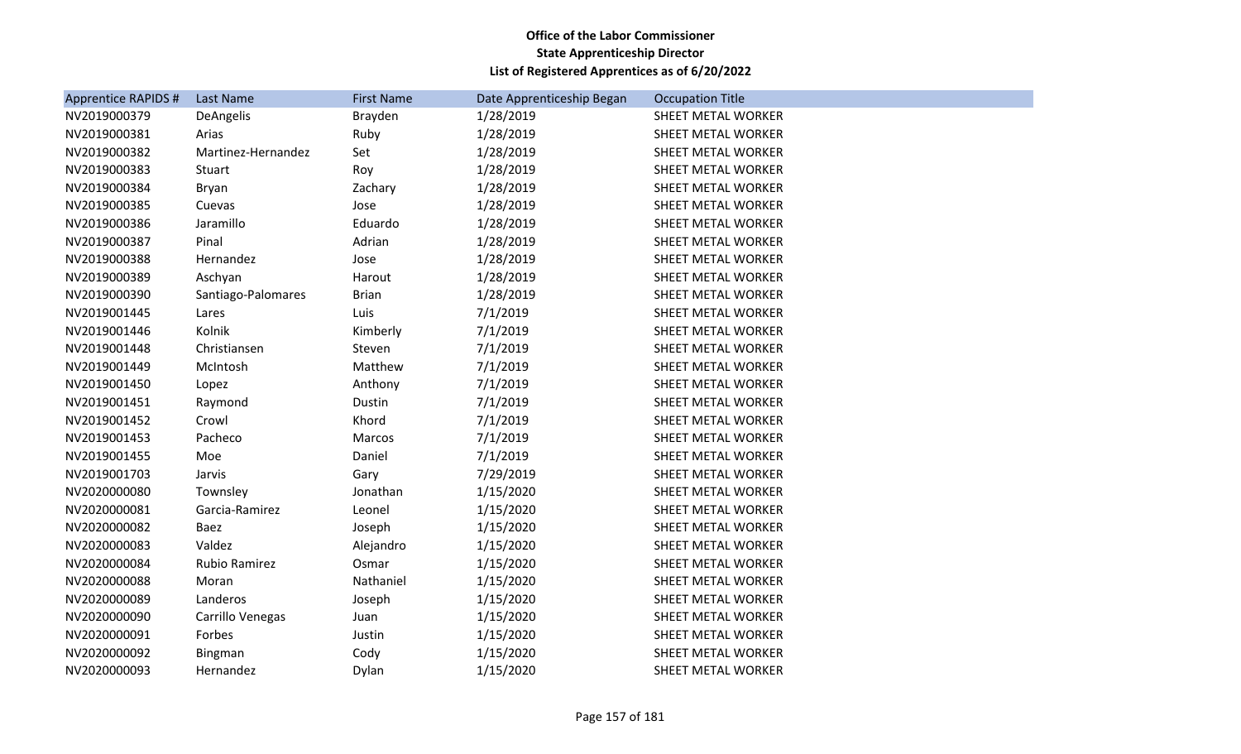| <b>Apprentice RAPIDS #</b> | Last Name          | <b>First Name</b> | Date Apprenticeship Began | <b>Occupation Title</b>   |
|----------------------------|--------------------|-------------------|---------------------------|---------------------------|
| NV2019000379               | DeAngelis          | Brayden           | 1/28/2019                 | SHEET METAL WORKER        |
| NV2019000381               | Arias              | Ruby              | 1/28/2019                 | SHEET METAL WORKER        |
| NV2019000382               | Martinez-Hernandez | Set               | 1/28/2019                 | SHEET METAL WORKER        |
| NV2019000383               | Stuart             | Roy               | 1/28/2019                 | SHEET METAL WORKER        |
| NV2019000384               | Bryan              | Zachary           | 1/28/2019                 | SHEET METAL WORKER        |
| NV2019000385               | Cuevas             | Jose              | 1/28/2019                 | SHEET METAL WORKER        |
| NV2019000386               | Jaramillo          | Eduardo           | 1/28/2019                 | <b>SHEET METAL WORKER</b> |
| NV2019000387               | Pinal              | Adrian            | 1/28/2019                 | SHEET METAL WORKER        |
| NV2019000388               | Hernandez          | Jose              | 1/28/2019                 | SHEET METAL WORKER        |
| NV2019000389               | Aschyan            | Harout            | 1/28/2019                 | SHEET METAL WORKER        |
| NV2019000390               | Santiago-Palomares | <b>Brian</b>      | 1/28/2019                 | SHEET METAL WORKER        |
| NV2019001445               | Lares              | Luis              | 7/1/2019                  | SHEET METAL WORKER        |
| NV2019001446               | Kolnik             | Kimberly          | 7/1/2019                  | SHEET METAL WORKER        |
| NV2019001448               | Christiansen       | Steven            | 7/1/2019                  | SHEET METAL WORKER        |
| NV2019001449               | McIntosh           | Matthew           | 7/1/2019                  | SHEET METAL WORKER        |
| NV2019001450               | Lopez              | Anthony           | 7/1/2019                  | SHEET METAL WORKER        |
| NV2019001451               | Raymond            | Dustin            | 7/1/2019                  | <b>SHEET METAL WORKER</b> |
| NV2019001452               | Crowl              | Khord             | 7/1/2019                  | SHEET METAL WORKER        |
| NV2019001453               | Pacheco            | Marcos            | 7/1/2019                  | SHEET METAL WORKER        |
| NV2019001455               | Moe                | Daniel            | 7/1/2019                  | SHEET METAL WORKER        |
| NV2019001703               | Jarvis             | Gary              | 7/29/2019                 | SHEET METAL WORKER        |
| NV2020000080               | Townsley           | Jonathan          | 1/15/2020                 | SHEET METAL WORKER        |
| NV2020000081               | Garcia-Ramirez     | Leonel            | 1/15/2020                 | SHEET METAL WORKER        |
| NV2020000082               | Baez               | Joseph            | 1/15/2020                 | SHEET METAL WORKER        |
| NV2020000083               | Valdez             | Alejandro         | 1/15/2020                 | SHEET METAL WORKER        |
| NV2020000084               | Rubio Ramirez      | Osmar             | 1/15/2020                 | SHEET METAL WORKER        |
| NV2020000088               | Moran              | Nathaniel         | 1/15/2020                 | SHEET METAL WORKER        |
| NV2020000089               | Landeros           | Joseph            | 1/15/2020                 | SHEET METAL WORKER        |
| NV2020000090               | Carrillo Venegas   | Juan              | 1/15/2020                 | SHEET METAL WORKER        |
| NV2020000091               | Forbes             | Justin            | 1/15/2020                 | SHEET METAL WORKER        |
| NV2020000092               | Bingman            | Cody              | 1/15/2020                 | SHEET METAL WORKER        |
| NV2020000093               | Hernandez          | Dylan             | 1/15/2020                 | SHEET METAL WORKER        |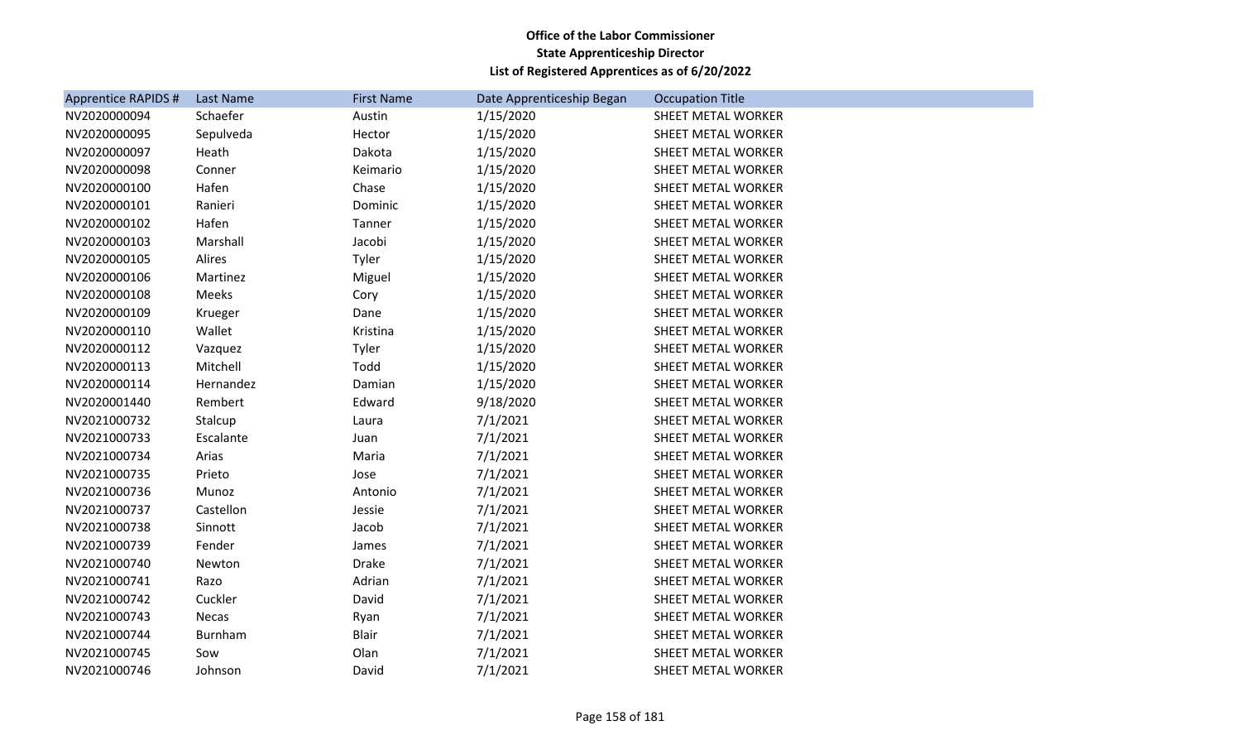| <b>Apprentice RAPIDS #</b> | Last Name | <b>First Name</b> | Date Apprenticeship Began | <b>Occupation Title</b>   |
|----------------------------|-----------|-------------------|---------------------------|---------------------------|
| NV2020000094               | Schaefer  | Austin            | 1/15/2020                 | SHEET METAL WORKER        |
| NV2020000095               | Sepulveda | Hector            | 1/15/2020                 | <b>SHEET METAL WORKER</b> |
| NV2020000097               | Heath     | Dakota            | 1/15/2020                 | SHEET METAL WORKER        |
| NV2020000098               | Conner    | Keimario          | 1/15/2020                 | SHEET METAL WORKER        |
| NV2020000100               | Hafen     | Chase             | 1/15/2020                 | SHEET METAL WORKER        |
| NV2020000101               | Ranieri   | Dominic           | 1/15/2020                 | SHEET METAL WORKER        |
| NV2020000102               | Hafen     | Tanner            | 1/15/2020                 | SHEET METAL WORKER        |
| NV2020000103               | Marshall  | Jacobi            | 1/15/2020                 | SHEET METAL WORKER        |
| NV2020000105               | Alires    | Tyler             | 1/15/2020                 | SHEET METAL WORKER        |
| NV2020000106               | Martinez  | Miguel            | 1/15/2020                 | SHEET METAL WORKER        |
| NV2020000108               | Meeks     | Cory              | 1/15/2020                 | SHEET METAL WORKER        |
| NV2020000109               | Krueger   | Dane              | 1/15/2020                 | SHEET METAL WORKER        |
| NV2020000110               | Wallet    | Kristina          | 1/15/2020                 | SHEET METAL WORKER        |
| NV2020000112               | Vazquez   | Tyler             | 1/15/2020                 | SHEET METAL WORKER        |
| NV2020000113               | Mitchell  | Todd              | 1/15/2020                 | <b>SHEET METAL WORKER</b> |
| NV2020000114               | Hernandez | Damian            | 1/15/2020                 | SHEET METAL WORKER        |
| NV2020001440               | Rembert   | Edward            | 9/18/2020                 | SHEET METAL WORKER        |
| NV2021000732               | Stalcup   | Laura             | 7/1/2021                  | SHEET METAL WORKER        |
| NV2021000733               | Escalante | Juan              | 7/1/2021                  | SHEET METAL WORKER        |
| NV2021000734               | Arias     | Maria             | 7/1/2021                  | SHEET METAL WORKER        |
| NV2021000735               | Prieto    | Jose              | 7/1/2021                  | SHEET METAL WORKER        |
| NV2021000736               | Munoz     | Antonio           | 7/1/2021                  | SHEET METAL WORKER        |
| NV2021000737               | Castellon | Jessie            | 7/1/2021                  | <b>SHEET METAL WORKER</b> |
| NV2021000738               | Sinnott   | Jacob             | 7/1/2021                  | SHEET METAL WORKER        |
| NV2021000739               | Fender    | James             | 7/1/2021                  | SHEET METAL WORKER        |
| NV2021000740               | Newton    | <b>Drake</b>      | 7/1/2021                  | SHEET METAL WORKER        |
| NV2021000741               | Razo      | Adrian            | 7/1/2021                  | SHEET METAL WORKER        |
| NV2021000742               | Cuckler   | David             | 7/1/2021                  | SHEET METAL WORKER        |
| NV2021000743               | Necas     | Ryan              | 7/1/2021                  | SHEET METAL WORKER        |
| NV2021000744               | Burnham   | <b>Blair</b>      | 7/1/2021                  | SHEET METAL WORKER        |
| NV2021000745               | Sow       | Olan              | 7/1/2021                  | SHEET METAL WORKER        |
| NV2021000746               | Johnson   | David             | 7/1/2021                  | SHEET METAL WORKER        |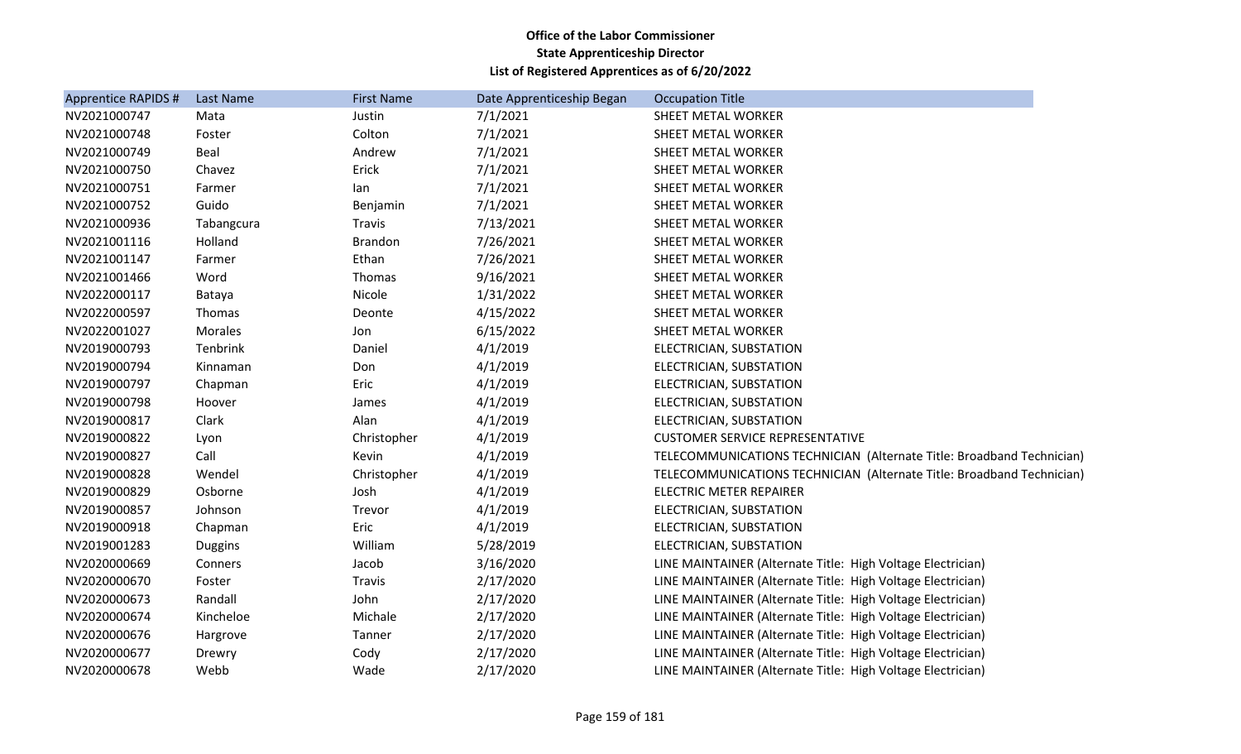| <b>Apprentice RAPIDS #</b> | Last Name      | <b>First Name</b> | Date Apprenticeship Began | <b>Occupation Title</b>                                               |
|----------------------------|----------------|-------------------|---------------------------|-----------------------------------------------------------------------|
| NV2021000747               | Mata           | Justin            | 7/1/2021                  | SHEET METAL WORKER                                                    |
| NV2021000748               | Foster         | Colton            | 7/1/2021                  | SHEET METAL WORKER                                                    |
| NV2021000749               | Beal           | Andrew            | 7/1/2021                  | SHEET METAL WORKER                                                    |
| NV2021000750               | Chavez         | Erick             | 7/1/2021                  | SHEET METAL WORKER                                                    |
| NV2021000751               | Farmer         | lan               | 7/1/2021                  | SHEET METAL WORKER                                                    |
| NV2021000752               | Guido          | Benjamin          | 7/1/2021                  | SHEET METAL WORKER                                                    |
| NV2021000936               | Tabangcura     | Travis            | 7/13/2021                 | SHEET METAL WORKER                                                    |
| NV2021001116               | Holland        | <b>Brandon</b>    | 7/26/2021                 | SHEET METAL WORKER                                                    |
| NV2021001147               | Farmer         | Ethan             | 7/26/2021                 | SHEET METAL WORKER                                                    |
| NV2021001466               | Word           | Thomas            | 9/16/2021                 | SHEET METAL WORKER                                                    |
| NV2022000117               | Bataya         | Nicole            | 1/31/2022                 | SHEET METAL WORKER                                                    |
| NV2022000597               | Thomas         | Deonte            | 4/15/2022                 | SHEET METAL WORKER                                                    |
| NV2022001027               | Morales        | Jon               | 6/15/2022                 | SHEET METAL WORKER                                                    |
| NV2019000793               | Tenbrink       | Daniel            | 4/1/2019                  | ELECTRICIAN, SUBSTATION                                               |
| NV2019000794               | Kinnaman       | Don               | 4/1/2019                  | ELECTRICIAN, SUBSTATION                                               |
| NV2019000797               | Chapman        | Eric              | 4/1/2019                  | ELECTRICIAN, SUBSTATION                                               |
| NV2019000798               | Hoover         | James             | 4/1/2019                  | ELECTRICIAN, SUBSTATION                                               |
| NV2019000817               | Clark          | Alan              | 4/1/2019                  | ELECTRICIAN, SUBSTATION                                               |
| NV2019000822               | Lyon           | Christopher       | 4/1/2019                  | <b>CUSTOMER SERVICE REPRESENTATIVE</b>                                |
| NV2019000827               | Call           | Kevin             | 4/1/2019                  | TELECOMMUNICATIONS TECHNICIAN (Alternate Title: Broadband Technician) |
| NV2019000828               | Wendel         | Christopher       | 4/1/2019                  | TELECOMMUNICATIONS TECHNICIAN (Alternate Title: Broadband Technician) |
| NV2019000829               | Osborne        | Josh              | 4/1/2019                  | <b>ELECTRIC METER REPAIRER</b>                                        |
| NV2019000857               | Johnson        | Trevor            | 4/1/2019                  | ELECTRICIAN, SUBSTATION                                               |
| NV2019000918               | Chapman        | Eric              | 4/1/2019                  | ELECTRICIAN, SUBSTATION                                               |
| NV2019001283               | <b>Duggins</b> | William           | 5/28/2019                 | ELECTRICIAN, SUBSTATION                                               |
| NV2020000669               | Conners        | Jacob             | 3/16/2020                 | LINE MAINTAINER (Alternate Title: High Voltage Electrician)           |
| NV2020000670               | Foster         | Travis            | 2/17/2020                 | LINE MAINTAINER (Alternate Title: High Voltage Electrician)           |
| NV2020000673               | Randall        | John              | 2/17/2020                 | LINE MAINTAINER (Alternate Title: High Voltage Electrician)           |
| NV2020000674               | Kincheloe      | Michale           | 2/17/2020                 | LINE MAINTAINER (Alternate Title: High Voltage Electrician)           |
| NV2020000676               | Hargrove       | Tanner            | 2/17/2020                 | LINE MAINTAINER (Alternate Title: High Voltage Electrician)           |
| NV2020000677               | Drewry         | Cody              | 2/17/2020                 | LINE MAINTAINER (Alternate Title: High Voltage Electrician)           |
| NV2020000678               | Webb           | Wade              | 2/17/2020                 | LINE MAINTAINER (Alternate Title: High Voltage Electrician)           |
|                            |                |                   |                           |                                                                       |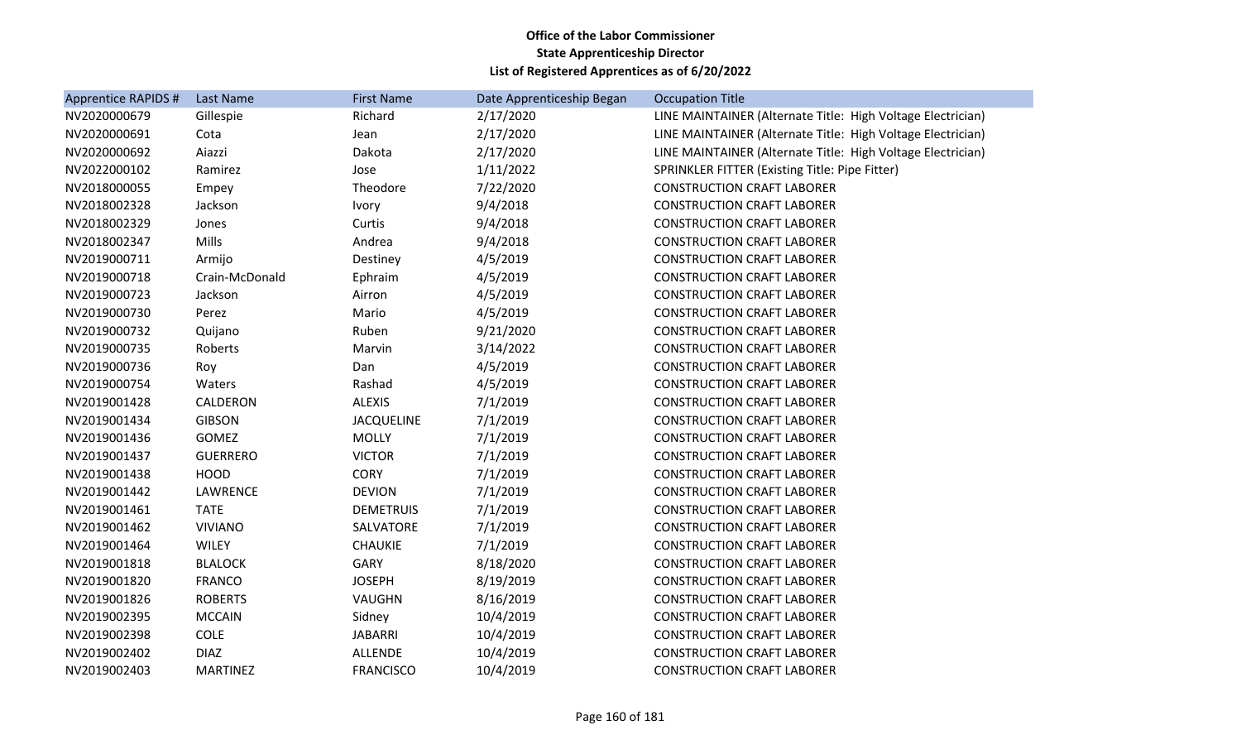| <b>Apprentice RAPIDS #</b> | Last Name       | <b>First Name</b> | Date Apprenticeship Began | <b>Occupation Title</b>                                     |
|----------------------------|-----------------|-------------------|---------------------------|-------------------------------------------------------------|
| NV2020000679               | Gillespie       | Richard           | 2/17/2020                 | LINE MAINTAINER (Alternate Title: High Voltage Electrician) |
| NV2020000691               | Cota            | Jean              | 2/17/2020                 | LINE MAINTAINER (Alternate Title: High Voltage Electrician) |
| NV2020000692               | Aiazzi          | Dakota            | 2/17/2020                 | LINE MAINTAINER (Alternate Title: High Voltage Electrician) |
| NV2022000102               | Ramirez         | Jose              | 1/11/2022                 | SPRINKLER FITTER (Existing Title: Pipe Fitter)              |
| NV2018000055               | Empey           | Theodore          | 7/22/2020                 | <b>CONSTRUCTION CRAFT LABORER</b>                           |
| NV2018002328               | Jackson         | <b>Ivory</b>      | 9/4/2018                  | <b>CONSTRUCTION CRAFT LABORER</b>                           |
| NV2018002329               | Jones           | Curtis            | 9/4/2018                  | <b>CONSTRUCTION CRAFT LABORER</b>                           |
| NV2018002347               | Mills           | Andrea            | 9/4/2018                  | <b>CONSTRUCTION CRAFT LABORER</b>                           |
| NV2019000711               | Armijo          | Destiney          | 4/5/2019                  | <b>CONSTRUCTION CRAFT LABORER</b>                           |
| NV2019000718               | Crain-McDonald  | Ephraim           | 4/5/2019                  | <b>CONSTRUCTION CRAFT LABORER</b>                           |
| NV2019000723               | Jackson         | Airron            | 4/5/2019                  | <b>CONSTRUCTION CRAFT LABORER</b>                           |
| NV2019000730               | Perez           | Mario             | 4/5/2019                  | <b>CONSTRUCTION CRAFT LABORER</b>                           |
| NV2019000732               | Quijano         | Ruben             | 9/21/2020                 | <b>CONSTRUCTION CRAFT LABORER</b>                           |
| NV2019000735               | Roberts         | Marvin            | 3/14/2022                 | <b>CONSTRUCTION CRAFT LABORER</b>                           |
| NV2019000736               | Roy             | Dan               | 4/5/2019                  | <b>CONSTRUCTION CRAFT LABORER</b>                           |
| NV2019000754               | Waters          | Rashad            | 4/5/2019                  | <b>CONSTRUCTION CRAFT LABORER</b>                           |
| NV2019001428               | CALDERON        | <b>ALEXIS</b>     | 7/1/2019                  | <b>CONSTRUCTION CRAFT LABORER</b>                           |
| NV2019001434               | <b>GIBSON</b>   | <b>JACQUELINE</b> | 7/1/2019                  | <b>CONSTRUCTION CRAFT LABORER</b>                           |
| NV2019001436               | <b>GOMEZ</b>    | <b>MOLLY</b>      | 7/1/2019                  | <b>CONSTRUCTION CRAFT LABORER</b>                           |
| NV2019001437               | <b>GUERRERO</b> | <b>VICTOR</b>     | 7/1/2019                  | <b>CONSTRUCTION CRAFT LABORER</b>                           |
| NV2019001438               | <b>HOOD</b>     | <b>CORY</b>       | 7/1/2019                  | <b>CONSTRUCTION CRAFT LABORER</b>                           |
| NV2019001442               | LAWRENCE        | <b>DEVION</b>     | 7/1/2019                  | <b>CONSTRUCTION CRAFT LABORER</b>                           |
| NV2019001461               | <b>TATE</b>     | <b>DEMETRUIS</b>  | 7/1/2019                  | <b>CONSTRUCTION CRAFT LABORER</b>                           |
| NV2019001462               | <b>VIVIANO</b>  | SALVATORE         | 7/1/2019                  | <b>CONSTRUCTION CRAFT LABORER</b>                           |
| NV2019001464               | <b>WILEY</b>    | CHAUKIE           | 7/1/2019                  | <b>CONSTRUCTION CRAFT LABORER</b>                           |
| NV2019001818               | <b>BLALOCK</b>  | <b>GARY</b>       | 8/18/2020                 | <b>CONSTRUCTION CRAFT LABORER</b>                           |
| NV2019001820               | <b>FRANCO</b>   | <b>JOSEPH</b>     | 8/19/2019                 | <b>CONSTRUCTION CRAFT LABORER</b>                           |
| NV2019001826               | <b>ROBERTS</b>  | VAUGHN            | 8/16/2019                 | <b>CONSTRUCTION CRAFT LABORER</b>                           |
| NV2019002395               | <b>MCCAIN</b>   | Sidney            | 10/4/2019                 | <b>CONSTRUCTION CRAFT LABORER</b>                           |
| NV2019002398               | <b>COLE</b>     | <b>JABARRI</b>    | 10/4/2019                 | <b>CONSTRUCTION CRAFT LABORER</b>                           |
| NV2019002402               | <b>DIAZ</b>     | <b>ALLENDE</b>    | 10/4/2019                 | <b>CONSTRUCTION CRAFT LABORER</b>                           |
| NV2019002403               | <b>MARTINEZ</b> | <b>FRANCISCO</b>  | 10/4/2019                 | <b>CONSTRUCTION CRAFT LABORER</b>                           |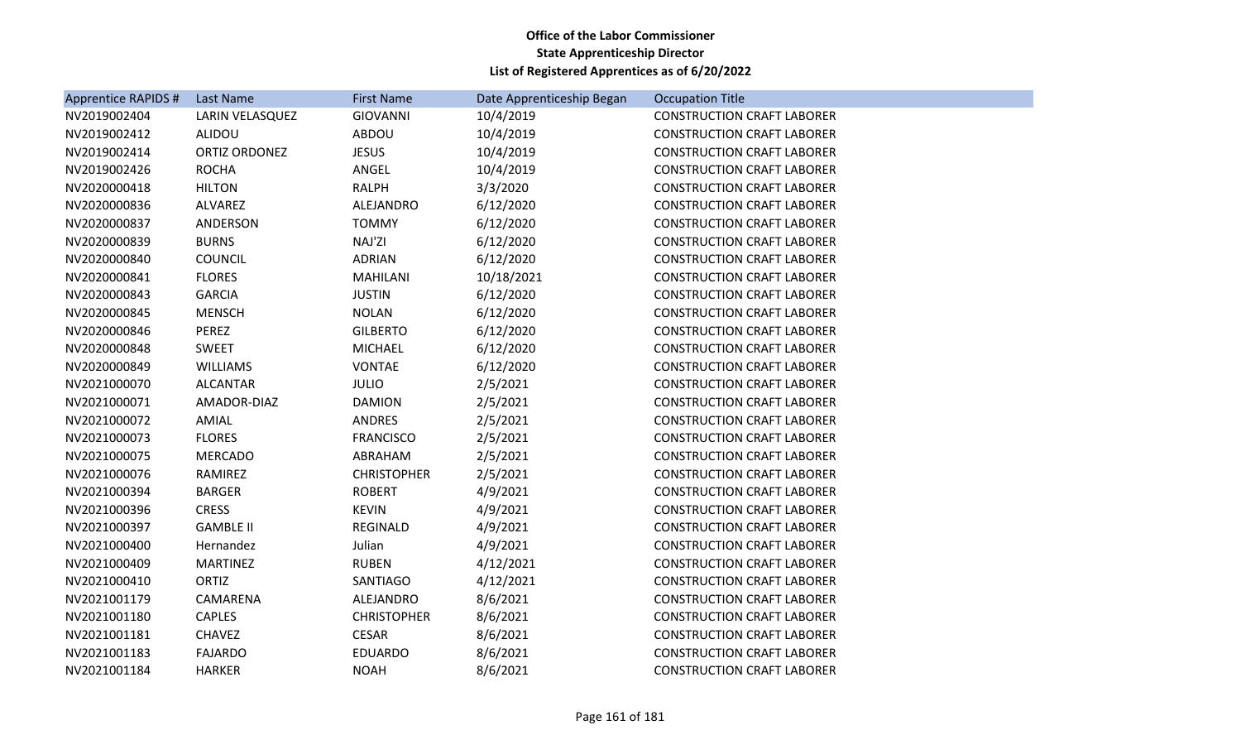| <b>Apprentice RAPIDS #</b> | Last Name        | <b>First Name</b>  | Date Apprenticeship Began | <b>Occupation Title</b>           |
|----------------------------|------------------|--------------------|---------------------------|-----------------------------------|
| NV2019002404               | LARIN VELASQUEZ  | <b>GIOVANNI</b>    | 10/4/2019                 | <b>CONSTRUCTION CRAFT LABORER</b> |
| NV2019002412               | <b>ALIDOU</b>    | ABDOU              | 10/4/2019                 | <b>CONSTRUCTION CRAFT LABORER</b> |
| NV2019002414               | ORTIZ ORDONEZ    | <b>JESUS</b>       | 10/4/2019                 | <b>CONSTRUCTION CRAFT LABORER</b> |
| NV2019002426               | <b>ROCHA</b>     | ANGEL              | 10/4/2019                 | <b>CONSTRUCTION CRAFT LABORER</b> |
| NV2020000418               | <b>HILTON</b>    | <b>RALPH</b>       | 3/3/2020                  | <b>CONSTRUCTION CRAFT LABORER</b> |
| NV2020000836               | <b>ALVAREZ</b>   | ALEJANDRO          | 6/12/2020                 | <b>CONSTRUCTION CRAFT LABORER</b> |
| NV2020000837               | ANDERSON         | <b>TOMMY</b>       | 6/12/2020                 | <b>CONSTRUCTION CRAFT LABORER</b> |
| NV2020000839               | <b>BURNS</b>     | NAJ'ZI             | 6/12/2020                 | <b>CONSTRUCTION CRAFT LABORER</b> |
| NV2020000840               | <b>COUNCIL</b>   | <b>ADRIAN</b>      | 6/12/2020                 | <b>CONSTRUCTION CRAFT LABORER</b> |
| NV2020000841               | <b>FLORES</b>    | <b>MAHILANI</b>    | 10/18/2021                | <b>CONSTRUCTION CRAFT LABORER</b> |
| NV2020000843               | <b>GARCIA</b>    | <b>JUSTIN</b>      | 6/12/2020                 | <b>CONSTRUCTION CRAFT LABORER</b> |
| NV2020000845               | <b>MENSCH</b>    | <b>NOLAN</b>       | 6/12/2020                 | <b>CONSTRUCTION CRAFT LABORER</b> |
| NV2020000846               | PEREZ            | <b>GILBERTO</b>    | 6/12/2020                 | <b>CONSTRUCTION CRAFT LABORER</b> |
| NV2020000848               | <b>SWEET</b>     | <b>MICHAEL</b>     | 6/12/2020                 | <b>CONSTRUCTION CRAFT LABORER</b> |
| NV2020000849               | <b>WILLIAMS</b>  | <b>VONTAE</b>      | 6/12/2020                 | <b>CONSTRUCTION CRAFT LABORER</b> |
| NV2021000070               | <b>ALCANTAR</b>  | <b>JULIO</b>       | 2/5/2021                  | <b>CONSTRUCTION CRAFT LABORER</b> |
| NV2021000071               | AMADOR-DIAZ      | <b>DAMION</b>      | 2/5/2021                  | <b>CONSTRUCTION CRAFT LABORER</b> |
| NV2021000072               | AMIAL            | <b>ANDRES</b>      | 2/5/2021                  | <b>CONSTRUCTION CRAFT LABORER</b> |
| NV2021000073               | <b>FLORES</b>    | <b>FRANCISCO</b>   | 2/5/2021                  | <b>CONSTRUCTION CRAFT LABORER</b> |
| NV2021000075               | <b>MERCADO</b>   | ABRAHAM            | 2/5/2021                  | <b>CONSTRUCTION CRAFT LABORER</b> |
| NV2021000076               | RAMIREZ          | <b>CHRISTOPHER</b> | 2/5/2021                  | <b>CONSTRUCTION CRAFT LABORER</b> |
| NV2021000394               | <b>BARGER</b>    | <b>ROBERT</b>      | 4/9/2021                  | <b>CONSTRUCTION CRAFT LABORER</b> |
| NV2021000396               | <b>CRESS</b>     | <b>KEVIN</b>       | 4/9/2021                  | <b>CONSTRUCTION CRAFT LABORER</b> |
| NV2021000397               | <b>GAMBLE II</b> | <b>REGINALD</b>    | 4/9/2021                  | <b>CONSTRUCTION CRAFT LABORER</b> |
| NV2021000400               | Hernandez        | Julian             | 4/9/2021                  | <b>CONSTRUCTION CRAFT LABORER</b> |
| NV2021000409               | <b>MARTINEZ</b>  | <b>RUBEN</b>       | 4/12/2021                 | <b>CONSTRUCTION CRAFT LABORER</b> |
| NV2021000410               | <b>ORTIZ</b>     | SANTIAGO           | 4/12/2021                 | <b>CONSTRUCTION CRAFT LABORER</b> |
| NV2021001179               | CAMARENA         | ALEJANDRO          | 8/6/2021                  | <b>CONSTRUCTION CRAFT LABORER</b> |
| NV2021001180               | <b>CAPLES</b>    | <b>CHRISTOPHER</b> | 8/6/2021                  | <b>CONSTRUCTION CRAFT LABORER</b> |
| NV2021001181               | <b>CHAVEZ</b>    | <b>CESAR</b>       | 8/6/2021                  | <b>CONSTRUCTION CRAFT LABORER</b> |
| NV2021001183               | <b>FAJARDO</b>   | <b>EDUARDO</b>     | 8/6/2021                  | <b>CONSTRUCTION CRAFT LABORER</b> |
| NV2021001184               | <b>HARKER</b>    | <b>NOAH</b>        | 8/6/2021                  | <b>CONSTRUCTION CRAFT LABORER</b> |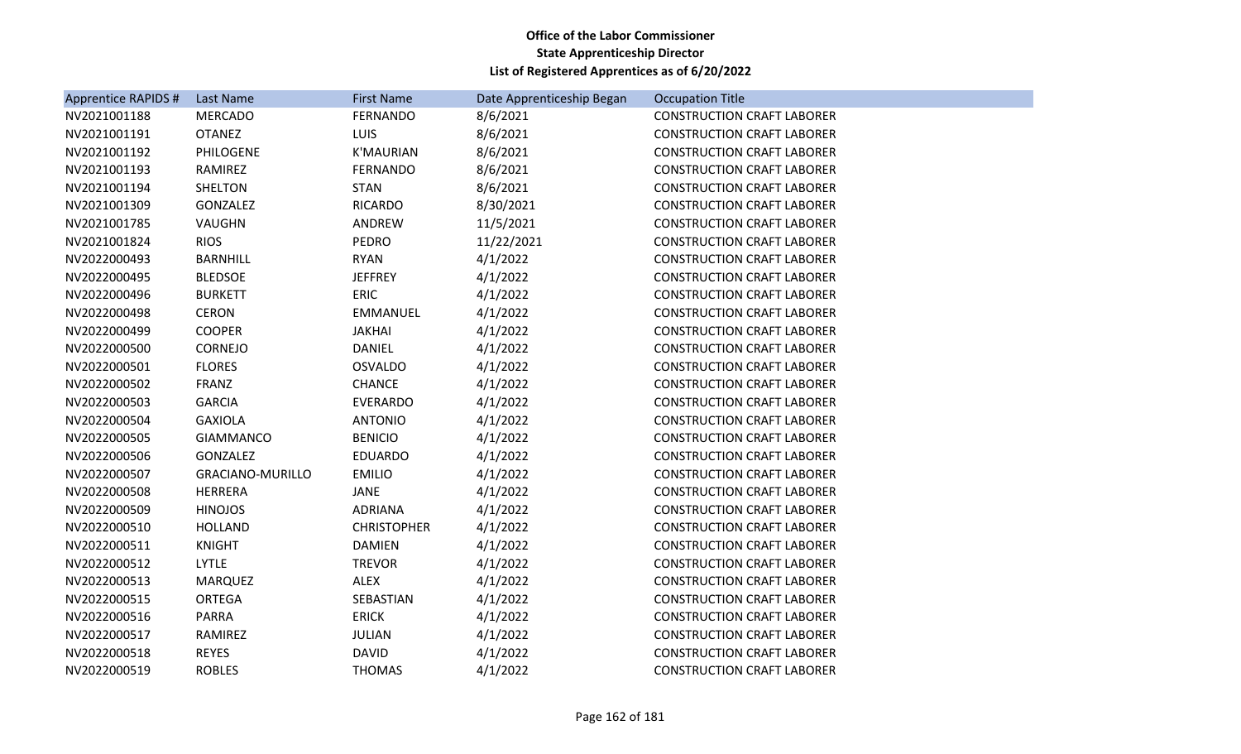| <b>Apprentice RAPIDS #</b> | Last Name               | <b>First Name</b>  | Date Apprenticeship Began | <b>Occupation Title</b>           |
|----------------------------|-------------------------|--------------------|---------------------------|-----------------------------------|
| NV2021001188               | <b>MERCADO</b>          | <b>FERNANDO</b>    | 8/6/2021                  | <b>CONSTRUCTION CRAFT LABORER</b> |
| NV2021001191               | <b>OTANEZ</b>           | <b>LUIS</b>        | 8/6/2021                  | <b>CONSTRUCTION CRAFT LABORER</b> |
| NV2021001192               | PHILOGENE               | <b>K'MAURIAN</b>   | 8/6/2021                  | <b>CONSTRUCTION CRAFT LABORER</b> |
| NV2021001193               | RAMIREZ                 | <b>FERNANDO</b>    | 8/6/2021                  | <b>CONSTRUCTION CRAFT LABORER</b> |
| NV2021001194               | <b>SHELTON</b>          | <b>STAN</b>        | 8/6/2021                  | <b>CONSTRUCTION CRAFT LABORER</b> |
| NV2021001309               | GONZALEZ                | <b>RICARDO</b>     | 8/30/2021                 | <b>CONSTRUCTION CRAFT LABORER</b> |
| NV2021001785               | VAUGHN                  | ANDREW             | 11/5/2021                 | <b>CONSTRUCTION CRAFT LABORER</b> |
| NV2021001824               | <b>RIOS</b>             | PEDRO              | 11/22/2021                | <b>CONSTRUCTION CRAFT LABORER</b> |
| NV2022000493               | <b>BARNHILL</b>         | <b>RYAN</b>        | 4/1/2022                  | <b>CONSTRUCTION CRAFT LABORER</b> |
| NV2022000495               | <b>BLEDSOE</b>          | <b>JEFFREY</b>     | 4/1/2022                  | <b>CONSTRUCTION CRAFT LABORER</b> |
| NV2022000496               | <b>BURKETT</b>          | ERIC               | 4/1/2022                  | <b>CONSTRUCTION CRAFT LABORER</b> |
| NV2022000498               | <b>CERON</b>            | EMMANUEL           | 4/1/2022                  | <b>CONSTRUCTION CRAFT LABORER</b> |
| NV2022000499               | <b>COOPER</b>           | <b>JAKHAI</b>      | 4/1/2022                  | <b>CONSTRUCTION CRAFT LABORER</b> |
| NV2022000500               | <b>CORNEJO</b>          | <b>DANIEL</b>      | 4/1/2022                  | <b>CONSTRUCTION CRAFT LABORER</b> |
| NV2022000501               | <b>FLORES</b>           | <b>OSVALDO</b>     | 4/1/2022                  | <b>CONSTRUCTION CRAFT LABORER</b> |
| NV2022000502               | FRANZ                   | <b>CHANCE</b>      | 4/1/2022                  | <b>CONSTRUCTION CRAFT LABORER</b> |
| NV2022000503               | <b>GARCIA</b>           | <b>EVERARDO</b>    | 4/1/2022                  | <b>CONSTRUCTION CRAFT LABORER</b> |
| NV2022000504               | <b>GAXIOLA</b>          | <b>ANTONIO</b>     | 4/1/2022                  | <b>CONSTRUCTION CRAFT LABORER</b> |
| NV2022000505               | <b>GIAMMANCO</b>        | <b>BENICIO</b>     | 4/1/2022                  | <b>CONSTRUCTION CRAFT LABORER</b> |
| NV2022000506               | GONZALEZ                | <b>EDUARDO</b>     | 4/1/2022                  | <b>CONSTRUCTION CRAFT LABORER</b> |
| NV2022000507               | <b>GRACIANO-MURILLO</b> | <b>EMILIO</b>      | 4/1/2022                  | <b>CONSTRUCTION CRAFT LABORER</b> |
| NV2022000508               | <b>HERRERA</b>          | JANE               | 4/1/2022                  | <b>CONSTRUCTION CRAFT LABORER</b> |
| NV2022000509               | <b>HINOJOS</b>          | ADRIANA            | 4/1/2022                  | <b>CONSTRUCTION CRAFT LABORER</b> |
| NV2022000510               | <b>HOLLAND</b>          | <b>CHRISTOPHER</b> | 4/1/2022                  | <b>CONSTRUCTION CRAFT LABORER</b> |
| NV2022000511               | <b>KNIGHT</b>           | <b>DAMIEN</b>      | 4/1/2022                  | <b>CONSTRUCTION CRAFT LABORER</b> |
| NV2022000512               | <b>LYTLE</b>            | <b>TREVOR</b>      | 4/1/2022                  | <b>CONSTRUCTION CRAFT LABORER</b> |
| NV2022000513               | <b>MARQUEZ</b>          | <b>ALEX</b>        | 4/1/2022                  | <b>CONSTRUCTION CRAFT LABORER</b> |
| NV2022000515               | <b>ORTEGA</b>           | SEBASTIAN          | 4/1/2022                  | <b>CONSTRUCTION CRAFT LABORER</b> |
| NV2022000516               | <b>PARRA</b>            | <b>ERICK</b>       | 4/1/2022                  | <b>CONSTRUCTION CRAFT LABORER</b> |
| NV2022000517               | RAMIREZ                 | <b>JULIAN</b>      | 4/1/2022                  | <b>CONSTRUCTION CRAFT LABORER</b> |
| NV2022000518               | <b>REYES</b>            | <b>DAVID</b>       | 4/1/2022                  | <b>CONSTRUCTION CRAFT LABORER</b> |
| NV2022000519               | <b>ROBLES</b>           | <b>THOMAS</b>      | 4/1/2022                  | <b>CONSTRUCTION CRAFT LABORER</b> |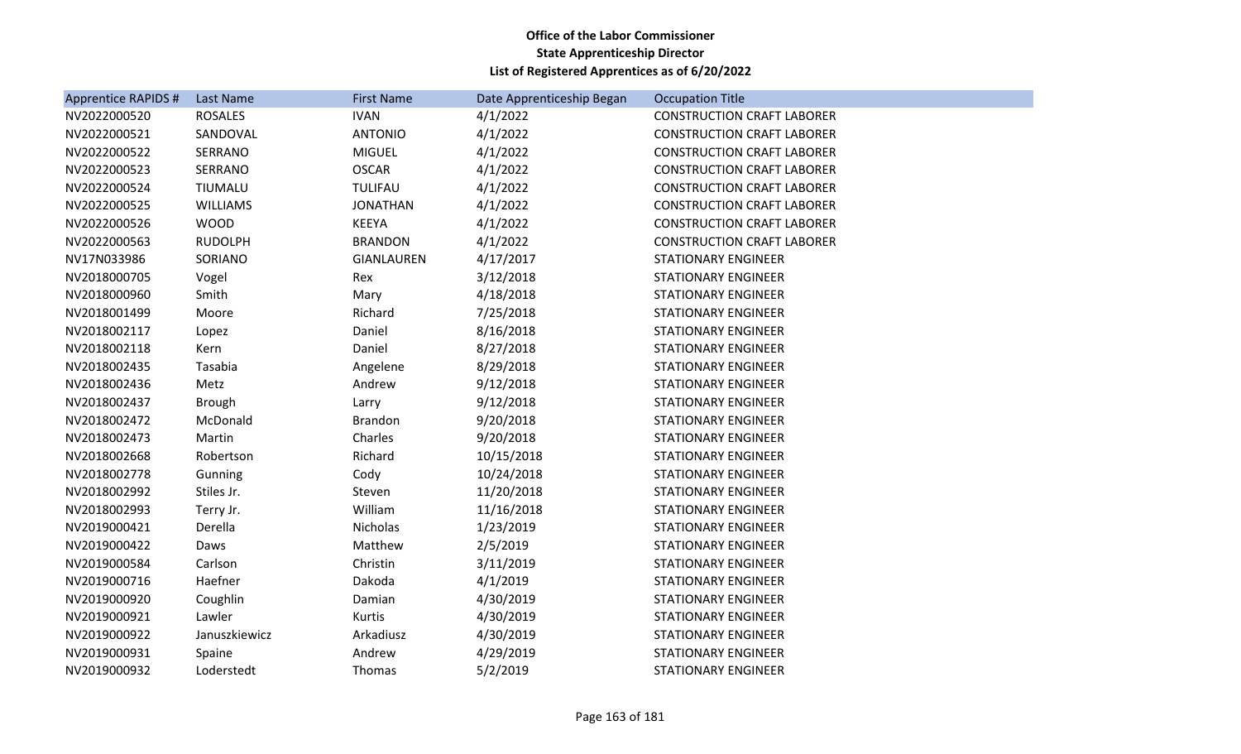| <b>Apprentice RAPIDS #</b> | Last Name       | <b>First Name</b> | Date Apprenticeship Began | <b>Occupation Title</b>           |
|----------------------------|-----------------|-------------------|---------------------------|-----------------------------------|
| NV2022000520               | <b>ROSALES</b>  | <b>IVAN</b>       | 4/1/2022                  | <b>CONSTRUCTION CRAFT LABORER</b> |
| NV2022000521               | SANDOVAL        | <b>ANTONIO</b>    | 4/1/2022                  | <b>CONSTRUCTION CRAFT LABORER</b> |
| NV2022000522               | SERRANO         | <b>MIGUEL</b>     | 4/1/2022                  | <b>CONSTRUCTION CRAFT LABORER</b> |
| NV2022000523               | SERRANO         | <b>OSCAR</b>      | 4/1/2022                  | <b>CONSTRUCTION CRAFT LABORER</b> |
| NV2022000524               | TIUMALU         | TULIFAU           | 4/1/2022                  | <b>CONSTRUCTION CRAFT LABORER</b> |
| NV2022000525               | <b>WILLIAMS</b> | <b>JONATHAN</b>   | 4/1/2022                  | <b>CONSTRUCTION CRAFT LABORER</b> |
| NV2022000526               | <b>WOOD</b>     | KEEYA             | 4/1/2022                  | <b>CONSTRUCTION CRAFT LABORER</b> |
| NV2022000563               | <b>RUDOLPH</b>  | <b>BRANDON</b>    | 4/1/2022                  | <b>CONSTRUCTION CRAFT LABORER</b> |
| NV17N033986                | SORIANO         | <b>GIANLAUREN</b> | 4/17/2017                 | <b>STATIONARY ENGINEER</b>        |
| NV2018000705               | Vogel           | Rex               | 3/12/2018                 | <b>STATIONARY ENGINEER</b>        |
| NV2018000960               | Smith           | Mary              | 4/18/2018                 | <b>STATIONARY ENGINEER</b>        |
| NV2018001499               | Moore           | Richard           | 7/25/2018                 | <b>STATIONARY ENGINEER</b>        |
| NV2018002117               | Lopez           | Daniel            | 8/16/2018                 | <b>STATIONARY ENGINEER</b>        |
| NV2018002118               | Kern            | Daniel            | 8/27/2018                 | <b>STATIONARY ENGINEER</b>        |
| NV2018002435               | Tasabia         | Angelene          | 8/29/2018                 | <b>STATIONARY ENGINEER</b>        |
| NV2018002436               | Metz            | Andrew            | 9/12/2018                 | <b>STATIONARY ENGINEER</b>        |
| NV2018002437               | <b>Brough</b>   | Larry             | 9/12/2018                 | <b>STATIONARY ENGINEER</b>        |
| NV2018002472               | McDonald        | Brandon           | 9/20/2018                 | <b>STATIONARY ENGINEER</b>        |
| NV2018002473               | Martin          | Charles           | 9/20/2018                 | <b>STATIONARY ENGINEER</b>        |
| NV2018002668               | Robertson       | Richard           | 10/15/2018                | <b>STATIONARY ENGINEER</b>        |
| NV2018002778               | Gunning         | Cody              | 10/24/2018                | <b>STATIONARY ENGINEER</b>        |
| NV2018002992               | Stiles Jr.      | Steven            | 11/20/2018                | <b>STATIONARY ENGINEER</b>        |
| NV2018002993               | Terry Jr.       | William           | 11/16/2018                | <b>STATIONARY ENGINEER</b>        |
| NV2019000421               | Derella         | Nicholas          | 1/23/2019                 | <b>STATIONARY ENGINEER</b>        |
| NV2019000422               | Daws            | Matthew           | 2/5/2019                  | <b>STATIONARY ENGINEER</b>        |
| NV2019000584               | Carlson         | Christin          | 3/11/2019                 | <b>STATIONARY ENGINEER</b>        |
| NV2019000716               | Haefner         | Dakoda            | 4/1/2019                  | <b>STATIONARY ENGINEER</b>        |
| NV2019000920               | Coughlin        | Damian            | 4/30/2019                 | <b>STATIONARY ENGINEER</b>        |
| NV2019000921               | Lawler          | Kurtis            | 4/30/2019                 | <b>STATIONARY ENGINEER</b>        |
| NV2019000922               | Januszkiewicz   | Arkadiusz         | 4/30/2019                 | <b>STATIONARY ENGINEER</b>        |
| NV2019000931               | Spaine          | Andrew            | 4/29/2019                 | <b>STATIONARY ENGINEER</b>        |
| NV2019000932               | Loderstedt      | Thomas            | 5/2/2019                  | <b>STATIONARY ENGINEER</b>        |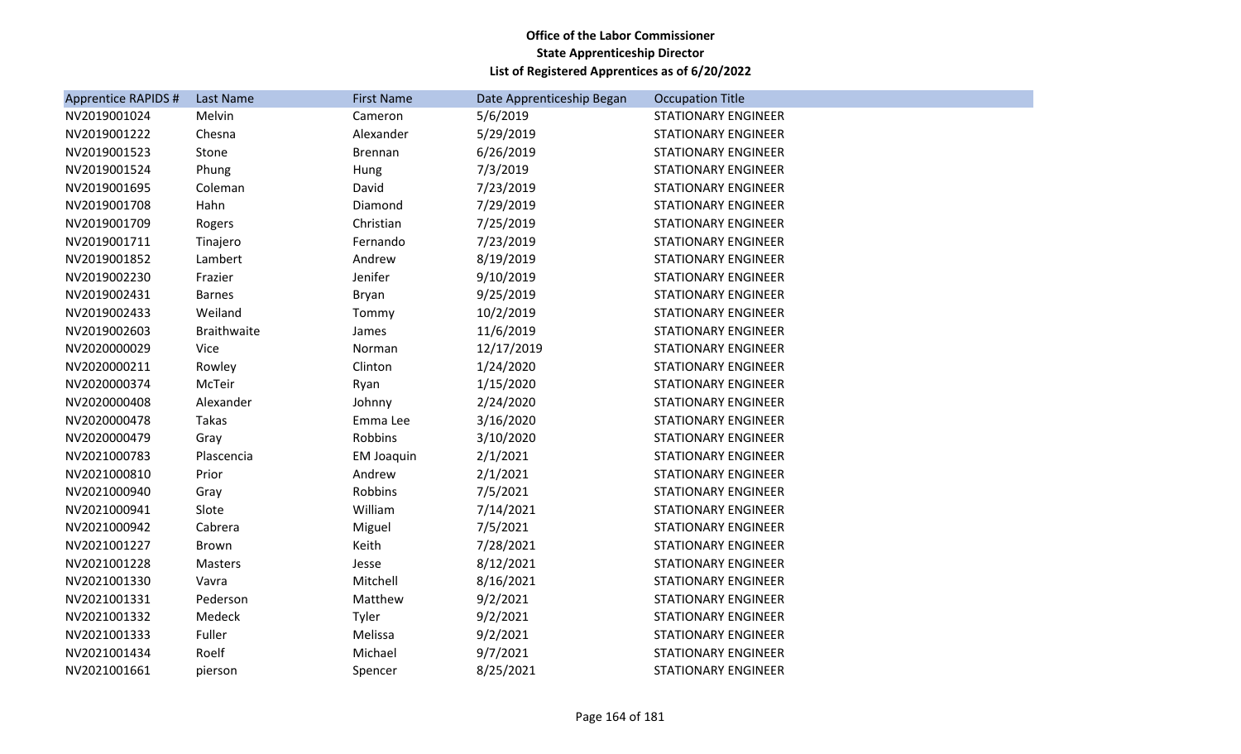| <b>Apprentice RAPIDS #</b> | Last Name          | <b>First Name</b> | Date Apprenticeship Began | <b>Occupation Title</b>    |
|----------------------------|--------------------|-------------------|---------------------------|----------------------------|
| NV2019001024               | Melvin             | Cameron           | 5/6/2019                  | <b>STATIONARY ENGINEER</b> |
| NV2019001222               | Chesna             | Alexander         | 5/29/2019                 | <b>STATIONARY ENGINEER</b> |
| NV2019001523               | Stone              | <b>Brennan</b>    | 6/26/2019                 | <b>STATIONARY ENGINEER</b> |
| NV2019001524               | Phung              | Hung              | 7/3/2019                  | <b>STATIONARY ENGINEER</b> |
| NV2019001695               | Coleman            | David             | 7/23/2019                 | <b>STATIONARY ENGINEER</b> |
| NV2019001708               | Hahn               | Diamond           | 7/29/2019                 | <b>STATIONARY ENGINEER</b> |
| NV2019001709               | Rogers             | Christian         | 7/25/2019                 | <b>STATIONARY ENGINEER</b> |
| NV2019001711               | Tinajero           | Fernando          | 7/23/2019                 | <b>STATIONARY ENGINEER</b> |
| NV2019001852               | Lambert            | Andrew            | 8/19/2019                 | <b>STATIONARY ENGINEER</b> |
| NV2019002230               | Frazier            | Jenifer           | 9/10/2019                 | <b>STATIONARY ENGINEER</b> |
| NV2019002431               | <b>Barnes</b>      | Bryan             | 9/25/2019                 | <b>STATIONARY ENGINEER</b> |
| NV2019002433               | Weiland            | Tommy             | 10/2/2019                 | <b>STATIONARY ENGINEER</b> |
| NV2019002603               | <b>Braithwaite</b> | James             | 11/6/2019                 | <b>STATIONARY ENGINEER</b> |
| NV2020000029               | <b>Vice</b>        | Norman            | 12/17/2019                | <b>STATIONARY ENGINEER</b> |
| NV2020000211               | Rowley             | Clinton           | 1/24/2020                 | <b>STATIONARY ENGINEER</b> |
| NV2020000374               | McTeir             | Ryan              | 1/15/2020                 | <b>STATIONARY ENGINEER</b> |
| NV2020000408               | Alexander          | Johnny            | 2/24/2020                 | <b>STATIONARY ENGINEER</b> |
| NV2020000478               | Takas              | Emma Lee          | 3/16/2020                 | <b>STATIONARY ENGINEER</b> |
| NV2020000479               | Gray               | Robbins           | 3/10/2020                 | <b>STATIONARY ENGINEER</b> |
| NV2021000783               | Plascencia         | <b>EM Joaquin</b> | 2/1/2021                  | <b>STATIONARY ENGINEER</b> |
| NV2021000810               | Prior              | Andrew            | 2/1/2021                  | <b>STATIONARY ENGINEER</b> |
| NV2021000940               | Gray               | Robbins           | 7/5/2021                  | <b>STATIONARY ENGINEER</b> |
| NV2021000941               | Slote              | William           | 7/14/2021                 | <b>STATIONARY ENGINEER</b> |
| NV2021000942               | Cabrera            | Miguel            | 7/5/2021                  | <b>STATIONARY ENGINEER</b> |
| NV2021001227               | Brown              | Keith             | 7/28/2021                 | <b>STATIONARY ENGINEER</b> |
| NV2021001228               | Masters            | Jesse             | 8/12/2021                 | <b>STATIONARY ENGINEER</b> |
| NV2021001330               | Vavra              | Mitchell          | 8/16/2021                 | <b>STATIONARY ENGINEER</b> |
| NV2021001331               | Pederson           | Matthew           | 9/2/2021                  | <b>STATIONARY ENGINEER</b> |
| NV2021001332               | Medeck             | Tyler             | 9/2/2021                  | <b>STATIONARY ENGINEER</b> |
| NV2021001333               | Fuller             | Melissa           | 9/2/2021                  | <b>STATIONARY ENGINEER</b> |
| NV2021001434               | Roelf              | Michael           | 9/7/2021                  | <b>STATIONARY ENGINEER</b> |
| NV2021001661               | pierson            | Spencer           | 8/25/2021                 | <b>STATIONARY ENGINEER</b> |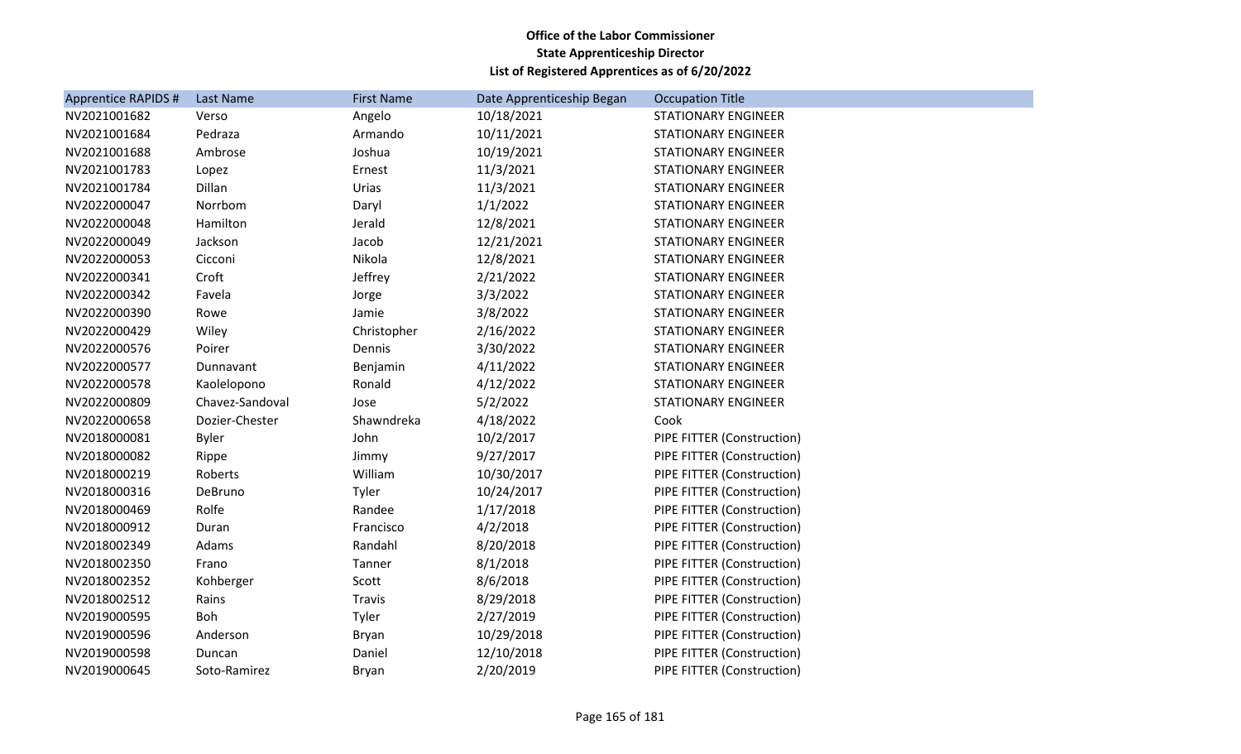| <b>Apprentice RAPIDS #</b> | Last Name       | <b>First Name</b> | Date Apprenticeship Began | <b>Occupation Title</b>    |
|----------------------------|-----------------|-------------------|---------------------------|----------------------------|
| NV2021001682               | Verso           | Angelo            | 10/18/2021                | <b>STATIONARY ENGINEER</b> |
| NV2021001684               | Pedraza         | Armando           | 10/11/2021                | <b>STATIONARY ENGINEER</b> |
| NV2021001688               | Ambrose         | Joshua            | 10/19/2021                | <b>STATIONARY ENGINEER</b> |
| NV2021001783               | Lopez           | Ernest            | 11/3/2021                 | <b>STATIONARY ENGINEER</b> |
| NV2021001784               | Dillan          | Urias             | 11/3/2021                 | <b>STATIONARY ENGINEER</b> |
| NV2022000047               | Norrbom         | Daryl             | 1/1/2022                  | <b>STATIONARY ENGINEER</b> |
| NV2022000048               | Hamilton        | Jerald            | 12/8/2021                 | <b>STATIONARY ENGINEER</b> |
| NV2022000049               | Jackson         | Jacob             | 12/21/2021                | <b>STATIONARY ENGINEER</b> |
| NV2022000053               | Cicconi         | Nikola            | 12/8/2021                 | <b>STATIONARY ENGINEER</b> |
| NV2022000341               | Croft           | Jeffrey           | 2/21/2022                 | <b>STATIONARY ENGINEER</b> |
| NV2022000342               | Favela          | Jorge             | 3/3/2022                  | <b>STATIONARY ENGINEER</b> |
| NV2022000390               | Rowe            | Jamie             | 3/8/2022                  | <b>STATIONARY ENGINEER</b> |
| NV2022000429               | Wiley           | Christopher       | 2/16/2022                 | <b>STATIONARY ENGINEER</b> |
| NV2022000576               | Poirer          | Dennis            | 3/30/2022                 | <b>STATIONARY ENGINEER</b> |
| NV2022000577               | Dunnavant       | Benjamin          | 4/11/2022                 | <b>STATIONARY ENGINEER</b> |
| NV2022000578               | Kaolelopono     | Ronald            | 4/12/2022                 | STATIONARY ENGINEER        |
| NV2022000809               | Chavez-Sandoval | Jose              | 5/2/2022                  | <b>STATIONARY ENGINEER</b> |
| NV2022000658               | Dozier-Chester  | Shawndreka        | 4/18/2022                 | Cook                       |
| NV2018000081               | <b>Byler</b>    | John              | 10/2/2017                 | PIPE FITTER (Construction) |
| NV2018000082               | Rippe           | Jimmy             | 9/27/2017                 | PIPE FITTER (Construction) |
| NV2018000219               | Roberts         | William           | 10/30/2017                | PIPE FITTER (Construction) |
| NV2018000316               | DeBruno         | Tyler             | 10/24/2017                | PIPE FITTER (Construction) |
| NV2018000469               | Rolfe           | Randee            | 1/17/2018                 | PIPE FITTER (Construction) |
| NV2018000912               | Duran           | Francisco         | 4/2/2018                  | PIPE FITTER (Construction) |
| NV2018002349               | Adams           | Randahl           | 8/20/2018                 | PIPE FITTER (Construction) |
| NV2018002350               | Frano           | Tanner            | 8/1/2018                  | PIPE FITTER (Construction) |
| NV2018002352               | Kohberger       | Scott             | 8/6/2018                  | PIPE FITTER (Construction) |
| NV2018002512               | Rains           | Travis            | 8/29/2018                 | PIPE FITTER (Construction) |
| NV2019000595               | Boh             | Tyler             | 2/27/2019                 | PIPE FITTER (Construction) |
| NV2019000596               | Anderson        | Bryan             | 10/29/2018                | PIPE FITTER (Construction) |
| NV2019000598               | Duncan          | Daniel            | 12/10/2018                | PIPE FITTER (Construction) |
| NV2019000645               | Soto-Ramirez    | <b>Bryan</b>      | 2/20/2019                 | PIPE FITTER (Construction) |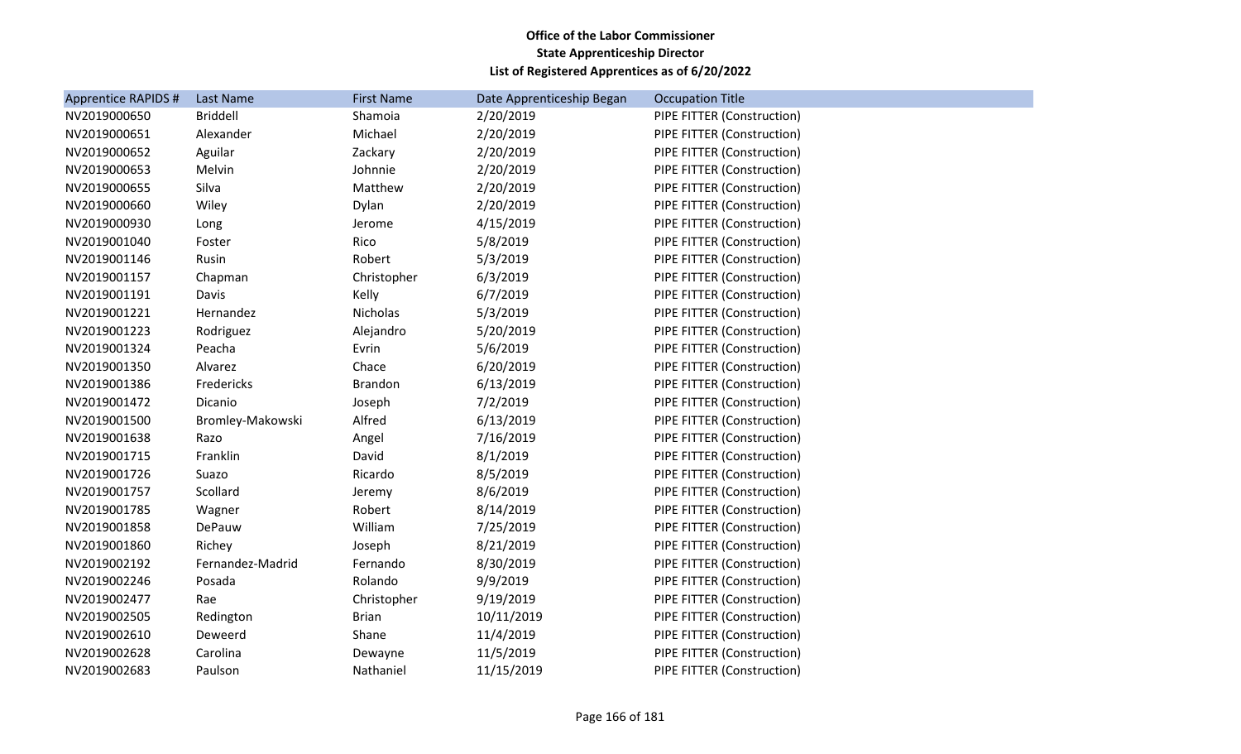| <b>Apprentice RAPIDS #</b> | Last Name        | <b>First Name</b> | Date Apprenticeship Began | <b>Occupation Title</b>    |
|----------------------------|------------------|-------------------|---------------------------|----------------------------|
| NV2019000650               | <b>Briddell</b>  | Shamoia           | 2/20/2019                 | PIPE FITTER (Construction) |
| NV2019000651               | Alexander        | Michael           | 2/20/2019                 | PIPE FITTER (Construction) |
| NV2019000652               | Aguilar          | Zackary           | 2/20/2019                 | PIPE FITTER (Construction) |
| NV2019000653               | Melvin           | Johnnie           | 2/20/2019                 | PIPE FITTER (Construction) |
| NV2019000655               | Silva            | Matthew           | 2/20/2019                 | PIPE FITTER (Construction) |
| NV2019000660               | Wiley            | Dylan             | 2/20/2019                 | PIPE FITTER (Construction) |
| NV2019000930               | Long             | Jerome            | 4/15/2019                 | PIPE FITTER (Construction) |
| NV2019001040               | Foster           | Rico              | 5/8/2019                  | PIPE FITTER (Construction) |
| NV2019001146               | Rusin            | Robert            | 5/3/2019                  | PIPE FITTER (Construction) |
| NV2019001157               | Chapman          | Christopher       | 6/3/2019                  | PIPE FITTER (Construction) |
| NV2019001191               | Davis            | Kelly             | 6/7/2019                  | PIPE FITTER (Construction) |
| NV2019001221               | Hernandez        | Nicholas          | 5/3/2019                  | PIPE FITTER (Construction) |
| NV2019001223               | Rodriguez        | Alejandro         | 5/20/2019                 | PIPE FITTER (Construction) |
| NV2019001324               | Peacha           | Evrin             | 5/6/2019                  | PIPE FITTER (Construction) |
| NV2019001350               | Alvarez          | Chace             | 6/20/2019                 | PIPE FITTER (Construction) |
| NV2019001386               | Fredericks       | Brandon           | 6/13/2019                 | PIPE FITTER (Construction) |
| NV2019001472               | Dicanio          | Joseph            | 7/2/2019                  | PIPE FITTER (Construction) |
| NV2019001500               | Bromley-Makowski | Alfred            | 6/13/2019                 | PIPE FITTER (Construction) |
| NV2019001638               | Razo             | Angel             | 7/16/2019                 | PIPE FITTER (Construction) |
| NV2019001715               | Franklin         | David             | 8/1/2019                  | PIPE FITTER (Construction) |
| NV2019001726               | Suazo            | Ricardo           | 8/5/2019                  | PIPE FITTER (Construction) |
| NV2019001757               | Scollard         | Jeremy            | 8/6/2019                  | PIPE FITTER (Construction) |
| NV2019001785               | Wagner           | Robert            | 8/14/2019                 | PIPE FITTER (Construction) |
| NV2019001858               | DePauw           | William           | 7/25/2019                 | PIPE FITTER (Construction) |
| NV2019001860               | Richey           | Joseph            | 8/21/2019                 | PIPE FITTER (Construction) |
| NV2019002192               | Fernandez-Madrid | Fernando          | 8/30/2019                 | PIPE FITTER (Construction) |
| NV2019002246               | Posada           | Rolando           | 9/9/2019                  | PIPE FITTER (Construction) |
| NV2019002477               | Rae              | Christopher       | 9/19/2019                 | PIPE FITTER (Construction) |
| NV2019002505               | Redington        | <b>Brian</b>      | 10/11/2019                | PIPE FITTER (Construction) |
| NV2019002610               | Deweerd          | Shane             | 11/4/2019                 | PIPE FITTER (Construction) |
| NV2019002628               | Carolina         | Dewayne           | 11/5/2019                 | PIPE FITTER (Construction) |
| NV2019002683               | Paulson          | Nathaniel         | 11/15/2019                | PIPE FITTER (Construction) |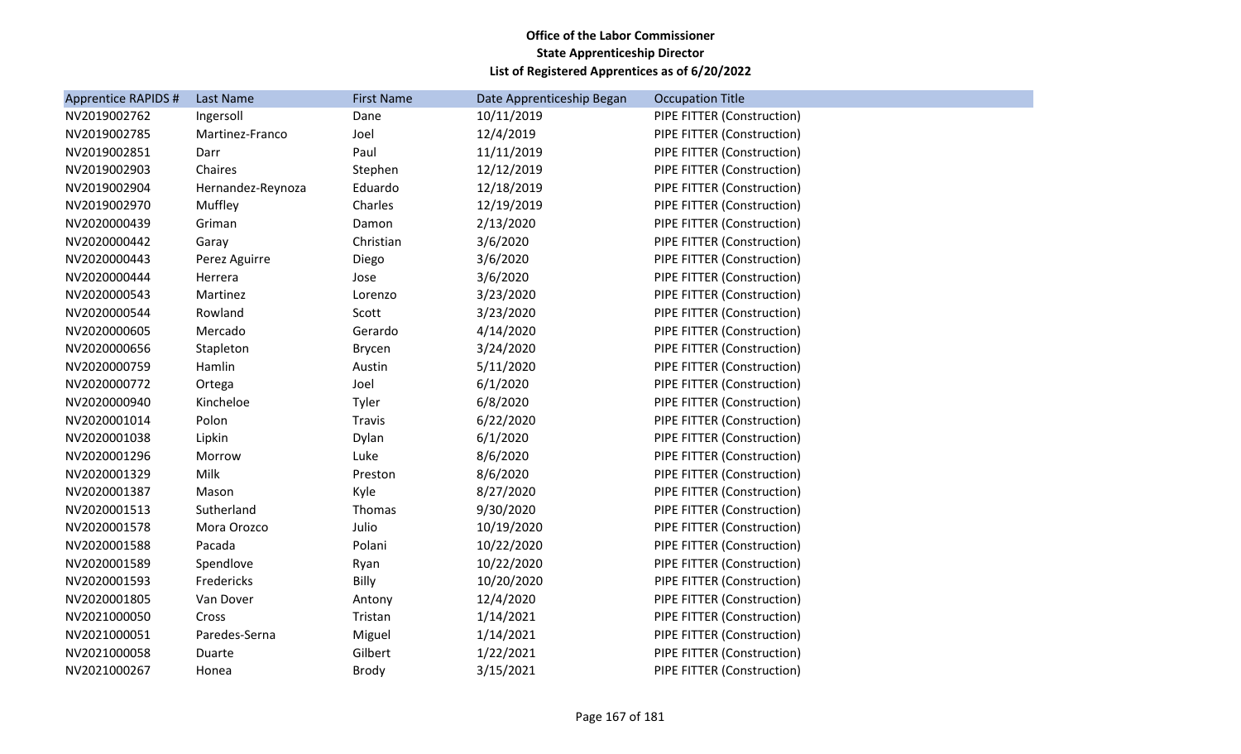| <b>Apprentice RAPIDS #</b> | Last Name         | <b>First Name</b> | Date Apprenticeship Began | <b>Occupation Title</b>    |
|----------------------------|-------------------|-------------------|---------------------------|----------------------------|
| NV2019002762               | Ingersoll         | Dane              | 10/11/2019                | PIPE FITTER (Construction) |
| NV2019002785               | Martinez-Franco   | Joel              | 12/4/2019                 | PIPE FITTER (Construction) |
| NV2019002851               | Darr              | Paul              | 11/11/2019                | PIPE FITTER (Construction) |
| NV2019002903               | Chaires           | Stephen           | 12/12/2019                | PIPE FITTER (Construction) |
| NV2019002904               | Hernandez-Reynoza | Eduardo           | 12/18/2019                | PIPE FITTER (Construction) |
| NV2019002970               | Muffley           | Charles           | 12/19/2019                | PIPE FITTER (Construction) |
| NV2020000439               | Griman            | Damon             | 2/13/2020                 | PIPE FITTER (Construction) |
| NV2020000442               | Garay             | Christian         | 3/6/2020                  | PIPE FITTER (Construction) |
| NV2020000443               | Perez Aguirre     | Diego             | 3/6/2020                  | PIPE FITTER (Construction) |
| NV2020000444               | Herrera           | Jose              | 3/6/2020                  | PIPE FITTER (Construction) |
| NV2020000543               | Martinez          | Lorenzo           | 3/23/2020                 | PIPE FITTER (Construction) |
| NV2020000544               | Rowland           | Scott             | 3/23/2020                 | PIPE FITTER (Construction) |
| NV2020000605               | Mercado           | Gerardo           | 4/14/2020                 | PIPE FITTER (Construction) |
| NV2020000656               | Stapleton         | Brycen            | 3/24/2020                 | PIPE FITTER (Construction) |
| NV2020000759               | Hamlin            | Austin            | 5/11/2020                 | PIPE FITTER (Construction) |
| NV2020000772               | Ortega            | Joel              | 6/1/2020                  | PIPE FITTER (Construction) |
| NV2020000940               | Kincheloe         | Tyler             | 6/8/2020                  | PIPE FITTER (Construction) |
| NV2020001014               | Polon             | Travis            | 6/22/2020                 | PIPE FITTER (Construction) |
| NV2020001038               | Lipkin            | Dylan             | 6/1/2020                  | PIPE FITTER (Construction) |
| NV2020001296               | Morrow            | Luke              | 8/6/2020                  | PIPE FITTER (Construction) |
| NV2020001329               | Milk              | Preston           | 8/6/2020                  | PIPE FITTER (Construction) |
| NV2020001387               | Mason             | Kyle              | 8/27/2020                 | PIPE FITTER (Construction) |
| NV2020001513               | Sutherland        | Thomas            | 9/30/2020                 | PIPE FITTER (Construction) |
| NV2020001578               | Mora Orozco       | Julio             | 10/19/2020                | PIPE FITTER (Construction) |
| NV2020001588               | Pacada            | Polani            | 10/22/2020                | PIPE FITTER (Construction) |
| NV2020001589               | Spendlove         | Ryan              | 10/22/2020                | PIPE FITTER (Construction) |
| NV2020001593               | Fredericks        | Billy             | 10/20/2020                | PIPE FITTER (Construction) |
| NV2020001805               | Van Dover         | Antony            | 12/4/2020                 | PIPE FITTER (Construction) |
| NV2021000050               | Cross             | Tristan           | 1/14/2021                 | PIPE FITTER (Construction) |
| NV2021000051               | Paredes-Serna     | Miguel            | 1/14/2021                 | PIPE FITTER (Construction) |
| NV2021000058               | Duarte            | Gilbert           | 1/22/2021                 | PIPE FITTER (Construction) |
| NV2021000267               | Honea             | <b>Brody</b>      | 3/15/2021                 | PIPE FITTER (Construction) |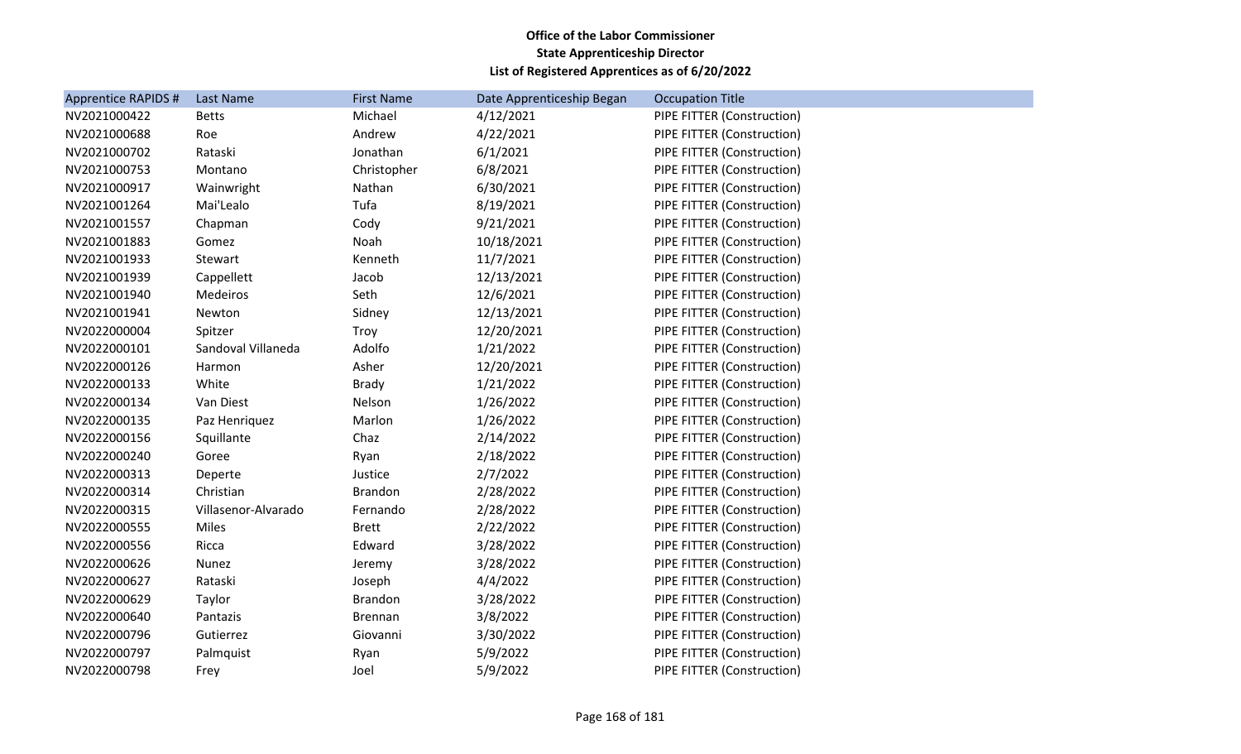| <b>Apprentice RAPIDS #</b> | Last Name           | <b>First Name</b> | Date Apprenticeship Began | <b>Occupation Title</b>    |
|----------------------------|---------------------|-------------------|---------------------------|----------------------------|
| NV2021000422               | <b>Betts</b>        | Michael           | 4/12/2021                 | PIPE FITTER (Construction) |
| NV2021000688               | Roe                 | Andrew            | 4/22/2021                 | PIPE FITTER (Construction) |
| NV2021000702               | Rataski             | Jonathan          | 6/1/2021                  | PIPE FITTER (Construction) |
| NV2021000753               | Montano             | Christopher       | 6/8/2021                  | PIPE FITTER (Construction) |
| NV2021000917               | Wainwright          | Nathan            | 6/30/2021                 | PIPE FITTER (Construction) |
| NV2021001264               | Mai'Lealo           | Tufa              | 8/19/2021                 | PIPE FITTER (Construction) |
| NV2021001557               | Chapman             | Cody              | 9/21/2021                 | PIPE FITTER (Construction) |
| NV2021001883               | Gomez               | Noah              | 10/18/2021                | PIPE FITTER (Construction) |
| NV2021001933               | Stewart             | Kenneth           | 11/7/2021                 | PIPE FITTER (Construction) |
| NV2021001939               | Cappellett          | Jacob             | 12/13/2021                | PIPE FITTER (Construction) |
| NV2021001940               | Medeiros            | Seth              | 12/6/2021                 | PIPE FITTER (Construction) |
| NV2021001941               | Newton              | Sidney            | 12/13/2021                | PIPE FITTER (Construction) |
| NV2022000004               | Spitzer             | Troy              | 12/20/2021                | PIPE FITTER (Construction) |
| NV2022000101               | Sandoval Villaneda  | Adolfo            | 1/21/2022                 | PIPE FITTER (Construction) |
| NV2022000126               | Harmon              | Asher             | 12/20/2021                | PIPE FITTER (Construction) |
| NV2022000133               | White               | <b>Brady</b>      | 1/21/2022                 | PIPE FITTER (Construction) |
| NV2022000134               | Van Diest           | Nelson            | 1/26/2022                 | PIPE FITTER (Construction) |
| NV2022000135               | Paz Henriquez       | Marlon            | 1/26/2022                 | PIPE FITTER (Construction) |
| NV2022000156               | Squillante          | Chaz              | 2/14/2022                 | PIPE FITTER (Construction) |
| NV2022000240               | Goree               | Ryan              | 2/18/2022                 | PIPE FITTER (Construction) |
| NV2022000313               | Deperte             | Justice           | 2/7/2022                  | PIPE FITTER (Construction) |
| NV2022000314               | Christian           | <b>Brandon</b>    | 2/28/2022                 | PIPE FITTER (Construction) |
| NV2022000315               | Villasenor-Alvarado | Fernando          | 2/28/2022                 | PIPE FITTER (Construction) |
| NV2022000555               | Miles               | <b>Brett</b>      | 2/22/2022                 | PIPE FITTER (Construction) |
| NV2022000556               | Ricca               | Edward            | 3/28/2022                 | PIPE FITTER (Construction) |
| NV2022000626               | Nunez               | Jeremy            | 3/28/2022                 | PIPE FITTER (Construction) |
| NV2022000627               | Rataski             | Joseph            | 4/4/2022                  | PIPE FITTER (Construction) |
| NV2022000629               | Taylor              | <b>Brandon</b>    | 3/28/2022                 | PIPE FITTER (Construction) |
| NV2022000640               | Pantazis            | <b>Brennan</b>    | 3/8/2022                  | PIPE FITTER (Construction) |
| NV2022000796               | Gutierrez           | Giovanni          | 3/30/2022                 | PIPE FITTER (Construction) |
| NV2022000797               | Palmquist           | Ryan              | 5/9/2022                  | PIPE FITTER (Construction) |
| NV2022000798               | Frey                | Joel              | 5/9/2022                  | PIPE FITTER (Construction) |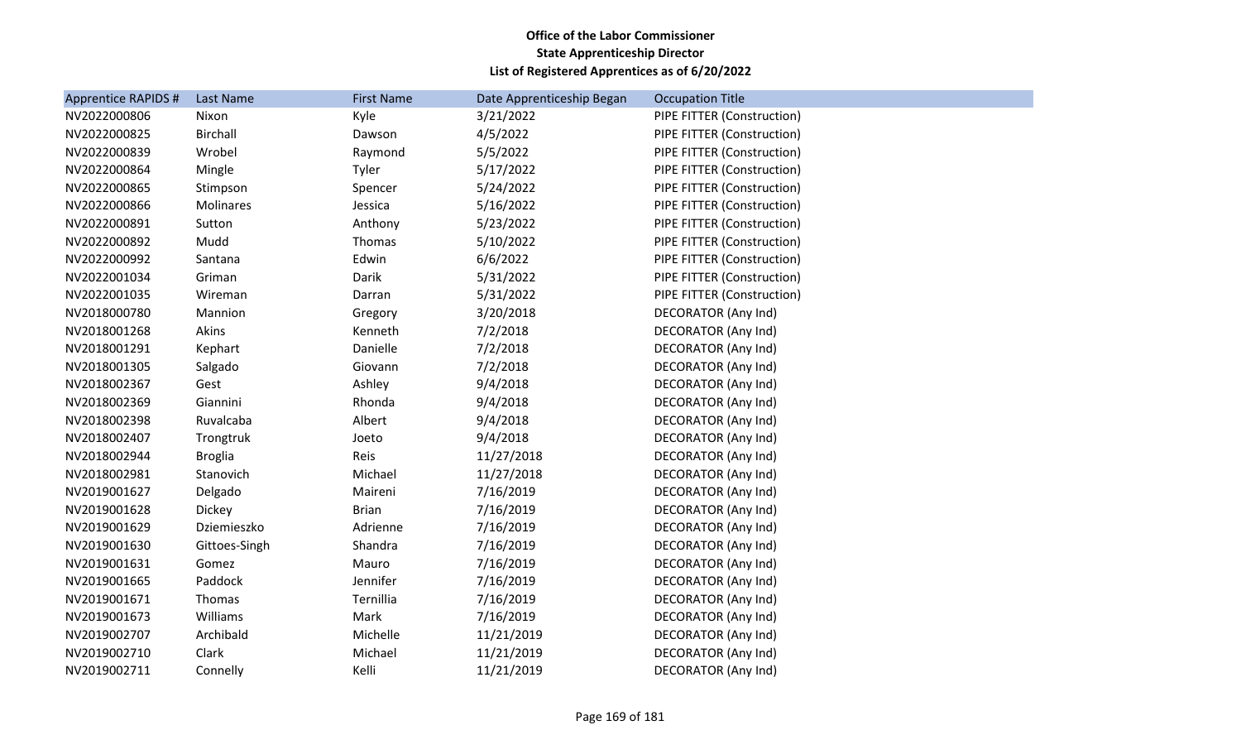| <b>Apprentice RAPIDS #</b> | Last Name       | <b>First Name</b> | Date Apprenticeship Began | <b>Occupation Title</b>    |
|----------------------------|-----------------|-------------------|---------------------------|----------------------------|
| NV2022000806               | Nixon           | Kyle              | 3/21/2022                 | PIPE FITTER (Construction) |
| NV2022000825               | <b>Birchall</b> | Dawson            | 4/5/2022                  | PIPE FITTER (Construction) |
| NV2022000839               | Wrobel          | Raymond           | 5/5/2022                  | PIPE FITTER (Construction) |
| NV2022000864               | Mingle          | Tyler             | 5/17/2022                 | PIPE FITTER (Construction) |
| NV2022000865               | Stimpson        | Spencer           | 5/24/2022                 | PIPE FITTER (Construction) |
| NV2022000866               | Molinares       | Jessica           | 5/16/2022                 | PIPE FITTER (Construction) |
| NV2022000891               | Sutton          | Anthony           | 5/23/2022                 | PIPE FITTER (Construction) |
| NV2022000892               | Mudd            | Thomas            | 5/10/2022                 | PIPE FITTER (Construction) |
| NV2022000992               | Santana         | Edwin             | 6/6/2022                  | PIPE FITTER (Construction) |
| NV2022001034               | Griman          | Darik             | 5/31/2022                 | PIPE FITTER (Construction) |
| NV2022001035               | Wireman         | Darran            | 5/31/2022                 | PIPE FITTER (Construction) |
| NV2018000780               | Mannion         | Gregory           | 3/20/2018                 | DECORATOR (Any Ind)        |
| NV2018001268               | Akins           | Kenneth           | 7/2/2018                  | <b>DECORATOR (Any Ind)</b> |
| NV2018001291               | Kephart         | Danielle          | 7/2/2018                  | DECORATOR (Any Ind)        |
| NV2018001305               | Salgado         | Giovann           | 7/2/2018                  | <b>DECORATOR (Any Ind)</b> |
| NV2018002367               | Gest            | Ashley            | 9/4/2018                  | <b>DECORATOR (Any Ind)</b> |
| NV2018002369               | Giannini        | Rhonda            | 9/4/2018                  | <b>DECORATOR (Any Ind)</b> |
| NV2018002398               | Ruvalcaba       | Albert            | 9/4/2018                  | DECORATOR (Any Ind)        |
| NV2018002407               | Trongtruk       | Joeto             | 9/4/2018                  | DECORATOR (Any Ind)        |
| NV2018002944               | <b>Broglia</b>  | Reis              | 11/27/2018                | <b>DECORATOR (Any Ind)</b> |
| NV2018002981               | Stanovich       | Michael           | 11/27/2018                | DECORATOR (Any Ind)        |
| NV2019001627               | Delgado         | Maireni           | 7/16/2019                 | <b>DECORATOR (Any Ind)</b> |
| NV2019001628               | Dickey          | <b>Brian</b>      | 7/16/2019                 | DECORATOR (Any Ind)        |
| NV2019001629               | Dziemieszko     | Adrienne          | 7/16/2019                 | <b>DECORATOR (Any Ind)</b> |
| NV2019001630               | Gittoes-Singh   | Shandra           | 7/16/2019                 | DECORATOR (Any Ind)        |
| NV2019001631               | Gomez           | Mauro             | 7/16/2019                 | <b>DECORATOR (Any Ind)</b> |
| NV2019001665               | Paddock         | Jennifer          | 7/16/2019                 | DECORATOR (Any Ind)        |
| NV2019001671               | Thomas          | Ternillia         | 7/16/2019                 | <b>DECORATOR (Any Ind)</b> |
| NV2019001673               | Williams        | Mark              | 7/16/2019                 | DECORATOR (Any Ind)        |
| NV2019002707               | Archibald       | Michelle          | 11/21/2019                | <b>DECORATOR (Any Ind)</b> |
| NV2019002710               | Clark           | Michael           | 11/21/2019                | <b>DECORATOR (Any Ind)</b> |
| NV2019002711               | Connelly        | Kelli             | 11/21/2019                | <b>DECORATOR (Any Ind)</b> |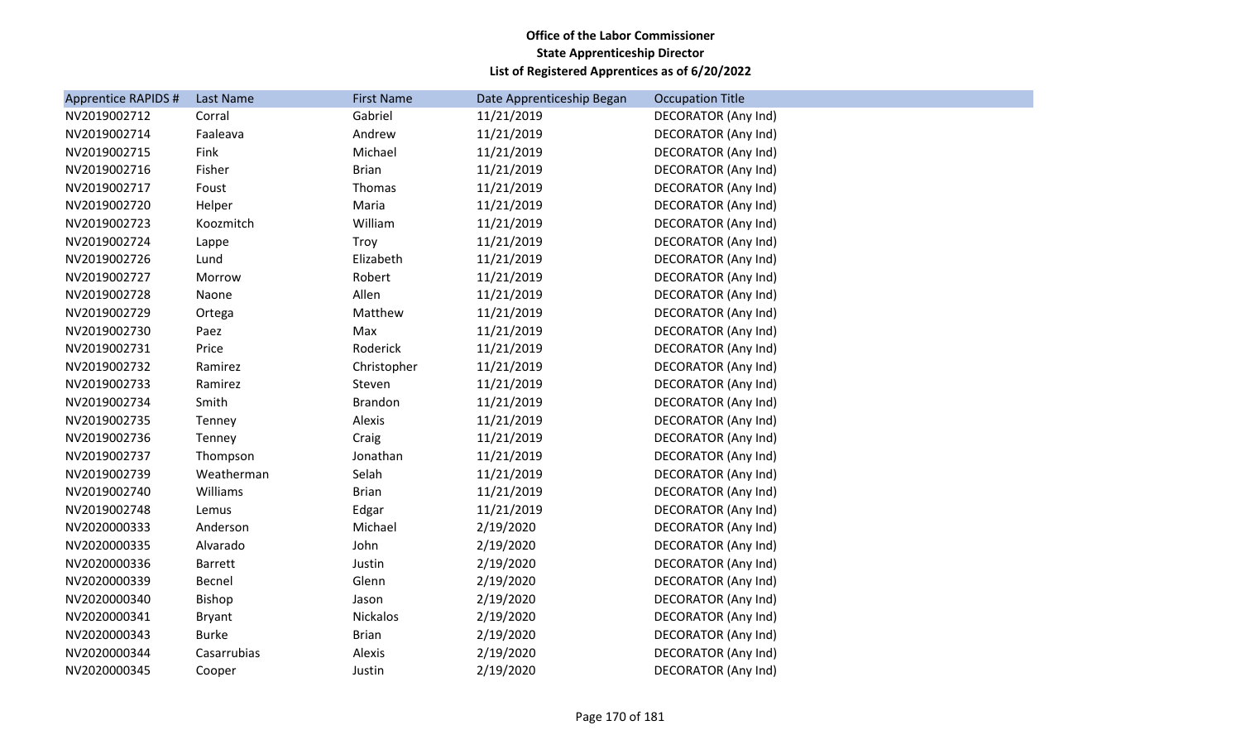| Apprentice RAPIDS # | Last Name      | <b>First Name</b> | Date Apprenticeship Began | <b>Occupation Title</b>    |
|---------------------|----------------|-------------------|---------------------------|----------------------------|
| NV2019002712        | Corral         | Gabriel           | 11/21/2019                | DECORATOR (Any Ind)        |
| NV2019002714        | Faaleava       | Andrew            | 11/21/2019                | DECORATOR (Any Ind)        |
| NV2019002715        | Fink           | Michael           | 11/21/2019                | <b>DECORATOR (Any Ind)</b> |
| NV2019002716        | Fisher         | <b>Brian</b>      | 11/21/2019                | <b>DECORATOR (Any Ind)</b> |
| NV2019002717        | Foust          | Thomas            | 11/21/2019                | DECORATOR (Any Ind)        |
| NV2019002720        | Helper         | Maria             | 11/21/2019                | <b>DECORATOR (Any Ind)</b> |
| NV2019002723        | Koozmitch      | William           | 11/21/2019                | <b>DECORATOR (Any Ind)</b> |
| NV2019002724        | Lappe          | Troy              | 11/21/2019                | DECORATOR (Any Ind)        |
| NV2019002726        | Lund           | Elizabeth         | 11/21/2019                | DECORATOR (Any Ind)        |
| NV2019002727        | Morrow         | Robert            | 11/21/2019                | <b>DECORATOR (Any Ind)</b> |
| NV2019002728        | Naone          | Allen             | 11/21/2019                | DECORATOR (Any Ind)        |
| NV2019002729        | Ortega         | Matthew           | 11/21/2019                | DECORATOR (Any Ind)        |
| NV2019002730        | Paez           | Max               | 11/21/2019                | DECORATOR (Any Ind)        |
| NV2019002731        | Price          | Roderick          | 11/21/2019                | <b>DECORATOR (Any Ind)</b> |
| NV2019002732        | Ramirez        | Christopher       | 11/21/2019                | <b>DECORATOR (Any Ind)</b> |
| NV2019002733        | Ramirez        | Steven            | 11/21/2019                | <b>DECORATOR (Any Ind)</b> |
| NV2019002734        | Smith          | <b>Brandon</b>    | 11/21/2019                | <b>DECORATOR (Any Ind)</b> |
| NV2019002735        | Tenney         | Alexis            | 11/21/2019                | <b>DECORATOR (Any Ind)</b> |
| NV2019002736        | Tenney         | Craig             | 11/21/2019                | DECORATOR (Any Ind)        |
| NV2019002737        | Thompson       | Jonathan          | 11/21/2019                | <b>DECORATOR (Any Ind)</b> |
| NV2019002739        | Weatherman     | Selah             | 11/21/2019                | <b>DECORATOR (Any Ind)</b> |
| NV2019002740        | Williams       | <b>Brian</b>      | 11/21/2019                | DECORATOR (Any Ind)        |
| NV2019002748        | Lemus          | Edgar             | 11/21/2019                | DECORATOR (Any Ind)        |
| NV2020000333        | Anderson       | Michael           | 2/19/2020                 | <b>DECORATOR (Any Ind)</b> |
| NV2020000335        | Alvarado       | John              | 2/19/2020                 | <b>DECORATOR (Any Ind)</b> |
| NV2020000336        | <b>Barrett</b> | Justin            | 2/19/2020                 | DECORATOR (Any Ind)        |
| NV2020000339        | Becnel         | Glenn             | 2/19/2020                 | <b>DECORATOR (Any Ind)</b> |
| NV2020000340        | Bishop         | Jason             | 2/19/2020                 | <b>DECORATOR (Any Ind)</b> |
| NV2020000341        | <b>Bryant</b>  | Nickalos          | 2/19/2020                 | <b>DECORATOR (Any Ind)</b> |
| NV2020000343        | <b>Burke</b>   | <b>Brian</b>      | 2/19/2020                 | DECORATOR (Any Ind)        |
| NV2020000344        | Casarrubias    | Alexis            | 2/19/2020                 | <b>DECORATOR (Any Ind)</b> |
| NV2020000345        | Cooper         | Justin            | 2/19/2020                 | <b>DECORATOR (Any Ind)</b> |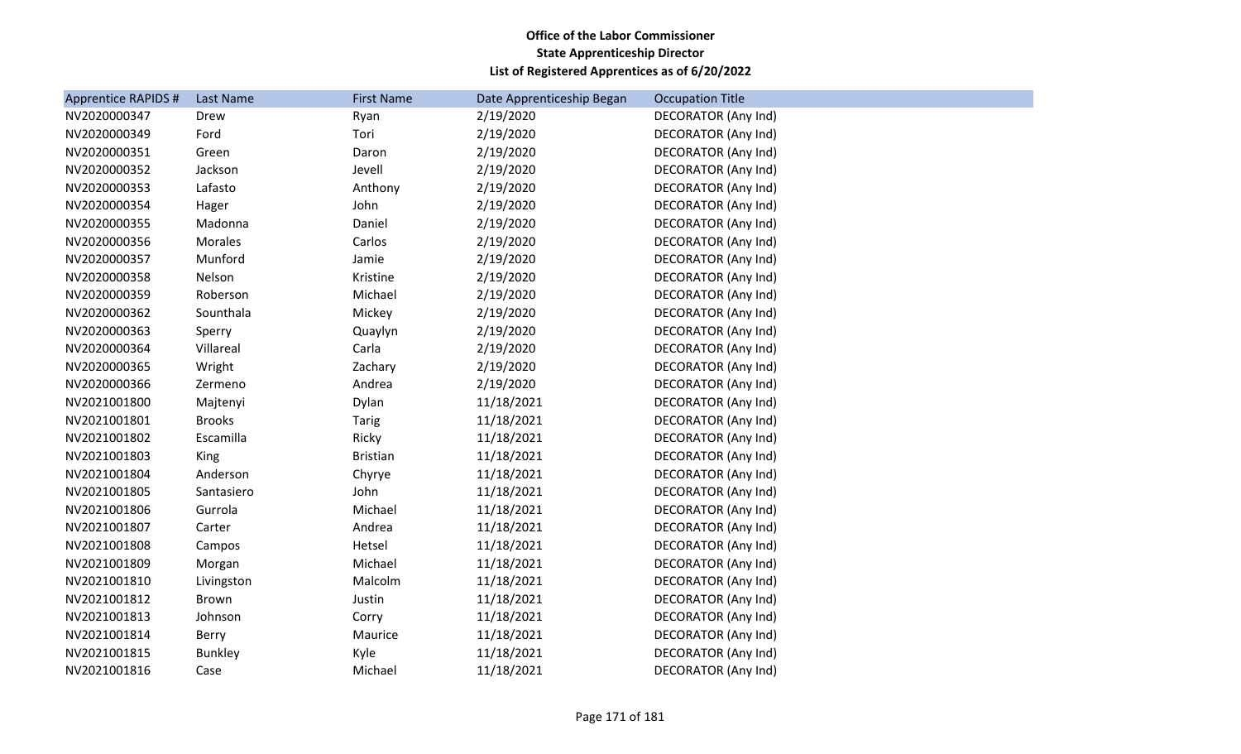| Apprentice RAPIDS # | Last Name      | <b>First Name</b> | Date Apprenticeship Began | <b>Occupation Title</b>    |
|---------------------|----------------|-------------------|---------------------------|----------------------------|
| NV2020000347        | Drew           | Ryan              | 2/19/2020                 | DECORATOR (Any Ind)        |
| NV2020000349        | Ford           | Tori              | 2/19/2020                 | DECORATOR (Any Ind)        |
| NV2020000351        | Green          | Daron             | 2/19/2020                 | DECORATOR (Any Ind)        |
| NV2020000352        | Jackson        | Jevell            | 2/19/2020                 | DECORATOR (Any Ind)        |
| NV2020000353        | Lafasto        | Anthony           | 2/19/2020                 | <b>DECORATOR (Any Ind)</b> |
| NV2020000354        | Hager          | John              | 2/19/2020                 | DECORATOR (Any Ind)        |
| NV2020000355        | Madonna        | Daniel            | 2/19/2020                 | DECORATOR (Any Ind)        |
| NV2020000356        | Morales        | Carlos            | 2/19/2020                 | DECORATOR (Any Ind)        |
| NV2020000357        | Munford        | Jamie             | 2/19/2020                 | DECORATOR (Any Ind)        |
| NV2020000358        | Nelson         | Kristine          | 2/19/2020                 | DECORATOR (Any Ind)        |
| NV2020000359        | Roberson       | Michael           | 2/19/2020                 | DECORATOR (Any Ind)        |
| NV2020000362        | Sounthala      | Mickey            | 2/19/2020                 | <b>DECORATOR (Any Ind)</b> |
| NV2020000363        | Sperry         | Quaylyn           | 2/19/2020                 | DECORATOR (Any Ind)        |
| NV2020000364        | Villareal      | Carla             | 2/19/2020                 | DECORATOR (Any Ind)        |
| NV2020000365        | Wright         | Zachary           | 2/19/2020                 | DECORATOR (Any Ind)        |
| NV2020000366        | Zermeno        | Andrea            | 2/19/2020                 | DECORATOR (Any Ind)        |
| NV2021001800        | Majtenyi       | Dylan             | 11/18/2021                | DECORATOR (Any Ind)        |
| NV2021001801        | <b>Brooks</b>  | <b>Tarig</b>      | 11/18/2021                | DECORATOR (Any Ind)        |
| NV2021001802        | Escamilla      | Ricky             | 11/18/2021                | DECORATOR (Any Ind)        |
| NV2021001803        | King           | <b>Bristian</b>   | 11/18/2021                | DECORATOR (Any Ind)        |
| NV2021001804        | Anderson       | Chyrye            | 11/18/2021                | <b>DECORATOR (Any Ind)</b> |
| NV2021001805        | Santasiero     | John              | 11/18/2021                | DECORATOR (Any Ind)        |
| NV2021001806        | Gurrola        | Michael           | 11/18/2021                | DECORATOR (Any Ind)        |
| NV2021001807        | Carter         | Andrea            | 11/18/2021                | DECORATOR (Any Ind)        |
| NV2021001808        | Campos         | Hetsel            | 11/18/2021                | <b>DECORATOR (Any Ind)</b> |
| NV2021001809        | Morgan         | Michael           | 11/18/2021                | DECORATOR (Any Ind)        |
| NV2021001810        | Livingston     | Malcolm           | 11/18/2021                | DECORATOR (Any Ind)        |
| NV2021001812        | Brown          | Justin            | 11/18/2021                | DECORATOR (Any Ind)        |
| NV2021001813        | Johnson        | Corry             | 11/18/2021                | DECORATOR (Any Ind)        |
| NV2021001814        | Berry          | Maurice           | 11/18/2021                | <b>DECORATOR (Any Ind)</b> |
| NV2021001815        | <b>Bunkley</b> | Kyle              | 11/18/2021                | DECORATOR (Any Ind)        |
| NV2021001816        | Case           | Michael           | 11/18/2021                | <b>DECORATOR (Any Ind)</b> |
|                     |                |                   |                           |                            |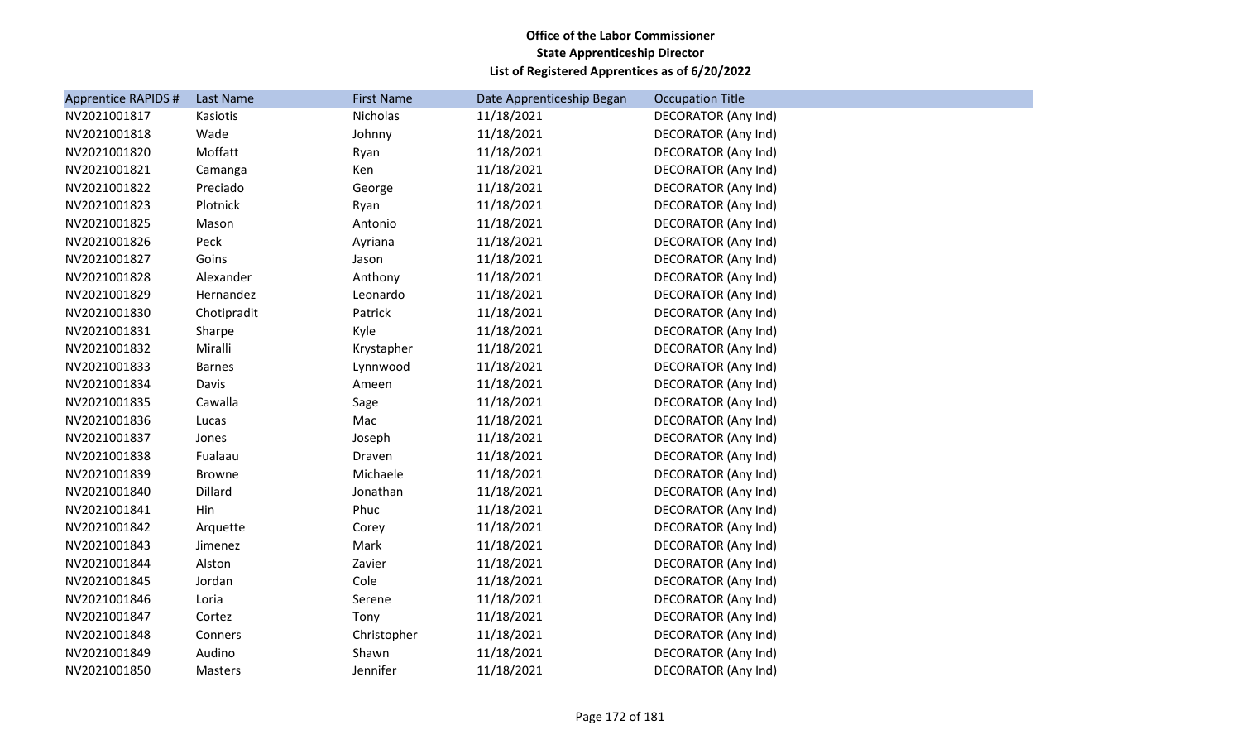| Apprentice RAPIDS # | Last Name     | <b>First Name</b> | Date Apprenticeship Began | <b>Occupation Title</b>    |
|---------------------|---------------|-------------------|---------------------------|----------------------------|
| NV2021001817        | Kasiotis      | Nicholas          | 11/18/2021                | <b>DECORATOR (Any Ind)</b> |
| NV2021001818        | Wade          | Johnny            | 11/18/2021                | <b>DECORATOR (Any Ind)</b> |
| NV2021001820        | Moffatt       | Ryan              | 11/18/2021                | <b>DECORATOR (Any Ind)</b> |
| NV2021001821        | Camanga       | Ken               | 11/18/2021                | DECORATOR (Any Ind)        |
| NV2021001822        | Preciado      | George            | 11/18/2021                | DECORATOR (Any Ind)        |
| NV2021001823        | Plotnick      | Ryan              | 11/18/2021                | <b>DECORATOR (Any Ind)</b> |
| NV2021001825        | Mason         | Antonio           | 11/18/2021                | <b>DECORATOR (Any Ind)</b> |
| NV2021001826        | Peck          | Ayriana           | 11/18/2021                | DECORATOR (Any Ind)        |
| NV2021001827        | Goins         | Jason             | 11/18/2021                | DECORATOR (Any Ind)        |
| NV2021001828        | Alexander     | Anthony           | 11/18/2021                | <b>DECORATOR (Any Ind)</b> |
| NV2021001829        | Hernandez     | Leonardo          | 11/18/2021                | <b>DECORATOR (Any Ind)</b> |
| NV2021001830        | Chotipradit   | Patrick           | 11/18/2021                | DECORATOR (Any Ind)        |
| NV2021001831        | Sharpe        | Kyle              | 11/18/2021                | DECORATOR (Any Ind)        |
| NV2021001832        | Miralli       | Krystapher        | 11/18/2021                | <b>DECORATOR (Any Ind)</b> |
| NV2021001833        | <b>Barnes</b> | Lynnwood          | 11/18/2021                | <b>DECORATOR (Any Ind)</b> |
| NV2021001834        | Davis         | Ameen             | 11/18/2021                | <b>DECORATOR (Any Ind)</b> |
| NV2021001835        | Cawalla       | Sage              | 11/18/2021                | <b>DECORATOR (Any Ind)</b> |
| NV2021001836        | Lucas         | Mac               | 11/18/2021                | <b>DECORATOR (Any Ind)</b> |
| NV2021001837        | Jones         | Joseph            | 11/18/2021                | DECORATOR (Any Ind)        |
| NV2021001838        | Fualaau       | Draven            | 11/18/2021                | DECORATOR (Any Ind)        |
| NV2021001839        | <b>Browne</b> | Michaele          | 11/18/2021                | <b>DECORATOR (Any Ind)</b> |
| NV2021001840        | Dillard       | Jonathan          | 11/18/2021                | DECORATOR (Any Ind)        |
| NV2021001841        | Hin           | Phuc              | 11/18/2021                | DECORATOR (Any Ind)        |
| NV2021001842        | Arquette      | Corey             | 11/18/2021                | <b>DECORATOR (Any Ind)</b> |
| NV2021001843        | Jimenez       | Mark              | 11/18/2021                | <b>DECORATOR (Any Ind)</b> |
| NV2021001844        | Alston        | Zavier            | 11/18/2021                | DECORATOR (Any Ind)        |
| NV2021001845        | Jordan        | Cole              | 11/18/2021                | DECORATOR (Any Ind)        |
| NV2021001846        | Loria         | Serene            | 11/18/2021                | <b>DECORATOR (Any Ind)</b> |
| NV2021001847        | Cortez        | Tony              | 11/18/2021                | <b>DECORATOR (Any Ind)</b> |
| NV2021001848        | Conners       | Christopher       | 11/18/2021                | <b>DECORATOR (Any Ind)</b> |
| NV2021001849        | Audino        | Shawn             | 11/18/2021                | DECORATOR (Any Ind)        |
| NV2021001850        | Masters       | Jennifer          | 11/18/2021                | <b>DECORATOR (Any Ind)</b> |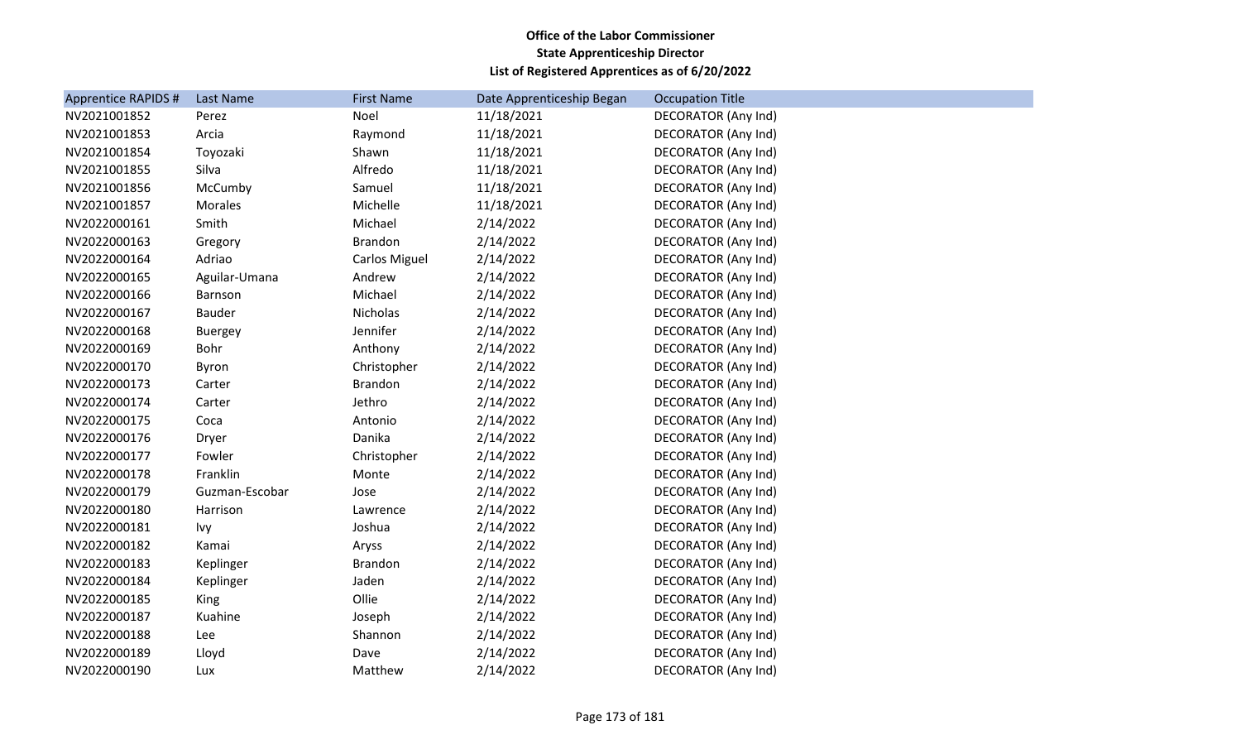| Apprentice RAPIDS # | Last Name      | <b>First Name</b>    | Date Apprenticeship Began | <b>Occupation Title</b>    |
|---------------------|----------------|----------------------|---------------------------|----------------------------|
| NV2021001852        | Perez          | Noel                 | 11/18/2021                | DECORATOR (Any Ind)        |
| NV2021001853        | Arcia          | Raymond              | 11/18/2021                | DECORATOR (Any Ind)        |
| NV2021001854        | Toyozaki       | Shawn                | 11/18/2021                | DECORATOR (Any Ind)        |
| NV2021001855        | Silva          | Alfredo              | 11/18/2021                | DECORATOR (Any Ind)        |
| NV2021001856        | McCumby        | Samuel               | 11/18/2021                | DECORATOR (Any Ind)        |
| NV2021001857        | Morales        | Michelle             | 11/18/2021                | DECORATOR (Any Ind)        |
| NV2022000161        | Smith          | Michael              | 2/14/2022                 | DECORATOR (Any Ind)        |
| NV2022000163        | Gregory        | <b>Brandon</b>       | 2/14/2022                 | DECORATOR (Any Ind)        |
| NV2022000164        | Adriao         | <b>Carlos Miguel</b> | 2/14/2022                 | DECORATOR (Any Ind)        |
| NV2022000165        | Aguilar-Umana  | Andrew               | 2/14/2022                 | DECORATOR (Any Ind)        |
| NV2022000166        | Barnson        | Michael              | 2/14/2022                 | DECORATOR (Any Ind)        |
| NV2022000167        | <b>Bauder</b>  | Nicholas             | 2/14/2022                 | DECORATOR (Any Ind)        |
| NV2022000168        | <b>Buergey</b> | Jennifer             | 2/14/2022                 | DECORATOR (Any Ind)        |
| NV2022000169        | Bohr           | Anthony              | 2/14/2022                 | DECORATOR (Any Ind)        |
| NV2022000170        | Byron          | Christopher          | 2/14/2022                 | DECORATOR (Any Ind)        |
| NV2022000173        | Carter         | Brandon              | 2/14/2022                 | DECORATOR (Any Ind)        |
| NV2022000174        | Carter         | Jethro               | 2/14/2022                 | DECORATOR (Any Ind)        |
| NV2022000175        | Coca           | Antonio              | 2/14/2022                 | <b>DECORATOR (Any Ind)</b> |
| NV2022000176        | Dryer          | Danika               | 2/14/2022                 | DECORATOR (Any Ind)        |
| NV2022000177        | Fowler         | Christopher          | 2/14/2022                 | DECORATOR (Any Ind)        |
| NV2022000178        | Franklin       | Monte                | 2/14/2022                 | <b>DECORATOR (Any Ind)</b> |
| NV2022000179        | Guzman-Escobar | Jose                 | 2/14/2022                 | DECORATOR (Any Ind)        |
| NV2022000180        | Harrison       | Lawrence             | 2/14/2022                 | DECORATOR (Any Ind)        |
| NV2022000181        | Ivy            | Joshua               | 2/14/2022                 | DECORATOR (Any Ind)        |
| NV2022000182        | Kamai          | Aryss                | 2/14/2022                 | DECORATOR (Any Ind)        |
| NV2022000183        | Keplinger      | <b>Brandon</b>       | 2/14/2022                 | DECORATOR (Any Ind)        |
| NV2022000184        | Keplinger      | Jaden                | 2/14/2022                 | DECORATOR (Any Ind)        |
| NV2022000185        | King           | Ollie                | 2/14/2022                 | DECORATOR (Any Ind)        |
| NV2022000187        | Kuahine        | Joseph               | 2/14/2022                 | DECORATOR (Any Ind)        |
| NV2022000188        | Lee            | Shannon              | 2/14/2022                 | DECORATOR (Any Ind)        |
| NV2022000189        | Lloyd          | Dave                 | 2/14/2022                 | DECORATOR (Any Ind)        |
| NV2022000190        | Lux            | Matthew              | 2/14/2022                 | DECORATOR (Any Ind)        |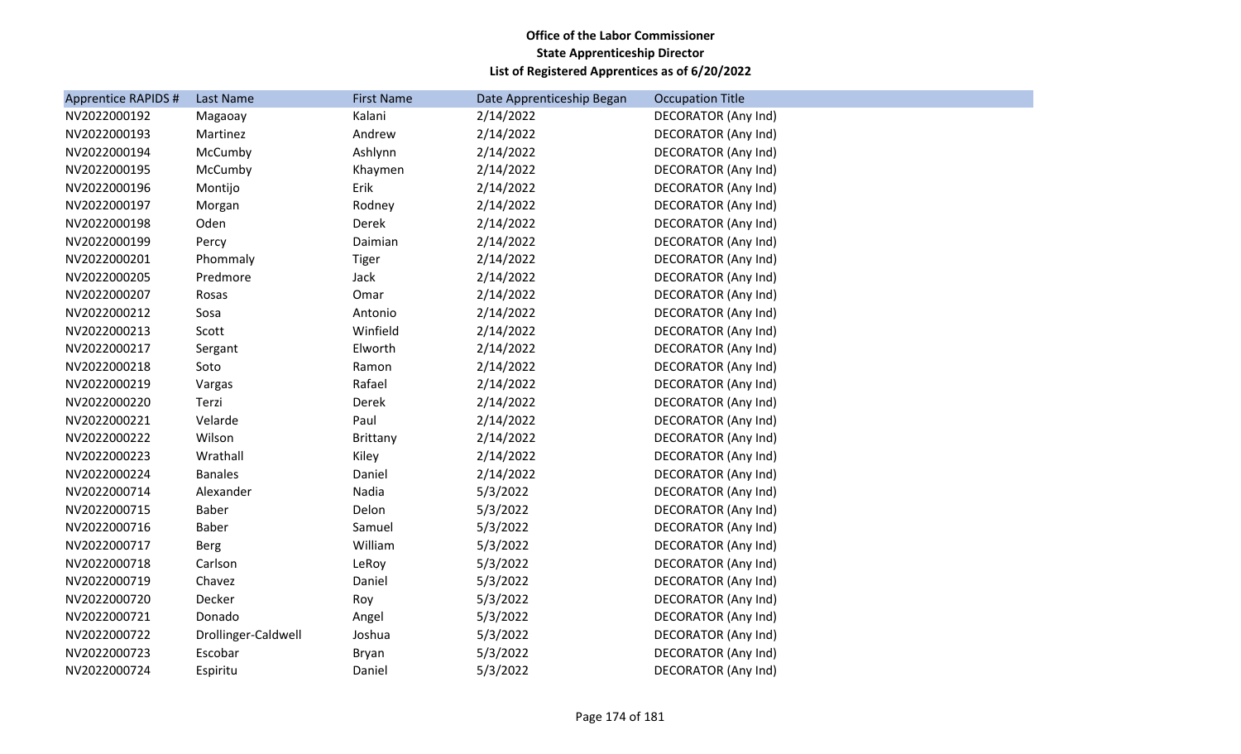| <b>Apprentice RAPIDS#</b> | Last Name           | <b>First Name</b> | Date Apprenticeship Began | <b>Occupation Title</b>    |
|---------------------------|---------------------|-------------------|---------------------------|----------------------------|
| NV2022000192              | Magaoay             | Kalani            | 2/14/2022                 | DECORATOR (Any Ind)        |
| NV2022000193              | Martinez            | Andrew            | 2/14/2022                 | DECORATOR (Any Ind)        |
| NV2022000194              | McCumby             | Ashlynn           | 2/14/2022                 | DECORATOR (Any Ind)        |
| NV2022000195              | McCumby             | Khaymen           | 2/14/2022                 | DECORATOR (Any Ind)        |
| NV2022000196              | Montijo             | Erik              | 2/14/2022                 | DECORATOR (Any Ind)        |
| NV2022000197              | Morgan              | Rodney            | 2/14/2022                 | DECORATOR (Any Ind)        |
| NV2022000198              | Oden                | Derek             | 2/14/2022                 | <b>DECORATOR (Any Ind)</b> |
| NV2022000199              | Percy               | Daimian           | 2/14/2022                 | DECORATOR (Any Ind)        |
| NV2022000201              | Phommaly            | <b>Tiger</b>      | 2/14/2022                 | DECORATOR (Any Ind)        |
| NV2022000205              | Predmore            | Jack              | 2/14/2022                 | DECORATOR (Any Ind)        |
| NV2022000207              | Rosas               | Omar              | 2/14/2022                 | <b>DECORATOR (Any Ind)</b> |
| NV2022000212              | Sosa                | Antonio           | 2/14/2022                 | DECORATOR (Any Ind)        |
| NV2022000213              | Scott               | Winfield          | 2/14/2022                 | DECORATOR (Any Ind)        |
| NV2022000217              | Sergant             | Elworth           | 2/14/2022                 | DECORATOR (Any Ind)        |
| NV2022000218              | Soto                | Ramon             | 2/14/2022                 | <b>DECORATOR (Any Ind)</b> |
| NV2022000219              | Vargas              | Rafael            | 2/14/2022                 | <b>DECORATOR (Any Ind)</b> |
| NV2022000220              | Terzi               | Derek             | 2/14/2022                 | <b>DECORATOR (Any Ind)</b> |
| NV2022000221              | Velarde             | Paul              | 2/14/2022                 | <b>DECORATOR (Any Ind)</b> |
| NV2022000222              | Wilson              | Brittany          | 2/14/2022                 | <b>DECORATOR (Any Ind)</b> |
| NV2022000223              | Wrathall            | Kiley             | 2/14/2022                 | <b>DECORATOR (Any Ind)</b> |
| NV2022000224              | <b>Banales</b>      | Daniel            | 2/14/2022                 | <b>DECORATOR (Any Ind)</b> |
| NV2022000714              | Alexander           | Nadia             | 5/3/2022                  | <b>DECORATOR (Any Ind)</b> |
| NV2022000715              | <b>Baber</b>        | Delon             | 5/3/2022                  | DECORATOR (Any Ind)        |
| NV2022000716              | <b>Baber</b>        | Samuel            | 5/3/2022                  | DECORATOR (Any Ind)        |
| NV2022000717              | <b>Berg</b>         | William           | 5/3/2022                  | <b>DECORATOR (Any Ind)</b> |
| NV2022000718              | Carlson             | LeRoy             | 5/3/2022                  | DECORATOR (Any Ind)        |
| NV2022000719              | Chavez              | Daniel            | 5/3/2022                  | DECORATOR (Any Ind)        |
| NV2022000720              | Decker              | Roy               | 5/3/2022                  | <b>DECORATOR (Any Ind)</b> |
| NV2022000721              | Donado              | Angel             | 5/3/2022                  | DECORATOR (Any Ind)        |
| NV2022000722              | Drollinger-Caldwell | Joshua            | 5/3/2022                  | <b>DECORATOR (Any Ind)</b> |
| NV2022000723              | Escobar             | Bryan             | 5/3/2022                  | DECORATOR (Any Ind)        |
| NV2022000724              | Espiritu            | Daniel            | 5/3/2022                  | <b>DECORATOR (Any Ind)</b> |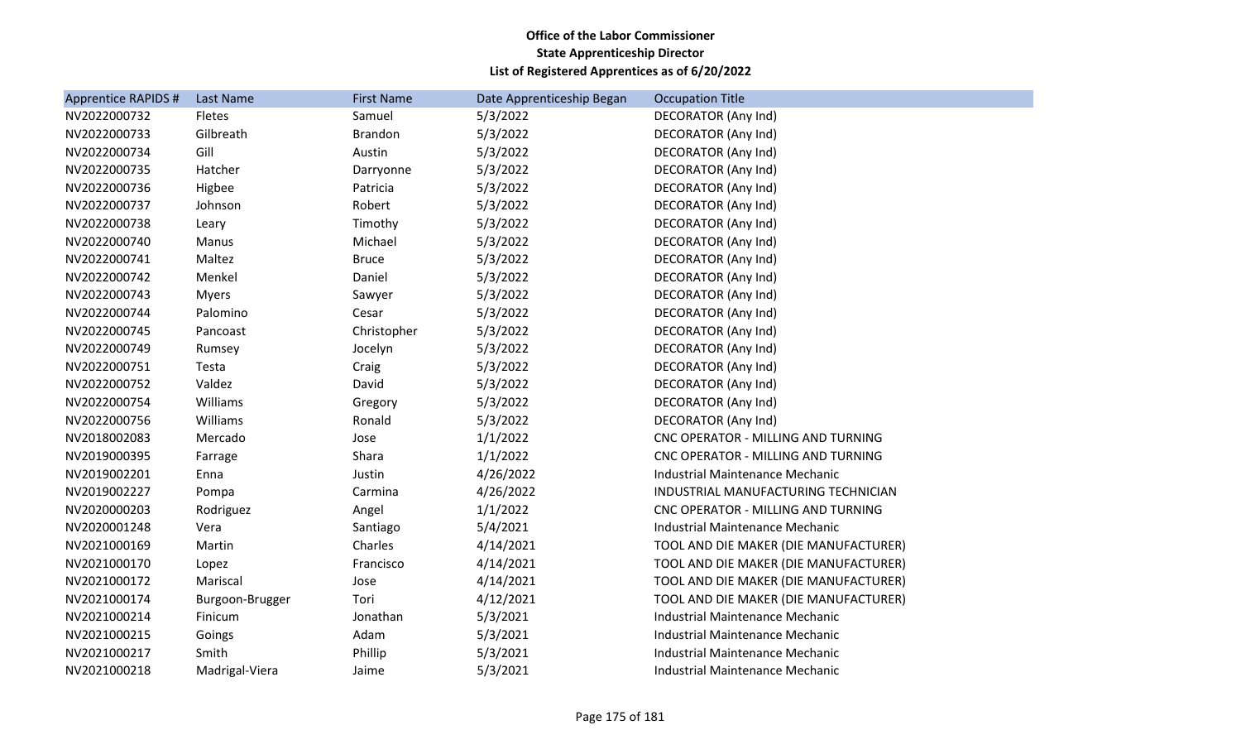| Apprentice RAPIDS # | Last Name       | <b>First Name</b> | Date Apprenticeship Began | <b>Occupation Title</b>                |
|---------------------|-----------------|-------------------|---------------------------|----------------------------------------|
| NV2022000732        | Fletes          | Samuel            | 5/3/2022                  | DECORATOR (Any Ind)                    |
| NV2022000733        | Gilbreath       | <b>Brandon</b>    | 5/3/2022                  | DECORATOR (Any Ind)                    |
| NV2022000734        | Gill            | Austin            | 5/3/2022                  | DECORATOR (Any Ind)                    |
| NV2022000735        | Hatcher         | Darryonne         | 5/3/2022                  | <b>DECORATOR (Any Ind)</b>             |
| NV2022000736        | Higbee          | Patricia          | 5/3/2022                  | DECORATOR (Any Ind)                    |
| NV2022000737        | Johnson         | Robert            | 5/3/2022                  | DECORATOR (Any Ind)                    |
| NV2022000738        | Leary           | Timothy           | 5/3/2022                  | <b>DECORATOR (Any Ind)</b>             |
| NV2022000740        | Manus           | Michael           | 5/3/2022                  | <b>DECORATOR (Any Ind)</b>             |
| NV2022000741        | Maltez          | <b>Bruce</b>      | 5/3/2022                  | DECORATOR (Any Ind)                    |
| NV2022000742        | Menkel          | Daniel            | 5/3/2022                  | <b>DECORATOR (Any Ind)</b>             |
| NV2022000743        | <b>Myers</b>    | Sawyer            | 5/3/2022                  | DECORATOR (Any Ind)                    |
| NV2022000744        | Palomino        | Cesar             | 5/3/2022                  | DECORATOR (Any Ind)                    |
| NV2022000745        | Pancoast        | Christopher       | 5/3/2022                  | DECORATOR (Any Ind)                    |
| NV2022000749        | Rumsey          | Jocelyn           | 5/3/2022                  | DECORATOR (Any Ind)                    |
| NV2022000751        | Testa           | Craig             | 5/3/2022                  | <b>DECORATOR (Any Ind)</b>             |
| NV2022000752        | Valdez          | David             | 5/3/2022                  | DECORATOR (Any Ind)                    |
| NV2022000754        | Williams        | Gregory           | 5/3/2022                  | <b>DECORATOR (Any Ind)</b>             |
| NV2022000756        | Williams        | Ronald            | 5/3/2022                  | <b>DECORATOR (Any Ind)</b>             |
| NV2018002083        | Mercado         | Jose              | 1/1/2022                  | CNC OPERATOR - MILLING AND TURNING     |
| NV2019000395        | Farrage         | Shara             | 1/1/2022                  | CNC OPERATOR - MILLING AND TURNING     |
| NV2019002201        | Enna            | Justin            | 4/26/2022                 | <b>Industrial Maintenance Mechanic</b> |
| NV2019002227        | Pompa           | Carmina           | 4/26/2022                 | INDUSTRIAL MANUFACTURING TECHNICIAN    |
| NV2020000203        | Rodriguez       | Angel             | 1/1/2022                  | CNC OPERATOR - MILLING AND TURNING     |
| NV2020001248        | Vera            | Santiago          | 5/4/2021                  | Industrial Maintenance Mechanic        |
| NV2021000169        | Martin          | Charles           | 4/14/2021                 | TOOL AND DIE MAKER (DIE MANUFACTURER)  |
| NV2021000170        | Lopez           | Francisco         | 4/14/2021                 | TOOL AND DIE MAKER (DIE MANUFACTURER)  |
| NV2021000172        | Mariscal        | Jose              | 4/14/2021                 | TOOL AND DIE MAKER (DIE MANUFACTURER)  |
| NV2021000174        | Burgoon-Brugger | Tori              | 4/12/2021                 | TOOL AND DIE MAKER (DIE MANUFACTURER)  |
| NV2021000214        | Finicum         | Jonathan          | 5/3/2021                  | Industrial Maintenance Mechanic        |
| NV2021000215        | Goings          | Adam              | 5/3/2021                  | <b>Industrial Maintenance Mechanic</b> |
| NV2021000217        | Smith           | Phillip           | 5/3/2021                  | <b>Industrial Maintenance Mechanic</b> |
| NV2021000218        | Madrigal-Viera  | Jaime             | 5/3/2021                  | Industrial Maintenance Mechanic        |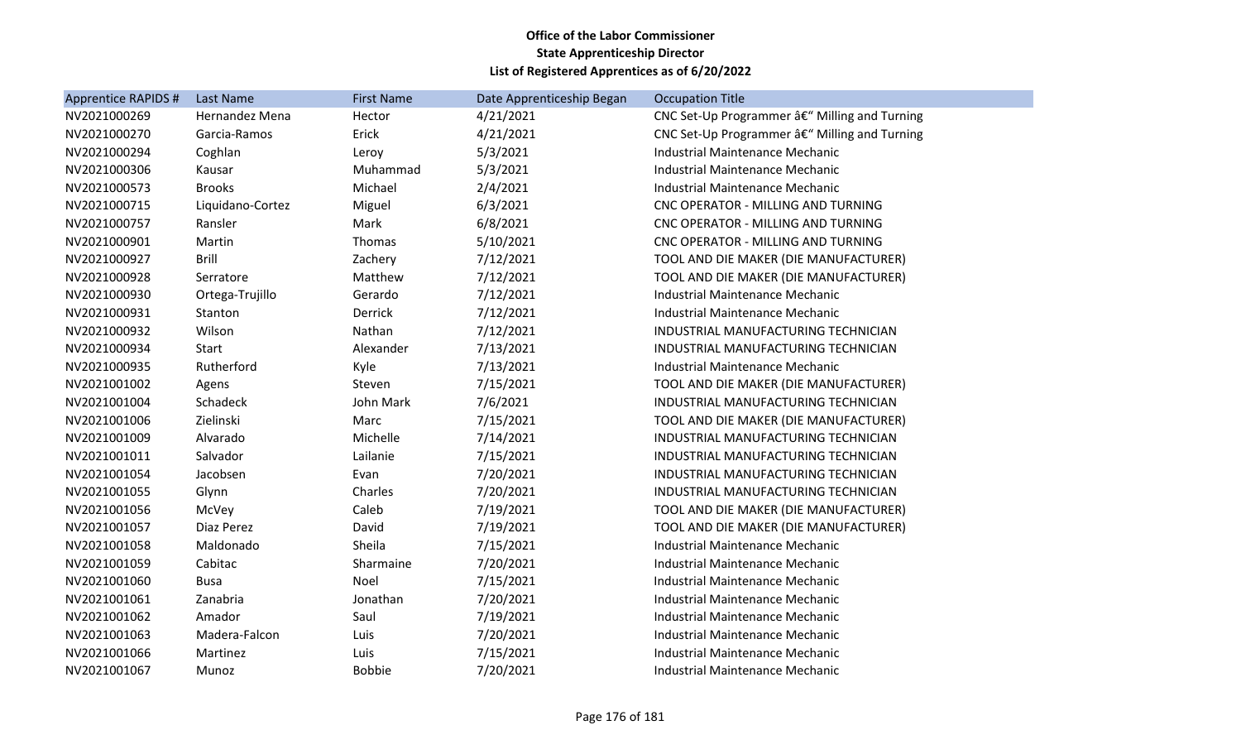| <b>Apprentice RAPIDS #</b> | Last Name        | <b>First Name</b> | Date Apprenticeship Began | <b>Occupation Title</b>                       |
|----------------------------|------------------|-------------------|---------------------------|-----------------------------------------------|
| NV2021000269               | Hernandez Mena   | Hector            | 4/21/2021                 | CNC Set-Up Programmer â€" Milling and Turning |
| NV2021000270               | Garcia-Ramos     | Erick             | 4/21/2021                 | CNC Set-Up Programmer â€" Milling and Turning |
| NV2021000294               | Coghlan          | Leroy             | 5/3/2021                  | Industrial Maintenance Mechanic               |
| NV2021000306               | Kausar           | Muhammad          | 5/3/2021                  | <b>Industrial Maintenance Mechanic</b>        |
| NV2021000573               | <b>Brooks</b>    | Michael           | 2/4/2021                  | Industrial Maintenance Mechanic               |
| NV2021000715               | Liquidano-Cortez | Miguel            | 6/3/2021                  | CNC OPERATOR - MILLING AND TURNING            |
| NV2021000757               | Ransler          | Mark              | 6/8/2021                  | CNC OPERATOR - MILLING AND TURNING            |
| NV2021000901               | Martin           | Thomas            | 5/10/2021                 | CNC OPERATOR - MILLING AND TURNING            |
| NV2021000927               | <b>Brill</b>     | Zachery           | 7/12/2021                 | TOOL AND DIE MAKER (DIE MANUFACTURER)         |
| NV2021000928               | Serratore        | Matthew           | 7/12/2021                 | TOOL AND DIE MAKER (DIE MANUFACTURER)         |
| NV2021000930               | Ortega-Trujillo  | Gerardo           | 7/12/2021                 | Industrial Maintenance Mechanic               |
| NV2021000931               | Stanton          | Derrick           | 7/12/2021                 | Industrial Maintenance Mechanic               |
| NV2021000932               | Wilson           | Nathan            | 7/12/2021                 | INDUSTRIAL MANUFACTURING TECHNICIAN           |
| NV2021000934               | <b>Start</b>     | Alexander         | 7/13/2021                 | INDUSTRIAL MANUFACTURING TECHNICIAN           |
| NV2021000935               | Rutherford       | Kyle              | 7/13/2021                 | Industrial Maintenance Mechanic               |
| NV2021001002               | Agens            | Steven            | 7/15/2021                 | TOOL AND DIE MAKER (DIE MANUFACTURER)         |
| NV2021001004               | Schadeck         | John Mark         | 7/6/2021                  | INDUSTRIAL MANUFACTURING TECHNICIAN           |
| NV2021001006               | Zielinski        | Marc              | 7/15/2021                 | TOOL AND DIE MAKER (DIE MANUFACTURER)         |
| NV2021001009               | Alvarado         | Michelle          | 7/14/2021                 | INDUSTRIAL MANUFACTURING TECHNICIAN           |
| NV2021001011               | Salvador         | Lailanie          | 7/15/2021                 | INDUSTRIAL MANUFACTURING TECHNICIAN           |
| NV2021001054               | Jacobsen         | Evan              | 7/20/2021                 | INDUSTRIAL MANUFACTURING TECHNICIAN           |
| NV2021001055               | Glynn            | Charles           | 7/20/2021                 | INDUSTRIAL MANUFACTURING TECHNICIAN           |
| NV2021001056               | McVey            | Caleb             | 7/19/2021                 | TOOL AND DIE MAKER (DIE MANUFACTURER)         |
| NV2021001057               | Diaz Perez       | David             | 7/19/2021                 | TOOL AND DIE MAKER (DIE MANUFACTURER)         |
| NV2021001058               | Maldonado        | Sheila            | 7/15/2021                 | Industrial Maintenance Mechanic               |
| NV2021001059               | Cabitac          | Sharmaine         | 7/20/2021                 | Industrial Maintenance Mechanic               |
| NV2021001060               | <b>Busa</b>      | Noel              | 7/15/2021                 | Industrial Maintenance Mechanic               |
| NV2021001061               | Zanabria         | Jonathan          | 7/20/2021                 | Industrial Maintenance Mechanic               |
| NV2021001062               | Amador           | Saul              | 7/19/2021                 | Industrial Maintenance Mechanic               |
| NV2021001063               | Madera-Falcon    | Luis              | 7/20/2021                 | Industrial Maintenance Mechanic               |
| NV2021001066               | Martinez         | Luis              | 7/15/2021                 | Industrial Maintenance Mechanic               |
| NV2021001067               | Munoz            | <b>Bobbie</b>     | 7/20/2021                 | Industrial Maintenance Mechanic               |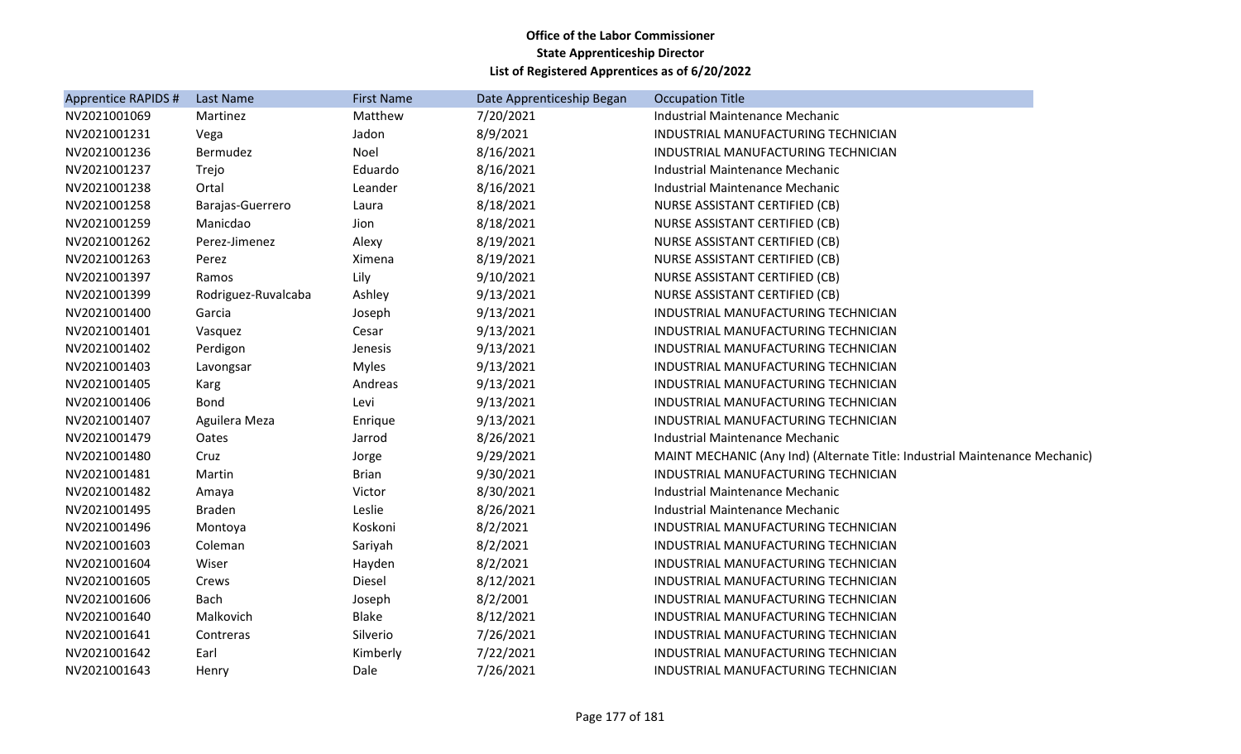| Matthew<br>Martinez<br><b>Industrial Maintenance Mechanic</b><br>7/20/2021<br>8/9/2021<br>INDUSTRIAL MANUFACTURING TECHNICIAN<br>Vega<br>Jadon<br>8/16/2021<br>Bermudez<br>Noel<br>INDUSTRIAL MANUFACTURING TECHNICIAN<br>Eduardo<br>8/16/2021<br>Trejo<br>Industrial Maintenance Mechanic<br>Ortal<br>Leander<br>8/16/2021<br><b>Industrial Maintenance Mechanic</b><br>8/18/2021<br>Barajas-Guerrero<br>NURSE ASSISTANT CERTIFIED (CB)<br>Laura<br>8/18/2021<br>Manicdao<br>NURSE ASSISTANT CERTIFIED (CB)<br>Jion<br>Perez-Jimenez<br>8/19/2021<br>Alexy<br><b>NURSE ASSISTANT CERTIFIED (CB)</b><br>8/19/2021<br>Perez<br>Ximena<br>NURSE ASSISTANT CERTIFIED (CB)<br>9/10/2021<br>Lily<br>Ramos<br><b>NURSE ASSISTANT CERTIFIED (CB)</b><br>Ashley<br>9/13/2021<br>NURSE ASSISTANT CERTIFIED (CB)<br>Rodriguez-Ruvalcaba<br>9/13/2021<br>Garcia<br>INDUSTRIAL MANUFACTURING TECHNICIAN<br>Joseph<br>9/13/2021<br>INDUSTRIAL MANUFACTURING TECHNICIAN<br>Cesar<br>Vasquez<br>9/13/2021<br>Perdigon<br>INDUSTRIAL MANUFACTURING TECHNICIAN<br>Jenesis<br>9/13/2021<br><b>Myles</b><br>INDUSTRIAL MANUFACTURING TECHNICIAN<br>Lavongsar<br>9/13/2021<br>Andreas<br>Karg<br>INDUSTRIAL MANUFACTURING TECHNICIAN<br>9/13/2021<br><b>Bond</b><br>Levi<br>INDUSTRIAL MANUFACTURING TECHNICIAN<br>9/13/2021<br>Aguilera Meza<br>INDUSTRIAL MANUFACTURING TECHNICIAN<br>Enrique<br>8/26/2021<br>Oates<br>Jarrod<br>Industrial Maintenance Mechanic<br>9/29/2021<br>Cruz<br>Jorge<br>9/30/2021<br><b>Brian</b><br>INDUSTRIAL MANUFACTURING TECHNICIAN<br>Martin<br>8/30/2021<br>Victor<br>Industrial Maintenance Mechanic<br>Amaya<br><b>Braden</b><br>Leslie<br>8/26/2021<br>Industrial Maintenance Mechanic<br>8/2/2021<br>Koskoni<br>INDUSTRIAL MANUFACTURING TECHNICIAN<br>Montoya<br>8/2/2021<br>Coleman<br>Sariyah<br>INDUSTRIAL MANUFACTURING TECHNICIAN<br>8/2/2021<br>Wiser<br>Hayden<br>INDUSTRIAL MANUFACTURING TECHNICIAN<br>8/12/2021<br>Diesel<br>INDUSTRIAL MANUFACTURING TECHNICIAN<br>Crews<br><b>Bach</b><br>8/2/2001<br>INDUSTRIAL MANUFACTURING TECHNICIAN<br>Joseph<br>8/12/2021<br>Malkovich<br><b>Blake</b><br>INDUSTRIAL MANUFACTURING TECHNICIAN<br>7/26/2021<br>Silverio<br>Contreras<br>INDUSTRIAL MANUFACTURING TECHNICIAN<br>7/22/2021<br>Earl<br>Kimberly<br>INDUSTRIAL MANUFACTURING TECHNICIAN<br>7/26/2021<br>INDUSTRIAL MANUFACTURING TECHNICIAN<br>Dale<br>Henry | Apprentice RAPIDS # | Last Name | <b>First Name</b> | Date Apprenticeship Began | <b>Occupation Title</b>                                                     |
|------------------------------------------------------------------------------------------------------------------------------------------------------------------------------------------------------------------------------------------------------------------------------------------------------------------------------------------------------------------------------------------------------------------------------------------------------------------------------------------------------------------------------------------------------------------------------------------------------------------------------------------------------------------------------------------------------------------------------------------------------------------------------------------------------------------------------------------------------------------------------------------------------------------------------------------------------------------------------------------------------------------------------------------------------------------------------------------------------------------------------------------------------------------------------------------------------------------------------------------------------------------------------------------------------------------------------------------------------------------------------------------------------------------------------------------------------------------------------------------------------------------------------------------------------------------------------------------------------------------------------------------------------------------------------------------------------------------------------------------------------------------------------------------------------------------------------------------------------------------------------------------------------------------------------------------------------------------------------------------------------------------------------------------------------------------------------------------------------------------------------------------------------------------------------------------------------------------------------------------------------------------------------------------------------------------------------------------------------------------------------------------------|---------------------|-----------|-------------------|---------------------------|-----------------------------------------------------------------------------|
|                                                                                                                                                                                                                                                                                                                                                                                                                                                                                                                                                                                                                                                                                                                                                                                                                                                                                                                                                                                                                                                                                                                                                                                                                                                                                                                                                                                                                                                                                                                                                                                                                                                                                                                                                                                                                                                                                                                                                                                                                                                                                                                                                                                                                                                                                                                                                                                                | NV2021001069        |           |                   |                           |                                                                             |
|                                                                                                                                                                                                                                                                                                                                                                                                                                                                                                                                                                                                                                                                                                                                                                                                                                                                                                                                                                                                                                                                                                                                                                                                                                                                                                                                                                                                                                                                                                                                                                                                                                                                                                                                                                                                                                                                                                                                                                                                                                                                                                                                                                                                                                                                                                                                                                                                | NV2021001231        |           |                   |                           |                                                                             |
|                                                                                                                                                                                                                                                                                                                                                                                                                                                                                                                                                                                                                                                                                                                                                                                                                                                                                                                                                                                                                                                                                                                                                                                                                                                                                                                                                                                                                                                                                                                                                                                                                                                                                                                                                                                                                                                                                                                                                                                                                                                                                                                                                                                                                                                                                                                                                                                                | NV2021001236        |           |                   |                           |                                                                             |
|                                                                                                                                                                                                                                                                                                                                                                                                                                                                                                                                                                                                                                                                                                                                                                                                                                                                                                                                                                                                                                                                                                                                                                                                                                                                                                                                                                                                                                                                                                                                                                                                                                                                                                                                                                                                                                                                                                                                                                                                                                                                                                                                                                                                                                                                                                                                                                                                | NV2021001237        |           |                   |                           |                                                                             |
|                                                                                                                                                                                                                                                                                                                                                                                                                                                                                                                                                                                                                                                                                                                                                                                                                                                                                                                                                                                                                                                                                                                                                                                                                                                                                                                                                                                                                                                                                                                                                                                                                                                                                                                                                                                                                                                                                                                                                                                                                                                                                                                                                                                                                                                                                                                                                                                                | NV2021001238        |           |                   |                           |                                                                             |
|                                                                                                                                                                                                                                                                                                                                                                                                                                                                                                                                                                                                                                                                                                                                                                                                                                                                                                                                                                                                                                                                                                                                                                                                                                                                                                                                                                                                                                                                                                                                                                                                                                                                                                                                                                                                                                                                                                                                                                                                                                                                                                                                                                                                                                                                                                                                                                                                | NV2021001258        |           |                   |                           |                                                                             |
|                                                                                                                                                                                                                                                                                                                                                                                                                                                                                                                                                                                                                                                                                                                                                                                                                                                                                                                                                                                                                                                                                                                                                                                                                                                                                                                                                                                                                                                                                                                                                                                                                                                                                                                                                                                                                                                                                                                                                                                                                                                                                                                                                                                                                                                                                                                                                                                                | NV2021001259        |           |                   |                           |                                                                             |
|                                                                                                                                                                                                                                                                                                                                                                                                                                                                                                                                                                                                                                                                                                                                                                                                                                                                                                                                                                                                                                                                                                                                                                                                                                                                                                                                                                                                                                                                                                                                                                                                                                                                                                                                                                                                                                                                                                                                                                                                                                                                                                                                                                                                                                                                                                                                                                                                | NV2021001262        |           |                   |                           |                                                                             |
|                                                                                                                                                                                                                                                                                                                                                                                                                                                                                                                                                                                                                                                                                                                                                                                                                                                                                                                                                                                                                                                                                                                                                                                                                                                                                                                                                                                                                                                                                                                                                                                                                                                                                                                                                                                                                                                                                                                                                                                                                                                                                                                                                                                                                                                                                                                                                                                                | NV2021001263        |           |                   |                           |                                                                             |
|                                                                                                                                                                                                                                                                                                                                                                                                                                                                                                                                                                                                                                                                                                                                                                                                                                                                                                                                                                                                                                                                                                                                                                                                                                                                                                                                                                                                                                                                                                                                                                                                                                                                                                                                                                                                                                                                                                                                                                                                                                                                                                                                                                                                                                                                                                                                                                                                | NV2021001397        |           |                   |                           |                                                                             |
|                                                                                                                                                                                                                                                                                                                                                                                                                                                                                                                                                                                                                                                                                                                                                                                                                                                                                                                                                                                                                                                                                                                                                                                                                                                                                                                                                                                                                                                                                                                                                                                                                                                                                                                                                                                                                                                                                                                                                                                                                                                                                                                                                                                                                                                                                                                                                                                                | NV2021001399        |           |                   |                           |                                                                             |
|                                                                                                                                                                                                                                                                                                                                                                                                                                                                                                                                                                                                                                                                                                                                                                                                                                                                                                                                                                                                                                                                                                                                                                                                                                                                                                                                                                                                                                                                                                                                                                                                                                                                                                                                                                                                                                                                                                                                                                                                                                                                                                                                                                                                                                                                                                                                                                                                | NV2021001400        |           |                   |                           |                                                                             |
|                                                                                                                                                                                                                                                                                                                                                                                                                                                                                                                                                                                                                                                                                                                                                                                                                                                                                                                                                                                                                                                                                                                                                                                                                                                                                                                                                                                                                                                                                                                                                                                                                                                                                                                                                                                                                                                                                                                                                                                                                                                                                                                                                                                                                                                                                                                                                                                                | NV2021001401        |           |                   |                           |                                                                             |
|                                                                                                                                                                                                                                                                                                                                                                                                                                                                                                                                                                                                                                                                                                                                                                                                                                                                                                                                                                                                                                                                                                                                                                                                                                                                                                                                                                                                                                                                                                                                                                                                                                                                                                                                                                                                                                                                                                                                                                                                                                                                                                                                                                                                                                                                                                                                                                                                | NV2021001402        |           |                   |                           |                                                                             |
|                                                                                                                                                                                                                                                                                                                                                                                                                                                                                                                                                                                                                                                                                                                                                                                                                                                                                                                                                                                                                                                                                                                                                                                                                                                                                                                                                                                                                                                                                                                                                                                                                                                                                                                                                                                                                                                                                                                                                                                                                                                                                                                                                                                                                                                                                                                                                                                                | NV2021001403        |           |                   |                           |                                                                             |
|                                                                                                                                                                                                                                                                                                                                                                                                                                                                                                                                                                                                                                                                                                                                                                                                                                                                                                                                                                                                                                                                                                                                                                                                                                                                                                                                                                                                                                                                                                                                                                                                                                                                                                                                                                                                                                                                                                                                                                                                                                                                                                                                                                                                                                                                                                                                                                                                | NV2021001405        |           |                   |                           |                                                                             |
|                                                                                                                                                                                                                                                                                                                                                                                                                                                                                                                                                                                                                                                                                                                                                                                                                                                                                                                                                                                                                                                                                                                                                                                                                                                                                                                                                                                                                                                                                                                                                                                                                                                                                                                                                                                                                                                                                                                                                                                                                                                                                                                                                                                                                                                                                                                                                                                                | NV2021001406        |           |                   |                           |                                                                             |
|                                                                                                                                                                                                                                                                                                                                                                                                                                                                                                                                                                                                                                                                                                                                                                                                                                                                                                                                                                                                                                                                                                                                                                                                                                                                                                                                                                                                                                                                                                                                                                                                                                                                                                                                                                                                                                                                                                                                                                                                                                                                                                                                                                                                                                                                                                                                                                                                | NV2021001407        |           |                   |                           |                                                                             |
|                                                                                                                                                                                                                                                                                                                                                                                                                                                                                                                                                                                                                                                                                                                                                                                                                                                                                                                                                                                                                                                                                                                                                                                                                                                                                                                                                                                                                                                                                                                                                                                                                                                                                                                                                                                                                                                                                                                                                                                                                                                                                                                                                                                                                                                                                                                                                                                                | NV2021001479        |           |                   |                           |                                                                             |
|                                                                                                                                                                                                                                                                                                                                                                                                                                                                                                                                                                                                                                                                                                                                                                                                                                                                                                                                                                                                                                                                                                                                                                                                                                                                                                                                                                                                                                                                                                                                                                                                                                                                                                                                                                                                                                                                                                                                                                                                                                                                                                                                                                                                                                                                                                                                                                                                | NV2021001480        |           |                   |                           | MAINT MECHANIC (Any Ind) (Alternate Title: Industrial Maintenance Mechanic) |
|                                                                                                                                                                                                                                                                                                                                                                                                                                                                                                                                                                                                                                                                                                                                                                                                                                                                                                                                                                                                                                                                                                                                                                                                                                                                                                                                                                                                                                                                                                                                                                                                                                                                                                                                                                                                                                                                                                                                                                                                                                                                                                                                                                                                                                                                                                                                                                                                | NV2021001481        |           |                   |                           |                                                                             |
|                                                                                                                                                                                                                                                                                                                                                                                                                                                                                                                                                                                                                                                                                                                                                                                                                                                                                                                                                                                                                                                                                                                                                                                                                                                                                                                                                                                                                                                                                                                                                                                                                                                                                                                                                                                                                                                                                                                                                                                                                                                                                                                                                                                                                                                                                                                                                                                                | NV2021001482        |           |                   |                           |                                                                             |
|                                                                                                                                                                                                                                                                                                                                                                                                                                                                                                                                                                                                                                                                                                                                                                                                                                                                                                                                                                                                                                                                                                                                                                                                                                                                                                                                                                                                                                                                                                                                                                                                                                                                                                                                                                                                                                                                                                                                                                                                                                                                                                                                                                                                                                                                                                                                                                                                | NV2021001495        |           |                   |                           |                                                                             |
|                                                                                                                                                                                                                                                                                                                                                                                                                                                                                                                                                                                                                                                                                                                                                                                                                                                                                                                                                                                                                                                                                                                                                                                                                                                                                                                                                                                                                                                                                                                                                                                                                                                                                                                                                                                                                                                                                                                                                                                                                                                                                                                                                                                                                                                                                                                                                                                                | NV2021001496        |           |                   |                           |                                                                             |
|                                                                                                                                                                                                                                                                                                                                                                                                                                                                                                                                                                                                                                                                                                                                                                                                                                                                                                                                                                                                                                                                                                                                                                                                                                                                                                                                                                                                                                                                                                                                                                                                                                                                                                                                                                                                                                                                                                                                                                                                                                                                                                                                                                                                                                                                                                                                                                                                | NV2021001603        |           |                   |                           |                                                                             |
|                                                                                                                                                                                                                                                                                                                                                                                                                                                                                                                                                                                                                                                                                                                                                                                                                                                                                                                                                                                                                                                                                                                                                                                                                                                                                                                                                                                                                                                                                                                                                                                                                                                                                                                                                                                                                                                                                                                                                                                                                                                                                                                                                                                                                                                                                                                                                                                                | NV2021001604        |           |                   |                           |                                                                             |
|                                                                                                                                                                                                                                                                                                                                                                                                                                                                                                                                                                                                                                                                                                                                                                                                                                                                                                                                                                                                                                                                                                                                                                                                                                                                                                                                                                                                                                                                                                                                                                                                                                                                                                                                                                                                                                                                                                                                                                                                                                                                                                                                                                                                                                                                                                                                                                                                | NV2021001605        |           |                   |                           |                                                                             |
|                                                                                                                                                                                                                                                                                                                                                                                                                                                                                                                                                                                                                                                                                                                                                                                                                                                                                                                                                                                                                                                                                                                                                                                                                                                                                                                                                                                                                                                                                                                                                                                                                                                                                                                                                                                                                                                                                                                                                                                                                                                                                                                                                                                                                                                                                                                                                                                                | NV2021001606        |           |                   |                           |                                                                             |
|                                                                                                                                                                                                                                                                                                                                                                                                                                                                                                                                                                                                                                                                                                                                                                                                                                                                                                                                                                                                                                                                                                                                                                                                                                                                                                                                                                                                                                                                                                                                                                                                                                                                                                                                                                                                                                                                                                                                                                                                                                                                                                                                                                                                                                                                                                                                                                                                | NV2021001640        |           |                   |                           |                                                                             |
|                                                                                                                                                                                                                                                                                                                                                                                                                                                                                                                                                                                                                                                                                                                                                                                                                                                                                                                                                                                                                                                                                                                                                                                                                                                                                                                                                                                                                                                                                                                                                                                                                                                                                                                                                                                                                                                                                                                                                                                                                                                                                                                                                                                                                                                                                                                                                                                                | NV2021001641        |           |                   |                           |                                                                             |
|                                                                                                                                                                                                                                                                                                                                                                                                                                                                                                                                                                                                                                                                                                                                                                                                                                                                                                                                                                                                                                                                                                                                                                                                                                                                                                                                                                                                                                                                                                                                                                                                                                                                                                                                                                                                                                                                                                                                                                                                                                                                                                                                                                                                                                                                                                                                                                                                | NV2021001642        |           |                   |                           |                                                                             |
|                                                                                                                                                                                                                                                                                                                                                                                                                                                                                                                                                                                                                                                                                                                                                                                                                                                                                                                                                                                                                                                                                                                                                                                                                                                                                                                                                                                                                                                                                                                                                                                                                                                                                                                                                                                                                                                                                                                                                                                                                                                                                                                                                                                                                                                                                                                                                                                                | NV2021001643        |           |                   |                           |                                                                             |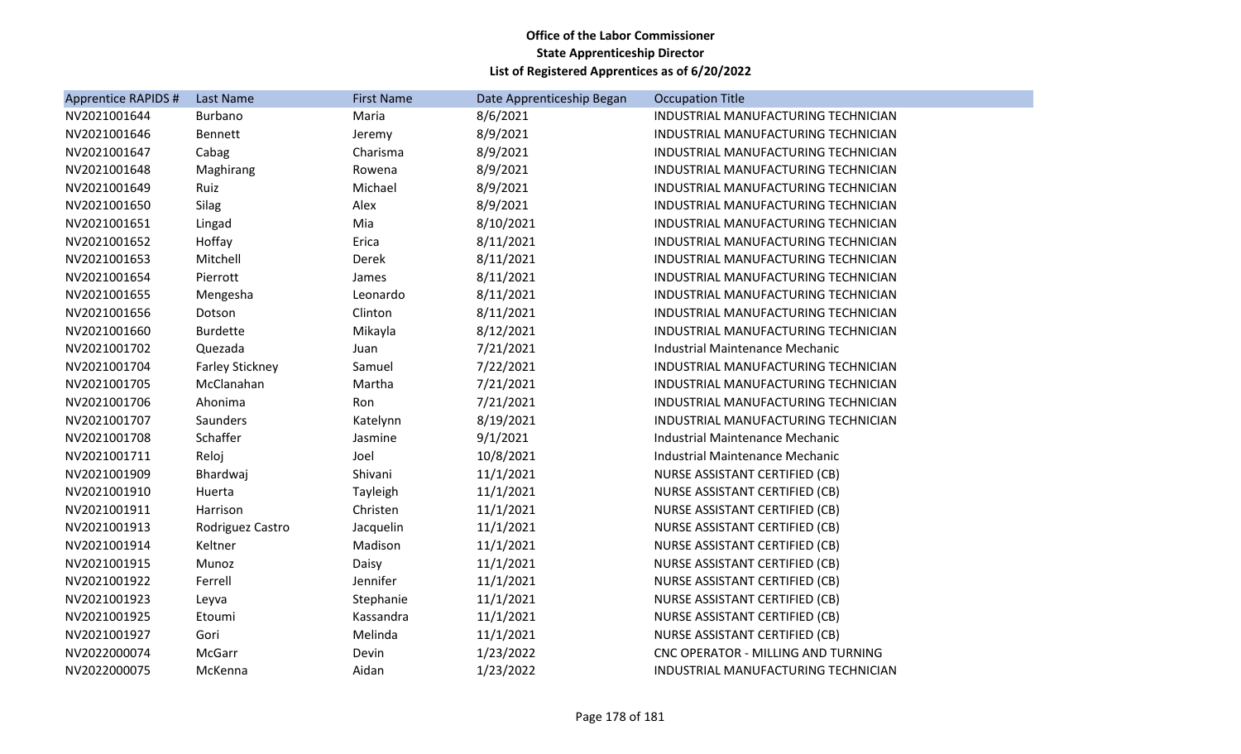| Apprentice RAPIDS # | Last Name              | <b>First Name</b> | Date Apprenticeship Began | <b>Occupation Title</b>               |
|---------------------|------------------------|-------------------|---------------------------|---------------------------------------|
| NV2021001644        | Burbano                | Maria             | 8/6/2021                  | INDUSTRIAL MANUFACTURING TECHNICIAN   |
| NV2021001646        | <b>Bennett</b>         | Jeremy            | 8/9/2021                  | INDUSTRIAL MANUFACTURING TECHNICIAN   |
| NV2021001647        | Cabag                  | Charisma          | 8/9/2021                  | INDUSTRIAL MANUFACTURING TECHNICIAN   |
| NV2021001648        | Maghirang              | Rowena            | 8/9/2021                  | INDUSTRIAL MANUFACTURING TECHNICIAN   |
| NV2021001649        | Ruiz                   | Michael           | 8/9/2021                  | INDUSTRIAL MANUFACTURING TECHNICIAN   |
| NV2021001650        | Silag                  | Alex              | 8/9/2021                  | INDUSTRIAL MANUFACTURING TECHNICIAN   |
| NV2021001651        | Lingad                 | Mia               | 8/10/2021                 | INDUSTRIAL MANUFACTURING TECHNICIAN   |
| NV2021001652        | Hoffay                 | Erica             | 8/11/2021                 | INDUSTRIAL MANUFACTURING TECHNICIAN   |
| NV2021001653        | Mitchell               | Derek             | 8/11/2021                 | INDUSTRIAL MANUFACTURING TECHNICIAN   |
| NV2021001654        | Pierrott               | James             | 8/11/2021                 | INDUSTRIAL MANUFACTURING TECHNICIAN   |
| NV2021001655        | Mengesha               | Leonardo          | 8/11/2021                 | INDUSTRIAL MANUFACTURING TECHNICIAN   |
| NV2021001656        | Dotson                 | Clinton           | 8/11/2021                 | INDUSTRIAL MANUFACTURING TECHNICIAN   |
| NV2021001660        | <b>Burdette</b>        | Mikayla           | 8/12/2021                 | INDUSTRIAL MANUFACTURING TECHNICIAN   |
| NV2021001702        | Quezada                | Juan              | 7/21/2021                 | Industrial Maintenance Mechanic       |
| NV2021001704        | <b>Farley Stickney</b> | Samuel            | 7/22/2021                 | INDUSTRIAL MANUFACTURING TECHNICIAN   |
| NV2021001705        | McClanahan             | Martha            | 7/21/2021                 | INDUSTRIAL MANUFACTURING TECHNICIAN   |
| NV2021001706        | Ahonima                | Ron               | 7/21/2021                 | INDUSTRIAL MANUFACTURING TECHNICIAN   |
| NV2021001707        | Saunders               | Katelynn          | 8/19/2021                 | INDUSTRIAL MANUFACTURING TECHNICIAN   |
| NV2021001708        | Schaffer               | Jasmine           | 9/1/2021                  | Industrial Maintenance Mechanic       |
| NV2021001711        | Reloj                  | Joel              | 10/8/2021                 | Industrial Maintenance Mechanic       |
| NV2021001909        | Bhardwaj               | Shivani           | 11/1/2021                 | NURSE ASSISTANT CERTIFIED (CB)        |
| NV2021001910        | Huerta                 | Tayleigh          | 11/1/2021                 | NURSE ASSISTANT CERTIFIED (CB)        |
| NV2021001911        | Harrison               | Christen          | 11/1/2021                 | <b>NURSE ASSISTANT CERTIFIED (CB)</b> |
| NV2021001913        | Rodriguez Castro       | Jacquelin         | 11/1/2021                 | NURSE ASSISTANT CERTIFIED (CB)        |
| NV2021001914        | Keltner                | Madison           | 11/1/2021                 | NURSE ASSISTANT CERTIFIED (CB)        |
| NV2021001915        | Munoz                  | Daisy             | 11/1/2021                 | NURSE ASSISTANT CERTIFIED (CB)        |
| NV2021001922        | Ferrell                | Jennifer          | 11/1/2021                 | NURSE ASSISTANT CERTIFIED (CB)        |
| NV2021001923        | Leyva                  | Stephanie         | 11/1/2021                 | NURSE ASSISTANT CERTIFIED (CB)        |
| NV2021001925        | Etoumi                 | Kassandra         | 11/1/2021                 | NURSE ASSISTANT CERTIFIED (CB)        |
| NV2021001927        | Gori                   | Melinda           | 11/1/2021                 | NURSE ASSISTANT CERTIFIED (CB)        |
| NV2022000074        | McGarr                 | Devin             | 1/23/2022                 | CNC OPERATOR - MILLING AND TURNING    |
| NV2022000075        | McKenna                | Aidan             | 1/23/2022                 | INDUSTRIAL MANUFACTURING TECHNICIAN   |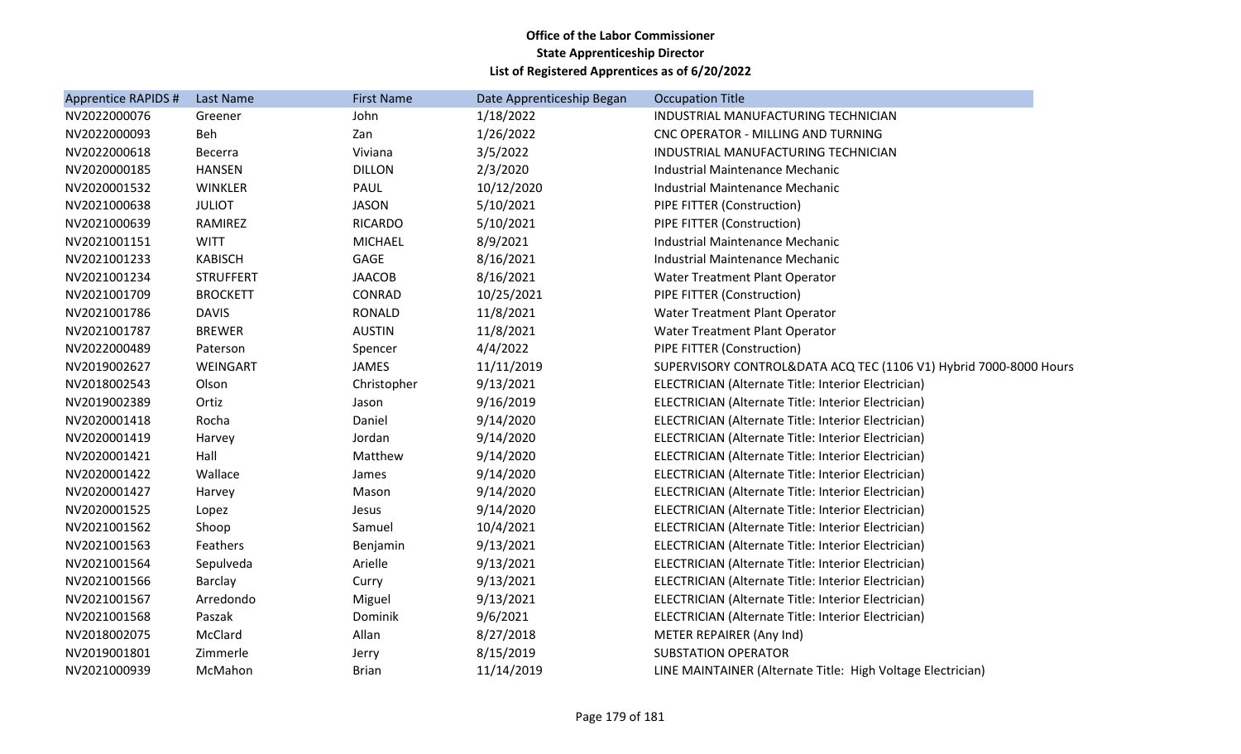| Apprentice RAPIDS # | Last Name        | <b>First Name</b> | Date Apprenticeship Began | <b>Occupation Title</b>                                           |
|---------------------|------------------|-------------------|---------------------------|-------------------------------------------------------------------|
| NV2022000076        | Greener          | John              | 1/18/2022                 | INDUSTRIAL MANUFACTURING TECHNICIAN                               |
| NV2022000093        | Beh              | Zan               | 1/26/2022                 | CNC OPERATOR - MILLING AND TURNING                                |
| NV2022000618        | Becerra          | Viviana           | 3/5/2022                  | INDUSTRIAL MANUFACTURING TECHNICIAN                               |
| NV2020000185        | <b>HANSEN</b>    | <b>DILLON</b>     | 2/3/2020                  | Industrial Maintenance Mechanic                                   |
| NV2020001532        | <b>WINKLER</b>   | PAUL              | 10/12/2020                | Industrial Maintenance Mechanic                                   |
| NV2021000638        | <b>JULIOT</b>    | <b>JASON</b>      | 5/10/2021                 | PIPE FITTER (Construction)                                        |
| NV2021000639        | RAMIREZ          | <b>RICARDO</b>    | 5/10/2021                 | PIPE FITTER (Construction)                                        |
| NV2021001151        | <b>WITT</b>      | <b>MICHAEL</b>    | 8/9/2021                  | <b>Industrial Maintenance Mechanic</b>                            |
| NV2021001233        | <b>KABISCH</b>   | GAGE              | 8/16/2021                 | Industrial Maintenance Mechanic                                   |
| NV2021001234        | <b>STRUFFERT</b> | <b>JAACOB</b>     | 8/16/2021                 | Water Treatment Plant Operator                                    |
| NV2021001709        | <b>BROCKETT</b>  | CONRAD            | 10/25/2021                | PIPE FITTER (Construction)                                        |
| NV2021001786        | <b>DAVIS</b>     | <b>RONALD</b>     | 11/8/2021                 | Water Treatment Plant Operator                                    |
| NV2021001787        | <b>BREWER</b>    | <b>AUSTIN</b>     | 11/8/2021                 | Water Treatment Plant Operator                                    |
| NV2022000489        | Paterson         | Spencer           | 4/4/2022                  | PIPE FITTER (Construction)                                        |
| NV2019002627        | WEINGART         | <b>JAMES</b>      | 11/11/2019                | SUPERVISORY CONTROL&DATA ACQ TEC (1106 V1) Hybrid 7000-8000 Hours |
| NV2018002543        | Olson            | Christopher       | 9/13/2021                 | ELECTRICIAN (Alternate Title: Interior Electrician)               |
| NV2019002389        | Ortiz            | Jason             | 9/16/2019                 | ELECTRICIAN (Alternate Title: Interior Electrician)               |
| NV2020001418        | Rocha            | Daniel            | 9/14/2020                 | ELECTRICIAN (Alternate Title: Interior Electrician)               |
| NV2020001419        | Harvey           | Jordan            | 9/14/2020                 | ELECTRICIAN (Alternate Title: Interior Electrician)               |
| NV2020001421        | Hall             | Matthew           | 9/14/2020                 | ELECTRICIAN (Alternate Title: Interior Electrician)               |
| NV2020001422        | Wallace          | James             | 9/14/2020                 | ELECTRICIAN (Alternate Title: Interior Electrician)               |
| NV2020001427        | Harvey           | Mason             | 9/14/2020                 | ELECTRICIAN (Alternate Title: Interior Electrician)               |
| NV2020001525        | Lopez            | Jesus             | 9/14/2020                 | ELECTRICIAN (Alternate Title: Interior Electrician)               |
| NV2021001562        | Shoop            | Samuel            | 10/4/2021                 | ELECTRICIAN (Alternate Title: Interior Electrician)               |
| NV2021001563        | Feathers         | Benjamin          | 9/13/2021                 | ELECTRICIAN (Alternate Title: Interior Electrician)               |
| NV2021001564        | Sepulveda        | Arielle           | 9/13/2021                 | ELECTRICIAN (Alternate Title: Interior Electrician)               |
| NV2021001566        | Barclay          | Curry             | 9/13/2021                 | ELECTRICIAN (Alternate Title: Interior Electrician)               |
| NV2021001567        | Arredondo        | Miguel            | 9/13/2021                 | ELECTRICIAN (Alternate Title: Interior Electrician)               |
| NV2021001568        | Paszak           | Dominik           | 9/6/2021                  | ELECTRICIAN (Alternate Title: Interior Electrician)               |
| NV2018002075        | McClard          | Allan             | 8/27/2018                 | METER REPAIRER (Any Ind)                                          |
| NV2019001801        | Zimmerle         | Jerry             | 8/15/2019                 | <b>SUBSTATION OPERATOR</b>                                        |
| NV2021000939        | McMahon          | <b>Brian</b>      | 11/14/2019                | LINE MAINTAINER (Alternate Title: High Voltage Electrician)       |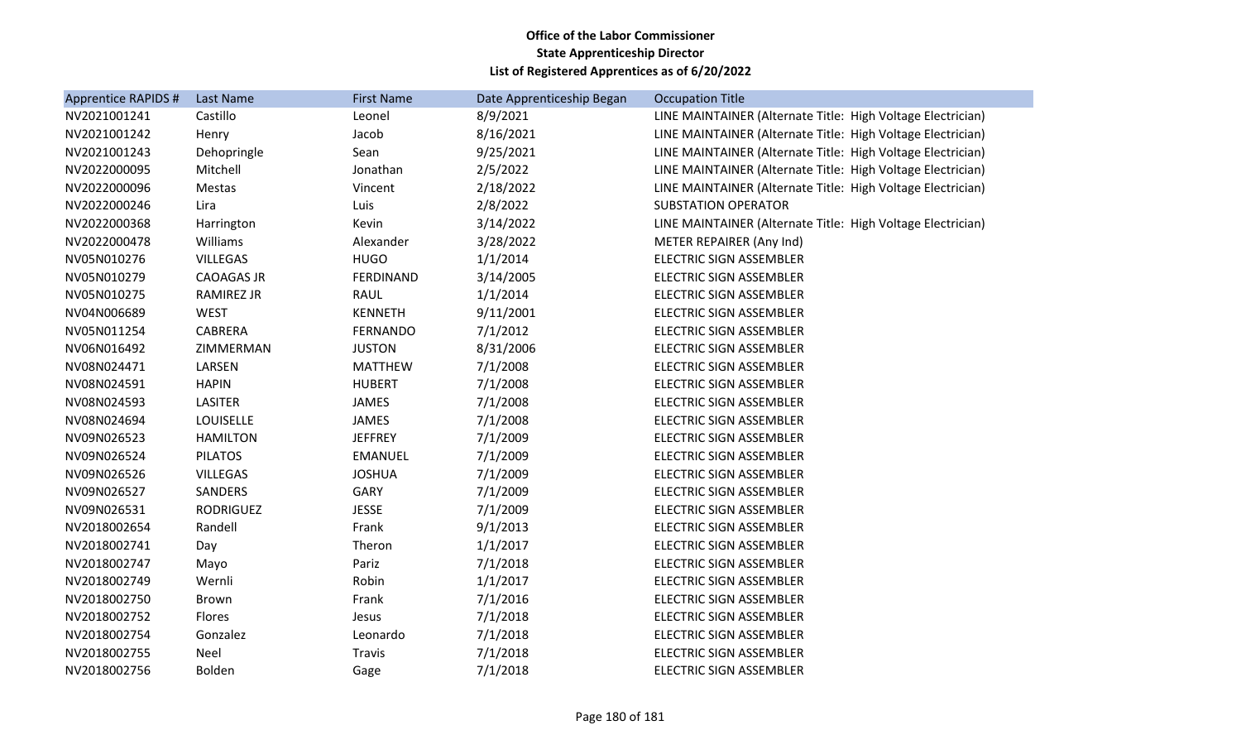| Apprentice RAPIDS # | Last Name         | <b>First Name</b> | Date Apprenticeship Began | <b>Occupation Title</b>                                     |
|---------------------|-------------------|-------------------|---------------------------|-------------------------------------------------------------|
| NV2021001241        | Castillo          | Leonel            | 8/9/2021                  | LINE MAINTAINER (Alternate Title: High Voltage Electrician) |
| NV2021001242        | Henry             | Jacob             | 8/16/2021                 | LINE MAINTAINER (Alternate Title: High Voltage Electrician) |
| NV2021001243        | Dehopringle       | Sean              | 9/25/2021                 | LINE MAINTAINER (Alternate Title: High Voltage Electrician) |
| NV2022000095        | Mitchell          | Jonathan          | 2/5/2022                  | LINE MAINTAINER (Alternate Title: High Voltage Electrician) |
| NV2022000096        | <b>Mestas</b>     | Vincent           | 2/18/2022                 | LINE MAINTAINER (Alternate Title: High Voltage Electrician) |
| NV2022000246        | Lira              | Luis              | 2/8/2022                  | <b>SUBSTATION OPERATOR</b>                                  |
| NV2022000368        | Harrington        | Kevin             | 3/14/2022                 | LINE MAINTAINER (Alternate Title: High Voltage Electrician) |
| NV2022000478        | Williams          | Alexander         | 3/28/2022                 | METER REPAIRER (Any Ind)                                    |
| NV05N010276         | <b>VILLEGAS</b>   | <b>HUGO</b>       | 1/1/2014                  | <b>ELECTRIC SIGN ASSEMBLER</b>                              |
| NV05N010279         | <b>CAOAGAS JR</b> | <b>FERDINAND</b>  | 3/14/2005                 | <b>ELECTRIC SIGN ASSEMBLER</b>                              |
| NV05N010275         | <b>RAMIREZ JR</b> | RAUL              | 1/1/2014                  | <b>ELECTRIC SIGN ASSEMBLER</b>                              |
| NV04N006689         | <b>WEST</b>       | <b>KENNETH</b>    | 9/11/2001                 | <b>ELECTRIC SIGN ASSEMBLER</b>                              |
| NV05N011254         | <b>CABRERA</b>    | <b>FERNANDO</b>   | 7/1/2012                  | <b>ELECTRIC SIGN ASSEMBLER</b>                              |
| NV06N016492         | ZIMMERMAN         | <b>JUSTON</b>     | 8/31/2006                 | ELECTRIC SIGN ASSEMBLER                                     |
| NV08N024471         | LARSEN            | <b>MATTHEW</b>    | 7/1/2008                  | <b>ELECTRIC SIGN ASSEMBLER</b>                              |
| NV08N024591         | <b>HAPIN</b>      | <b>HUBERT</b>     | 7/1/2008                  | <b>ELECTRIC SIGN ASSEMBLER</b>                              |
| NV08N024593         | <b>LASITER</b>    | JAMES             | 7/1/2008                  | ELECTRIC SIGN ASSEMBLER                                     |
| NV08N024694         | LOUISELLE         | JAMES             | 7/1/2008                  | ELECTRIC SIGN ASSEMBLER                                     |
| NV09N026523         | <b>HAMILTON</b>   | <b>JEFFREY</b>    | 7/1/2009                  | <b>ELECTRIC SIGN ASSEMBLER</b>                              |
| NV09N026524         | <b>PILATOS</b>    | <b>EMANUEL</b>    | 7/1/2009                  | ELECTRIC SIGN ASSEMBLER                                     |
| NV09N026526         | <b>VILLEGAS</b>   | <b>JOSHUA</b>     | 7/1/2009                  | <b>ELECTRIC SIGN ASSEMBLER</b>                              |
| NV09N026527         | SANDERS           | GARY              | 7/1/2009                  | <b>ELECTRIC SIGN ASSEMBLER</b>                              |
| NV09N026531         | <b>RODRIGUEZ</b>  | <b>JESSE</b>      | 7/1/2009                  | <b>ELECTRIC SIGN ASSEMBLER</b>                              |
| NV2018002654        | Randell           | Frank             | 9/1/2013                  | <b>ELECTRIC SIGN ASSEMBLER</b>                              |
| NV2018002741        | Day               | Theron            | 1/1/2017                  | <b>ELECTRIC SIGN ASSEMBLER</b>                              |
| NV2018002747        | Mayo              | Pariz             | 7/1/2018                  | ELECTRIC SIGN ASSEMBLER                                     |
| NV2018002749        | Wernli            | Robin             | 1/1/2017                  | <b>ELECTRIC SIGN ASSEMBLER</b>                              |
| NV2018002750        | <b>Brown</b>      | Frank             | 7/1/2016                  | ELECTRIC SIGN ASSEMBLER                                     |
| NV2018002752        | Flores            | Jesus             | 7/1/2018                  | <b>ELECTRIC SIGN ASSEMBLER</b>                              |
| NV2018002754        | Gonzalez          | Leonardo          | 7/1/2018                  | ELECTRIC SIGN ASSEMBLER                                     |
| NV2018002755        | <b>Neel</b>       | Travis            | 7/1/2018                  | ELECTRIC SIGN ASSEMBLER                                     |
| NV2018002756        | Bolden            | Gage              | 7/1/2018                  | ELECTRIC SIGN ASSEMBLER                                     |